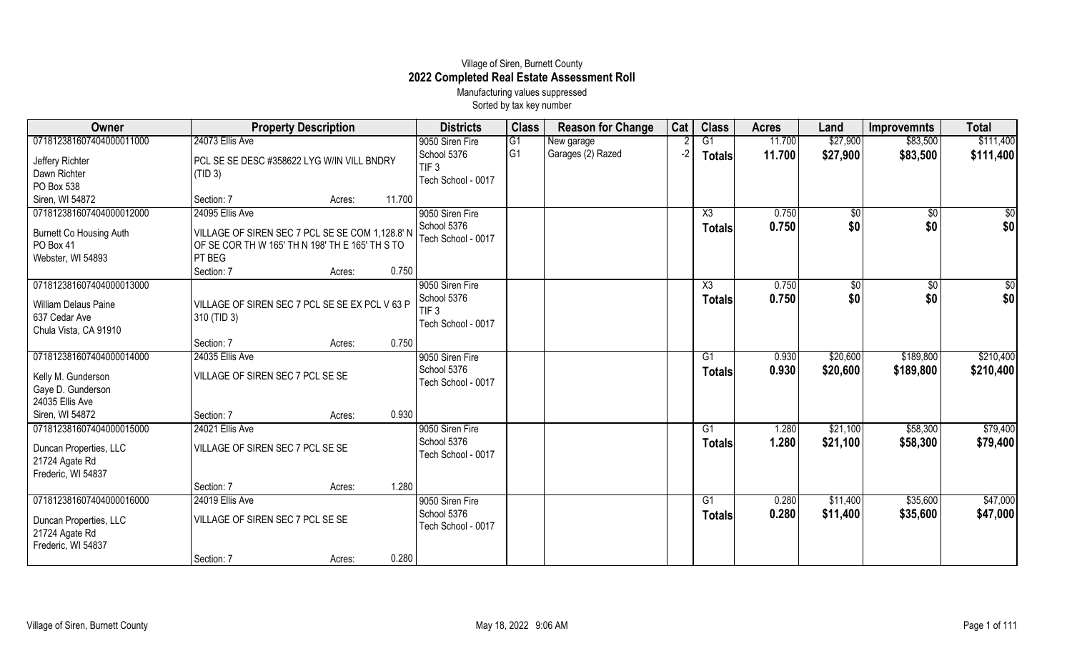## Village of Siren, Burnett County **2022 Completed Real Estate Assessment Roll** Manufacturing values suppressed

Sorted by tax key number

| Owner                                | <b>Property Description</b>                     |        |        | <b>Districts</b>               | <b>Class</b>         | <b>Reason for Change</b>        | Cat | <b>Class</b>   | <b>Acres</b>     | Land                 | <b>Improvemnts</b>   | <b>Total</b>           |
|--------------------------------------|-------------------------------------------------|--------|--------|--------------------------------|----------------------|---------------------------------|-----|----------------|------------------|----------------------|----------------------|------------------------|
| 071812381607404000011000             | 24073 Ellis Ave                                 |        |        | 9050 Siren Fire<br>School 5376 | G1<br>G <sub>1</sub> | New garage<br>Garages (2) Razed | -2  | G1             | 11.700<br>11.700 | \$27,900<br>\$27,900 | \$83,500<br>\$83,500 | \$111,400<br>\$111,400 |
| Jeffery Richter                      | PCL SE SE DESC #358622 LYG W/IN VILL BNDRY      |        |        | TIF <sub>3</sub>               |                      |                                 |     | <b>Totals</b>  |                  |                      |                      |                        |
| Dawn Richter                         | (TID 3)                                         |        |        | Tech School - 0017             |                      |                                 |     |                |                  |                      |                      |                        |
| PO Box 538                           |                                                 |        |        |                                |                      |                                 |     |                |                  |                      |                      |                        |
| Siren, WI 54872                      | Section: 7                                      | Acres: | 11.700 |                                |                      |                                 |     |                |                  |                      |                      |                        |
| 071812381607404000012000             | 24095 Ellis Ave                                 |        |        | 9050 Siren Fire                |                      |                                 |     | X3             | 0.750            | $\sqrt{$0}$          | $\overline{30}$      | $\overline{50}$        |
| <b>Burnett Co Housing Auth</b>       | VILLAGE OF SIREN SEC 7 PCL SE SE COM 1,128.8' N |        |        | School 5376                    |                      |                                 |     | <b>Totals</b>  | 0.750            | \$0                  | \$0                  | \$0                    |
| PO Box 41                            | OF SE COR TH W 165' TH N 198' TH E 165' TH S TO |        |        | Tech School - 0017             |                      |                                 |     |                |                  |                      |                      |                        |
| Webster, WI 54893                    | PT BEG                                          |        |        |                                |                      |                                 |     |                |                  |                      |                      |                        |
|                                      | Section: 7                                      | Acres: | 0.750  |                                |                      |                                 |     |                |                  |                      |                      |                        |
| 071812381607404000013000             |                                                 |        |        | 9050 Siren Fire                |                      |                                 |     | X3             | 0.750            | \$0                  | $\overline{50}$      | \$0                    |
|                                      |                                                 |        |        | School 5376                    |                      |                                 |     | <b>Totals</b>  | 0.750            | \$0                  | \$0                  | \$0                    |
| <b>William Delaus Paine</b>          | VILLAGE OF SIREN SEC 7 PCL SE SE EX PCL V 63 P  |        |        | TIF <sub>3</sub>               |                      |                                 |     |                |                  |                      |                      |                        |
| 637 Cedar Ave                        | 310 (TID 3)                                     |        |        | Tech School - 0017             |                      |                                 |     |                |                  |                      |                      |                        |
| Chula Vista, CA 91910                | Section: 7                                      | Acres: | 0.750  |                                |                      |                                 |     |                |                  |                      |                      |                        |
| 071812381607404000014000             | 24035 Ellis Ave                                 |        |        | 9050 Siren Fire                |                      |                                 |     | G <sub>1</sub> | 0.930            | \$20,600             | \$189,800            | \$210,400              |
|                                      |                                                 |        |        | School 5376                    |                      |                                 |     |                | 0.930            | \$20,600             | \$189,800            | \$210,400              |
| Kelly M. Gunderson                   | VILLAGE OF SIREN SEC 7 PCL SE SE                |        |        | Tech School - 0017             |                      |                                 |     | <b>Totals</b>  |                  |                      |                      |                        |
| Gaye D. Gunderson                    |                                                 |        |        |                                |                      |                                 |     |                |                  |                      |                      |                        |
| 24035 Ellis Ave                      |                                                 |        |        |                                |                      |                                 |     |                |                  |                      |                      |                        |
| Siren, WI 54872                      | Section: 7                                      | Acres: | 0.930  |                                |                      |                                 |     |                |                  |                      |                      |                        |
| 071812381607404000015000             | 24021 Ellis Ave                                 |        |        | 9050 Siren Fire                |                      |                                 |     | G <sub>1</sub> | 1.280            | \$21,100             | \$58,300             | \$79,400               |
| Duncan Properties, LLC               | VILLAGE OF SIREN SEC 7 PCL SE SE                |        |        | School 5376                    |                      |                                 |     | <b>Totals</b>  | 1.280            | \$21,100             | \$58,300             | \$79,400               |
| 21724 Agate Rd                       |                                                 |        |        | Tech School - 0017             |                      |                                 |     |                |                  |                      |                      |                        |
| Frederic, WI 54837                   |                                                 |        |        |                                |                      |                                 |     |                |                  |                      |                      |                        |
|                                      | Section: 7                                      | Acres: | 1.280  |                                |                      |                                 |     |                |                  |                      |                      |                        |
| 071812381607404000016000             | 24019 Ellis Ave                                 |        |        | 9050 Siren Fire                |                      |                                 |     | G1             | 0.280            | \$11,400             | \$35,600             | \$47,000               |
|                                      |                                                 |        |        | School 5376                    |                      |                                 |     | <b>Totals</b>  | 0.280            | \$11,400             | \$35,600             | \$47,000               |
| Duncan Properties, LLC               | VILLAGE OF SIREN SEC 7 PCL SE SE                |        |        | Tech School - 0017             |                      |                                 |     |                |                  |                      |                      |                        |
| 21724 Agate Rd<br>Frederic, WI 54837 |                                                 |        |        |                                |                      |                                 |     |                |                  |                      |                      |                        |
|                                      | Section: 7                                      | Acres: | 0.280  |                                |                      |                                 |     |                |                  |                      |                      |                        |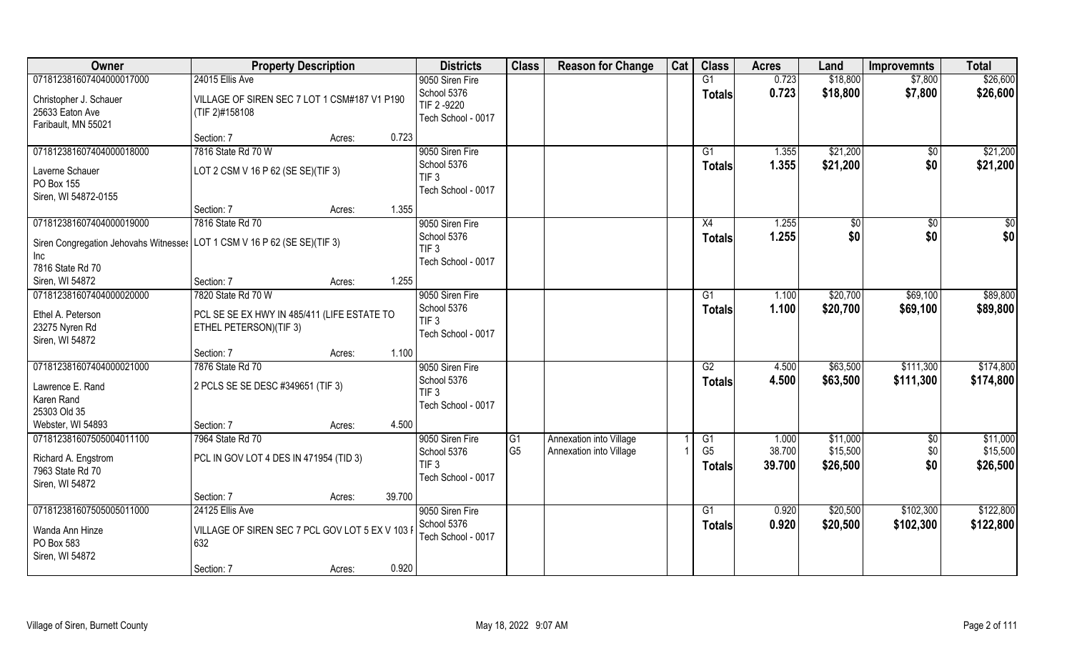| Owner                                                                                  | <b>Property Description</b>                                                                 |                  | <b>Districts</b>                                                         | <b>Class</b>                      | <b>Reason for Change</b>                           | Cat | <b>Class</b>                          | <b>Acres</b>              | Land                             | <b>Improvemnts</b>     | <b>Total</b>                     |
|----------------------------------------------------------------------------------------|---------------------------------------------------------------------------------------------|------------------|--------------------------------------------------------------------------|-----------------------------------|----------------------------------------------------|-----|---------------------------------------|---------------------------|----------------------------------|------------------------|----------------------------------|
| 071812381607404000017000                                                               | 24015 Ellis Ave                                                                             |                  | 9050 Siren Fire                                                          |                                   |                                                    |     | G1                                    | 0.723                     | \$18,800                         | \$7,800                | \$26,600                         |
| Christopher J. Schauer<br>25633 Eaton Ave<br>Faribault, MN 55021                       | VILLAGE OF SIREN SEC 7 LOT 1 CSM#187 V1 P190<br>(TIF 2)#158108                              |                  | School 5376<br>TIF 2-9220<br>Tech School - 0017                          |                                   |                                                    |     | Totals                                | 0.723                     | \$18,800                         | \$7,800                | \$26,600                         |
|                                                                                        | Section: 7                                                                                  | 0.723<br>Acres:  |                                                                          |                                   |                                                    |     |                                       |                           |                                  |                        |                                  |
| 071812381607404000018000<br>Laverne Schauer<br>PO Box 155<br>Siren, WI 54872-0155      | 7816 State Rd 70 W<br>LOT 2 CSM V 16 P 62 (SE SE)(TIF 3)                                    |                  | 9050 Siren Fire<br>School 5376<br>TIF <sub>3</sub><br>Tech School - 0017 |                                   |                                                    |     | G1<br><b>Totals</b>                   | 1.355<br>1.355            | \$21,200<br>\$21,200             | $\sqrt{6}$<br>\$0      | \$21,200<br>\$21,200             |
|                                                                                        | Section: 7                                                                                  | 1.355<br>Acres:  |                                                                          |                                   |                                                    |     |                                       |                           |                                  |                        |                                  |
| 071812381607404000019000                                                               | 7816 State Rd 70                                                                            |                  | 9050 Siren Fire                                                          |                                   |                                                    |     | X4                                    | 1.255                     | \$0                              | \$0                    | \$0                              |
| Siren Congregation Jehovahs Witnesses   LOT 1 CSM V 16 P 62 (SE SE)(TIF 3)<br>Inc      |                                                                                             |                  | School 5376<br>TIF <sub>3</sub><br>Tech School - 0017                    |                                   |                                                    |     | <b>Totals</b>                         | 1.255                     | \$0                              | \$0                    | \$0                              |
| 7816 State Rd 70                                                                       |                                                                                             |                  |                                                                          |                                   |                                                    |     |                                       |                           |                                  |                        |                                  |
| Siren, WI 54872                                                                        | Section: 7                                                                                  | 1.255<br>Acres:  |                                                                          |                                   |                                                    |     |                                       |                           |                                  |                        |                                  |
| 071812381607404000020000<br>Ethel A. Peterson<br>23275 Nyren Rd<br>Siren, WI 54872     | 7820 State Rd 70 W<br>PCL SE SE EX HWY IN 485/411 (LIFE ESTATE TO<br>ETHEL PETERSON)(TIF 3) |                  | 9050 Siren Fire<br>School 5376<br>TIF <sub>3</sub><br>Tech School - 0017 |                                   |                                                    |     | G1<br><b>Totals</b>                   | 1.100<br>1.100            | \$20,700<br>\$20,700             | \$69,100<br>\$69,100   | \$89,800<br>\$89,800             |
|                                                                                        | Section: 7                                                                                  | 1.100<br>Acres:  |                                                                          |                                   |                                                    |     |                                       |                           |                                  |                        |                                  |
| 071812381607404000021000<br>Lawrence E. Rand<br>Karen Rand<br>25303 Old 35             | 7876 State Rd 70<br>2 PCLS SE SE DESC #349651 (TIF 3)                                       |                  | 9050 Siren Fire<br>School 5376<br>TIF <sub>3</sub><br>Tech School - 0017 |                                   |                                                    |     | $\overline{G2}$<br><b>Totals</b>      | 4.500<br>4.500            | \$63,500<br>\$63,500             | \$111,300<br>\$111,300 | \$174,800<br>\$174,800           |
| Webster, WI 54893                                                                      | Section: 7                                                                                  | 4.500<br>Acres:  |                                                                          |                                   |                                                    |     |                                       |                           |                                  |                        |                                  |
| 071812381607505004011100<br>Richard A. Engstrom<br>7963 State Rd 70<br>Siren, WI 54872 | 7964 State Rd 70<br>PCL IN GOV LOT 4 DES IN 471954 (TID 3)                                  |                  | 9050 Siren Fire<br>School 5376<br>TIF <sub>3</sub><br>Tech School - 0017 | $\overline{G1}$<br>G <sub>5</sub> | Annexation into Village<br>Annexation into Village |     | G1<br>G <sub>5</sub><br><b>Totals</b> | 1.000<br>38.700<br>39.700 | \$11,000<br>\$15,500<br>\$26,500 | \$0<br>\$0<br>\$0      | \$11,000<br>\$15,500<br>\$26,500 |
|                                                                                        | Section: 7                                                                                  | 39.700<br>Acres: |                                                                          |                                   |                                                    |     |                                       |                           |                                  |                        |                                  |
| 071812381607505005011000<br>Wanda Ann Hinze<br>PO Box 583<br>Siren, WI 54872           | 24125 Ellis Ave<br>VILLAGE OF SIREN SEC 7 PCL GOV LOT 5 EX V 103<br>632<br>Section: 7       | 0.920<br>Acres:  | 9050 Siren Fire<br>School 5376<br>Tech School - 0017                     |                                   |                                                    |     | $\overline{G1}$<br><b>Totals</b>      | 0.920<br>0.920            | \$20,500<br>\$20,500             | \$102,300<br>\$102,300 | \$122,800<br>\$122,800           |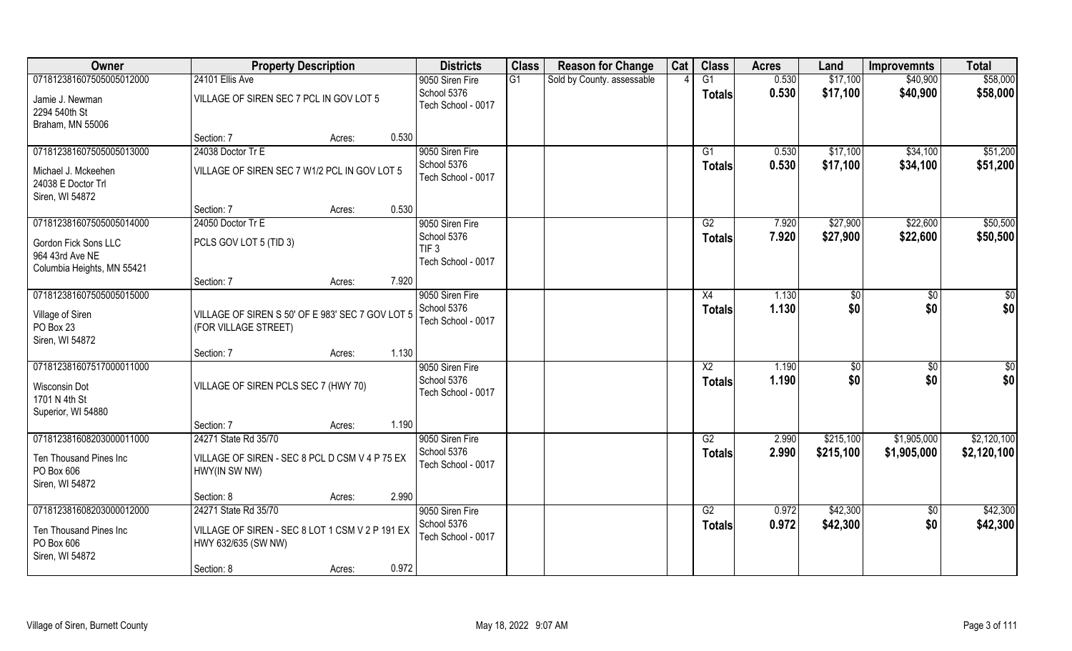| Owner                       | <b>Property Description</b>                      |        |       | <b>Districts</b>                       | <b>Class</b> | <b>Reason for Change</b>   | Cat | <b>Class</b>    | <b>Acres</b> | Land      | <b>Improvemnts</b> | <b>Total</b> |
|-----------------------------|--------------------------------------------------|--------|-------|----------------------------------------|--------------|----------------------------|-----|-----------------|--------------|-----------|--------------------|--------------|
| 071812381607505005012000    | 24101 Ellis Ave                                  |        |       | 9050 Siren Fire                        | G1           | Sold by County. assessable |     | G1              | 0.530        | \$17,100  | \$40,900           | \$58,000     |
| Jamie J. Newman             | VILLAGE OF SIREN SEC 7 PCL IN GOV LOT 5          |        |       | School 5376                            |              |                            |     | Totals          | 0.530        | \$17,100  | \$40,900           | \$58,000     |
| 2294 540th St               |                                                  |        |       | Tech School - 0017                     |              |                            |     |                 |              |           |                    |              |
| Braham, MN 55006            |                                                  |        |       |                                        |              |                            |     |                 |              |           |                    |              |
|                             | Section: 7                                       | Acres: | 0.530 |                                        |              |                            |     |                 |              |           |                    |              |
| 071812381607505005013000    | 24038 Doctor Tr E                                |        |       | 9050 Siren Fire                        |              |                            |     | G <sub>1</sub>  | 0.530        | \$17,100  | \$34,100           | \$51,200     |
| Michael J. Mckeehen         | VILLAGE OF SIREN SEC 7 W1/2 PCL IN GOV LOT 5     |        |       | School 5376                            |              |                            |     | <b>Totals</b>   | 0.530        | \$17,100  | \$34,100           | \$51,200     |
| 24038 E Doctor Trl          |                                                  |        |       | Tech School - 0017                     |              |                            |     |                 |              |           |                    |              |
| Siren, WI 54872             |                                                  |        |       |                                        |              |                            |     |                 |              |           |                    |              |
|                             | Section: 7                                       | Acres: | 0.530 |                                        |              |                            |     |                 |              |           |                    |              |
| 071812381607505005014000    | 24050 Doctor Tr E                                |        |       | 9050 Siren Fire                        |              |                            |     | G2              | 7.920        | \$27,900  | \$22,600           | \$50,500     |
| <b>Gordon Fick Sons LLC</b> | PCLS GOV LOT 5 (TID 3)                           |        |       | School 5376                            |              |                            |     | <b>Totals</b>   | 7.920        | \$27,900  | \$22,600           | \$50,500     |
| 964 43rd Ave NE             |                                                  |        |       | TIF <sub>3</sub><br>Tech School - 0017 |              |                            |     |                 |              |           |                    |              |
| Columbia Heights, MN 55421  |                                                  |        |       |                                        |              |                            |     |                 |              |           |                    |              |
|                             | Section: 7                                       | Acres: | 7.920 |                                        |              |                            |     |                 |              |           |                    |              |
| 071812381607505005015000    |                                                  |        |       | 9050 Siren Fire                        |              |                            |     | X4              | 1.130        | \$0       | $\sqrt{50}$        | \$0          |
| Village of Siren            | VILLAGE OF SIREN S 50' OF E 983' SEC 7 GOV LOT 5 |        |       | School 5376                            |              |                            |     | <b>Totals</b>   | 1.130        | \$0       | \$0                | \$0          |
| PO Box 23                   | (FOR VILLAGE STREET)                             |        |       | Tech School - 0017                     |              |                            |     |                 |              |           |                    |              |
| Siren, WI 54872             |                                                  |        |       |                                        |              |                            |     |                 |              |           |                    |              |
|                             | Section: 7                                       | Acres: | 1.130 |                                        |              |                            |     |                 |              |           |                    |              |
| 071812381607517000011000    |                                                  |        |       | 9050 Siren Fire                        |              |                            |     | $\overline{X2}$ | 1.190        | \$0       | \$0                | \$0          |
| Wisconsin Dot               | VILLAGE OF SIREN PCLS SEC 7 (HWY 70)             |        |       | School 5376                            |              |                            |     | <b>Totals</b>   | 1.190        | \$0       | \$0                | \$0          |
| 1701 N 4th St               |                                                  |        |       | Tech School - 0017                     |              |                            |     |                 |              |           |                    |              |
| Superior, WI 54880          |                                                  |        |       |                                        |              |                            |     |                 |              |           |                    |              |
|                             | Section: 7                                       | Acres: | 1.190 |                                        |              |                            |     |                 |              |           |                    |              |
| 071812381608203000011000    | 24271 State Rd 35/70                             |        |       | 9050 Siren Fire                        |              |                            |     | $\overline{G2}$ | 2.990        | \$215,100 | \$1,905,000        | \$2,120,100  |
| Ten Thousand Pines Inc      | VILLAGE OF SIREN - SEC 8 PCL D CSM V 4 P 75 EX   |        |       | School 5376                            |              |                            |     | <b>Totals</b>   | 2.990        | \$215,100 | \$1,905,000        | \$2,120,100  |
| PO Box 606                  | HWY(IN SW NW)                                    |        |       | Tech School - 0017                     |              |                            |     |                 |              |           |                    |              |
| Siren, WI 54872             |                                                  |        |       |                                        |              |                            |     |                 |              |           |                    |              |
|                             | Section: 8                                       | Acres: | 2.990 |                                        |              |                            |     |                 |              |           |                    |              |
| 071812381608203000012000    | 24271 State Rd 35/70                             |        |       | 9050 Siren Fire                        |              |                            |     | G2              | 0.972        | \$42,300  | $\overline{50}$    | \$42,300     |
| Ten Thousand Pines Inc      | VILLAGE OF SIREN - SEC 8 LOT 1 CSM V 2 P 191 EX  |        |       | School 5376                            |              |                            |     | <b>Totals</b>   | 0.972        | \$42,300  | \$0                | \$42,300     |
| PO Box 606                  | HWY 632/635 (SW NW)                              |        |       | Tech School - 0017                     |              |                            |     |                 |              |           |                    |              |
| Siren, WI 54872             |                                                  |        |       |                                        |              |                            |     |                 |              |           |                    |              |
|                             | Section: 8                                       | Acres: | 0.972 |                                        |              |                            |     |                 |              |           |                    |              |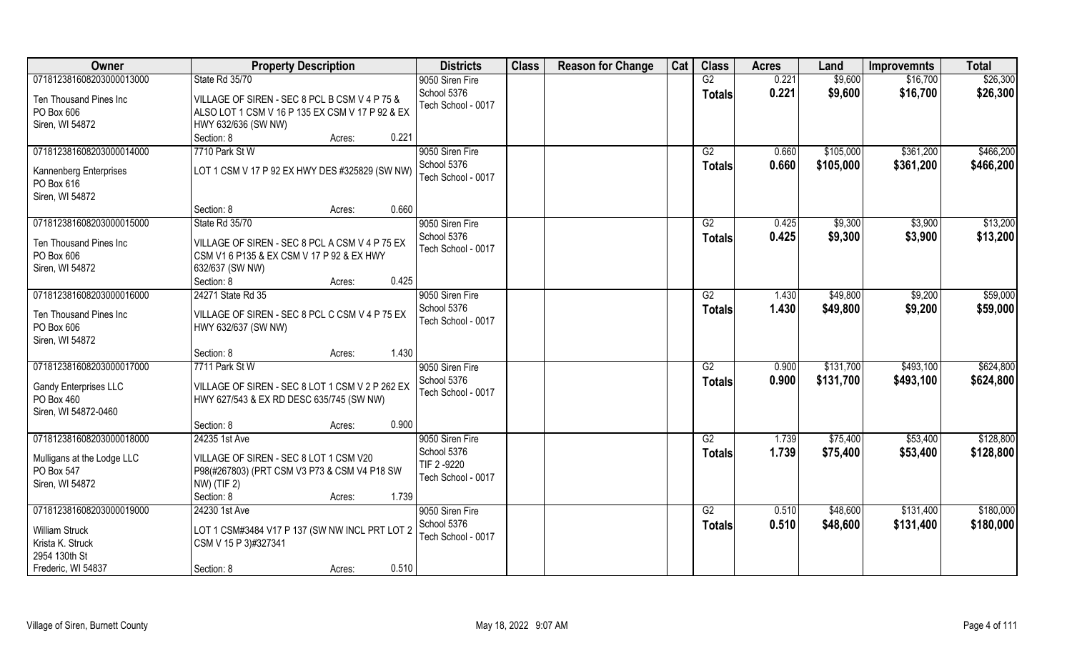| Owner                                                                                                        | <b>Property Description</b>                                                                                                                                       | <b>Districts</b>                                                   | <b>Class</b> | <b>Reason for Change</b> | Cat | <b>Class</b>                     | <b>Acres</b>   | Land                   | <b>Improvemnts</b>     | <b>Total</b>           |
|--------------------------------------------------------------------------------------------------------------|-------------------------------------------------------------------------------------------------------------------------------------------------------------------|--------------------------------------------------------------------|--------------|--------------------------|-----|----------------------------------|----------------|------------------------|------------------------|------------------------|
| 071812381608203000013000                                                                                     | State Rd 35/70                                                                                                                                                    | 9050 Siren Fire                                                    |              |                          |     | G2                               | 0.221          | \$9,600                | \$16,700               | \$26,300               |
| Ten Thousand Pines Inc<br>PO Box 606<br>Siren, WI 54872                                                      | VILLAGE OF SIREN - SEC 8 PCL B CSM V 4 P 75 &<br>ALSO LOT 1 CSM V 16 P 135 EX CSM V 17 P 92 & EX<br>HWY 632/636 (SW NW)                                           | School 5376<br>Tech School - 0017                                  |              |                          |     | <b>Totals</b>                    | 0.221          | \$9,600                | \$16,700               | \$26,300               |
|                                                                                                              | 0.221<br>Section: 8<br>Acres:                                                                                                                                     |                                                                    |              |                          |     |                                  |                |                        |                        |                        |
| 071812381608203000014000<br>Kannenberg Enterprises<br>PO Box 616<br>Siren, WI 54872                          | 7710 Park St W<br>LOT 1 CSM V 17 P 92 EX HWY DES #325829 (SW NW)                                                                                                  | 9050 Siren Fire<br>School 5376<br>Tech School - 0017               |              |                          |     | G2<br><b>Totals</b>              | 0.660<br>0.660 | \$105,000<br>\$105,000 | \$361,200<br>\$361,200 | \$466,200<br>\$466,200 |
|                                                                                                              | 0.660<br>Section: 8<br>Acres:                                                                                                                                     |                                                                    |              |                          |     |                                  |                |                        |                        |                        |
| 071812381608203000015000<br>Ten Thousand Pines Inc<br>PO Box 606<br>Siren, WI 54872                          | State Rd 35/70<br>VILLAGE OF SIREN - SEC 8 PCL A CSM V 4 P 75 EX<br>CSM V1 6 P135 & EX CSM V 17 P 92 & EX HWY<br>632/637 (SW NW)<br>0.425<br>Section: 8<br>Acres: | 9050 Siren Fire<br>School 5376<br>Tech School - 0017               |              |                          |     | G2<br><b>Totals</b>              | 0.425<br>0.425 | \$9,300<br>\$9,300     | \$3,900<br>\$3,900     | \$13,200<br>\$13,200   |
| 071812381608203000016000                                                                                     | 24271 State Rd 35                                                                                                                                                 | 9050 Siren Fire                                                    |              |                          |     | G2                               | 1.430          | \$49,800               | \$9,200                | \$59,000               |
| Ten Thousand Pines Inc<br>PO Box 606<br>Siren, WI 54872                                                      | VILLAGE OF SIREN - SEC 8 PCL C CSM V 4 P 75 EX<br>HWY 632/637 (SW NW)                                                                                             | School 5376<br>Tech School - 0017                                  |              |                          |     | <b>Totals</b>                    | 1.430          | \$49,800               | \$9,200                | \$59,000               |
|                                                                                                              | 1.430<br>Section: 8<br>Acres:                                                                                                                                     |                                                                    |              |                          |     |                                  |                |                        |                        |                        |
| 071812381608203000017000<br>Gandy Enterprises LLC<br>PO Box 460<br>Siren, WI 54872-0460                      | 7711 Park St W<br>VILLAGE OF SIREN - SEC 8 LOT 1 CSM V 2 P 262 EX<br>HWY 627/543 & EX RD DESC 635/745 (SW NW)                                                     | 9050 Siren Fire<br>School 5376<br>Tech School - 0017               |              |                          |     | $\overline{G2}$<br><b>Totals</b> | 0.900<br>0.900 | \$131,700<br>\$131,700 | \$493,100<br>\$493,100 | \$624,800<br>\$624,800 |
|                                                                                                              | 0.900<br>Section: 8<br>Acres:                                                                                                                                     |                                                                    |              |                          |     |                                  |                |                        |                        |                        |
| 071812381608203000018000<br>Mulligans at the Lodge LLC<br>PO Box 547<br>Siren, WI 54872                      | 24235 1st Ave<br>VILLAGE OF SIREN - SEC 8 LOT 1 CSM V20<br>P98(#267803) (PRT CSM V3 P73 & CSM V4 P18 SW<br>NW) (TIF 2)<br>Section: 8<br>1.739<br>Acres:           | 9050 Siren Fire<br>School 5376<br>TIF 2-9220<br>Tech School - 0017 |              |                          |     | G2<br><b>Totals</b>              | 1.739<br>1.739 | \$75,400<br>\$75,400   | \$53,400<br>\$53,400   | \$128,800<br>\$128,800 |
| 071812381608203000019000<br><b>William Struck</b><br>Krista K. Struck<br>2954 130th St<br>Frederic, WI 54837 | 24230 1st Ave<br>LOT 1 CSM#3484 V17 P 137 (SW NW INCL PRT LOT 2<br>CSM V 15 P 3)#327341<br>0.510<br>Section: 8<br>Acres:                                          | 9050 Siren Fire<br>School 5376<br>Tech School - 0017               |              |                          |     | G2<br><b>Totals</b>              | 0.510<br>0.510 | \$48,600<br>\$48,600   | \$131,400<br>\$131,400 | \$180,000<br>\$180,000 |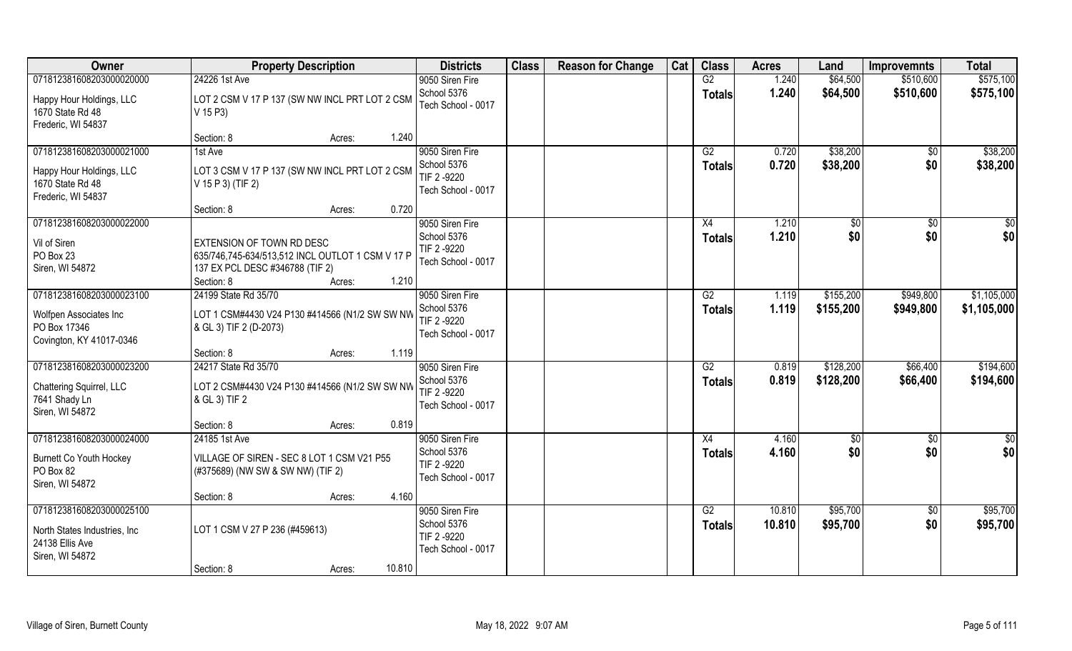| Owner                                                                                           | <b>Property Description</b>                                                                                                           |        |        | <b>Districts</b>                                                    | <b>Class</b> | <b>Reason for Change</b> | Cat | <b>Class</b>                     | <b>Acres</b>     | Land                   | <b>Improvemnts</b>   | <b>Total</b>           |
|-------------------------------------------------------------------------------------------------|---------------------------------------------------------------------------------------------------------------------------------------|--------|--------|---------------------------------------------------------------------|--------------|--------------------------|-----|----------------------------------|------------------|------------------------|----------------------|------------------------|
| 071812381608203000020000                                                                        | 24226 1st Ave                                                                                                                         |        |        | 9050 Siren Fire                                                     |              |                          |     | G2                               | 1.240            | \$64,500               | \$510,600            | \$575,100              |
| Happy Hour Holdings, LLC<br>1670 State Rd 48<br>Frederic, WI 54837                              | LOT 2 CSM V 17 P 137 (SW NW INCL PRT LOT 2 CSM<br>V 15 P3)                                                                            |        |        | School 5376<br>Tech School - 0017                                   |              |                          |     | <b>Totals</b>                    | 1.240            | \$64,500               | \$510,600            | \$575,100              |
|                                                                                                 | Section: 8                                                                                                                            | Acres: | 1.240  |                                                                     |              |                          |     |                                  |                  |                        |                      |                        |
| 071812381608203000021000<br>Happy Hour Holdings, LLC<br>1670 State Rd 48                        | 1st Ave<br>LOT 3 CSM V 17 P 137 (SW NW INCL PRT LOT 2 CSM<br>V 15 P 3) (TIF 2)                                                        |        |        | 9050 Siren Fire<br>School 5376<br>TIF 2 -9220<br>Tech School - 0017 |              |                          |     | G2<br><b>Totals</b>              | 0.720<br>0.720   | \$38,200<br>\$38,200   | $\sqrt{$0}$<br>\$0   | \$38,200<br>\$38,200   |
| Frederic, WI 54837                                                                              | Section: 8                                                                                                                            | Acres: | 0.720  |                                                                     |              |                          |     |                                  |                  |                        |                      |                        |
| 071812381608203000022000                                                                        |                                                                                                                                       |        |        | 9050 Siren Fire                                                     |              |                          |     | X4                               | 1.210            | $ $ \$0                | \$0                  | $\sqrt{50}$            |
| Vil of Siren<br>PO Box 23<br>Siren, WI 54872                                                    | <b>EXTENSION OF TOWN RD DESC</b><br>635/746,745-634/513,512 INCL OUTLOT 1 CSM V 17 P<br>137 EX PCL DESC #346788 (TIF 2)<br>Section: 8 | Acres: | 1.210  | School 5376<br>TIF 2-9220<br>Tech School - 0017                     |              |                          |     | <b>Totals</b>                    | 1.210            | \$0                    | \$0                  | \$0                    |
| 071812381608203000023100                                                                        | 24199 State Rd 35/70                                                                                                                  |        |        | 9050 Siren Fire                                                     |              |                          |     | G2                               | 1.119            | \$155,200              | \$949,800            | \$1,105,000            |
| Wolfpen Associates Inc<br>PO Box 17346<br>Covington, KY 41017-0346                              | LOT 1 CSM#4430 V24 P130 #414566 (N1/2 SW SW NW<br>& GL 3) TIF 2 (D-2073)                                                              |        |        | School 5376<br>TIF 2 -9220<br>Tech School - 0017                    |              |                          |     | <b>Totals</b>                    | 1.119            | \$155,200              | \$949,800            | \$1,105,000            |
|                                                                                                 | Section: 8                                                                                                                            | Acres: | 1.119  |                                                                     |              |                          |     |                                  |                  |                        |                      |                        |
| 071812381608203000023200<br>Chattering Squirrel, LLC<br>7641 Shady Ln<br>Siren, WI 54872        | 24217 State Rd 35/70<br>LOT 2 CSM#4430 V24 P130 #414566 (N1/2 SW SW NW<br>& GL 3) TIF 2                                               |        |        | 9050 Siren Fire<br>School 5376<br>TIF 2-9220<br>Tech School - 0017  |              |                          |     | $\overline{G2}$<br><b>Totals</b> | 0.819<br>0.819   | \$128,200<br>\$128,200 | \$66,400<br>\$66,400 | \$194,600<br>\$194,600 |
|                                                                                                 | Section: 8                                                                                                                            | Acres: | 0.819  |                                                                     |              |                          |     |                                  |                  |                        |                      |                        |
| 071812381608203000024000                                                                        | 24185 1st Ave                                                                                                                         |        |        | 9050 Siren Fire                                                     |              |                          |     | X4                               | 4.160            | \$0                    | \$0                  | \$0                    |
| <b>Burnett Co Youth Hockey</b><br>PO Box 82<br>Siren, WI 54872                                  | VILLAGE OF SIREN - SEC 8 LOT 1 CSM V21 P55<br>(#375689) (NW SW & SW NW) (TIF 2)                                                       |        |        | School 5376<br>TIF 2 -9220<br>Tech School - 0017                    |              |                          |     | <b>Totals</b>                    | 4.160            | \$0                    | \$0                  | \$0                    |
|                                                                                                 | Section: 8                                                                                                                            | Acres: | 4.160  |                                                                     |              |                          |     |                                  |                  |                        |                      |                        |
| 071812381608203000025100<br>North States Industries, Inc.<br>24138 Ellis Ave<br>Siren, WI 54872 | LOT 1 CSM V 27 P 236 (#459613)                                                                                                        |        |        | 9050 Siren Fire<br>School 5376<br>TIF 2 -9220<br>Tech School - 0017 |              |                          |     | G2<br><b>Totals</b>              | 10.810<br>10.810 | \$95,700<br>\$95,700   | $\sqrt{$0}$<br>\$0   | \$95,700<br>\$95,700   |
|                                                                                                 | Section: 8                                                                                                                            | Acres: | 10.810 |                                                                     |              |                          |     |                                  |                  |                        |                      |                        |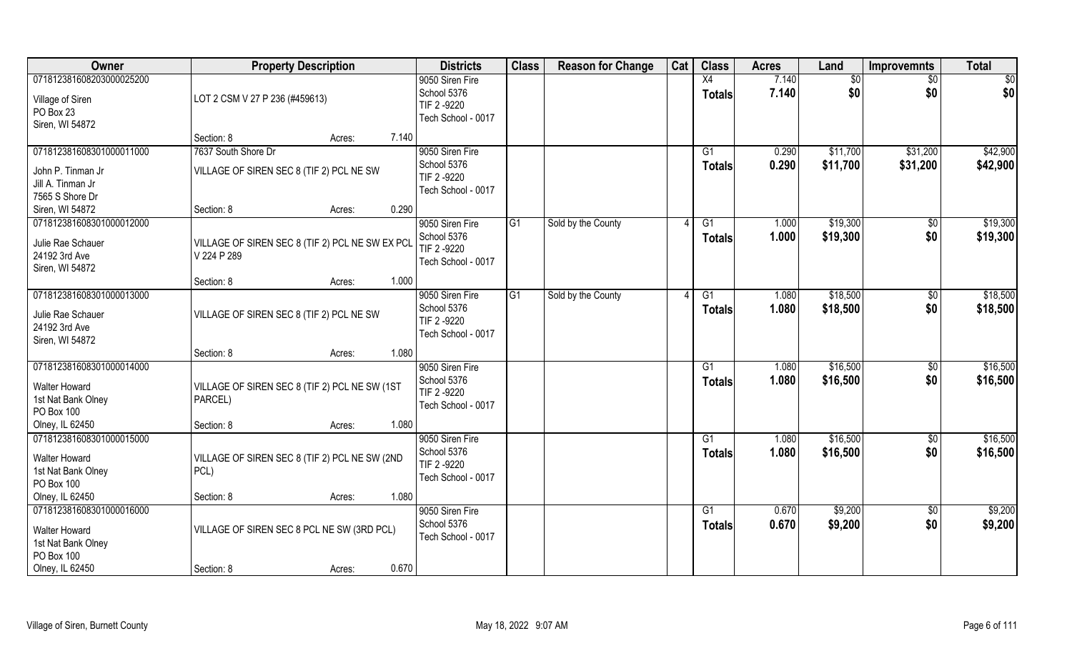| Owner                                                                                                   | <b>Property Description</b>                                                 | <b>Districts</b>                                                    | <b>Class</b>   | <b>Reason for Change</b> | Cat | <b>Class</b>                    | <b>Acres</b>   | Land                 | <b>Improvemnts</b>     | <b>Total</b>         |
|---------------------------------------------------------------------------------------------------------|-----------------------------------------------------------------------------|---------------------------------------------------------------------|----------------|--------------------------|-----|---------------------------------|----------------|----------------------|------------------------|----------------------|
| 071812381608203000025200<br>Village of Siren<br>PO Box 23<br>Siren, WI 54872                            | LOT 2 CSM V 27 P 236 (#459613)                                              | 9050 Siren Fire<br>School 5376<br>TIF 2-9220<br>Tech School - 0017  |                |                          |     | X4<br><b>Totals</b>             | 7.140<br>7.140 | \$0<br>\$0           | \$0<br>\$0             | \$0<br>\$0           |
|                                                                                                         | Section: 8<br>7.140<br>Acres:                                               |                                                                     |                |                          |     |                                 |                |                      |                        |                      |
| 071812381608301000011000<br>John P. Tinman Jr<br>Jill A. Tinman Jr<br>7565 S Shore Dr                   | 7637 South Shore Dr<br>VILLAGE OF SIREN SEC 8 (TIF 2) PCL NE SW             | 9050 Siren Fire<br>School 5376<br>TIF 2 -9220<br>Tech School - 0017 |                |                          |     | G <sub>1</sub><br><b>Totals</b> | 0.290<br>0.290 | \$11,700<br>\$11,700 | \$31,200<br>\$31,200   | \$42,900<br>\$42,900 |
| Siren, WI 54872                                                                                         | 0.290<br>Section: 8<br>Acres:                                               |                                                                     |                |                          |     |                                 |                |                      |                        |                      |
| 071812381608301000012000<br>Julie Rae Schauer<br>24192 3rd Ave<br>Siren, WI 54872                       | VILLAGE OF SIREN SEC 8 (TIF 2) PCL NE SW EX PCL<br>V 224 P 289              | 9050 Siren Fire<br>School 5376<br>TIF 2-9220<br>Tech School - 0017  | G <sub>1</sub> | Sold by the County       |     | G1<br><b>Totals</b>             | 1.000<br>1.000 | \$19,300<br>\$19,300 | \$0<br>\$0             | \$19,300<br>\$19,300 |
|                                                                                                         | 1.000<br>Section: 8<br>Acres:                                               |                                                                     |                |                          |     |                                 |                |                      |                        |                      |
| 071812381608301000013000<br>Julie Rae Schauer<br>24192 3rd Ave<br>Siren, WI 54872                       | VILLAGE OF SIREN SEC 8 (TIF 2) PCL NE SW                                    | 9050 Siren Fire<br>School 5376<br>TIF 2-9220<br>Tech School - 0017  | G <sub>1</sub> | Sold by the County       |     | G1<br><b>Totals</b>             | 1.080<br>1.080 | \$18,500<br>\$18,500 | \$0<br>\$0             | \$18,500<br>\$18,500 |
|                                                                                                         | 1.080<br>Section: 8<br>Acres:                                               |                                                                     |                |                          |     |                                 |                |                      |                        |                      |
| 071812381608301000014000<br><b>Walter Howard</b><br>1st Nat Bank Olney<br>PO Box 100                    | VILLAGE OF SIREN SEC 8 (TIF 2) PCL NE SW (1ST<br>PARCEL)                    | 9050 Siren Fire<br>School 5376<br>TIF 2-9220<br>Tech School - 0017  |                |                          |     | G1<br><b>Totals</b>             | 1.080<br>1.080 | \$16,500<br>\$16,500 | \$0<br>\$0             | \$16,500<br>\$16,500 |
| Olney, IL 62450                                                                                         | 1.080<br>Section: 8<br>Acres:                                               |                                                                     |                |                          |     |                                 |                |                      |                        |                      |
| 071812381608301000015000<br><b>Walter Howard</b><br>1st Nat Bank Olney<br>PO Box 100                    | VILLAGE OF SIREN SEC 8 (TIF 2) PCL NE SW (2ND<br>PCL)                       | 9050 Siren Fire<br>School 5376<br>TIF 2-9220<br>Tech School - 0017  |                |                          |     | G1<br><b>Totals</b>             | 1.080<br>1.080 | \$16,500<br>\$16,500 | $\overline{50}$<br>\$0 | \$16,500<br>\$16,500 |
| Olney, IL 62450                                                                                         | 1.080<br>Section: 8<br>Acres:                                               |                                                                     |                |                          |     |                                 |                |                      |                        |                      |
| 071812381608301000016000<br><b>Walter Howard</b><br>1st Nat Bank Olney<br>PO Box 100<br>Olney, IL 62450 | VILLAGE OF SIREN SEC 8 PCL NE SW (3RD PCL)<br>0.670<br>Section: 8<br>Acres: | 9050 Siren Fire<br>School 5376<br>Tech School - 0017                |                |                          |     | G1<br><b>Totals</b>             | 0.670<br>0.670 | \$9,200<br>\$9,200   | $\overline{50}$<br>\$0 | \$9,200<br>\$9,200   |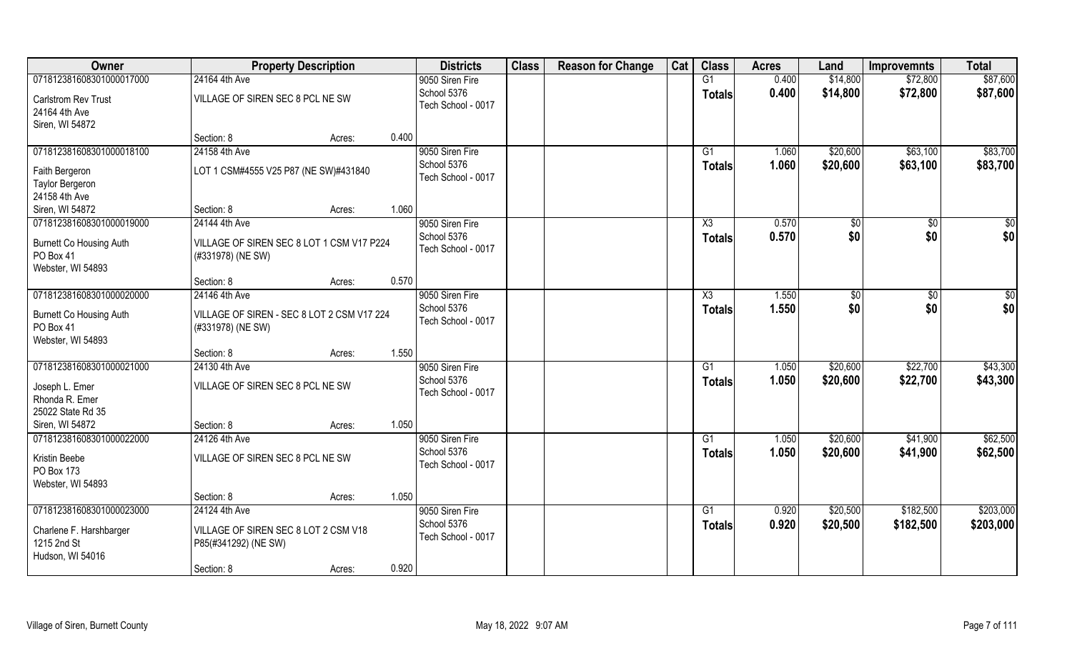| Owner                                                            | <b>Property Description</b>                                     |       | <b>Districts</b>                  | <b>Class</b> | <b>Reason for Change</b> | Cat | <b>Class</b>  | <b>Acres</b> | Land     | <b>Improvemnts</b> | <b>Total</b> |
|------------------------------------------------------------------|-----------------------------------------------------------------|-------|-----------------------------------|--------------|--------------------------|-----|---------------|--------------|----------|--------------------|--------------|
| 071812381608301000017000                                         | 24164 4th Ave                                                   |       | 9050 Siren Fire                   |              |                          |     | G1            | 0.400        | \$14,800 | \$72,800           | \$87,600     |
| Carlstrom Rev Trust<br>24164 4th Ave                             | VILLAGE OF SIREN SEC 8 PCL NE SW                                |       | School 5376<br>Tech School - 0017 |              |                          |     | <b>Totals</b> | 0.400        | \$14,800 | \$72,800           | \$87,600     |
| Siren, WI 54872                                                  |                                                                 |       |                                   |              |                          |     |               |              |          |                    |              |
|                                                                  | Section: 8<br>Acres:                                            | 0.400 |                                   |              |                          |     |               |              |          |                    |              |
| 071812381608301000018100                                         | 24158 4th Ave                                                   |       | 9050 Siren Fire                   |              |                          |     | G1            | 1.060        | \$20,600 | \$63,100           | \$83,700     |
| Faith Bergeron                                                   | LOT 1 CSM#4555 V25 P87 (NE SW)#431840                           |       | School 5376                       |              |                          |     | <b>Totals</b> | 1.060        | \$20,600 | \$63,100           | \$83,700     |
| Taylor Bergeron                                                  |                                                                 |       | Tech School - 0017                |              |                          |     |               |              |          |                    |              |
| 24158 4th Ave                                                    |                                                                 |       |                                   |              |                          |     |               |              |          |                    |              |
| Siren, WI 54872                                                  | Section: 8<br>Acres:                                            | 1.060 |                                   |              |                          |     |               |              |          |                    |              |
| 071812381608301000019000                                         | 24144 4th Ave                                                   |       | 9050 Siren Fire                   |              |                          |     | X3            | 0.570        | \$0      | \$0                | \$0          |
| Burnett Co Housing Auth<br>PO Box 41<br>Webster, WI 54893        | VILLAGE OF SIREN SEC 8 LOT 1 CSM V17 P224<br>(#331978) (NE SW)  |       | School 5376<br>Tech School - 0017 |              |                          |     | <b>Totals</b> | 0.570        | \$0      | \$0                | \$0          |
|                                                                  | Section: 8<br>Acres:                                            | 0.570 |                                   |              |                          |     |               |              |          |                    |              |
| 071812381608301000020000                                         | 24146 4th Ave                                                   |       | 9050 Siren Fire                   |              |                          |     | X3            | 1.550        | \$0      | $\sqrt{50}$        | \$0          |
| <b>Burnett Co Housing Auth</b><br>PO Box 41<br>Webster, WI 54893 | VILLAGE OF SIREN - SEC 8 LOT 2 CSM V17 224<br>(#331978) (NE SW) |       | School 5376<br>Tech School - 0017 |              |                          |     | <b>Totals</b> | 1.550        | \$0      | \$0                | \$0          |
|                                                                  | Section: 8<br>Acres:                                            | 1.550 |                                   |              |                          |     |               |              |          |                    |              |
| 071812381608301000021000                                         | 24130 4th Ave                                                   |       | 9050 Siren Fire                   |              |                          |     | G1            | 1.050        | \$20,600 | \$22,700           | \$43,300     |
| Joseph L. Emer<br>Rhonda R. Emer<br>25022 State Rd 35            | VILLAGE OF SIREN SEC 8 PCL NE SW                                |       | School 5376<br>Tech School - 0017 |              |                          |     | <b>Totals</b> | 1.050        | \$20,600 | \$22,700           | \$43,300     |
| Siren, WI 54872                                                  | Section: 8<br>Acres:                                            | 1.050 |                                   |              |                          |     |               |              |          |                    |              |
| 071812381608301000022000                                         | 24126 4th Ave                                                   |       | 9050 Siren Fire                   |              |                          |     | G1            | 1.050        | \$20,600 | \$41,900           | \$62,500     |
| Kristin Beebe<br>PO Box 173<br>Webster, WI 54893                 | VILLAGE OF SIREN SEC 8 PCL NE SW                                |       | School 5376<br>Tech School - 0017 |              |                          |     | <b>Totals</b> | 1.050        | \$20,600 | \$41,900           | \$62,500     |
|                                                                  | Section: 8<br>Acres:                                            | 1.050 |                                   |              |                          |     |               |              |          |                    |              |
| 071812381608301000023000                                         | 24124 4th Ave                                                   |       | 9050 Siren Fire                   |              |                          |     | G1            | 0.920        | \$20,500 | \$182,500          | \$203,000    |
| Charlene F. Harshbarger<br>1215 2nd St<br>Hudson, WI 54016       | VILLAGE OF SIREN SEC 8 LOT 2 CSM V18<br>P85(#341292) (NE SW)    |       | School 5376<br>Tech School - 0017 |              |                          |     | <b>Totals</b> | 0.920        | \$20,500 | \$182,500          | \$203,000    |
|                                                                  | Section: 8<br>Acres:                                            | 0.920 |                                   |              |                          |     |               |              |          |                    |              |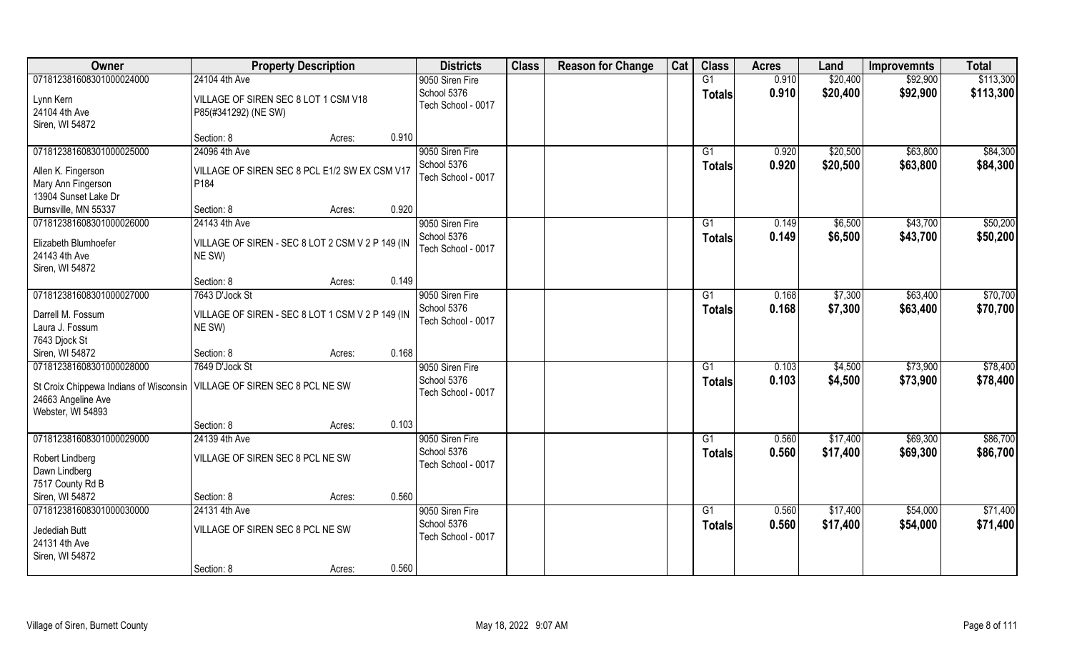| Owner                                                                     | <b>Property Description</b>                                |        |       | <b>Districts</b>                  | <b>Class</b> | <b>Reason for Change</b> | Cat | <b>Class</b>    | <b>Acres</b> | Land     | <b>Improvemnts</b> | <b>Total</b> |
|---------------------------------------------------------------------------|------------------------------------------------------------|--------|-------|-----------------------------------|--------------|--------------------------|-----|-----------------|--------------|----------|--------------------|--------------|
| 071812381608301000024000                                                  | 24104 4th Ave                                              |        |       | 9050 Siren Fire                   |              |                          |     | G1              | 0.910        | \$20,400 | \$92,900           | \$113,300    |
| Lynn Kern                                                                 | VILLAGE OF SIREN SEC 8 LOT 1 CSM V18                       |        |       | School 5376                       |              |                          |     | <b>Totals</b>   | 0.910        | \$20,400 | \$92,900           | \$113,300    |
| 24104 4th Ave                                                             | P85(#341292) (NE SW)                                       |        |       | Tech School - 0017                |              |                          |     |                 |              |          |                    |              |
| Siren, WI 54872                                                           |                                                            |        |       |                                   |              |                          |     |                 |              |          |                    |              |
|                                                                           | Section: 8                                                 | Acres: | 0.910 |                                   |              |                          |     |                 |              |          |                    |              |
| 071812381608301000025000                                                  | 24096 4th Ave                                              |        |       | 9050 Siren Fire                   |              |                          |     | G1              | 0.920        | \$20,500 | \$63,800           | \$84,300     |
| Allen K. Fingerson                                                        | VILLAGE OF SIREN SEC 8 PCL E1/2 SW EX CSM V17              |        |       | School 5376                       |              |                          |     | Totals          | 0.920        | \$20,500 | \$63,800           | \$84,300     |
| Mary Ann Fingerson                                                        | P184                                                       |        |       | Tech School - 0017                |              |                          |     |                 |              |          |                    |              |
| 13904 Sunset Lake Dr                                                      |                                                            |        |       |                                   |              |                          |     |                 |              |          |                    |              |
| Burnsville, MN 55337                                                      | Section: 8                                                 | Acres: | 0.920 |                                   |              |                          |     |                 |              |          |                    |              |
| 071812381608301000026000                                                  | 24143 4th Ave                                              |        |       | 9050 Siren Fire                   |              |                          |     | G1              | 0.149        | \$6,500  | \$43,700           | \$50,200     |
|                                                                           |                                                            |        |       | School 5376                       |              |                          |     | <b>Totals</b>   | 0.149        | \$6,500  | \$43,700           | \$50,200     |
| Elizabeth Blumhoefer<br>24143 4th Ave                                     | VILLAGE OF SIREN - SEC 8 LOT 2 CSM V 2 P 149 (IN<br>NE SW) |        |       | Tech School - 0017                |              |                          |     |                 |              |          |                    |              |
| Siren, WI 54872                                                           |                                                            |        |       |                                   |              |                          |     |                 |              |          |                    |              |
|                                                                           | Section: 8                                                 | Acres: | 0.149 |                                   |              |                          |     |                 |              |          |                    |              |
| 071812381608301000027000                                                  | 7643 D'Jock St                                             |        |       | 9050 Siren Fire                   |              |                          |     | G1              | 0.168        | \$7,300  | \$63,400           | \$70,700     |
|                                                                           |                                                            |        |       | School 5376                       |              |                          |     | <b>Totals</b>   | 0.168        | \$7,300  | \$63,400           | \$70,700     |
| Darrell M. Fossum                                                         | VILLAGE OF SIREN - SEC 8 LOT 1 CSM V 2 P 149 (IN           |        |       | Tech School - 0017                |              |                          |     |                 |              |          |                    |              |
| Laura J. Fossum                                                           | NE SW)                                                     |        |       |                                   |              |                          |     |                 |              |          |                    |              |
| 7643 Djock St                                                             |                                                            |        |       |                                   |              |                          |     |                 |              |          |                    |              |
| Siren, WI 54872                                                           | Section: 8                                                 | Acres: | 0.168 |                                   |              |                          |     |                 |              |          |                    |              |
| 071812381608301000028000                                                  | 7649 D'Jock St                                             |        |       | 9050 Siren Fire                   |              |                          |     | $\overline{G1}$ | 0.103        | \$4,500  | \$73,900           | \$78,400     |
| St Croix Chippewa Indians of Wisconsin   VILLAGE OF SIREN SEC 8 PCL NE SW |                                                            |        |       | School 5376<br>Tech School - 0017 |              |                          |     | <b>Totals</b>   | 0.103        | \$4,500  | \$73,900           | \$78,400     |
| 24663 Angeline Ave                                                        |                                                            |        |       |                                   |              |                          |     |                 |              |          |                    |              |
| Webster, WI 54893                                                         |                                                            |        |       |                                   |              |                          |     |                 |              |          |                    |              |
|                                                                           | Section: 8                                                 | Acres: | 0.103 |                                   |              |                          |     |                 |              |          |                    |              |
| 071812381608301000029000                                                  | 24139 4th Ave                                              |        |       | 9050 Siren Fire                   |              |                          |     | G1              | 0.560        | \$17,400 | \$69,300           | \$86,700     |
| Robert Lindberg                                                           | VILLAGE OF SIREN SEC 8 PCL NE SW                           |        |       | School 5376                       |              |                          |     | <b>Totals</b>   | 0.560        | \$17,400 | \$69,300           | \$86,700     |
| Dawn Lindberg                                                             |                                                            |        |       | Tech School - 0017                |              |                          |     |                 |              |          |                    |              |
| 7517 County Rd B                                                          |                                                            |        |       |                                   |              |                          |     |                 |              |          |                    |              |
| Siren, WI 54872                                                           | Section: 8                                                 | Acres: | 0.560 |                                   |              |                          |     |                 |              |          |                    |              |
| 071812381608301000030000                                                  | 24131 4th Ave                                              |        |       | 9050 Siren Fire                   |              |                          |     | G1              | 0.560        | \$17,400 | \$54,000           | \$71,400     |
| Jedediah Butt                                                             | VILLAGE OF SIREN SEC 8 PCL NE SW                           |        |       | School 5376                       |              |                          |     | <b>Totals</b>   | 0.560        | \$17,400 | \$54,000           | \$71,400     |
| 24131 4th Ave                                                             |                                                            |        |       | Tech School - 0017                |              |                          |     |                 |              |          |                    |              |
| Siren, WI 54872                                                           |                                                            |        |       |                                   |              |                          |     |                 |              |          |                    |              |
|                                                                           | Section: 8                                                 | Acres: | 0.560 |                                   |              |                          |     |                 |              |          |                    |              |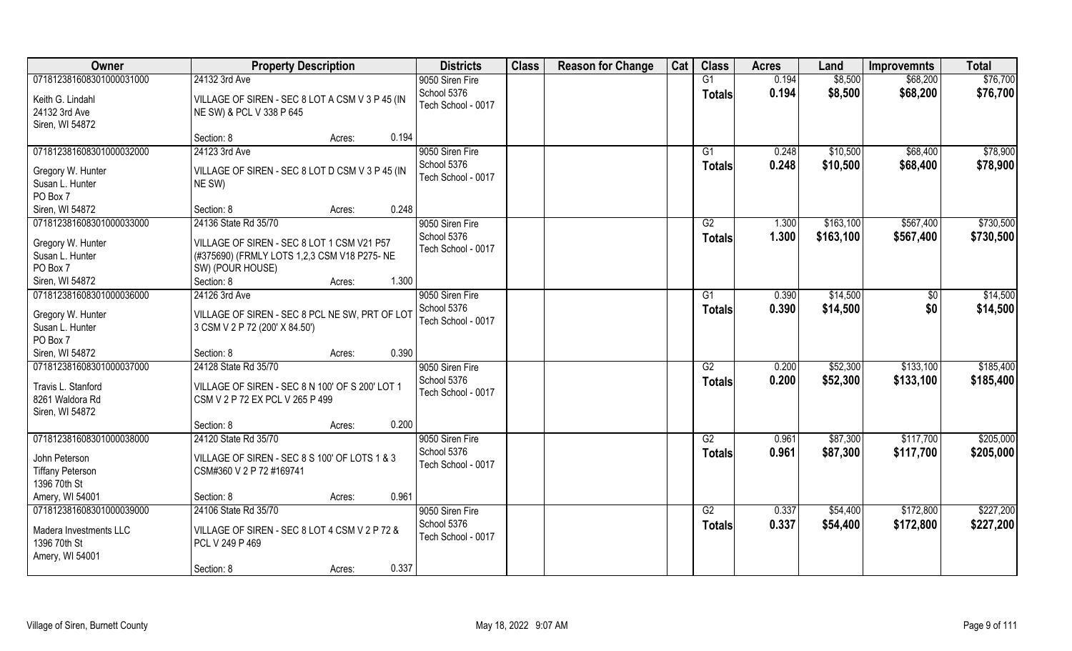| Owner                       | <b>Property Description</b>                       | <b>Districts</b>   | <b>Class</b> | <b>Reason for Change</b> | Cat | <b>Class</b>    | <b>Acres</b> | Land      | <b>Improvemnts</b> | <b>Total</b> |
|-----------------------------|---------------------------------------------------|--------------------|--------------|--------------------------|-----|-----------------|--------------|-----------|--------------------|--------------|
| 071812381608301000031000    | 24132 3rd Ave                                     | 9050 Siren Fire    |              |                          |     | G1              | 0.194        | \$8,500   | \$68,200           | \$76,700     |
| Keith G. Lindahl            | VILLAGE OF SIREN - SEC 8 LOT A CSM V 3 P 45 (IN   | School 5376        |              |                          |     | <b>Totals</b>   | 0.194        | \$8,500   | \$68,200           | \$76,700     |
| 24132 3rd Ave               | NE SW) & PCL V 338 P 645                          | Tech School - 0017 |              |                          |     |                 |              |           |                    |              |
| Siren, WI 54872             |                                                   |                    |              |                          |     |                 |              |           |                    |              |
|                             | 0.194<br>Section: 8<br>Acres:                     |                    |              |                          |     |                 |              |           |                    |              |
| 071812381608301000032000    | 24123 3rd Ave                                     | 9050 Siren Fire    |              |                          |     | G1              | 0.248        | \$10,500  | \$68,400           | \$78,900     |
| Gregory W. Hunter           | VILLAGE OF SIREN - SEC 8 LOT D CSM V 3 P 45 (IN   | School 5376        |              |                          |     | <b>Totals</b>   | 0.248        | \$10,500  | \$68,400           | \$78,900     |
| Susan L. Hunter             | NE SW)                                            | Tech School - 0017 |              |                          |     |                 |              |           |                    |              |
| PO Box 7                    |                                                   |                    |              |                          |     |                 |              |           |                    |              |
| Siren, WI 54872             | 0.248<br>Section: 8<br>Acres:                     |                    |              |                          |     |                 |              |           |                    |              |
| 071812381608301000033000    | 24136 State Rd 35/70                              | 9050 Siren Fire    |              |                          |     | G2              | 1.300        | \$163,100 | \$567,400          | \$730,500    |
|                             |                                                   | School 5376        |              |                          |     | <b>Totals</b>   | 1.300        | \$163,100 | \$567,400          | \$730,500    |
| Gregory W. Hunter           | VILLAGE OF SIREN - SEC 8 LOT 1 CSM V21 P57        | Tech School - 0017 |              |                          |     |                 |              |           |                    |              |
| Susan L. Hunter<br>PO Box 7 | (#375690) (FRMLY LOTS 1,2,3 CSM V18 P275- NE      |                    |              |                          |     |                 |              |           |                    |              |
| Siren, WI 54872             | SW) (POUR HOUSE)<br>1.300<br>Section: 8<br>Acres: |                    |              |                          |     |                 |              |           |                    |              |
| 071812381608301000036000    | 24126 3rd Ave                                     | 9050 Siren Fire    |              |                          |     | G1              | 0.390        | \$14,500  | $\sqrt{50}$        | \$14,500     |
|                             |                                                   | School 5376        |              |                          |     |                 |              |           | \$0                |              |
| Gregory W. Hunter           | VILLAGE OF SIREN - SEC 8 PCL NE SW, PRT OF LOT    | Tech School - 0017 |              |                          |     | <b>Totals</b>   | 0.390        | \$14,500  |                    | \$14,500     |
| Susan L. Hunter             | 3 CSM V 2 P 72 (200' X 84.50')                    |                    |              |                          |     |                 |              |           |                    |              |
| PO Box 7                    |                                                   |                    |              |                          |     |                 |              |           |                    |              |
| Siren, WI 54872             | 0.390<br>Section: 8<br>Acres:                     |                    |              |                          |     |                 |              |           |                    |              |
| 071812381608301000037000    | 24128 State Rd 35/70                              | 9050 Siren Fire    |              |                          |     | $\overline{G2}$ | 0.200        | \$52,300  | \$133,100          | \$185,400    |
| Travis L. Stanford          | VILLAGE OF SIREN - SEC 8 N 100' OF S 200' LOT 1   | School 5376        |              |                          |     | <b>Totals</b>   | 0.200        | \$52,300  | \$133,100          | \$185,400    |
| 8261 Waldora Rd             | CSM V 2 P 72 EX PCL V 265 P 499                   | Tech School - 0017 |              |                          |     |                 |              |           |                    |              |
| Siren, WI 54872             |                                                   |                    |              |                          |     |                 |              |           |                    |              |
|                             | 0.200<br>Section: 8<br>Acres:                     |                    |              |                          |     |                 |              |           |                    |              |
| 071812381608301000038000    | 24120 State Rd 35/70                              | 9050 Siren Fire    |              |                          |     | G2              | 0.961        | \$87,300  | \$117,700          | \$205,000    |
| John Peterson               | VILLAGE OF SIREN - SEC 8 S 100' OF LOTS 1 & 3     | School 5376        |              |                          |     | <b>Totals</b>   | 0.961        | \$87,300  | \$117,700          | \$205,000    |
| <b>Tiffany Peterson</b>     | CSM#360 V 2 P 72 #169741                          | Tech School - 0017 |              |                          |     |                 |              |           |                    |              |
| 1396 70th St                |                                                   |                    |              |                          |     |                 |              |           |                    |              |
| Amery, WI 54001             | 0.961<br>Section: 8<br>Acres:                     |                    |              |                          |     |                 |              |           |                    |              |
| 071812381608301000039000    | 24106 State Rd 35/70                              | 9050 Siren Fire    |              |                          |     | G2              | 0.337        | \$54,400  | \$172,800          | \$227,200    |
|                             |                                                   | School 5376        |              |                          |     | <b>Totals</b>   | 0.337        | \$54,400  | \$172,800          | \$227,200    |
| Madera Investments LLC      | VILLAGE OF SIREN - SEC 8 LOT 4 CSM V 2 P 72 &     | Tech School - 0017 |              |                          |     |                 |              |           |                    |              |
| 1396 70th St                | PCL V 249 P 469                                   |                    |              |                          |     |                 |              |           |                    |              |
| Amery, WI 54001             |                                                   |                    |              |                          |     |                 |              |           |                    |              |
|                             | 0.337<br>Section: 8<br>Acres:                     |                    |              |                          |     |                 |              |           |                    |              |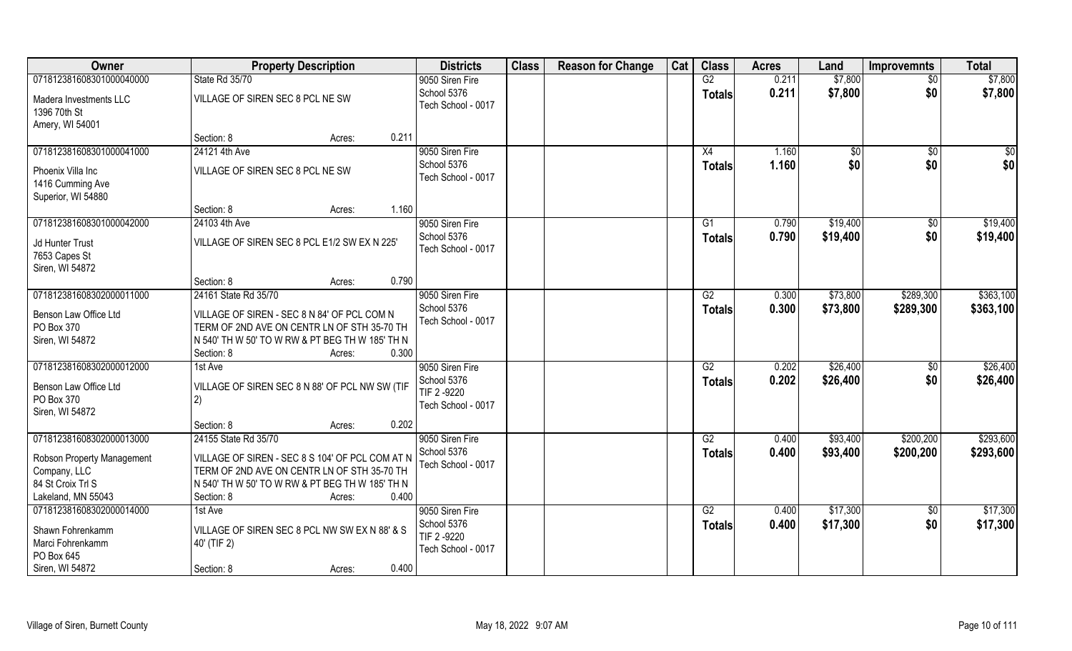| Owner                                                     | <b>Property Description</b>                     | <b>Districts</b>                  | <b>Class</b> | <b>Reason for Change</b> | Cat | <b>Class</b>    | <b>Acres</b> | Land        | <b>Improvemnts</b> | <b>Total</b> |
|-----------------------------------------------------------|-------------------------------------------------|-----------------------------------|--------------|--------------------------|-----|-----------------|--------------|-------------|--------------------|--------------|
| 071812381608301000040000                                  | State Rd 35/70                                  | 9050 Siren Fire                   |              |                          |     | G2              | 0.211        | \$7,800     | $\overline{50}$    | \$7,800      |
| Madera Investments LLC<br>1396 70th St<br>Amery, WI 54001 | VILLAGE OF SIREN SEC 8 PCL NE SW                | School 5376<br>Tech School - 0017 |              |                          |     | <b>Totals</b>   | 0.211        | \$7,800     | \$0                | \$7,800      |
|                                                           | 0.211<br>Section: 8<br>Acres:                   |                                   |              |                          |     |                 |              |             |                    |              |
| 071812381608301000041000                                  | 24121 4th Ave                                   | 9050 Siren Fire                   |              |                          |     | X4              | 1.160        | $\sqrt{50}$ | \$0                | $\sqrt{50}$  |
|                                                           |                                                 | School 5376                       |              |                          |     | <b>Totals</b>   | 1.160        | \$0         | \$0                | \$0          |
| Phoenix Villa Inc                                         | VILLAGE OF SIREN SEC 8 PCL NE SW                | Tech School - 0017                |              |                          |     |                 |              |             |                    |              |
| 1416 Cumming Ave                                          |                                                 |                                   |              |                          |     |                 |              |             |                    |              |
| Superior, WI 54880                                        |                                                 |                                   |              |                          |     |                 |              |             |                    |              |
|                                                           | 1.160<br>Section: 8<br>Acres:                   |                                   |              |                          |     |                 |              |             |                    |              |
| 071812381608301000042000                                  | 24103 4th Ave                                   | 9050 Siren Fire                   |              |                          |     | G1              | 0.790        | \$19,400    | $\sqrt[6]{30}$     | \$19,400     |
| Jd Hunter Trust                                           | VILLAGE OF SIREN SEC 8 PCL E1/2 SW EX N 225'    | School 5376                       |              |                          |     | <b>Totals</b>   | 0.790        | \$19,400    | \$0                | \$19,400     |
| 7653 Capes St                                             |                                                 | Tech School - 0017                |              |                          |     |                 |              |             |                    |              |
| Siren, WI 54872                                           |                                                 |                                   |              |                          |     |                 |              |             |                    |              |
|                                                           | 0.790<br>Section: 8<br>Acres:                   |                                   |              |                          |     |                 |              |             |                    |              |
| 071812381608302000011000                                  | 24161 State Rd 35/70                            | 9050 Siren Fire                   |              |                          |     | G2              | 0.300        | \$73,800    | \$289,300          | \$363,100    |
| Benson Law Office Ltd                                     | VILLAGE OF SIREN - SEC 8 N 84' OF PCL COM N     | School 5376                       |              |                          |     | <b>Totals</b>   | 0.300        | \$73,800    | \$289,300          | \$363,100    |
| PO Box 370                                                | TERM OF 2ND AVE ON CENTR LN OF STH 35-70 TH     | Tech School - 0017                |              |                          |     |                 |              |             |                    |              |
| Siren, WI 54872                                           | N 540' TH W 50' TO W RW & PT BEG TH W 185' TH N |                                   |              |                          |     |                 |              |             |                    |              |
|                                                           | 0.300<br>Section: 8<br>Acres:                   |                                   |              |                          |     |                 |              |             |                    |              |
| 071812381608302000012000                                  | 1st Ave                                         | 9050 Siren Fire                   |              |                          |     | $\overline{G2}$ | 0.202        | \$26,400    | $\sqrt[6]{30}$     | \$26,400     |
|                                                           |                                                 | School 5376                       |              |                          |     | <b>Totals</b>   | 0.202        | \$26,400    | \$0                | \$26,400     |
| Benson Law Office Ltd                                     | VILLAGE OF SIREN SEC 8 N 88' OF PCL NW SW (TIF  | TIF 2-9220                        |              |                          |     |                 |              |             |                    |              |
| PO Box 370                                                | 2)                                              | Tech School - 0017                |              |                          |     |                 |              |             |                    |              |
| Siren, WI 54872                                           |                                                 |                                   |              |                          |     |                 |              |             |                    |              |
|                                                           | 0.202<br>Section: 8<br>Acres:                   |                                   |              |                          |     |                 |              |             |                    | \$293,600    |
| 071812381608302000013000                                  | 24155 State Rd 35/70                            | 9050 Siren Fire<br>School 5376    |              |                          |     | G2              | 0.400        | \$93,400    | \$200,200          |              |
| Robson Property Management                                | VILLAGE OF SIREN - SEC 8 S 104' OF PCL COM AT N | Tech School - 0017                |              |                          |     | <b>Totals</b>   | 0.400        | \$93,400    | \$200,200          | \$293,600    |
| Company, LLC                                              | TERM OF 2ND AVE ON CENTR LN OF STH 35-70 TH     |                                   |              |                          |     |                 |              |             |                    |              |
| 84 St Croix Trl S                                         | N 540' TH W 50' TO W RW & PT BEG TH W 185' TH N |                                   |              |                          |     |                 |              |             |                    |              |
| Lakeland, MN 55043                                        | 0.400<br>Section: 8<br>Acres:                   |                                   |              |                          |     |                 |              |             |                    |              |
| 071812381608302000014000                                  | 1st Ave                                         | 9050 Siren Fire                   |              |                          |     | G2              | 0.400        | \$17,300    | $\sqrt{6}$         | \$17,300     |
| Shawn Fohrenkamm                                          | VILLAGE OF SIREN SEC 8 PCL NW SW EX N 88' & S   | School 5376                       |              |                          |     | <b>Totals</b>   | 0.400        | \$17,300    | \$0                | \$17,300     |
| Marci Fohrenkamm                                          | 40' (TIF 2)                                     | TIF 2 -9220                       |              |                          |     |                 |              |             |                    |              |
| PO Box 645                                                |                                                 | Tech School - 0017                |              |                          |     |                 |              |             |                    |              |
| Siren, WI 54872                                           | 0.400<br>Section: 8<br>Acres:                   |                                   |              |                          |     |                 |              |             |                    |              |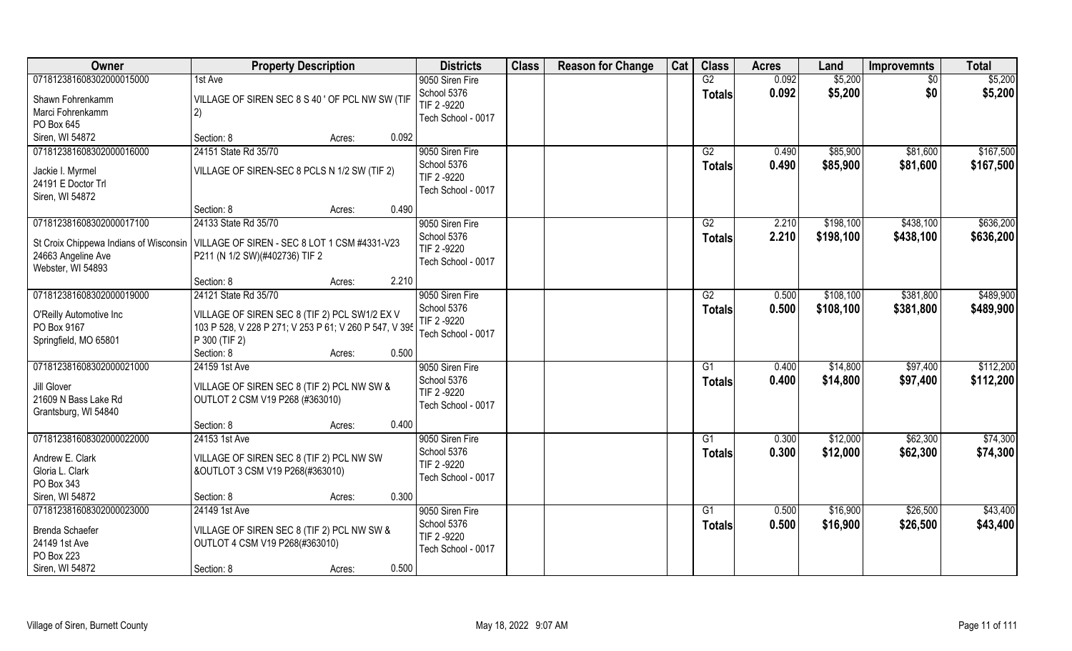| Owner                                                                                 | <b>Property Description</b>                            |                 | <b>Districts</b>               | <b>Class</b> | <b>Reason for Change</b> | Cat | <b>Class</b>        | <b>Acres</b>   | Land               | <b>Improvemnts</b> | <b>Total</b>       |
|---------------------------------------------------------------------------------------|--------------------------------------------------------|-----------------|--------------------------------|--------------|--------------------------|-----|---------------------|----------------|--------------------|--------------------|--------------------|
| 071812381608302000015000                                                              | 1st Ave                                                |                 | 9050 Siren Fire<br>School 5376 |              |                          |     | G2<br><b>Totals</b> | 0.092<br>0.092 | \$5,200<br>\$5,200 | $\sqrt{$0}$<br>\$0 | \$5,200<br>\$5,200 |
| Shawn Fohrenkamm                                                                      | VILLAGE OF SIREN SEC 8 S 40 ' OF PCL NW SW (TIF        |                 | TIF 2 -9220                    |              |                          |     |                     |                |                    |                    |                    |
| Marci Fohrenkamm                                                                      | 2)                                                     |                 | Tech School - 0017             |              |                          |     |                     |                |                    |                    |                    |
| PO Box 645                                                                            |                                                        | 0.092           |                                |              |                          |     |                     |                |                    |                    |                    |
| Siren, WI 54872                                                                       | Section: 8                                             | Acres:          |                                |              |                          |     |                     |                |                    |                    |                    |
| 071812381608302000016000                                                              | 24151 State Rd 35/70                                   |                 | 9050 Siren Fire                |              |                          |     | G2                  | 0.490          | \$85,900           | \$81,600           | \$167,500          |
| Jackie I. Myrmel                                                                      | VILLAGE OF SIREN-SEC 8 PCLS N 1/2 SW (TIF 2)           |                 | School 5376<br>TIF 2 -9220     |              |                          |     | <b>Totals</b>       | 0.490          | \$85,900           | \$81,600           | \$167,500          |
| 24191 E Doctor Trl                                                                    |                                                        |                 | Tech School - 0017             |              |                          |     |                     |                |                    |                    |                    |
| Siren, WI 54872                                                                       |                                                        |                 |                                |              |                          |     |                     |                |                    |                    |                    |
|                                                                                       | Section: 8                                             | 0.490<br>Acres: |                                |              |                          |     |                     |                |                    |                    |                    |
| 071812381608302000017100                                                              | 24133 State Rd 35/70                                   |                 | 9050 Siren Fire                |              |                          |     | G2                  | 2.210          | \$198,100          | \$438,100          | \$636,200          |
| St Croix Chippewa Indians of Wisconsin   VILLAGE OF SIREN - SEC 8 LOT 1 CSM #4331-V23 |                                                        |                 | School 5376                    |              |                          |     | <b>Totals</b>       | 2.210          | \$198,100          | \$438,100          | \$636,200          |
| 24663 Angeline Ave                                                                    | P211 (N 1/2 SW)(#402736) TIF 2                         |                 | TIF 2 -9220                    |              |                          |     |                     |                |                    |                    |                    |
| Webster, WI 54893                                                                     |                                                        |                 | Tech School - 0017             |              |                          |     |                     |                |                    |                    |                    |
|                                                                                       | Section: 8                                             | 2.210<br>Acres: |                                |              |                          |     |                     |                |                    |                    |                    |
| 071812381608302000019000                                                              | 24121 State Rd 35/70                                   |                 | 9050 Siren Fire                |              |                          |     | G2                  | 0.500          | \$108,100          | \$381,800          | \$489,900          |
|                                                                                       |                                                        |                 | School 5376                    |              |                          |     | <b>Totals</b>       | 0.500          | \$108,100          | \$381,800          | \$489,900          |
| O'Reilly Automotive Inc                                                               | VILLAGE OF SIREN SEC 8 (TIF 2) PCL SW1/2 EX V          |                 | TIF 2 -9220                    |              |                          |     |                     |                |                    |                    |                    |
| PO Box 9167                                                                           | 103 P 528, V 228 P 271; V 253 P 61; V 260 P 547, V 395 |                 | Tech School - 0017             |              |                          |     |                     |                |                    |                    |                    |
| Springfield, MO 65801                                                                 | P 300 (TIF 2)                                          |                 |                                |              |                          |     |                     |                |                    |                    |                    |
|                                                                                       | Section: 8                                             | 0.500<br>Acres: |                                |              |                          |     |                     |                |                    |                    |                    |
| 071812381608302000021000                                                              | 24159 1st Ave                                          |                 | 9050 Siren Fire                |              |                          |     | G <sub>1</sub>      | 0.400          | \$14,800           | \$97,400           | \$112,200          |
| Jill Glover                                                                           | VILLAGE OF SIREN SEC 8 (TIF 2) PCL NW SW &             |                 | School 5376                    |              |                          |     | <b>Totals</b>       | 0.400          | \$14,800           | \$97,400           | \$112,200          |
| 21609 N Bass Lake Rd                                                                  | OUTLOT 2 CSM V19 P268 (#363010)                        |                 | TIF 2 -9220                    |              |                          |     |                     |                |                    |                    |                    |
| Grantsburg, WI 54840                                                                  |                                                        |                 | Tech School - 0017             |              |                          |     |                     |                |                    |                    |                    |
|                                                                                       | Section: 8                                             | 0.400<br>Acres: |                                |              |                          |     |                     |                |                    |                    |                    |
| 071812381608302000022000                                                              | 24153 1st Ave                                          |                 | 9050 Siren Fire                |              |                          |     | G1                  | 0.300          | \$12,000           | \$62,300           | \$74,300           |
| Andrew E. Clark                                                                       | VILLAGE OF SIREN SEC 8 (TIF 2) PCL NW SW               |                 | School 5376                    |              |                          |     | <b>Totals</b>       | 0.300          | \$12,000           | \$62,300           | \$74,300           |
| Gloria L. Clark                                                                       | &OUTLOT 3 CSM V19 P268(#363010)                        |                 | TIF 2 -9220                    |              |                          |     |                     |                |                    |                    |                    |
| PO Box 343                                                                            |                                                        |                 | Tech School - 0017             |              |                          |     |                     |                |                    |                    |                    |
| Siren, WI 54872                                                                       | Section: 8                                             | 0.300<br>Acres: |                                |              |                          |     |                     |                |                    |                    |                    |
| 071812381608302000023000                                                              | 24149 1st Ave                                          |                 | 9050 Siren Fire                |              |                          |     | G1                  | 0.500          | \$16,900           | \$26,500           | \$43,400           |
|                                                                                       |                                                        |                 | School 5376                    |              |                          |     | <b>Totals</b>       | 0.500          | \$16,900           | \$26,500           | \$43,400           |
| Brenda Schaefer                                                                       | VILLAGE OF SIREN SEC 8 (TIF 2) PCL NW SW &             |                 | TIF 2 -9220                    |              |                          |     |                     |                |                    |                    |                    |
| 24149 1st Ave                                                                         | OUTLOT 4 CSM V19 P268(#363010)                         |                 | Tech School - 0017             |              |                          |     |                     |                |                    |                    |                    |
| PO Box 223                                                                            |                                                        |                 |                                |              |                          |     |                     |                |                    |                    |                    |
| Siren, WI 54872                                                                       | Section: 8                                             | 0.500<br>Acres: |                                |              |                          |     |                     |                |                    |                    |                    |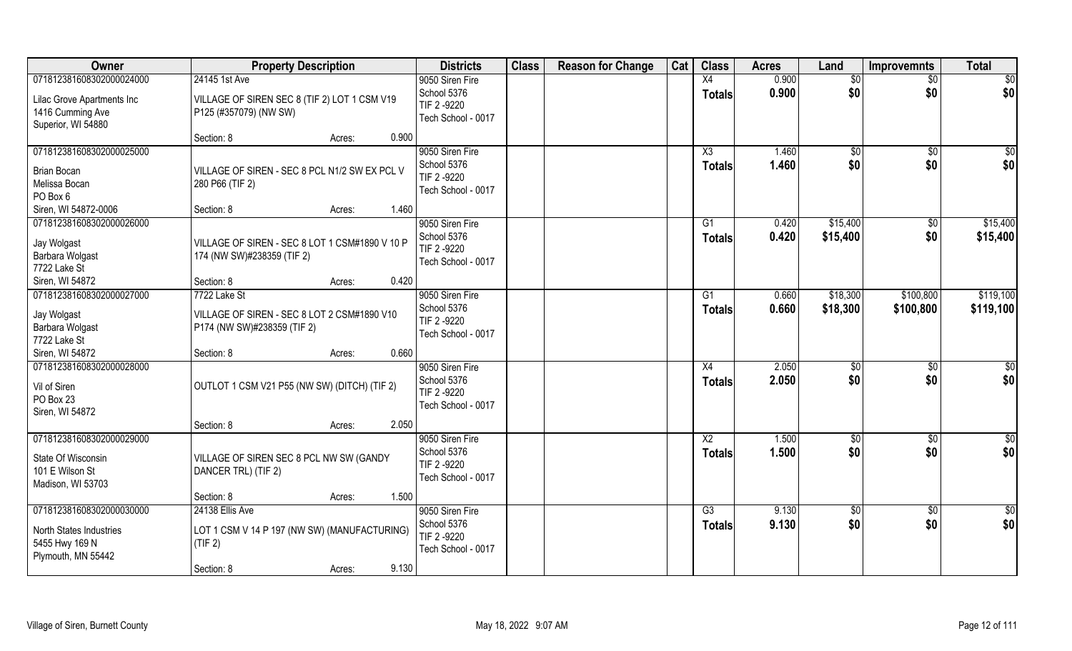| Owner                                                                                               | <b>Property Description</b>                                                                                 | <b>Districts</b>                                                    | <b>Class</b> | <b>Reason for Change</b> | Cat | <b>Class</b>                     | <b>Acres</b>   | Land                 | <b>Improvemnts</b>     | <b>Total</b>            |
|-----------------------------------------------------------------------------------------------------|-------------------------------------------------------------------------------------------------------------|---------------------------------------------------------------------|--------------|--------------------------|-----|----------------------------------|----------------|----------------------|------------------------|-------------------------|
| 071812381608302000024000                                                                            | 24145 1st Ave                                                                                               | 9050 Siren Fire                                                     |              |                          |     | X4                               | 0.900          | $\overline{50}$      | $\overline{50}$        | \$0                     |
| Lilac Grove Apartments Inc<br>1416 Cumming Ave<br>Superior, WI 54880                                | VILLAGE OF SIREN SEC 8 (TIF 2) LOT 1 CSM V19<br>P125 (#357079) (NW SW)                                      | School 5376<br>TIF 2 -9220<br>Tech School - 0017                    |              |                          |     | <b>Totals</b>                    | 0.900          | \$0                  | \$0                    | \$0                     |
|                                                                                                     | 0.900<br>Section: 8<br>Acres:                                                                               |                                                                     |              |                          |     |                                  |                |                      |                        |                         |
| 071812381608302000025000<br><b>Brian Bocan</b><br>Melissa Bocan<br>PO Box 6<br>Siren, WI 54872-0006 | VILLAGE OF SIREN - SEC 8 PCL N1/2 SW EX PCL V<br>280 P66 (TIF 2)<br>Section: 8<br>1.460<br>Acres:           | 9050 Siren Fire<br>School 5376<br>TIF 2-9220<br>Tech School - 0017  |              |                          |     | X3<br><b>Totals</b>              | 1.460<br>1.460 | \$0<br>\$0           | $\overline{50}$<br>\$0 | $\sqrt{50}$<br>\$0      |
| 071812381608302000026000                                                                            |                                                                                                             | 9050 Siren Fire                                                     |              |                          |     | G1                               | 0.420          | \$15,400             | $\sqrt[6]{30}$         | \$15,400                |
| Jay Wolgast<br>Barbara Wolgast<br>7722 Lake St                                                      | VILLAGE OF SIREN - SEC 8 LOT 1 CSM#1890 V 10 P<br>174 (NW SW)#238359 (TIF 2)                                | School 5376<br>TIF 2 -9220<br>Tech School - 0017                    |              |                          |     | <b>Totals</b>                    | 0.420          | \$15,400             | \$0                    | \$15,400                |
| Siren, WI 54872                                                                                     | 0.420<br>Section: 8<br>Acres:                                                                               |                                                                     |              |                          |     |                                  |                |                      |                        |                         |
| 071812381608302000027000<br>Jay Wolgast<br>Barbara Wolgast<br>7722 Lake St                          | 7722 Lake St<br>VILLAGE OF SIREN - SEC 8 LOT 2 CSM#1890 V10<br>P174 (NW SW)#238359 (TIF 2)                  | 9050 Siren Fire<br>School 5376<br>TIF 2 -9220<br>Tech School - 0017 |              |                          |     | G1<br>Totals                     | 0.660<br>0.660 | \$18,300<br>\$18,300 | \$100,800<br>\$100,800 | \$119,100<br>\$119,100  |
| Siren, WI 54872                                                                                     | 0.660<br>Section: 8<br>Acres:                                                                               |                                                                     |              |                          |     |                                  |                |                      |                        |                         |
| 071812381608302000028000<br>Vil of Siren<br>PO Box 23<br>Siren, WI 54872                            | OUTLOT 1 CSM V21 P55 (NW SW) (DITCH) (TIF 2)                                                                | 9050 Siren Fire<br>School 5376<br>TIF 2 -9220<br>Tech School - 0017 |              |                          |     | X4<br><b>Totals</b>              | 2.050<br>2.050 | $\sqrt[6]{}$<br>\$0  | \$0<br>\$0             | $\overline{50}$<br>\$0  |
|                                                                                                     | 2.050<br>Section: 8<br>Acres:                                                                               |                                                                     |              |                          |     |                                  |                |                      |                        |                         |
| 071812381608302000029000<br>State Of Wisconsin<br>101 E Wilson St<br>Madison, WI 53703              | VILLAGE OF SIREN SEC 8 PCL NW SW (GANDY<br>DANCER TRL) (TIF 2)                                              | 9050 Siren Fire<br>School 5376<br>TIF 2 -9220<br>Tech School - 0017 |              |                          |     | $\overline{X2}$<br><b>Totals</b> | 1.500<br>1.500 | \$0<br>\$0           | \$0<br>\$0             | $\frac{6}{3}$<br>\$0    |
|                                                                                                     | 1.500<br>Section: 8<br>Acres:                                                                               |                                                                     |              |                          |     |                                  |                |                      |                        |                         |
| 071812381608302000030000<br><b>North States Industries</b><br>5455 Hwy 169 N<br>Plymouth, MN 55442  | 24138 Ellis Ave<br>LOT 1 CSM V 14 P 197 (NW SW) (MANUFACTURING)<br>(TIF 2)<br>9.130<br>Section: 8<br>Acres: | 9050 Siren Fire<br>School 5376<br>TIF 2 -9220<br>Tech School - 0017 |              |                          |     | G3<br>Totals                     | 9.130<br>9.130 | \$0<br>\$0           | $\sqrt{$0}$<br>\$0     | $\overline{\$0}$<br>\$0 |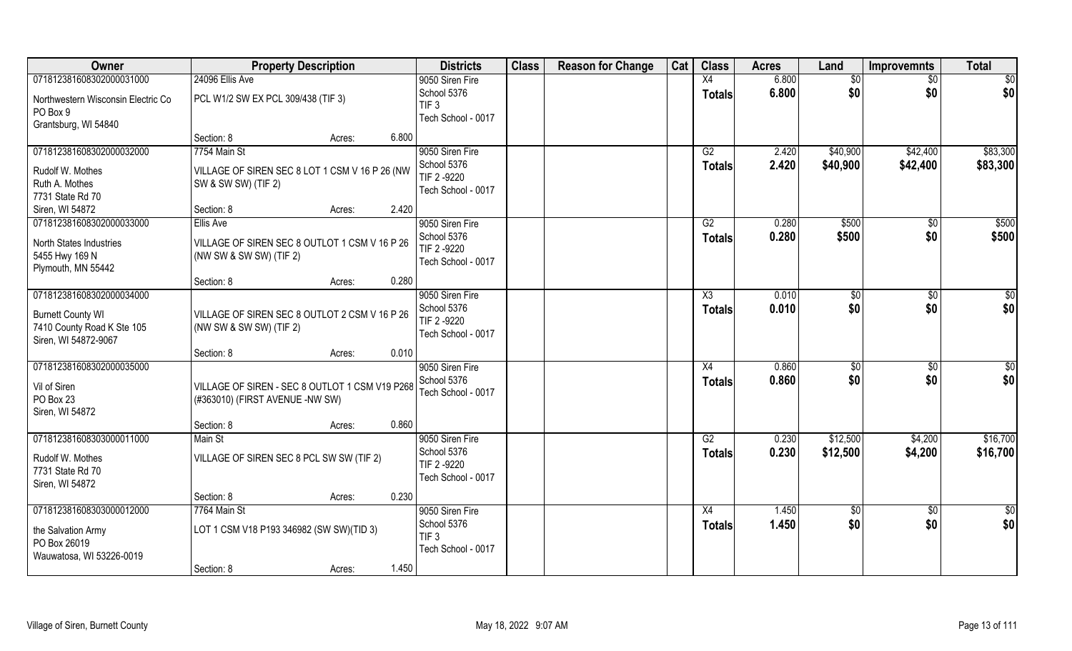| Owner                                                          | <b>Property Description</b>                                                       |        |       | <b>Districts</b>                                      | <b>Class</b> | <b>Reason for Change</b> | Cat | <b>Class</b>  | <b>Acres</b> | Land            | <b>Improvemnts</b> | <b>Total</b>  |
|----------------------------------------------------------------|-----------------------------------------------------------------------------------|--------|-------|-------------------------------------------------------|--------------|--------------------------|-----|---------------|--------------|-----------------|--------------------|---------------|
| 071812381608302000031000                                       | 24096 Ellis Ave                                                                   |        |       | 9050 Siren Fire                                       |              |                          |     | X4            | 6.800        | \$0             | \$0                | \$0           |
| Northwestern Wisconsin Electric Co<br>PO Box 9                 | PCL W1/2 SW EX PCL 309/438 (TIF 3)                                                |        |       | School 5376<br>TIF <sub>3</sub><br>Tech School - 0017 |              |                          |     | <b>Totals</b> | 6.800        | \$0             | \$0                | \$0           |
| Grantsburg, WI 54840                                           |                                                                                   |        |       |                                                       |              |                          |     |               |              |                 |                    |               |
|                                                                | Section: 8                                                                        | Acres: | 6.800 |                                                       |              |                          |     |               |              |                 |                    |               |
| 071812381608302000032000                                       | 7754 Main St                                                                      |        |       | 9050 Siren Fire                                       |              |                          |     | G2            | 2.420        | \$40,900        | \$42,400           | \$83,300      |
| Rudolf W. Mothes<br>Ruth A. Mothes                             | VILLAGE OF SIREN SEC 8 LOT 1 CSM V 16 P 26 (NW<br>SW & SW SW) (TIF 2)             |        |       | School 5376<br>TIF 2-9220                             |              |                          |     | <b>Totals</b> | 2.420        | \$40,900        | \$42,400           | \$83,300      |
| 7731 State Rd 70                                               |                                                                                   |        |       | Tech School - 0017                                    |              |                          |     |               |              |                 |                    |               |
| Siren, WI 54872                                                | Section: 8                                                                        | Acres: | 2.420 |                                                       |              |                          |     |               |              |                 |                    |               |
| 071812381608302000033000                                       | Ellis Ave                                                                         |        |       | 9050 Siren Fire                                       |              |                          |     | G2            | 0.280        | \$500           | $\sqrt[6]{}$       | \$500         |
| North States Industries                                        | VILLAGE OF SIREN SEC 8 OUTLOT 1 CSM V 16 P 26                                     |        |       | School 5376                                           |              |                          |     | <b>Totals</b> | 0.280        | \$500           | \$0                | \$500         |
| 5455 Hwy 169 N                                                 | (NW SW & SW SW) (TIF 2)                                                           |        |       | TIF 2 -9220                                           |              |                          |     |               |              |                 |                    |               |
| Plymouth, MN 55442                                             |                                                                                   |        |       | Tech School - 0017                                    |              |                          |     |               |              |                 |                    |               |
|                                                                | Section: 8                                                                        | Acres: | 0.280 |                                                       |              |                          |     |               |              |                 |                    |               |
| 071812381608302000034000                                       |                                                                                   |        |       | 9050 Siren Fire                                       |              |                          |     | X3            | 0.010        | \$0             | \$0                | \$0           |
| <b>Burnett County WI</b><br>7410 County Road K Ste 105         | VILLAGE OF SIREN SEC 8 OUTLOT 2 CSM V 16 P 26<br>(NW SW & SW SW) (TIF 2)          |        |       | School 5376<br>TIF 2-9220<br>Tech School - 0017       |              |                          |     | <b>Totals</b> | 0.010        | \$0             | \$0                | \$0           |
| Siren, WI 54872-9067                                           | Section: 8                                                                        | Acres: | 0.010 |                                                       |              |                          |     |               |              |                 |                    |               |
| 071812381608302000035000                                       |                                                                                   |        |       | 9050 Siren Fire                                       |              |                          |     | X4            | 0.860        | \$0             | \$0                | \$0           |
| Vil of Siren<br>PO Box 23<br>Siren, WI 54872                   | VILLAGE OF SIREN - SEC 8 OUTLOT 1 CSM V19 P268<br>(#363010) (FIRST AVENUE -NW SW) |        |       | School 5376<br>Tech School - 0017                     |              |                          |     | <b>Totals</b> | 0.860        | \$0             | \$0                | \$0           |
|                                                                | Section: 8                                                                        | Acres: | 0.860 |                                                       |              |                          |     |               |              |                 |                    |               |
| 071812381608303000011000                                       | Main St                                                                           |        |       | 9050 Siren Fire                                       |              |                          |     | G2            | 0.230        | \$12,500        | \$4,200            | \$16,700      |
| Rudolf W. Mothes<br>7731 State Rd 70<br>Siren, WI 54872        | VILLAGE OF SIREN SEC 8 PCL SW SW (TIF 2)                                          |        |       | School 5376<br>TIF 2-9220<br>Tech School - 0017       |              |                          |     | <b>Totals</b> | 0.230        | \$12,500        | \$4,200            | \$16,700      |
|                                                                | Section: 8                                                                        | Acres: | 0.230 |                                                       |              |                          |     |               |              |                 |                    |               |
| 071812381608303000012000                                       | 7764 Main St                                                                      |        |       | 9050 Siren Fire                                       |              |                          |     | X4            | 1.450        | $\overline{50}$ | $\overline{50}$    | $\frac{1}{2}$ |
| the Salvation Army<br>PO Box 26019<br>Wauwatosa, WI 53226-0019 | LOT 1 CSM V18 P193 346982 (SW SW)(TID 3)                                          |        |       | School 5376<br>TIF <sub>3</sub><br>Tech School - 0017 |              |                          |     | <b>Totals</b> | 1.450        | \$0             | \$0                | \$0           |
|                                                                | Section: 8                                                                        | Acres: | 1.450 |                                                       |              |                          |     |               |              |                 |                    |               |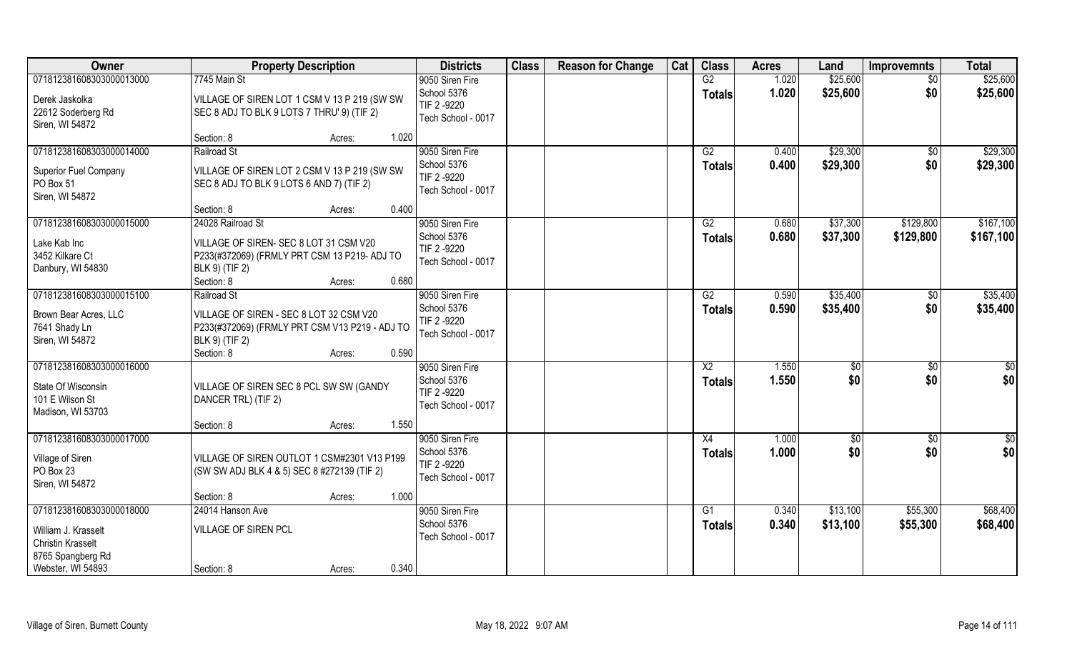| 071812381608303000013000<br>\$25,600<br>7745 Main St<br>9050 Siren Fire<br>G2<br>1.020<br>$\overline{50}$                                  |           |
|--------------------------------------------------------------------------------------------------------------------------------------------|-----------|
|                                                                                                                                            | \$25,600  |
| School 5376<br>1.020<br>\$25,600<br>\$0<br><b>Totals</b><br>Derek Jaskolka<br>VILLAGE OF SIREN LOT 1 CSM V 13 P 219 (SW SW                 | \$25,600  |
| TIF 2-9220<br>22612 Soderberg Rd<br>SEC 8 ADJ TO BLK 9 LOTS 7 THRU' 9) (TIF 2)                                                             |           |
| Tech School - 0017<br>Siren, WI 54872                                                                                                      |           |
| Section: 8<br>1.020<br>Acres:                                                                                                              |           |
| \$29,300<br>071812381608303000014000<br>Railroad St<br>9050 Siren Fire<br>G2<br>0.400<br>\$0                                               | \$29,300  |
| \$29,300<br>\$0<br>School 5376<br>0.400<br><b>Totals</b><br>Superior Fuel Company<br>VILLAGE OF SIREN LOT 2 CSM V 13 P 219 (SW SW          | \$29,300  |
| TIF 2 -9220<br>PO Box 51<br>SEC 8 ADJ TO BLK 9 LOTS 6 AND 7) (TIF 2)                                                                       |           |
| Tech School - 0017<br>Siren, WI 54872                                                                                                      |           |
| 0.400<br>Section: 8<br>Acres:                                                                                                              |           |
| 071812381608303000015000<br>9050 Siren Fire<br>\$37,300<br>24028 Railroad St<br>G2<br>0.680<br>\$129,800                                   | \$167,100 |
| School 5376<br>0.680<br>\$37,300<br>\$129,800<br><b>Totals</b><br>Lake Kab Inc<br>VILLAGE OF SIREN- SEC 8 LOT 31 CSM V20                   | \$167,100 |
| TIF 2 -9220<br>3452 Kilkare Ct<br>P233(#372069) (FRMLY PRT CSM 13 P219- ADJ TO                                                             |           |
| Tech School - 0017<br>BLK 9) (TIF 2)<br>Danbury, WI 54830                                                                                  |           |
| Section: 8<br>0.680<br>Acres:                                                                                                              |           |
| 071812381608303000015100<br>9050 Siren Fire<br>\$35,400<br>Railroad St<br>G2<br>0.590<br>\$0                                               | \$35,400  |
| School 5376<br>\$0<br>0.590<br>\$35,400<br><b>Totals</b><br>VILLAGE OF SIREN - SEC 8 LOT 32 CSM V20<br>Brown Bear Acres, LLC               | \$35,400  |
| TIF 2 -9220<br>7641 Shady Ln<br>P233(#372069) (FRMLY PRT CSM V13 P219 - ADJ TO                                                             |           |
| Tech School - 0017<br>Siren, WI 54872<br>BLK 9) (TIF 2)                                                                                    |           |
| Section: 8<br>0.590<br>Acres:                                                                                                              |           |
| 071812381608303000016000<br>1.550<br>9050 Siren Fire<br>X2<br>$\sqrt[6]{30}$<br>$\sqrt[6]{30}$                                             | \$0       |
| 1.550<br>\$0<br>\$0<br>School 5376<br><b>Totals</b><br>State Of Wisconsin<br>VILLAGE OF SIREN SEC 8 PCL SW SW (GANDY                       | \$0       |
| TIF 2 -9220<br>101 E Wilson St<br>DANCER TRL) (TIF 2)                                                                                      |           |
| Tech School - 0017<br>Madison, WI 53703                                                                                                    |           |
| 1.550<br>Section: 8<br>Acres:                                                                                                              |           |
| 071812381608303000017000<br>9050 Siren Fire<br>X4<br>1.000<br>\$0<br>\$0                                                                   | \$0       |
| \$0<br>\$0<br>School 5376<br>1.000<br><b>Totals</b>                                                                                        | \$0       |
| Village of Siren<br>VILLAGE OF SIREN OUTLOT 1 CSM#2301 V13 P199<br>TIF 2 -9220<br>PO Box 23<br>(SW SW ADJ BLK 4 & 5) SEC 8 #272139 (TIF 2) |           |
| Tech School - 0017<br>Siren, WI 54872                                                                                                      |           |
| 1.000<br>Section: 8<br>Acres:                                                                                                              |           |
| \$13,100<br>071812381608303000018000<br>24014 Hanson Ave<br>9050 Siren Fire<br>$\overline{G1}$<br>0.340<br>\$55,300                        | \$68,400  |
| School 5376<br>0.340<br>\$13,100<br>\$55,300<br><b>Totals</b>                                                                              | \$68,400  |
| William J. Krasselt<br>VILLAGE OF SIREN PCL<br>Tech School - 0017                                                                          |           |
| <b>Christin Krasselt</b><br>8765 Spangberg Rd                                                                                              |           |
| 0.340<br>Webster, WI 54893<br>Section: 8<br>Acres:                                                                                         |           |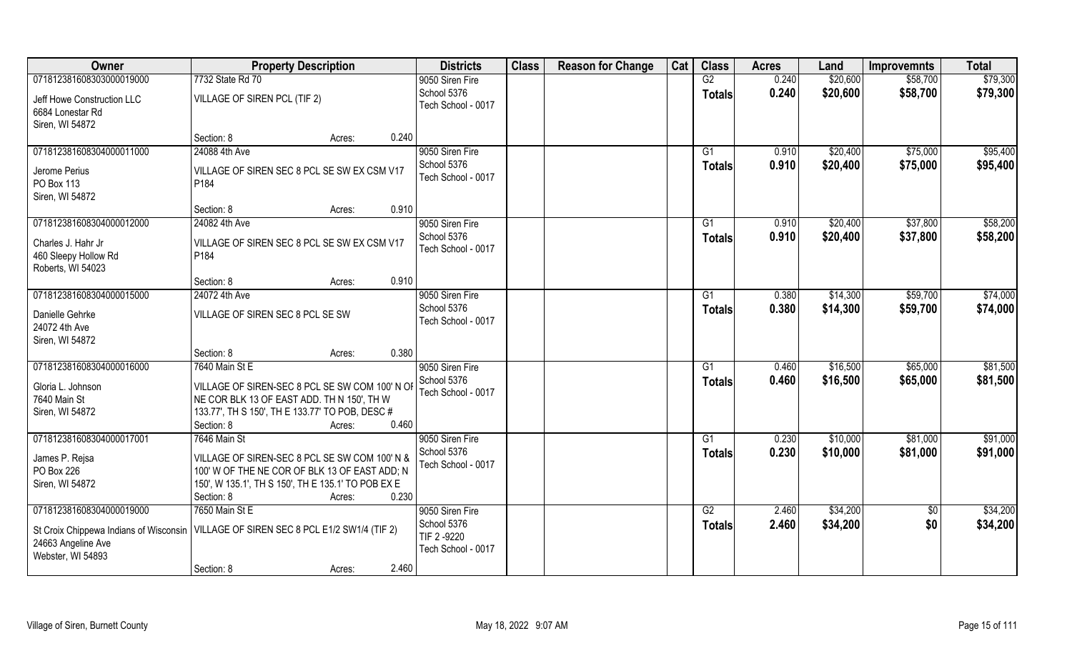| Owner                                                             | <b>Property Description</b>                                                                                                                                                  | <b>Districts</b>                                | <b>Class</b> | <b>Reason for Change</b> | Cat | <b>Class</b>        | <b>Acres</b>   | Land                 | <b>Improvemnts</b>   | <b>Total</b>         |
|-------------------------------------------------------------------|------------------------------------------------------------------------------------------------------------------------------------------------------------------------------|-------------------------------------------------|--------------|--------------------------|-----|---------------------|----------------|----------------------|----------------------|----------------------|
| 071812381608303000019000                                          | 7732 State Rd 70                                                                                                                                                             | 9050 Siren Fire                                 |              |                          |     | $\overline{G2}$     | 0.240          | \$20,600             | \$58,700             | \$79,300             |
| Jeff Howe Construction LLC<br>6684 Lonestar Rd<br>Siren, WI 54872 | VILLAGE OF SIREN PCL (TIF 2)                                                                                                                                                 | School 5376<br>Tech School - 0017               |              |                          |     | <b>Totals</b>       | 0.240          | \$20,600             | \$58,700             | \$79,300             |
|                                                                   | Section: 8<br>Acres:                                                                                                                                                         | 0.240                                           |              |                          |     |                     |                |                      |                      |                      |
| 071812381608304000011000                                          | 24088 4th Ave                                                                                                                                                                | 9050 Siren Fire<br>School 5376                  |              |                          |     | G1<br><b>Totals</b> | 0.910<br>0.910 | \$20,400<br>\$20,400 | \$75,000<br>\$75,000 | \$95,400<br>\$95,400 |
| Jerome Perius<br>PO Box 113<br>Siren, WI 54872                    | VILLAGE OF SIREN SEC 8 PCL SE SW EX CSM V17<br>P184                                                                                                                          | Tech School - 0017                              |              |                          |     |                     |                |                      |                      |                      |
|                                                                   | Section: 8<br>Acres:                                                                                                                                                         | 0.910                                           |              |                          |     |                     |                |                      |                      |                      |
| 071812381608304000012000                                          | 24082 4th Ave                                                                                                                                                                | 9050 Siren Fire                                 |              |                          |     | G1                  | 0.910          | \$20,400             | \$37,800             | \$58,200             |
| Charles J. Hahr Jr<br>460 Sleepy Hollow Rd<br>Roberts, WI 54023   | VILLAGE OF SIREN SEC 8 PCL SE SW EX CSM V17<br>P <sub>184</sub>                                                                                                              | School 5376<br>Tech School - 0017               |              |                          |     | <b>Totals</b>       | 0.910          | \$20,400             | \$37,800             | \$58,200             |
|                                                                   | Section: 8<br>Acres:                                                                                                                                                         | 0.910                                           |              |                          |     |                     |                |                      |                      |                      |
| 071812381608304000015000                                          | 24072 4th Ave                                                                                                                                                                | 9050 Siren Fire                                 |              |                          |     | G1                  | 0.380          | \$14,300             | \$59,700             | \$74,000             |
| Danielle Gehrke<br>24072 4th Ave<br>Siren, WI 54872               | VILLAGE OF SIREN SEC 8 PCL SE SW                                                                                                                                             | School 5376<br>Tech School - 0017               |              |                          |     | <b>Totals</b>       | 0.380          | \$14,300             | \$59,700             | \$74,000             |
|                                                                   | Section: 8<br>Acres:                                                                                                                                                         | 0.380                                           |              |                          |     |                     |                |                      |                      |                      |
| 071812381608304000016000                                          | 7640 Main St E                                                                                                                                                               | 9050 Siren Fire                                 |              |                          |     | G1                  | 0.460          | \$16,500             | \$65,000             | \$81,500             |
| Gloria L. Johnson<br>7640 Main St<br>Siren, WI 54872              | VILLAGE OF SIREN-SEC 8 PCL SE SW COM 100' N OF<br>NE COR BLK 13 OF EAST ADD. TH N 150', TH W<br>133.77', TH S 150', TH E 133.77' TO POB, DESC #<br>Section: 8<br>Acres:      | School 5376<br>Tech School - 0017<br>0.460      |              |                          |     | <b>Totals</b>       | 0.460          | \$16,500             | \$65,000             | \$81,500             |
| 071812381608304000017001                                          | 7646 Main St                                                                                                                                                                 | 9050 Siren Fire                                 |              |                          |     | G1                  | 0.230          | \$10,000             | \$81,000             | \$91,000             |
| James P. Rejsa<br>PO Box 226<br>Siren, WI 54872                   | VILLAGE OF SIREN-SEC 8 PCL SE SW COM 100' N &<br>100' W OF THE NE COR OF BLK 13 OF EAST ADD; N<br>150', W 135.1', TH S 150', TH E 135.1' TO POB EX E<br>Section: 8<br>Acres: | School 5376<br>Tech School - 0017<br>0.230      |              |                          |     | <b>Totals</b>       | 0.230          | \$10,000             | \$81,000             | \$91,000             |
| 071812381608304000019000                                          | 7650 Main St E                                                                                                                                                               | 9050 Siren Fire                                 |              |                          |     | G2                  | 2.460          | \$34,200             | $\sqrt{6}$           | \$34,200             |
| 24663 Angeline Ave<br>Webster, WI 54893                           | St Croix Chippewa Indians of Wisconsin   VILLAGE OF SIREN SEC 8 PCL E1/2 SW1/4 (TIF 2)                                                                                       | School 5376<br>TIF 2-9220<br>Tech School - 0017 |              |                          |     | <b>Totals</b>       | 2.460          | \$34,200             | \$0                  | \$34,200             |
|                                                                   | Section: 8<br>Acres:                                                                                                                                                         | 2.460                                           |              |                          |     |                     |                |                      |                      |                      |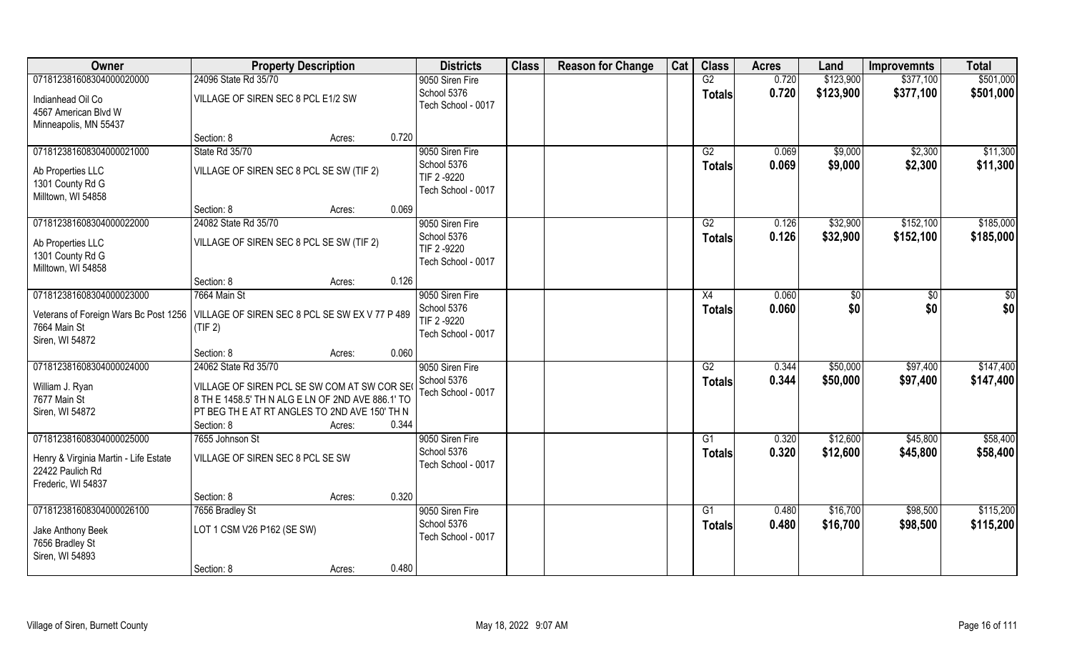| Owner                                                                                                  | <b>Property Description</b>                                                                      |        |       | <b>Districts</b>   | <b>Class</b> | <b>Reason for Change</b> | Cat | <b>Class</b>    | <b>Acres</b> | Land      | <b>Improvemnts</b> | <b>Total</b>  |
|--------------------------------------------------------------------------------------------------------|--------------------------------------------------------------------------------------------------|--------|-------|--------------------|--------------|--------------------------|-----|-----------------|--------------|-----------|--------------------|---------------|
| 071812381608304000020000                                                                               | 24096 State Rd 35/70                                                                             |        |       | 9050 Siren Fire    |              |                          |     | G2              | 0.720        | \$123,900 | \$377,100          | \$501,000     |
| Indianhead Oil Co                                                                                      | VILLAGE OF SIREN SEC 8 PCL E1/2 SW                                                               |        |       | School 5376        |              |                          |     | <b>Totals</b>   | 0.720        | \$123,900 | \$377,100          | \$501,000     |
| 4567 American Blvd W                                                                                   |                                                                                                  |        |       | Tech School - 0017 |              |                          |     |                 |              |           |                    |               |
| Minneapolis, MN 55437                                                                                  |                                                                                                  |        |       |                    |              |                          |     |                 |              |           |                    |               |
|                                                                                                        | Section: 8                                                                                       | Acres: | 0.720 |                    |              |                          |     |                 |              |           |                    |               |
| 071812381608304000021000                                                                               | State Rd 35/70                                                                                   |        |       | 9050 Siren Fire    |              |                          |     | G2              | 0.069        | \$9,000   | \$2,300            | \$11,300      |
| Ab Properties LLC                                                                                      | VILLAGE OF SIREN SEC 8 PCL SE SW (TIF 2)                                                         |        |       | School 5376        |              |                          |     | <b>Totals</b>   | 0.069        | \$9,000   | \$2,300            | \$11,300      |
| 1301 County Rd G                                                                                       |                                                                                                  |        |       | TIF 2 -9220        |              |                          |     |                 |              |           |                    |               |
| Milltown, WI 54858                                                                                     |                                                                                                  |        |       | Tech School - 0017 |              |                          |     |                 |              |           |                    |               |
|                                                                                                        | Section: 8                                                                                       | Acres: | 0.069 |                    |              |                          |     |                 |              |           |                    |               |
| 071812381608304000022000                                                                               | 24082 State Rd 35/70                                                                             |        |       | 9050 Siren Fire    |              |                          |     | G2              | 0.126        | \$32,900  | \$152,100          | \$185,000     |
| Ab Properties LLC                                                                                      | VILLAGE OF SIREN SEC 8 PCL SE SW (TIF 2)                                                         |        |       | School 5376        |              |                          |     | <b>Totals</b>   | 0.126        | \$32,900  | \$152,100          | \$185,000     |
| 1301 County Rd G                                                                                       |                                                                                                  |        |       | TIF 2 -9220        |              |                          |     |                 |              |           |                    |               |
| Milltown, WI 54858                                                                                     |                                                                                                  |        |       | Tech School - 0017 |              |                          |     |                 |              |           |                    |               |
|                                                                                                        | Section: 8                                                                                       | Acres: | 0.126 |                    |              |                          |     |                 |              |           |                    |               |
| 071812381608304000023000                                                                               | 7664 Main St                                                                                     |        |       | 9050 Siren Fire    |              |                          |     | X4              | 0.060        | \$0       | $\sqrt{50}$        | $\frac{6}{3}$ |
|                                                                                                        |                                                                                                  |        |       | School 5376        |              |                          |     | <b>Totals</b>   | 0.060        | \$0       | \$0                | \$0           |
| Veterans of Foreign Wars Bc Post 1256   VILLAGE OF SIREN SEC 8 PCL SE SW EX V 77 P 489<br>7664 Main St | (TIF 2)                                                                                          |        |       | TIF 2 -9220        |              |                          |     |                 |              |           |                    |               |
| Siren, WI 54872                                                                                        |                                                                                                  |        |       | Tech School - 0017 |              |                          |     |                 |              |           |                    |               |
|                                                                                                        | Section: 8                                                                                       | Acres: | 0.060 |                    |              |                          |     |                 |              |           |                    |               |
| 071812381608304000024000                                                                               | 24062 State Rd 35/70                                                                             |        |       | 9050 Siren Fire    |              |                          |     | $\overline{G2}$ | 0.344        | \$50,000  | \$97,400           | \$147,400     |
|                                                                                                        |                                                                                                  |        |       | School 5376        |              |                          |     | <b>Totals</b>   | 0.344        | \$50,000  | \$97,400           | \$147,400     |
| William J. Ryan<br>7677 Main St                                                                        | VILLAGE OF SIREN PCL SE SW COM AT SW COR SE<br>8 TH E 1458.5' TH N ALG E LN OF 2ND AVE 886.1' TO |        |       | Tech School - 0017 |              |                          |     |                 |              |           |                    |               |
| Siren, WI 54872                                                                                        | PT BEG TH E AT RT ANGLES TO 2ND AVE 150' TH N                                                    |        |       |                    |              |                          |     |                 |              |           |                    |               |
|                                                                                                        | Section: 8                                                                                       | Acres: | 0.344 |                    |              |                          |     |                 |              |           |                    |               |
| 071812381608304000025000                                                                               | 7655 Johnson St                                                                                  |        |       | 9050 Siren Fire    |              |                          |     | G1              | 0.320        | \$12,600  | \$45,800           | \$58,400      |
|                                                                                                        |                                                                                                  |        |       | School 5376        |              |                          |     | <b>Totals</b>   | 0.320        | \$12,600  | \$45,800           | \$58,400      |
| Henry & Virginia Martin - Life Estate                                                                  | VILLAGE OF SIREN SEC 8 PCL SE SW                                                                 |        |       | Tech School - 0017 |              |                          |     |                 |              |           |                    |               |
| 22422 Paulich Rd<br>Frederic, WI 54837                                                                 |                                                                                                  |        |       |                    |              |                          |     |                 |              |           |                    |               |
|                                                                                                        | Section: 8                                                                                       | Acres: | 0.320 |                    |              |                          |     |                 |              |           |                    |               |
| 071812381608304000026100                                                                               | 7656 Bradley St                                                                                  |        |       | 9050 Siren Fire    |              |                          |     | $\overline{G1}$ | 0.480        | \$16,700  | \$98,500           | \$115,200     |
|                                                                                                        |                                                                                                  |        |       | School 5376        |              |                          |     | <b>Totals</b>   | 0.480        | \$16,700  | \$98,500           | \$115,200     |
| Jake Anthony Beek                                                                                      | LOT 1 CSM V26 P162 (SE SW)                                                                       |        |       | Tech School - 0017 |              |                          |     |                 |              |           |                    |               |
| 7656 Bradley St                                                                                        |                                                                                                  |        |       |                    |              |                          |     |                 |              |           |                    |               |
| Siren, WI 54893                                                                                        | Section: 8                                                                                       | Acres: | 0.480 |                    |              |                          |     |                 |              |           |                    |               |
|                                                                                                        |                                                                                                  |        |       |                    |              |                          |     |                 |              |           |                    |               |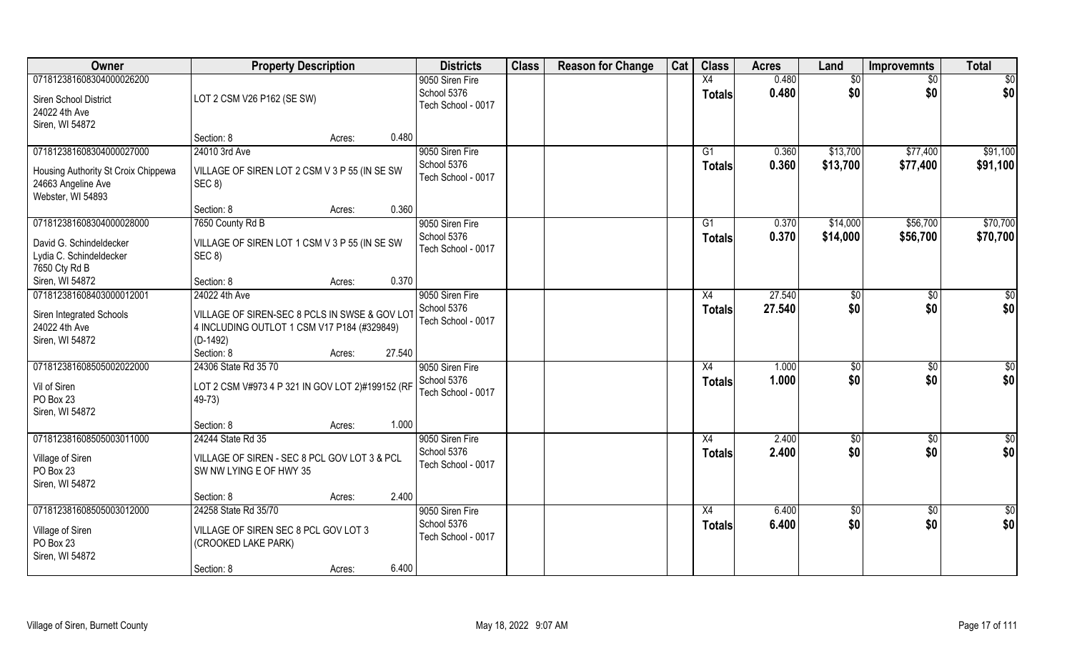| Owner                                                                          | <b>Property Description</b>                                                                                |        | <b>Districts</b>                  | <b>Class</b> | <b>Reason for Change</b> | Cat | <b>Class</b>        | <b>Acres</b>   | Land                 | <b>Improvemnts</b>   | <b>Total</b>         |
|--------------------------------------------------------------------------------|------------------------------------------------------------------------------------------------------------|--------|-----------------------------------|--------------|--------------------------|-----|---------------------|----------------|----------------------|----------------------|----------------------|
| 071812381608304000026200                                                       |                                                                                                            |        | 9050 Siren Fire                   |              |                          |     | X4                  | 0.480          | \$0                  | \$0                  | \$0                  |
| Siren School District<br>24022 4th Ave<br>Siren, WI 54872                      | LOT 2 CSM V26 P162 (SE SW)                                                                                 |        | School 5376<br>Tech School - 0017 |              |                          |     | <b>Totals</b>       | 0.480          | \$0                  | \$0                  | \$0                  |
|                                                                                | Section: 8                                                                                                 | Acres: | 0.480                             |              |                          |     |                     |                |                      |                      |                      |
| 071812381608304000027000                                                       | 24010 3rd Ave                                                                                              |        | 9050 Siren Fire<br>School 5376    |              |                          |     | G1<br><b>Totals</b> | 0.360<br>0.360 | \$13,700<br>\$13,700 | \$77,400<br>\$77,400 | \$91,100<br>\$91,100 |
| Housing Authority St Croix Chippewa<br>24663 Angeline Ave<br>Webster, WI 54893 | VILLAGE OF SIREN LOT 2 CSM V 3 P 55 (IN SE SW<br>SEC 8)                                                    |        | Tech School - 0017                |              |                          |     |                     |                |                      |                      |                      |
|                                                                                | Section: 8                                                                                                 | Acres: | 0.360                             |              |                          |     |                     |                |                      |                      |                      |
| 071812381608304000028000                                                       | 7650 County Rd B                                                                                           |        | 9050 Siren Fire                   |              |                          |     | G1                  | 0.370          | \$14,000             | \$56,700             | \$70,700             |
| David G. Schindeldecker<br>Lydia C. Schindeldecker<br>7650 Cty Rd B            | VILLAGE OF SIREN LOT 1 CSM V 3 P 55 (IN SE SW<br>SEC 8)                                                    |        | School 5376<br>Tech School - 0017 |              |                          |     | <b>Totals</b>       | 0.370          | \$14,000             | \$56,700             | \$70,700             |
| Siren, WI 54872                                                                | Section: 8                                                                                                 | Acres: | 0.370                             |              |                          |     |                     |                |                      |                      |                      |
| 071812381608403000012001                                                       | 24022 4th Ave                                                                                              |        | 9050 Siren Fire                   |              |                          |     | X4                  | 27.540         | \$0                  | $\sqrt{50}$          | \$0                  |
| Siren Integrated Schools<br>24022 4th Ave<br>Siren, WI 54872                   | VILLAGE OF SIREN-SEC 8 PCLS IN SWSE & GOV LOT<br>4 INCLUDING OUTLOT 1 CSM V17 P184 (#329849)<br>$(D-1492)$ |        | School 5376<br>Tech School - 0017 |              |                          |     | <b>Totals</b>       | 27.540         | \$0                  | \$0                  | \$0                  |
|                                                                                | Section: 8                                                                                                 | Acres: | 27.540                            |              |                          |     |                     |                |                      |                      |                      |
| 071812381608505002022000                                                       | 24306 State Rd 35 70                                                                                       |        | 9050 Siren Fire                   |              |                          |     | X4                  | 1.000          | \$0                  | \$0                  | \$0                  |
| Vil of Siren<br>PO Box 23<br>Siren, WI 54872                                   | LOT 2 CSM V#973 4 P 321 IN GOV LOT 2)#199152 (RF<br>$49-73$                                                |        | School 5376<br>Tech School - 0017 |              |                          |     | <b>Totals</b>       | 1.000          | \$0                  | \$0                  | \$0                  |
|                                                                                | Section: 8                                                                                                 | Acres: | 1.000                             |              |                          |     |                     |                |                      |                      |                      |
| 071812381608505003011000                                                       | 24244 State Rd 35                                                                                          |        | 9050 Siren Fire                   |              |                          |     | X4                  | 2.400          | \$0                  | $\sqrt{6}$           | $\overline{50}$      |
| Village of Siren<br>PO Box 23<br>Siren, WI 54872                               | VILLAGE OF SIREN - SEC 8 PCL GOV LOT 3 & PCL<br>SW NW LYING E OF HWY 35                                    |        | School 5376<br>Tech School - 0017 |              |                          |     | <b>Totals</b>       | 2.400          | \$0                  | \$0                  | \$0                  |
|                                                                                | Section: 8                                                                                                 | Acres: | 2.400                             |              |                          |     |                     |                |                      |                      |                      |
| 071812381608505003012000                                                       | 24258 State Rd 35/70                                                                                       |        | 9050 Siren Fire                   |              |                          |     | X4                  | 6.400          | $\overline{50}$      | $\overline{60}$      | \$0                  |
| Village of Siren<br>PO Box 23<br>Siren, WI 54872                               | VILLAGE OF SIREN SEC 8 PCL GOV LOT 3<br>(CROOKED LAKE PARK)                                                |        | School 5376<br>Tech School - 0017 |              |                          |     | <b>Totals</b>       | 6.400          | \$0                  | \$0                  | \$0                  |
|                                                                                | Section: 8                                                                                                 | Acres: | 6.400                             |              |                          |     |                     |                |                      |                      |                      |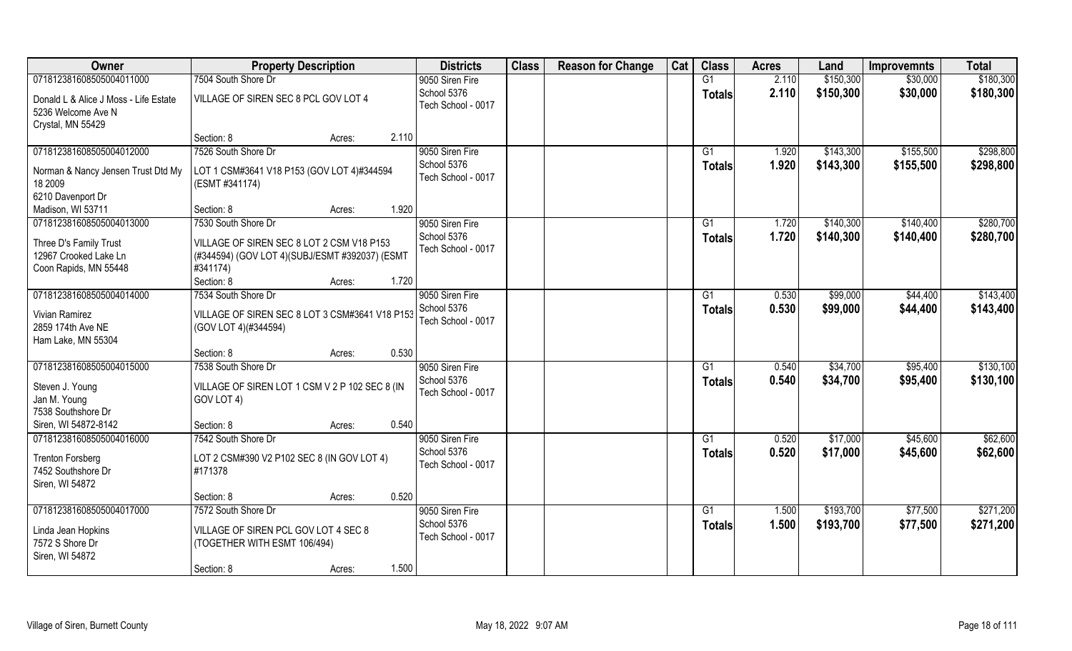| Owner                                                                            | <b>Property Description</b>                                                                 | <b>Districts</b>                                     | <b>Class</b> | <b>Reason for Change</b> | Cat | <b>Class</b>        | <b>Acres</b>   | Land                   | <b>Improvemnts</b>     | <b>Total</b>           |
|----------------------------------------------------------------------------------|---------------------------------------------------------------------------------------------|------------------------------------------------------|--------------|--------------------------|-----|---------------------|----------------|------------------------|------------------------|------------------------|
| 071812381608505004011000                                                         | 7504 South Shore Dr                                                                         | 9050 Siren Fire                                      |              |                          |     | G1                  | 2.110          | \$150,300              | \$30,000               | \$180,300              |
| Donald L & Alice J Moss - Life Estate<br>5236 Welcome Ave N<br>Crystal, MN 55429 | VILLAGE OF SIREN SEC 8 PCL GOV LOT 4                                                        | School 5376<br>Tech School - 0017                    |              |                          |     | <b>Totals</b>       | 2.110          | \$150,300              | \$30,000               | \$180,300              |
|                                                                                  | 2.110<br>Section: 8<br>Acres:                                                               |                                                      |              |                          |     |                     |                |                        |                        |                        |
| 071812381608505004012000<br>Norman & Nancy Jensen Trust Dtd My                   | 7526 South Shore Dr<br>LOT 1 CSM#3641 V18 P153 (GOV LOT 4)#344594                           | 9050 Siren Fire<br>School 5376<br>Tech School - 0017 |              |                          |     | G1<br><b>Totals</b> | 1.920<br>1.920 | \$143,300<br>\$143,300 | \$155,500<br>\$155,500 | \$298,800<br>\$298,800 |
| 18 2009<br>6210 Davenport Dr                                                     | (ESMT #341174)                                                                              |                                                      |              |                          |     |                     |                |                        |                        |                        |
| Madison, WI 53711                                                                | 1.920<br>Section: 8<br>Acres:                                                               |                                                      |              |                          |     |                     |                |                        |                        |                        |
| 071812381608505004013000                                                         | 7530 South Shore Dr                                                                         | 9050 Siren Fire                                      |              |                          |     | G1                  | 1.720          | \$140,300              | \$140,400              | \$280,700              |
| Three D's Family Trust<br>12967 Crooked Lake Ln                                  | VILLAGE OF SIREN SEC 8 LOT 2 CSM V18 P153<br>(#344594) (GOV LOT 4)(SUBJ/ESMT #392037) (ESMT | School 5376<br>Tech School - 0017                    |              |                          |     | <b>Totals</b>       | 1.720          | \$140,300              | \$140,400              | \$280,700              |
| Coon Rapids, MN 55448                                                            | #341174)                                                                                    |                                                      |              |                          |     |                     |                |                        |                        |                        |
|                                                                                  | Section: 8<br>1.720<br>Acres:                                                               |                                                      |              |                          |     |                     |                |                        |                        |                        |
| 071812381608505004014000                                                         | 7534 South Shore Dr                                                                         | 9050 Siren Fire                                      |              |                          |     | G1                  | 0.530          | \$99,000               | \$44,400               | \$143,400              |
| <b>Vivian Ramirez</b><br>2859 174th Ave NE<br>Ham Lake, MN 55304                 | VILLAGE OF SIREN SEC 8 LOT 3 CSM#3641 V18 P153<br>(GOV LOT 4)(#344594)                      | School 5376<br>Tech School - 0017                    |              |                          |     | <b>Totals</b>       | 0.530          | \$99,000               | \$44,400               | \$143,400              |
|                                                                                  | 0.530<br>Section: 8<br>Acres:                                                               |                                                      |              |                          |     |                     |                |                        |                        |                        |
| 071812381608505004015000                                                         | 7538 South Shore Dr                                                                         | 9050 Siren Fire<br>School 5376                       |              |                          |     | G1<br><b>Totals</b> | 0.540<br>0.540 | \$34,700<br>\$34,700   | \$95,400<br>\$95,400   | \$130,100<br>\$130,100 |
| Steven J. Young<br>Jan M. Young<br>7538 Southshore Dr                            | VILLAGE OF SIREN LOT 1 CSM V 2 P 102 SEC 8 (IN<br>GOV LOT 4)                                | Tech School - 0017                                   |              |                          |     |                     |                |                        |                        |                        |
| Siren, WI 54872-8142                                                             | 0.540<br>Section: 8<br>Acres:                                                               |                                                      |              |                          |     |                     |                |                        |                        |                        |
| 071812381608505004016000                                                         | 7542 South Shore Dr                                                                         | 9050 Siren Fire                                      |              |                          |     | G1                  | 0.520          | \$17,000               | \$45,600               | \$62,600               |
| <b>Trenton Forsberg</b><br>7452 Southshore Dr<br>Siren, WI 54872                 | LOT 2 CSM#390 V2 P102 SEC 8 (IN GOV LOT 4)<br>#171378                                       | School 5376<br>Tech School - 0017                    |              |                          |     | <b>Totals</b>       | 0.520          | \$17,000               | \$45,600               | \$62,600               |
|                                                                                  | 0.520<br>Section: 8<br>Acres:                                                               |                                                      |              |                          |     |                     |                |                        |                        |                        |
| 071812381608505004017000                                                         | 7572 South Shore Dr                                                                         | 9050 Siren Fire                                      |              |                          |     | G1                  | 1.500          | \$193,700              | \$77,500               | \$271,200              |
| Linda Jean Hopkins<br>7572 S Shore Dr<br>Siren, WI 54872                         | VILLAGE OF SIREN PCL GOV LOT 4 SEC 8<br>(TOGETHER WITH ESMT 106/494)                        | School 5376<br>Tech School - 0017                    |              |                          |     | <b>Totals</b>       | 1.500          | \$193,700              | \$77,500               | \$271,200              |
|                                                                                  | 1.500<br>Section: 8<br>Acres:                                                               |                                                      |              |                          |     |                     |                |                        |                        |                        |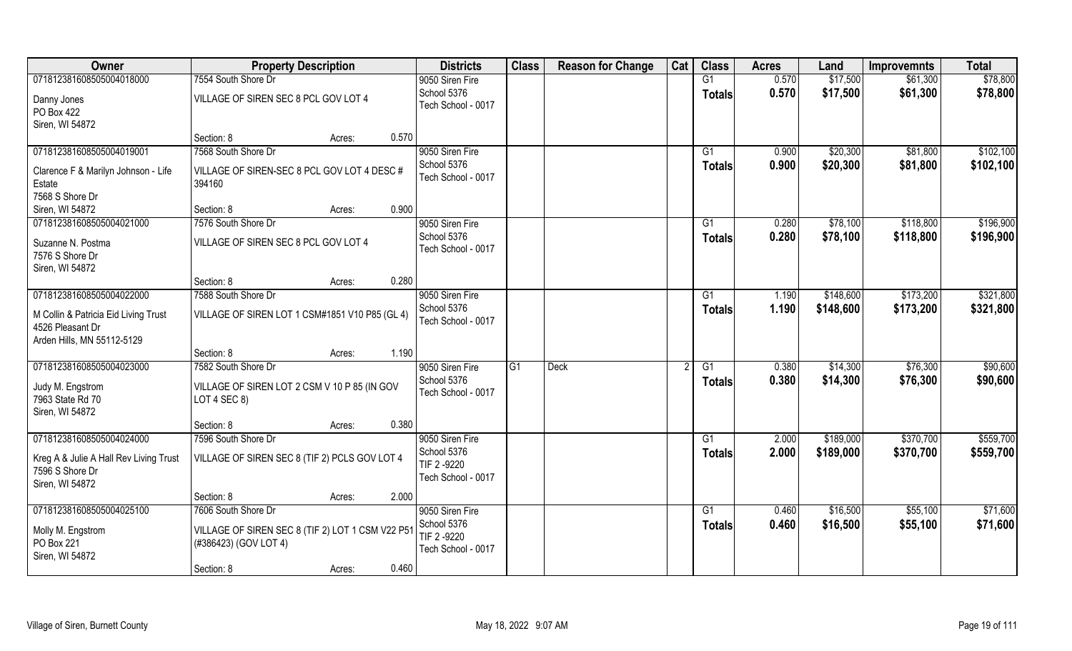| Owner                                                                        | <b>Property Description</b>                                               |                 | <b>Districts</b>                                 | <b>Class</b> | <b>Reason for Change</b> | Cat | <b>Class</b>        | <b>Acres</b>   | Land                 | <b>Improvemnts</b>   | <b>Total</b>           |
|------------------------------------------------------------------------------|---------------------------------------------------------------------------|-----------------|--------------------------------------------------|--------------|--------------------------|-----|---------------------|----------------|----------------------|----------------------|------------------------|
| 071812381608505004018000                                                     | 7554 South Shore Dr                                                       |                 | 9050 Siren Fire                                  |              |                          |     | G1                  | 0.570          | \$17,500             | \$61,300             | \$78,800               |
| Danny Jones<br>PO Box 422<br>Siren, WI 54872                                 | VILLAGE OF SIREN SEC 8 PCL GOV LOT 4                                      |                 | School 5376<br>Tech School - 0017                |              |                          |     | <b>Totals</b>       | 0.570          | \$17,500             | \$61,300             | \$78,800               |
|                                                                              | Section: 8                                                                | 0.570<br>Acres: |                                                  |              |                          |     |                     |                |                      |                      |                        |
| 071812381608505004019001                                                     | 7568 South Shore Dr                                                       |                 | 9050 Siren Fire<br>School 5376                   |              |                          |     | G1<br><b>Totals</b> | 0.900<br>0.900 | \$20,300<br>\$20,300 | \$81,800<br>\$81,800 | \$102,100<br>\$102,100 |
| Clarence F & Marilyn Johnson - Life<br>Estate                                | VILLAGE OF SIREN-SEC 8 PCL GOV LOT 4 DESC #<br>394160                     |                 | Tech School - 0017                               |              |                          |     |                     |                |                      |                      |                        |
| 7568 S Shore Dr<br>Siren, WI 54872                                           | Section: 8                                                                | 0.900<br>Acres: |                                                  |              |                          |     |                     |                |                      |                      |                        |
| 071812381608505004021000                                                     | 7576 South Shore Dr                                                       |                 | 9050 Siren Fire                                  |              |                          |     | G1                  | 0.280          | \$78,100             | \$118,800            | \$196,900              |
| Suzanne N. Postma<br>7576 S Shore Dr<br>Siren, WI 54872                      | VILLAGE OF SIREN SEC 8 PCL GOV LOT 4                                      |                 | School 5376<br>Tech School - 0017                |              |                          |     | <b>Totals</b>       | 0.280          | \$78,100             | \$118,800            | \$196,900              |
|                                                                              | Section: 8                                                                | 0.280<br>Acres: |                                                  |              |                          |     |                     |                |                      |                      |                        |
| 071812381608505004022000                                                     | 7588 South Shore Dr                                                       |                 | 9050 Siren Fire                                  |              |                          |     | G1                  | 1.190          | \$148,600            | \$173,200            | \$321,800              |
| M Collin & Patricia Eid Living Trust<br>4526 Pleasant Dr                     | VILLAGE OF SIREN LOT 1 CSM#1851 V10 P85 (GL 4)                            |                 | School 5376<br>Tech School - 0017                |              |                          |     | <b>Totals</b>       | 1.190          | \$148,600            | \$173,200            | \$321,800              |
| Arden Hills, MN 55112-5129                                                   | Section: 8                                                                | 1.190<br>Acres: |                                                  |              |                          |     |                     |                |                      |                      |                        |
| 071812381608505004023000                                                     | 7582 South Shore Dr                                                       |                 | 9050 Siren Fire                                  | G1           | <b>Deck</b>              |     | G1                  | 0.380          | \$14,300             | \$76,300             | \$90,600               |
| Judy M. Engstrom<br>7963 State Rd 70<br>Siren, WI 54872                      | VILLAGE OF SIREN LOT 2 CSM V 10 P 85 (IN GOV<br>LOT 4 SEC 8)              |                 | School 5376<br>Tech School - 0017                |              |                          |     | <b>Totals</b>       | 0.380          | \$14,300             | \$76,300             | \$90,600               |
|                                                                              | Section: 8                                                                | 0.380<br>Acres: |                                                  |              |                          |     |                     |                |                      |                      |                        |
| 071812381608505004024000                                                     | 7596 South Shore Dr                                                       |                 | 9050 Siren Fire                                  |              |                          |     | $\overline{G1}$     | 2.000          | \$189,000            | \$370,700            | \$559,700              |
| Kreg A & Julie A Hall Rev Living Trust<br>7596 S Shore Dr<br>Siren, WI 54872 | VILLAGE OF SIREN SEC 8 (TIF 2) PCLS GOV LOT 4                             |                 | School 5376<br>TIF 2 -9220<br>Tech School - 0017 |              |                          |     | <b>Totals</b>       | 2.000          | \$189,000            | \$370,700            | \$559,700              |
|                                                                              | Section: 8                                                                | 2.000<br>Acres: |                                                  |              |                          |     |                     |                |                      |                      |                        |
| 071812381608505004025100                                                     | 7606 South Shore Dr                                                       |                 | 9050 Siren Fire                                  |              |                          |     | G1                  | 0.460          | \$16,500             | \$55,100             | \$71,600               |
| Molly M. Engstrom<br>PO Box 221<br>Siren, WI 54872                           | VILLAGE OF SIREN SEC 8 (TIF 2) LOT 1 CSM V22 P51<br>(#386423) (GOV LOT 4) |                 | School 5376<br>TIF 2-9220<br>Tech School - 0017  |              |                          |     | <b>Totals</b>       | 0.460          | \$16,500             | \$55,100             | \$71,600               |
|                                                                              | Section: 8                                                                | 0.460<br>Acres: |                                                  |              |                          |     |                     |                |                      |                      |                        |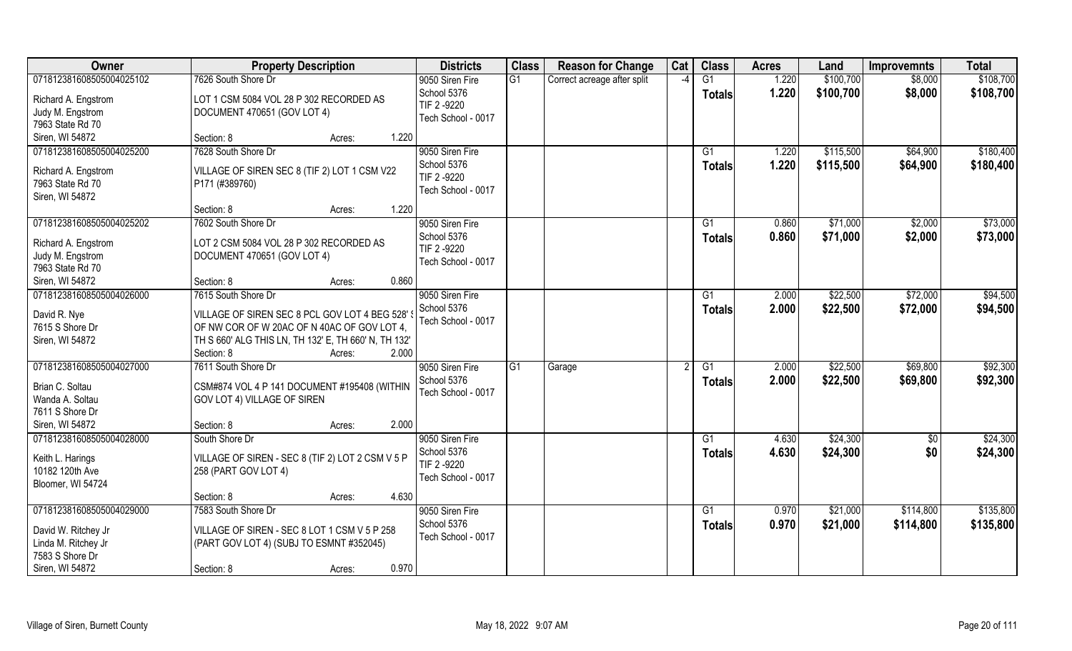| Owner                    | <b>Property Description</b>                                                                  | <b>Districts</b>                  | <b>Class</b> | <b>Reason for Change</b>    | Cat           | <b>Class</b>  | <b>Acres</b> | Land      | <b>Improvemnts</b> | <b>Total</b> |
|--------------------------|----------------------------------------------------------------------------------------------|-----------------------------------|--------------|-----------------------------|---------------|---------------|--------------|-----------|--------------------|--------------|
| 071812381608505004025102 | 7626 South Shore Dr                                                                          | 9050 Siren Fire                   | G1           | Correct acreage after split | $\mathcal{L}$ | G1            | 1.220        | \$100,700 | \$8,000            | \$108,700    |
| Richard A. Engstrom      | LOT 1 CSM 5084 VOL 28 P 302 RECORDED AS                                                      | School 5376                       |              |                             |               | <b>Totals</b> | 1.220        | \$100,700 | \$8,000            | \$108,700    |
| Judy M. Engstrom         | DOCUMENT 470651 (GOV LOT 4)                                                                  | TIF 2 -9220                       |              |                             |               |               |              |           |                    |              |
| 7963 State Rd 70         |                                                                                              | Tech School - 0017                |              |                             |               |               |              |           |                    |              |
| Siren, WI 54872          | Section: 8<br>1.220<br>Acres:                                                                |                                   |              |                             |               |               |              |           |                    |              |
| 071812381608505004025200 | 7628 South Shore Dr                                                                          | 9050 Siren Fire                   |              |                             |               | G1            | 1.220        | \$115,500 | \$64,900           | \$180,400    |
|                          |                                                                                              | School 5376                       |              |                             |               | <b>Totals</b> | 1.220        | \$115,500 | \$64,900           | \$180,400    |
| Richard A. Engstrom      | VILLAGE OF SIREN SEC 8 (TIF 2) LOT 1 CSM V22                                                 | TIF 2 -9220                       |              |                             |               |               |              |           |                    |              |
| 7963 State Rd 70         | P171 (#389760)                                                                               | Tech School - 0017                |              |                             |               |               |              |           |                    |              |
| Siren, WI 54872          | 1.220                                                                                        |                                   |              |                             |               |               |              |           |                    |              |
|                          | Section: 8<br>Acres:                                                                         |                                   |              |                             |               |               |              |           |                    |              |
| 071812381608505004025202 | 7602 South Shore Dr                                                                          | 9050 Siren Fire                   |              |                             |               | G1            | 0.860        | \$71,000  | \$2,000            | \$73,000     |
| Richard A. Engstrom      | LOT 2 CSM 5084 VOL 28 P 302 RECORDED AS                                                      | School 5376<br>TIF 2 -9220        |              |                             |               | <b>Totals</b> | 0.860        | \$71,000  | \$2,000            | \$73,000     |
| Judy M. Engstrom         | DOCUMENT 470651 (GOV LOT 4)                                                                  |                                   |              |                             |               |               |              |           |                    |              |
| 7963 State Rd 70         |                                                                                              | Tech School - 0017                |              |                             |               |               |              |           |                    |              |
| Siren, WI 54872          | 0.860<br>Section: 8<br>Acres:                                                                |                                   |              |                             |               |               |              |           |                    |              |
| 071812381608505004026000 | 7615 South Shore Dr                                                                          | 9050 Siren Fire                   |              |                             |               | G1            | 2.000        | \$22,500  | \$72,000           | \$94,500     |
|                          |                                                                                              | School 5376                       |              |                             |               | <b>Totals</b> | 2.000        | \$22,500  | \$72,000           | \$94,500     |
| David R. Nye             | VILLAGE OF SIREN SEC 8 PCL GOV LOT 4 BEG 528'<br>OF NW COR OF W 20AC OF N 40AC OF GOV LOT 4, | Tech School - 0017                |              |                             |               |               |              |           |                    |              |
| 7615 S Shore Dr          |                                                                                              |                                   |              |                             |               |               |              |           |                    |              |
| Siren, WI 54872          | TH S 660' ALG THIS LN, TH 132' E, TH 660' N, TH 132'<br>2.000<br>Section: 8                  |                                   |              |                             |               |               |              |           |                    |              |
| 071812381608505004027000 | Acres:<br>7611 South Shore Dr                                                                |                                   | G1           |                             |               | G1            | 2.000        | \$22,500  | \$69,800           | \$92,300     |
|                          |                                                                                              | 9050 Siren Fire                   |              | Garage                      |               |               |              |           |                    |              |
| Brian C. Soltau          | CSM#874 VOL 4 P 141 DOCUMENT #195408 (WITHIN                                                 | School 5376<br>Tech School - 0017 |              |                             |               | <b>Totals</b> | 2.000        | \$22,500  | \$69,800           | \$92,300     |
| Wanda A. Soltau          | GOV LOT 4) VILLAGE OF SIREN                                                                  |                                   |              |                             |               |               |              |           |                    |              |
| 7611 S Shore Dr          |                                                                                              |                                   |              |                             |               |               |              |           |                    |              |
| Siren, WI 54872          | Section: 8<br>2.000<br>Acres:                                                                |                                   |              |                             |               |               |              |           |                    |              |
| 071812381608505004028000 | South Shore Dr                                                                               | 9050 Siren Fire                   |              |                             |               | G1            | 4.630        | \$24,300  | $\sqrt{$0}$        | \$24,300     |
| Keith L. Harings         | VILLAGE OF SIREN - SEC 8 (TIF 2) LOT 2 CSM V 5 P                                             | School 5376                       |              |                             |               | <b>Totals</b> | 4.630        | \$24,300  | \$0                | \$24,300     |
| 10182 120th Ave          | 258 (PART GOV LOT 4)                                                                         | TIF 2 -9220                       |              |                             |               |               |              |           |                    |              |
| Bloomer, WI 54724        |                                                                                              | Tech School - 0017                |              |                             |               |               |              |           |                    |              |
|                          | 4.630<br>Section: 8<br>Acres:                                                                |                                   |              |                             |               |               |              |           |                    |              |
| 071812381608505004029000 | 7583 South Shore Dr                                                                          | 9050 Siren Fire                   |              |                             |               | G1            | 0.970        | \$21,000  | \$114,800          | \$135,800    |
|                          |                                                                                              | School 5376                       |              |                             |               |               | 0.970        | \$21,000  | \$114,800          | \$135,800    |
| David W. Ritchey Jr      | VILLAGE OF SIREN - SEC 8 LOT 1 CSM V 5 P 258                                                 | Tech School - 0017                |              |                             |               | Totals        |              |           |                    |              |
| Linda M. Ritchey Jr      | (PART GOV LOT 4) (SUBJ TO ESMNT #352045)                                                     |                                   |              |                             |               |               |              |           |                    |              |
| 7583 S Shore Dr          |                                                                                              |                                   |              |                             |               |               |              |           |                    |              |
| Siren, WI 54872          | 0.970<br>Section: 8<br>Acres:                                                                |                                   |              |                             |               |               |              |           |                    |              |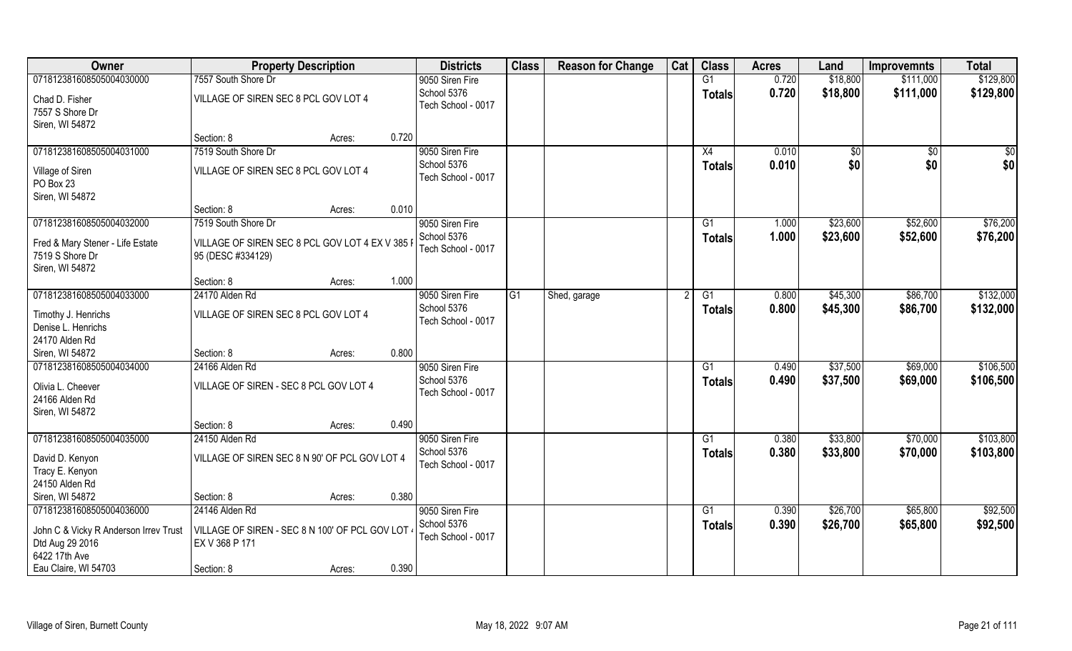| Owner                                 | <b>Property Description</b>                     |        |                 | <b>Districts</b>   | <b>Class</b> | <b>Reason for Change</b> | Cat | <b>Class</b>    | <b>Acres</b> | Land        | <b>Improvemnts</b> | <b>Total</b> |
|---------------------------------------|-------------------------------------------------|--------|-----------------|--------------------|--------------|--------------------------|-----|-----------------|--------------|-------------|--------------------|--------------|
| 071812381608505004030000              | 7557 South Shore Dr                             |        | 9050 Siren Fire |                    |              |                          |     | G1              | 0.720        | \$18,800    | \$111,000          | \$129,800    |
| Chad D. Fisher<br>7557 S Shore Dr     | VILLAGE OF SIREN SEC 8 PCL GOV LOT 4            |        | School 5376     | Tech School - 0017 |              |                          |     | <b>Totals</b>   | 0.720        | \$18,800    | \$111,000          | \$129,800    |
| Siren, WI 54872                       | Section: 8                                      | Acres: | 0.720           |                    |              |                          |     |                 |              |             |                    |              |
| 071812381608505004031000              | 7519 South Shore Dr                             |        | 9050 Siren Fire |                    |              |                          |     | X4              | 0.010        | $\sqrt{50}$ | \$0                | \$0          |
|                                       |                                                 |        | School 5376     |                    |              |                          |     |                 | 0.010        | \$0         | \$0                | \$0          |
| Village of Siren                      | VILLAGE OF SIREN SEC 8 PCL GOV LOT 4            |        |                 | Tech School - 0017 |              |                          |     | Totals          |              |             |                    |              |
| PO Box 23                             |                                                 |        |                 |                    |              |                          |     |                 |              |             |                    |              |
| Siren, WI 54872                       |                                                 |        |                 |                    |              |                          |     |                 |              |             |                    |              |
|                                       | Section: 8                                      | Acres: | 0.010           |                    |              |                          |     |                 |              |             |                    |              |
| 071812381608505004032000              | 7519 South Shore Dr                             |        | 9050 Siren Fire |                    |              |                          |     | G1              | 1.000        | \$23,600    | \$52,600           | \$76,200     |
| Fred & Mary Stener - Life Estate      | VILLAGE OF SIREN SEC 8 PCL GOV LOT 4 EX V 385 F |        | School 5376     | Tech School - 0017 |              |                          |     | <b>Totals</b>   | 1.000        | \$23,600    | \$52,600           | \$76,200     |
| 7519 S Shore Dr                       | 95 (DESC #334129)                               |        |                 |                    |              |                          |     |                 |              |             |                    |              |
| Siren, WI 54872                       |                                                 |        |                 |                    |              |                          |     |                 |              |             |                    |              |
|                                       | Section: 8                                      | Acres: | 1.000           |                    |              |                          |     |                 |              |             |                    |              |
| 071812381608505004033000              | 24170 Alden Rd                                  |        | 9050 Siren Fire |                    | G1           | Shed, garage             |     | G1              | 0.800        | \$45,300    | \$86,700           | \$132,000    |
| Timothy J. Henrichs                   | VILLAGE OF SIREN SEC 8 PCL GOV LOT 4            |        | School 5376     |                    |              |                          |     | <b>Totals</b>   | 0.800        | \$45,300    | \$86,700           | \$132,000    |
| Denise L. Henrichs                    |                                                 |        |                 | Tech School - 0017 |              |                          |     |                 |              |             |                    |              |
| 24170 Alden Rd                        |                                                 |        |                 |                    |              |                          |     |                 |              |             |                    |              |
| Siren, WI 54872                       | Section: 8                                      | Acres: | 0.800           |                    |              |                          |     |                 |              |             |                    |              |
| 071812381608505004034000              | 24166 Alden Rd                                  |        | 9050 Siren Fire |                    |              |                          |     | $\overline{G1}$ | 0.490        | \$37,500    | \$69,000           | \$106,500    |
| Olivia L. Cheever                     | VILLAGE OF SIREN - SEC 8 PCL GOV LOT 4          |        | School 5376     |                    |              |                          |     | Totals          | 0.490        | \$37,500    | \$69,000           | \$106,500    |
| 24166 Alden Rd                        |                                                 |        |                 | Tech School - 0017 |              |                          |     |                 |              |             |                    |              |
| Siren, WI 54872                       |                                                 |        |                 |                    |              |                          |     |                 |              |             |                    |              |
|                                       | Section: 8                                      | Acres: | 0.490           |                    |              |                          |     |                 |              |             |                    |              |
| 071812381608505004035000              | 24150 Alden Rd                                  |        | 9050 Siren Fire |                    |              |                          |     | G1              | 0.380        | \$33,800    | \$70,000           | \$103,800    |
|                                       |                                                 |        | School 5376     |                    |              |                          |     | <b>Totals</b>   | 0.380        | \$33,800    | \$70,000           | \$103,800    |
| David D. Kenyon                       | VILLAGE OF SIREN SEC 8 N 90' OF PCL GOV LOT 4   |        |                 | Tech School - 0017 |              |                          |     |                 |              |             |                    |              |
| Tracy E. Kenyon<br>24150 Alden Rd     |                                                 |        |                 |                    |              |                          |     |                 |              |             |                    |              |
| Siren, WI 54872                       | Section: 8                                      |        | 0.380           |                    |              |                          |     |                 |              |             |                    |              |
| 071812381608505004036000              | 24146 Alden Rd                                  | Acres: | 9050 Siren Fire |                    |              |                          |     | G1              | 0.390        | \$26,700    | \$65,800           | \$92,500     |
|                                       |                                                 |        | School 5376     |                    |              |                          |     |                 | 0.390        |             | \$65,800           |              |
| John C & Vicky R Anderson Irrev Trust | VILLAGE OF SIREN - SEC 8 N 100' OF PCL GOV LOT  |        |                 | Tech School - 0017 |              |                          |     | Totals          |              | \$26,700    |                    | \$92,500     |
| Dtd Aug 29 2016                       | EX V 368 P 171                                  |        |                 |                    |              |                          |     |                 |              |             |                    |              |
| 6422 17th Ave                         |                                                 |        |                 |                    |              |                          |     |                 |              |             |                    |              |
| Eau Claire, WI 54703                  | Section: 8                                      | Acres: | 0.390           |                    |              |                          |     |                 |              |             |                    |              |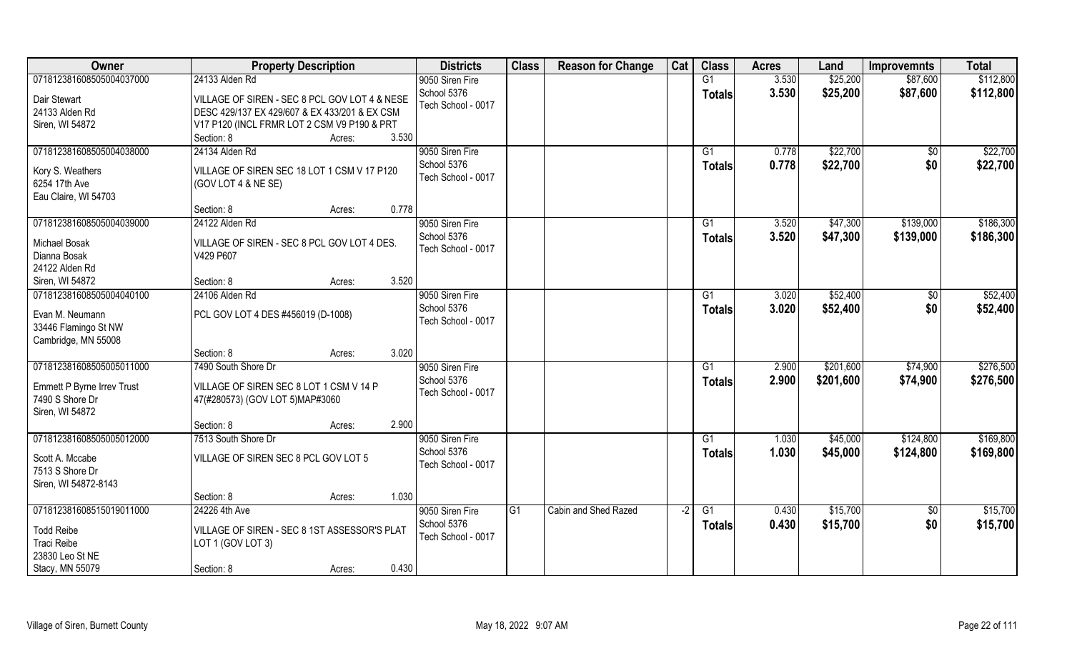| Owner                             | <b>Property Description</b>                   | <b>Districts</b>   | <b>Class</b> | <b>Reason for Change</b> | Cat  | <b>Class</b>  | <b>Acres</b> | Land      | <b>Improvemnts</b> | <b>Total</b> |
|-----------------------------------|-----------------------------------------------|--------------------|--------------|--------------------------|------|---------------|--------------|-----------|--------------------|--------------|
| 071812381608505004037000          | 24133 Alden Rd                                | 9050 Siren Fire    |              |                          |      | G1            | 3.530        | \$25,200  | \$87,600           | \$112,800    |
| Dair Stewart                      | VILLAGE OF SIREN - SEC 8 PCL GOV LOT 4 & NESE | School 5376        |              |                          |      | <b>Totals</b> | 3.530        | \$25,200  | \$87,600           | \$112,800    |
| 24133 Alden Rd                    | DESC 429/137 EX 429/607 & EX 433/201 & EX CSM | Tech School - 0017 |              |                          |      |               |              |           |                    |              |
| Siren, WI 54872                   | V17 P120 (INCL FRMR LOT 2 CSM V9 P190 & PRT   |                    |              |                          |      |               |              |           |                    |              |
|                                   | 3.530<br>Section: 8<br>Acres:                 |                    |              |                          |      |               |              |           |                    |              |
| 071812381608505004038000          | 24134 Alden Rd                                | 9050 Siren Fire    |              |                          |      | G1            | 0.778        | \$22,700  |                    | \$22,700     |
|                                   |                                               | School 5376        |              |                          |      |               |              |           | \$0                |              |
| Kory S. Weathers                  | VILLAGE OF SIREN SEC 18 LOT 1 CSM V 17 P120   | Tech School - 0017 |              |                          |      | Totals        | 0.778        | \$22,700  | \$0                | \$22,700     |
| 6254 17th Ave                     | (GOV LOT 4 & NE SE)                           |                    |              |                          |      |               |              |           |                    |              |
| Eau Claire, WI 54703              |                                               |                    |              |                          |      |               |              |           |                    |              |
|                                   | 0.778<br>Section: 8<br>Acres:                 |                    |              |                          |      |               |              |           |                    |              |
| 071812381608505004039000          | 24122 Alden Rd                                | 9050 Siren Fire    |              |                          |      | G1            | 3.520        | \$47,300  | \$139,000          | \$186,300    |
|                                   |                                               | School 5376        |              |                          |      | <b>Totals</b> | 3.520        | \$47,300  | \$139,000          | \$186,300    |
| Michael Bosak                     | VILLAGE OF SIREN - SEC 8 PCL GOV LOT 4 DES.   | Tech School - 0017 |              |                          |      |               |              |           |                    |              |
| Dianna Bosak                      | V429 P607                                     |                    |              |                          |      |               |              |           |                    |              |
| 24122 Alden Rd                    |                                               |                    |              |                          |      |               |              |           |                    |              |
| Siren, WI 54872                   | 3.520<br>Section: 8<br>Acres:                 |                    |              |                          |      |               |              |           |                    |              |
| 071812381608505004040100          | 24106 Alden Rd                                | 9050 Siren Fire    |              |                          |      | G1            | 3.020        | \$52,400  | \$0                | \$52,400     |
| Evan M. Neumann                   | PCL GOV LOT 4 DES #456019 (D-1008)            | School 5376        |              |                          |      | <b>Totals</b> | 3.020        | \$52,400  | \$0                | \$52,400     |
| 33446 Flamingo St NW              |                                               | Tech School - 0017 |              |                          |      |               |              |           |                    |              |
| Cambridge, MN 55008               |                                               |                    |              |                          |      |               |              |           |                    |              |
|                                   | 3.020<br>Section: 8<br>Acres:                 |                    |              |                          |      |               |              |           |                    |              |
| 071812381608505005011000          | 7490 South Shore Dr                           | 9050 Siren Fire    |              |                          |      | G1            | 2.900        | \$201,600 | \$74,900           | \$276,500    |
|                                   |                                               | School 5376        |              |                          |      | <b>Totals</b> | 2.900        | \$201,600 | \$74,900           | \$276,500    |
| <b>Emmett P Byrne Irrev Trust</b> | VILLAGE OF SIREN SEC 8 LOT 1 CSM V 14 P       | Tech School - 0017 |              |                          |      |               |              |           |                    |              |
| 7490 S Shore Dr                   | 47(#280573) (GOV LOT 5)MAP#3060               |                    |              |                          |      |               |              |           |                    |              |
| Siren, WI 54872                   |                                               |                    |              |                          |      |               |              |           |                    |              |
|                                   | 2.900<br>Section: 8<br>Acres:                 |                    |              |                          |      |               |              |           |                    |              |
| 071812381608505005012000          | 7513 South Shore Dr                           | 9050 Siren Fire    |              |                          |      | G1            | 1.030        | \$45,000  | \$124,800          | \$169,800    |
| Scott A. Mccabe                   | VILLAGE OF SIREN SEC 8 PCL GOV LOT 5          | School 5376        |              |                          |      | <b>Totals</b> | 1.030        | \$45,000  | \$124,800          | \$169,800    |
| 7513 S Shore Dr                   |                                               | Tech School - 0017 |              |                          |      |               |              |           |                    |              |
| Siren, WI 54872-8143              |                                               |                    |              |                          |      |               |              |           |                    |              |
|                                   | 1.030<br>Section: 8<br>Acres:                 |                    |              |                          |      |               |              |           |                    |              |
| 071812381608515019011000          | 24226 4th Ave                                 | 9050 Siren Fire    | G1           | Cabin and Shed Razed     | $-2$ | G1            | 0.430        | \$15,700  | $\overline{50}$    | \$15,700     |
|                                   |                                               | School 5376        |              |                          |      | Totals        | 0.430        | \$15,700  | \$0                | \$15,700     |
| <b>Todd Reibe</b>                 | VILLAGE OF SIREN - SEC 8 1ST ASSESSOR'S PLAT  | Tech School - 0017 |              |                          |      |               |              |           |                    |              |
| Traci Reibe                       | LOT 1 (GOV LOT 3)                             |                    |              |                          |      |               |              |           |                    |              |
| 23830 Leo St NE                   |                                               |                    |              |                          |      |               |              |           |                    |              |
| Stacy, MN 55079                   | 0.430<br>Section: 8<br>Acres:                 |                    |              |                          |      |               |              |           |                    |              |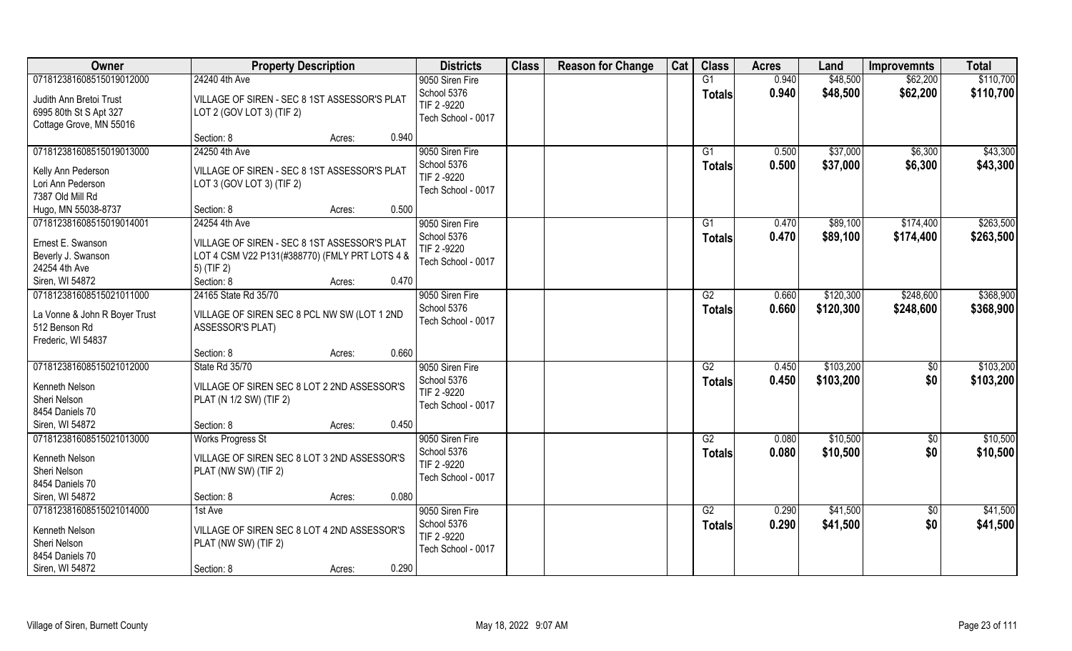| Owner                         | <b>Property Description</b>                    | <b>Districts</b>   | <b>Class</b> | <b>Reason for Change</b> | Cat | <b>Class</b>    | <b>Acres</b> | Land      | <b>Improvemnts</b> | <b>Total</b> |
|-------------------------------|------------------------------------------------|--------------------|--------------|--------------------------|-----|-----------------|--------------|-----------|--------------------|--------------|
| 071812381608515019012000      | 24240 4th Ave                                  | 9050 Siren Fire    |              |                          |     | G1              | 0.940        | \$48,500  | \$62,200           | \$110,700    |
| Judith Ann Bretoi Trust       | VILLAGE OF SIREN - SEC 8 1ST ASSESSOR'S PLAT   | School 5376        |              |                          |     | <b>Totals</b>   | 0.940        | \$48,500  | \$62,200           | \$110,700    |
| 6995 80th St S Apt 327        | LOT 2 (GOV LOT 3) (TIF 2)                      | TIF 2-9220         |              |                          |     |                 |              |           |                    |              |
| Cottage Grove, MN 55016       |                                                | Tech School - 0017 |              |                          |     |                 |              |           |                    |              |
|                               | 0.940<br>Section: 8<br>Acres:                  |                    |              |                          |     |                 |              |           |                    |              |
| 071812381608515019013000      | 24250 4th Ave                                  | 9050 Siren Fire    |              |                          |     | $\overline{G1}$ | 0.500        | \$37,000  | \$6,300            | \$43,300     |
| Kelly Ann Pederson            | VILLAGE OF SIREN - SEC 8 1ST ASSESSOR'S PLAT   | School 5376        |              |                          |     | Totals          | 0.500        | \$37,000  | \$6,300            | \$43,300     |
| Lori Ann Pederson             | LOT 3 (GOV LOT 3) (TIF 2)                      | TIF 2-9220         |              |                          |     |                 |              |           |                    |              |
| 7387 Old Mill Rd              |                                                | Tech School - 0017 |              |                          |     |                 |              |           |                    |              |
| Hugo, MN 55038-8737           | 0.500<br>Section: 8<br>Acres:                  |                    |              |                          |     |                 |              |           |                    |              |
| 071812381608515019014001      | 24254 4th Ave                                  | 9050 Siren Fire    |              |                          |     | G1              | 0.470        | \$89,100  | \$174,400          | \$263,500    |
| Ernest E. Swanson             | VILLAGE OF SIREN - SEC 8 1ST ASSESSOR'S PLAT   | School 5376        |              |                          |     | Totals          | 0.470        | \$89,100  | \$174,400          | \$263,500    |
| Beverly J. Swanson            | LOT 4 CSM V22 P131(#388770) (FMLY PRT LOTS 4 & | TIF 2 -9220        |              |                          |     |                 |              |           |                    |              |
| 24254 4th Ave                 | 5) (TIF 2)                                     | Tech School - 0017 |              |                          |     |                 |              |           |                    |              |
| Siren, WI 54872               | 0.470<br>Section: 8<br>Acres:                  |                    |              |                          |     |                 |              |           |                    |              |
| 071812381608515021011000      | 24165 State Rd 35/70                           | 9050 Siren Fire    |              |                          |     | G2              | 0.660        | \$120,300 | \$248,600          | \$368,900    |
|                               |                                                | School 5376        |              |                          |     | <b>Totals</b>   | 0.660        | \$120,300 | \$248,600          | \$368,900    |
| La Vonne & John R Boyer Trust | VILLAGE OF SIREN SEC 8 PCL NW SW (LOT 1 2ND    | Tech School - 0017 |              |                          |     |                 |              |           |                    |              |
| 512 Benson Rd                 | ASSESSOR'S PLAT)                               |                    |              |                          |     |                 |              |           |                    |              |
| Frederic, WI 54837            | 0.660<br>Section: 8<br>Acres:                  |                    |              |                          |     |                 |              |           |                    |              |
| 071812381608515021012000      | State Rd 35/70                                 | 9050 Siren Fire    |              |                          |     | $\overline{G2}$ | 0.450        | \$103,200 | $\sqrt[6]{30}$     | \$103,200    |
|                               |                                                | School 5376        |              |                          |     |                 | 0.450        | \$103,200 | \$0                | \$103,200    |
| Kenneth Nelson                | VILLAGE OF SIREN SEC 8 LOT 2 2ND ASSESSOR'S    | TIF 2-9220         |              |                          |     | <b>Totals</b>   |              |           |                    |              |
| Sheri Nelson                  | PLAT (N 1/2 SW) (TIF 2)                        | Tech School - 0017 |              |                          |     |                 |              |           |                    |              |
| 8454 Daniels 70               |                                                |                    |              |                          |     |                 |              |           |                    |              |
| Siren, WI 54872               | 0.450<br>Section: 8<br>Acres:                  |                    |              |                          |     |                 |              |           |                    |              |
| 071812381608515021013000      | <b>Works Progress St</b>                       | 9050 Siren Fire    |              |                          |     | G2              | 0.080        | \$10,500  | $\overline{60}$    | \$10,500     |
| Kenneth Nelson                | VILLAGE OF SIREN SEC 8 LOT 3 2ND ASSESSOR'S    | School 5376        |              |                          |     | <b>Totals</b>   | 0.080        | \$10,500  | \$0                | \$10,500     |
| Sheri Nelson                  | PLAT (NW SW) (TIF 2)                           | TIF 2-9220         |              |                          |     |                 |              |           |                    |              |
| 8454 Daniels 70               |                                                | Tech School - 0017 |              |                          |     |                 |              |           |                    |              |
| Siren, WI 54872               | 0.080<br>Section: 8<br>Acres:                  |                    |              |                          |     |                 |              |           |                    |              |
| 071812381608515021014000      | 1st Ave                                        | 9050 Siren Fire    |              |                          |     | G2              | 0.290        | \$41,500  | \$0                | \$41,500     |
| Kenneth Nelson                | VILLAGE OF SIREN SEC 8 LOT 4 2ND ASSESSOR'S    | School 5376        |              |                          |     | <b>Totals</b>   | 0.290        | \$41,500  | \$0                | \$41,500     |
| Sheri Nelson                  | PLAT (NW SW) (TIF 2)                           | TIF 2 -9220        |              |                          |     |                 |              |           |                    |              |
| 8454 Daniels 70               |                                                | Tech School - 0017 |              |                          |     |                 |              |           |                    |              |
| Siren, WI 54872               | 0.290<br>Section: 8<br>Acres:                  |                    |              |                          |     |                 |              |           |                    |              |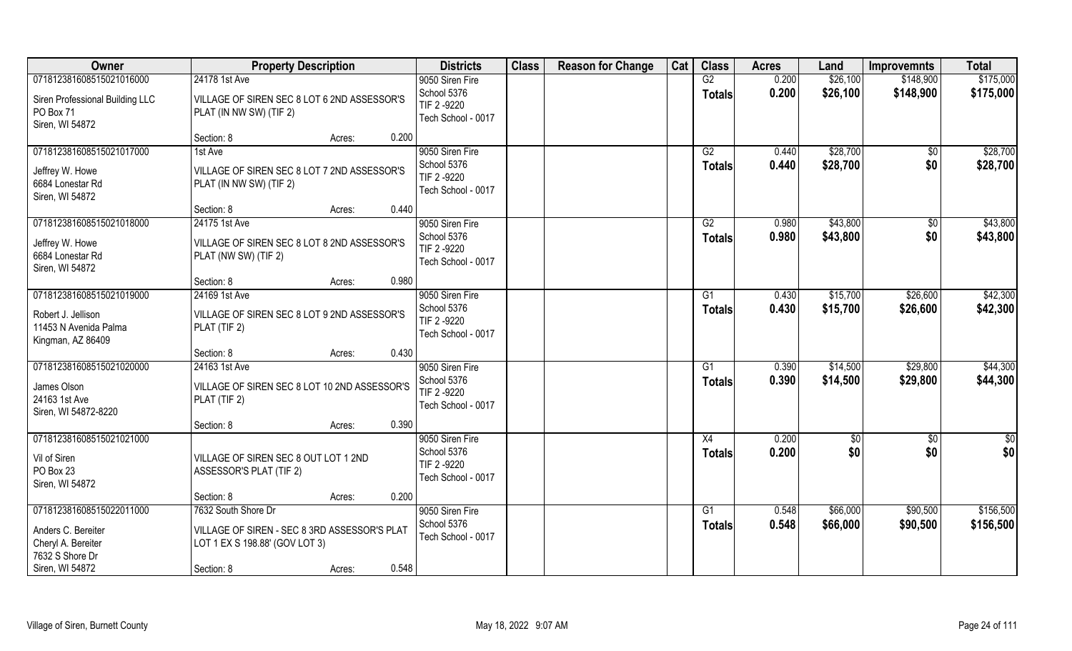| Owner                                                                                   | <b>Property Description</b>                                                                           | <b>Districts</b>                                                    | <b>Class</b> | <b>Reason for Change</b> | Cat | <b>Class</b>        | <b>Acres</b>   | Land                 | <b>Improvemnts</b>   | <b>Total</b>           |
|-----------------------------------------------------------------------------------------|-------------------------------------------------------------------------------------------------------|---------------------------------------------------------------------|--------------|--------------------------|-----|---------------------|----------------|----------------------|----------------------|------------------------|
| 071812381608515021016000                                                                | 24178 1st Ave                                                                                         | 9050 Siren Fire                                                     |              |                          |     | G2                  | 0.200          | \$26,100             | \$148,900            | \$175,000              |
| Siren Professional Building LLC<br>PO Box 71<br>Siren, WI 54872                         | VILLAGE OF SIREN SEC 8 LOT 6 2ND ASSESSOR'S<br>PLAT (IN NW SW) (TIF 2)                                | School 5376<br>TIF 2 -9220<br>Tech School - 0017                    |              |                          |     | <b>Totals</b>       | 0.200          | \$26,100             | \$148,900            | \$175,000              |
|                                                                                         | Section: 8<br>0.200<br>Acres:                                                                         |                                                                     |              |                          |     |                     |                |                      |                      |                        |
| 071812381608515021017000<br>Jeffrey W. Howe<br>6684 Lonestar Rd<br>Siren, WI 54872      | 1st Ave<br>VILLAGE OF SIREN SEC 8 LOT 7 2ND ASSESSOR'S<br>PLAT (IN NW SW) (TIF 2)                     | 9050 Siren Fire<br>School 5376<br>TIF 2-9220<br>Tech School - 0017  |              |                          |     | G2<br><b>Totals</b> | 0.440<br>0.440 | \$28,700<br>\$28,700 | \$0<br>\$0           | \$28,700<br>\$28,700   |
|                                                                                         | 0.440<br>Section: 8<br>Acres:                                                                         |                                                                     |              |                          |     |                     |                |                      |                      |                        |
| 071812381608515021018000<br>Jeffrey W. Howe<br>6684 Lonestar Rd<br>Siren, WI 54872      | 24175 1st Ave<br>VILLAGE OF SIREN SEC 8 LOT 8 2ND ASSESSOR'S<br>PLAT (NW SW) (TIF 2)                  | 9050 Siren Fire<br>School 5376<br>TIF 2-9220<br>Tech School - 0017  |              |                          |     | G2<br><b>Totals</b> | 0.980<br>0.980 | \$43,800<br>\$43,800 | $\sqrt[6]{3}$<br>\$0 | \$43,800<br>\$43,800   |
|                                                                                         | 0.980<br>Section: 8<br>Acres:                                                                         |                                                                     |              |                          |     |                     |                |                      |                      |                        |
| 071812381608515021019000                                                                | 24169 1st Ave                                                                                         | 9050 Siren Fire                                                     |              |                          |     | G1                  | 0.430          | \$15,700             | \$26,600             | \$42,300               |
| Robert J. Jellison<br>11453 N Avenida Palma<br>Kingman, AZ 86409                        | VILLAGE OF SIREN SEC 8 LOT 9 2ND ASSESSOR'S<br>PLAT (TIF 2)                                           | School 5376<br>TIF 2 -9220<br>Tech School - 0017                    |              |                          |     | <b>Totals</b>       | 0.430          | \$15,700             | \$26,600             | \$42,300               |
|                                                                                         | 0.430<br>Section: 8<br>Acres:                                                                         |                                                                     |              |                          |     |                     |                |                      |                      |                        |
| 071812381608515021020000<br>James Olson<br>24163 1st Ave<br>Siren, WI 54872-8220        | 24163 1st Ave<br>VILLAGE OF SIREN SEC 8 LOT 10 2ND ASSESSOR'S<br>PLAT (TIF 2)                         | 9050 Siren Fire<br>School 5376<br>TIF 2-9220<br>Tech School - 0017  |              |                          |     | G1<br><b>Totals</b> | 0.390<br>0.390 | \$14,500<br>\$14,500 | \$29,800<br>\$29,800 | \$44,300<br>\$44,300   |
|                                                                                         | 0.390<br>Section: 8<br>Acres:                                                                         |                                                                     |              |                          |     |                     |                |                      |                      |                        |
| 071812381608515021021000<br>Vil of Siren<br>PO Box 23<br>Siren, WI 54872                | VILLAGE OF SIREN SEC 8 OUT LOT 1 2ND<br>ASSESSOR'S PLAT (TIF 2)                                       | 9050 Siren Fire<br>School 5376<br>TIF 2 -9220<br>Tech School - 0017 |              |                          |     | X4<br><b>Totals</b> | 0.200<br>0.200 | \$0<br>\$0           | $\sqrt{$0}$<br>\$0   | \$0<br>\$0             |
|                                                                                         | 0.200<br>Section: 8<br>Acres:                                                                         |                                                                     |              |                          |     |                     |                |                      |                      |                        |
| 071812381608515022011000<br>Anders C. Bereiter<br>Cheryl A. Bereiter<br>7632 S Shore Dr | 7632 South Shore Dr<br>VILLAGE OF SIREN - SEC 8 3RD ASSESSOR'S PLAT<br>LOT 1 EX S 198.88' (GOV LOT 3) | 9050 Siren Fire<br>School 5376<br>Tech School - 0017                |              |                          |     | G1<br><b>Totals</b> | 0.548<br>0.548 | \$66,000<br>\$66,000 | \$90,500<br>\$90,500 | \$156,500<br>\$156,500 |
| Siren, WI 54872                                                                         | 0.548<br>Section: 8<br>Acres:                                                                         |                                                                     |              |                          |     |                     |                |                      |                      |                        |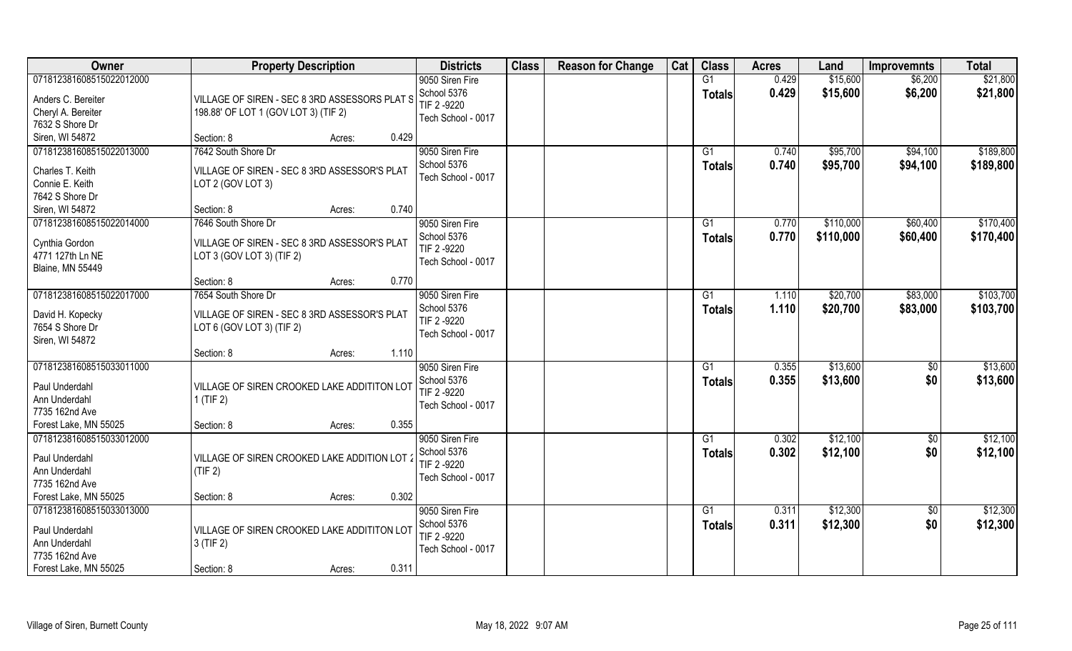| Owner                                                                                                  | <b>Property Description</b>                                                                      | <b>Districts</b>                                                    | <b>Class</b> | <b>Reason for Change</b> | Cat | <b>Class</b>        | <b>Acres</b>   | Land                   | <b>Improvemnts</b>     | <b>Total</b>           |
|--------------------------------------------------------------------------------------------------------|--------------------------------------------------------------------------------------------------|---------------------------------------------------------------------|--------------|--------------------------|-----|---------------------|----------------|------------------------|------------------------|------------------------|
| 071812381608515022012000<br>Anders C. Bereiter<br>Cheryl A. Bereiter<br>7632 S Shore Dr                | VILLAGE OF SIREN - SEC 8 3RD ASSESSORS PLAT S<br>198.88' OF LOT 1 (GOV LOT 3) (TIF 2)            | 9050 Siren Fire<br>School 5376<br>TIF 2 -9220<br>Tech School - 0017 |              |                          |     | G1<br><b>Totals</b> | 0.429<br>0.429 | \$15,600<br>\$15,600   | \$6,200<br>\$6,200     | \$21,800<br>\$21,800   |
| Siren, WI 54872                                                                                        | Section: 8<br>0.429<br>Acres:                                                                    |                                                                     |              |                          |     |                     |                |                        |                        |                        |
| 071812381608515022013000<br>Charles T. Keith<br>Connie E. Keith<br>7642 S Shore Dr                     | 7642 South Shore Dr<br>VILLAGE OF SIREN - SEC 8 3RD ASSESSOR'S PLAT<br>LOT 2 (GOV LOT 3)         | 9050 Siren Fire<br>School 5376<br>Tech School - 0017                |              |                          |     | G1<br>Totals        | 0.740<br>0.740 | \$95,700<br>\$95,700   | \$94,100<br>\$94,100   | \$189,800<br>\$189,800 |
| Siren, WI 54872                                                                                        | 0.740<br>Section: 8<br>Acres:                                                                    |                                                                     |              |                          |     |                     |                |                        |                        |                        |
| 071812381608515022014000<br>Cynthia Gordon<br>4771 127th Ln NE<br><b>Blaine, MN 55449</b>              | 7646 South Shore Dr<br>VILLAGE OF SIREN - SEC 8 3RD ASSESSOR'S PLAT<br>LOT 3 (GOV LOT 3) (TIF 2) | 9050 Siren Fire<br>School 5376<br>TIF 2-9220<br>Tech School - 0017  |              |                          |     | G1<br><b>Totals</b> | 0.770<br>0.770 | \$110,000<br>\$110,000 | \$60,400<br>\$60,400   | \$170,400<br>\$170,400 |
|                                                                                                        | 0.770<br>Section: 8<br>Acres:                                                                    |                                                                     |              |                          |     |                     |                |                        |                        |                        |
| 071812381608515022017000<br>David H. Kopecky<br>7654 S Shore Dr<br>Siren, WI 54872                     | 7654 South Shore Dr<br>VILLAGE OF SIREN - SEC 8 3RD ASSESSOR'S PLAT<br>LOT 6 (GOV LOT 3) (TIF 2) | 9050 Siren Fire<br>School 5376<br>TIF 2 -9220<br>Tech School - 0017 |              |                          |     | G1<br><b>Totals</b> | 1.110<br>1.110 | \$20,700<br>\$20,700   | \$83,000<br>\$83,000   | \$103,700<br>\$103,700 |
|                                                                                                        | 1.110<br>Section: 8<br>Acres:                                                                    |                                                                     |              |                          |     |                     |                |                        |                        |                        |
| 071812381608515033011000<br>Paul Underdahl<br>Ann Underdahl<br>7735 162nd Ave                          | VILLAGE OF SIREN CROOKED LAKE ADDITITON LOT<br>$1$ (TIF 2)                                       | 9050 Siren Fire<br>School 5376<br>TIF 2 -9220<br>Tech School - 0017 |              |                          |     | G1<br><b>Totals</b> | 0.355<br>0.355 | \$13,600<br>\$13,600   | $\sqrt[6]{30}$<br>\$0  | \$13,600<br>\$13,600   |
| Forest Lake, MN 55025                                                                                  | 0.355<br>Section: 8<br>Acres:                                                                    |                                                                     |              |                          |     |                     |                |                        |                        |                        |
| 071812381608515033012000<br>Paul Underdahl<br>Ann Underdahl<br>7735 162nd Ave                          | VILLAGE OF SIREN CROOKED LAKE ADDITION LOT 2<br>(TIF 2)                                          | 9050 Siren Fire<br>School 5376<br>TIF 2 -9220<br>Tech School - 0017 |              |                          |     | G1<br><b>Totals</b> | 0.302<br>0.302 | \$12,100<br>\$12,100   | $\overline{60}$<br>\$0 | \$12,100<br>\$12,100   |
| Forest Lake, MN 55025                                                                                  | 0.302<br>Section: 8<br>Acres:                                                                    |                                                                     |              |                          |     |                     |                |                        |                        |                        |
| 071812381608515033013000<br>Paul Underdahl<br>Ann Underdahl<br>7735 162nd Ave<br>Forest Lake, MN 55025 | VILLAGE OF SIREN CROOKED LAKE ADDITITON LOT<br>$3$ (TIF 2)<br>0.311<br>Section: 8<br>Acres:      | 9050 Siren Fire<br>School 5376<br>TIF 2-9220<br>Tech School - 0017  |              |                          |     | G1<br><b>Totals</b> | 0.311<br>0.311 | \$12,300<br>\$12,300   | $\overline{50}$<br>\$0 | \$12,300<br>\$12,300   |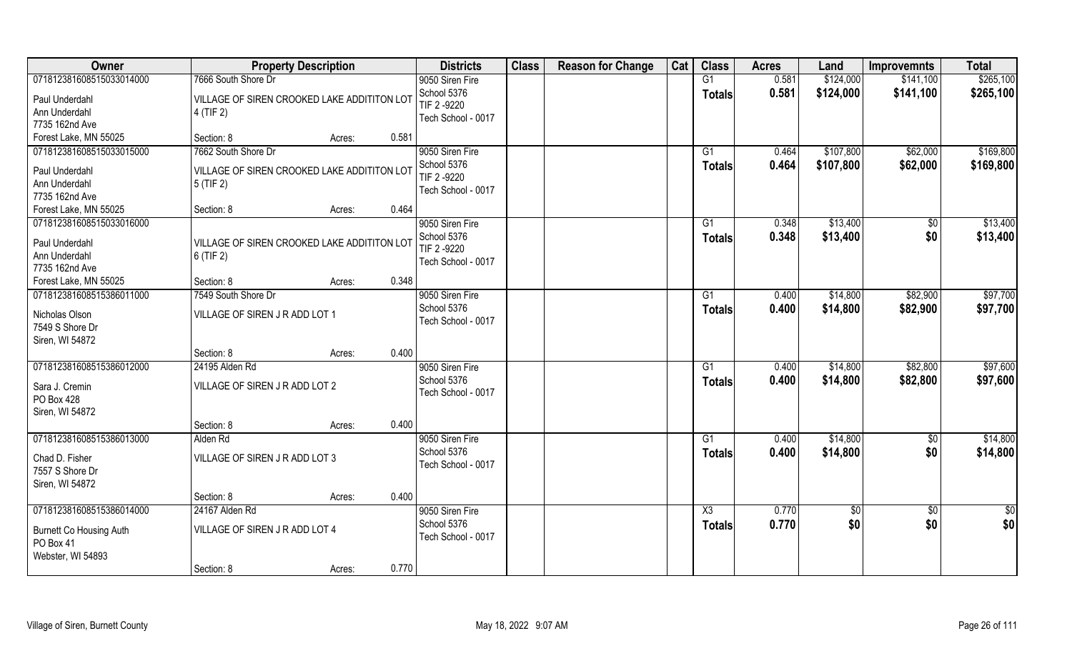| Owner                                                            |                                                            | <b>Property Description</b> |       | <b>Districts</b>                  | <b>Class</b> | <b>Reason for Change</b> | Cat | <b>Class</b>           | <b>Acres</b> | Land       | <b>Improvemnts</b> | <b>Total</b>  |
|------------------------------------------------------------------|------------------------------------------------------------|-----------------------------|-------|-----------------------------------|--------------|--------------------------|-----|------------------------|--------------|------------|--------------------|---------------|
| 071812381608515033014000                                         | 7666 South Shore Dr                                        |                             |       | 9050 Siren Fire                   |              |                          |     | G1                     | 0.581        | \$124,000  | \$141,100          | \$265,100     |
| Paul Underdahl<br>Ann Underdahl                                  | VILLAGE OF SIREN CROOKED LAKE ADDITITON LOT<br>4 (TIF 2)   |                             |       | School 5376<br>TIF 2 -9220        |              |                          |     | <b>Totals</b>          | 0.581        | \$124,000  | \$141,100          | \$265,100     |
| 7735 162nd Ave                                                   |                                                            |                             |       | Tech School - 0017                |              |                          |     |                        |              |            |                    |               |
| Forest Lake, MN 55025                                            | Section: 8                                                 | Acres:                      | 0.581 |                                   |              |                          |     |                        |              |            |                    |               |
| 071812381608515033015000                                         | 7662 South Shore Dr                                        |                             |       | 9050 Siren Fire                   |              |                          |     | G1                     | 0.464        | \$107,800  | \$62,000           | \$169,800     |
| Paul Underdahl<br>Ann Underdahl                                  | VILLAGE OF SIREN CROOKED LAKE ADDITITON LOT<br>$5$ (TIF 2) |                             |       | School 5376<br>TIF 2 -9220        |              |                          |     | <b>Totals</b>          | 0.464        | \$107,800  | \$62,000           | \$169,800     |
| 7735 162nd Ave                                                   |                                                            |                             |       | Tech School - 0017                |              |                          |     |                        |              |            |                    |               |
| Forest Lake, MN 55025                                            | Section: 8                                                 | Acres:                      | 0.464 |                                   |              |                          |     |                        |              |            |                    |               |
| 071812381608515033016000                                         |                                                            |                             |       | 9050 Siren Fire                   |              |                          |     | G1                     | 0.348        | \$13,400   | \$0                | \$13,400      |
| Paul Underdahl                                                   | VILLAGE OF SIREN CROOKED LAKE ADDITITON LOT                |                             |       | School 5376                       |              |                          |     | <b>Totals</b>          | 0.348        | \$13,400   | \$0                | \$13,400      |
| Ann Underdahl                                                    | $6$ (TIF 2)                                                |                             |       | TIF 2 -9220                       |              |                          |     |                        |              |            |                    |               |
| 7735 162nd Ave                                                   |                                                            |                             |       | Tech School - 0017                |              |                          |     |                        |              |            |                    |               |
| Forest Lake, MN 55025                                            | Section: 8                                                 | Acres:                      | 0.348 |                                   |              |                          |     |                        |              |            |                    |               |
| 071812381608515386011000                                         | 7549 South Shore Dr                                        |                             |       | 9050 Siren Fire                   |              |                          |     | G1                     | 0.400        | \$14,800   | \$82,900           | \$97,700      |
| Nicholas Olson<br>7549 S Shore Dr<br>Siren, WI 54872             | VILLAGE OF SIREN JR ADD LOT 1                              |                             |       | School 5376<br>Tech School - 0017 |              |                          |     | <b>Totals</b>          | 0.400        | \$14,800   | \$82,900           | \$97,700      |
|                                                                  | Section: 8                                                 | Acres:                      | 0.400 |                                   |              |                          |     |                        |              |            |                    |               |
| 071812381608515386012000                                         | 24195 Alden Rd                                             |                             |       | 9050 Siren Fire                   |              |                          |     | G1                     | 0.400        | \$14,800   | \$82,800           | \$97,600      |
| Sara J. Cremin<br>PO Box 428<br>Siren, WI 54872                  | VILLAGE OF SIREN J R ADD LOT 2                             |                             |       | School 5376<br>Tech School - 0017 |              |                          |     | <b>Totals</b>          | 0.400        | \$14,800   | \$82,800           | \$97,600      |
|                                                                  | Section: 8                                                 | Acres:                      | 0.400 |                                   |              |                          |     |                        |              |            |                    |               |
| 071812381608515386013000                                         | Alden Rd                                                   |                             |       | 9050 Siren Fire                   |              |                          |     | G1                     | 0.400        | \$14,800   | \$0                | \$14,800      |
| Chad D. Fisher<br>7557 S Shore Dr<br>Siren, WI 54872             | VILLAGE OF SIREN J R ADD LOT 3                             |                             |       | School 5376<br>Tech School - 0017 |              |                          |     | <b>Totals</b>          | 0.400        | \$14,800   | \$0                | \$14,800      |
|                                                                  | Section: 8                                                 | Acres:                      | 0.400 |                                   |              |                          |     |                        |              |            |                    |               |
| 071812381608515386014000                                         | 24167 Alden Rd                                             |                             |       | 9050 Siren Fire                   |              |                          |     | $\overline{\text{X3}}$ | 0.770        | $\sqrt{6}$ | $\overline{50}$    | $\frac{1}{2}$ |
| <b>Burnett Co Housing Auth</b><br>PO Box 41<br>Webster, WI 54893 | VILLAGE OF SIREN J R ADD LOT 4                             |                             |       | School 5376<br>Tech School - 0017 |              |                          |     | <b>Totals</b>          | 0.770        | \$0        | \$0                | \$0           |
|                                                                  | Section: 8                                                 | Acres:                      | 0.770 |                                   |              |                          |     |                        |              |            |                    |               |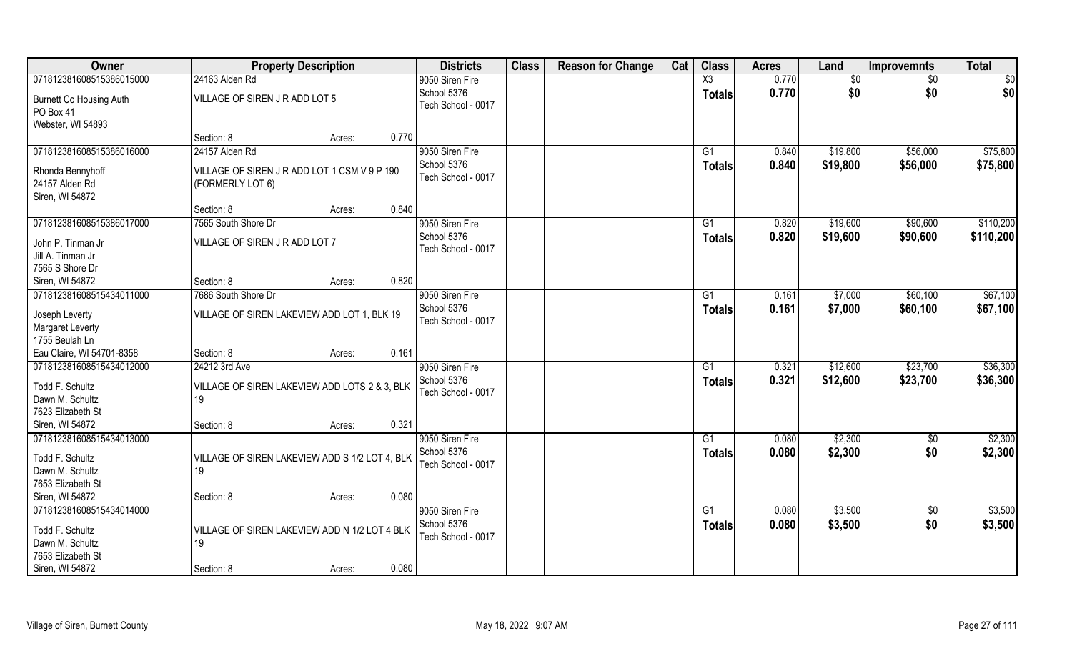| Owner                                                                               | <b>Property Description</b>                                          | <b>Districts</b>                                     | <b>Class</b> | <b>Reason for Change</b> | Cat | <b>Class</b>        | <b>Acres</b>   | Land                 | <b>Improvemnts</b>   | <b>Total</b>         |
|-------------------------------------------------------------------------------------|----------------------------------------------------------------------|------------------------------------------------------|--------------|--------------------------|-----|---------------------|----------------|----------------------|----------------------|----------------------|
| 071812381608515386015000                                                            | 24163 Alden Rd                                                       | 9050 Siren Fire                                      |              |                          |     | $\overline{X3}$     | 0.770          | \$0                  | $\sqrt{6}$           | \$0                  |
| Burnett Co Housing Auth<br>PO Box 41                                                | VILLAGE OF SIREN JR ADD LOT 5                                        | School 5376<br>Tech School - 0017                    |              |                          |     | <b>Totals</b>       | 0.770          | \$0                  | \$0                  | \$0                  |
| Webster, WI 54893                                                                   | 0.770<br>Section: 8<br>Acres:                                        |                                                      |              |                          |     |                     |                |                      |                      |                      |
| 071812381608515386016000                                                            | 24157 Alden Rd                                                       | 9050 Siren Fire<br>School 5376                       |              |                          |     | G1                  | 0.840<br>0.840 | \$19,800<br>\$19,800 | \$56,000<br>\$56,000 | \$75,800<br>\$75,800 |
| Rhonda Bennyhoff<br>24157 Alden Rd<br>Siren, WI 54872                               | VILLAGE OF SIREN J R ADD LOT 1 CSM V 9 P 190<br>(FORMERLY LOT 6)     | Tech School - 0017                                   |              |                          |     | Totals              |                |                      |                      |                      |
|                                                                                     | 0.840<br>Section: 8<br>Acres:                                        |                                                      |              |                          |     |                     |                |                      |                      |                      |
| 071812381608515386017000                                                            | 7565 South Shore Dr                                                  | 9050 Siren Fire                                      |              |                          |     | G1                  | 0.820          | \$19,600             | \$90,600             | \$110,200            |
| John P. Tinman Jr<br>Jill A. Tinman Jr<br>7565 S Shore Dr                           | VILLAGE OF SIREN J R ADD LOT 7                                       | School 5376<br>Tech School - 0017                    |              |                          |     | <b>Totals</b>       | 0.820          | \$19,600             | \$90,600             | \$110,200            |
| Siren, WI 54872                                                                     | 0.820<br>Section: 8<br>Acres:                                        |                                                      |              |                          |     |                     |                |                      |                      |                      |
| 071812381608515434011000                                                            | 7686 South Shore Dr                                                  | 9050 Siren Fire                                      |              |                          |     | G1                  | 0.161          | \$7,000              | \$60,100             | \$67,100             |
| Joseph Leverty<br>Margaret Leverty<br>1755 Beulah Ln                                | VILLAGE OF SIREN LAKEVIEW ADD LOT 1, BLK 19                          | School 5376<br>Tech School - 0017                    |              |                          |     | <b>Totals</b>       | 0.161          | \$7,000              | \$60,100             | \$67,100             |
| Eau Claire, WI 54701-8358                                                           | 0.161<br>Section: 8<br>Acres:                                        |                                                      |              |                          |     |                     |                |                      |                      |                      |
| 071812381608515434012000<br>Todd F. Schultz<br>Dawn M. Schultz<br>7623 Elizabeth St | 24212 3rd Ave<br>VILLAGE OF SIREN LAKEVIEW ADD LOTS 2 & 3, BLK<br>19 | 9050 Siren Fire<br>School 5376<br>Tech School - 0017 |              |                          |     | G1<br><b>Totals</b> | 0.321<br>0.321 | \$12,600<br>\$12,600 | \$23,700<br>\$23,700 | \$36,300<br>\$36,300 |
| Siren, WI 54872                                                                     | 0.321<br>Section: 8<br>Acres:                                        |                                                      |              |                          |     |                     |                |                      |                      |                      |
| 071812381608515434013000<br>Todd F. Schultz<br>Dawn M. Schultz                      | VILLAGE OF SIREN LAKEVIEW ADD S 1/2 LOT 4, BLK<br>19                 | 9050 Siren Fire<br>School 5376<br>Tech School - 0017 |              |                          |     | G1<br><b>Totals</b> | 0.080<br>0.080 | \$2,300<br>\$2,300   | \$0<br>\$0           | \$2,300<br>\$2,300   |
| 7653 Elizabeth St                                                                   |                                                                      |                                                      |              |                          |     |                     |                |                      |                      |                      |
| Siren, WI 54872                                                                     | 0.080<br>Section: 8<br>Acres:                                        |                                                      |              |                          |     |                     |                |                      |                      |                      |
| 071812381608515434014000<br>Todd F. Schultz<br>Dawn M. Schultz<br>7653 Elizabeth St | VILLAGE OF SIREN LAKEVIEW ADD N 1/2 LOT 4 BLK<br>19                  | 9050 Siren Fire<br>School 5376<br>Tech School - 0017 |              |                          |     | G1<br><b>Totals</b> | 0.080<br>0.080 | \$3,500<br>\$3,500   | $\sqrt[6]{}$<br>\$0  | \$3,500<br>\$3,500   |
| Siren, WI 54872                                                                     | 0.080<br>Section: 8<br>Acres:                                        |                                                      |              |                          |     |                     |                |                      |                      |                      |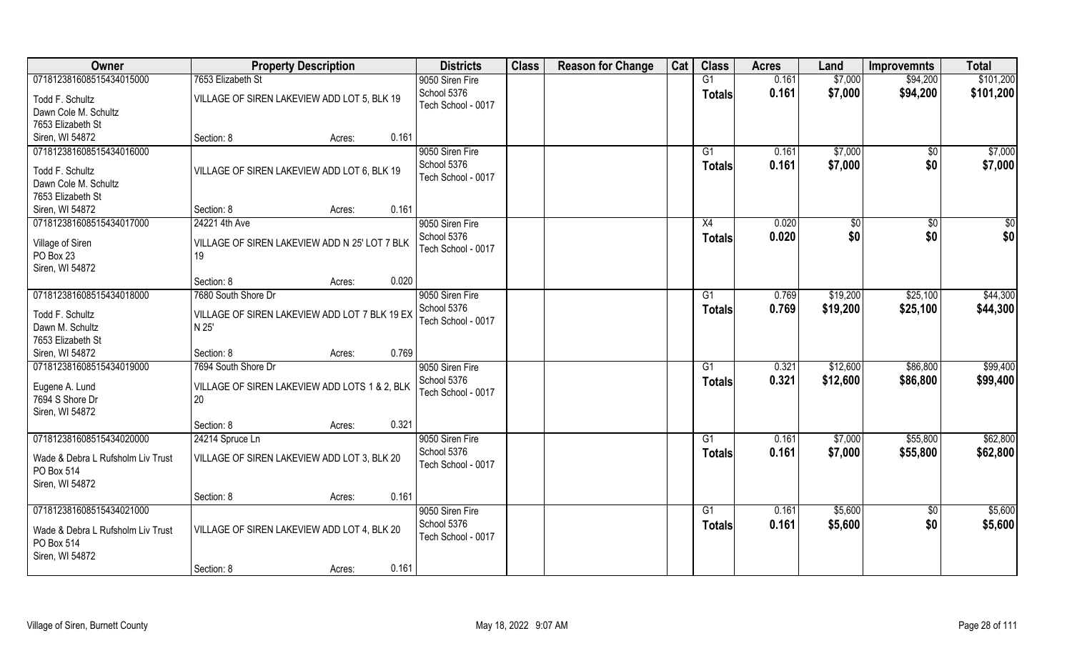| Owner                             | <b>Property Description</b>                   |        |       | <b>Districts</b>               | <b>Class</b> | <b>Reason for Change</b> | Cat | <b>Class</b>  | <b>Acres</b> | Land     | <b>Improvemnts</b> | <b>Total</b> |
|-----------------------------------|-----------------------------------------------|--------|-------|--------------------------------|--------------|--------------------------|-----|---------------|--------------|----------|--------------------|--------------|
| 071812381608515434015000          | 7653 Elizabeth St                             |        |       | 9050 Siren Fire                |              |                          |     | G1            | 0.161        | \$7,000  | \$94,200           | \$101,200    |
| Todd F. Schultz                   | VILLAGE OF SIREN LAKEVIEW ADD LOT 5, BLK 19   |        |       | School 5376                    |              |                          |     | <b>Totals</b> | 0.161        | \$7,000  | \$94,200           | \$101,200    |
| Dawn Cole M. Schultz              |                                               |        |       | Tech School - 0017             |              |                          |     |               |              |          |                    |              |
| 7653 Elizabeth St                 |                                               |        |       |                                |              |                          |     |               |              |          |                    |              |
| Siren, WI 54872                   | Section: 8                                    | Acres: | 0.161 |                                |              |                          |     |               |              |          |                    |              |
| 071812381608515434016000          |                                               |        |       | 9050 Siren Fire                |              |                          |     | G1            | 0.161        | \$7,000  | \$0                | \$7,000      |
| Todd F. Schultz                   | VILLAGE OF SIREN LAKEVIEW ADD LOT 6, BLK 19   |        |       | School 5376                    |              |                          |     | <b>Totals</b> | 0.161        | \$7,000  | \$0                | \$7,000      |
| Dawn Cole M. Schultz              |                                               |        |       | Tech School - 0017             |              |                          |     |               |              |          |                    |              |
| 7653 Elizabeth St                 |                                               |        |       |                                |              |                          |     |               |              |          |                    |              |
| Siren, WI 54872                   | Section: 8                                    | Acres: | 0.161 |                                |              |                          |     |               |              |          |                    |              |
| 071812381608515434017000          | 24221 4th Ave                                 |        |       | 9050 Siren Fire                |              |                          |     | X4            | 0.020        | \$0      | $\sqrt{6}$         | $\sqrt{50}$  |
|                                   |                                               |        |       | School 5376                    |              |                          |     | <b>Totals</b> | 0.020        | \$0      | \$0                | \$0          |
| Village of Siren                  | VILLAGE OF SIREN LAKEVIEW ADD N 25' LOT 7 BLK |        |       | Tech School - 0017             |              |                          |     |               |              |          |                    |              |
| PO Box 23                         | 19                                            |        |       |                                |              |                          |     |               |              |          |                    |              |
| Siren, WI 54872                   |                                               |        |       |                                |              |                          |     |               |              |          |                    |              |
|                                   | Section: 8                                    | Acres: | 0.020 |                                |              |                          |     |               |              |          |                    |              |
| 071812381608515434018000          | 7680 South Shore Dr                           |        |       | 9050 Siren Fire                |              |                          |     | G1            | 0.769        | \$19,200 | \$25,100           | \$44,300     |
| Todd F. Schultz                   | VILLAGE OF SIREN LAKEVIEW ADD LOT 7 BLK 19 EX |        |       | School 5376                    |              |                          |     | <b>Totals</b> | 0.769        | \$19,200 | \$25,100           | \$44,300     |
| Dawn M. Schultz                   | N 25'                                         |        |       | Tech School - 0017             |              |                          |     |               |              |          |                    |              |
| 7653 Elizabeth St                 |                                               |        |       |                                |              |                          |     |               |              |          |                    |              |
| Siren, WI 54872                   | Section: 8                                    | Acres: | 0.769 |                                |              |                          |     |               |              |          |                    |              |
| 071812381608515434019000          | 7694 South Shore Dr                           |        |       | 9050 Siren Fire                |              |                          |     | G1            | 0.321        | \$12,600 | \$86,800           | \$99,400     |
| Eugene A. Lund                    | VILLAGE OF SIREN LAKEVIEW ADD LOTS 1 & 2, BLK |        |       | School 5376                    |              |                          |     | <b>Totals</b> | 0.321        | \$12,600 | \$86,800           | \$99,400     |
| 7694 S Shore Dr                   | 20                                            |        |       | Tech School - 0017             |              |                          |     |               |              |          |                    |              |
| Siren, WI 54872                   |                                               |        |       |                                |              |                          |     |               |              |          |                    |              |
|                                   | Section: 8                                    | Acres: | 0.321 |                                |              |                          |     |               |              |          |                    |              |
| 071812381608515434020000          | 24214 Spruce Ln                               |        |       | 9050 Siren Fire                |              |                          |     | G1            | 0.161        | \$7,000  | \$55,800           | \$62,800     |
|                                   |                                               |        |       | School 5376                    |              |                          |     | <b>Totals</b> | 0.161        | \$7,000  | \$55,800           | \$62,800     |
| Wade & Debra L Rufsholm Liv Trust | VILLAGE OF SIREN LAKEVIEW ADD LOT 3, BLK 20   |        |       | Tech School - 0017             |              |                          |     |               |              |          |                    |              |
| PO Box 514                        |                                               |        |       |                                |              |                          |     |               |              |          |                    |              |
| Siren, WI 54872                   |                                               |        |       |                                |              |                          |     |               |              |          |                    |              |
|                                   | Section: 8                                    | Acres: | 0.161 |                                |              |                          |     |               |              |          |                    |              |
| 071812381608515434021000          |                                               |        |       | 9050 Siren Fire<br>School 5376 |              |                          |     | G1            | 0.161        | \$5,600  | $\overline{50}$    | \$5,600      |
| Wade & Debra L Rufsholm Liv Trust | VILLAGE OF SIREN LAKEVIEW ADD LOT 4, BLK 20   |        |       | Tech School - 0017             |              |                          |     | Totals        | 0.161        | \$5,600  | \$0                | \$5,600      |
| PO Box 514                        |                                               |        |       |                                |              |                          |     |               |              |          |                    |              |
| Siren, WI 54872                   |                                               |        |       |                                |              |                          |     |               |              |          |                    |              |
|                                   | Section: 8                                    | Acres: | 0.161 |                                |              |                          |     |               |              |          |                    |              |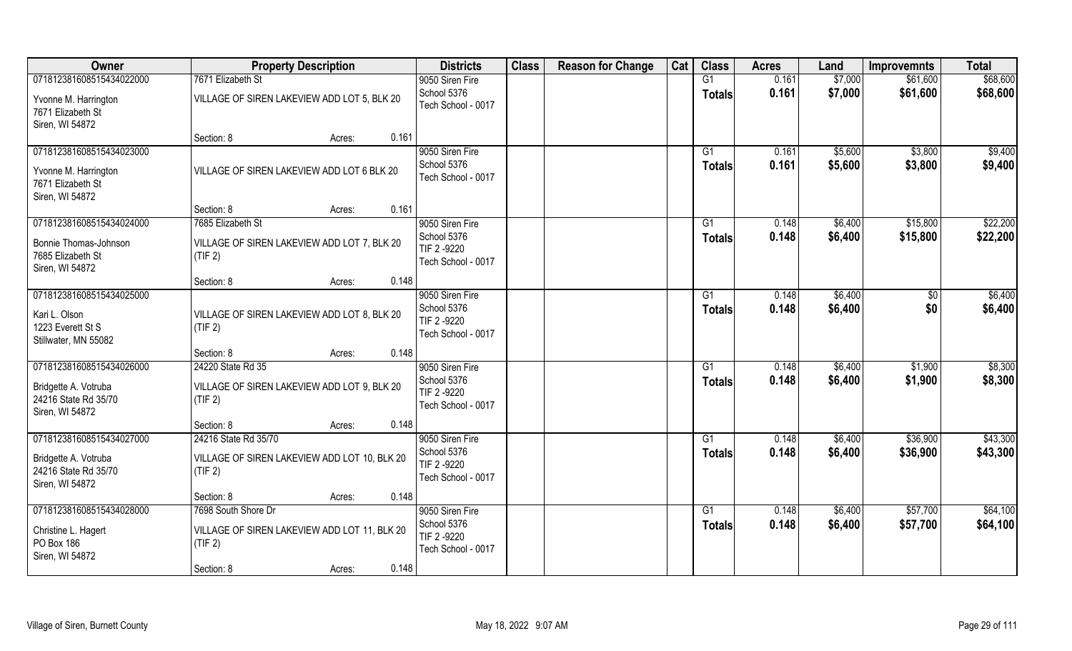| Owner                                                                                       | <b>Property Description</b>                                                                                     | <b>Districts</b>                                                    | <b>Class</b> | <b>Reason for Change</b> | Cat | <b>Class</b>        | <b>Acres</b>   | Land               | <b>Improvemnts</b>    | <b>Total</b>         |
|---------------------------------------------------------------------------------------------|-----------------------------------------------------------------------------------------------------------------|---------------------------------------------------------------------|--------------|--------------------------|-----|---------------------|----------------|--------------------|-----------------------|----------------------|
| 071812381608515434022000                                                                    | 7671 Elizabeth St                                                                                               | 9050 Siren Fire                                                     |              |                          |     | G1                  | 0.161          | \$7,000            | \$61,600              | \$68,600             |
| Yvonne M. Harrington<br>7671 Elizabeth St<br>Siren, WI 54872                                | VILLAGE OF SIREN LAKEVIEW ADD LOT 5, BLK 20                                                                     | School 5376<br>Tech School - 0017                                   |              |                          |     | <b>Totals</b>       | 0.161          | \$7,000            | \$61,600              | \$68,600             |
|                                                                                             | 0.161<br>Section: 8<br>Acres:                                                                                   |                                                                     |              |                          |     |                     |                |                    |                       |                      |
| 071812381608515434023000<br>Yvonne M. Harrington<br>7671 Elizabeth St<br>Siren, WI 54872    | VILLAGE OF SIREN LAKEVIEW ADD LOT 6 BLK 20                                                                      | 9050 Siren Fire<br>School 5376<br>Tech School - 0017                |              |                          |     | G1<br><b>Totals</b> | 0.161<br>0.161 | \$5,600<br>\$5,600 | \$3,800<br>\$3,800    | \$9,400<br>\$9,400   |
|                                                                                             | 0.161<br>Section: 8<br>Acres:                                                                                   |                                                                     |              |                          |     |                     |                |                    |                       |                      |
| 071812381608515434024000<br>Bonnie Thomas-Johnson<br>7685 Elizabeth St<br>Siren, WI 54872   | 7685 Elizabeth St<br>VILLAGE OF SIREN LAKEVIEW ADD LOT 7, BLK 20<br>(TIF 2)                                     | 9050 Siren Fire<br>School 5376<br>TIF 2 -9220<br>Tech School - 0017 |              |                          |     | G1<br><b>Totals</b> | 0.148<br>0.148 | \$6,400<br>\$6,400 | \$15,800<br>\$15,800  | \$22,200<br>\$22,200 |
|                                                                                             | 0.148<br>Section: 8<br>Acres:                                                                                   |                                                                     |              |                          |     |                     |                |                    |                       |                      |
| 071812381608515434025000<br>Kari L. Olson<br>1223 Everett St S<br>Stillwater, MN 55082      | VILLAGE OF SIREN LAKEVIEW ADD LOT 8, BLK 20<br>(TIF 2)                                                          | 9050 Siren Fire<br>School 5376<br>TIF 2 -9220<br>Tech School - 0017 |              |                          |     | G1<br><b>Totals</b> | 0.148<br>0.148 | \$6,400<br>\$6,400 | $\sqrt[6]{30}$<br>\$0 | \$6,400<br>\$6,400   |
|                                                                                             | 0.148<br>Section: 8<br>Acres:                                                                                   |                                                                     |              |                          |     |                     |                |                    |                       |                      |
| 071812381608515434026000<br>Bridgette A. Votruba<br>24216 State Rd 35/70<br>Siren, WI 54872 | 24220 State Rd 35<br>VILLAGE OF SIREN LAKEVIEW ADD LOT 9, BLK 20<br>(TIF 2)                                     | 9050 Siren Fire<br>School 5376<br>TIF 2 -9220<br>Tech School - 0017 |              |                          |     | G1<br><b>Totals</b> | 0.148<br>0.148 | \$6,400<br>\$6,400 | \$1,900<br>\$1,900    | \$8,300<br>\$8,300   |
|                                                                                             | 0.148<br>Section: 8<br>Acres:                                                                                   |                                                                     |              |                          |     |                     |                |                    |                       |                      |
| 071812381608515434027000<br>Bridgette A. Votruba<br>24216 State Rd 35/70<br>Siren, WI 54872 | 24216 State Rd 35/70<br>VILLAGE OF SIREN LAKEVIEW ADD LOT 10, BLK 20<br>(TIF 2)                                 | 9050 Siren Fire<br>School 5376<br>TIF 2 -9220<br>Tech School - 0017 |              |                          |     | G1<br><b>Totals</b> | 0.148<br>0.148 | \$6,400<br>\$6,400 | \$36,900<br>\$36,900  | \$43,300<br>\$43,300 |
|                                                                                             | 0.148<br>Section: 8<br>Acres:                                                                                   |                                                                     |              |                          |     |                     |                |                    |                       |                      |
| 071812381608515434028000<br>Christine L. Hagert<br>PO Box 186<br>Siren, WI 54872            | 7698 South Shore Dr<br>VILLAGE OF SIREN LAKEVIEW ADD LOT 11, BLK 20<br>(TIF 2)<br>0.148<br>Section: 8<br>Acres: | 9050 Siren Fire<br>School 5376<br>TIF 2 -9220<br>Tech School - 0017 |              |                          |     | G1<br><b>Totals</b> | 0.148<br>0.148 | \$6,400<br>\$6,400 | \$57,700<br>\$57,700  | \$64,100<br>\$64,100 |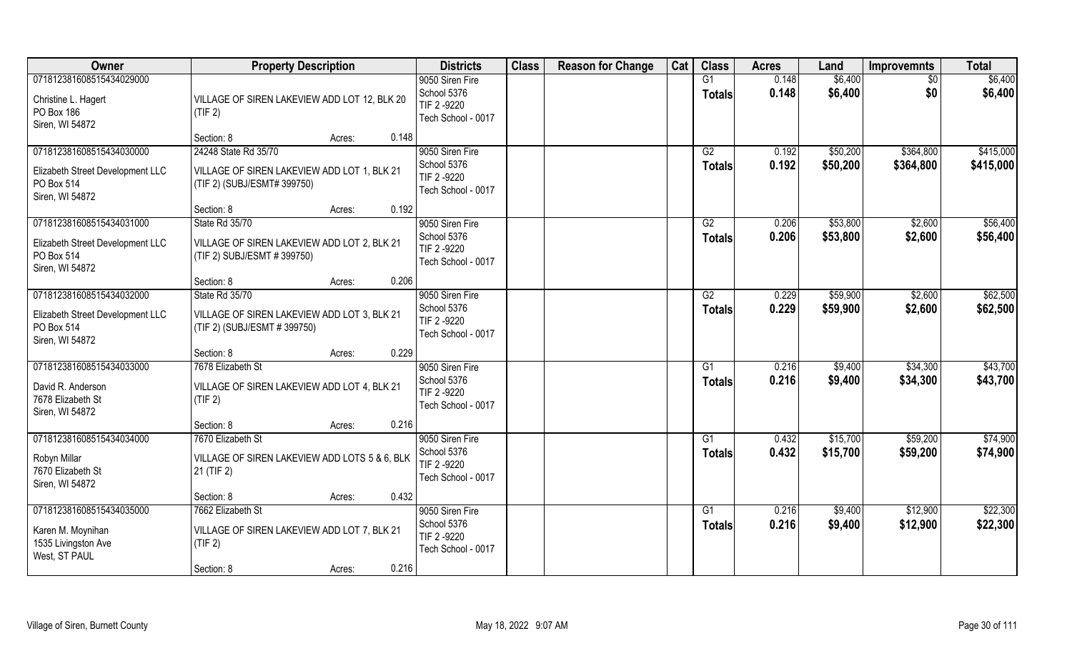| Owner                                          | <b>Property Description</b>                                               | <b>Districts</b>                  | <b>Class</b> | <b>Reason for Change</b> | Cat | <b>Class</b>  | <b>Acres</b>   | Land     | <b>Improvemnts</b>   | <b>Total</b> |
|------------------------------------------------|---------------------------------------------------------------------------|-----------------------------------|--------------|--------------------------|-----|---------------|----------------|----------|----------------------|--------------|
| 071812381608515434029000                       |                                                                           | 9050 Siren Fire                   |              |                          |     | G1            | 0.148          | \$6,400  | \$0                  | \$6,400      |
| Christine L. Hagert                            | VILLAGE OF SIREN LAKEVIEW ADD LOT 12, BLK 20                              | School 5376<br>TIF 2 -9220        |              |                          |     | <b>Totals</b> | 0.148          | \$6,400  | \$0                  | \$6,400      |
| PO Box 186                                     | (TIF 2)                                                                   | Tech School - 0017                |              |                          |     |               |                |          |                      |              |
| Siren, WI 54872                                | 0.148<br>Section: 8<br>Acres:                                             |                                   |              |                          |     |               |                |          |                      |              |
| 071812381608515434030000                       | 24248 State Rd 35/70                                                      | 9050 Siren Fire                   |              |                          |     | G2            | 0.192          | \$50,200 | \$364,800            | \$415,000    |
| Elizabeth Street Development LLC               | VILLAGE OF SIREN LAKEVIEW ADD LOT 1, BLK 21                               | School 5376                       |              |                          |     | <b>Totals</b> | 0.192          | \$50,200 | \$364,800            | \$415,000    |
| PO Box 514                                     | (TIF 2) (SUBJ/ESMT# 399750)                                               | TIF 2-9220<br>Tech School - 0017  |              |                          |     |               |                |          |                      |              |
| Siren, WI 54872                                |                                                                           |                                   |              |                          |     |               |                |          |                      |              |
| 071812381608515434031000                       | 0.192<br>Section: 8<br>Acres:<br>State Rd 35/70                           | 9050 Siren Fire                   |              |                          |     | G2            | 0.206          | \$53,800 | \$2,600              | \$56,400     |
|                                                |                                                                           | School 5376                       |              |                          |     | <b>Totals</b> | 0.206          | \$53,800 | \$2,600              | \$56,400     |
| Elizabeth Street Development LLC<br>PO Box 514 | VILLAGE OF SIREN LAKEVIEW ADD LOT 2, BLK 21<br>(TIF 2) SUBJ/ESMT #399750) | TIF 2-9220                        |              |                          |     |               |                |          |                      |              |
| Siren, WI 54872                                |                                                                           | Tech School - 0017                |              |                          |     |               |                |          |                      |              |
|                                                | 0.206<br>Section: 8<br>Acres:                                             |                                   |              |                          |     |               |                |          |                      |              |
| 071812381608515434032000                       | State Rd 35/70                                                            | 9050 Siren Fire                   |              |                          |     | G2            | 0.229          | \$59,900 | \$2,600              | \$62,500     |
| Elizabeth Street Development LLC               | VILLAGE OF SIREN LAKEVIEW ADD LOT 3, BLK 21                               | School 5376<br>TIF 2 -9220        |              |                          |     | <b>Totals</b> | 0.229          | \$59,900 | \$2,600              | \$62,500     |
| PO Box 514<br>Siren, WI 54872                  | (TIF 2) (SUBJ/ESMT #399750)                                               | Tech School - 0017                |              |                          |     |               |                |          |                      |              |
|                                                | 0.229<br>Section: 8<br>Acres:                                             |                                   |              |                          |     |               |                |          |                      |              |
| 071812381608515434033000                       | 7678 Elizabeth St                                                         | 9050 Siren Fire                   |              |                          |     | G1            | 0.216          | \$9,400  | \$34,300             | \$43,700     |
| David R. Anderson                              | VILLAGE OF SIREN LAKEVIEW ADD LOT 4, BLK 21                               | School 5376                       |              |                          |     | <b>Totals</b> | 0.216          | \$9,400  | \$34,300             | \$43,700     |
| 7678 Elizabeth St                              | (TIF 2)                                                                   | TIF 2 -9220<br>Tech School - 0017 |              |                          |     |               |                |          |                      |              |
| Siren, WI 54872                                |                                                                           |                                   |              |                          |     |               |                |          |                      |              |
| 071812381608515434034000                       | 0.216<br>Section: 8<br>Acres:<br>7670 Elizabeth St                        | 9050 Siren Fire                   |              |                          |     | G1            | 0.432          | \$15,700 | \$59,200             | \$74,900     |
|                                                |                                                                           | School 5376                       |              |                          |     | <b>Totals</b> | 0.432          | \$15,700 | \$59,200             | \$74,900     |
| Robyn Millar<br>7670 Elizabeth St              | VILLAGE OF SIREN LAKEVIEW ADD LOTS 5 & 6, BLK<br>21 (TIF 2)               | TIF 2 -9220                       |              |                          |     |               |                |          |                      |              |
| Siren, WI 54872                                |                                                                           | Tech School - 0017                |              |                          |     |               |                |          |                      |              |
|                                                | 0.432<br>Section: 8<br>Acres:                                             |                                   |              |                          |     |               |                |          |                      |              |
| 071812381608515434035000                       | 7662 Elizabeth St                                                         | 9050 Siren Fire<br>School 5376    |              |                          |     | G1            | 0.216<br>0.216 | \$9,400  | \$12,900<br>\$12,900 | \$22,300     |
| Karen M. Moynihan                              | VILLAGE OF SIREN LAKEVIEW ADD LOT 7, BLK 21                               | TIF 2-9220                        |              |                          |     | <b>Totals</b> |                | \$9,400  |                      | \$22,300     |
| 1535 Livingston Ave<br>West, ST PAUL           | (TIF 2)                                                                   | Tech School - 0017                |              |                          |     |               |                |          |                      |              |
|                                                | 0.216<br>Section: 8<br>Acres:                                             |                                   |              |                          |     |               |                |          |                      |              |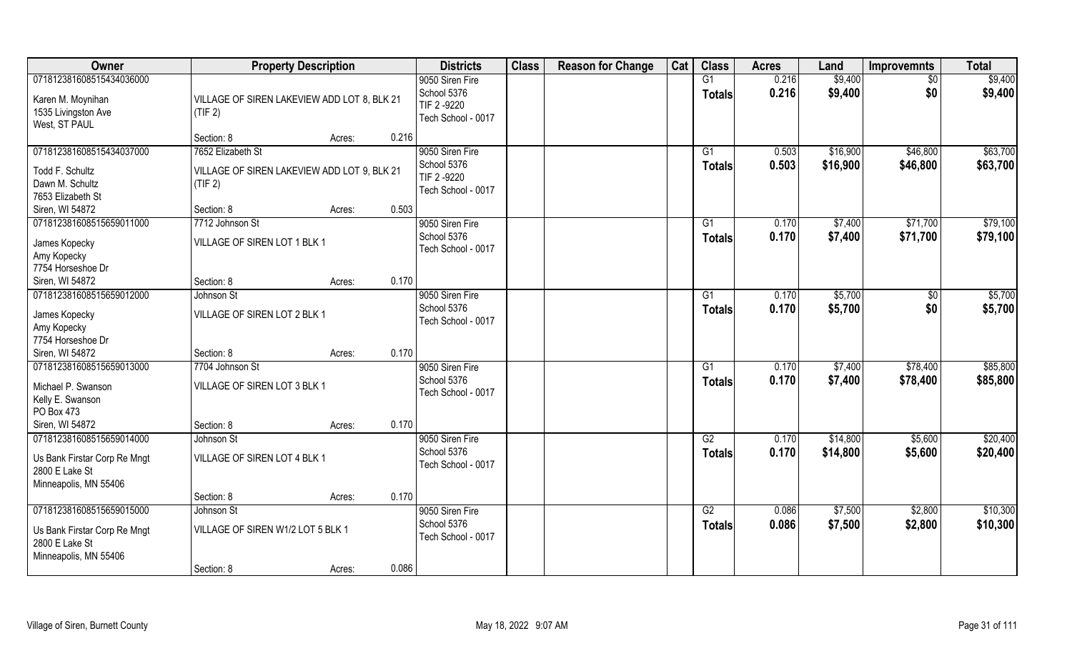| Owner                                                                                               | <b>Property Description</b>                                                 |                 | <b>Districts</b>                                                    | <b>Class</b> | <b>Reason for Change</b> | Cat | <b>Class</b>                     | <b>Acres</b>   | Land                 | <b>Improvemnts</b>   | <b>Total</b>         |
|-----------------------------------------------------------------------------------------------------|-----------------------------------------------------------------------------|-----------------|---------------------------------------------------------------------|--------------|--------------------------|-----|----------------------------------|----------------|----------------------|----------------------|----------------------|
| 071812381608515434036000<br>Karen M. Moynihan<br>1535 Livingston Ave<br>West, ST PAUL               | VILLAGE OF SIREN LAKEVIEW ADD LOT 8, BLK 21<br>(TIF 2)                      |                 | 9050 Siren Fire<br>School 5376<br>TIF 2-9220<br>Tech School - 0017  |              |                          |     | G1<br><b>Totals</b>              | 0.216<br>0.216 | \$9,400<br>\$9,400   | $\sqrt{$0}$<br>\$0   | \$9,400<br>\$9,400   |
|                                                                                                     | Section: 8                                                                  | 0.216<br>Acres: |                                                                     |              |                          |     |                                  |                |                      |                      |                      |
| 071812381608515434037000<br>Todd F. Schultz<br>Dawn M. Schultz<br>7653 Elizabeth St                 | 7652 Elizabeth St<br>VILLAGE OF SIREN LAKEVIEW ADD LOT 9, BLK 21<br>(TIF 2) |                 | 9050 Siren Fire<br>School 5376<br>TIF 2 -9220<br>Tech School - 0017 |              |                          |     | G1<br><b>Totals</b>              | 0.503<br>0.503 | \$16,900<br>\$16,900 | \$46,800<br>\$46,800 | \$63,700<br>\$63,700 |
| Siren, WI 54872                                                                                     | Section: 8                                                                  | 0.503<br>Acres: |                                                                     |              |                          |     |                                  |                |                      |                      |                      |
| 071812381608515659011000<br>James Kopecky<br>Amy Kopecky<br>7754 Horseshoe Dr                       | 7712 Johnson St<br>VILLAGE OF SIREN LOT 1 BLK 1                             |                 | 9050 Siren Fire<br>School 5376<br>Tech School - 0017                |              |                          |     | G1<br><b>Totals</b>              | 0.170<br>0.170 | \$7,400<br>\$7,400   | \$71,700<br>\$71,700 | \$79,100<br>\$79,100 |
| Siren, WI 54872                                                                                     | Section: 8                                                                  | 0.170<br>Acres: |                                                                     |              |                          |     |                                  |                |                      |                      |                      |
| 071812381608515659012000<br>James Kopecky<br>Amy Kopecky<br>7754 Horseshoe Dr                       | Johnson St<br>VILLAGE OF SIREN LOT 2 BLK 1                                  |                 | 9050 Siren Fire<br>School 5376<br>Tech School - 0017                |              |                          |     | G1<br><b>Totals</b>              | 0.170<br>0.170 | \$5,700<br>\$5,700   | \$0<br>\$0           | \$5,700<br>\$5,700   |
| Siren, WI 54872                                                                                     | Section: 8                                                                  | 0.170<br>Acres: |                                                                     |              |                          |     |                                  |                |                      |                      |                      |
| 071812381608515659013000<br>Michael P. Swanson<br>Kelly E. Swanson<br>PO Box 473                    | 7704 Johnson St<br>VILLAGE OF SIREN LOT 3 BLK 1                             |                 | 9050 Siren Fire<br>School 5376<br>Tech School - 0017                |              |                          |     | $\overline{G1}$<br><b>Totals</b> | 0.170<br>0.170 | \$7,400<br>\$7,400   | \$78,400<br>\$78,400 | \$85,800<br>\$85,800 |
| Siren, WI 54872                                                                                     | Section: 8                                                                  | 0.170<br>Acres: |                                                                     |              |                          |     |                                  |                |                      |                      |                      |
| 071812381608515659014000<br>Us Bank Firstar Corp Re Mngt<br>2800 E Lake St<br>Minneapolis, MN 55406 | Johnson St<br>VILLAGE OF SIREN LOT 4 BLK 1                                  |                 | 9050 Siren Fire<br>School 5376<br>Tech School - 0017                |              |                          |     | G2<br><b>Totals</b>              | 0.170<br>0.170 | \$14,800<br>\$14,800 | \$5,600<br>\$5,600   | \$20,400<br>\$20,400 |
|                                                                                                     | Section: 8                                                                  | 0.170<br>Acres: |                                                                     |              |                          |     |                                  |                |                      |                      |                      |
| 071812381608515659015000<br>Us Bank Firstar Corp Re Mngt<br>2800 E Lake St<br>Minneapolis, MN 55406 | Johnson St<br>VILLAGE OF SIREN W1/2 LOT 5 BLK 1<br>Section: 8               | 0.086<br>Acres: | 9050 Siren Fire<br>School 5376<br>Tech School - 0017                |              |                          |     | G2<br>Totals                     | 0.086<br>0.086 | \$7,500<br>\$7,500   | \$2,800<br>\$2,800   | \$10,300<br>\$10,300 |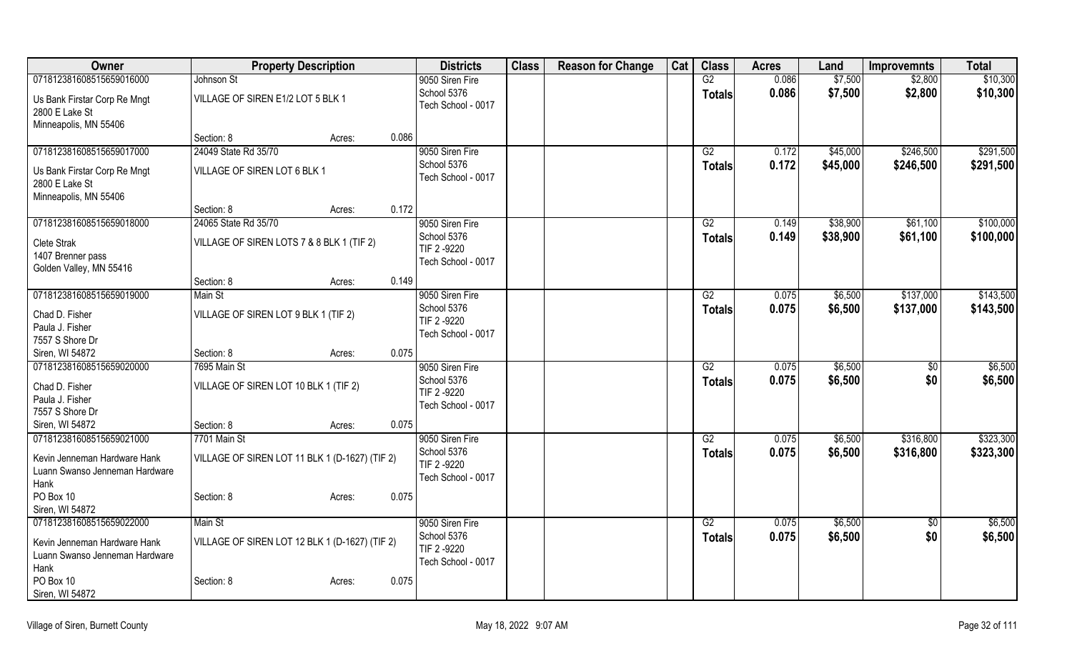| Owner                                  | <b>Property Description</b>                    |        |       | <b>Districts</b>               | <b>Class</b> | <b>Reason for Change</b> | Cat | <b>Class</b>    | <b>Acres</b>   | Land               | <b>Improvemnts</b>     | <b>Total</b> |
|----------------------------------------|------------------------------------------------|--------|-------|--------------------------------|--------------|--------------------------|-----|-----------------|----------------|--------------------|------------------------|--------------|
| 071812381608515659016000               | Johnson St                                     |        |       | 9050 Siren Fire                |              |                          |     | G2              | 0.086          | \$7,500            | \$2,800                | \$10,300     |
| Us Bank Firstar Corp Re Mngt           | VILLAGE OF SIREN E1/2 LOT 5 BLK 1              |        |       | School 5376                    |              |                          |     | <b>Totals</b>   | 0.086          | \$7,500            | \$2,800                | \$10,300     |
| 2800 E Lake St                         |                                                |        |       | Tech School - 0017             |              |                          |     |                 |                |                    |                        |              |
| Minneapolis, MN 55406                  |                                                |        |       |                                |              |                          |     |                 |                |                    |                        |              |
|                                        | Section: 8                                     | Acres: | 0.086 |                                |              |                          |     |                 |                |                    |                        |              |
| 071812381608515659017000               | 24049 State Rd 35/70                           |        |       | 9050 Siren Fire                |              |                          |     | G2              | 0.172          | \$45,000           | \$246,500              | \$291,500    |
| Us Bank Firstar Corp Re Mngt           | VILLAGE OF SIREN LOT 6 BLK 1                   |        |       | School 5376                    |              |                          |     | <b>Totals</b>   | 0.172          | \$45,000           | \$246,500              | \$291,500    |
| 2800 E Lake St                         |                                                |        |       | Tech School - 0017             |              |                          |     |                 |                |                    |                        |              |
| Minneapolis, MN 55406                  |                                                |        |       |                                |              |                          |     |                 |                |                    |                        |              |
|                                        | Section: 8                                     | Acres: | 0.172 |                                |              |                          |     |                 |                |                    |                        |              |
| 071812381608515659018000               | 24065 State Rd 35/70                           |        |       | 9050 Siren Fire                |              |                          |     | G2              | 0.149          | \$38,900           | \$61,100               | \$100,000    |
| Clete Strak                            | VILLAGE OF SIREN LOTS 7 & 8 BLK 1 (TIF 2)      |        |       | School 5376<br>TIF 2-9220      |              |                          |     | <b>Totals</b>   | 0.149          | \$38,900           | \$61,100               | \$100,000    |
| 1407 Brenner pass                      |                                                |        |       | Tech School - 0017             |              |                          |     |                 |                |                    |                        |              |
| Golden Valley, MN 55416                |                                                |        |       |                                |              |                          |     |                 |                |                    |                        |              |
|                                        | Section: 8                                     | Acres: | 0.149 |                                |              |                          |     |                 |                |                    |                        |              |
| 071812381608515659019000               | Main St                                        |        |       | 9050 Siren Fire                |              |                          |     | G2              | 0.075          | \$6,500            | \$137,000              | \$143,500    |
| Chad D. Fisher                         | VILLAGE OF SIREN LOT 9 BLK 1 (TIF 2)           |        |       | School 5376<br>TIF 2 -9220     |              |                          |     | <b>Totals</b>   | 0.075          | \$6,500            | \$137,000              | \$143,500    |
| Paula J. Fisher                        |                                                |        |       | Tech School - 0017             |              |                          |     |                 |                |                    |                        |              |
| 7557 S Shore Dr                        |                                                |        |       |                                |              |                          |     |                 |                |                    |                        |              |
| Siren, WI 54872                        | Section: 8                                     | Acres: | 0.075 |                                |              |                          |     |                 |                |                    |                        |              |
| 071812381608515659020000               | 7695 Main St                                   |        |       | 9050 Siren Fire<br>School 5376 |              |                          |     | $\overline{G2}$ | 0.075          | \$6,500            | \$0                    | \$6,500      |
| Chad D. Fisher                         | VILLAGE OF SIREN LOT 10 BLK 1 (TIF 2)          |        |       | TIF 2 -9220                    |              |                          |     | <b>Totals</b>   | 0.075          | \$6,500            | \$0                    | \$6,500      |
| Paula J. Fisher                        |                                                |        |       | Tech School - 0017             |              |                          |     |                 |                |                    |                        |              |
| 7557 S Shore Dr                        |                                                |        |       |                                |              |                          |     |                 |                |                    |                        |              |
| Siren, WI 54872                        | Section: 8                                     | Acres: | 0.075 |                                |              |                          |     |                 |                |                    |                        |              |
| 071812381608515659021000               | 7701 Main St                                   |        |       | 9050 Siren Fire<br>School 5376 |              |                          |     | G2              | 0.075<br>0.075 | \$6,500<br>\$6,500 | \$316,800<br>\$316,800 | \$323,300    |
| Kevin Jenneman Hardware Hank           | VILLAGE OF SIREN LOT 11 BLK 1 (D-1627) (TIF 2) |        |       | TIF 2 -9220                    |              |                          |     | <b>Totals</b>   |                |                    |                        | \$323,300    |
| Luann Swanso Jenneman Hardware         |                                                |        |       | Tech School - 0017             |              |                          |     |                 |                |                    |                        |              |
| Hank<br>PO Box 10                      |                                                |        | 0.075 |                                |              |                          |     |                 |                |                    |                        |              |
| Siren, WI 54872                        | Section: 8                                     | Acres: |       |                                |              |                          |     |                 |                |                    |                        |              |
| 071812381608515659022000               | Main St                                        |        |       | 9050 Siren Fire                |              |                          |     | G2              | 0.075          | \$6,500            | $\sqrt{6}$             | \$6,500      |
|                                        |                                                |        |       | School 5376                    |              |                          |     | <b>Totals</b>   | 0.075          | \$6,500            | \$0                    | \$6,500      |
| Kevin Jenneman Hardware Hank           | VILLAGE OF SIREN LOT 12 BLK 1 (D-1627) (TIF 2) |        |       | TIF 2 -9220                    |              |                          |     |                 |                |                    |                        |              |
| Luann Swanso Jenneman Hardware<br>Hank |                                                |        |       | Tech School - 0017             |              |                          |     |                 |                |                    |                        |              |
| PO Box 10                              | Section: 8                                     | Acres: | 0.075 |                                |              |                          |     |                 |                |                    |                        |              |
| Siren, WI 54872                        |                                                |        |       |                                |              |                          |     |                 |                |                    |                        |              |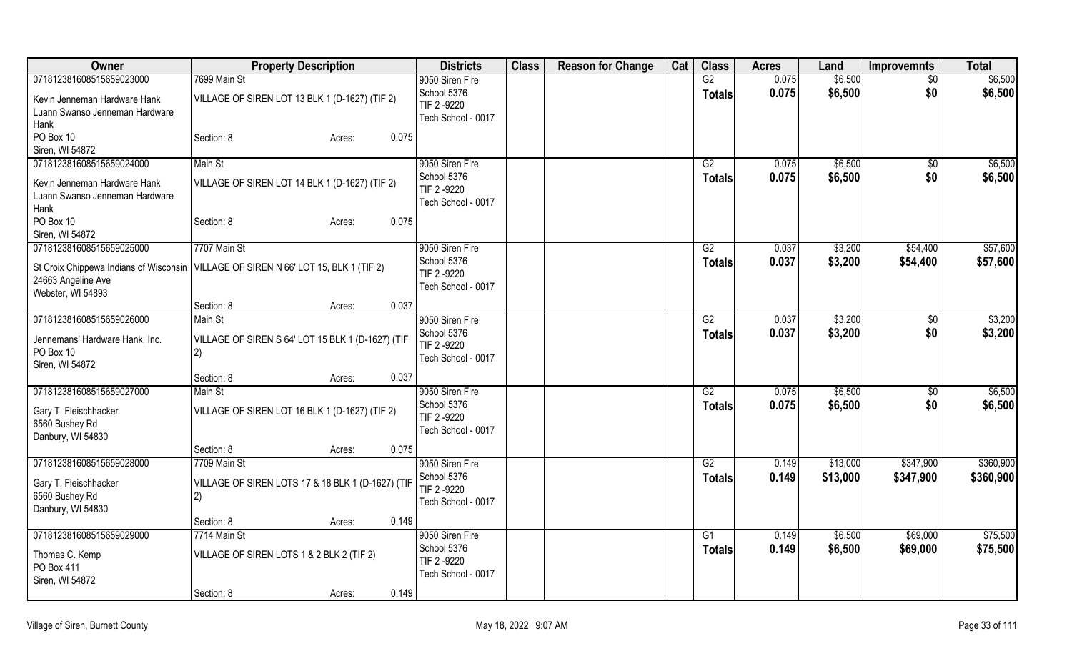| Owner                                   | <b>Property Description</b>                                                           | <b>Districts</b>           | <b>Class</b> | <b>Reason for Change</b> | Cat | <b>Class</b>    | <b>Acres</b> | Land     | <b>Improvemnts</b> | <b>Total</b> |
|-----------------------------------------|---------------------------------------------------------------------------------------|----------------------------|--------------|--------------------------|-----|-----------------|--------------|----------|--------------------|--------------|
| 071812381608515659023000                | 7699 Main St                                                                          | 9050 Siren Fire            |              |                          |     | G2              | 0.075        | \$6,500  | $\overline{50}$    | \$6,500      |
| Kevin Jenneman Hardware Hank            | VILLAGE OF SIREN LOT 13 BLK 1 (D-1627) (TIF 2)                                        | School 5376                |              |                          |     | <b>Totals</b>   | 0.075        | \$6,500  | \$0                | \$6,500      |
| Luann Swanso Jenneman Hardware          |                                                                                       | TIF 2-9220                 |              |                          |     |                 |              |          |                    |              |
| Hank                                    |                                                                                       | Tech School - 0017         |              |                          |     |                 |              |          |                    |              |
| PO Box 10                               | Section: 8<br>0.075<br>Acres:                                                         |                            |              |                          |     |                 |              |          |                    |              |
| Siren, WI 54872                         |                                                                                       |                            |              |                          |     |                 |              |          |                    |              |
| 071812381608515659024000                | Main St                                                                               | 9050 Siren Fire            |              |                          |     | G2              | 0.075        | \$6,500  | $\overline{50}$    | \$6,500      |
| Kevin Jenneman Hardware Hank            | VILLAGE OF SIREN LOT 14 BLK 1 (D-1627) (TIF 2)                                        | School 5376                |              |                          |     | <b>Totals</b>   | 0.075        | \$6,500  | \$0                | \$6,500      |
| Luann Swanso Jenneman Hardware          |                                                                                       | TIF 2 -9220                |              |                          |     |                 |              |          |                    |              |
| Hank                                    |                                                                                       | Tech School - 0017         |              |                          |     |                 |              |          |                    |              |
| PO Box 10                               | 0.075<br>Section: 8<br>Acres:                                                         |                            |              |                          |     |                 |              |          |                    |              |
| Siren, WI 54872                         |                                                                                       |                            |              |                          |     |                 |              |          |                    |              |
| 071812381608515659025000                | 7707 Main St                                                                          | 9050 Siren Fire            |              |                          |     | G2              | 0.037        | \$3,200  | \$54,400           | \$57,600     |
|                                         |                                                                                       | School 5376                |              |                          |     | <b>Totals</b>   | 0.037        | \$3,200  | \$54,400           | \$57,600     |
|                                         | St Croix Chippewa Indians of Wisconsin   VILLAGE OF SIREN N 66' LOT 15, BLK 1 (TIF 2) | TIF 2 -9220                |              |                          |     |                 |              |          |                    |              |
| 24663 Angeline Ave                      |                                                                                       | Tech School - 0017         |              |                          |     |                 |              |          |                    |              |
| Webster, WI 54893                       |                                                                                       |                            |              |                          |     |                 |              |          |                    |              |
|                                         | 0.037<br>Section: 8<br>Acres:                                                         |                            |              |                          |     |                 |              |          |                    |              |
| 071812381608515659026000                | Main St                                                                               | 9050 Siren Fire            |              |                          |     | G2              | 0.037        | \$3,200  | $\sqrt{6}$         | \$3,200      |
| Jennemans' Hardware Hank, Inc.          | VILLAGE OF SIREN S 64' LOT 15 BLK 1 (D-1627) (TIF                                     | School 5376<br>TIF 2 -9220 |              |                          |     | <b>Totals</b>   | 0.037        | \$3,200  | \$0                | \$3,200      |
| PO Box 10                               | 2)                                                                                    | Tech School - 0017         |              |                          |     |                 |              |          |                    |              |
| Siren, WI 54872                         |                                                                                       |                            |              |                          |     |                 |              |          |                    |              |
|                                         | 0.037<br>Section: 8<br>Acres:                                                         |                            |              |                          |     |                 |              |          |                    |              |
| 071812381608515659027000                | Main St                                                                               | 9050 Siren Fire            |              |                          |     | G2              | 0.075        | \$6,500  | \$0                | \$6,500      |
| Gary T. Fleischhacker                   | VILLAGE OF SIREN LOT 16 BLK 1 (D-1627) (TIF 2)                                        | School 5376                |              |                          |     | <b>Totals</b>   | 0.075        | \$6,500  | \$0                | \$6,500      |
| 6560 Bushey Rd                          |                                                                                       | TIF 2-9220                 |              |                          |     |                 |              |          |                    |              |
| Danbury, WI 54830                       |                                                                                       | Tech School - 0017         |              |                          |     |                 |              |          |                    |              |
|                                         | Section: 8<br>0.075<br>Acres:                                                         |                            |              |                          |     |                 |              |          |                    |              |
| 071812381608515659028000                | 7709 Main St                                                                          | 9050 Siren Fire            |              |                          |     | $\overline{G2}$ | 0.149        | \$13,000 | \$347,900          | \$360,900    |
|                                         |                                                                                       | School 5376                |              |                          |     | <b>Totals</b>   | 0.149        | \$13,000 | \$347,900          | \$360,900    |
| Gary T. Fleischhacker<br>6560 Bushey Rd | VILLAGE OF SIREN LOTS 17 & 18 BLK 1 (D-1627) (TIF                                     | TIF 2 -9220                |              |                          |     |                 |              |          |                    |              |
| Danbury, WI 54830                       | 2)                                                                                    | Tech School - 0017         |              |                          |     |                 |              |          |                    |              |
|                                         | 0.149<br>Section: 8<br>Acres:                                                         |                            |              |                          |     |                 |              |          |                    |              |
| 071812381608515659029000                | 7714 Main St                                                                          | 9050 Siren Fire            |              |                          |     | G1              | 0.149        | \$6,500  | \$69,000           | \$75,500     |
|                                         |                                                                                       | School 5376                |              |                          |     | Totals          | 0.149        | \$6,500  | \$69,000           | \$75,500     |
| Thomas C. Kemp                          | VILLAGE OF SIREN LOTS 1 & 2 BLK 2 (TIF 2)                                             | TIF 2 -9220                |              |                          |     |                 |              |          |                    |              |
| PO Box 411                              |                                                                                       | Tech School - 0017         |              |                          |     |                 |              |          |                    |              |
| Siren, WI 54872                         |                                                                                       |                            |              |                          |     |                 |              |          |                    |              |
|                                         | 0.149<br>Section: 8<br>Acres:                                                         |                            |              |                          |     |                 |              |          |                    |              |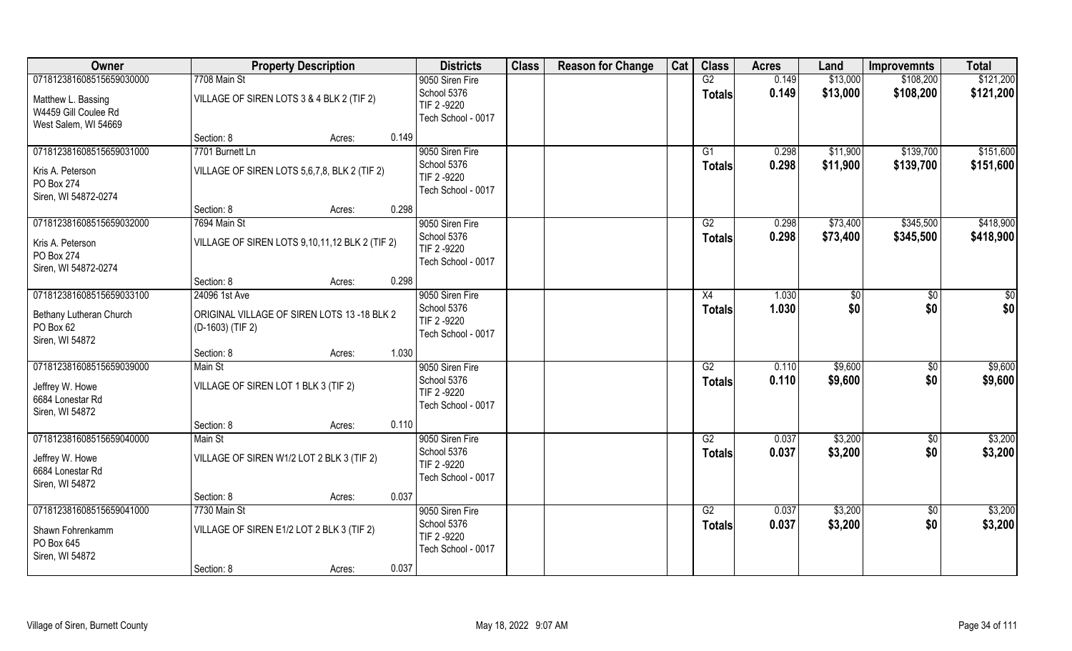| Owner                                                                                          | <b>Property Description</b>                                                                                                      | <b>Districts</b>                                                    | <b>Class</b> | <b>Reason for Change</b> | Cat | <b>Class</b>        | <b>Acres</b>   | Land                 | <b>Improvemnts</b>     | <b>Total</b>           |
|------------------------------------------------------------------------------------------------|----------------------------------------------------------------------------------------------------------------------------------|---------------------------------------------------------------------|--------------|--------------------------|-----|---------------------|----------------|----------------------|------------------------|------------------------|
| 071812381608515659030000<br>Matthew L. Bassing<br>W4459 Gill Coulee Rd<br>West Salem, WI 54669 | 7708 Main St<br>VILLAGE OF SIREN LOTS 3 & 4 BLK 2 (TIF 2)                                                                        | 9050 Siren Fire<br>School 5376<br>TIF 2 -9220<br>Tech School - 0017 |              |                          |     | G2<br><b>Totals</b> | 0.149<br>0.149 | \$13,000<br>\$13,000 | \$108,200<br>\$108,200 | \$121,200<br>\$121,200 |
| 071812381608515659031000<br>Kris A. Peterson<br>PO Box 274<br>Siren, WI 54872-0274             | 0.149<br>Section: 8<br>Acres:<br>7701 Burnett Ln<br>VILLAGE OF SIREN LOTS 5,6,7,8, BLK 2 (TIF 2)                                 | 9050 Siren Fire<br>School 5376<br>TIF 2 -9220<br>Tech School - 0017 |              |                          |     | G1<br>Totals        | 0.298<br>0.298 | \$11,900<br>\$11,900 | \$139,700<br>\$139,700 | \$151,600<br>\$151,600 |
| 071812381608515659032000<br>Kris A. Peterson<br>PO Box 274<br>Siren, WI 54872-0274             | 0.298<br>Section: 8<br>Acres:<br>7694 Main St<br>VILLAGE OF SIREN LOTS 9,10,11,12 BLK 2 (TIF 2)<br>0.298<br>Section: 8<br>Acres: | 9050 Siren Fire<br>School 5376<br>TIF 2 -9220<br>Tech School - 0017 |              |                          |     | G2<br><b>Totals</b> | 0.298<br>0.298 | \$73,400<br>\$73,400 | \$345,500<br>\$345,500 | \$418,900<br>\$418,900 |
| 071812381608515659033100<br>Bethany Lutheran Church<br>PO Box 62<br>Siren, WI 54872            | 24096 1st Ave<br>ORIGINAL VILLAGE OF SIREN LOTS 13 -18 BLK 2<br>(D-1603) (TIF 2)<br>1.030<br>Section: 8<br>Acres:                | 9050 Siren Fire<br>School 5376<br>TIF 2 -9220<br>Tech School - 0017 |              |                          |     | X4<br><b>Totals</b> | 1.030<br>1.030 | \$0<br>\$0           | $\sqrt{50}$<br>\$0     | $\frac{6}{3}$<br>\$0   |
| 071812381608515659039000<br>Jeffrey W. Howe<br>6684 Lonestar Rd<br>Siren, WI 54872             | Main St<br>VILLAGE OF SIREN LOT 1 BLK 3 (TIF 2)<br>0.110                                                                         | 9050 Siren Fire<br>School 5376<br>TIF 2 -9220<br>Tech School - 0017 |              |                          |     | G2<br><b>Totals</b> | 0.110<br>0.110 | \$9,600<br>\$9,600   | \$0<br>\$0             | \$9,600<br>\$9,600     |
| 071812381608515659040000<br>Jeffrey W. Howe<br>6684 Lonestar Rd<br>Siren, WI 54872             | Section: 8<br>Acres:<br>Main St<br>VILLAGE OF SIREN W1/2 LOT 2 BLK 3 (TIF 2)<br>0.037<br>Section: 8<br>Acres:                    | 9050 Siren Fire<br>School 5376<br>TIF 2 -9220<br>Tech School - 0017 |              |                          |     | G2<br><b>Totals</b> | 0.037<br>0.037 | \$3,200<br>\$3,200   | \$0<br>\$0             | \$3,200<br>\$3,200     |
| 071812381608515659041000<br>Shawn Fohrenkamm<br>PO Box 645<br>Siren, WI 54872                  | 7730 Main St<br>VILLAGE OF SIREN E1/2 LOT 2 BLK 3 (TIF 2)<br>0.037<br>Section: 8<br>Acres:                                       | 9050 Siren Fire<br>School 5376<br>TIF 2 -9220<br>Tech School - 0017 |              |                          |     | G2<br><b>Totals</b> | 0.037<br>0.037 | \$3,200<br>\$3,200   | $\sqrt{6}$<br>\$0      | \$3,200<br>\$3,200     |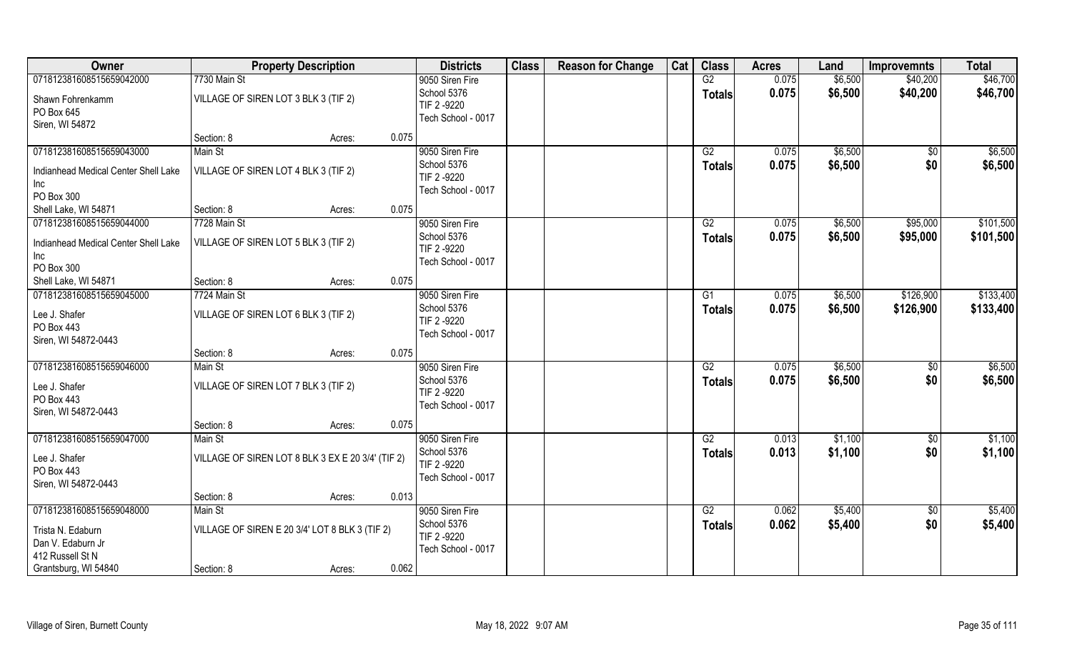| Owner                                | <b>Property Description</b>                       |                 | <b>Districts</b>   | <b>Class</b> | <b>Reason for Change</b> | Cat | <b>Class</b>    | <b>Acres</b> | Land    | <b>Improvemnts</b> | <b>Total</b> |
|--------------------------------------|---------------------------------------------------|-----------------|--------------------|--------------|--------------------------|-----|-----------------|--------------|---------|--------------------|--------------|
| 071812381608515659042000             | 7730 Main St                                      |                 | 9050 Siren Fire    |              |                          |     | G2              | 0.075        | \$6,500 | \$40,200           | \$46,700     |
| Shawn Fohrenkamm                     | VILLAGE OF SIREN LOT 3 BLK 3 (TIF 2)              |                 | School 5376        |              |                          |     | <b>Totals</b>   | 0.075        | \$6,500 | \$40,200           | \$46,700     |
| PO Box 645                           |                                                   |                 | TIF 2 -9220        |              |                          |     |                 |              |         |                    |              |
| Siren, WI 54872                      |                                                   |                 | Tech School - 0017 |              |                          |     |                 |              |         |                    |              |
|                                      | Section: 8                                        | 0.075<br>Acres: |                    |              |                          |     |                 |              |         |                    |              |
| 071812381608515659043000             | Main St                                           |                 | 9050 Siren Fire    |              |                          |     | G2              | 0.075        | \$6,500 | \$0                | \$6,500      |
|                                      |                                                   |                 | School 5376        |              |                          |     | <b>Totals</b>   | 0.075        | \$6,500 | \$0                | \$6,500      |
| Indianhead Medical Center Shell Lake | VILLAGE OF SIREN LOT 4 BLK 3 (TIF 2)              |                 | TIF 2 -9220        |              |                          |     |                 |              |         |                    |              |
| Inc<br>PO Box 300                    |                                                   |                 | Tech School - 0017 |              |                          |     |                 |              |         |                    |              |
| Shell Lake, WI 54871                 | Section: 8                                        | 0.075<br>Acres: |                    |              |                          |     |                 |              |         |                    |              |
| 071812381608515659044000             | 7728 Main St                                      |                 | 9050 Siren Fire    |              |                          |     | G2              | 0.075        | \$6,500 | \$95,000           | \$101,500    |
|                                      |                                                   |                 | School 5376        |              |                          |     |                 |              |         |                    |              |
| Indianhead Medical Center Shell Lake | VILLAGE OF SIREN LOT 5 BLK 3 (TIF 2)              |                 | TIF 2-9220         |              |                          |     | <b>Totals</b>   | 0.075        | \$6,500 | \$95,000           | \$101,500    |
| Inc                                  |                                                   |                 | Tech School - 0017 |              |                          |     |                 |              |         |                    |              |
| PO Box 300                           |                                                   |                 |                    |              |                          |     |                 |              |         |                    |              |
| Shell Lake, WI 54871                 | Section: 8                                        | 0.075<br>Acres: |                    |              |                          |     |                 |              |         |                    |              |
| 071812381608515659045000             | 7724 Main St                                      |                 | 9050 Siren Fire    |              |                          |     | G1              | 0.075        | \$6,500 | \$126,900          | \$133,400    |
| Lee J. Shafer                        | VILLAGE OF SIREN LOT 6 BLK 3 (TIF 2)              |                 | School 5376        |              |                          |     | <b>Totals</b>   | 0.075        | \$6,500 | \$126,900          | \$133,400    |
| PO Box 443                           |                                                   |                 | TIF 2 -9220        |              |                          |     |                 |              |         |                    |              |
| Siren, WI 54872-0443                 |                                                   |                 | Tech School - 0017 |              |                          |     |                 |              |         |                    |              |
|                                      | Section: 8                                        | 0.075<br>Acres: |                    |              |                          |     |                 |              |         |                    |              |
| 071812381608515659046000             | Main St                                           |                 | 9050 Siren Fire    |              |                          |     | $\overline{G2}$ | 0.075        | \$6,500 | $\sqrt[6]{}$       | \$6,500      |
|                                      |                                                   |                 | School 5376        |              |                          |     | <b>Totals</b>   | 0.075        | \$6,500 | \$0                | \$6,500      |
| Lee J. Shafer                        | VILLAGE OF SIREN LOT 7 BLK 3 (TIF 2)              |                 | TIF 2 -9220        |              |                          |     |                 |              |         |                    |              |
| PO Box 443                           |                                                   |                 | Tech School - 0017 |              |                          |     |                 |              |         |                    |              |
| Siren, WI 54872-0443                 |                                                   |                 |                    |              |                          |     |                 |              |         |                    |              |
|                                      | Section: 8                                        | 0.075<br>Acres: |                    |              |                          |     |                 |              |         |                    |              |
| 071812381608515659047000             | Main St                                           |                 | 9050 Siren Fire    |              |                          |     | G2              | 0.013        | \$1,100 | $\sqrt{6}$         | \$1,100      |
| Lee J. Shafer                        | VILLAGE OF SIREN LOT 8 BLK 3 EX E 20 3/4' (TIF 2) |                 | School 5376        |              |                          |     | <b>Totals</b>   | 0.013        | \$1,100 | \$0                | \$1,100      |
| PO Box 443                           |                                                   |                 | TIF 2 -9220        |              |                          |     |                 |              |         |                    |              |
| Siren, WI 54872-0443                 |                                                   |                 | Tech School - 0017 |              |                          |     |                 |              |         |                    |              |
|                                      | Section: 8                                        | 0.013<br>Acres: |                    |              |                          |     |                 |              |         |                    |              |
| 071812381608515659048000             | Main St                                           |                 | 9050 Siren Fire    |              |                          |     | G2              | 0.062        | \$5,400 | $\sqrt{6}$         | \$5,400      |
|                                      |                                                   |                 | School 5376        |              |                          |     | <b>Totals</b>   | 0.062        | \$5,400 | \$0                | \$5,400      |
| Trista N. Edaburn                    | VILLAGE OF SIREN E 20 3/4' LOT 8 BLK 3 (TIF 2)    |                 | TIF 2 -9220        |              |                          |     |                 |              |         |                    |              |
| Dan V. Edaburn Jr                    |                                                   |                 | Tech School - 0017 |              |                          |     |                 |              |         |                    |              |
| 412 Russell St N                     |                                                   |                 |                    |              |                          |     |                 |              |         |                    |              |
| Grantsburg, WI 54840                 | Section: 8                                        | 0.062<br>Acres: |                    |              |                          |     |                 |              |         |                    |              |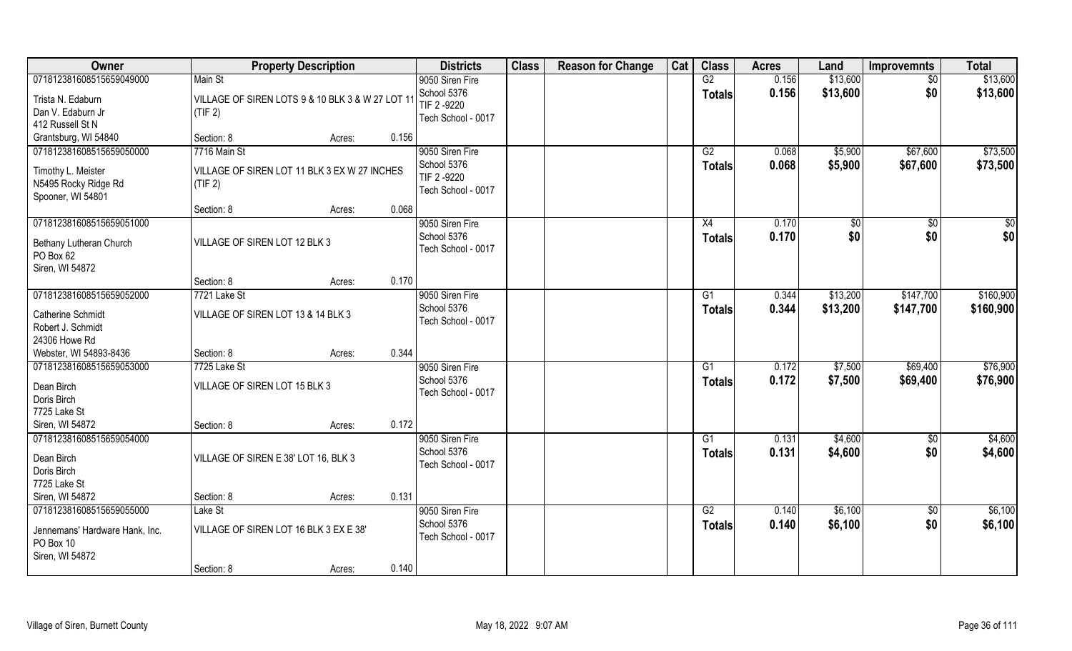| Owner                                              | <b>Property Description</b>                             |        |       | <b>Districts</b>                  | <b>Class</b> | <b>Reason for Change</b> | Cat | <b>Class</b>  | <b>Acres</b> | Land     | <b>Improvemnts</b> | <b>Total</b> |
|----------------------------------------------------|---------------------------------------------------------|--------|-------|-----------------------------------|--------------|--------------------------|-----|---------------|--------------|----------|--------------------|--------------|
| 071812381608515659049000                           | Main St                                                 |        |       | 9050 Siren Fire                   |              |                          |     | G2            | 0.156        | \$13,600 | $\sqrt{6}$         | \$13,600     |
| Trista N. Edaburn                                  | VILLAGE OF SIREN LOTS 9 & 10 BLK 3 & W 27 LOT 1         |        |       | School 5376                       |              |                          |     | <b>Totals</b> | 0.156        | \$13,600 | \$0                | \$13,600     |
| Dan V. Edaburn Jr                                  | (TIF 2)                                                 |        |       | TIF 2 -9220                       |              |                          |     |               |              |          |                    |              |
| 412 Russell St N                                   |                                                         |        |       | Tech School - 0017                |              |                          |     |               |              |          |                    |              |
| Grantsburg, WI 54840                               | Section: 8                                              | Acres: | 0.156 |                                   |              |                          |     |               |              |          |                    |              |
| 071812381608515659050000                           | 7716 Main St                                            |        |       | 9050 Siren Fire                   |              |                          |     | G2            | 0.068        | \$5,900  | \$67,600           | \$73,500     |
|                                                    |                                                         |        |       | School 5376                       |              |                          |     | <b>Totals</b> | 0.068        | \$5,900  | \$67,600           | \$73,500     |
| Timothy L. Meister<br>N5495 Rocky Ridge Rd         | VILLAGE OF SIREN LOT 11 BLK 3 EX W 27 INCHES<br>(TIF 2) |        |       | TIF 2 -9220                       |              |                          |     |               |              |          |                    |              |
| Spooner, WI 54801                                  |                                                         |        |       | Tech School - 0017                |              |                          |     |               |              |          |                    |              |
|                                                    | Section: 8                                              | Acres: | 0.068 |                                   |              |                          |     |               |              |          |                    |              |
| 071812381608515659051000                           |                                                         |        |       | 9050 Siren Fire                   |              |                          |     | X4            | 0.170        | \$0      | $\sqrt{50}$        | $\sqrt{50}$  |
|                                                    | VILLAGE OF SIREN LOT 12 BLK 3                           |        |       | School 5376                       |              |                          |     | <b>Totals</b> | 0.170        | \$0      | \$0                | \$0          |
| Bethany Lutheran Church<br>PO Box 62               |                                                         |        |       | Tech School - 0017                |              |                          |     |               |              |          |                    |              |
| Siren, WI 54872                                    |                                                         |        |       |                                   |              |                          |     |               |              |          |                    |              |
|                                                    | Section: 8                                              | Acres: | 0.170 |                                   |              |                          |     |               |              |          |                    |              |
| 071812381608515659052000                           | 7721 Lake St                                            |        |       | 9050 Siren Fire                   |              |                          |     | G1            | 0.344        | \$13,200 | \$147,700          | \$160,900    |
|                                                    |                                                         |        |       | School 5376                       |              |                          |     | <b>Totals</b> | 0.344        | \$13,200 | \$147,700          | \$160,900    |
| Catherine Schmidt                                  | VILLAGE OF SIREN LOT 13 & 14 BLK 3                      |        |       | Tech School - 0017                |              |                          |     |               |              |          |                    |              |
| Robert J. Schmidt                                  |                                                         |        |       |                                   |              |                          |     |               |              |          |                    |              |
| 24306 Howe Rd                                      |                                                         |        | 0.344 |                                   |              |                          |     |               |              |          |                    |              |
| Webster, WI 54893-8436<br>071812381608515659053000 | Section: 8<br>7725 Lake St                              | Acres: |       |                                   |              |                          |     | G1            | 0.172        |          | \$69,400           | \$76,900     |
|                                                    |                                                         |        |       | 9050 Siren Fire                   |              |                          |     |               |              | \$7,500  |                    |              |
| Dean Birch                                         | VILLAGE OF SIREN LOT 15 BLK 3                           |        |       | School 5376<br>Tech School - 0017 |              |                          |     | <b>Totals</b> | 0.172        | \$7,500  | \$69,400           | \$76,900     |
| Doris Birch                                        |                                                         |        |       |                                   |              |                          |     |               |              |          |                    |              |
| 7725 Lake St                                       |                                                         |        |       |                                   |              |                          |     |               |              |          |                    |              |
| Siren, WI 54872                                    | Section: 8                                              | Acres: | 0.172 |                                   |              |                          |     |               |              |          |                    |              |
| 071812381608515659054000                           |                                                         |        |       | 9050 Siren Fire                   |              |                          |     | G1            | 0.131        | \$4,600  | $\sqrt{$0}$        | \$4,600      |
| Dean Birch                                         | VILLAGE OF SIREN E 38' LOT 16, BLK 3                    |        |       | School 5376                       |              |                          |     | <b>Totals</b> | 0.131        | \$4,600  | \$0                | \$4,600      |
| Doris Birch                                        |                                                         |        |       | Tech School - 0017                |              |                          |     |               |              |          |                    |              |
| 7725 Lake St                                       |                                                         |        |       |                                   |              |                          |     |               |              |          |                    |              |
| Siren, WI 54872                                    | Section: 8                                              | Acres: | 0.131 |                                   |              |                          |     |               |              |          |                    |              |
| 071812381608515659055000                           | Lake St                                                 |        |       | 9050 Siren Fire                   |              |                          |     | G2            | 0.140        | \$6,100  | $\sqrt{$0}$        | \$6,100      |
| Jennemans' Hardware Hank, Inc.                     | VILLAGE OF SIREN LOT 16 BLK 3 EX E 38'                  |        |       | School 5376                       |              |                          |     | <b>Totals</b> | 0.140        | \$6,100  | \$0                | \$6,100      |
| PO Box 10                                          |                                                         |        |       | Tech School - 0017                |              |                          |     |               |              |          |                    |              |
| Siren, WI 54872                                    |                                                         |        |       |                                   |              |                          |     |               |              |          |                    |              |
|                                                    | Section: 8                                              | Acres: | 0.140 |                                   |              |                          |     |               |              |          |                    |              |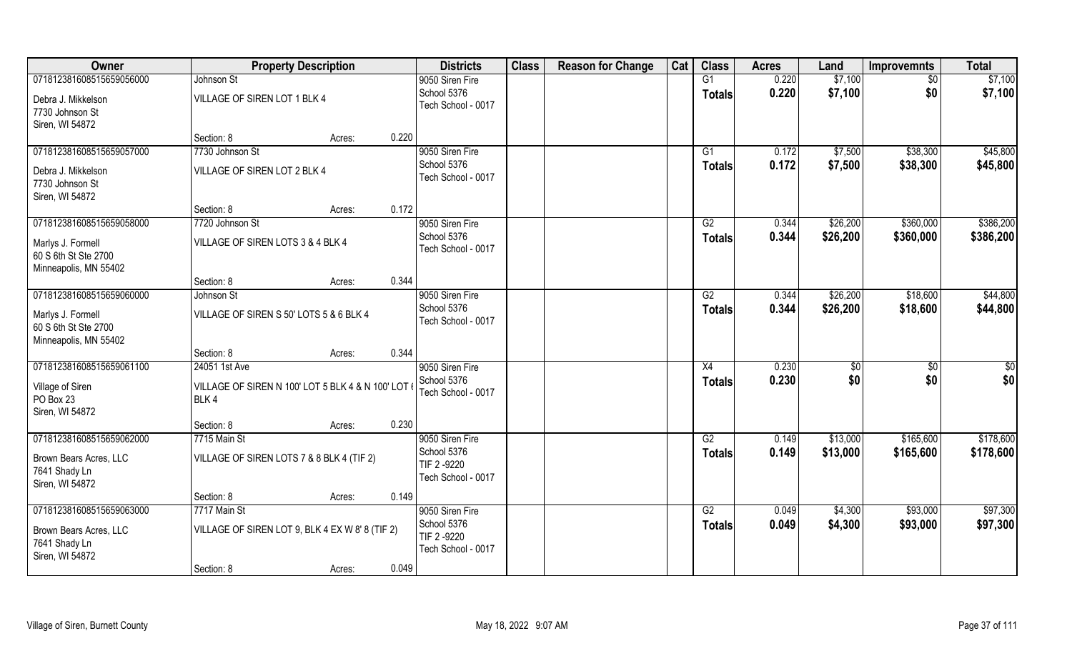| Owner                                     |                                                          | <b>Property Description</b> |       | <b>Districts</b>   | <b>Class</b> | <b>Reason for Change</b> | Cat | <b>Class</b>  | <b>Acres</b> | Land     | <b>Improvemnts</b> | <b>Total</b> |
|-------------------------------------------|----------------------------------------------------------|-----------------------------|-------|--------------------|--------------|--------------------------|-----|---------------|--------------|----------|--------------------|--------------|
| 071812381608515659056000                  | Johnson St                                               |                             |       | 9050 Siren Fire    |              |                          |     | G1            | 0.220        | \$7,100  | $\sqrt{6}$         | \$7,100      |
| Debra J. Mikkelson                        | VILLAGE OF SIREN LOT 1 BLK 4                             |                             |       | School 5376        |              |                          |     | <b>Totals</b> | 0.220        | \$7,100  | \$0                | \$7,100      |
| 7730 Johnson St                           |                                                          |                             |       | Tech School - 0017 |              |                          |     |               |              |          |                    |              |
| Siren, WI 54872                           |                                                          |                             |       |                    |              |                          |     |               |              |          |                    |              |
|                                           | Section: 8                                               | Acres:                      | 0.220 |                    |              |                          |     |               |              |          |                    |              |
| 071812381608515659057000                  | 7730 Johnson St                                          |                             |       | 9050 Siren Fire    |              |                          |     | G1            | 0.172        | \$7,500  | \$38,300           | \$45,800     |
| Debra J. Mikkelson                        | VILLAGE OF SIREN LOT 2 BLK 4                             |                             |       | School 5376        |              |                          |     | <b>Totals</b> | 0.172        | \$7,500  | \$38,300           | \$45,800     |
| 7730 Johnson St                           |                                                          |                             |       | Tech School - 0017 |              |                          |     |               |              |          |                    |              |
| Siren, WI 54872                           |                                                          |                             |       |                    |              |                          |     |               |              |          |                    |              |
|                                           | Section: 8                                               | Acres:                      | 0.172 |                    |              |                          |     |               |              |          |                    |              |
| 071812381608515659058000                  | 7720 Johnson St                                          |                             |       | 9050 Siren Fire    |              |                          |     | G2            | 0.344        | \$26,200 | \$360,000          | \$386,200    |
| Marlys J. Formell                         | VILLAGE OF SIREN LOTS 3 & 4 BLK 4                        |                             |       | School 5376        |              |                          |     | <b>Totals</b> | 0.344        | \$26,200 | \$360,000          | \$386,200    |
| 60 S 6th St Ste 2700                      |                                                          |                             |       | Tech School - 0017 |              |                          |     |               |              |          |                    |              |
| Minneapolis, MN 55402                     |                                                          |                             |       |                    |              |                          |     |               |              |          |                    |              |
|                                           | Section: 8                                               | Acres:                      | 0.344 |                    |              |                          |     |               |              |          |                    |              |
| 071812381608515659060000                  | Johnson St                                               |                             |       | 9050 Siren Fire    |              |                          |     | G2            | 0.344        | \$26,200 | \$18,600           | \$44,800     |
|                                           | VILLAGE OF SIREN S 50' LOTS 5 & 6 BLK 4                  |                             |       | School 5376        |              |                          |     | <b>Totals</b> | 0.344        | \$26,200 | \$18,600           | \$44,800     |
| Marlys J. Formell<br>60 S 6th St Ste 2700 |                                                          |                             |       | Tech School - 0017 |              |                          |     |               |              |          |                    |              |
| Minneapolis, MN 55402                     |                                                          |                             |       |                    |              |                          |     |               |              |          |                    |              |
|                                           | Section: 8                                               | Acres:                      | 0.344 |                    |              |                          |     |               |              |          |                    |              |
| 071812381608515659061100                  | 24051 1st Ave                                            |                             |       | 9050 Siren Fire    |              |                          |     | X4            | 0.230        | \$       | \$0                | \$0          |
|                                           |                                                          |                             |       | School 5376        |              |                          |     | <b>Totals</b> | 0.230        | \$0      | \$0                | \$0          |
| Village of Siren<br>PO Box 23             | VILLAGE OF SIREN N 100' LOT 5 BLK 4 & N 100' LOT<br>BLK4 |                             |       | Tech School - 0017 |              |                          |     |               |              |          |                    |              |
| Siren, WI 54872                           |                                                          |                             |       |                    |              |                          |     |               |              |          |                    |              |
|                                           | Section: 8                                               | Acres:                      | 0.230 |                    |              |                          |     |               |              |          |                    |              |
| 071812381608515659062000                  | 7715 Main St                                             |                             |       | 9050 Siren Fire    |              |                          |     | G2            | 0.149        | \$13,000 | \$165,600          | \$178,600    |
| Brown Bears Acres, LLC                    | VILLAGE OF SIREN LOTS 7 & 8 BLK 4 (TIF 2)                |                             |       | School 5376        |              |                          |     | <b>Totals</b> | 0.149        | \$13,000 | \$165,600          | \$178,600    |
| 7641 Shady Ln                             |                                                          |                             |       | TIF 2-9220         |              |                          |     |               |              |          |                    |              |
| Siren, WI 54872                           |                                                          |                             |       | Tech School - 0017 |              |                          |     |               |              |          |                    |              |
|                                           | Section: 8                                               | Acres:                      | 0.149 |                    |              |                          |     |               |              |          |                    |              |
| 071812381608515659063000                  | 7717 Main St                                             |                             |       | 9050 Siren Fire    |              |                          |     | G2            | 0.049        | \$4,300  | \$93,000           | \$97,300     |
| Brown Bears Acres, LLC                    | VILLAGE OF SIREN LOT 9, BLK 4 EX W 8' 8 (TIF 2)          |                             |       | School 5376        |              |                          |     | <b>Totals</b> | 0.049        | \$4,300  | \$93,000           | \$97,300     |
| 7641 Shady Ln                             |                                                          |                             |       | TIF 2-9220         |              |                          |     |               |              |          |                    |              |
| Siren, WI 54872                           |                                                          |                             |       | Tech School - 0017 |              |                          |     |               |              |          |                    |              |
|                                           | Section: 8                                               | Acres:                      | 0.049 |                    |              |                          |     |               |              |          |                    |              |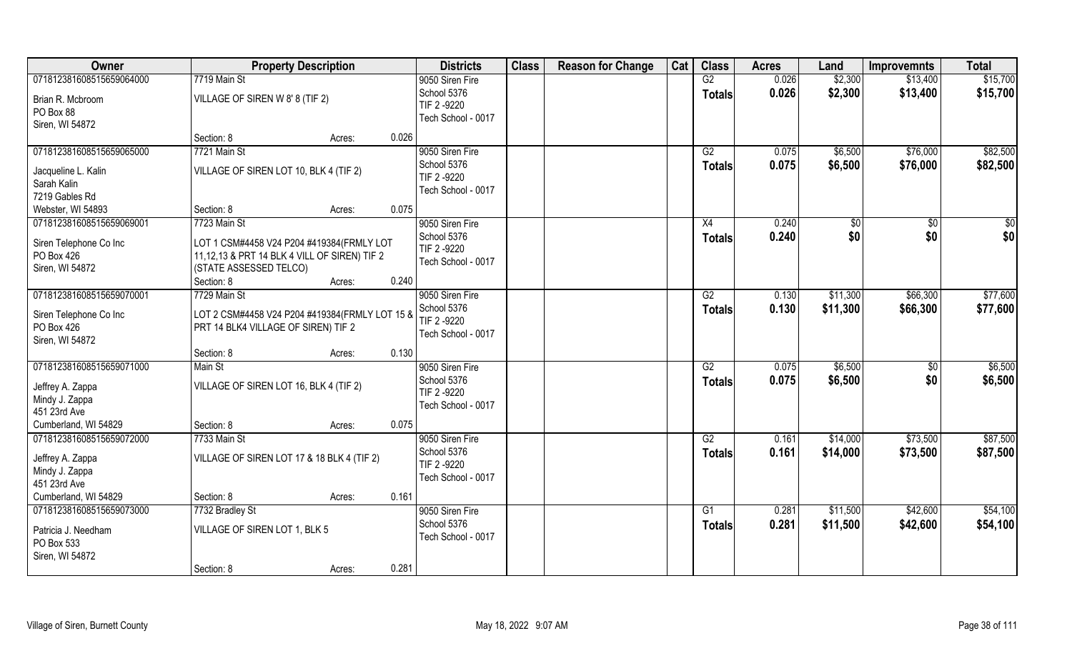| Owner                    | <b>Property Description</b>                    | <b>Districts</b>   | <b>Class</b> | <b>Reason for Change</b> | Cat | <b>Class</b>    | <b>Acres</b> | Land     | <b>Improvemnts</b> | <b>Total</b> |
|--------------------------|------------------------------------------------|--------------------|--------------|--------------------------|-----|-----------------|--------------|----------|--------------------|--------------|
| 071812381608515659064000 | 7719 Main St                                   | 9050 Siren Fire    |              |                          |     | G2              | 0.026        | \$2,300  | \$13,400           | \$15,700     |
| Brian R. Mcbroom         | VILLAGE OF SIREN W 8' 8 (TIF 2)                | School 5376        |              |                          |     | <b>Totals</b>   | 0.026        | \$2,300  | \$13,400           | \$15,700     |
| PO Box 88                |                                                | TIF 2-9220         |              |                          |     |                 |              |          |                    |              |
| Siren, WI 54872          |                                                | Tech School - 0017 |              |                          |     |                 |              |          |                    |              |
|                          | 0.026<br>Section: 8<br>Acres:                  |                    |              |                          |     |                 |              |          |                    |              |
| 071812381608515659065000 | 7721 Main St                                   | 9050 Siren Fire    |              |                          |     | G2              | 0.075        | \$6,500  | \$76,000           | \$82,500     |
| Jacqueline L. Kalin      | VILLAGE OF SIREN LOT 10, BLK 4 (TIF 2)         | School 5376        |              |                          |     | Totals          | 0.075        | \$6,500  | \$76,000           | \$82,500     |
| Sarah Kalin              |                                                | TIF 2 -9220        |              |                          |     |                 |              |          |                    |              |
| 7219 Gables Rd           |                                                | Tech School - 0017 |              |                          |     |                 |              |          |                    |              |
| Webster, WI 54893        | 0.075<br>Section: 8<br>Acres:                  |                    |              |                          |     |                 |              |          |                    |              |
| 071812381608515659069001 | 7723 Main St                                   | 9050 Siren Fire    |              |                          |     | X4              | 0.240        | \$0      | \$0                | \$0          |
|                          |                                                | School 5376        |              |                          |     | <b>Totals</b>   | 0.240        | \$0      | \$0                | \$0          |
| Siren Telephone Co Inc   | LOT 1 CSM#4458 V24 P204 #419384(FRMLY LOT      | TIF 2 -9220        |              |                          |     |                 |              |          |                    |              |
| PO Box 426               | 11,12,13 & PRT 14 BLK 4 VILL OF SIREN) TIF 2   | Tech School - 0017 |              |                          |     |                 |              |          |                    |              |
| Siren, WI 54872          | (STATE ASSESSED TELCO)                         |                    |              |                          |     |                 |              |          |                    |              |
|                          | 0.240<br>Section: 8<br>Acres:                  |                    |              |                          |     |                 |              |          |                    |              |
| 071812381608515659070001 | 7729 Main St                                   | 9050 Siren Fire    |              |                          |     | G2              | 0.130        | \$11,300 | \$66,300           | \$77,600     |
| Siren Telephone Co Inc   | LOT 2 CSM#4458 V24 P204 #419384(FRMLY LOT 15 & | School 5376        |              |                          |     | <b>Totals</b>   | 0.130        | \$11,300 | \$66,300           | \$77,600     |
| PO Box 426               | PRT 14 BLK4 VILLAGE OF SIREN) TIF 2            | TIF 2 -9220        |              |                          |     |                 |              |          |                    |              |
| Siren, WI 54872          |                                                | Tech School - 0017 |              |                          |     |                 |              |          |                    |              |
|                          | 0.130<br>Section: 8<br>Acres:                  |                    |              |                          |     |                 |              |          |                    |              |
| 071812381608515659071000 | Main St                                        | 9050 Siren Fire    |              |                          |     | $\overline{G2}$ | 0.075        | \$6,500  | $\overline{50}$    | \$6,500      |
| Jeffrey A. Zappa         | VILLAGE OF SIREN LOT 16, BLK 4 (TIF 2)         | School 5376        |              |                          |     | <b>Totals</b>   | 0.075        | \$6,500  | \$0                | \$6,500      |
| Mindy J. Zappa           |                                                | TIF 2-9220         |              |                          |     |                 |              |          |                    |              |
| 451 23rd Ave             |                                                | Tech School - 0017 |              |                          |     |                 |              |          |                    |              |
| Cumberland, WI 54829     | Section: 8<br>0.075<br>Acres:                  |                    |              |                          |     |                 |              |          |                    |              |
| 071812381608515659072000 | 7733 Main St                                   | 9050 Siren Fire    |              |                          |     | G2              | 0.161        | \$14,000 | \$73,500           | \$87,500     |
|                          |                                                | School 5376        |              |                          |     | <b>Totals</b>   | 0.161        | \$14,000 | \$73,500           | \$87,500     |
| Jeffrey A. Zappa         | VILLAGE OF SIREN LOT 17 & 18 BLK 4 (TIF 2)     | TIF 2-9220         |              |                          |     |                 |              |          |                    |              |
| Mindy J. Zappa           |                                                | Tech School - 0017 |              |                          |     |                 |              |          |                    |              |
| 451 23rd Ave             |                                                |                    |              |                          |     |                 |              |          |                    |              |
| Cumberland, WI 54829     | 0.161<br>Section: 8<br>Acres:                  |                    |              |                          |     |                 |              |          |                    |              |
| 071812381608515659073000 | 7732 Bradley St                                | 9050 Siren Fire    |              |                          |     | G1              | 0.281        | \$11,500 | \$42,600           | \$54,100     |
| Patricia J. Needham      | VILLAGE OF SIREN LOT 1, BLK 5                  | School 5376        |              |                          |     | <b>Totals</b>   | 0.281        | \$11,500 | \$42,600           | \$54,100     |
| PO Box 533               |                                                | Tech School - 0017 |              |                          |     |                 |              |          |                    |              |
| Siren, WI 54872          |                                                |                    |              |                          |     |                 |              |          |                    |              |
|                          | 0.281<br>Section: 8<br>Acres:                  |                    |              |                          |     |                 |              |          |                    |              |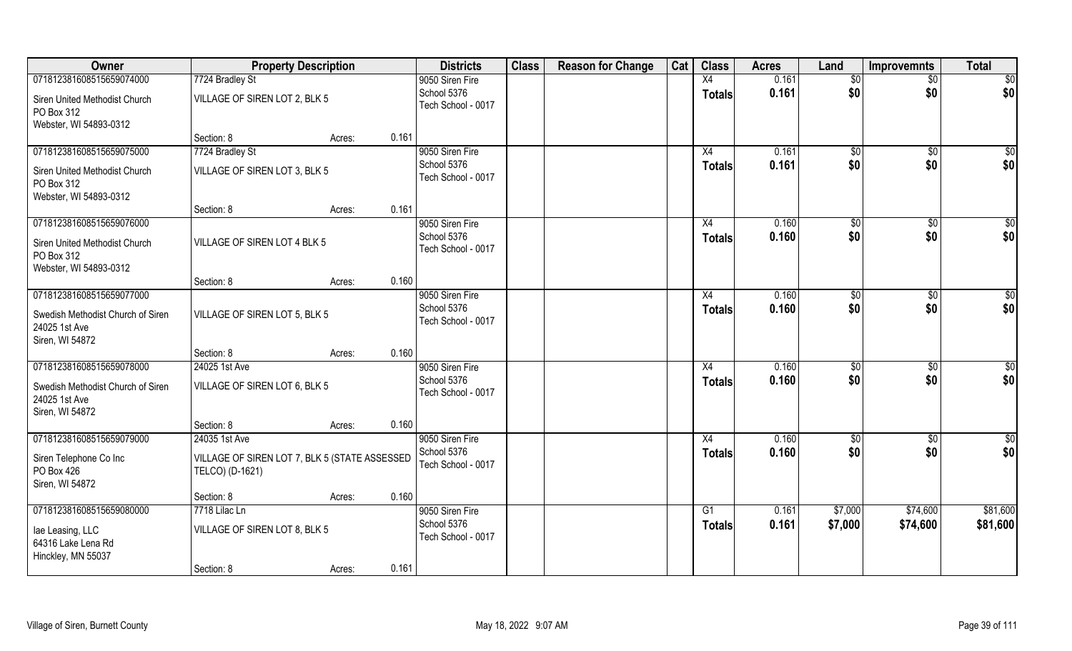| Owner                                                                 | <b>Property Description</b>                                      |        |       | <b>Districts</b>                  | <b>Class</b> | <b>Reason for Change</b> | Cat | <b>Class</b>  | <b>Acres</b> | Land           | <b>Improvemnts</b> | <b>Total</b>    |
|-----------------------------------------------------------------------|------------------------------------------------------------------|--------|-------|-----------------------------------|--------------|--------------------------|-----|---------------|--------------|----------------|--------------------|-----------------|
| 071812381608515659074000                                              | 7724 Bradley St                                                  |        |       | 9050 Siren Fire                   |              |                          |     | X4            | 0.161        | \$0            | $\sqrt{$0}$        | \$0             |
| Siren United Methodist Church<br>PO Box 312                           | VILLAGE OF SIREN LOT 2, BLK 5                                    |        |       | School 5376<br>Tech School - 0017 |              |                          |     | <b>Totals</b> | 0.161        | \$0            | \$0                | \$0             |
| Webster, WI 54893-0312                                                |                                                                  |        |       |                                   |              |                          |     |               |              |                |                    |                 |
|                                                                       | Section: 8                                                       | Acres: | 0.161 |                                   |              |                          |     |               |              |                |                    |                 |
| 071812381608515659075000                                              | 7724 Bradley St                                                  |        |       | 9050 Siren Fire                   |              |                          |     | X4            | 0.161        | $\sqrt{50}$    | $\sqrt{$0}$        | \$0             |
| Siren United Methodist Church<br>PO Box 312                           | VILLAGE OF SIREN LOT 3, BLK 5                                    |        |       | School 5376<br>Tech School - 0017 |              |                          |     | <b>Totals</b> | 0.161        | \$0            | \$0                | \$0             |
| Webster, WI 54893-0312                                                | Section: 8                                                       | Acres: | 0.161 |                                   |              |                          |     |               |              |                |                    |                 |
| 071812381608515659076000                                              |                                                                  |        |       | 9050 Siren Fire                   |              |                          |     | X4            | 0.160        | \$0            | $\overline{50}$    | $\sqrt{50}$     |
| Siren United Methodist Church<br>PO Box 312                           | VILLAGE OF SIREN LOT 4 BLK 5                                     |        |       | School 5376<br>Tech School - 0017 |              |                          |     | <b>Totals</b> | 0.160        | \$0            | \$0                | \$0             |
| Webster, WI 54893-0312                                                | Section: 8                                                       | Acres: | 0.160 |                                   |              |                          |     |               |              |                |                    |                 |
| 071812381608515659077000                                              |                                                                  |        |       | 9050 Siren Fire                   |              |                          |     | X4            | 0.160        | $\frac{1}{20}$ | $\sqrt[6]{3}$      | $\sqrt{50}$     |
| Swedish Methodist Church of Siren<br>24025 1st Ave<br>Siren, WI 54872 | VILLAGE OF SIREN LOT 5, BLK 5                                    |        |       | School 5376<br>Tech School - 0017 |              |                          |     | <b>Totals</b> | 0.160        | \$0            | \$0                | \$0             |
|                                                                       | Section: 8                                                       | Acres: | 0.160 |                                   |              |                          |     |               |              |                |                    |                 |
| 071812381608515659078000                                              | 24025 1st Ave                                                    |        |       | 9050 Siren Fire                   |              |                          |     | X4            | 0.160        | \$0            | $\overline{50}$    | $\overline{50}$ |
| Swedish Methodist Church of Siren<br>24025 1st Ave<br>Siren, WI 54872 | VILLAGE OF SIREN LOT 6, BLK 5                                    |        |       | School 5376<br>Tech School - 0017 |              |                          |     | <b>Totals</b> | 0.160        | \$0            | \$0                | \$0             |
|                                                                       | Section: 8                                                       | Acres: | 0.160 |                                   |              |                          |     |               |              |                |                    |                 |
| 071812381608515659079000                                              | 24035 1st Ave                                                    |        |       | 9050 Siren Fire                   |              |                          |     | X4            | 0.160        | \$0            | $\sqrt{$0}$        | \$0             |
| Siren Telephone Co Inc<br>PO Box 426<br>Siren, WI 54872               | VILLAGE OF SIREN LOT 7, BLK 5 (STATE ASSESSED<br>TELCO) (D-1621) |        |       | School 5376<br>Tech School - 0017 |              |                          |     | <b>Totals</b> | 0.160        | \$0            | \$0                | \$0             |
|                                                                       | Section: 8                                                       | Acres: | 0.160 |                                   |              |                          |     |               |              |                |                    |                 |
| 071812381608515659080000                                              | 7718 Lilac Ln                                                    |        |       | 9050 Siren Fire                   |              |                          |     | G1            | 0.161        | \$7,000        | \$74,600           | \$81,600        |
| lae Leasing, LLC<br>64316 Lake Lena Rd<br>Hinckley, MN 55037          | VILLAGE OF SIREN LOT 8, BLK 5                                    |        |       | School 5376<br>Tech School - 0017 |              |                          |     | <b>Totals</b> | 0.161        | \$7,000        | \$74,600           | \$81,600        |
|                                                                       | Section: 8                                                       | Acres: | 0.161 |                                   |              |                          |     |               |              |                |                    |                 |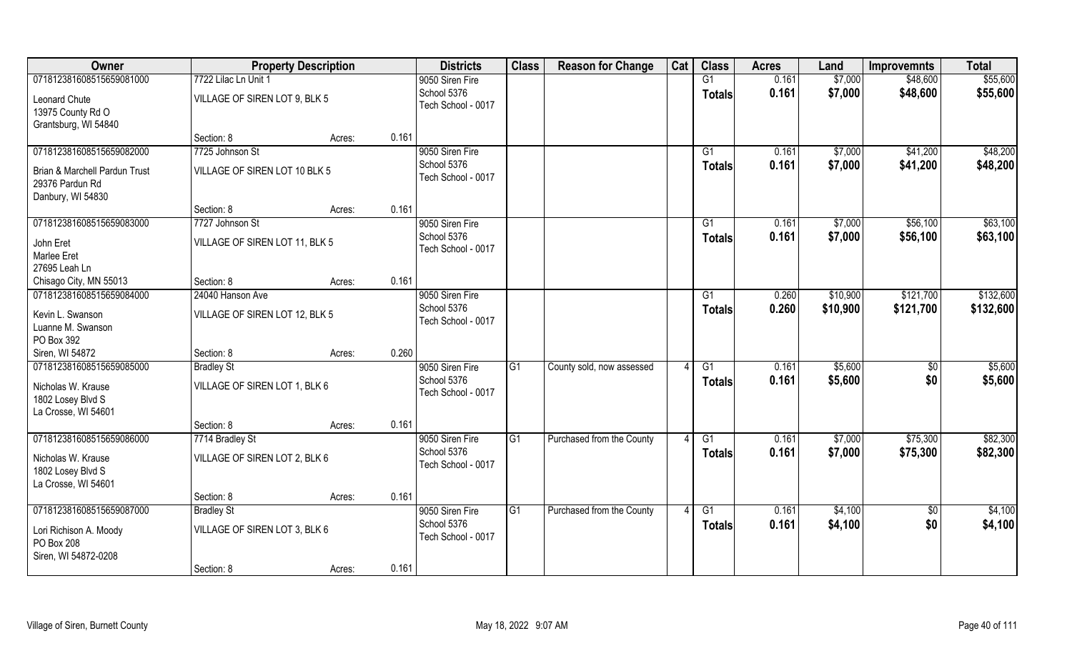| Owner                         |                                | <b>Property Description</b> |       | <b>Districts</b>   | <b>Class</b>   | <b>Reason for Change</b>  | Cat | <b>Class</b>    | <b>Acres</b> | Land     | <b>Improvemnts</b> | <b>Total</b> |
|-------------------------------|--------------------------------|-----------------------------|-------|--------------------|----------------|---------------------------|-----|-----------------|--------------|----------|--------------------|--------------|
| 071812381608515659081000      | 7722 Lilac Ln Unit 1           |                             |       | 9050 Siren Fire    |                |                           |     | G1              | 0.161        | \$7,000  | \$48,600           | \$55,600     |
| Leonard Chute                 | VILLAGE OF SIREN LOT 9, BLK 5  |                             |       | School 5376        |                |                           |     | <b>Totals</b>   | 0.161        | \$7,000  | \$48,600           | \$55,600     |
| 13975 County Rd O             |                                |                             |       | Tech School - 0017 |                |                           |     |                 |              |          |                    |              |
| Grantsburg, WI 54840          |                                |                             |       |                    |                |                           |     |                 |              |          |                    |              |
|                               | Section: 8                     | Acres:                      | 0.161 |                    |                |                           |     |                 |              |          |                    |              |
| 071812381608515659082000      | 7725 Johnson St                |                             |       | 9050 Siren Fire    |                |                           |     | G1              | 0.161        | \$7,000  | \$41,200           | \$48,200     |
| Brian & Marchell Pardun Trust | VILLAGE OF SIREN LOT 10 BLK 5  |                             |       | School 5376        |                |                           |     | <b>Totals</b>   | 0.161        | \$7,000  | \$41,200           | \$48,200     |
| 29376 Pardun Rd               |                                |                             |       | Tech School - 0017 |                |                           |     |                 |              |          |                    |              |
| Danbury, WI 54830             |                                |                             |       |                    |                |                           |     |                 |              |          |                    |              |
|                               | Section: 8                     | Acres:                      | 0.161 |                    |                |                           |     |                 |              |          |                    |              |
| 071812381608515659083000      | 7727 Johnson St                |                             |       | 9050 Siren Fire    |                |                           |     | G1              | 0.161        | \$7,000  | \$56,100           | \$63,100     |
| John Eret                     | VILLAGE OF SIREN LOT 11, BLK 5 |                             |       | School 5376        |                |                           |     | <b>Totals</b>   | 0.161        | \$7,000  | \$56,100           | \$63,100     |
| Marlee Eret                   |                                |                             |       | Tech School - 0017 |                |                           |     |                 |              |          |                    |              |
| 27695 Leah Ln                 |                                |                             |       |                    |                |                           |     |                 |              |          |                    |              |
| Chisago City, MN 55013        | Section: 8                     | Acres:                      | 0.161 |                    |                |                           |     |                 |              |          |                    |              |
| 071812381608515659084000      | 24040 Hanson Ave               |                             |       | 9050 Siren Fire    |                |                           |     | G <sub>1</sub>  | 0.260        | \$10,900 | \$121,700          | \$132,600    |
| Kevin L. Swanson              | VILLAGE OF SIREN LOT 12, BLK 5 |                             |       | School 5376        |                |                           |     | <b>Totals</b>   | 0.260        | \$10,900 | \$121,700          | \$132,600    |
| Luanne M. Swanson             |                                |                             |       | Tech School - 0017 |                |                           |     |                 |              |          |                    |              |
| PO Box 392                    |                                |                             |       |                    |                |                           |     |                 |              |          |                    |              |
| Siren, WI 54872               | Section: 8                     | Acres:                      | 0.260 |                    |                |                           |     |                 |              |          |                    |              |
| 071812381608515659085000      | <b>Bradley St</b>              |                             |       | 9050 Siren Fire    | G <sub>1</sub> | County sold, now assessed |     | $\overline{G1}$ | 0.161        | \$5,600  | $\overline{50}$    | \$5,600      |
| Nicholas W. Krause            | VILLAGE OF SIREN LOT 1, BLK 6  |                             |       | School 5376        |                |                           |     | <b>Totals</b>   | 0.161        | \$5,600  | \$0                | \$5,600      |
| 1802 Losey Blvd S             |                                |                             |       | Tech School - 0017 |                |                           |     |                 |              |          |                    |              |
| La Crosse, WI 54601           |                                |                             |       |                    |                |                           |     |                 |              |          |                    |              |
|                               | Section: 8                     | Acres:                      | 0.161 |                    |                |                           |     |                 |              |          |                    |              |
| 071812381608515659086000      | 7714 Bradley St                |                             |       | 9050 Siren Fire    | G1             | Purchased from the County |     | G1              | 0.161        | \$7,000  | \$75,300           | \$82,300     |
| Nicholas W. Krause            | VILLAGE OF SIREN LOT 2, BLK 6  |                             |       | School 5376        |                |                           |     | Totals          | 0.161        | \$7,000  | \$75,300           | \$82,300     |
| 1802 Losey Blvd S             |                                |                             |       | Tech School - 0017 |                |                           |     |                 |              |          |                    |              |
| La Crosse, WI 54601           |                                |                             |       |                    |                |                           |     |                 |              |          |                    |              |
|                               | Section: 8                     | Acres:                      | 0.161 |                    |                |                           |     |                 |              |          |                    |              |
| 071812381608515659087000      | <b>Bradley St</b>              |                             |       | 9050 Siren Fire    | G <sub>1</sub> | Purchased from the County |     | $\overline{G1}$ | 0.161        | \$4,100  | $\overline{50}$    | \$4,100      |
| Lori Richison A. Moody        | VILLAGE OF SIREN LOT 3, BLK 6  |                             |       | School 5376        |                |                           |     | <b>Totals</b>   | 0.161        | \$4,100  | \$0                | \$4,100      |
| PO Box 208                    |                                |                             |       | Tech School - 0017 |                |                           |     |                 |              |          |                    |              |
| Siren, WI 54872-0208          |                                |                             |       |                    |                |                           |     |                 |              |          |                    |              |
|                               | Section: 8                     | Acres:                      | 0.161 |                    |                |                           |     |                 |              |          |                    |              |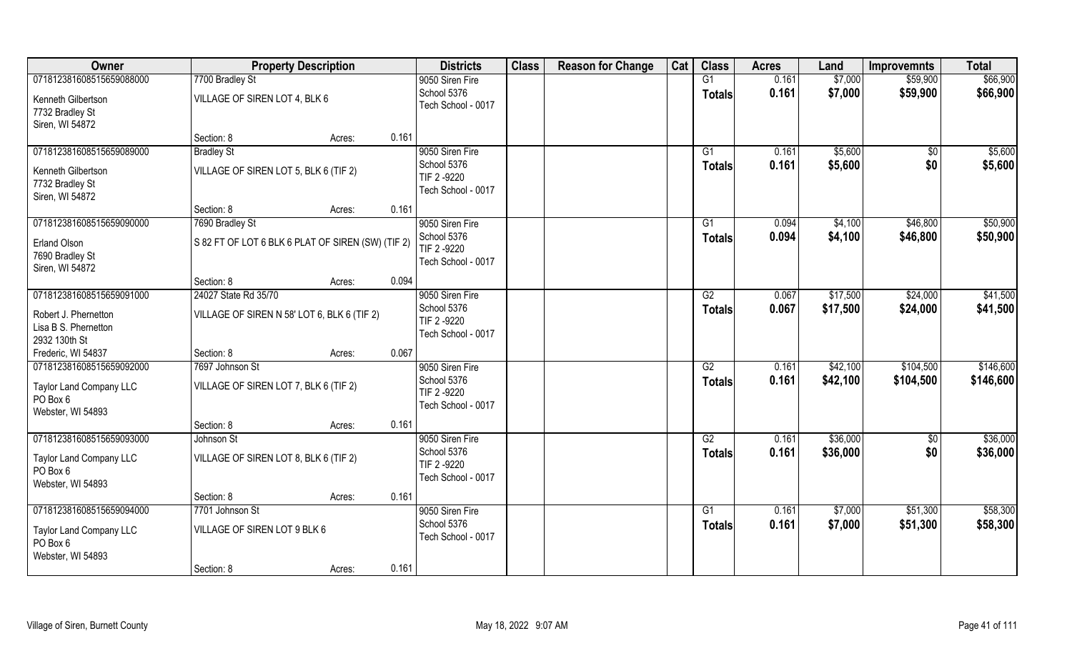| Owner                                        |                                                   | <b>Property Description</b> |       | <b>Districts</b>                  | <b>Class</b> | <b>Reason for Change</b> | Cat | <b>Class</b>        | <b>Acres</b>   | Land                 | <b>Improvemnts</b>   | <b>Total</b>         |
|----------------------------------------------|---------------------------------------------------|-----------------------------|-------|-----------------------------------|--------------|--------------------------|-----|---------------------|----------------|----------------------|----------------------|----------------------|
| 071812381608515659088000                     | 7700 Bradley St                                   |                             |       | 9050 Siren Fire                   |              |                          |     | G1                  | 0.161          | \$7,000              | \$59,900             | \$66,900             |
| Kenneth Gilbertson                           | VILLAGE OF SIREN LOT 4, BLK 6                     |                             |       | School 5376<br>Tech School - 0017 |              |                          |     | <b>Totals</b>       | 0.161          | \$7,000              | \$59,900             | \$66,900             |
| 7732 Bradley St<br>Siren, WI 54872           |                                                   |                             |       |                                   |              |                          |     |                     |                |                      |                      |                      |
|                                              | Section: 8                                        | Acres:                      | 0.161 |                                   |              |                          |     |                     |                |                      |                      |                      |
| 071812381608515659089000                     | <b>Bradley St</b>                                 |                             |       | 9050 Siren Fire                   |              |                          |     | G1                  | 0.161          | \$5,600              | \$0                  | \$5,600              |
| Kenneth Gilbertson                           | VILLAGE OF SIREN LOT 5, BLK 6 (TIF 2)             |                             |       | School 5376                       |              |                          |     | Totals              | 0.161          | \$5,600              | \$0                  | \$5,600              |
| 7732 Bradley St                              |                                                   |                             |       | TIF 2 -9220<br>Tech School - 0017 |              |                          |     |                     |                |                      |                      |                      |
| Siren, WI 54872                              | Section: 8                                        |                             | 0.161 |                                   |              |                          |     |                     |                |                      |                      |                      |
| 071812381608515659090000                     | 7690 Bradley St                                   | Acres:                      |       | 9050 Siren Fire                   |              |                          |     | G1                  | 0.094          | \$4,100              | \$46,800             | \$50,900             |
| <b>Erland Olson</b>                          | S 82 FT OF LOT 6 BLK 6 PLAT OF SIREN (SW) (TIF 2) |                             |       | School 5376                       |              |                          |     | <b>Totals</b>       | 0.094          | \$4,100              | \$46,800             | \$50,900             |
| 7690 Bradley St                              |                                                   |                             |       | TIF 2-9220                        |              |                          |     |                     |                |                      |                      |                      |
| Siren, WI 54872                              |                                                   |                             |       | Tech School - 0017                |              |                          |     |                     |                |                      |                      |                      |
|                                              | Section: 8                                        | Acres:                      | 0.094 |                                   |              |                          |     |                     |                |                      |                      |                      |
| 071812381608515659091000                     | 24027 State Rd 35/70                              |                             |       | 9050 Siren Fire<br>School 5376    |              |                          |     | G2<br><b>Totals</b> | 0.067<br>0.067 | \$17,500<br>\$17,500 | \$24,000<br>\$24,000 | \$41,500<br>\$41,500 |
| Robert J. Phernetton<br>Lisa B S. Phernetton | VILLAGE OF SIREN N 58' LOT 6, BLK 6 (TIF 2)       |                             |       | TIF 2-9220                        |              |                          |     |                     |                |                      |                      |                      |
| 2932 130th St                                |                                                   |                             |       | Tech School - 0017                |              |                          |     |                     |                |                      |                      |                      |
| Frederic, WI 54837                           | Section: 8                                        | Acres:                      | 0.067 |                                   |              |                          |     |                     |                |                      |                      |                      |
| 071812381608515659092000                     | 7697 Johnson St                                   |                             |       | 9050 Siren Fire                   |              |                          |     | $\overline{G2}$     | 0.161          | \$42,100             | \$104,500            | \$146,600            |
| <b>Taylor Land Company LLC</b>               | VILLAGE OF SIREN LOT 7, BLK 6 (TIF 2)             |                             |       | School 5376<br>TIF 2-9220         |              |                          |     | <b>Totals</b>       | 0.161          | \$42,100             | \$104,500            | \$146,600            |
| PO Box 6<br>Webster, WI 54893                |                                                   |                             |       | Tech School - 0017                |              |                          |     |                     |                |                      |                      |                      |
|                                              | Section: 8                                        | Acres:                      | 0.161 |                                   |              |                          |     |                     |                |                      |                      |                      |
| 071812381608515659093000                     | Johnson St                                        |                             |       | 9050 Siren Fire                   |              |                          |     | G2                  | 0.161          | \$36,000             | $\overline{50}$      | \$36,000             |
| <b>Taylor Land Company LLC</b>               | VILLAGE OF SIREN LOT 8, BLK 6 (TIF 2)             |                             |       | School 5376<br>TIF 2-9220         |              |                          |     | <b>Totals</b>       | 0.161          | \$36,000             | \$0                  | \$36,000             |
| PO Box 6                                     |                                                   |                             |       | Tech School - 0017                |              |                          |     |                     |                |                      |                      |                      |
| Webster, WI 54893                            | Section: 8                                        | Acres:                      | 0.161 |                                   |              |                          |     |                     |                |                      |                      |                      |
| 071812381608515659094000                     | 7701 Johnson St                                   |                             |       | 9050 Siren Fire                   |              |                          |     | G1                  | 0.161          | \$7,000              | \$51,300             | \$58,300             |
| <b>Taylor Land Company LLC</b>               | VILLAGE OF SIREN LOT 9 BLK 6                      |                             |       | School 5376                       |              |                          |     | <b>Totals</b>       | 0.161          | \$7,000              | \$51,300             | \$58,300             |
| PO Box 6                                     |                                                   |                             |       | Tech School - 0017                |              |                          |     |                     |                |                      |                      |                      |
| Webster, WI 54893                            |                                                   |                             |       |                                   |              |                          |     |                     |                |                      |                      |                      |
|                                              | Section: 8                                        | Acres:                      | 0.161 |                                   |              |                          |     |                     |                |                      |                      |                      |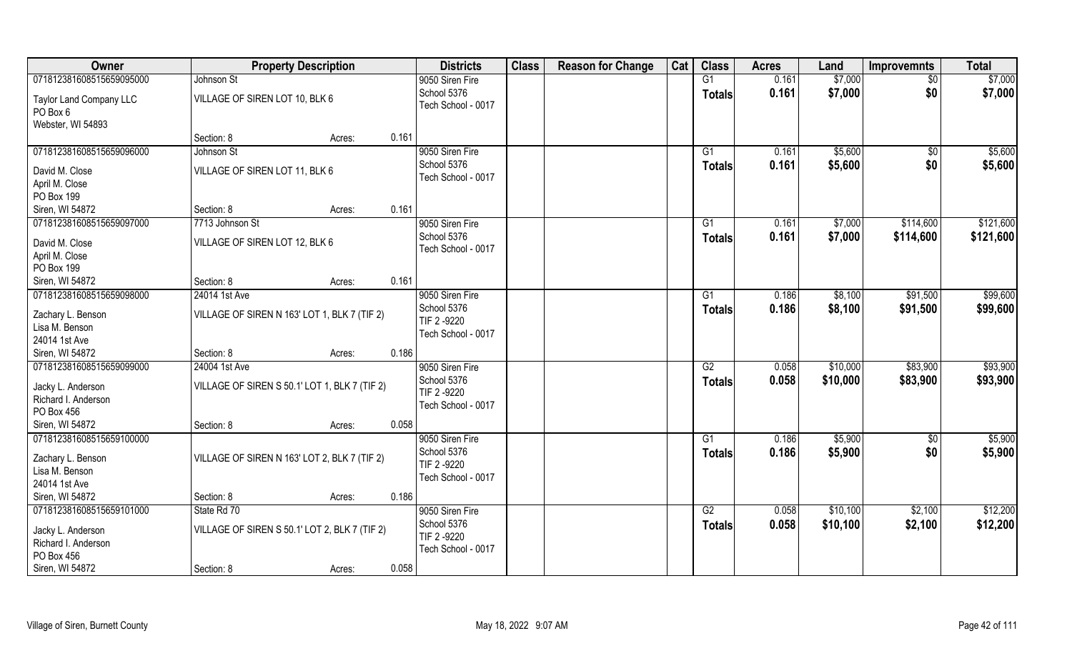| Owner                                    | <b>Property Description</b>                   |        |       | <b>Districts</b>   | <b>Class</b> | <b>Reason for Change</b> | Cat | <b>Class</b>  | <b>Acres</b> | Land     | <b>Improvemnts</b> | <b>Total</b> |
|------------------------------------------|-----------------------------------------------|--------|-------|--------------------|--------------|--------------------------|-----|---------------|--------------|----------|--------------------|--------------|
| 071812381608515659095000                 | Johnson St                                    |        |       | 9050 Siren Fire    |              |                          |     | G1            | 0.161        | \$7,000  | \$0                | \$7,000      |
| Taylor Land Company LLC                  | VILLAGE OF SIREN LOT 10, BLK 6                |        |       | School 5376        |              |                          |     | <b>Totals</b> | 0.161        | \$7,000  | \$0                | \$7,000      |
| PO Box 6                                 |                                               |        |       | Tech School - 0017 |              |                          |     |               |              |          |                    |              |
| Webster, WI 54893                        |                                               |        |       |                    |              |                          |     |               |              |          |                    |              |
|                                          | Section: 8                                    | Acres: | 0.161 |                    |              |                          |     |               |              |          |                    |              |
| 071812381608515659096000                 | Johnson St                                    |        |       | 9050 Siren Fire    |              |                          |     | G1            | 0.161        | \$5,600  | $\overline{50}$    | \$5,600      |
| David M. Close                           | VILLAGE OF SIREN LOT 11, BLK 6                |        |       | School 5376        |              |                          |     | <b>Totals</b> | 0.161        | \$5,600  | \$0                | \$5,600      |
| April M. Close                           |                                               |        |       | Tech School - 0017 |              |                          |     |               |              |          |                    |              |
| PO Box 199                               |                                               |        |       |                    |              |                          |     |               |              |          |                    |              |
| Siren, WI 54872                          | Section: 8                                    | Acres: | 0.161 |                    |              |                          |     |               |              |          |                    |              |
| 071812381608515659097000                 | 7713 Johnson St                               |        |       | 9050 Siren Fire    |              |                          |     | G1            | 0.161        | \$7,000  | \$114,600          | \$121,600    |
| David M. Close                           | VILLAGE OF SIREN LOT 12, BLK 6                |        |       | School 5376        |              |                          |     | <b>Totals</b> | 0.161        | \$7,000  | \$114,600          | \$121,600    |
| April M. Close                           |                                               |        |       | Tech School - 0017 |              |                          |     |               |              |          |                    |              |
| PO Box 199                               |                                               |        |       |                    |              |                          |     |               |              |          |                    |              |
| Siren, WI 54872                          | Section: 8                                    | Acres: | 0.161 |                    |              |                          |     |               |              |          |                    |              |
| 071812381608515659098000                 | 24014 1st Ave                                 |        |       | 9050 Siren Fire    |              |                          |     | G1            | 0.186        | \$8,100  | \$91,500           | \$99,600     |
| Zachary L. Benson                        | VILLAGE OF SIREN N 163' LOT 1, BLK 7 (TIF 2)  |        |       | School 5376        |              |                          |     | <b>Totals</b> | 0.186        | \$8,100  | \$91,500           | \$99,600     |
| Lisa M. Benson                           |                                               |        |       | TIF 2-9220         |              |                          |     |               |              |          |                    |              |
| 24014 1st Ave                            |                                               |        |       | Tech School - 0017 |              |                          |     |               |              |          |                    |              |
| Siren, WI 54872                          | Section: 8                                    | Acres: | 0.186 |                    |              |                          |     |               |              |          |                    |              |
| 071812381608515659099000                 | 24004 1st Ave                                 |        |       | 9050 Siren Fire    |              |                          |     | G2            | 0.058        | \$10,000 | \$83,900           | \$93,900     |
| Jacky L. Anderson                        | VILLAGE OF SIREN S 50.1' LOT 1, BLK 7 (TIF 2) |        |       | School 5376        |              |                          |     | <b>Totals</b> | 0.058        | \$10,000 | \$83,900           | \$93,900     |
| Richard I. Anderson                      |                                               |        |       | TIF 2 -9220        |              |                          |     |               |              |          |                    |              |
| PO Box 456                               |                                               |        |       | Tech School - 0017 |              |                          |     |               |              |          |                    |              |
| Siren, WI 54872                          | Section: 8                                    | Acres: | 0.058 |                    |              |                          |     |               |              |          |                    |              |
| 071812381608515659100000                 |                                               |        |       | 9050 Siren Fire    |              |                          |     | G1            | 0.186        | \$5,900  | \$0                | \$5,900      |
|                                          |                                               |        |       | School 5376        |              |                          |     | <b>Totals</b> | 0.186        | \$5,900  | \$0                | \$5,900      |
| Zachary L. Benson<br>Lisa M. Benson      | VILLAGE OF SIREN N 163' LOT 2, BLK 7 (TIF 2)  |        |       | TIF 2-9220         |              |                          |     |               |              |          |                    |              |
| 24014 1st Ave                            |                                               |        |       | Tech School - 0017 |              |                          |     |               |              |          |                    |              |
| Siren, WI 54872                          | Section: 8                                    | Acres: | 0.186 |                    |              |                          |     |               |              |          |                    |              |
| 071812381608515659101000                 | State Rd 70                                   |        |       | 9050 Siren Fire    |              |                          |     | G2            | 0.058        | \$10,100 | \$2,100            | \$12,200     |
|                                          |                                               |        |       | School 5376        |              |                          |     | <b>Totals</b> | 0.058        | \$10,100 | \$2,100            | \$12,200     |
| Jacky L. Anderson<br>Richard I. Anderson | VILLAGE OF SIREN S 50.1' LOT 2, BLK 7 (TIF 2) |        |       | TIF 2-9220         |              |                          |     |               |              |          |                    |              |
| PO Box 456                               |                                               |        |       | Tech School - 0017 |              |                          |     |               |              |          |                    |              |
| Siren, WI 54872                          | Section: 8                                    | Acres: | 0.058 |                    |              |                          |     |               |              |          |                    |              |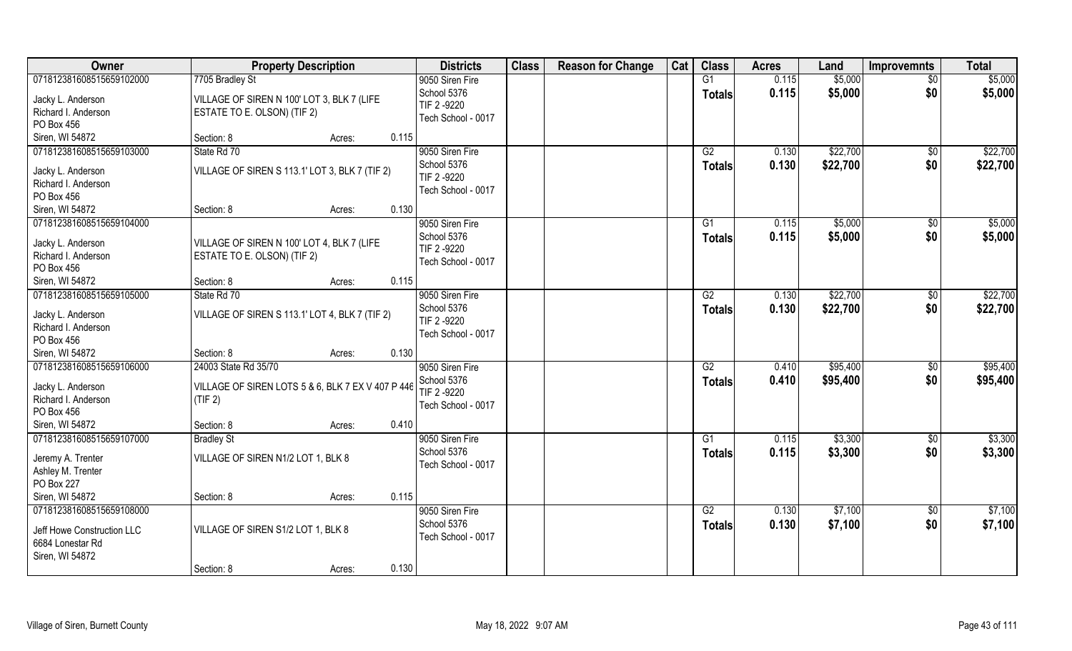| Owner                                                                                         | <b>Property Description</b>                                                          | <b>Districts</b>                                                    | <b>Class</b> | <b>Reason for Change</b> | Cat | <b>Class</b>                     | <b>Acres</b>   | Land                 | <b>Improvemnts</b>     | <b>Total</b>         |
|-----------------------------------------------------------------------------------------------|--------------------------------------------------------------------------------------|---------------------------------------------------------------------|--------------|--------------------------|-----|----------------------------------|----------------|----------------------|------------------------|----------------------|
| 071812381608515659102000                                                                      | 7705 Bradley St                                                                      | 9050 Siren Fire                                                     |              |                          |     | G1                               | 0.115          | \$5,000              | \$0                    | \$5,000              |
| Jacky L. Anderson<br>Richard I. Anderson<br>PO Box 456                                        | VILLAGE OF SIREN N 100' LOT 3, BLK 7 (LIFE<br>ESTATE TO E. OLSON) (TIF 2)            | School 5376<br>TIF 2 -9220<br>Tech School - 0017                    |              |                          |     | <b>Totals</b>                    | 0.115          | \$5,000              | \$0                    | \$5,000              |
| Siren, WI 54872                                                                               | Section: 8<br>0.115<br>Acres:                                                        |                                                                     |              |                          |     |                                  |                |                      |                        |                      |
| 071812381608515659103000<br>Jacky L. Anderson<br>Richard I. Anderson<br>PO Box 456            | State Rd 70<br>VILLAGE OF SIREN S 113.1' LOT 3, BLK 7 (TIF 2)                        | 9050 Siren Fire<br>School 5376<br>TIF 2 -9220<br>Tech School - 0017 |              |                          |     | G2<br><b>Totals</b>              | 0.130<br>0.130 | \$22,700<br>\$22,700 | \$0<br>\$0             | \$22,700<br>\$22,700 |
| Siren, WI 54872                                                                               | 0.130<br>Section: 8<br>Acres:                                                        |                                                                     |              |                          |     |                                  |                |                      |                        |                      |
| 071812381608515659104000<br>Jacky L. Anderson<br>Richard I. Anderson<br>PO Box 456            | VILLAGE OF SIREN N 100' LOT 4, BLK 7 (LIFE<br>ESTATE TO E. OLSON) (TIF 2)            | 9050 Siren Fire<br>School 5376<br>TIF 2 -9220<br>Tech School - 0017 |              |                          |     | G1<br><b>Totals</b>              | 0.115<br>0.115 | \$5,000<br>\$5,000   | $\sqrt[6]{30}$<br>\$0  | \$5,000<br>\$5,000   |
| Siren, WI 54872                                                                               | 0.115<br>Section: 8<br>Acres:                                                        |                                                                     |              |                          |     |                                  |                |                      |                        |                      |
| 071812381608515659105000<br>Jacky L. Anderson<br>Richard I. Anderson<br>PO Box 456            | State Rd 70<br>VILLAGE OF SIREN S 113.1' LOT 4, BLK 7 (TIF 2)                        | 9050 Siren Fire<br>School 5376<br>TIF 2-9220<br>Tech School - 0017  |              |                          |     | G2<br><b>Totals</b>              | 0.130<br>0.130 | \$22,700<br>\$22,700 | $\sqrt[6]{3}$<br>\$0   | \$22,700<br>\$22,700 |
| Siren, WI 54872                                                                               | 0.130<br>Section: 8<br>Acres:                                                        |                                                                     |              |                          |     |                                  |                |                      |                        |                      |
| 071812381608515659106000<br>Jacky L. Anderson<br>Richard I. Anderson<br>PO Box 456            | 24003 State Rd 35/70<br>VILLAGE OF SIREN LOTS 5 & 6, BLK 7 EX V 407 P 446<br>(TIF 2) | 9050 Siren Fire<br>School 5376<br>TIF 2 -9220<br>Tech School - 0017 |              |                          |     | $\overline{G2}$<br><b>Totals</b> | 0.410<br>0.410 | \$95,400<br>\$95,400 | $\sqrt[6]{30}$<br>\$0  | \$95,400<br>\$95,400 |
| Siren, WI 54872                                                                               | 0.410<br>Section: 8<br>Acres:                                                        |                                                                     |              |                          |     |                                  |                |                      |                        |                      |
| 071812381608515659107000<br>Jeremy A. Trenter<br>Ashley M. Trenter<br>PO Box 227              | <b>Bradley St</b><br>VILLAGE OF SIREN N1/2 LOT 1, BLK 8                              | 9050 Siren Fire<br>School 5376<br>Tech School - 0017                |              |                          |     | G1<br><b>Totals</b>              | 0.115<br>0.115 | \$3,300<br>\$3,300   | \$0<br>\$0             | \$3,300<br>\$3,300   |
| Siren, WI 54872                                                                               | 0.115<br>Section: 8<br>Acres:                                                        |                                                                     |              |                          |     |                                  |                |                      |                        |                      |
| 071812381608515659108000<br>Jeff Howe Construction LLC<br>6684 Lonestar Rd<br>Siren, WI 54872 | VILLAGE OF SIREN S1/2 LOT 1, BLK 8<br>0.130<br>Section: 8<br>Acres:                  | 9050 Siren Fire<br>School 5376<br>Tech School - 0017                |              |                          |     | G2<br><b>Totals</b>              | 0.130<br>0.130 | \$7,100<br>\$7,100   | $\overline{50}$<br>\$0 | \$7,100<br>\$7,100   |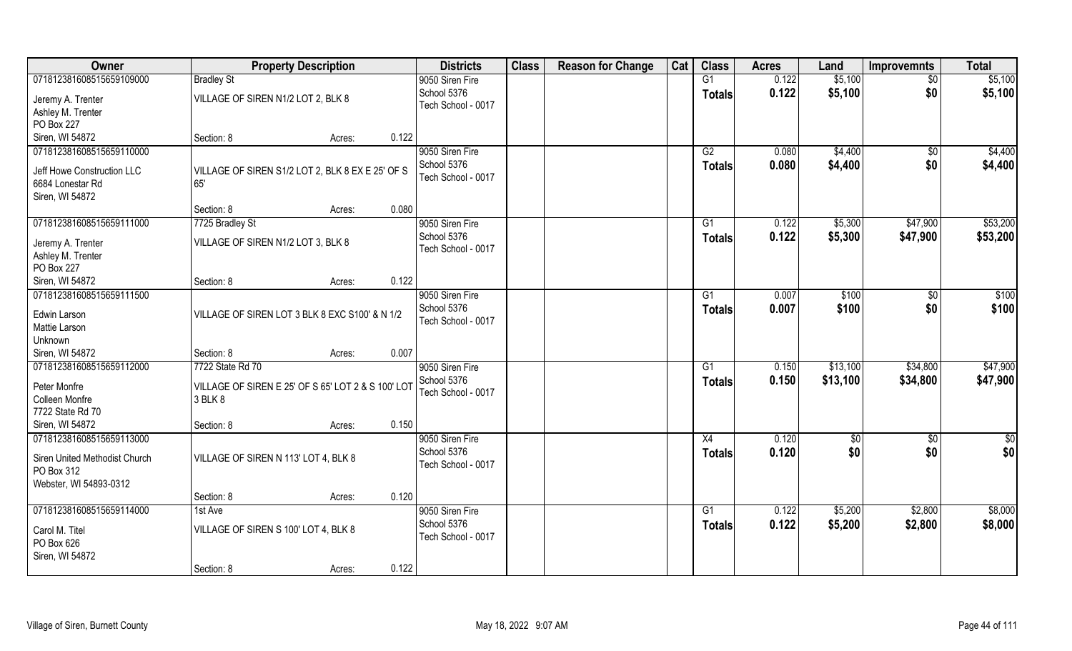| Owner                                  |                                                    | <b>Property Description</b> |       | <b>Districts</b>                  | <b>Class</b> | <b>Reason for Change</b> | Cat | <b>Class</b>    | <b>Acres</b> | Land     | <b>Improvemnts</b> | <b>Total</b> |
|----------------------------------------|----------------------------------------------------|-----------------------------|-------|-----------------------------------|--------------|--------------------------|-----|-----------------|--------------|----------|--------------------|--------------|
| 071812381608515659109000               | <b>Bradley St</b>                                  |                             |       | 9050 Siren Fire                   |              |                          |     | G1              | 0.122        | \$5,100  | $\sqrt{$0}$        | \$5,100      |
| Jeremy A. Trenter                      | VILLAGE OF SIREN N1/2 LOT 2, BLK 8                 |                             |       | School 5376<br>Tech School - 0017 |              |                          |     | <b>Totals</b>   | 0.122        | \$5,100  | \$0                | \$5,100      |
| Ashley M. Trenter                      |                                                    |                             |       |                                   |              |                          |     |                 |              |          |                    |              |
| PO Box 227                             |                                                    |                             |       |                                   |              |                          |     |                 |              |          |                    |              |
| Siren, WI 54872                        | Section: 8                                         | Acres:                      | 0.122 |                                   |              |                          |     |                 |              |          |                    |              |
| 071812381608515659110000               |                                                    |                             |       | 9050 Siren Fire                   |              |                          |     | G2              | 0.080        | \$4,400  | $\overline{50}$    | \$4,400      |
| Jeff Howe Construction LLC             | VILLAGE OF SIREN S1/2 LOT 2, BLK 8 EX E 25' OF S   |                             |       | School 5376                       |              |                          |     | Totals          | 0.080        | \$4,400  | \$0                | \$4,400      |
| 6684 Lonestar Rd                       | 65'                                                |                             |       | Tech School - 0017                |              |                          |     |                 |              |          |                    |              |
| Siren, WI 54872                        |                                                    |                             |       |                                   |              |                          |     |                 |              |          |                    |              |
|                                        | Section: 8                                         | Acres:                      | 0.080 |                                   |              |                          |     |                 |              |          |                    |              |
| 071812381608515659111000               | 7725 Bradley St                                    |                             |       | 9050 Siren Fire                   |              |                          |     | G1              | 0.122        | \$5,300  | \$47,900           | \$53,200     |
|                                        |                                                    |                             |       | School 5376                       |              |                          |     | Totals          | 0.122        | \$5,300  | \$47,900           | \$53,200     |
| Jeremy A. Trenter<br>Ashley M. Trenter | VILLAGE OF SIREN N1/2 LOT 3, BLK 8                 |                             |       | Tech School - 0017                |              |                          |     |                 |              |          |                    |              |
| PO Box 227                             |                                                    |                             |       |                                   |              |                          |     |                 |              |          |                    |              |
| Siren, WI 54872                        | Section: 8                                         | Acres:                      | 0.122 |                                   |              |                          |     |                 |              |          |                    |              |
| 071812381608515659111500               |                                                    |                             |       | 9050 Siren Fire                   |              |                          |     | G1              | 0.007        | \$100    | $\sqrt[6]{3}$      | \$100        |
|                                        |                                                    |                             |       | School 5376                       |              |                          |     |                 | 0.007        | \$100    | \$0                | \$100        |
| Edwin Larson                           | VILLAGE OF SIREN LOT 3 BLK 8 EXC S100' & N 1/2     |                             |       | Tech School - 0017                |              |                          |     | <b>Totals</b>   |              |          |                    |              |
| Mattie Larson                          |                                                    |                             |       |                                   |              |                          |     |                 |              |          |                    |              |
| Unknown                                |                                                    |                             |       |                                   |              |                          |     |                 |              |          |                    |              |
| Siren, WI 54872                        | Section: 8                                         | Acres:                      | 0.007 |                                   |              |                          |     |                 |              |          |                    |              |
| 071812381608515659112000               | 7722 State Rd 70                                   |                             |       | 9050 Siren Fire                   |              |                          |     | G1              | 0.150        | \$13,100 | \$34,800           | \$47,900     |
| Peter Monfre                           | VILLAGE OF SIREN E 25' OF S 65' LOT 2 & S 100' LOT |                             |       | School 5376                       |              |                          |     | <b>Totals</b>   | 0.150        | \$13,100 | \$34,800           | \$47,900     |
| Colleen Monfre                         | 3 BLK 8                                            |                             |       | Tech School - 0017                |              |                          |     |                 |              |          |                    |              |
| 7722 State Rd 70                       |                                                    |                             |       |                                   |              |                          |     |                 |              |          |                    |              |
| Siren, WI 54872                        | Section: 8                                         | Acres:                      | 0.150 |                                   |              |                          |     |                 |              |          |                    |              |
| 071812381608515659113000               |                                                    |                             |       | 9050 Siren Fire                   |              |                          |     | X4              | 0.120        | \$0      | \$0                | \$0          |
|                                        |                                                    |                             |       | School 5376                       |              |                          |     | <b>Totals</b>   | 0.120        | \$0      | \$0                | \$0          |
| Siren United Methodist Church          | VILLAGE OF SIREN N 113' LOT 4, BLK 8               |                             |       | Tech School - 0017                |              |                          |     |                 |              |          |                    |              |
| PO Box 312                             |                                                    |                             |       |                                   |              |                          |     |                 |              |          |                    |              |
| Webster, WI 54893-0312                 |                                                    |                             |       |                                   |              |                          |     |                 |              |          |                    |              |
|                                        | Section: 8                                         | Acres:                      | 0.120 |                                   |              |                          |     |                 |              |          |                    |              |
| 071812381608515659114000               | 1st Ave                                            |                             |       | 9050 Siren Fire                   |              |                          |     | $\overline{G1}$ | 0.122        | \$5,200  | \$2,800            | \$8,000      |
| Carol M. Titel                         | VILLAGE OF SIREN S 100' LOT 4, BLK 8               |                             |       | School 5376                       |              |                          |     | Totals          | 0.122        | \$5,200  | \$2,800            | \$8,000      |
| PO Box 626                             |                                                    |                             |       | Tech School - 0017                |              |                          |     |                 |              |          |                    |              |
| Siren, WI 54872                        |                                                    |                             |       |                                   |              |                          |     |                 |              |          |                    |              |
|                                        | Section: 8                                         | Acres:                      | 0.122 |                                   |              |                          |     |                 |              |          |                    |              |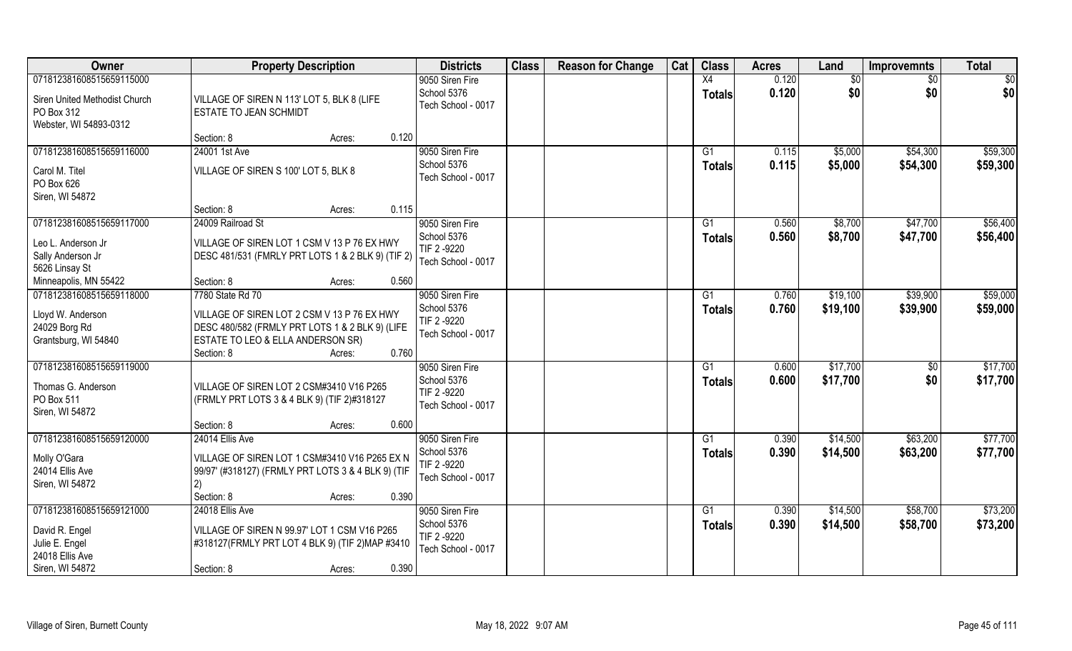| Owner                         | <b>Property Description</b>                        | <b>Districts</b>                  | <b>Class</b> | <b>Reason for Change</b> | Cat | <b>Class</b>   | <b>Acres</b> | Land     | <b>Improvemnts</b> | <b>Total</b> |
|-------------------------------|----------------------------------------------------|-----------------------------------|--------------|--------------------------|-----|----------------|--------------|----------|--------------------|--------------|
| 071812381608515659115000      |                                                    | 9050 Siren Fire                   |              |                          |     | X4             | 0.120        | \$0      | \$0                | \$0          |
| Siren United Methodist Church | VILLAGE OF SIREN N 113' LOT 5, BLK 8 (LIFE         | School 5376                       |              |                          |     | <b>Totals</b>  | 0.120        | \$0      | \$0                | \$0          |
| PO Box 312                    | ESTATE TO JEAN SCHMIDT                             | Tech School - 0017                |              |                          |     |                |              |          |                    |              |
| Webster, WI 54893-0312        |                                                    |                                   |              |                          |     |                |              |          |                    |              |
|                               | 0.120<br>Section: 8<br>Acres:                      |                                   |              |                          |     |                |              |          |                    |              |
| 071812381608515659116000      | 24001 1st Ave                                      | 9050 Siren Fire                   |              |                          |     | G <sub>1</sub> | 0.115        | \$5,000  | \$54,300           | \$59,300     |
| Carol M. Titel                | VILLAGE OF SIREN S 100' LOT 5, BLK 8               | School 5376                       |              |                          |     | Totals         | 0.115        | \$5,000  | \$54,300           | \$59,300     |
| PO Box 626                    |                                                    | Tech School - 0017                |              |                          |     |                |              |          |                    |              |
| Siren, WI 54872               |                                                    |                                   |              |                          |     |                |              |          |                    |              |
|                               | 0.115<br>Section: 8<br>Acres:                      |                                   |              |                          |     |                |              |          |                    |              |
| 071812381608515659117000      | 24009 Railroad St                                  | 9050 Siren Fire                   |              |                          |     | G1             | 0.560        | \$8,700  | \$47,700           | \$56,400     |
| Leo L. Anderson Jr            | VILLAGE OF SIREN LOT 1 CSM V 13 P 76 EX HWY        | School 5376                       |              |                          |     | <b>Totals</b>  | 0.560        | \$8,700  | \$47,700           | \$56,400     |
| Sally Anderson Jr             | DESC 481/531 (FMRLY PRT LOTS 1 & 2 BLK 9) (TIF 2)  | TIF 2 -9220<br>Tech School - 0017 |              |                          |     |                |              |          |                    |              |
| 5626 Linsay St                |                                                    |                                   |              |                          |     |                |              |          |                    |              |
| Minneapolis, MN 55422         | 0.560<br>Section: 8<br>Acres:                      |                                   |              |                          |     |                |              |          |                    |              |
| 071812381608515659118000      | 7780 State Rd 70                                   | 9050 Siren Fire                   |              |                          |     | G1             | 0.760        | \$19,100 | \$39,900           | \$59,000     |
| Lloyd W. Anderson             | VILLAGE OF SIREN LOT 2 CSM V 13 P 76 EX HWY        | School 5376                       |              |                          |     | <b>Totals</b>  | 0.760        | \$19,100 | \$39,900           | \$59,000     |
| 24029 Borg Rd                 | DESC 480/582 (FRMLY PRT LOTS 1 & 2 BLK 9) (LIFE    | TIF 2 -9220<br>Tech School - 0017 |              |                          |     |                |              |          |                    |              |
| Grantsburg, WI 54840          | ESTATE TO LEO & ELLA ANDERSON SR)                  |                                   |              |                          |     |                |              |          |                    |              |
|                               | 0.760<br>Section: 8<br>Acres:                      |                                   |              |                          |     |                |              |          |                    |              |
| 071812381608515659119000      |                                                    | 9050 Siren Fire                   |              |                          |     | G1             | 0.600        | \$17,700 | \$0                | \$17,700     |
| Thomas G. Anderson            | VILLAGE OF SIREN LOT 2 CSM#3410 V16 P265           | School 5376                       |              |                          |     | <b>Totals</b>  | 0.600        | \$17,700 | \$0                | \$17,700     |
| PO Box 511                    | (FRMLY PRT LOTS 3 & 4 BLK 9) (TIF 2)#318127        | TIF 2 -9220<br>Tech School - 0017 |              |                          |     |                |              |          |                    |              |
| Siren, WI 54872               |                                                    |                                   |              |                          |     |                |              |          |                    |              |
|                               | Section: 8<br>0.600<br>Acres:                      |                                   |              |                          |     |                |              |          |                    |              |
| 071812381608515659120000      | 24014 Ellis Ave                                    | 9050 Siren Fire                   |              |                          |     | G1             | 0.390        | \$14,500 | \$63,200           | \$77,700     |
| Molly O'Gara                  | VILLAGE OF SIREN LOT 1 CSM#3410 V16 P265 EX N      | School 5376<br>TIF 2 -9220        |              |                          |     | <b>Totals</b>  | 0.390        | \$14,500 | \$63,200           | \$77,700     |
| 24014 Ellis Ave               | 99/97' (#318127) (FRMLY PRT LOTS 3 & 4 BLK 9) (TIF | Tech School - 0017                |              |                          |     |                |              |          |                    |              |
| Siren, WI 54872               | 2)                                                 |                                   |              |                          |     |                |              |          |                    |              |
|                               | 0.390<br>Section: 8<br>Acres:                      |                                   |              |                          |     |                |              |          |                    |              |
| 071812381608515659121000      | 24018 Ellis Ave                                    | 9050 Siren Fire                   |              |                          |     | G1             | 0.390        | \$14,500 | \$58,700           | \$73,200     |
| David R. Engel                | VILLAGE OF SIREN N 99.97' LOT 1 CSM V16 P265       | School 5376<br>TIF 2 -9220        |              |                          |     | <b>Totals</b>  | 0.390        | \$14,500 | \$58,700           | \$73,200     |
| Julie E. Engel                | #318127(FRMLY PRT LOT 4 BLK 9) (TIF 2) MAP #3410   | Tech School - 0017                |              |                          |     |                |              |          |                    |              |
| 24018 Ellis Ave               |                                                    |                                   |              |                          |     |                |              |          |                    |              |
| Siren, WI 54872               | 0.390<br>Section: 8<br>Acres:                      |                                   |              |                          |     |                |              |          |                    |              |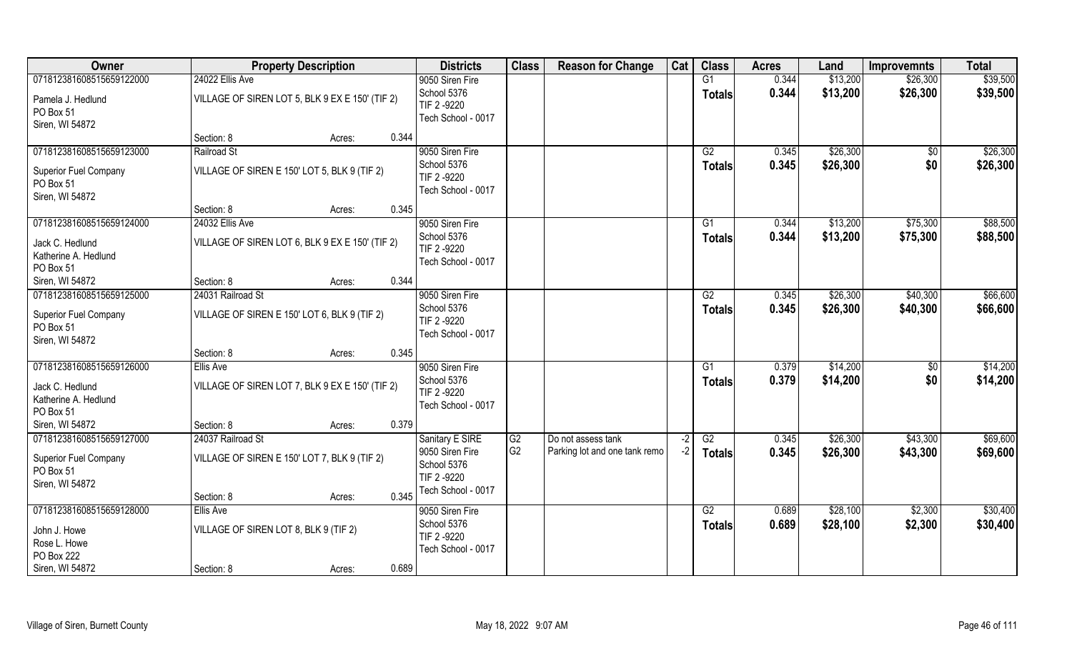| <b>Owner</b>                                                 | <b>Property Description</b>                     |        |       | <b>Districts</b>                                 | <b>Class</b>   | <b>Reason for Change</b>      | Cat  | <b>Class</b>        | <b>Acres</b>   | Land                 | <b>Improvemnts</b>   | <b>Total</b>         |
|--------------------------------------------------------------|-------------------------------------------------|--------|-------|--------------------------------------------------|----------------|-------------------------------|------|---------------------|----------------|----------------------|----------------------|----------------------|
| 071812381608515659122000                                     | 24022 Ellis Ave                                 |        |       | 9050 Siren Fire<br>School 5376                   |                |                               |      | G1<br><b>Totals</b> | 0.344<br>0.344 | \$13,200<br>\$13,200 | \$26,300<br>\$26,300 | \$39,500<br>\$39,500 |
| Pamela J. Hedlund<br>PO Box 51<br>Siren, WI 54872            | VILLAGE OF SIREN LOT 5, BLK 9 EX E 150' (TIF 2) |        |       | TIF 2 -9220<br>Tech School - 0017                |                |                               |      |                     |                |                      |                      |                      |
|                                                              | Section: 8                                      | Acres: | 0.344 |                                                  |                |                               |      |                     |                |                      |                      |                      |
| 071812381608515659123000                                     | Railroad St                                     |        |       | 9050 Siren Fire                                  |                |                               |      | G2                  | 0.345          | \$26,300             | $\overline{50}$      | \$26,300             |
| Superior Fuel Company<br>PO Box 51<br>Siren, WI 54872        | VILLAGE OF SIREN E 150' LOT 5, BLK 9 (TIF 2)    |        |       | School 5376<br>TIF 2 -9220<br>Tech School - 0017 |                |                               |      | Totals              | 0.345          | \$26,300             | \$0                  | \$26,300             |
|                                                              | Section: 8                                      | Acres: | 0.345 |                                                  |                |                               |      |                     |                |                      |                      |                      |
| 071812381608515659124000                                     | 24032 Ellis Ave                                 |        |       | 9050 Siren Fire                                  |                |                               |      | G1                  | 0.344          | \$13,200             | \$75,300             | \$88,500             |
| Jack C. Hedlund                                              | VILLAGE OF SIREN LOT 6, BLK 9 EX E 150' (TIF 2) |        |       | School 5376                                      |                |                               |      | <b>Totals</b>       | 0.344          | \$13,200             | \$75,300             | \$88,500             |
| Katherine A. Hedlund<br>PO Box 51                            |                                                 |        |       | TIF 2 -9220<br>Tech School - 0017                |                |                               |      |                     |                |                      |                      |                      |
| Siren, WI 54872                                              | Section: 8                                      | Acres: | 0.344 |                                                  |                |                               |      |                     |                |                      |                      |                      |
| 071812381608515659125000                                     | 24031 Railroad St                               |        |       | 9050 Siren Fire                                  |                |                               |      | G2                  | 0.345          | \$26,300             | \$40,300             | \$66,600             |
| Superior Fuel Company<br>PO Box 51<br>Siren, WI 54872        | VILLAGE OF SIREN E 150' LOT 6, BLK 9 (TIF 2)    |        |       | School 5376<br>TIF 2 -9220<br>Tech School - 0017 |                |                               |      | <b>Totals</b>       | 0.345          | \$26,300             | \$40,300             | \$66,600             |
|                                                              | Section: 8                                      | Acres: | 0.345 |                                                  |                |                               |      |                     |                |                      |                      |                      |
| 071812381608515659126000                                     | <b>Ellis Ave</b>                                |        |       | 9050 Siren Fire                                  |                |                               |      | G1                  | 0.379          | \$14,200             | \$0                  | \$14,200             |
| Jack C. Hedlund<br>Katherine A. Hedlund<br>PO Box 51         | VILLAGE OF SIREN LOT 7, BLK 9 EX E 150' (TIF 2) |        |       | School 5376<br>TIF 2 -9220<br>Tech School - 0017 |                |                               |      | <b>Totals</b>       | 0.379          | \$14,200             | \$0                  | \$14,200             |
| Siren, WI 54872                                              | Section: 8                                      | Acres: | 0.379 |                                                  |                |                               |      |                     |                |                      |                      |                      |
| 071812381608515659127000                                     | 24037 Railroad St                               |        |       | Sanitary E SIRE                                  | G2             | Do not assess tank            | $-2$ | G2                  | 0.345          | \$26,300             | \$43,300             | \$69,600             |
| <b>Superior Fuel Company</b><br>PO Box 51<br>Siren, WI 54872 | VILLAGE OF SIREN E 150' LOT 7, BLK 9 (TIF 2)    |        |       | 9050 Siren Fire<br>School 5376<br>TIF 2 -9220    | G <sub>2</sub> | Parking lot and one tank remo | $-2$ | <b>Totals</b>       | 0.345          | \$26,300             | \$43,300             | \$69,600             |
|                                                              | Section: 8                                      | Acres: | 0.345 | Tech School - 0017                               |                |                               |      |                     |                |                      |                      |                      |
| 071812381608515659128000                                     | Ellis Ave                                       |        |       | 9050 Siren Fire                                  |                |                               |      | G2                  | 0.689          | \$28,100             | \$2,300              | \$30,400             |
| John J. Howe<br>Rose L. Howe<br>PO Box 222                   | VILLAGE OF SIREN LOT 8, BLK 9 (TIF 2)           |        |       | School 5376<br>TIF 2 -9220<br>Tech School - 0017 |                |                               |      | <b>Totals</b>       | 0.689          | \$28,100             | \$2,300              | \$30,400             |
| Siren, WI 54872                                              | Section: 8                                      | Acres: | 0.689 |                                                  |                |                               |      |                     |                |                      |                      |                      |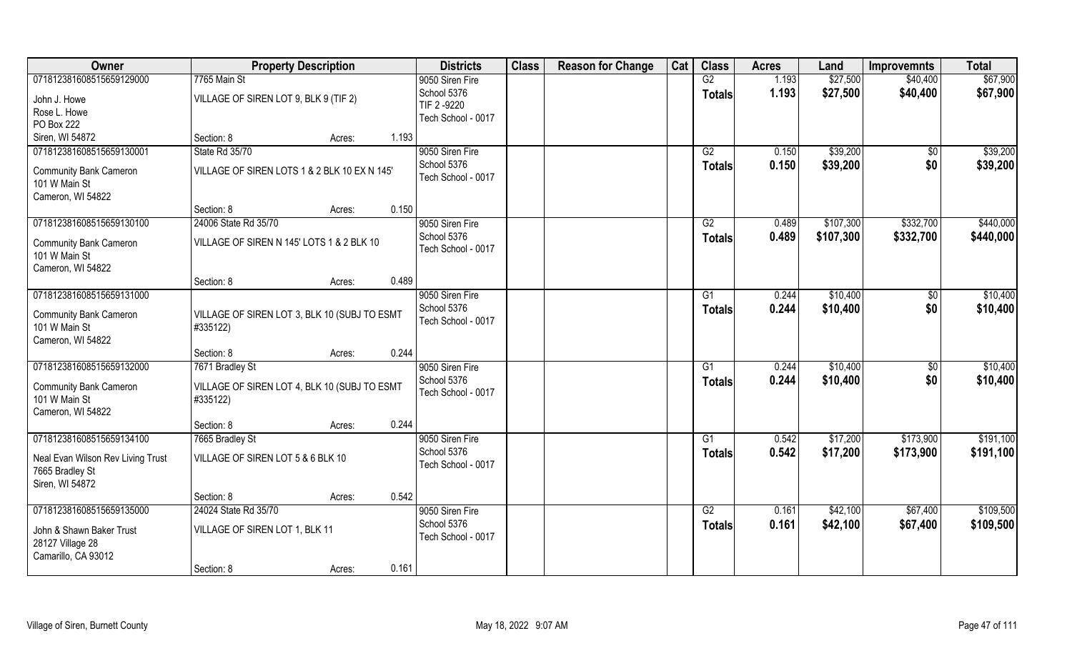| Owner                             | <b>Property Description</b>                  | <b>Districts</b>                  | <b>Class</b> | <b>Reason for Change</b> | Cat | <b>Class</b>  | <b>Acres</b> | Land      | <b>Improvemnts</b> | <b>Total</b> |
|-----------------------------------|----------------------------------------------|-----------------------------------|--------------|--------------------------|-----|---------------|--------------|-----------|--------------------|--------------|
| 071812381608515659129000          | 7765 Main St                                 | 9050 Siren Fire                   |              |                          |     | G2            | 1.193        | \$27,500  | \$40,400           | \$67,900     |
| John J. Howe                      | VILLAGE OF SIREN LOT 9, BLK 9 (TIF 2)        | School 5376                       |              |                          |     | <b>Totals</b> | 1.193        | \$27,500  | \$40,400           | \$67,900     |
| Rose L. Howe                      |                                              | TIF 2-9220                        |              |                          |     |               |              |           |                    |              |
| PO Box 222                        |                                              | Tech School - 0017                |              |                          |     |               |              |           |                    |              |
| Siren, WI 54872                   | Section: 8<br>Acres:                         | 1.193                             |              |                          |     |               |              |           |                    |              |
| 071812381608515659130001          | State Rd 35/70                               | 9050 Siren Fire                   |              |                          |     | G2            | 0.150        | \$39,200  | $\overline{50}$    | \$39,200     |
|                                   |                                              | School 5376                       |              |                          |     | <b>Totals</b> | 0.150        | \$39,200  | \$0                | \$39,200     |
| <b>Community Bank Cameron</b>     | VILLAGE OF SIREN LOTS 1 & 2 BLK 10 EX N 145' | Tech School - 0017                |              |                          |     |               |              |           |                    |              |
| 101 W Main St                     |                                              |                                   |              |                          |     |               |              |           |                    |              |
| Cameron, WI 54822                 |                                              | 0.150                             |              |                          |     |               |              |           |                    |              |
|                                   | Section: 8<br>Acres:                         |                                   |              |                          |     |               |              |           |                    |              |
| 071812381608515659130100          | 24006 State Rd 35/70                         | 9050 Siren Fire                   |              |                          |     | G2            | 0.489        | \$107,300 | \$332,700          | \$440,000    |
| <b>Community Bank Cameron</b>     | VILLAGE OF SIREN N 145' LOTS 1 & 2 BLK 10    | School 5376<br>Tech School - 0017 |              |                          |     | <b>Totals</b> | 0.489        | \$107,300 | \$332,700          | \$440,000    |
| 101 W Main St                     |                                              |                                   |              |                          |     |               |              |           |                    |              |
| Cameron, WI 54822                 |                                              |                                   |              |                          |     |               |              |           |                    |              |
|                                   | Section: 8<br>Acres:                         | 0.489                             |              |                          |     |               |              |           |                    |              |
| 071812381608515659131000          |                                              | 9050 Siren Fire                   |              |                          |     | G1            | 0.244        | \$10,400  | \$0                | \$10,400     |
| <b>Community Bank Cameron</b>     | VILLAGE OF SIREN LOT 3, BLK 10 (SUBJ TO ESMT | School 5376                       |              |                          |     | <b>Totals</b> | 0.244        | \$10,400  | \$0                | \$10,400     |
| 101 W Main St                     | #335122)                                     | Tech School - 0017                |              |                          |     |               |              |           |                    |              |
| Cameron, WI 54822                 |                                              |                                   |              |                          |     |               |              |           |                    |              |
|                                   | Section: 8<br>Acres:                         | 0.244                             |              |                          |     |               |              |           |                    |              |
| 071812381608515659132000          | 7671 Bradley St                              | 9050 Siren Fire                   |              |                          |     | G1            | 0.244        | \$10,400  | \$0                | \$10,400     |
|                                   |                                              | School 5376                       |              |                          |     | <b>Totals</b> | 0.244        | \$10,400  | \$0                | \$10,400     |
| <b>Community Bank Cameron</b>     | VILLAGE OF SIREN LOT 4, BLK 10 (SUBJ TO ESMT | Tech School - 0017                |              |                          |     |               |              |           |                    |              |
| 101 W Main St                     | #335122)                                     |                                   |              |                          |     |               |              |           |                    |              |
| Cameron, WI 54822                 |                                              |                                   |              |                          |     |               |              |           |                    |              |
|                                   | Section: 8<br>Acres:                         | 0.244                             |              |                          |     |               |              |           |                    |              |
| 071812381608515659134100          | 7665 Bradley St                              | 9050 Siren Fire                   |              |                          |     | G1            | 0.542        | \$17,200  | \$173,900          | \$191,100    |
| Neal Evan Wilson Rev Living Trust | VILLAGE OF SIREN LOT 5 & 6 BLK 10            | School 5376<br>Tech School - 0017 |              |                          |     | <b>Totals</b> | 0.542        | \$17,200  | \$173,900          | \$191,100    |
| 7665 Bradley St                   |                                              |                                   |              |                          |     |               |              |           |                    |              |
| Siren, WI 54872                   |                                              |                                   |              |                          |     |               |              |           |                    |              |
|                                   | Section: 8<br>Acres:                         | 0.542                             |              |                          |     |               |              |           |                    |              |
| 071812381608515659135000          | 24024 State Rd 35/70                         | 9050 Siren Fire                   |              |                          |     | G2            | 0.161        | \$42,100  | \$67,400           | \$109,500    |
| John & Shawn Baker Trust          | VILLAGE OF SIREN LOT 1, BLK 11               | School 5376                       |              |                          |     | <b>Totals</b> | 0.161        | \$42,100  | \$67,400           | \$109,500    |
| 28127 Village 28                  |                                              | Tech School - 0017                |              |                          |     |               |              |           |                    |              |
| Camarillo, CA 93012               |                                              |                                   |              |                          |     |               |              |           |                    |              |
|                                   | Section: 8<br>Acres:                         | 0.161                             |              |                          |     |               |              |           |                    |              |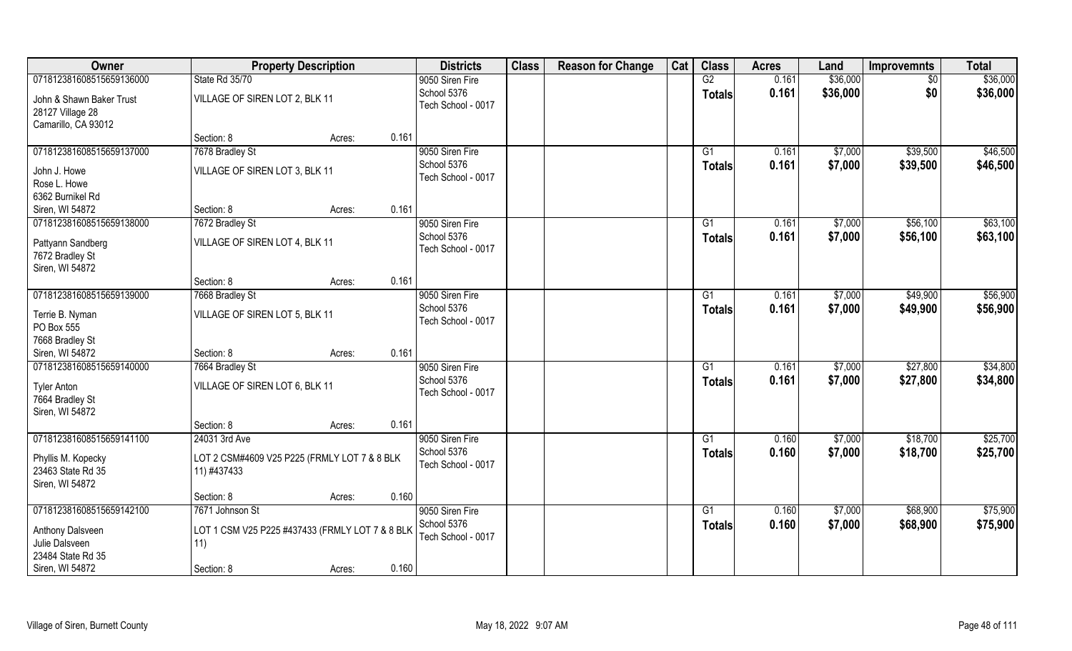| <b>Class</b><br><b>Class</b><br>Cat<br>Owner<br><b>Districts</b><br><b>Reason for Change</b><br><b>Property Description</b><br><b>Acres</b><br>Land<br><b>Improvemnts</b> | <b>Total</b>           |
|---------------------------------------------------------------------------------------------------------------------------------------------------------------------------|------------------------|
| \$36,000<br>071812381608515659136000<br>State Rd 35/70<br>9050 Siren Fire<br>G2<br>0.161                                                                                  | \$36,000<br>$\sqrt{6}$ |
| School 5376<br>\$36,000<br>0.161<br><b>Totals</b><br>VILLAGE OF SIREN LOT 2, BLK 11<br>John & Shawn Baker Trust                                                           | \$0<br>\$36,000        |
| Tech School - 0017<br>28127 Village 28                                                                                                                                    |                        |
| Camarillo, CA 93012                                                                                                                                                       |                        |
| Section: 8<br>0.161<br>Acres:                                                                                                                                             |                        |
| 071812381608515659137000<br>7678 Bradley St<br>9050 Siren Fire<br>0.161<br>\$7,000<br>\$39,500<br>G1                                                                      | \$46,500               |
| School 5376<br>\$7,000<br>0.161<br>\$39,500<br><b>Totals</b><br>VILLAGE OF SIREN LOT 3, BLK 11<br>John J. Howe                                                            | \$46,500               |
| Tech School - 0017<br>Rose L. Howe                                                                                                                                        |                        |
| 6362 Burnikel Rd                                                                                                                                                          |                        |
| 0.161<br>Siren, WI 54872<br>Section: 8<br>Acres:                                                                                                                          |                        |
| 071812381608515659138000<br>\$7,000<br>\$56,100<br>7672 Bradley St<br>9050 Siren Fire<br>G1<br>0.161                                                                      | \$63,100               |
| School 5376<br>\$7,000<br>0.161<br>\$56,100<br><b>Totals</b><br>VILLAGE OF SIREN LOT 4, BLK 11<br>Pattyann Sandberg                                                       | \$63,100               |
| Tech School - 0017<br>7672 Bradley St                                                                                                                                     |                        |
| Siren, WI 54872                                                                                                                                                           |                        |
| 0.161<br>Section: 8<br>Acres:                                                                                                                                             |                        |
| 071812381608515659139000<br>\$49,900<br>7668 Bradley St<br>9050 Siren Fire<br>0.161<br>\$7,000<br>G1                                                                      | \$56,900               |
| School 5376<br>0.161<br>\$7,000<br>\$49,900<br><b>Totals</b><br>VILLAGE OF SIREN LOT 5, BLK 11<br>Terrie B. Nyman                                                         | \$56,900               |
| Tech School - 0017<br>PO Box 555                                                                                                                                          |                        |
| 7668 Bradley St                                                                                                                                                           |                        |
| 0.161<br>Siren, WI 54872<br>Section: 8<br>Acres:                                                                                                                          |                        |
| 071812381608515659140000<br>\$27,800<br>7664 Bradley St<br>G1<br>0.161<br>\$7,000<br>9050 Siren Fire                                                                      | \$34,800               |
| \$7,000<br>School 5376<br>\$27,800<br>0.161<br><b>Totals</b><br><b>Tyler Anton</b><br>VILLAGE OF SIREN LOT 6, BLK 11                                                      | \$34,800               |
| Tech School - 0017<br>7664 Bradley St                                                                                                                                     |                        |
| Siren, WI 54872                                                                                                                                                           |                        |
| 0.161<br>Section: 8<br>Acres:                                                                                                                                             |                        |
| \$18,700<br>071812381608515659141100<br>24031 3rd Ave<br>9050 Siren Fire<br>G1<br>0.160<br>\$7,000                                                                        | \$25,700               |
| School 5376<br>0.160<br>\$7,000<br>\$18,700<br><b>Totals</b>                                                                                                              | \$25,700               |
| LOT 2 CSM#4609 V25 P225 (FRMLY LOT 7 & 8 BLK<br>Phyllis M. Kopecky<br>Tech School - 0017<br>23463 State Rd 35<br>11) #437433                                              |                        |
| Siren, WI 54872                                                                                                                                                           |                        |
| 0.160<br>Section: 8<br>Acres:                                                                                                                                             |                        |
| 071812381608515659142100<br>9050 Siren Fire<br>\$68,900<br>7671 Johnson St<br>G1<br>0.160<br>\$7,000                                                                      | \$75,900               |
| School 5376<br>0.160<br>\$7,000<br>\$68,900<br><b>Totals</b>                                                                                                              | \$75,900               |
| LOT 1 CSM V25 P225 #437433 (FRMLY LOT 7 & 8 BLK<br>Anthony Dalsveen<br>Tech School - 0017                                                                                 |                        |
| Julie Dalsveen<br>11)<br>23484 State Rd 35                                                                                                                                |                        |
| Siren, WI 54872<br>0.160<br>Section: 8<br>Acres:                                                                                                                          |                        |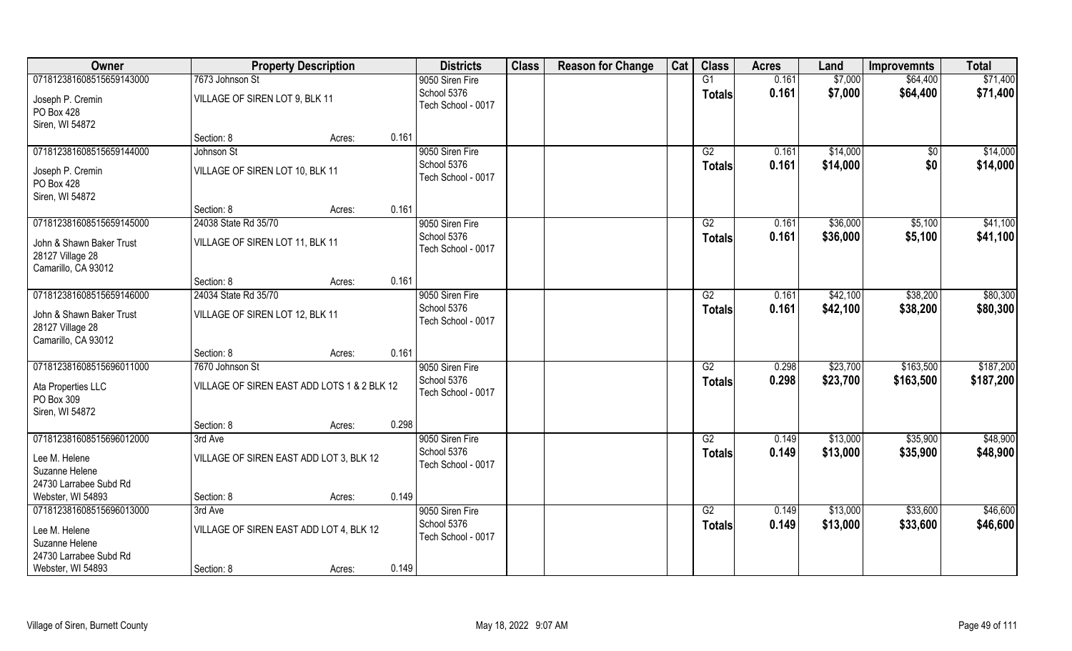|                                                                     |                                             | <b>Property Description</b> | <b>Districts</b>                  | <b>Class</b> | <b>Reason for Change</b> | Cat | <b>Class</b>    | <b>Acres</b> | Land     | <b>Improvemnts</b> | <b>Total</b> |
|---------------------------------------------------------------------|---------------------------------------------|-----------------------------|-----------------------------------|--------------|--------------------------|-----|-----------------|--------------|----------|--------------------|--------------|
| 071812381608515659143000                                            | 7673 Johnson St                             |                             | 9050 Siren Fire                   |              |                          |     | G1              | 0.161        | \$7,000  | \$64,400           | \$71,400     |
| Joseph P. Cremin<br>PO Box 428                                      | VILLAGE OF SIREN LOT 9, BLK 11              |                             | School 5376<br>Tech School - 0017 |              |                          |     | <b>Totals</b>   | 0.161        | \$7,000  | \$64,400           | \$71,400     |
| Siren, WI 54872                                                     |                                             |                             |                                   |              |                          |     |                 |              |          |                    |              |
|                                                                     | Section: 8                                  | 0.161<br>Acres:             |                                   |              |                          |     |                 |              |          |                    |              |
| 071812381608515659144000                                            | Johnson St                                  |                             | 9050 Siren Fire                   |              |                          |     | G2              | 0.161        | \$14,000 | $\overline{50}$    | \$14,000     |
| Joseph P. Cremin<br>PO Box 428                                      | VILLAGE OF SIREN LOT 10, BLK 11             |                             | School 5376<br>Tech School - 0017 |              |                          |     | <b>Totals</b>   | 0.161        | \$14,000 | \$0                | \$14,000     |
| Siren, WI 54872                                                     |                                             |                             |                                   |              |                          |     |                 |              |          |                    |              |
|                                                                     | Section: 8                                  | 0.161<br>Acres:             |                                   |              |                          |     |                 |              |          |                    |              |
| 071812381608515659145000                                            | 24038 State Rd 35/70                        |                             | 9050 Siren Fire                   |              |                          |     | G2              | 0.161        | \$36,000 | \$5,100            | \$41,100     |
| John & Shawn Baker Trust<br>28127 Village 28<br>Camarillo, CA 93012 | VILLAGE OF SIREN LOT 11, BLK 11             |                             | School 5376<br>Tech School - 0017 |              |                          |     | <b>Totals</b>   | 0.161        | \$36,000 | \$5,100            | \$41,100     |
|                                                                     | Section: 8                                  | 0.161<br>Acres:             |                                   |              |                          |     |                 |              |          |                    |              |
| 071812381608515659146000                                            | 24034 State Rd 35/70                        |                             | 9050 Siren Fire                   |              |                          |     | G2              | 0.161        | \$42,100 | \$38,200           | \$80,300     |
| John & Shawn Baker Trust<br>28127 Village 28<br>Camarillo, CA 93012 | VILLAGE OF SIREN LOT 12, BLK 11             |                             | School 5376<br>Tech School - 0017 |              |                          |     | <b>Totals</b>   | 0.161        | \$42,100 | \$38,200           | \$80,300     |
|                                                                     | Section: 8                                  | 0.161<br>Acres:             |                                   |              |                          |     |                 |              |          |                    |              |
| 071812381608515696011000                                            | 7670 Johnson St                             |                             | 9050 Siren Fire                   |              |                          |     | $\overline{G2}$ | 0.298        | \$23,700 | \$163,500          | \$187,200    |
| Ata Properties LLC                                                  | VILLAGE OF SIREN EAST ADD LOTS 1 & 2 BLK 12 |                             | School 5376                       |              |                          |     | <b>Totals</b>   | 0.298        | \$23,700 | \$163,500          | \$187,200    |
| PO Box 309                                                          |                                             |                             | Tech School - 0017                |              |                          |     |                 |              |          |                    |              |
| Siren, WI 54872                                                     |                                             |                             |                                   |              |                          |     |                 |              |          |                    |              |
|                                                                     | Section: 8                                  | 0.298<br>Acres:             |                                   |              |                          |     |                 |              |          |                    |              |
| 071812381608515696012000                                            | 3rd Ave                                     |                             | 9050 Siren Fire                   |              |                          |     | G2              | 0.149        | \$13,000 | \$35,900           | \$48,900     |
| Lee M. Helene<br>Suzanne Helene                                     | VILLAGE OF SIREN EAST ADD LOT 3, BLK 12     |                             | School 5376<br>Tech School - 0017 |              |                          |     | <b>Totals</b>   | 0.149        | \$13,000 | \$35,900           | \$48,900     |
| 24730 Larrabee Subd Rd                                              |                                             |                             |                                   |              |                          |     |                 |              |          |                    |              |
| Webster, WI 54893                                                   | Section: 8                                  | 0.149<br>Acres:             |                                   |              |                          |     |                 |              |          |                    |              |
| 071812381608515696013000                                            | 3rd Ave                                     |                             | 9050 Siren Fire                   |              |                          |     | G2              | 0.149        | \$13,000 | \$33,600           | \$46,600     |
| Lee M. Helene<br>Suzanne Helene                                     | VILLAGE OF SIREN EAST ADD LOT 4, BLK 12     |                             | School 5376<br>Tech School - 0017 |              |                          |     | <b>Totals</b>   | 0.149        | \$13,000 | \$33,600           | \$46,600     |
| 24730 Larrabee Subd Rd<br>Webster, WI 54893                         | Section: 8                                  | 0.149<br>Acres:             |                                   |              |                          |     |                 |              |          |                    |              |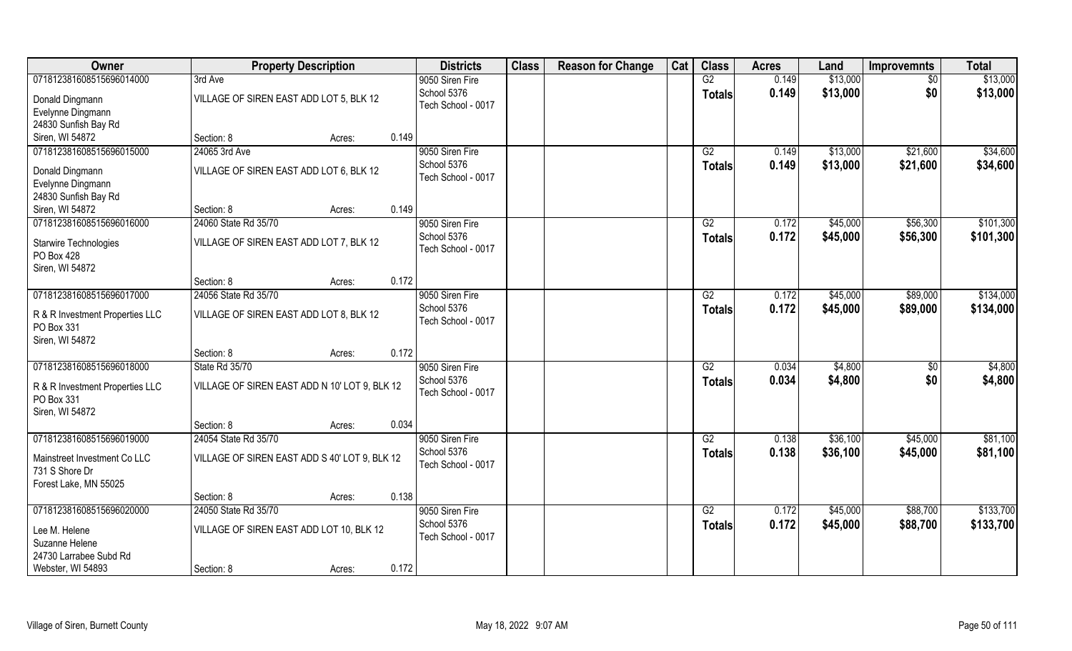| Owner                           | <b>Property Description</b>                   |        |       | <b>Districts</b>   | <b>Class</b> | <b>Reason for Change</b> | Cat | <b>Class</b>    | <b>Acres</b> | Land     | <b>Improvemnts</b> | <b>Total</b> |
|---------------------------------|-----------------------------------------------|--------|-------|--------------------|--------------|--------------------------|-----|-----------------|--------------|----------|--------------------|--------------|
| 071812381608515696014000        | 3rd Ave                                       |        |       | 9050 Siren Fire    |              |                          |     | G2              | 0.149        | \$13,000 | \$0                | \$13,000     |
| Donald Dingmann                 | VILLAGE OF SIREN EAST ADD LOT 5, BLK 12       |        |       | School 5376        |              |                          |     | <b>Totals</b>   | 0.149        | \$13,000 | \$0                | \$13,000     |
| Evelynne Dingmann               |                                               |        |       | Tech School - 0017 |              |                          |     |                 |              |          |                    |              |
| 24830 Sunfish Bay Rd            |                                               |        |       |                    |              |                          |     |                 |              |          |                    |              |
| Siren, WI 54872                 | Section: 8                                    | Acres: | 0.149 |                    |              |                          |     |                 |              |          |                    |              |
| 071812381608515696015000        | 24065 3rd Ave                                 |        |       | 9050 Siren Fire    |              |                          |     | G2              | 0.149        | \$13,000 | \$21,600           | \$34,600     |
| Donald Dingmann                 | VILLAGE OF SIREN EAST ADD LOT 6, BLK 12       |        |       | School 5376        |              |                          |     | <b>Totals</b>   | 0.149        | \$13,000 | \$21,600           | \$34,600     |
| Evelynne Dingmann               |                                               |        |       | Tech School - 0017 |              |                          |     |                 |              |          |                    |              |
| 24830 Sunfish Bay Rd            |                                               |        |       |                    |              |                          |     |                 |              |          |                    |              |
| Siren, WI 54872                 | Section: 8                                    | Acres: | 0.149 |                    |              |                          |     |                 |              |          |                    |              |
| 071812381608515696016000        | 24060 State Rd 35/70                          |        |       | 9050 Siren Fire    |              |                          |     | G2              | 0.172        | \$45,000 | \$56,300           | \$101,300    |
| Starwire Technologies           | VILLAGE OF SIREN EAST ADD LOT 7, BLK 12       |        |       | School 5376        |              |                          |     | <b>Totals</b>   | 0.172        | \$45,000 | \$56,300           | \$101,300    |
| PO Box 428                      |                                               |        |       | Tech School - 0017 |              |                          |     |                 |              |          |                    |              |
| Siren, WI 54872                 |                                               |        |       |                    |              |                          |     |                 |              |          |                    |              |
|                                 | Section: 8                                    | Acres: | 0.172 |                    |              |                          |     |                 |              |          |                    |              |
| 071812381608515696017000        | 24056 State Rd 35/70                          |        |       | 9050 Siren Fire    |              |                          |     | G2              | 0.172        | \$45,000 | \$89,000           | \$134,000    |
| R & R Investment Properties LLC | VILLAGE OF SIREN EAST ADD LOT 8, BLK 12       |        |       | School 5376        |              |                          |     | <b>Totals</b>   | 0.172        | \$45,000 | \$89,000           | \$134,000    |
| PO Box 331                      |                                               |        |       | Tech School - 0017 |              |                          |     |                 |              |          |                    |              |
| Siren, WI 54872                 |                                               |        |       |                    |              |                          |     |                 |              |          |                    |              |
|                                 | Section: 8                                    | Acres: | 0.172 |                    |              |                          |     |                 |              |          |                    |              |
| 071812381608515696018000        | State Rd 35/70                                |        |       | 9050 Siren Fire    |              |                          |     | $\overline{G2}$ | 0.034        | \$4,800  | \$0                | \$4,800      |
| R & R Investment Properties LLC | VILLAGE OF SIREN EAST ADD N 10' LOT 9, BLK 12 |        |       | School 5376        |              |                          |     | <b>Totals</b>   | 0.034        | \$4,800  | \$0                | \$4,800      |
| PO Box 331                      |                                               |        |       | Tech School - 0017 |              |                          |     |                 |              |          |                    |              |
| Siren, WI 54872                 |                                               |        |       |                    |              |                          |     |                 |              |          |                    |              |
|                                 | Section: 8                                    | Acres: | 0.034 |                    |              |                          |     |                 |              |          |                    |              |
| 071812381608515696019000        | 24054 State Rd 35/70                          |        |       | 9050 Siren Fire    |              |                          |     | G2              | 0.138        | \$36,100 | \$45,000           | \$81,100     |
| Mainstreet Investment Co LLC    | VILLAGE OF SIREN EAST ADD S 40' LOT 9, BLK 12 |        |       | School 5376        |              |                          |     | <b>Totals</b>   | 0.138        | \$36,100 | \$45,000           | \$81,100     |
| 731 S Shore Dr                  |                                               |        |       | Tech School - 0017 |              |                          |     |                 |              |          |                    |              |
| Forest Lake, MN 55025           |                                               |        |       |                    |              |                          |     |                 |              |          |                    |              |
|                                 | Section: 8                                    | Acres: | 0.138 |                    |              |                          |     |                 |              |          |                    |              |
| 071812381608515696020000        | 24050 State Rd 35/70                          |        |       | 9050 Siren Fire    |              |                          |     | G2              | 0.172        | \$45,000 | \$88,700           | \$133,700    |
|                                 | VILLAGE OF SIREN EAST ADD LOT 10, BLK 12      |        |       | School 5376        |              |                          |     | <b>Totals</b>   | 0.172        | \$45,000 | \$88,700           | \$133,700    |
| Lee M. Helene<br>Suzanne Helene |                                               |        |       | Tech School - 0017 |              |                          |     |                 |              |          |                    |              |
| 24730 Larrabee Subd Rd          |                                               |        |       |                    |              |                          |     |                 |              |          |                    |              |
| Webster, WI 54893               | Section: 8                                    | Acres: | 0.172 |                    |              |                          |     |                 |              |          |                    |              |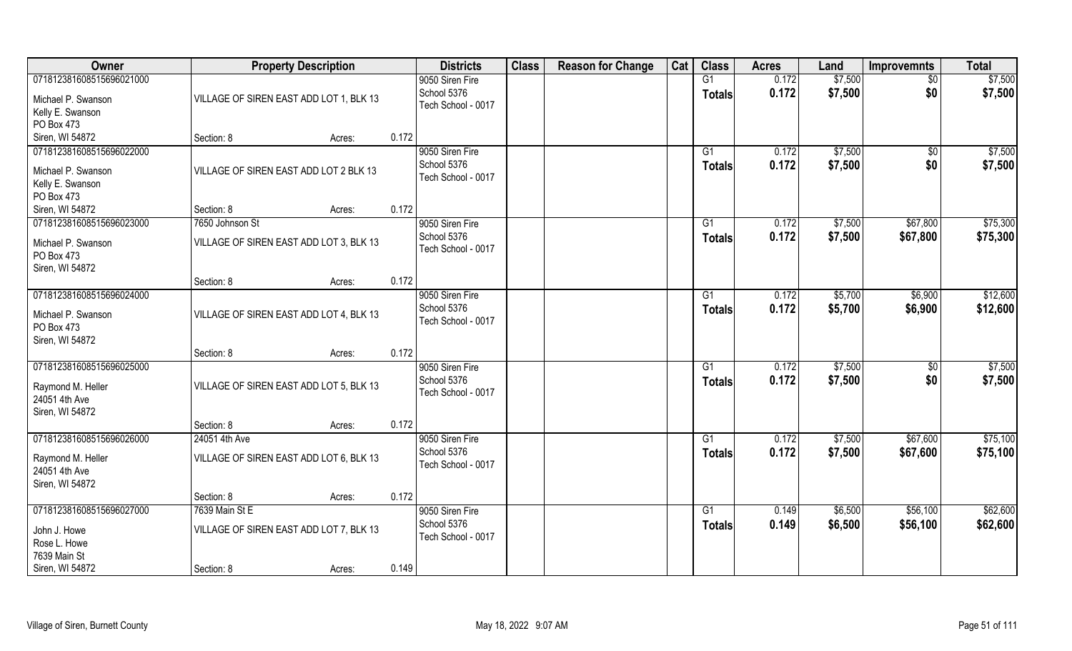| Owner                         | <b>Property Description</b>             |        |       | <b>Districts</b>   | <b>Class</b> | <b>Reason for Change</b> | Cat | <b>Class</b>    | <b>Acres</b> | Land    | <b>Improvemnts</b> | <b>Total</b> |
|-------------------------------|-----------------------------------------|--------|-------|--------------------|--------------|--------------------------|-----|-----------------|--------------|---------|--------------------|--------------|
| 071812381608515696021000      |                                         |        |       | 9050 Siren Fire    |              |                          |     | G1              | 0.172        | \$7,500 | $\sqrt{$0}$        | \$7,500      |
| Michael P. Swanson            | VILLAGE OF SIREN EAST ADD LOT 1, BLK 13 |        |       | School 5376        |              |                          |     | <b>Totals</b>   | 0.172        | \$7,500 | \$0                | \$7,500      |
| Kelly E. Swanson              |                                         |        |       | Tech School - 0017 |              |                          |     |                 |              |         |                    |              |
| PO Box 473                    |                                         |        |       |                    |              |                          |     |                 |              |         |                    |              |
| Siren, WI 54872               | Section: 8                              | Acres: | 0.172 |                    |              |                          |     |                 |              |         |                    |              |
| 071812381608515696022000      |                                         |        |       | 9050 Siren Fire    |              |                          |     | G1              | 0.172        | \$7,500 | $\sqrt{$0}$        | \$7,500      |
|                               |                                         |        |       | School 5376        |              |                          |     | <b>Totals</b>   | 0.172        | \$7,500 | \$0                | \$7,500      |
| Michael P. Swanson            | VILLAGE OF SIREN EAST ADD LOT 2 BLK 13  |        |       | Tech School - 0017 |              |                          |     |                 |              |         |                    |              |
| Kelly E. Swanson              |                                         |        |       |                    |              |                          |     |                 |              |         |                    |              |
| PO Box 473<br>Siren, WI 54872 | Section: 8                              |        | 0.172 |                    |              |                          |     |                 |              |         |                    |              |
|                               |                                         | Acres: |       |                    |              |                          |     |                 |              |         |                    |              |
| 071812381608515696023000      | 7650 Johnson St                         |        |       | 9050 Siren Fire    |              |                          |     | G1              | 0.172        | \$7,500 | \$67,800           | \$75,300     |
| Michael P. Swanson            | VILLAGE OF SIREN EAST ADD LOT 3, BLK 13 |        |       | School 5376        |              |                          |     | <b>Totals</b>   | 0.172        | \$7,500 | \$67,800           | \$75,300     |
| PO Box 473                    |                                         |        |       | Tech School - 0017 |              |                          |     |                 |              |         |                    |              |
| Siren, WI 54872               |                                         |        |       |                    |              |                          |     |                 |              |         |                    |              |
|                               | Section: 8                              | Acres: | 0.172 |                    |              |                          |     |                 |              |         |                    |              |
| 071812381608515696024000      |                                         |        |       | 9050 Siren Fire    |              |                          |     | G1              | 0.172        | \$5,700 | \$6,900            | \$12,600     |
| Michael P. Swanson            | VILLAGE OF SIREN EAST ADD LOT 4, BLK 13 |        |       | School 5376        |              |                          |     | <b>Totals</b>   | 0.172        | \$5,700 | \$6,900            | \$12,600     |
| PO Box 473                    |                                         |        |       | Tech School - 0017 |              |                          |     |                 |              |         |                    |              |
| Siren, WI 54872               |                                         |        |       |                    |              |                          |     |                 |              |         |                    |              |
|                               | Section: 8                              | Acres: | 0.172 |                    |              |                          |     |                 |              |         |                    |              |
| 071812381608515696025000      |                                         |        |       | 9050 Siren Fire    |              |                          |     | G1              | 0.172        | \$7,500 | \$0                | \$7,500      |
|                               |                                         |        |       | School 5376        |              |                          |     | <b>Totals</b>   | 0.172        | \$7,500 | \$0                | \$7,500      |
| Raymond M. Heller             | VILLAGE OF SIREN EAST ADD LOT 5, BLK 13 |        |       | Tech School - 0017 |              |                          |     |                 |              |         |                    |              |
| 24051 4th Ave                 |                                         |        |       |                    |              |                          |     |                 |              |         |                    |              |
| Siren, WI 54872               |                                         |        |       |                    |              |                          |     |                 |              |         |                    |              |
|                               | Section: 8                              | Acres: | 0.172 |                    |              |                          |     |                 |              |         |                    |              |
| 071812381608515696026000      | 24051 4th Ave                           |        |       | 9050 Siren Fire    |              |                          |     | G1              | 0.172        | \$7,500 | \$67,600           | \$75,100     |
| Raymond M. Heller             | VILLAGE OF SIREN EAST ADD LOT 6, BLK 13 |        |       | School 5376        |              |                          |     | <b>Totals</b>   | 0.172        | \$7,500 | \$67,600           | \$75,100     |
| 24051 4th Ave                 |                                         |        |       | Tech School - 0017 |              |                          |     |                 |              |         |                    |              |
| Siren, WI 54872               |                                         |        |       |                    |              |                          |     |                 |              |         |                    |              |
|                               | Section: 8                              | Acres: | 0.172 |                    |              |                          |     |                 |              |         |                    |              |
| 071812381608515696027000      | 7639 Main St E                          |        |       | 9050 Siren Fire    |              |                          |     | $\overline{G1}$ | 0.149        | \$6,500 | \$56,100           | \$62,600     |
|                               |                                         |        |       | School 5376        |              |                          |     | <b>Totals</b>   | 0.149        | \$6,500 | \$56,100           | \$62,600     |
| John J. Howe                  | VILLAGE OF SIREN EAST ADD LOT 7, BLK 13 |        |       | Tech School - 0017 |              |                          |     |                 |              |         |                    |              |
| Rose L. Howe                  |                                         |        |       |                    |              |                          |     |                 |              |         |                    |              |
| 7639 Main St                  |                                         |        |       |                    |              |                          |     |                 |              |         |                    |              |
| Siren, WI 54872               | Section: 8                              | Acres: | 0.149 |                    |              |                          |     |                 |              |         |                    |              |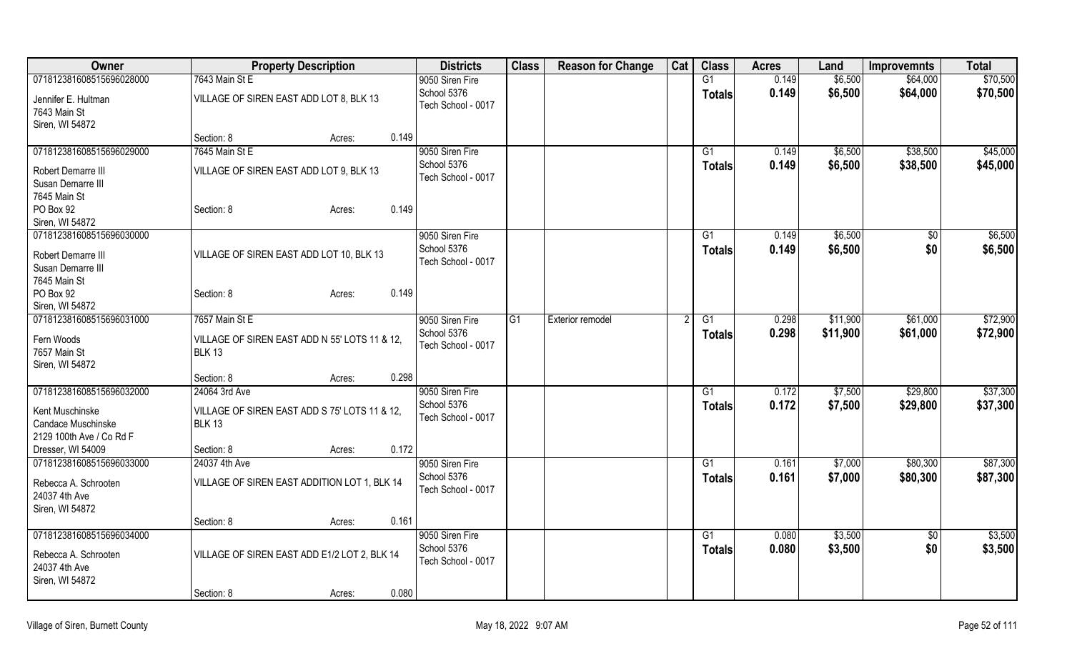| Owner                                                                               |                                                                | <b>Property Description</b> | <b>Districts</b>                                     | <b>Class</b> | <b>Reason for Change</b> | Cat | <b>Class</b>        | <b>Acres</b>   | Land               | <b>Improvemnts</b>     | <b>Total</b>       |
|-------------------------------------------------------------------------------------|----------------------------------------------------------------|-----------------------------|------------------------------------------------------|--------------|--------------------------|-----|---------------------|----------------|--------------------|------------------------|--------------------|
| 071812381608515696028000                                                            | 7643 Main St E                                                 |                             | 9050 Siren Fire                                      |              |                          |     | G1                  | 0.149          | \$6,500            | \$64,000               | \$70,500           |
| Jennifer E. Hultman<br>7643 Main St<br>Siren, WI 54872                              | VILLAGE OF SIREN EAST ADD LOT 8, BLK 13                        |                             | School 5376<br>Tech School - 0017                    |              |                          |     | <b>Totals</b>       | 0.149          | \$6,500            | \$64,000               | \$70,500           |
|                                                                                     | Section: 8                                                     | 0.149<br>Acres:             |                                                      |              |                          |     |                     |                |                    |                        |                    |
| 071812381608515696029000                                                            | 7645 Main St E                                                 |                             | 9050 Siren Fire                                      |              |                          |     | G1                  | 0.149          | \$6,500            | \$38,500               | \$45,000           |
| Robert Demarre III<br>Susan Demarre III<br>7645 Main St                             | VILLAGE OF SIREN EAST ADD LOT 9, BLK 13                        |                             | School 5376<br>Tech School - 0017                    |              |                          |     | <b>Totals</b>       | 0.149          | \$6,500            | \$38,500               | \$45,000           |
| PO Box 92<br>Siren, WI 54872                                                        | Section: 8                                                     | 0.149<br>Acres:             |                                                      |              |                          |     |                     |                |                    |                        |                    |
| 071812381608515696030000<br>Robert Demarre III<br>Susan Demarre III<br>7645 Main St | VILLAGE OF SIREN EAST ADD LOT 10, BLK 13                       |                             | 9050 Siren Fire<br>School 5376<br>Tech School - 0017 |              |                          |     | G1<br><b>Totals</b> | 0.149<br>0.149 | \$6,500<br>\$6,500 | $\overline{50}$<br>\$0 | \$6,500<br>\$6,500 |
| PO Box 92<br>Siren, WI 54872                                                        | Section: 8                                                     | 0.149<br>Acres:             |                                                      |              |                          |     |                     |                |                    |                        |                    |
| 071812381608515696031000                                                            | 7657 Main St E                                                 |                             | 9050 Siren Fire                                      | G1           | Exterior remodel         |     | $\overline{G1}$     | 0.298          | \$11,900           | \$61,000               | \$72,900           |
| Fern Woods<br>7657 Main St<br>Siren, WI 54872                                       | VILLAGE OF SIREN EAST ADD N 55' LOTS 11 & 12,<br><b>BLK 13</b> |                             | School 5376<br>Tech School - 0017                    |              |                          |     | <b>Totals</b>       | 0.298          | \$11,900           | \$61,000               | \$72,900           |
|                                                                                     | Section: 8                                                     | 0.298<br>Acres:             |                                                      |              |                          |     |                     |                |                    |                        |                    |
| 071812381608515696032000                                                            | 24064 3rd Ave                                                  |                             | 9050 Siren Fire                                      |              |                          |     | $\overline{G1}$     | 0.172          | \$7,500            | \$29,800               | \$37,300           |
| Kent Muschinske<br>Candace Muschinske<br>2129 100th Ave / Co Rd F                   | VILLAGE OF SIREN EAST ADD S 75' LOTS 11 & 12,<br><b>BLK 13</b> |                             | School 5376<br>Tech School - 0017                    |              |                          |     | <b>Totals</b>       | 0.172          | \$7,500            | \$29,800               | \$37,300           |
| Dresser, WI 54009                                                                   | Section: 8                                                     | 0.172<br>Acres:             |                                                      |              |                          |     |                     |                |                    |                        |                    |
| 071812381608515696033000                                                            | 24037 4th Ave                                                  |                             | 9050 Siren Fire                                      |              |                          |     | G1                  | 0.161          | \$7,000            | \$80,300               | \$87,300           |
| Rebecca A. Schrooten<br>24037 4th Ave<br>Siren, WI 54872                            | VILLAGE OF SIREN EAST ADDITION LOT 1, BLK 14                   |                             | School 5376<br>Tech School - 0017                    |              |                          |     | <b>Totals</b>       | 0.161          | \$7,000            | \$80,300               | \$87,300           |
|                                                                                     | Section: 8                                                     | 0.161<br>Acres:             |                                                      |              |                          |     |                     |                |                    |                        |                    |
| 071812381608515696034000                                                            |                                                                |                             | 9050 Siren Fire                                      |              |                          |     | G1                  | 0.080          | \$3,500            | $\overline{60}$        | \$3,500            |
| Rebecca A. Schrooten<br>24037 4th Ave<br>Siren, WI 54872                            | VILLAGE OF SIREN EAST ADD E1/2 LOT 2, BLK 14                   |                             | School 5376<br>Tech School - 0017                    |              |                          |     | <b>Totals</b>       | 0.080          | \$3,500            | \$0                    | \$3,500            |
|                                                                                     | Section: 8                                                     | 0.080<br>Acres:             |                                                      |              |                          |     |                     |                |                    |                        |                    |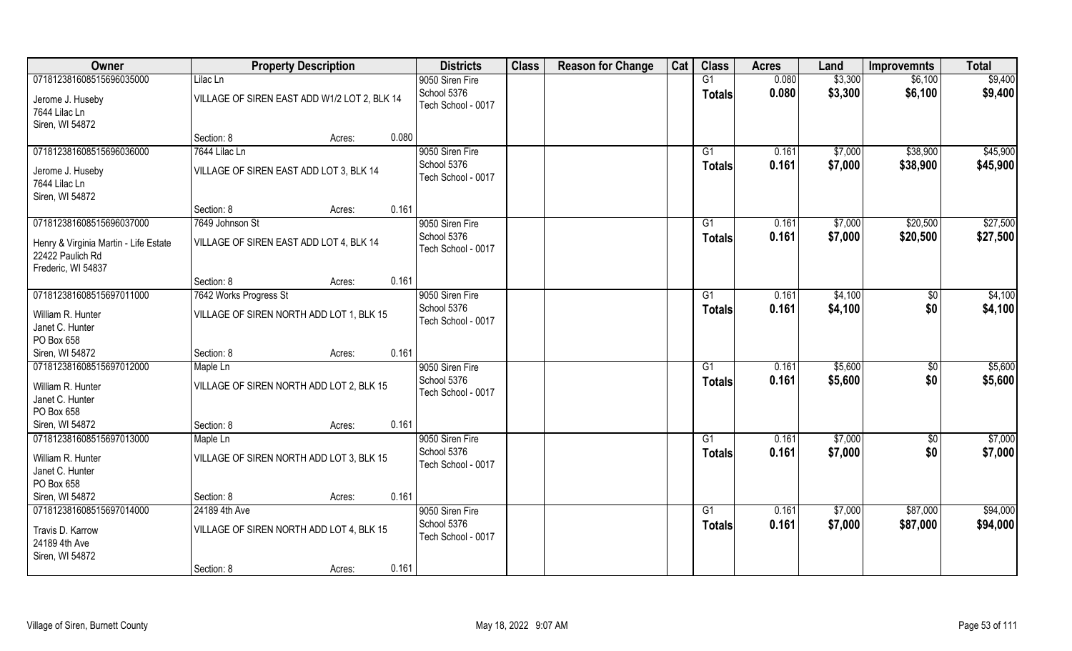| Owner                                                                                                       | <b>Property Description</b>                                                                | <b>Districts</b>                                     | <b>Class</b> | <b>Reason for Change</b> | Cat | <b>Class</b>                     | <b>Acres</b>   | Land               | <b>Improvemnts</b>   | <b>Total</b>         |
|-------------------------------------------------------------------------------------------------------------|--------------------------------------------------------------------------------------------|------------------------------------------------------|--------------|--------------------------|-----|----------------------------------|----------------|--------------------|----------------------|----------------------|
| 071812381608515696035000<br>Jerome J. Huseby<br>7644 Lilac Ln                                               | Lilac Ln<br>VILLAGE OF SIREN EAST ADD W1/2 LOT 2, BLK 14                                   | 9050 Siren Fire<br>School 5376<br>Tech School - 0017 |              |                          |     | G1<br><b>Totals</b>              | 0.080<br>0.080 | \$3,300<br>\$3,300 | \$6,100<br>\$6,100   | \$9,400<br>\$9,400   |
| Siren, WI 54872                                                                                             | 0.080<br>Section: 8<br>Acres:                                                              |                                                      |              |                          |     |                                  |                |                    |                      |                      |
| 071812381608515696036000<br>Jerome J. Huseby<br>7644 Lilac Ln<br>Siren, WI 54872                            | 7644 Lilac Ln<br>VILLAGE OF SIREN EAST ADD LOT 3, BLK 14                                   | 9050 Siren Fire<br>School 5376<br>Tech School - 0017 |              |                          |     | G1<br>Totals                     | 0.161<br>0.161 | \$7,000<br>\$7,000 | \$38,900<br>\$38,900 | \$45,900<br>\$45,900 |
|                                                                                                             | 0.161<br>Section: 8<br>Acres:                                                              |                                                      |              |                          |     |                                  |                |                    |                      |                      |
| 071812381608515696037000<br>Henry & Virginia Martin - Life Estate<br>22422 Paulich Rd<br>Frederic, WI 54837 | 7649 Johnson St<br>VILLAGE OF SIREN EAST ADD LOT 4, BLK 14                                 | 9050 Siren Fire<br>School 5376<br>Tech School - 0017 |              |                          |     | G1<br><b>Totals</b>              | 0.161<br>0.161 | \$7,000<br>\$7,000 | \$20,500<br>\$20,500 | \$27,500<br>\$27,500 |
|                                                                                                             | 0.161<br>Section: 8<br>Acres:                                                              |                                                      |              |                          |     |                                  |                |                    |                      |                      |
| 071812381608515697011000<br>William R. Hunter<br>Janet C. Hunter<br>PO Box 658                              | 7642 Works Progress St<br>VILLAGE OF SIREN NORTH ADD LOT 1, BLK 15                         | 9050 Siren Fire<br>School 5376<br>Tech School - 0017 |              |                          |     | G1<br>Totals                     | 0.161<br>0.161 | \$4,100<br>\$4,100 | \$0<br>\$0           | \$4,100<br>\$4,100   |
| Siren, WI 54872                                                                                             | 0.161<br>Section: 8<br>Acres:                                                              |                                                      |              |                          |     |                                  |                |                    |                      |                      |
| 071812381608515697012000<br>William R. Hunter<br>Janet C. Hunter<br>PO Box 658                              | Maple Ln<br>VILLAGE OF SIREN NORTH ADD LOT 2, BLK 15                                       | 9050 Siren Fire<br>School 5376<br>Tech School - 0017 |              |                          |     | $\overline{G1}$<br><b>Totals</b> | 0.161<br>0.161 | \$5,600<br>\$5,600 | \$0<br>\$0           | \$5,600<br>\$5,600   |
| Siren, WI 54872                                                                                             | 0.161<br>Section: 8<br>Acres:                                                              |                                                      |              |                          |     |                                  |                |                    |                      |                      |
| 071812381608515697013000<br>William R. Hunter<br>Janet C. Hunter<br>PO Box 658                              | Maple Ln<br>VILLAGE OF SIREN NORTH ADD LOT 3, BLK 15                                       | 9050 Siren Fire<br>School 5376<br>Tech School - 0017 |              |                          |     | G1<br><b>Totals</b>              | 0.161<br>0.161 | \$7,000<br>\$7,000 | \$0<br>\$0           | \$7,000<br>\$7,000   |
| Siren, WI 54872                                                                                             | 0.161<br>Section: 8<br>Acres:                                                              |                                                      |              |                          |     |                                  |                |                    |                      |                      |
| 071812381608515697014000<br>Travis D. Karrow<br>24189 4th Ave<br>Siren, WI 54872                            | 24189 4th Ave<br>VILLAGE OF SIREN NORTH ADD LOT 4, BLK 15<br>0.161<br>Section: 8<br>Acres: | 9050 Siren Fire<br>School 5376<br>Tech School - 0017 |              |                          |     | $\overline{G1}$<br><b>Totals</b> | 0.161<br>0.161 | \$7,000<br>\$7,000 | \$87,000<br>\$87,000 | \$94,000<br>\$94,000 |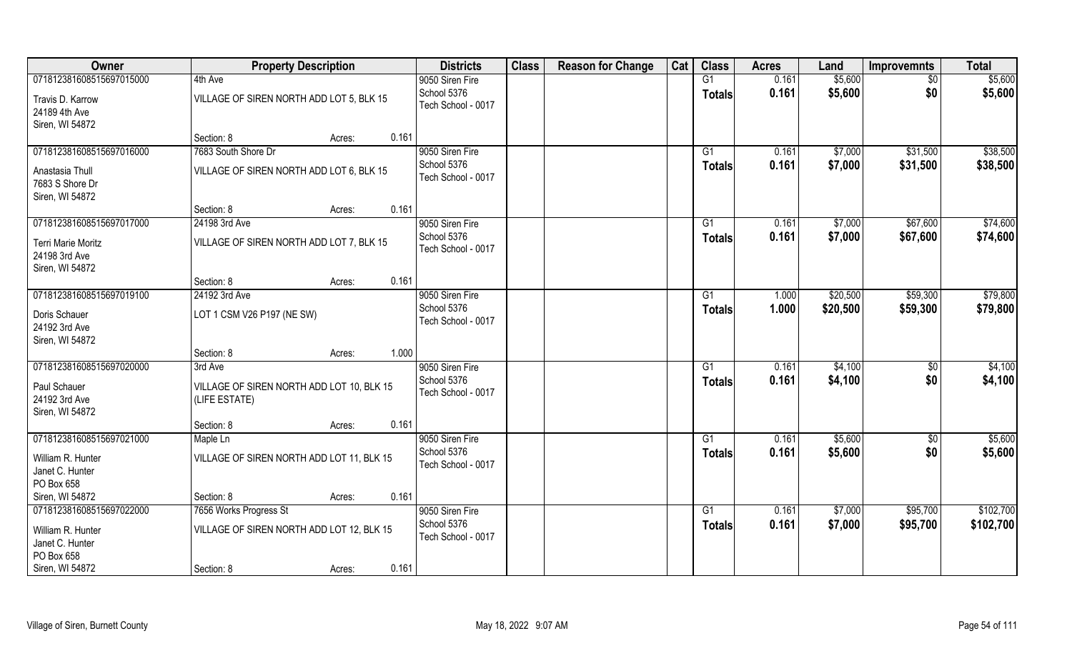| Owner                             | <b>Property Description</b>               | <b>Districts</b>                  | <b>Class</b> | <b>Reason for Change</b> | Cat | <b>Class</b>    | <b>Acres</b> | Land     | <b>Improvemnts</b> | <b>Total</b> |
|-----------------------------------|-------------------------------------------|-----------------------------------|--------------|--------------------------|-----|-----------------|--------------|----------|--------------------|--------------|
| 071812381608515697015000          | 4th Ave                                   | 9050 Siren Fire                   |              |                          |     | G1              | 0.161        | \$5,600  | $\sqrt{$0}$        | \$5,600      |
| Travis D. Karrow<br>24189 4th Ave | VILLAGE OF SIREN NORTH ADD LOT 5, BLK 15  | School 5376<br>Tech School - 0017 |              |                          |     | <b>Totals</b>   | 0.161        | \$5,600  | \$0                | \$5,600      |
| Siren, WI 54872                   |                                           |                                   |              |                          |     |                 |              |          |                    |              |
|                                   | 0.161<br>Section: 8<br>Acres:             |                                   |              |                          |     |                 |              |          |                    |              |
| 071812381608515697016000          | 7683 South Shore Dr                       | 9050 Siren Fire                   |              |                          |     | G1              | 0.161        | \$7,000  | \$31,500           | \$38,500     |
| Anastasia Thull                   | VILLAGE OF SIREN NORTH ADD LOT 6, BLK 15  | School 5376                       |              |                          |     | Totals          | 0.161        | \$7,000  | \$31,500           | \$38,500     |
| 7683 S Shore Dr                   |                                           | Tech School - 0017                |              |                          |     |                 |              |          |                    |              |
| Siren, WI 54872                   |                                           |                                   |              |                          |     |                 |              |          |                    |              |
|                                   | 0.161<br>Section: 8<br>Acres:             |                                   |              |                          |     |                 |              |          |                    |              |
| 071812381608515697017000          | 24198 3rd Ave                             | 9050 Siren Fire                   |              |                          |     | G1              | 0.161        | \$7,000  | \$67,600           | \$74,600     |
| <b>Terri Marie Moritz</b>         | VILLAGE OF SIREN NORTH ADD LOT 7, BLK 15  | School 5376                       |              |                          |     | <b>Totals</b>   | 0.161        | \$7,000  | \$67,600           | \$74,600     |
| 24198 3rd Ave                     |                                           | Tech School - 0017                |              |                          |     |                 |              |          |                    |              |
| Siren, WI 54872                   |                                           |                                   |              |                          |     |                 |              |          |                    |              |
|                                   | 0.161<br>Section: 8<br>Acres:             |                                   |              |                          |     |                 |              |          |                    |              |
| 071812381608515697019100          | 24192 3rd Ave                             | 9050 Siren Fire                   |              |                          |     | G <sub>1</sub>  | 1.000        | \$20,500 | \$59,300           | \$79,800     |
|                                   |                                           | School 5376                       |              |                          |     | Totals          | 1.000        | \$20,500 | \$59,300           | \$79,800     |
| Doris Schauer<br>24192 3rd Ave    | LOT 1 CSM V26 P197 (NE SW)                | Tech School - 0017                |              |                          |     |                 |              |          |                    |              |
| Siren, WI 54872                   |                                           |                                   |              |                          |     |                 |              |          |                    |              |
|                                   | 1.000<br>Section: 8<br>Acres:             |                                   |              |                          |     |                 |              |          |                    |              |
| 071812381608515697020000          | 3rd Ave                                   | 9050 Siren Fire                   |              |                          |     | $\overline{G1}$ | 0.161        | \$4,100  | $\overline{50}$    | \$4,100      |
|                                   |                                           | School 5376                       |              |                          |     | <b>Totals</b>   | 0.161        | \$4,100  | \$0                | \$4,100      |
| Paul Schauer                      | VILLAGE OF SIREN NORTH ADD LOT 10, BLK 15 | Tech School - 0017                |              |                          |     |                 |              |          |                    |              |
| 24192 3rd Ave                     | (LIFE ESTATE)                             |                                   |              |                          |     |                 |              |          |                    |              |
| Siren, WI 54872                   | 0.161<br>Section: 8<br>Acres:             |                                   |              |                          |     |                 |              |          |                    |              |
| 071812381608515697021000          | Maple Ln                                  | 9050 Siren Fire                   |              |                          |     | G1              | 0.161        | \$5,600  | \$0                | \$5,600      |
|                                   |                                           | School 5376                       |              |                          |     | <b>Totals</b>   | 0.161        | \$5,600  | \$0                | \$5,600      |
| William R. Hunter                 | VILLAGE OF SIREN NORTH ADD LOT 11, BLK 15 | Tech School - 0017                |              |                          |     |                 |              |          |                    |              |
| Janet C. Hunter                   |                                           |                                   |              |                          |     |                 |              |          |                    |              |
| PO Box 658                        |                                           |                                   |              |                          |     |                 |              |          |                    |              |
| Siren, WI 54872                   | 0.161<br>Section: 8<br>Acres:             |                                   |              |                          |     |                 |              |          |                    |              |
| 071812381608515697022000          | 7656 Works Progress St                    | 9050 Siren Fire<br>School 5376    |              |                          |     | $\overline{G1}$ | 0.161        | \$7,000  | \$95,700           | \$102,700    |
| William R. Hunter                 | VILLAGE OF SIREN NORTH ADD LOT 12, BLK 15 | Tech School - 0017                |              |                          |     | <b>Totals</b>   | 0.161        | \$7,000  | \$95,700           | \$102,700    |
| Janet C. Hunter                   |                                           |                                   |              |                          |     |                 |              |          |                    |              |
| PO Box 658                        |                                           |                                   |              |                          |     |                 |              |          |                    |              |
| Siren, WI 54872                   | 0.161<br>Section: 8<br>Acres:             |                                   |              |                          |     |                 |              |          |                    |              |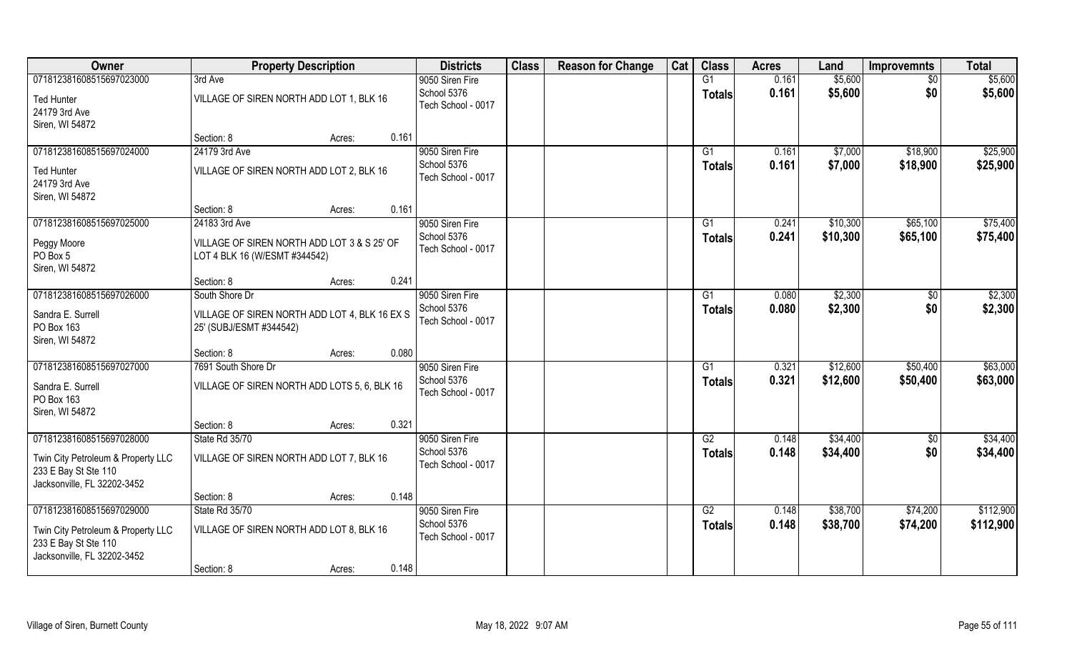| Owner                              | <b>Property Description</b>                   | <b>Districts</b>   | <b>Class</b> | <b>Reason for Change</b> | Cat | <b>Class</b>  | <b>Acres</b> | Land     | <b>Improvemnts</b> | <b>Total</b> |
|------------------------------------|-----------------------------------------------|--------------------|--------------|--------------------------|-----|---------------|--------------|----------|--------------------|--------------|
| 071812381608515697023000           | 3rd Ave                                       | 9050 Siren Fire    |              |                          |     | G1            | 0.161        | \$5,600  | \$0                | \$5,600      |
| <b>Ted Hunter</b>                  | VILLAGE OF SIREN NORTH ADD LOT 1, BLK 16      | School 5376        |              |                          |     | <b>Totals</b> | 0.161        | \$5,600  | \$0                | \$5,600      |
| 24179 3rd Ave                      |                                               | Tech School - 0017 |              |                          |     |               |              |          |                    |              |
| Siren, WI 54872                    |                                               |                    |              |                          |     |               |              |          |                    |              |
|                                    | 0.161<br>Section: 8<br>Acres:                 |                    |              |                          |     |               |              |          |                    |              |
| 071812381608515697024000           | 24179 3rd Ave                                 | 9050 Siren Fire    |              |                          |     | G1            | 0.161        | \$7,000  | \$18,900           | \$25,900     |
| <b>Ted Hunter</b>                  | VILLAGE OF SIREN NORTH ADD LOT 2, BLK 16      | School 5376        |              |                          |     | <b>Totals</b> | 0.161        | \$7,000  | \$18,900           | \$25,900     |
| 24179 3rd Ave                      |                                               | Tech School - 0017 |              |                          |     |               |              |          |                    |              |
| Siren, WI 54872                    |                                               |                    |              |                          |     |               |              |          |                    |              |
|                                    | 0.161<br>Section: 8<br>Acres:                 |                    |              |                          |     |               |              |          |                    |              |
| 071812381608515697025000           | 24183 3rd Ave                                 | 9050 Siren Fire    |              |                          |     | G1            | 0.241        | \$10,300 | \$65,100           | \$75,400     |
| Peggy Moore                        | VILLAGE OF SIREN NORTH ADD LOT 3 & S 25' OF   | School 5376        |              |                          |     | <b>Totals</b> | 0.241        | \$10,300 | \$65,100           | \$75,400     |
| PO Box 5                           | LOT 4 BLK 16 (W/ESMT #344542)                 | Tech School - 0017 |              |                          |     |               |              |          |                    |              |
| Siren, WI 54872                    |                                               |                    |              |                          |     |               |              |          |                    |              |
|                                    | 0.241<br>Section: 8<br>Acres:                 |                    |              |                          |     |               |              |          |                    |              |
| 071812381608515697026000           | South Shore Dr                                | 9050 Siren Fire    |              |                          |     | G1            | 0.080        | \$2,300  | $\sqrt[6]{}$       | \$2,300      |
| Sandra E. Surrell                  | VILLAGE OF SIREN NORTH ADD LOT 4, BLK 16 EX S | School 5376        |              |                          |     | <b>Totals</b> | 0.080        | \$2,300  | \$0                | \$2,300      |
| PO Box 163                         | 25' (SUBJ/ESMT #344542)                       | Tech School - 0017 |              |                          |     |               |              |          |                    |              |
| Siren, WI 54872                    |                                               |                    |              |                          |     |               |              |          |                    |              |
|                                    | 0.080<br>Section: 8<br>Acres:                 |                    |              |                          |     |               |              |          |                    |              |
| 071812381608515697027000           | 7691 South Shore Dr                           | 9050 Siren Fire    |              |                          |     | G1            | 0.321        | \$12,600 | \$50,400           | \$63,000     |
| Sandra E. Surrell                  | VILLAGE OF SIREN NORTH ADD LOTS 5, 6, BLK 16  | School 5376        |              |                          |     | <b>Totals</b> | 0.321        | \$12,600 | \$50,400           | \$63,000     |
| PO Box 163                         |                                               | Tech School - 0017 |              |                          |     |               |              |          |                    |              |
| Siren, WI 54872                    |                                               |                    |              |                          |     |               |              |          |                    |              |
|                                    | 0.321<br>Section: 8<br>Acres:                 |                    |              |                          |     |               |              |          |                    |              |
| 071812381608515697028000           | State Rd 35/70                                | 9050 Siren Fire    |              |                          |     | G2            | 0.148        | \$34,400 | \$0                | \$34,400     |
| Twin City Petroleum & Property LLC | VILLAGE OF SIREN NORTH ADD LOT 7, BLK 16      | School 5376        |              |                          |     | <b>Totals</b> | 0.148        | \$34,400 | \$0                | \$34,400     |
| 233 E Bay St Ste 110               |                                               | Tech School - 0017 |              |                          |     |               |              |          |                    |              |
| Jacksonville, FL 32202-3452        |                                               |                    |              |                          |     |               |              |          |                    |              |
|                                    | 0.148<br>Section: 8<br>Acres:                 |                    |              |                          |     |               |              |          |                    |              |
| 071812381608515697029000           | State Rd 35/70                                | 9050 Siren Fire    |              |                          |     | G2            | 0.148        | \$38,700 | \$74,200           | \$112,900    |
| Twin City Petroleum & Property LLC | VILLAGE OF SIREN NORTH ADD LOT 8, BLK 16      | School 5376        |              |                          |     | <b>Totals</b> | 0.148        | \$38,700 | \$74,200           | \$112,900    |
| 233 E Bay St Ste 110               |                                               | Tech School - 0017 |              |                          |     |               |              |          |                    |              |
| Jacksonville, FL 32202-3452        |                                               |                    |              |                          |     |               |              |          |                    |              |
|                                    | 0.148<br>Section: 8<br>Acres:                 |                    |              |                          |     |               |              |          |                    |              |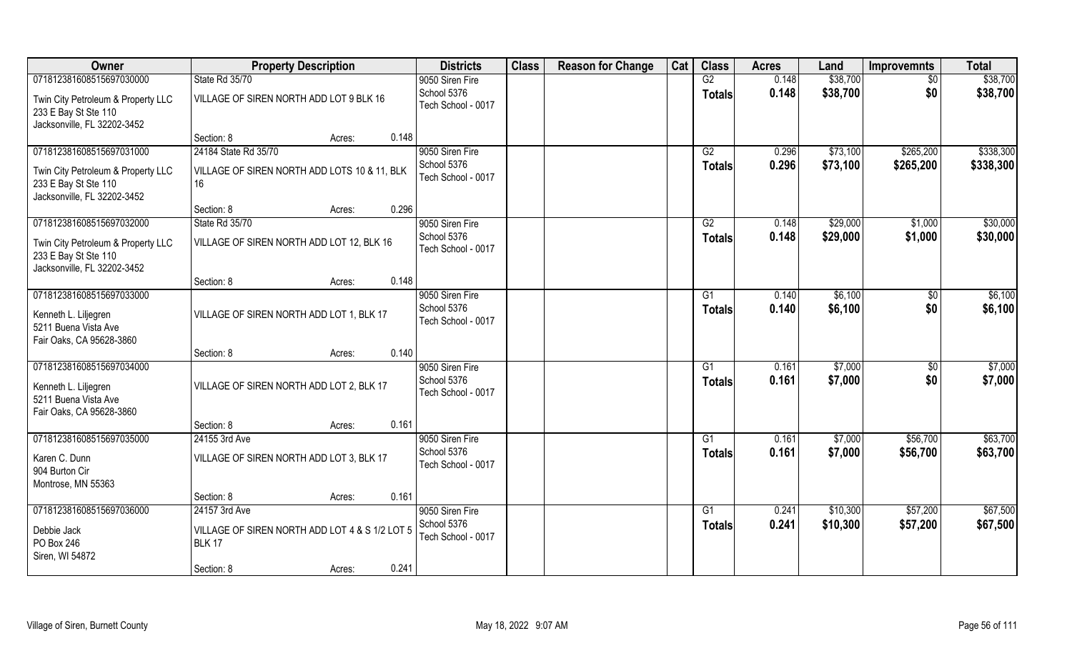| Owner                                                                                                                 | <b>Property Description</b>                                                                                       | <b>Districts</b>                                     | <b>Class</b> | <b>Reason for Change</b> | Cat | <b>Class</b>                     | <b>Acres</b>   | Land                 | <b>Improvemnts</b>     | <b>Total</b>           |
|-----------------------------------------------------------------------------------------------------------------------|-------------------------------------------------------------------------------------------------------------------|------------------------------------------------------|--------------|--------------------------|-----|----------------------------------|----------------|----------------------|------------------------|------------------------|
| 071812381608515697030000                                                                                              | State Rd 35/70                                                                                                    | 9050 Siren Fire                                      |              |                          |     | G2                               | 0.148          | \$38,700             | \$0                    | \$38,700               |
| Twin City Petroleum & Property LLC<br>233 E Bay St Ste 110<br>Jacksonville, FL 32202-3452                             | VILLAGE OF SIREN NORTH ADD LOT 9 BLK 16                                                                           | School 5376<br>Tech School - 0017                    |              |                          |     | <b>Totals</b>                    | 0.148          | \$38,700             | \$0                    | \$38,700               |
|                                                                                                                       | 0.148<br>Section: 8<br>Acres:                                                                                     |                                                      |              |                          |     |                                  |                |                      |                        |                        |
| 071812381608515697031000<br>Twin City Petroleum & Property LLC<br>233 E Bay St Ste 110<br>Jacksonville, FL 32202-3452 | 24184 State Rd 35/70<br>VILLAGE OF SIREN NORTH ADD LOTS 10 & 11, BLK<br>16                                        | 9050 Siren Fire<br>School 5376<br>Tech School - 0017 |              |                          |     | $\overline{G2}$<br><b>Totals</b> | 0.296<br>0.296 | \$73,100<br>\$73,100 | \$265,200<br>\$265,200 | \$338,300<br>\$338,300 |
|                                                                                                                       | 0.296<br>Section: 8<br>Acres:                                                                                     |                                                      |              |                          |     |                                  |                |                      |                        |                        |
| 071812381608515697032000                                                                                              | State Rd 35/70                                                                                                    | 9050 Siren Fire                                      |              |                          |     | G2                               | 0.148          | \$29,000             | \$1,000                | \$30,000               |
| Twin City Petroleum & Property LLC<br>233 E Bay St Ste 110<br>Jacksonville, FL 32202-3452                             | VILLAGE OF SIREN NORTH ADD LOT 12, BLK 16                                                                         | School 5376<br>Tech School - 0017                    |              |                          |     | <b>Totals</b>                    | 0.148          | \$29,000             | \$1,000                | \$30,000               |
|                                                                                                                       | 0.148<br>Section: 8<br>Acres:                                                                                     |                                                      |              |                          |     |                                  |                |                      |                        |                        |
| 071812381608515697033000<br>Kenneth L. Liljegren<br>5211 Buena Vista Ave<br>Fair Oaks, CA 95628-3860                  | VILLAGE OF SIREN NORTH ADD LOT 1, BLK 17                                                                          | 9050 Siren Fire<br>School 5376<br>Tech School - 0017 |              |                          |     | G1<br><b>Totals</b>              | 0.140<br>0.140 | \$6,100<br>\$6,100   | $\sqrt{50}$<br>\$0     | \$6,100<br>\$6,100     |
|                                                                                                                       | 0.140<br>Section: 8<br>Acres:                                                                                     |                                                      |              |                          |     |                                  |                |                      |                        |                        |
| 071812381608515697034000<br>Kenneth L. Liljegren<br>5211 Buena Vista Ave<br>Fair Oaks, CA 95628-3860                  | VILLAGE OF SIREN NORTH ADD LOT 2, BLK 17                                                                          | 9050 Siren Fire<br>School 5376<br>Tech School - 0017 |              |                          |     | G1<br><b>Totals</b>              | 0.161<br>0.161 | \$7,000<br>\$7,000   | \$0<br>\$0             | \$7,000<br>\$7,000     |
|                                                                                                                       | 0.161<br>Section: 8<br>Acres:                                                                                     |                                                      |              |                          |     |                                  |                |                      |                        |                        |
| 071812381608515697035000<br>Karen C. Dunn<br>904 Burton Cir<br>Montrose, MN 55363                                     | 24155 3rd Ave<br>VILLAGE OF SIREN NORTH ADD LOT 3, BLK 17                                                         | 9050 Siren Fire<br>School 5376<br>Tech School - 0017 |              |                          |     | G1<br><b>Totals</b>              | 0.161<br>0.161 | \$7,000<br>\$7,000   | \$56,700<br>\$56,700   | \$63,700<br>\$63,700   |
|                                                                                                                       | 0.161<br>Section: 8<br>Acres:                                                                                     |                                                      |              |                          |     |                                  |                |                      |                        |                        |
| 071812381608515697036000<br>Debbie Jack<br>PO Box 246<br>Siren, WI 54872                                              | 24157 3rd Ave<br>VILLAGE OF SIREN NORTH ADD LOT 4 & S 1/2 LOT 5<br><b>BLK 17</b><br>0.241<br>Section: 8<br>Acres: | 9050 Siren Fire<br>School 5376<br>Tech School - 0017 |              |                          |     | G1<br><b>Totals</b>              | 0.241<br>0.241 | \$10,300<br>\$10,300 | \$57,200<br>\$57,200   | \$67,500<br>\$67,500   |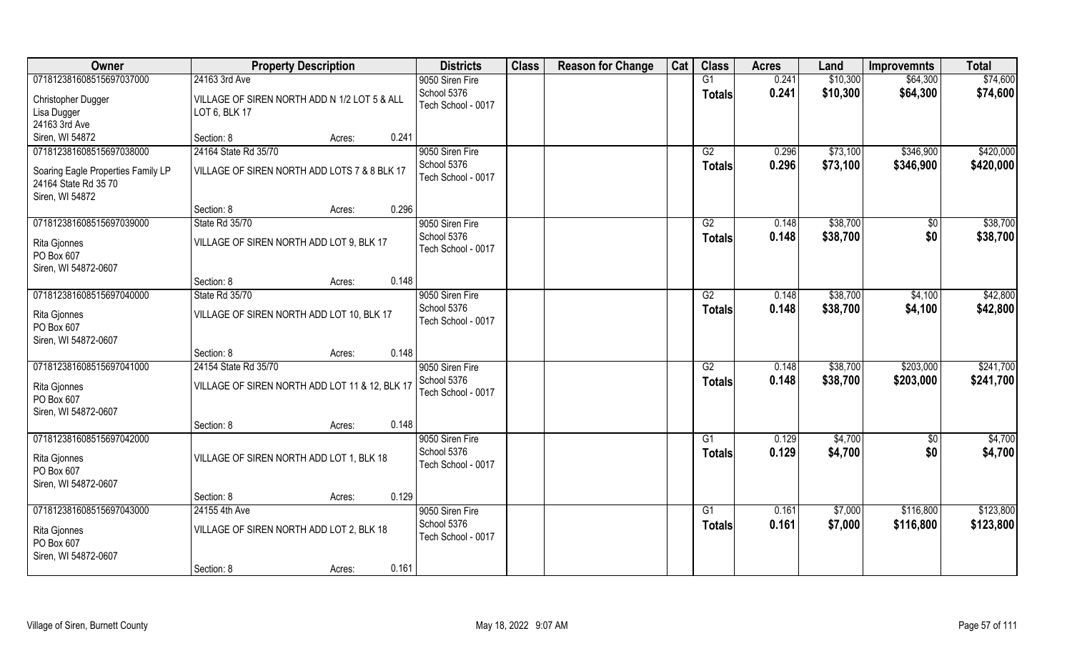| Owner                                                      | <b>Property Description</b>                    | <b>Districts</b>   | <b>Class</b> | <b>Reason for Change</b> | Cat | <b>Class</b>    | <b>Acres</b> | Land     | <b>Improvemnts</b> | <b>Total</b> |
|------------------------------------------------------------|------------------------------------------------|--------------------|--------------|--------------------------|-----|-----------------|--------------|----------|--------------------|--------------|
| 071812381608515697037000                                   | 24163 3rd Ave                                  | 9050 Siren Fire    |              |                          |     | G1              | 0.241        | \$10,300 | \$64,300           | \$74,600     |
| Christopher Dugger                                         | VILLAGE OF SIREN NORTH ADD N 1/2 LOT 5 & ALL   | School 5376        |              |                          |     | <b>Totals</b>   | 0.241        | \$10,300 | \$64,300           | \$74,600     |
| Lisa Dugger                                                | LOT 6, BLK 17                                  | Tech School - 0017 |              |                          |     |                 |              |          |                    |              |
| 24163 3rd Ave                                              |                                                |                    |              |                          |     |                 |              |          |                    |              |
| Siren, WI 54872                                            | 0.241<br>Section: 8<br>Acres:                  |                    |              |                          |     |                 |              |          |                    |              |
| 071812381608515697038000                                   | 24164 State Rd 35/70                           | 9050 Siren Fire    |              |                          |     | G2              | 0.296        | \$73,100 | \$346,900          | \$420,000    |
|                                                            | VILLAGE OF SIREN NORTH ADD LOTS 7 & 8 BLK 17   | School 5376        |              |                          |     | <b>Totals</b>   | 0.296        | \$73,100 | \$346,900          | \$420,000    |
| Soaring Eagle Properties Family LP<br>24164 State Rd 35 70 |                                                | Tech School - 0017 |              |                          |     |                 |              |          |                    |              |
| Siren, WI 54872                                            |                                                |                    |              |                          |     |                 |              |          |                    |              |
|                                                            | 0.296<br>Section: 8<br>Acres:                  |                    |              |                          |     |                 |              |          |                    |              |
| 071812381608515697039000                                   | State Rd 35/70                                 | 9050 Siren Fire    |              |                          |     | G2              | 0.148        | \$38,700 | $\sqrt[6]{}$       | \$38,700     |
|                                                            |                                                | School 5376        |              |                          |     | <b>Totals</b>   | 0.148        | \$38,700 | \$0                | \$38,700     |
| Rita Gjonnes                                               | VILLAGE OF SIREN NORTH ADD LOT 9, BLK 17       | Tech School - 0017 |              |                          |     |                 |              |          |                    |              |
| PO Box 607                                                 |                                                |                    |              |                          |     |                 |              |          |                    |              |
| Siren, WI 54872-0607                                       | 0.148<br>Section: 8<br>Acres:                  |                    |              |                          |     |                 |              |          |                    |              |
| 071812381608515697040000                                   | State Rd 35/70                                 | 9050 Siren Fire    |              |                          |     | G2              | 0.148        | \$38,700 | \$4,100            | \$42,800     |
|                                                            |                                                | School 5376        |              |                          |     | <b>Totals</b>   | 0.148        | \$38,700 | \$4,100            | \$42,800     |
| Rita Gjonnes                                               | VILLAGE OF SIREN NORTH ADD LOT 10, BLK 17      | Tech School - 0017 |              |                          |     |                 |              |          |                    |              |
| PO Box 607                                                 |                                                |                    |              |                          |     |                 |              |          |                    |              |
| Siren, WI 54872-0607                                       | 0.148                                          |                    |              |                          |     |                 |              |          |                    |              |
| 071812381608515697041000                                   | Section: 8<br>Acres:<br>24154 State Rd 35/70   | 9050 Siren Fire    |              |                          |     | $\overline{G2}$ | 0.148        | \$38,700 | \$203,000          | \$241,700    |
|                                                            |                                                | School 5376        |              |                          |     |                 | 0.148        |          |                    | \$241,700    |
| Rita Gjonnes                                               | VILLAGE OF SIREN NORTH ADD LOT 11 & 12, BLK 17 | Tech School - 0017 |              |                          |     | <b>Totals</b>   |              | \$38,700 | \$203,000          |              |
| PO Box 607                                                 |                                                |                    |              |                          |     |                 |              |          |                    |              |
| Siren, WI 54872-0607                                       |                                                |                    |              |                          |     |                 |              |          |                    |              |
|                                                            | 0.148<br>Section: 8<br>Acres:                  |                    |              |                          |     |                 |              |          |                    |              |
| 071812381608515697042000                                   |                                                | 9050 Siren Fire    |              |                          |     | G1              | 0.129        | \$4,700  | \$0                | \$4,700      |
| Rita Gjonnes                                               | VILLAGE OF SIREN NORTH ADD LOT 1, BLK 18       | School 5376        |              |                          |     | <b>Totals</b>   | 0.129        | \$4,700  | \$0                | \$4,700      |
| PO Box 607                                                 |                                                | Tech School - 0017 |              |                          |     |                 |              |          |                    |              |
| Siren, WI 54872-0607                                       |                                                |                    |              |                          |     |                 |              |          |                    |              |
|                                                            | 0.129<br>Section: 8<br>Acres:                  |                    |              |                          |     |                 |              |          |                    |              |
| 071812381608515697043000                                   | 24155 4th Ave                                  | 9050 Siren Fire    |              |                          |     | G1              | 0.161        | \$7,000  | \$116,800          | \$123,800    |
| Rita Gjonnes                                               | VILLAGE OF SIREN NORTH ADD LOT 2, BLK 18       | School 5376        |              |                          |     | <b>Totals</b>   | 0.161        | \$7,000  | \$116,800          | \$123,800    |
| PO Box 607                                                 |                                                | Tech School - 0017 |              |                          |     |                 |              |          |                    |              |
| Siren, WI 54872-0607                                       |                                                |                    |              |                          |     |                 |              |          |                    |              |
|                                                            | 0.161<br>Section: 8<br>Acres:                  |                    |              |                          |     |                 |              |          |                    |              |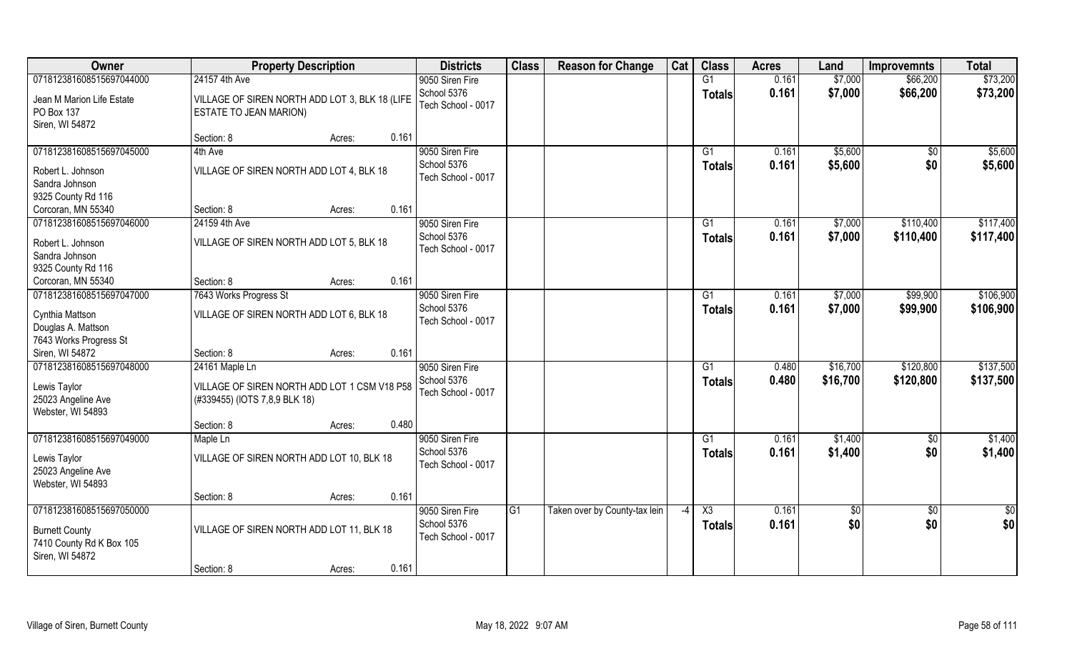| Owner                                | <b>Property Description</b>                    |       | <b>Districts</b>   | <b>Class</b>    | <b>Reason for Change</b>      | Cat  | <b>Class</b>           | <b>Acres</b> | Land        | <b>Improvemnts</b> | <b>Total</b>    |
|--------------------------------------|------------------------------------------------|-------|--------------------|-----------------|-------------------------------|------|------------------------|--------------|-------------|--------------------|-----------------|
| 071812381608515697044000             | 24157 4th Ave                                  |       | 9050 Siren Fire    |                 |                               |      | G1                     | 0.161        | \$7,000     | \$66,200           | \$73,200        |
| Jean M Marion Life Estate            | VILLAGE OF SIREN NORTH ADD LOT 3, BLK 18 (LIFE |       | School 5376        |                 |                               |      | <b>Totals</b>          | 0.161        | \$7,000     | \$66,200           | \$73,200        |
| PO Box 137                           | ESTATE TO JEAN MARION)                         |       | Tech School - 0017 |                 |                               |      |                        |              |             |                    |                 |
| Siren, WI 54872                      |                                                |       |                    |                 |                               |      |                        |              |             |                    |                 |
|                                      | Section: 8<br>Acres:                           | 0.161 |                    |                 |                               |      |                        |              |             |                    |                 |
| 071812381608515697045000             | 4th Ave                                        |       | 9050 Siren Fire    |                 |                               |      | G1                     | 0.161        | \$5,600     | $\sqrt{$0}$        | \$5,600         |
|                                      |                                                |       | School 5376        |                 |                               |      | <b>Totals</b>          | 0.161        | \$5,600     | \$0                | \$5,600         |
| Robert L. Johnson                    | VILLAGE OF SIREN NORTH ADD LOT 4, BLK 18       |       | Tech School - 0017 |                 |                               |      |                        |              |             |                    |                 |
| Sandra Johnson<br>9325 County Rd 116 |                                                |       |                    |                 |                               |      |                        |              |             |                    |                 |
| Corcoran, MN 55340                   | Section: 8<br>Acres:                           | 0.161 |                    |                 |                               |      |                        |              |             |                    |                 |
| 071812381608515697046000             | 24159 4th Ave                                  |       | 9050 Siren Fire    |                 |                               |      | G1                     | 0.161        | \$7,000     | \$110,400          | \$117,400       |
|                                      |                                                |       | School 5376        |                 |                               |      |                        |              |             |                    |                 |
| Robert L. Johnson                    | VILLAGE OF SIREN NORTH ADD LOT 5, BLK 18       |       | Tech School - 0017 |                 |                               |      | <b>Totals</b>          | 0.161        | \$7,000     | \$110,400          | \$117,400       |
| Sandra Johnson                       |                                                |       |                    |                 |                               |      |                        |              |             |                    |                 |
| 9325 County Rd 116                   |                                                |       |                    |                 |                               |      |                        |              |             |                    |                 |
| Corcoran, MN 55340                   | Section: 8<br>Acres:                           | 0.161 |                    |                 |                               |      |                        |              |             |                    |                 |
| 071812381608515697047000             | 7643 Works Progress St                         |       | 9050 Siren Fire    |                 |                               |      | G1                     | 0.161        | \$7,000     | \$99,900           | \$106,900       |
| Cynthia Mattson                      | VILLAGE OF SIREN NORTH ADD LOT 6, BLK 18       |       | School 5376        |                 |                               |      | <b>Totals</b>          | 0.161        | \$7,000     | \$99,900           | \$106,900       |
| Douglas A. Mattson                   |                                                |       | Tech School - 0017 |                 |                               |      |                        |              |             |                    |                 |
| 7643 Works Progress St               |                                                |       |                    |                 |                               |      |                        |              |             |                    |                 |
| Siren, WI 54872                      | Section: 8<br>Acres:                           | 0.161 |                    |                 |                               |      |                        |              |             |                    |                 |
| 071812381608515697048000             | 24161 Maple Ln                                 |       | 9050 Siren Fire    |                 |                               |      | G1                     | 0.480        | \$16,700    | \$120,800          | \$137,500       |
|                                      |                                                |       | School 5376        |                 |                               |      | <b>Totals</b>          | 0.480        | \$16,700    | \$120,800          | \$137,500       |
| Lewis Taylor                         | VILLAGE OF SIREN NORTH ADD LOT 1 CSM V18 P58   |       | Tech School - 0017 |                 |                               |      |                        |              |             |                    |                 |
| 25023 Angeline Ave                   | (#339455) (IOTS 7,8,9 BLK 18)                  |       |                    |                 |                               |      |                        |              |             |                    |                 |
| Webster, WI 54893                    |                                                |       |                    |                 |                               |      |                        |              |             |                    |                 |
|                                      | Section: 8<br>Acres:                           | 0.480 |                    |                 |                               |      |                        |              |             |                    |                 |
| 071812381608515697049000             | Maple Ln                                       |       | 9050 Siren Fire    |                 |                               |      | G1                     | 0.161        | \$1,400     | $\sqrt{$0}$        | \$1,400         |
| Lewis Taylor                         | VILLAGE OF SIREN NORTH ADD LOT 10, BLK 18      |       | School 5376        |                 |                               |      | <b>Totals</b>          | 0.161        | \$1,400     | \$0                | \$1,400         |
| 25023 Angeline Ave                   |                                                |       | Tech School - 0017 |                 |                               |      |                        |              |             |                    |                 |
| Webster, WI 54893                    |                                                |       |                    |                 |                               |      |                        |              |             |                    |                 |
|                                      | Section: 8<br>Acres:                           | 0.161 |                    |                 |                               |      |                        |              |             |                    |                 |
| 071812381608515697050000             |                                                |       | 9050 Siren Fire    | $\overline{G1}$ | Taken over by County-tax lein | $-4$ | $\overline{\text{X3}}$ | 0.161        | $\sqrt{50}$ | $\sqrt{$0}$        | $\overline{50}$ |
| <b>Burnett County</b>                | VILLAGE OF SIREN NORTH ADD LOT 11, BLK 18      |       | School 5376        |                 |                               |      | <b>Totals</b>          | 0.161        | \$0         | \$0                | \$0             |
| 7410 County Rd K Box 105             |                                                |       | Tech School - 0017 |                 |                               |      |                        |              |             |                    |                 |
| Siren, WI 54872                      |                                                |       |                    |                 |                               |      |                        |              |             |                    |                 |
|                                      | Section: 8<br>Acres:                           | 0.161 |                    |                 |                               |      |                        |              |             |                    |                 |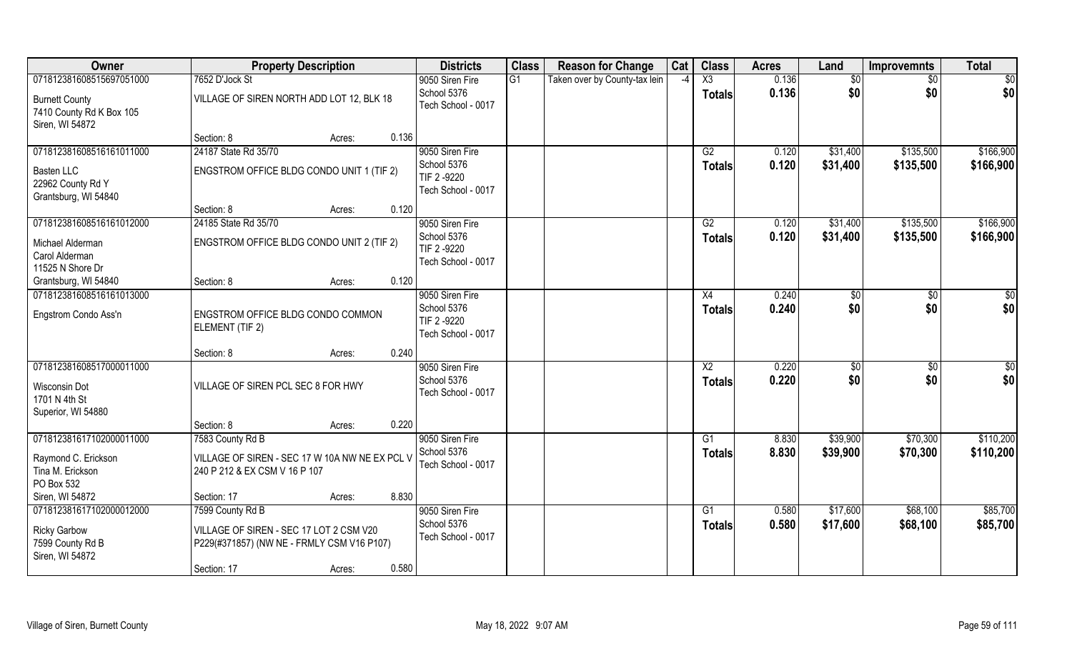| Owner                                                                                            | <b>Property Description</b>                                                                                                                 | <b>Districts</b>                                                    | <b>Class</b> | <b>Reason for Change</b>      | Cat  | <b>Class</b>                            | <b>Acres</b>   | Land                  | <b>Improvemnts</b>     | <b>Total</b>           |
|--------------------------------------------------------------------------------------------------|---------------------------------------------------------------------------------------------------------------------------------------------|---------------------------------------------------------------------|--------------|-------------------------------|------|-----------------------------------------|----------------|-----------------------|------------------------|------------------------|
| 071812381608515697051000<br><b>Burnett County</b><br>7410 County Rd K Box 105<br>Siren, WI 54872 | 7652 D'Jock St<br>VILLAGE OF SIREN NORTH ADD LOT 12, BLK 18                                                                                 | 9050 Siren Fire<br>School 5376<br>Tech School - 0017                | G1           | Taken over by County-tax lein | $-4$ | $\overline{\text{X3}}$<br><b>Totals</b> | 0.136<br>0.136 | \$0<br>\$0            | $\sqrt{6}$<br>\$0      | \$0<br>\$0             |
|                                                                                                  | 0.136<br>Section: 8<br>Acres:                                                                                                               |                                                                     |              |                               |      |                                         |                |                       |                        |                        |
| 071812381608516161011000<br><b>Basten LLC</b><br>22962 County Rd Y<br>Grantsburg, WI 54840       | 24187 State Rd 35/70<br>ENGSTROM OFFICE BLDG CONDO UNIT 1 (TIF 2)                                                                           | 9050 Siren Fire<br>School 5376<br>TIF 2 -9220<br>Tech School - 0017 |              |                               |      | G2<br>Totals                            | 0.120<br>0.120 | \$31,400<br>\$31,400  | \$135,500<br>\$135,500 | \$166,900<br>\$166,900 |
|                                                                                                  | 0.120<br>Section: 8<br>Acres:                                                                                                               |                                                                     |              |                               |      |                                         |                |                       |                        |                        |
| 071812381608516161012000<br>Michael Alderman<br>Carol Alderman<br>11525 N Shore Dr               | 24185 State Rd 35/70<br>ENGSTROM OFFICE BLDG CONDO UNIT 2 (TIF 2)                                                                           | 9050 Siren Fire<br>School 5376<br>TIF 2 -9220<br>Tech School - 0017 |              |                               |      | G2<br><b>Totals</b>                     | 0.120<br>0.120 | \$31,400<br>\$31,400  | \$135,500<br>\$135,500 | \$166,900<br>\$166,900 |
| Grantsburg, WI 54840                                                                             | 0.120<br>Section: 8<br>Acres:                                                                                                               |                                                                     |              |                               |      |                                         |                |                       |                        |                        |
| 071812381608516161013000<br>Engstrom Condo Ass'n                                                 | ENGSTROM OFFICE BLDG CONDO COMMON<br>ELEMENT (TIF 2)                                                                                        | 9050 Siren Fire<br>School 5376<br>TIF 2 -9220<br>Tech School - 0017 |              |                               |      | X4<br><b>Totals</b>                     | 0.240<br>0.240 | \$0<br>\$0            | \$0<br>\$0             | $\frac{6}{3}$<br>\$0   |
|                                                                                                  | 0.240<br>Section: 8<br>Acres:                                                                                                               |                                                                     |              |                               |      |                                         |                |                       |                        |                        |
| 071812381608517000011000<br>Wisconsin Dot<br>1701 N 4th St<br>Superior, WI 54880                 | VILLAGE OF SIREN PCL SEC 8 FOR HWY                                                                                                          | 9050 Siren Fire<br>School 5376<br>Tech School - 0017                |              |                               |      | X2<br><b>Totals</b>                     | 0.220<br>0.220 | $\sqrt[6]{30}$<br>\$0 | \$0<br>\$0             | \$0<br>\$0             |
|                                                                                                  | 0.220<br>Section: 8<br>Acres:                                                                                                               |                                                                     |              |                               |      |                                         |                |                       |                        |                        |
| 071812381617102000011000<br>Raymond C. Erickson<br>Tina M. Erickson<br>PO Box 532                | 7583 County Rd B<br>VILLAGE OF SIREN - SEC 17 W 10A NW NE EX PCL V<br>240 P 212 & EX CSM V 16 P 107                                         | 9050 Siren Fire<br>School 5376<br>Tech School - 0017                |              |                               |      | G1<br><b>Totals</b>                     | 8.830<br>8.830 | \$39,900<br>\$39,900  | \$70,300<br>\$70,300   | \$110,200<br>\$110,200 |
| Siren, WI 54872<br>071812381617102000012000                                                      | 8.830<br>Section: 17<br>Acres:                                                                                                              |                                                                     |              |                               |      |                                         |                |                       |                        | \$85,700               |
| <b>Ricky Garbow</b><br>7599 County Rd B<br>Siren, WI 54872                                       | 7599 County Rd B<br>VILLAGE OF SIREN - SEC 17 LOT 2 CSM V20<br>P229(#371857) (NW NE - FRMLY CSM V16 P107)<br>0.580<br>Section: 17<br>Acres: | 9050 Siren Fire<br>School 5376<br>Tech School - 0017                |              |                               |      | G1<br><b>Totals</b>                     | 0.580<br>0.580 | \$17,600<br>\$17,600  | \$68,100<br>\$68,100   | \$85,700               |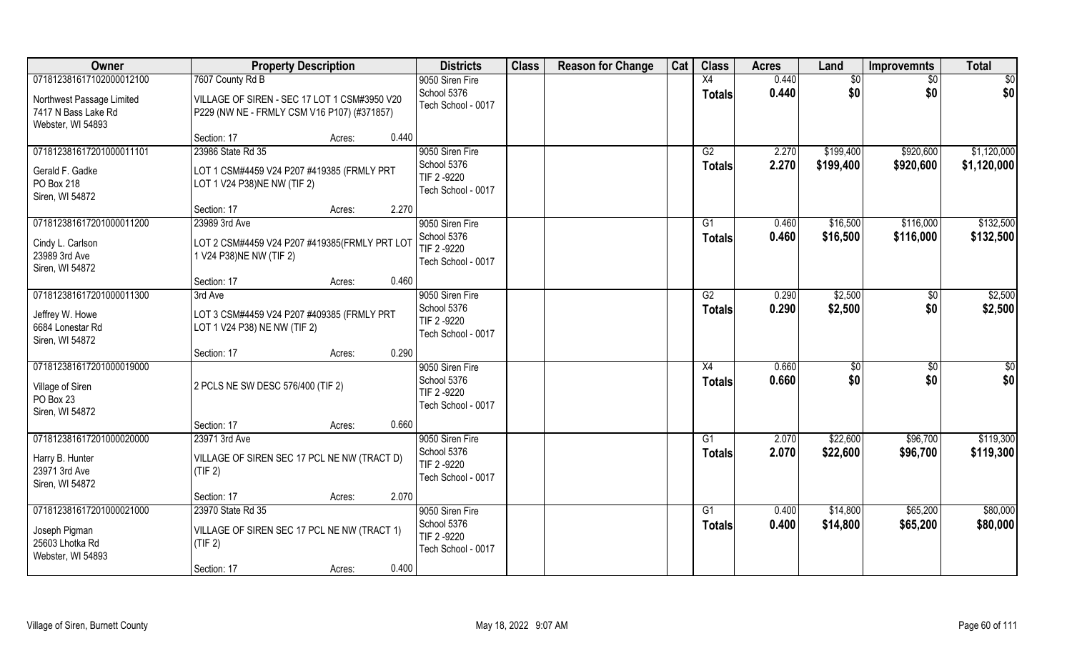| Owner                                                                        | <b>Property Description</b>                                                                 | <b>Districts</b>                                                    | <b>Class</b> | <b>Reason for Change</b> | Cat | <b>Class</b>        | <b>Acres</b>   | Land                   | <b>Improvemnts</b>     | <b>Total</b>               |
|------------------------------------------------------------------------------|---------------------------------------------------------------------------------------------|---------------------------------------------------------------------|--------------|--------------------------|-----|---------------------|----------------|------------------------|------------------------|----------------------------|
| 071812381617102000012100                                                     | 7607 County Rd B                                                                            | 9050 Siren Fire                                                     |              |                          |     | X4                  | 0.440          | \$0                    | $\sqrt{6}$             | \$0                        |
| Northwest Passage Limited<br>7417 N Bass Lake Rd<br>Webster, WI 54893        | VILLAGE OF SIREN - SEC 17 LOT 1 CSM#3950 V20<br>P229 (NW NE - FRMLY CSM V16 P107) (#371857) | School 5376<br>Tech School - 0017                                   |              |                          |     | <b>Totals</b>       | 0.440          | \$0                    | \$0                    | \$0                        |
|                                                                              | 0.440<br>Section: 17<br>Acres:                                                              |                                                                     |              |                          |     |                     |                |                        |                        |                            |
| 071812381617201000011101<br>Gerald F. Gadke                                  | 23986 State Rd 35<br>LOT 1 CSM#4459 V24 P207 #419385 (FRMLY PRT                             | 9050 Siren Fire<br>School 5376<br>TIF 2 -9220                       |              |                          |     | G2<br><b>Totals</b> | 2.270<br>2.270 | \$199,400<br>\$199,400 | \$920,600<br>\$920,600 | \$1,120,000<br>\$1,120,000 |
| PO Box 218<br>Siren, WI 54872                                                | LOT 1 V24 P38)NE NW (TIF 2)<br>2.270<br>Section: 17<br>Acres:                               | Tech School - 0017                                                  |              |                          |     |                     |                |                        |                        |                            |
| 071812381617201000011200                                                     | 23989 3rd Ave                                                                               | 9050 Siren Fire                                                     |              |                          |     | G1                  | 0.460          | \$16,500               | \$116,000              | \$132,500                  |
| Cindy L. Carlson<br>23989 3rd Ave<br>Siren, WI 54872                         | LOT 2 CSM#4459 V24 P207 #419385(FRMLY PRT LOT<br>1 V24 P38) NE NW (TIF 2)                   | School 5376<br>TIF 2 -9220<br>Tech School - 0017                    |              |                          |     | <b>Totals</b>       | 0.460          | \$16,500               | \$116,000              | \$132,500                  |
|                                                                              | 0.460<br>Section: 17<br>Acres:                                                              |                                                                     |              |                          |     |                     |                |                        |                        |                            |
| 071812381617201000011300                                                     | 3rd Ave                                                                                     | 9050 Siren Fire                                                     |              |                          |     | G2                  | 0.290          | \$2,500                | \$0                    | \$2,500                    |
| Jeffrey W. Howe<br>6684 Lonestar Rd<br>Siren, WI 54872                       | LOT 3 CSM#4459 V24 P207 #409385 (FRMLY PRT<br>LOT 1 V24 P38) NE NW (TIF 2)                  | School 5376<br>TIF 2 -9220<br>Tech School - 0017                    |              |                          |     | <b>Totals</b>       | 0.290          | \$2,500                | \$0                    | \$2,500                    |
|                                                                              | 0.290<br>Section: 17<br>Acres:                                                              |                                                                     |              |                          |     |                     |                |                        |                        |                            |
| 071812381617201000019000<br>Village of Siren<br>PO Box 23<br>Siren, WI 54872 | 2 PCLS NE SW DESC 576/400 (TIF 2)                                                           | 9050 Siren Fire<br>School 5376<br>TIF 2 -9220<br>Tech School - 0017 |              |                          |     | X4<br><b>Totals</b> | 0.660<br>0.660 | \$0<br>\$0             | $\overline{50}$<br>\$0 | \$0<br>\$0                 |
|                                                                              | Section: 17<br>0.660<br>Acres:                                                              |                                                                     |              |                          |     |                     |                |                        |                        |                            |
| 071812381617201000020000                                                     | 23971 3rd Ave                                                                               | 9050 Siren Fire                                                     |              |                          |     | G1                  | 2.070          | \$22,600               | \$96,700               | \$119,300                  |
| Harry B. Hunter<br>23971 3rd Ave<br>Siren, WI 54872                          | VILLAGE OF SIREN SEC 17 PCL NE NW (TRACT D)<br>(TIF 2)                                      | School 5376<br>TIF 2-9220<br>Tech School - 0017                     |              |                          |     | <b>Totals</b>       | 2.070          | \$22,600               | \$96,700               | \$119,300                  |
|                                                                              | 2.070<br>Section: 17<br>Acres:                                                              |                                                                     |              |                          |     |                     |                |                        |                        |                            |
| 071812381617201000021000<br>Joseph Pigman<br>25603 Lhotka Rd                 | 23970 State Rd 35<br>VILLAGE OF SIREN SEC 17 PCL NE NW (TRACT 1)<br>(TIF 2)                 | 9050 Siren Fire<br>School 5376<br>TIF 2-9220<br>Tech School - 0017  |              |                          |     | G1<br><b>Totals</b> | 0.400<br>0.400 | \$14,800<br>\$14,800   | \$65,200<br>\$65,200   | \$80,000<br>\$80,000       |
| Webster, WI 54893                                                            | 0.400<br>Section: 17<br>Acres:                                                              |                                                                     |              |                          |     |                     |                |                        |                        |                            |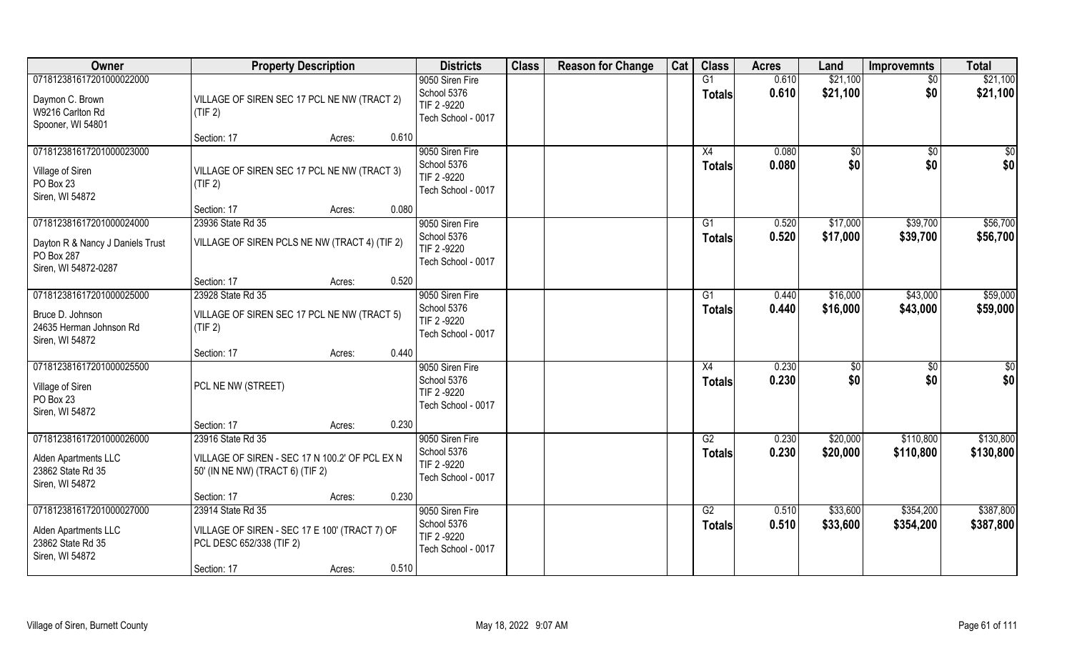| Owner                                                                                              | <b>Property Description</b>                                                                                                      | <b>Districts</b>                                                    | <b>Class</b> | <b>Reason for Change</b> | Cat | <b>Class</b>        | <b>Acres</b>   | Land                 | <b>Improvemnts</b>     | <b>Total</b>           |
|----------------------------------------------------------------------------------------------------|----------------------------------------------------------------------------------------------------------------------------------|---------------------------------------------------------------------|--------------|--------------------------|-----|---------------------|----------------|----------------------|------------------------|------------------------|
| 071812381617201000022000<br>Daymon C. Brown<br>W9216 Carlton Rd<br>Spooner, WI 54801               | VILLAGE OF SIREN SEC 17 PCL NE NW (TRACT 2)<br>(TIF 2)                                                                           | 9050 Siren Fire<br>School 5376<br>TIF 2-9220<br>Tech School - 0017  |              |                          |     | G1<br><b>Totals</b> | 0.610<br>0.610 | \$21,100<br>\$21,100 | $\overline{50}$<br>\$0 | \$21,100<br>\$21,100   |
|                                                                                                    | 0.610<br>Section: 17<br>Acres:                                                                                                   |                                                                     |              |                          |     |                     |                |                      |                        |                        |
| 071812381617201000023000<br>Village of Siren<br>PO Box 23<br>Siren, WI 54872                       | VILLAGE OF SIREN SEC 17 PCL NE NW (TRACT 3)<br>(TIF 2)                                                                           | 9050 Siren Fire<br>School 5376<br>TIF 2 -9220<br>Tech School - 0017 |              |                          |     | X4<br><b>Totals</b> | 0.080<br>0.080 | \$0<br>\$0           | \$0<br>\$0             | \$0<br>\$0             |
|                                                                                                    | 0.080<br>Section: 17<br>Acres:                                                                                                   |                                                                     |              |                          |     |                     |                |                      |                        |                        |
| 071812381617201000024000<br>Dayton R & Nancy J Daniels Trust<br>PO Box 287<br>Siren, WI 54872-0287 | 23936 State Rd 35<br>VILLAGE OF SIREN PCLS NE NW (TRACT 4) (TIF 2)                                                               | 9050 Siren Fire<br>School 5376<br>TIF 2-9220<br>Tech School - 0017  |              |                          |     | G1<br><b>Totals</b> | 0.520<br>0.520 | \$17,000<br>\$17,000 | \$39,700<br>\$39,700   | \$56,700<br>\$56,700   |
|                                                                                                    | 0.520<br>Section: 17<br>Acres:                                                                                                   |                                                                     |              |                          |     |                     |                |                      |                        |                        |
| 071812381617201000025000<br>Bruce D. Johnson<br>24635 Herman Johnson Rd<br>Siren, WI 54872         | 23928 State Rd 35<br>VILLAGE OF SIREN SEC 17 PCL NE NW (TRACT 5)<br>(TIF 2)                                                      | 9050 Siren Fire<br>School 5376<br>TIF 2-9220<br>Tech School - 0017  |              |                          |     | G1<br><b>Totals</b> | 0.440<br>0.440 | \$16,000<br>\$16,000 | \$43,000<br>\$43,000   | \$59,000<br>\$59,000   |
|                                                                                                    | 0.440<br>Section: 17<br>Acres:                                                                                                   |                                                                     |              |                          |     |                     |                |                      |                        |                        |
| 071812381617201000025500<br>Village of Siren<br>PO Box 23<br>Siren, WI 54872                       | PCL NE NW (STREET)                                                                                                               | 9050 Siren Fire<br>School 5376<br>TIF 2 -9220<br>Tech School - 0017 |              |                          |     | X4<br>Totals        | 0.230<br>0.230 | \$0<br>\$0           | $\overline{50}$<br>\$0 | \$0<br>\$0             |
|                                                                                                    | 0.230<br>Section: 17<br>Acres:                                                                                                   |                                                                     |              |                          |     |                     |                |                      |                        |                        |
| 071812381617201000026000<br>Alden Apartments LLC<br>23862 State Rd 35<br>Siren, WI 54872           | 23916 State Rd 35<br>VILLAGE OF SIREN - SEC 17 N 100.2' OF PCL EX N<br>50' (IN NE NW) (TRACT 6) (TIF 2)                          | 9050 Siren Fire<br>School 5376<br>TIF 2-9220<br>Tech School - 0017  |              |                          |     | G2<br><b>Totals</b> | 0.230<br>0.230 | \$20,000<br>\$20,000 | \$110,800<br>\$110,800 | \$130,800<br>\$130,800 |
|                                                                                                    | 0.230<br>Section: 17<br>Acres:                                                                                                   |                                                                     |              |                          |     |                     |                |                      |                        |                        |
| 071812381617201000027000<br>Alden Apartments LLC<br>23862 State Rd 35<br>Siren, WI 54872           | 23914 State Rd 35<br>VILLAGE OF SIREN - SEC 17 E 100' (TRACT 7) OF<br>PCL DESC 652/338 (TIF 2)<br>0.510<br>Section: 17<br>Acres: | 9050 Siren Fire<br>School 5376<br>TIF 2 -9220<br>Tech School - 0017 |              |                          |     | G2<br><b>Totals</b> | 0.510<br>0.510 | \$33,600<br>\$33,600 | \$354,200<br>\$354,200 | \$387,800<br>\$387,800 |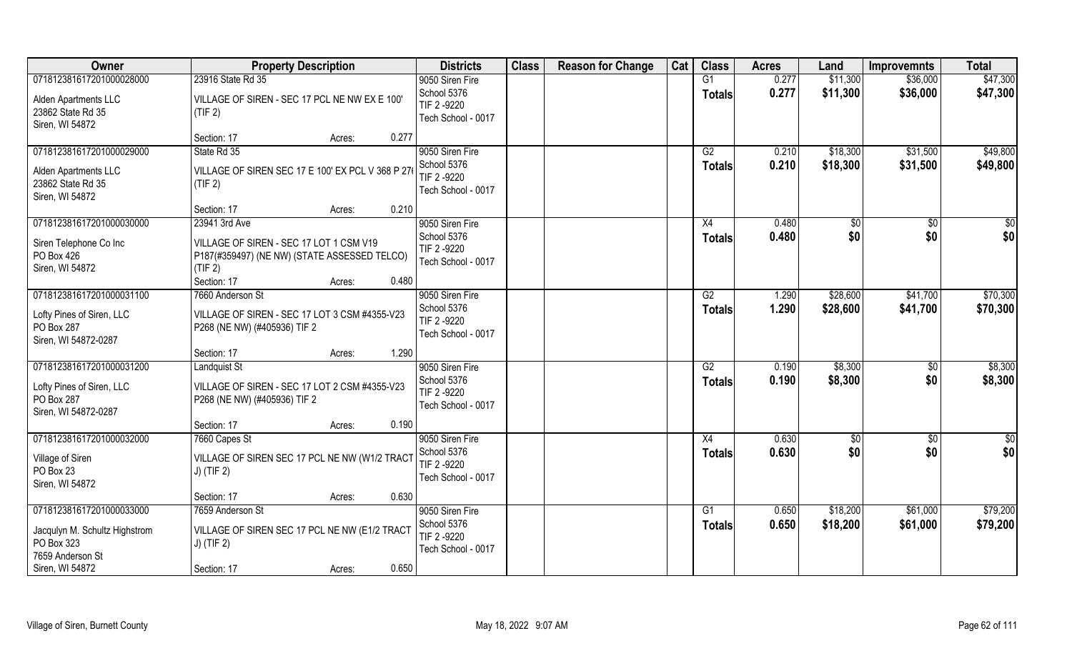| Owner                                                                                       | <b>Property Description</b>                                                                                                          | <b>Districts</b>                                                    | <b>Class</b> | <b>Reason for Change</b> | Cat | <b>Class</b>                     | <b>Acres</b>   | Land                 | <b>Improvemnts</b>   | <b>Total</b>         |
|---------------------------------------------------------------------------------------------|--------------------------------------------------------------------------------------------------------------------------------------|---------------------------------------------------------------------|--------------|--------------------------|-----|----------------------------------|----------------|----------------------|----------------------|----------------------|
| 071812381617201000028000                                                                    | 23916 State Rd 35                                                                                                                    | 9050 Siren Fire                                                     |              |                          |     | $\overline{G1}$                  | 0.277          | \$11,300             | \$36,000             | \$47,300             |
| Alden Apartments LLC<br>23862 State Rd 35<br>Siren, WI 54872                                | VILLAGE OF SIREN - SEC 17 PCL NE NW EX E 100'<br>(TIF 2)                                                                             | School 5376<br>TIF 2 -9220<br>Tech School - 0017                    |              |                          |     | <b>Totals</b>                    | 0.277          | \$11,300             | \$36,000             | \$47,300             |
|                                                                                             | 0.277<br>Section: 17<br>Acres:                                                                                                       |                                                                     |              |                          |     |                                  |                |                      |                      |                      |
| 071812381617201000029000<br>Alden Apartments LLC<br>23862 State Rd 35<br>Siren, WI 54872    | State Rd 35<br>VILLAGE OF SIREN SEC 17 E 100' EX PCL V 368 P 27<br>(TIF 2)                                                           | 9050 Siren Fire<br>School 5376<br>TIF 2 -9220<br>Tech School - 0017 |              |                          |     | G2<br><b>Totals</b>              | 0.210<br>0.210 | \$18,300<br>\$18,300 | \$31,500<br>\$31,500 | \$49,800<br>\$49,800 |
|                                                                                             | Section: 17<br>0.210<br>Acres:                                                                                                       |                                                                     |              |                          |     |                                  |                |                      |                      |                      |
| 071812381617201000030000                                                                    | 23941 3rd Ave                                                                                                                        | 9050 Siren Fire                                                     |              |                          |     | X4                               | 0.480          | \$0                  | \$0                  | \$0                  |
| Siren Telephone Co Inc<br>PO Box 426<br>Siren, WI 54872                                     | VILLAGE OF SIREN - SEC 17 LOT 1 CSM V19<br>P187(#359497) (NE NW) (STATE ASSESSED TELCO)<br>(TIF 2)<br>Section: 17<br>0.480<br>Acres: | School 5376<br>TIF 2-9220<br>Tech School - 0017                     |              |                          |     | <b>Totals</b>                    | 0.480          | \$0                  | \$0                  | \$0                  |
| 071812381617201000031100                                                                    | 7660 Anderson St                                                                                                                     | 9050 Siren Fire                                                     |              |                          |     | G2                               | 1.290          | \$28,600             | \$41,700             | \$70,300             |
| Lofty Pines of Siren, LLC<br>PO Box 287<br>Siren, WI 54872-0287                             | VILLAGE OF SIREN - SEC 17 LOT 3 CSM #4355-V23<br>P268 (NE NW) (#405936) TIF 2                                                        | School 5376<br>TIF 2-9220<br>Tech School - 0017                     |              |                          |     | <b>Totals</b>                    | 1.290          | \$28,600             | \$41,700             | \$70,300             |
|                                                                                             | 1.290<br>Section: 17<br>Acres:                                                                                                       |                                                                     |              |                          |     |                                  |                |                      |                      |                      |
| 071812381617201000031200<br>Lofty Pines of Siren, LLC<br>PO Box 287<br>Siren, WI 54872-0287 | <b>Landquist St</b><br>VILLAGE OF SIREN - SEC 17 LOT 2 CSM #4355-V23<br>P268 (NE NW) (#405936) TIF 2                                 | 9050 Siren Fire<br>School 5376<br>TIF 2 -9220<br>Tech School - 0017 |              |                          |     | $\overline{G2}$<br><b>Totals</b> | 0.190<br>0.190 | \$8,300<br>\$8,300   | \$0<br>\$0           | \$8,300<br>\$8,300   |
|                                                                                             | Section: 17<br>0.190<br>Acres:                                                                                                       |                                                                     |              |                          |     |                                  |                |                      |                      |                      |
| 071812381617201000032000                                                                    | 7660 Capes St                                                                                                                        | 9050 Siren Fire                                                     |              |                          |     | X4                               | 0.630          | \$0                  | \$0                  | $\frac{1}{2}$        |
| Village of Siren<br>PO Box 23<br>Siren, WI 54872                                            | VILLAGE OF SIREN SEC 17 PCL NE NW (W1/2 TRACT<br>$J)$ (TIF 2)                                                                        | School 5376<br>TIF 2 -9220<br>Tech School - 0017                    |              |                          |     | <b>Totals</b>                    | 0.630          | \$0                  | \$0                  | \$0                  |
|                                                                                             | 0.630<br>Section: 17<br>Acres:                                                                                                       |                                                                     |              |                          |     |                                  |                |                      |                      |                      |
| 071812381617201000033000                                                                    | 7659 Anderson St                                                                                                                     | 9050 Siren Fire                                                     |              |                          |     | G1                               | 0.650          | \$18,200             | \$61,000             | \$79,200             |
| Jacqulyn M. Schultz Highstrom<br>PO Box 323<br>7659 Anderson St                             | VILLAGE OF SIREN SEC 17 PCL NE NW (E1/2 TRACT<br>$J)$ (TIF 2)                                                                        | School 5376<br>TIF 2 -9220<br>Tech School - 0017                    |              |                          |     | <b>Totals</b>                    | 0.650          | \$18,200             | \$61,000             | \$79,200             |
| Siren, WI 54872                                                                             | 0.650<br>Section: 17<br>Acres:                                                                                                       |                                                                     |              |                          |     |                                  |                |                      |                      |                      |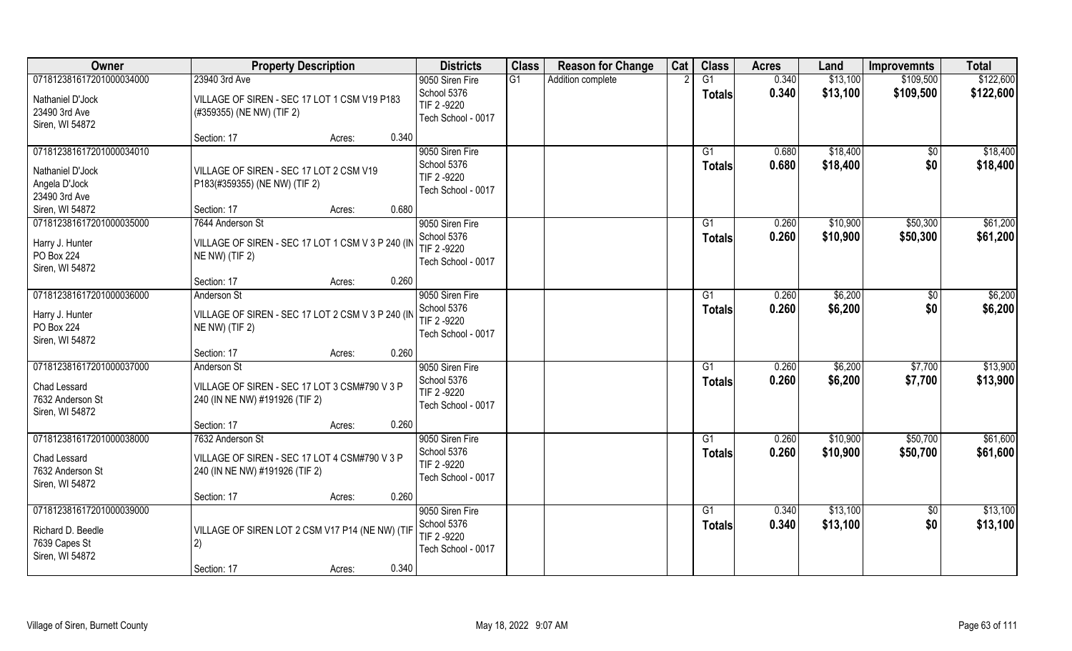| Owner                                                                                             | <b>Property Description</b>                                                                                                                  | <b>Districts</b>                                                    | <b>Class</b> | <b>Reason for Change</b> | Cat | <b>Class</b>        | <b>Acres</b>   | Land                 | <b>Improvemnts</b>     | <b>Total</b>           |
|---------------------------------------------------------------------------------------------------|----------------------------------------------------------------------------------------------------------------------------------------------|---------------------------------------------------------------------|--------------|--------------------------|-----|---------------------|----------------|----------------------|------------------------|------------------------|
| 071812381617201000034000<br>Nathaniel D'Jock<br>23490 3rd Ave<br>Siren, WI 54872                  | 23940 3rd Ave<br>VILLAGE OF SIREN - SEC 17 LOT 1 CSM V19 P183<br>(#359355) (NE NW) (TIF 2)                                                   | 9050 Siren Fire<br>School 5376<br>TIF 2 -9220<br>Tech School - 0017 | G1           | Addition complete        |     | G1<br><b>Totals</b> | 0.340<br>0.340 | \$13,100<br>\$13,100 | \$109,500<br>\$109,500 | \$122,600<br>\$122,600 |
| 071812381617201000034010<br>Nathaniel D'Jock<br>Angela D'Jock<br>23490 3rd Ave<br>Siren, WI 54872 | 0.340<br>Section: 17<br>Acres:<br>VILLAGE OF SIREN - SEC 17 LOT 2 CSM V19<br>P183(#359355) (NE NW) (TIF 2)<br>0.680<br>Section: 17<br>Acres: | 9050 Siren Fire<br>School 5376<br>TIF 2 -9220<br>Tech School - 0017 |              |                          |     | G1<br>Totals        | 0.680<br>0.680 | \$18,400<br>\$18,400 | \$0<br>\$0             | \$18,400<br>\$18,400   |
| 071812381617201000035000<br>Harry J. Hunter<br>PO Box 224<br>Siren, WI 54872                      | 7644 Anderson St<br>VILLAGE OF SIREN - SEC 17 LOT 1 CSM V 3 P 240 (IN<br>NE NW) (TIF 2)<br>0.260<br>Section: 17<br>Acres:                    | 9050 Siren Fire<br>School 5376<br>TIF 2-9220<br>Tech School - 0017  |              |                          |     | G1<br><b>Totals</b> | 0.260<br>0.260 | \$10,900<br>\$10,900 | \$50,300<br>\$50,300   | \$61,200<br>\$61,200   |
| 071812381617201000036000<br>Harry J. Hunter<br>PO Box 224<br>Siren, WI 54872                      | Anderson St<br>VILLAGE OF SIREN - SEC 17 LOT 2 CSM V 3 P 240 (IN<br>NE NW) (TIF 2)<br>0.260<br>Section: 17<br>Acres:                         | 9050 Siren Fire<br>School 5376<br>TIF 2 -9220<br>Tech School - 0017 |              |                          |     | G1<br><b>Totals</b> | 0.260<br>0.260 | \$6,200<br>\$6,200   | \$0<br>\$0             | \$6,200<br>\$6,200     |
| 071812381617201000037000<br>Chad Lessard<br>7632 Anderson St<br>Siren, WI 54872                   | Anderson St<br>VILLAGE OF SIREN - SEC 17 LOT 3 CSM#790 V 3 P<br>240 (IN NE NW) #191926 (TIF 2)<br>Section: 17<br>0.260<br>Acres:             | 9050 Siren Fire<br>School 5376<br>TIF 2 -9220<br>Tech School - 0017 |              |                          |     | G1<br><b>Totals</b> | 0.260<br>0.260 | \$6,200<br>\$6,200   | \$7,700<br>\$7,700     | \$13,900<br>\$13,900   |
| 071812381617201000038000<br>Chad Lessard<br>7632 Anderson St<br>Siren, WI 54872                   | 7632 Anderson St<br>VILLAGE OF SIREN - SEC 17 LOT 4 CSM#790 V 3 P<br>240 (IN NE NW) #191926 (TIF 2)<br>0.260<br>Section: 17<br>Acres:        | 9050 Siren Fire<br>School 5376<br>TIF 2 -9220<br>Tech School - 0017 |              |                          |     | G1<br><b>Totals</b> | 0.260<br>0.260 | \$10,900<br>\$10,900 | \$50,700<br>\$50,700   | \$61,600<br>\$61,600   |
| 071812381617201000039000<br>Richard D. Beedle<br>7639 Capes St<br>Siren, WI 54872                 | VILLAGE OF SIREN LOT 2 CSM V17 P14 (NE NW) (TIF<br>2)<br>0.340<br>Section: 17<br>Acres:                                                      | 9050 Siren Fire<br>School 5376<br>TIF 2-9220<br>Tech School - 0017  |              |                          |     | G1<br><b>Totals</b> | 0.340<br>0.340 | \$13,100<br>\$13,100 | $\overline{50}$<br>\$0 | \$13,100<br>\$13,100   |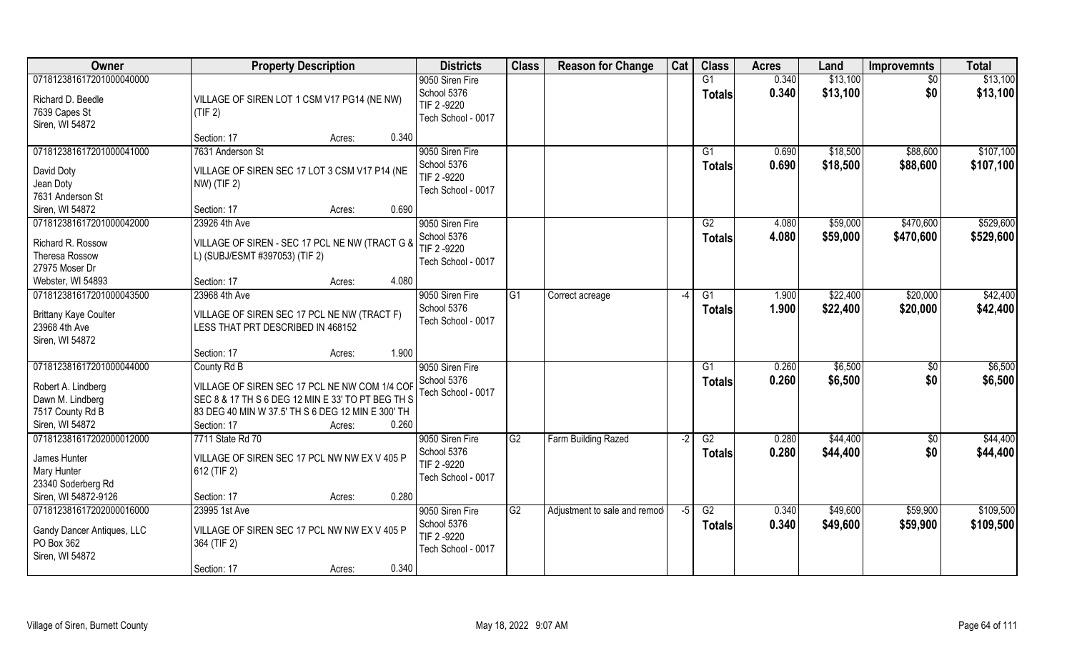| Owner                                | <b>Property Description</b>                                                                            | <b>Districts</b>               | <b>Class</b>    | <b>Reason for Change</b>      | Cat  | <b>Class</b>        | <b>Acres</b>   | Land                 | <b>Improvemnts</b> | <b>Total</b>         |
|--------------------------------------|--------------------------------------------------------------------------------------------------------|--------------------------------|-----------------|-------------------------------|------|---------------------|----------------|----------------------|--------------------|----------------------|
| 071812381617201000040000             |                                                                                                        | 9050 Siren Fire<br>School 5376 |                 |                               |      | G1<br><b>Totals</b> | 0.340<br>0.340 | \$13,100<br>\$13,100 | $\sqrt{6}$<br>\$0  | \$13,100<br>\$13,100 |
| Richard D. Beedle<br>7639 Capes St   | VILLAGE OF SIREN LOT 1 CSM V17 PG14 (NE NW)                                                            | TIF 2 -9220                    |                 |                               |      |                     |                |                      |                    |                      |
| Siren, WI 54872                      | (TIF 2)                                                                                                | Tech School - 0017             |                 |                               |      |                     |                |                      |                    |                      |
|                                      | 0.340<br>Section: 17<br>Acres:                                                                         |                                |                 |                               |      |                     |                |                      |                    |                      |
| 071812381617201000041000             | 7631 Anderson St                                                                                       | 9050 Siren Fire                |                 |                               |      | G1                  | 0.690          | \$18,500             | \$88,600           | \$107,100            |
| David Doty                           | VILLAGE OF SIREN SEC 17 LOT 3 CSM V17 P14 (NE                                                          | School 5376                    |                 |                               |      | Totals              | 0.690          | \$18,500             | \$88,600           | \$107,100            |
| Jean Doty                            | NW) (TIF 2)                                                                                            | TIF 2 -9220                    |                 |                               |      |                     |                |                      |                    |                      |
| 7631 Anderson St                     |                                                                                                        | Tech School - 0017             |                 |                               |      |                     |                |                      |                    |                      |
| Siren, WI 54872                      | 0.690<br>Section: 17<br>Acres:                                                                         |                                |                 |                               |      |                     |                |                      |                    |                      |
| 071812381617201000042000             | 23926 4th Ave                                                                                          | 9050 Siren Fire                |                 |                               |      | G2                  | 4.080          | \$59,000             | \$470,600          | \$529,600            |
| Richard R. Rossow                    | VILLAGE OF SIREN - SEC 17 PCL NE NW (TRACT G &                                                         | School 5376                    |                 |                               |      | <b>Totals</b>       | 4.080          | \$59,000             | \$470,600          | \$529,600            |
| Theresa Rossow                       | L) (SUBJ/ESMT #397053) (TIF 2)                                                                         | TIF 2 -9220                    |                 |                               |      |                     |                |                      |                    |                      |
| 27975 Moser Dr                       |                                                                                                        | Tech School - 0017             |                 |                               |      |                     |                |                      |                    |                      |
| Webster, WI 54893                    | 4.080<br>Section: 17<br>Acres:                                                                         |                                |                 |                               |      |                     |                |                      |                    |                      |
| 071812381617201000043500             | 23968 4th Ave                                                                                          | 9050 Siren Fire                | G <sub>1</sub>  | Correct acreage               |      | G1                  | 1.900          | \$22,400             | \$20,000           | \$42,400             |
| <b>Brittany Kaye Coulter</b>         | VILLAGE OF SIREN SEC 17 PCL NE NW (TRACT F)                                                            | School 5376                    |                 |                               |      | <b>Totals</b>       | 1.900          | \$22,400             | \$20,000           | \$42,400             |
| 23968 4th Ave                        | LESS THAT PRT DESCRIBED IN 468152                                                                      | Tech School - 0017             |                 |                               |      |                     |                |                      |                    |                      |
| Siren, WI 54872                      |                                                                                                        |                                |                 |                               |      |                     |                |                      |                    |                      |
|                                      | 1.900<br>Section: 17<br>Acres:                                                                         |                                |                 |                               |      |                     |                |                      |                    |                      |
| 071812381617201000044000             | County Rd B                                                                                            | 9050 Siren Fire                |                 |                               |      | G1                  | 0.260          | \$6,500              | \$0                | \$6,500              |
|                                      |                                                                                                        | School 5376                    |                 |                               |      | Totals              | 0.260          | \$6,500              | \$0                | \$6,500              |
| Robert A. Lindberg                   | VILLAGE OF SIREN SEC 17 PCL NE NW COM 1/4 COF                                                          | Tech School - 0017             |                 |                               |      |                     |                |                      |                    |                      |
| Dawn M. Lindberg<br>7517 County Rd B | SEC 8 & 17 TH S 6 DEG 12 MIN E 33' TO PT BEG TH S<br>83 DEG 40 MIN W 37.5' TH S 6 DEG 12 MIN E 300' TH |                                |                 |                               |      |                     |                |                      |                    |                      |
| Siren, WI 54872                      | 0.260<br>Section: 17<br>Acres:                                                                         |                                |                 |                               |      |                     |                |                      |                    |                      |
| 071812381617202000012000             | 7711 State Rd 70                                                                                       | 9050 Siren Fire                | $\overline{G2}$ | Farm Building Razed           | $-2$ | G2                  | 0.280          | \$44,400             | $\sqrt{6}$         | \$44,400             |
|                                      |                                                                                                        | School 5376                    |                 |                               |      | <b>Totals</b>       | 0.280          | \$44,400             | \$0                | \$44,400             |
| James Hunter                         | VILLAGE OF SIREN SEC 17 PCL NW NW EX V 405 P                                                           | TIF 2 -9220                    |                 |                               |      |                     |                |                      |                    |                      |
| Mary Hunter                          | 612 (TIF 2)                                                                                            | Tech School - 0017             |                 |                               |      |                     |                |                      |                    |                      |
| 23340 Soderberg Rd                   |                                                                                                        |                                |                 |                               |      |                     |                |                      |                    |                      |
| Siren, WI 54872-9126                 | 0.280<br>Section: 17<br>Acres:                                                                         |                                |                 |                               |      |                     |                |                      |                    |                      |
| 071812381617202000016000             | 23995 1st Ave                                                                                          | 9050 Siren Fire                | $\overline{G2}$ | Adjustment to sale and remode | -5   | G2                  | 0.340          | \$49,600             | \$59,900           | \$109,500            |
| Gandy Dancer Antiques, LLC           | VILLAGE OF SIREN SEC 17 PCL NW NW EX V 405 P                                                           | School 5376                    |                 |                               |      | <b>Totals</b>       | 0.340          | \$49,600             | \$59,900           | \$109,500            |
| PO Box 362                           | 364 (TIF 2)                                                                                            | TIF 2 -9220                    |                 |                               |      |                     |                |                      |                    |                      |
| Siren, WI 54872                      |                                                                                                        | Tech School - 0017             |                 |                               |      |                     |                |                      |                    |                      |
|                                      | 0.340<br>Section: 17<br>Acres:                                                                         |                                |                 |                               |      |                     |                |                      |                    |                      |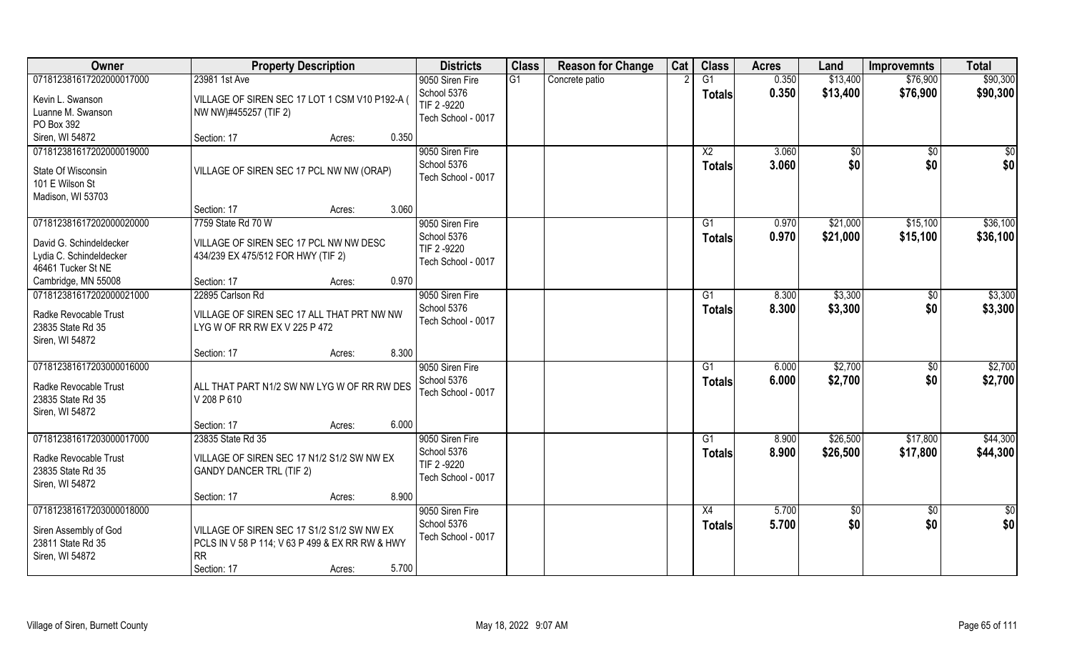| Owner                                      | <b>Property Description</b>                                | <b>Districts</b>                  | <b>Class</b> | <b>Reason for Change</b> | Cat | <b>Class</b>    | <b>Acres</b> | Land     | <b>Improvemnts</b> | <b>Total</b>     |
|--------------------------------------------|------------------------------------------------------------|-----------------------------------|--------------|--------------------------|-----|-----------------|--------------|----------|--------------------|------------------|
| 071812381617202000017000                   | 23981 1st Ave                                              | 9050 Siren Fire                   | G1           | Concrete patio           |     | G1              | 0.350        | \$13,400 | \$76,900           | \$90,300         |
| Kevin L. Swanson                           | VILLAGE OF SIREN SEC 17 LOT 1 CSM V10 P192-A (             | School 5376<br>TIF 2 -9220        |              |                          |     | <b>Totals</b>   | 0.350        | \$13,400 | \$76,900           | \$90,300         |
| Luanne M. Swanson                          | NW NW)#455257 (TIF 2)                                      | Tech School - 0017                |              |                          |     |                 |              |          |                    |                  |
| PO Box 392                                 |                                                            |                                   |              |                          |     |                 |              |          |                    |                  |
| Siren, WI 54872                            | 0.350<br>Section: 17<br>Acres:                             |                                   |              |                          |     |                 |              |          |                    |                  |
| 071812381617202000019000                   |                                                            | 9050 Siren Fire                   |              |                          |     | $\overline{X2}$ | 3.060        | \$0      | \$0                | $\overline{\$0}$ |
| State Of Wisconsin                         | VILLAGE OF SIREN SEC 17 PCL NW NW (ORAP)                   | School 5376                       |              |                          |     | <b>Totals</b>   | 3.060        | \$0      | \$0                | \$0              |
| 101 E Wilson St                            |                                                            | Tech School - 0017                |              |                          |     |                 |              |          |                    |                  |
| Madison, WI 53703                          |                                                            |                                   |              |                          |     |                 |              |          |                    |                  |
|                                            | Section: 17<br>3.060<br>Acres:                             |                                   |              |                          |     |                 |              |          |                    |                  |
| 071812381617202000020000                   | 7759 State Rd 70 W                                         | 9050 Siren Fire                   |              |                          |     | G1              | 0.970        | \$21,000 | \$15,100           | \$36,100         |
| David G. Schindeldecker                    | VILLAGE OF SIREN SEC 17 PCL NW NW DESC                     | School 5376                       |              |                          |     | <b>Totals</b>   | 0.970        | \$21,000 | \$15,100           | \$36,100         |
| Lydia C. Schindeldecker                    | 434/239 EX 475/512 FOR HWY (TIF 2)                         | TIF 2 -9220                       |              |                          |     |                 |              |          |                    |                  |
| 46461 Tucker St NE                         |                                                            | Tech School - 0017                |              |                          |     |                 |              |          |                    |                  |
| Cambridge, MN 55008                        | 0.970<br>Section: 17<br>Acres:                             |                                   |              |                          |     |                 |              |          |                    |                  |
| 071812381617202000021000                   | 22895 Carlson Rd                                           | 9050 Siren Fire                   |              |                          |     | G1              | 8.300        | \$3,300  | \$0                | \$3,300          |
| Radke Revocable Trust                      | VILLAGE OF SIREN SEC 17 ALL THAT PRT NW NW                 | School 5376                       |              |                          |     | Totals          | 8.300        | \$3,300  | \$0                | \$3,300          |
| 23835 State Rd 35                          | LYG W OF RR RW EX V 225 P 472                              | Tech School - 0017                |              |                          |     |                 |              |          |                    |                  |
| Siren, WI 54872                            |                                                            |                                   |              |                          |     |                 |              |          |                    |                  |
|                                            | 8.300<br>Section: 17<br>Acres:                             |                                   |              |                          |     |                 |              |          |                    |                  |
| 071812381617203000016000                   |                                                            | 9050 Siren Fire                   |              |                          |     | G <sub>1</sub>  | 6.000        | \$2,700  | \$0                | \$2,700          |
|                                            |                                                            | School 5376                       |              |                          |     | <b>Totals</b>   | 6.000        | \$2,700  | \$0                | \$2,700          |
| Radke Revocable Trust<br>23835 State Rd 35 | ALL THAT PART N1/2 SW NW LYG W OF RR RW DES<br>V 208 P 610 | Tech School - 0017                |              |                          |     |                 |              |          |                    |                  |
| Siren, WI 54872                            |                                                            |                                   |              |                          |     |                 |              |          |                    |                  |
|                                            | 6.000<br>Section: 17<br>Acres:                             |                                   |              |                          |     |                 |              |          |                    |                  |
| 071812381617203000017000                   | 23835 State Rd 35                                          | 9050 Siren Fire                   |              |                          |     | G1              | 8.900        | \$26,500 | \$17,800           | \$44,300         |
|                                            |                                                            | School 5376                       |              |                          |     | <b>Totals</b>   | 8.900        | \$26,500 | \$17,800           | \$44,300         |
| Radke Revocable Trust                      | VILLAGE OF SIREN SEC 17 N1/2 S1/2 SW NW EX                 | TIF 2 -9220                       |              |                          |     |                 |              |          |                    |                  |
| 23835 State Rd 35                          | <b>GANDY DANCER TRL (TIF 2)</b>                            | Tech School - 0017                |              |                          |     |                 |              |          |                    |                  |
| Siren, WI 54872                            |                                                            |                                   |              |                          |     |                 |              |          |                    |                  |
|                                            | 8.900<br>Section: 17<br>Acres:                             |                                   |              |                          |     |                 |              |          |                    |                  |
| 071812381617203000018000                   |                                                            | 9050 Siren Fire                   |              |                          |     | X4              | 5.700        | \$0      | $\overline{50}$    | \$0              |
| Siren Assembly of God                      | VILLAGE OF SIREN SEC 17 S1/2 S1/2 SW NW EX                 | School 5376<br>Tech School - 0017 |              |                          |     | Totals          | 5.700        | \$0      | \$0                | \$0              |
| 23811 State Rd 35                          | PCLS IN V 58 P 114; V 63 P 499 & EX RR RW & HWY            |                                   |              |                          |     |                 |              |          |                    |                  |
| Siren, WI 54872                            | <b>RR</b>                                                  |                                   |              |                          |     |                 |              |          |                    |                  |
|                                            | 5.700<br>Section: 17<br>Acres:                             |                                   |              |                          |     |                 |              |          |                    |                  |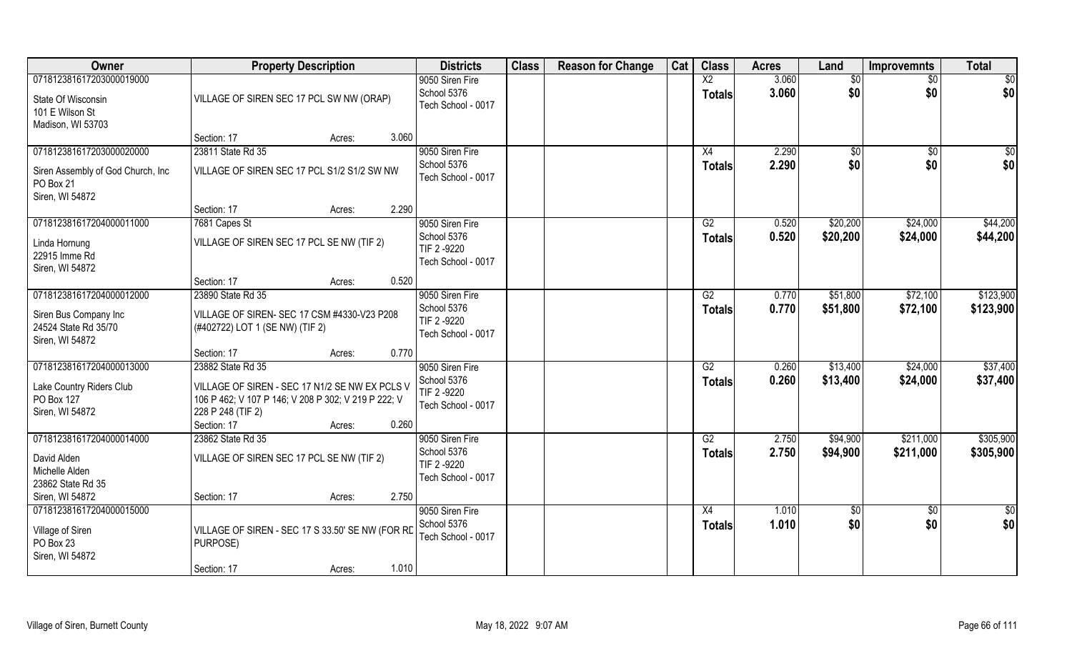| Owner                                                                                          | <b>Property Description</b>                                                                                                                                                       | <b>Districts</b>                                                    | <b>Class</b> | <b>Reason for Change</b> | Cat | <b>Class</b>                     | <b>Acres</b>   | Land                 | <b>Improvemnts</b>   | <b>Total</b>           |
|------------------------------------------------------------------------------------------------|-----------------------------------------------------------------------------------------------------------------------------------------------------------------------------------|---------------------------------------------------------------------|--------------|--------------------------|-----|----------------------------------|----------------|----------------------|----------------------|------------------------|
| 071812381617203000019000<br>State Of Wisconsin<br>101 E Wilson St<br>Madison, WI 53703         | VILLAGE OF SIREN SEC 17 PCL SW NW (ORAP)                                                                                                                                          | 9050 Siren Fire<br>School 5376<br>Tech School - 0017                |              |                          |     | $\overline{X2}$<br><b>Totals</b> | 3.060<br>3.060 | \$0<br>\$0           | \$0<br>\$0           | \$0<br>\$0             |
|                                                                                                | Section: 17<br>3.060<br>Acres:                                                                                                                                                    |                                                                     |              |                          |     |                                  |                |                      |                      |                        |
| 071812381617203000020000<br>Siren Assembly of God Church, Inc.<br>PO Box 21<br>Siren, WI 54872 | 23811 State Rd 35<br>VILLAGE OF SIREN SEC 17 PCL S1/2 S1/2 SW NW                                                                                                                  | 9050 Siren Fire<br>School 5376<br>Tech School - 0017                |              |                          |     | X4<br><b>Totals</b>              | 2.290<br>2.290 | \$0<br>\$0           | \$0<br>\$0           | \$0<br>\$0             |
| 071812381617204000011000                                                                       | 2.290<br>Section: 17<br>Acres:<br>7681 Capes St                                                                                                                                   | 9050 Siren Fire                                                     |              |                          |     | G2                               | 0.520          | \$20,200             | \$24,000             | \$44,200               |
| Linda Hornung<br>22915 Imme Rd<br>Siren, WI 54872                                              | VILLAGE OF SIREN SEC 17 PCL SE NW (TIF 2)                                                                                                                                         | School 5376<br>TIF 2 -9220<br>Tech School - 0017                    |              |                          |     | <b>Totals</b>                    | 0.520          | \$20,200             | \$24,000             | \$44,200               |
|                                                                                                | 0.520<br>Section: 17<br>Acres:                                                                                                                                                    |                                                                     |              |                          |     |                                  |                |                      |                      |                        |
| 071812381617204000012000<br>Siren Bus Company Inc<br>24524 State Rd 35/70<br>Siren, WI 54872   | 23890 State Rd 35<br>VILLAGE OF SIREN- SEC 17 CSM #4330-V23 P208<br>(#402722) LOT 1 (SE NW) (TIF 2)                                                                               | 9050 Siren Fire<br>School 5376<br>TIF 2-9220<br>Tech School - 0017  |              |                          |     | G2<br><b>Totals</b>              | 0.770<br>0.770 | \$51,800<br>\$51,800 | \$72,100<br>\$72,100 | \$123,900<br>\$123,900 |
|                                                                                                | 0.770<br>Section: 17<br>Acres:                                                                                                                                                    |                                                                     |              |                          |     |                                  |                |                      |                      |                        |
| 071812381617204000013000<br>Lake Country Riders Club<br>PO Box 127<br>Siren, WI 54872          | 23882 State Rd 35<br>VILLAGE OF SIREN - SEC 17 N1/2 SE NW EX PCLS V<br>106 P 462; V 107 P 146; V 208 P 302; V 219 P 222; V<br>228 P 248 (TIF 2)<br>Section: 17<br>0.260<br>Acres: | 9050 Siren Fire<br>School 5376<br>TIF 2 -9220<br>Tech School - 0017 |              |                          |     | $\overline{G2}$<br><b>Totals</b> | 0.260<br>0.260 | \$13,400<br>\$13,400 | \$24,000<br>\$24,000 | \$37,400<br>\$37,400   |
| 071812381617204000014000                                                                       | 23862 State Rd 35                                                                                                                                                                 | 9050 Siren Fire                                                     |              |                          |     | G2                               | 2.750          | \$94,900             | \$211,000            | \$305,900              |
| David Alden<br>Michelle Alden<br>23862 State Rd 35<br>Siren, WI 54872                          | VILLAGE OF SIREN SEC 17 PCL SE NW (TIF 2)<br>2.750<br>Section: 17<br>Acres:                                                                                                       | School 5376<br>TIF 2-9220<br>Tech School - 0017                     |              |                          |     | <b>Totals</b>                    | 2.750          | \$94,900             | \$211,000            | \$305,900              |
| 071812381617204000015000                                                                       |                                                                                                                                                                                   | 9050 Siren Fire                                                     |              |                          |     | X4                               | 1.010          | \$0                  | $\overline{50}$      | \$0                    |
| Village of Siren<br>PO Box 23<br>Siren, WI 54872                                               | VILLAGE OF SIREN - SEC 17 S 33.50' SE NW (FOR RD<br>PURPOSE)<br>1.010<br>Section: 17<br>Acres:                                                                                    | School 5376<br>Tech School - 0017                                   |              |                          |     | <b>Totals</b>                    | 1.010          | \$0                  | \$0                  | \$0                    |
|                                                                                                |                                                                                                                                                                                   |                                                                     |              |                          |     |                                  |                |                      |                      |                        |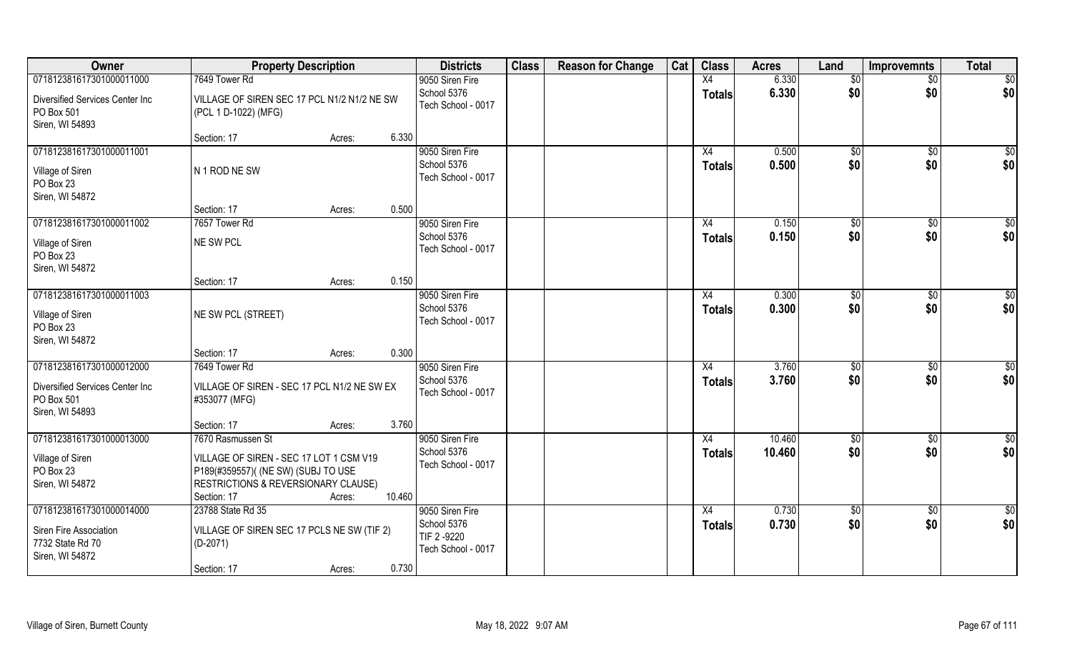| Owner                                                                        | <b>Property Description</b>                                                                                                          |        |        | <b>Districts</b>                                     | <b>Class</b> | <b>Reason for Change</b> | Cat | <b>Class</b>        | <b>Acres</b>   | Land        | <b>Improvemnts</b> | <b>Total</b>       |
|------------------------------------------------------------------------------|--------------------------------------------------------------------------------------------------------------------------------------|--------|--------|------------------------------------------------------|--------------|--------------------------|-----|---------------------|----------------|-------------|--------------------|--------------------|
| 071812381617301000011000                                                     | 7649 Tower Rd                                                                                                                        |        |        | 9050 Siren Fire                                      |              |                          |     | X4                  | 6.330          | \$0         | $\sqrt{$0}$        | $\sqrt{50}$        |
| Diversified Services Center Inc<br>PO Box 501<br>Siren, WI 54893             | VILLAGE OF SIREN SEC 17 PCL N1/2 N1/2 NE SW<br>(PCL 1 D-1022) (MFG)                                                                  |        |        | School 5376<br>Tech School - 0017                    |              |                          |     | <b>Totals</b>       | 6.330          | \$0         | \$0                | \$0                |
|                                                                              | Section: 17                                                                                                                          | Acres: | 6.330  |                                                      |              |                          |     |                     |                |             |                    |                    |
| 071812381617301000011001<br>Village of Siren<br>PO Box 23<br>Siren, WI 54872 | N 1 ROD NE SW                                                                                                                        |        |        | 9050 Siren Fire<br>School 5376<br>Tech School - 0017 |              |                          |     | X4<br>Totals        | 0.500<br>0.500 | \$0<br>\$0  | \$0<br>\$0         | $\sqrt{50}$<br>\$0 |
|                                                                              | Section: 17                                                                                                                          | Acres: | 0.500  |                                                      |              |                          |     |                     |                |             |                    |                    |
| 071812381617301000011002                                                     | 7657 Tower Rd                                                                                                                        |        |        | 9050 Siren Fire                                      |              |                          |     | X4                  | 0.150          | \$0         | $\overline{50}$    | \$0                |
| Village of Siren<br>PO Box 23<br>Siren, WI 54872                             | NE SW PCL                                                                                                                            |        |        | School 5376<br>Tech School - 0017                    |              |                          |     | <b>Totals</b>       | 0.150          | \$0         | \$0                | \$0                |
|                                                                              | Section: 17                                                                                                                          | Acres: | 0.150  |                                                      |              |                          |     |                     |                |             |                    |                    |
| 071812381617301000011003<br>Village of Siren<br>PO Box 23                    | NE SW PCL (STREET)                                                                                                                   |        |        | 9050 Siren Fire<br>School 5376<br>Tech School - 0017 |              |                          |     | X4<br><b>Totals</b> | 0.300<br>0.300 | \$0<br>\$0  | \$0<br>\$0         | \$0<br>\$0         |
| Siren, WI 54872                                                              | Section: 17                                                                                                                          | Acres: | 0.300  |                                                      |              |                          |     |                     |                |             |                    |                    |
| 071812381617301000012000                                                     | 7649 Tower Rd                                                                                                                        |        |        | 9050 Siren Fire                                      |              |                          |     | X4                  | 3.760          | \$0         | \$0                | $\overline{50}$    |
| Diversified Services Center Inc<br>PO Box 501<br>Siren, WI 54893             | VILLAGE OF SIREN - SEC 17 PCL N1/2 NE SW EX<br>#353077 (MFG)                                                                         |        |        | School 5376<br>Tech School - 0017                    |              |                          |     | <b>Totals</b>       | 3.760          | \$0         | \$0                | \$0                |
|                                                                              | Section: 17                                                                                                                          | Acres: | 3.760  |                                                      |              |                          |     |                     |                |             |                    |                    |
| 071812381617301000013000                                                     | 7670 Rasmussen St                                                                                                                    |        |        | 9050 Siren Fire                                      |              |                          |     | X4                  | 10.460         | $\sqrt{50}$ | $\sqrt{$0}$        | $\overline{50}$    |
| Village of Siren<br>PO Box 23<br>Siren, WI 54872                             | VILLAGE OF SIREN - SEC 17 LOT 1 CSM V19<br>P189(#359557)( (NE SW) (SUBJ TO USE<br>RESTRICTIONS & REVERSIONARY CLAUSE)<br>Section: 17 | Acres: | 10.460 | School 5376<br>Tech School - 0017                    |              |                          |     | <b>Totals</b>       | 10.460         | \$0         | \$0                | \$0                |
| 071812381617301000014000                                                     | 23788 State Rd 35                                                                                                                    |        |        | 9050 Siren Fire                                      |              |                          |     | X4                  | 0.730          | \$0         | $\sqrt{$0}$        | \$0                |
| Siren Fire Association<br>7732 State Rd 70<br>Siren, WI 54872                | VILLAGE OF SIREN SEC 17 PCLS NE SW (TIF 2)<br>$(D-2071)$                                                                             |        | 0.730  | School 5376<br>TIF 2 -9220<br>Tech School - 0017     |              |                          |     | <b>Totals</b>       | 0.730          | \$0         | \$0                | \$0                |
|                                                                              | Section: 17                                                                                                                          | Acres: |        |                                                      |              |                          |     |                     |                |             |                    |                    |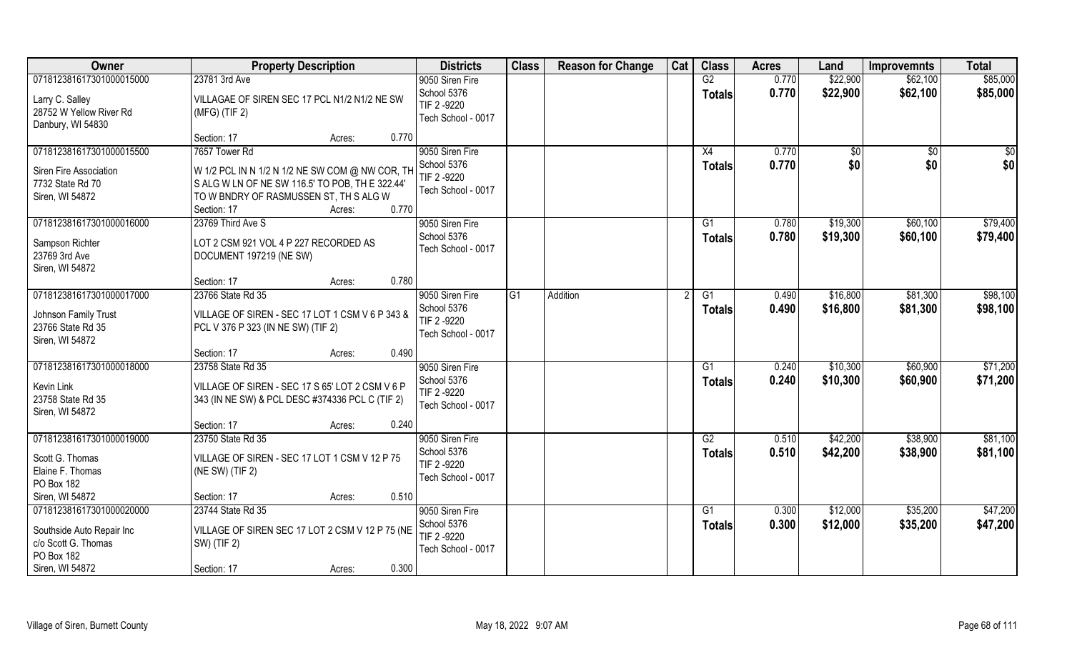| Owner                                                                                                         | <b>Property Description</b>                                                                                                                                                                     | <b>Districts</b>                                                    | <b>Class</b>    | <b>Reason for Change</b> | Cat | <b>Class</b>        | <b>Acres</b>   | Land                 | <b>Improvemnts</b>   | <b>Total</b>         |
|---------------------------------------------------------------------------------------------------------------|-------------------------------------------------------------------------------------------------------------------------------------------------------------------------------------------------|---------------------------------------------------------------------|-----------------|--------------------------|-----|---------------------|----------------|----------------------|----------------------|----------------------|
| 071812381617301000015000                                                                                      | 23781 3rd Ave                                                                                                                                                                                   | 9050 Siren Fire                                                     |                 |                          |     | $\overline{G2}$     | 0.770          | \$22,900             | \$62,100             | \$85,000             |
| Larry C. Salley<br>28752 W Yellow River Rd<br>Danbury, WI 54830                                               | VILLAGAE OF SIREN SEC 17 PCL N1/2 N1/2 NE SW<br>$(MFG)$ (TIF 2)                                                                                                                                 | School 5376<br>TIF 2-9220<br>Tech School - 0017                     |                 |                          |     | <b>Totals</b>       | 0.770          | \$22,900             | \$62,100             | \$85,000             |
|                                                                                                               | Section: 17<br>0.770<br>Acres:                                                                                                                                                                  |                                                                     |                 |                          |     |                     |                |                      |                      |                      |
| 071812381617301000015500<br>Siren Fire Association<br>7732 State Rd 70<br>Siren, WI 54872                     | 7657 Tower Rd<br>W 1/2 PCL IN N 1/2 N 1/2 NE SW COM @ NW COR, TH<br>S ALG W LN OF NE SW 116.5' TO POB, TH E 322.44'<br>TO W BNDRY OF RASMUSSEN ST, TH S ALG W<br>0.770<br>Section: 17<br>Acres: | 9050 Siren Fire<br>School 5376<br>TIF 2 -9220<br>Tech School - 0017 |                 |                          |     | X4<br><b>Totals</b> | 0.770<br>0.770 | \$0<br>\$0           | \$0<br>\$0           | \$0<br>\$0           |
| 071812381617301000016000                                                                                      | 23769 Third Ave S                                                                                                                                                                               | 9050 Siren Fire                                                     |                 |                          |     | G1                  | 0.780          | \$19,300             | \$60,100             | \$79,400             |
| Sampson Richter<br>23769 3rd Ave<br>Siren, WI 54872                                                           | LOT 2 CSM 921 VOL 4 P 227 RECORDED AS<br>DOCUMENT 197219 (NE SW)                                                                                                                                | School 5376<br>Tech School - 0017                                   |                 |                          |     | <b>Totals</b>       | 0.780          | \$19,300             | \$60,100             | \$79,400             |
|                                                                                                               | 0.780<br>Section: 17<br>Acres:                                                                                                                                                                  |                                                                     |                 |                          |     |                     |                |                      |                      |                      |
| 071812381617301000017000                                                                                      | 23766 State Rd 35                                                                                                                                                                               | 9050 Siren Fire                                                     | $\overline{G1}$ | Addition                 |     | G1                  | 0.490          | \$16,800             | \$81,300             | \$98,100             |
| Johnson Family Trust<br>23766 State Rd 35<br>Siren, WI 54872                                                  | VILLAGE OF SIREN - SEC 17 LOT 1 CSM V 6 P 343 &<br>PCL V 376 P 323 (IN NE SW) (TIF 2)                                                                                                           | School 5376<br>TIF 2 -9220<br>Tech School - 0017                    |                 |                          |     | <b>Totals</b>       | 0.490          | \$16,800             | \$81,300             | \$98,100             |
|                                                                                                               | 0.490<br>Section: 17<br>Acres:                                                                                                                                                                  |                                                                     |                 |                          |     |                     |                |                      |                      |                      |
| 071812381617301000018000<br>Kevin Link<br>23758 State Rd 35<br>Siren, WI 54872                                | 23758 State Rd 35<br>VILLAGE OF SIREN - SEC 17 S 65' LOT 2 CSM V 6 P<br>343 (IN NE SW) & PCL DESC #374336 PCL C (TIF 2)                                                                         | 9050 Siren Fire<br>School 5376<br>TIF 2-9220<br>Tech School - 0017  |                 |                          |     | G1<br><b>Totals</b> | 0.240<br>0.240 | \$10,300<br>\$10,300 | \$60,900<br>\$60,900 | \$71,200<br>\$71,200 |
|                                                                                                               | 0.240<br>Section: 17<br>Acres:                                                                                                                                                                  |                                                                     |                 |                          |     |                     |                |                      |                      |                      |
| 071812381617301000019000                                                                                      | 23750 State Rd 35                                                                                                                                                                               | 9050 Siren Fire                                                     |                 |                          |     | G2                  | 0.510          | \$42,200             | \$38,900             | \$81,100             |
| Scott G. Thomas<br>Elaine F. Thomas<br>PO Box 182                                                             | VILLAGE OF SIREN - SEC 17 LOT 1 CSM V 12 P 75<br>(NE SW) (TIF 2)                                                                                                                                | School 5376<br>TIF 2-9220<br>Tech School - 0017                     |                 |                          |     | <b>Totals</b>       | 0.510          | \$42,200             | \$38,900             | \$81,100             |
| Siren, WI 54872                                                                                               | 0.510<br>Section: 17<br>Acres:                                                                                                                                                                  |                                                                     |                 |                          |     |                     |                |                      |                      |                      |
| 071812381617301000020000<br>Southside Auto Repair Inc<br>c/o Scott G. Thomas<br>PO Box 182<br>Siren, WI 54872 | 23744 State Rd 35<br>VILLAGE OF SIREN SEC 17 LOT 2 CSM V 12 P 75 (NE<br>SW) (TIF 2)<br>0.300<br>Section: 17<br>Acres:                                                                           | 9050 Siren Fire<br>School 5376<br>TIF 2-9220<br>Tech School - 0017  |                 |                          |     | G1<br><b>Totals</b> | 0.300<br>0.300 | \$12,000<br>\$12,000 | \$35,200<br>\$35,200 | \$47,200<br>\$47,200 |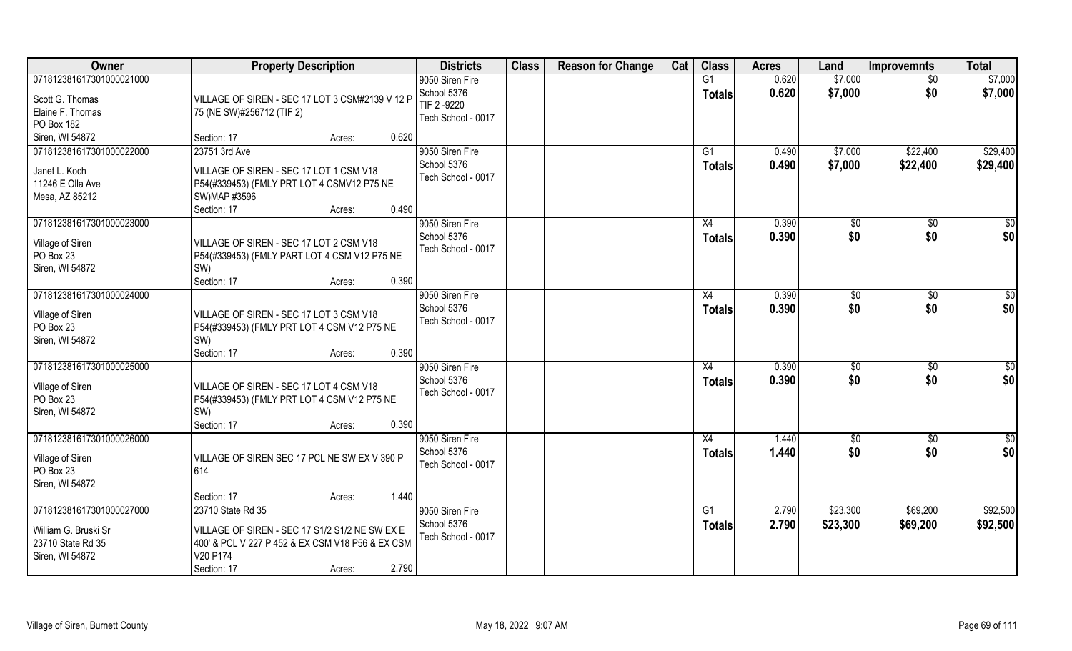| Owner                                                                                    | <b>Property Description</b>                                                                                                                                           | <b>Districts</b>                                                    | <b>Class</b> | <b>Reason for Change</b> | Cat | <b>Class</b>                     | <b>Acres</b>   | Land                 | <b>Improvemnts</b>     | <b>Total</b>         |
|------------------------------------------------------------------------------------------|-----------------------------------------------------------------------------------------------------------------------------------------------------------------------|---------------------------------------------------------------------|--------------|--------------------------|-----|----------------------------------|----------------|----------------------|------------------------|----------------------|
| 071812381617301000021000<br>Scott G. Thomas<br>Elaine F. Thomas<br>PO Box 182            | VILLAGE OF SIREN - SEC 17 LOT 3 CSM#2139 V 12 P<br>75 (NE SW)#256712 (TIF 2)                                                                                          | 9050 Siren Fire<br>School 5376<br>TIF 2 -9220<br>Tech School - 0017 |              |                          |     | $\overline{G1}$<br><b>Totals</b> | 0.620<br>0.620 | \$7,000<br>\$7,000   | $\overline{50}$<br>\$0 | \$7,000<br>\$7,000   |
| Siren, WI 54872                                                                          | 0.620<br>Section: 17<br>Acres:                                                                                                                                        |                                                                     |              |                          |     |                                  |                |                      |                        |                      |
| 071812381617301000022000<br>Janet L. Koch<br>11246 E Olla Ave<br>Mesa, AZ 85212          | 23751 3rd Ave<br>VILLAGE OF SIREN - SEC 17 LOT 1 CSM V18<br>P54(#339453) (FMLY PRT LOT 4 CSMV12 P75 NE<br>SW) MAP #3596<br>Section: 17<br>0.490<br>Acres:             | 9050 Siren Fire<br>School 5376<br>Tech School - 0017                |              |                          |     | G <sub>1</sub><br>Totals         | 0.490<br>0.490 | \$7,000<br>\$7,000   | \$22,400<br>\$22,400   | \$29,400<br>\$29,400 |
| 071812381617301000023000<br>Village of Siren<br>PO Box 23<br>Siren, WI 54872             | VILLAGE OF SIREN - SEC 17 LOT 2 CSM V18<br>P54(#339453) (FMLY PART LOT 4 CSM V12 P75 NE<br>SW)<br>0.390<br>Section: 17<br>Acres:                                      | 9050 Siren Fire<br>School 5376<br>Tech School - 0017                |              |                          |     | X4<br><b>Totals</b>              | 0.390<br>0.390 | \$0<br>\$0           | \$0<br>\$0             | \$0<br>\$0           |
| 071812381617301000024000<br>Village of Siren<br>PO Box 23<br>Siren, WI 54872             | VILLAGE OF SIREN - SEC 17 LOT 3 CSM V18<br>P54(#339453) (FMLY PRT LOT 4 CSM V12 P75 NE<br>SW)<br>0.390<br>Section: 17<br>Acres:                                       | 9050 Siren Fire<br>School 5376<br>Tech School - 0017                |              |                          |     | X4<br><b>Totals</b>              | 0.390<br>0.390 | $\sqrt[6]{3}$<br>\$0 | $\frac{1}{20}$<br>\$0  | \$0<br>\$0           |
| 071812381617301000025000<br>Village of Siren<br>PO Box 23<br>Siren, WI 54872             | VILLAGE OF SIREN - SEC 17 LOT 4 CSM V18<br>P54(#339453) (FMLY PRT LOT 4 CSM V12 P75 NE<br>SW)<br>Section: 17<br>0.390<br>Acres:                                       | 9050 Siren Fire<br>School 5376<br>Tech School - 0017                |              |                          |     | X4<br><b>Totals</b>              | 0.390<br>0.390 | \$0<br>\$0           | $\sqrt[6]{30}$<br>\$0  | \$0<br>\$0           |
| 071812381617301000026000<br>Village of Siren<br>PO Box 23<br>Siren, WI 54872             | VILLAGE OF SIREN SEC 17 PCL NE SW EX V 390 P<br>614<br>1.440<br>Section: 17<br>Acres:                                                                                 | 9050 Siren Fire<br>School 5376<br>Tech School - 0017                |              |                          |     | X4<br><b>Totals</b>              | 1.440<br>1.440 | \$0<br>\$0           | \$0<br>\$0             | \$0<br>\$0           |
| 071812381617301000027000<br>William G. Bruski Sr<br>23710 State Rd 35<br>Siren, WI 54872 | 23710 State Rd 35<br>VILLAGE OF SIREN - SEC 17 S1/2 S1/2 NE SW EX E<br>400' & PCL V 227 P 452 & EX CSM V18 P56 & EX CSM<br>V20 P174<br>2.790<br>Section: 17<br>Acres: | 9050 Siren Fire<br>School 5376<br>Tech School - 0017                |              |                          |     | G1<br>Totals                     | 2.790<br>2.790 | \$23,300<br>\$23,300 | \$69,200<br>\$69,200   | \$92,500<br>\$92,500 |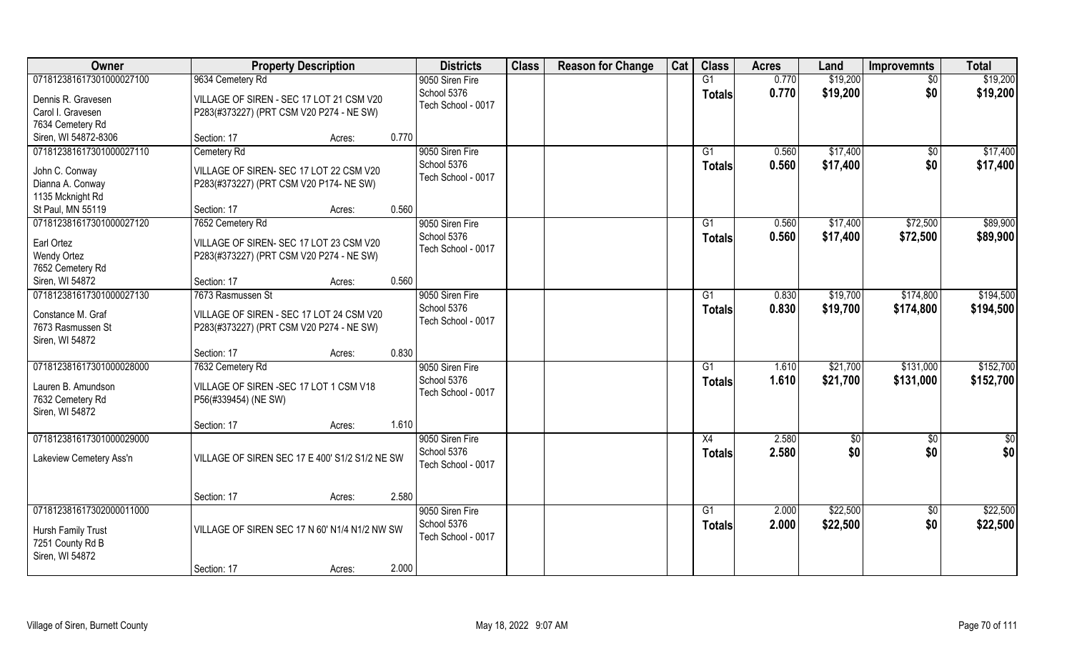| Owner                    | <b>Property Description</b>                    |       | <b>Districts</b>   | <b>Class</b> | <b>Reason for Change</b> | Cat | <b>Class</b>    | <b>Acres</b> | Land     | <b>Improvemnts</b> | <b>Total</b> |
|--------------------------|------------------------------------------------|-------|--------------------|--------------|--------------------------|-----|-----------------|--------------|----------|--------------------|--------------|
| 071812381617301000027100 | 9634 Cemetery Rd                               |       | 9050 Siren Fire    |              |                          |     | G1              | 0.770        | \$19,200 | $\sqrt{$0}$        | \$19,200     |
| Dennis R. Gravesen       | VILLAGE OF SIREN - SEC 17 LOT 21 CSM V20       |       | School 5376        |              |                          |     | <b>Totals</b>   | 0.770        | \$19,200 | \$0                | \$19,200     |
| Carol I. Gravesen        | P283(#373227) (PRT CSM V20 P274 - NE SW)       |       | Tech School - 0017 |              |                          |     |                 |              |          |                    |              |
| 7634 Cemetery Rd         |                                                |       |                    |              |                          |     |                 |              |          |                    |              |
| Siren, WI 54872-8306     | Section: 17<br>Acres:                          | 0.770 |                    |              |                          |     |                 |              |          |                    |              |
| 071812381617301000027110 | Cemetery Rd                                    |       | 9050 Siren Fire    |              |                          |     | G1              | 0.560        | \$17,400 | \$0                | \$17,400     |
|                          |                                                |       | School 5376        |              |                          |     | <b>Totals</b>   | 0.560        | \$17,400 | \$0                | \$17,400     |
| John C. Conway           | VILLAGE OF SIREN- SEC 17 LOT 22 CSM V20        |       | Tech School - 0017 |              |                          |     |                 |              |          |                    |              |
| Dianna A. Conway         | P283(#373227) (PRT CSM V20 P174- NE SW)        |       |                    |              |                          |     |                 |              |          |                    |              |
| 1135 Mcknight Rd         |                                                |       |                    |              |                          |     |                 |              |          |                    |              |
| St Paul, MN 55119        | Section: 17<br>Acres:                          | 0.560 |                    |              |                          |     |                 |              |          |                    |              |
| 071812381617301000027120 | 7652 Cemetery Rd                               |       | 9050 Siren Fire    |              |                          |     | $\overline{G1}$ | 0.560        | \$17,400 | \$72,500           | \$89,900     |
| Earl Ortez               | VILLAGE OF SIREN- SEC 17 LOT 23 CSM V20        |       | School 5376        |              |                          |     | <b>Totals</b>   | 0.560        | \$17,400 | \$72,500           | \$89,900     |
| <b>Wendy Ortez</b>       | P283(#373227) (PRT CSM V20 P274 - NE SW)       |       | Tech School - 0017 |              |                          |     |                 |              |          |                    |              |
| 7652 Cemetery Rd         |                                                |       |                    |              |                          |     |                 |              |          |                    |              |
| Siren, WI 54872          | Section: 17<br>Acres:                          | 0.560 |                    |              |                          |     |                 |              |          |                    |              |
| 071812381617301000027130 | 7673 Rasmussen St                              |       | 9050 Siren Fire    |              |                          |     | G1              | 0.830        | \$19,700 | \$174,800          | \$194,500    |
|                          |                                                |       | School 5376        |              |                          |     | <b>Totals</b>   | 0.830        | \$19,700 | \$174,800          | \$194,500    |
| Constance M. Graf        | VILLAGE OF SIREN - SEC 17 LOT 24 CSM V20       |       | Tech School - 0017 |              |                          |     |                 |              |          |                    |              |
| 7673 Rasmussen St        | P283(#373227) (PRT CSM V20 P274 - NE SW)       |       |                    |              |                          |     |                 |              |          |                    |              |
| Siren, WI 54872          |                                                |       |                    |              |                          |     |                 |              |          |                    |              |
|                          | Section: 17<br>Acres:                          | 0.830 |                    |              |                          |     |                 |              |          |                    |              |
| 071812381617301000028000 | 7632 Cemetery Rd                               |       | 9050 Siren Fire    |              |                          |     | G1              | 1.610        | \$21,700 | \$131,000          | \$152,700    |
| Lauren B. Amundson       | VILLAGE OF SIREN - SEC 17 LOT 1 CSM V18        |       | School 5376        |              |                          |     | <b>Totals</b>   | 1.610        | \$21,700 | \$131,000          | \$152,700    |
| 7632 Cemetery Rd         | P56(#339454) (NE SW)                           |       | Tech School - 0017 |              |                          |     |                 |              |          |                    |              |
| Siren, WI 54872          |                                                |       |                    |              |                          |     |                 |              |          |                    |              |
|                          | Section: 17<br>Acres:                          | 1.610 |                    |              |                          |     |                 |              |          |                    |              |
| 071812381617301000029000 |                                                |       | 9050 Siren Fire    |              |                          |     | $\overline{X4}$ | 2.580        | \$0      | \$0                | \$0          |
|                          |                                                |       | School 5376        |              |                          |     | <b>Totals</b>   | 2.580        | \$0      | \$0                | \$0          |
| Lakeview Cemetery Ass'n  | VILLAGE OF SIREN SEC 17 E 400' S1/2 S1/2 NE SW |       | Tech School - 0017 |              |                          |     |                 |              |          |                    |              |
|                          |                                                |       |                    |              |                          |     |                 |              |          |                    |              |
|                          |                                                |       |                    |              |                          |     |                 |              |          |                    |              |
|                          | Section: 17<br>Acres:                          | 2.580 |                    |              |                          |     |                 |              |          |                    |              |
| 071812381617302000011000 |                                                |       | 9050 Siren Fire    |              |                          |     | $\overline{G1}$ | 2.000        | \$22,500 | $\sqrt{$0}$        | \$22,500     |
| Hursh Family Trust       | VILLAGE OF SIREN SEC 17 N 60' N1/4 N1/2 NW SW  |       | School 5376        |              |                          |     | <b>Totals</b>   | 2.000        | \$22,500 | \$0                | \$22,500     |
| 7251 County Rd B         |                                                |       | Tech School - 0017 |              |                          |     |                 |              |          |                    |              |
| Siren, WI 54872          |                                                |       |                    |              |                          |     |                 |              |          |                    |              |
|                          | Section: 17<br>Acres:                          | 2.000 |                    |              |                          |     |                 |              |          |                    |              |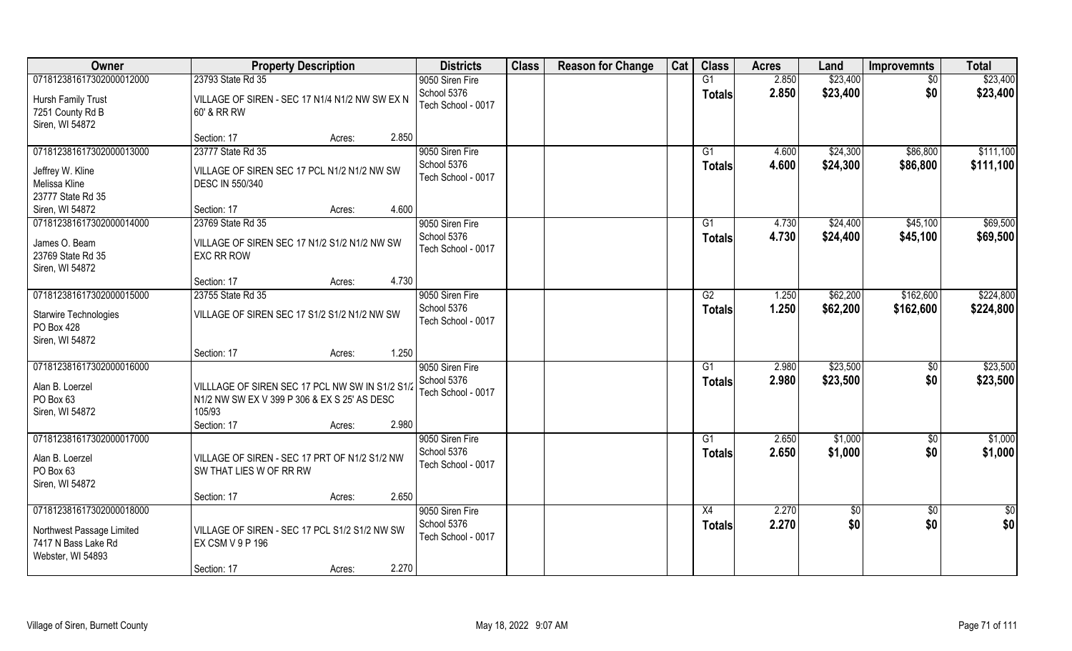| Owner                                                                                             | <b>Property Description</b>                                                                                                                 | <b>Districts</b>                                     | <b>Class</b> | <b>Reason for Change</b> | Cat | <b>Class</b>                     | <b>Acres</b>   | Land                 | <b>Improvemnts</b>     | <b>Total</b>           |
|---------------------------------------------------------------------------------------------------|---------------------------------------------------------------------------------------------------------------------------------------------|------------------------------------------------------|--------------|--------------------------|-----|----------------------------------|----------------|----------------------|------------------------|------------------------|
| 071812381617302000012000                                                                          | 23793 State Rd 35                                                                                                                           | 9050 Siren Fire                                      |              |                          |     | G1                               | 2.850          | \$23,400             | \$0                    | \$23,400               |
| Hursh Family Trust<br>7251 County Rd B<br>Siren, WI 54872                                         | VILLAGE OF SIREN - SEC 17 N1/4 N1/2 NW SW EX N<br>60' & RR RW                                                                               | School 5376<br>Tech School - 0017                    |              |                          |     | <b>Totals</b>                    | 2.850          | \$23,400             | \$0                    | \$23,400               |
|                                                                                                   | 2.850<br>Section: 17<br>Acres:                                                                                                              |                                                      |              |                          |     |                                  |                |                      |                        |                        |
| 071812381617302000013000<br>Jeffrey W. Kline<br>Melissa Kline<br>23777 State Rd 35                | 23777 State Rd 35<br>VILLAGE OF SIREN SEC 17 PCL N1/2 N1/2 NW SW<br><b>DESC IN 550/340</b>                                                  | 9050 Siren Fire<br>School 5376<br>Tech School - 0017 |              |                          |     | G1<br><b>Totals</b>              | 4.600<br>4.600 | \$24,300<br>\$24,300 | \$86,800<br>\$86,800   | \$111,100<br>\$111,100 |
| Siren, WI 54872                                                                                   | 4.600<br>Section: 17<br>Acres:                                                                                                              |                                                      |              |                          |     |                                  |                |                      |                        |                        |
| 071812381617302000014000<br>James O. Beam<br>23769 State Rd 35<br>Siren, WI 54872                 | 23769 State Rd 35<br>VILLAGE OF SIREN SEC 17 N1/2 S1/2 N1/2 NW SW<br><b>EXC RR ROW</b>                                                      | 9050 Siren Fire<br>School 5376<br>Tech School - 0017 |              |                          |     | G1<br><b>Totals</b>              | 4.730<br>4.730 | \$24,400<br>\$24,400 | \$45,100<br>\$45,100   | \$69,500<br>\$69,500   |
|                                                                                                   | 4.730<br>Section: 17<br>Acres:                                                                                                              |                                                      |              |                          |     |                                  |                |                      |                        |                        |
| 071812381617302000015000<br>Starwire Technologies<br>PO Box 428<br>Siren, WI 54872                | 23755 State Rd 35<br>VILLAGE OF SIREN SEC 17 S1/2 S1/2 N1/2 NW SW                                                                           | 9050 Siren Fire<br>School 5376<br>Tech School - 0017 |              |                          |     | G2<br><b>Totals</b>              | 1.250<br>1.250 | \$62,200<br>\$62,200 | \$162,600<br>\$162,600 | \$224,800<br>\$224,800 |
|                                                                                                   | 1.250<br>Section: 17<br>Acres:                                                                                                              |                                                      |              |                          |     |                                  |                |                      |                        |                        |
| 071812381617302000016000<br>Alan B. Loerzel<br>PO Box 63<br>Siren, WI 54872                       | VILLLAGE OF SIREN SEC 17 PCL NW SW IN S1/2 S1/2<br>N1/2 NW SW EX V 399 P 306 & EX S 25' AS DESC<br>105/93<br>2.980<br>Section: 17<br>Acres: | 9050 Siren Fire<br>School 5376<br>Tech School - 0017 |              |                          |     | G1<br><b>Totals</b>              | 2.980<br>2.980 | \$23,500<br>\$23,500 | \$0<br>\$0             | \$23,500<br>\$23,500   |
| 071812381617302000017000<br>Alan B. Loerzel<br>PO Box 63<br>Siren, WI 54872                       | VILLAGE OF SIREN - SEC 17 PRT OF N1/2 S1/2 NW<br>SW THAT LIES W OF RR RW<br>2.650<br>Section: 17<br>Acres:                                  | 9050 Siren Fire<br>School 5376<br>Tech School - 0017 |              |                          |     | $\overline{G1}$<br><b>Totals</b> | 2.650<br>2.650 | \$1,000<br>\$1,000   | $\sqrt{6}$<br>\$0      | \$1,000<br>\$1,000     |
| 071812381617302000018000<br>Northwest Passage Limited<br>7417 N Bass Lake Rd<br>Webster, WI 54893 | VILLAGE OF SIREN - SEC 17 PCL S1/2 S1/2 NW SW<br>EX CSM V 9 P 196<br>2.270<br>Section: 17<br>Acres:                                         | 9050 Siren Fire<br>School 5376<br>Tech School - 0017 |              |                          |     | X4<br><b>Totals</b>              | 2.270<br>2.270 | \$0<br>\$0           | $\overline{60}$<br>\$0 | \$0<br>\$0             |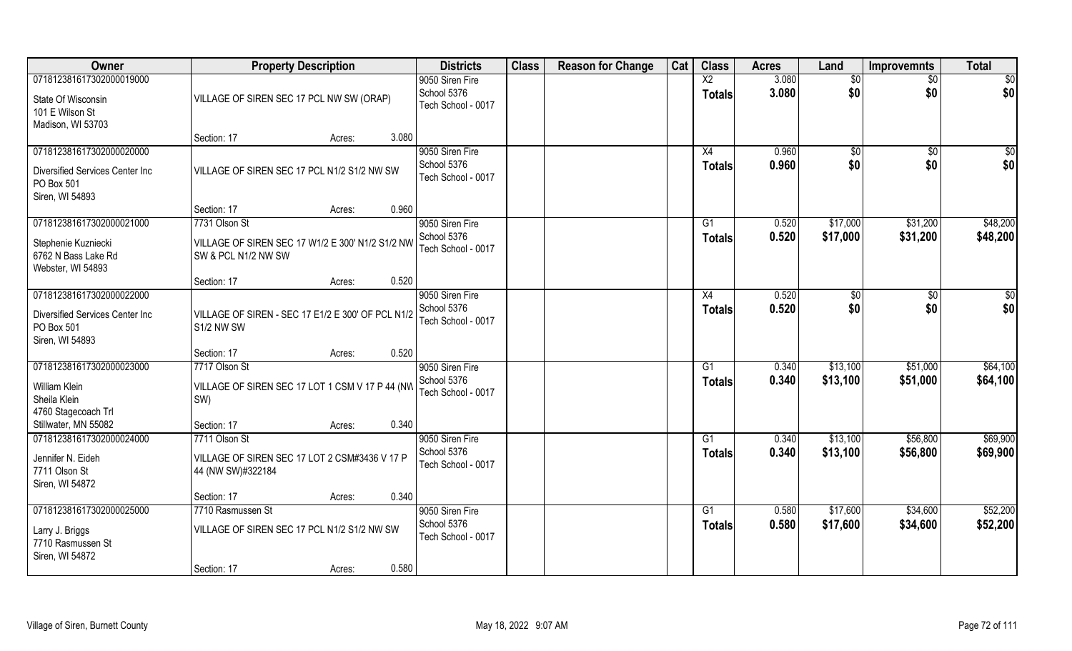| Owner                                         | <b>Property Description</b>                       | <b>Districts</b>                  | <b>Class</b> | <b>Reason for Change</b> | Cat | <b>Class</b>    | <b>Acres</b>   | Land         | <b>Improvemnts</b>   | <b>Total</b>         |
|-----------------------------------------------|---------------------------------------------------|-----------------------------------|--------------|--------------------------|-----|-----------------|----------------|--------------|----------------------|----------------------|
| 071812381617302000019000                      |                                                   | 9050 Siren Fire                   |              |                          |     | $\overline{X2}$ | 3.080          | \$0          | $\sqrt{6}$           | \$0                  |
| State Of Wisconsin<br>101 E Wilson St         | VILLAGE OF SIREN SEC 17 PCL NW SW (ORAP)          | School 5376<br>Tech School - 0017 |              |                          |     | <b>Totals</b>   | 3.080          | \$0          | \$0                  | \$0                  |
| Madison, WI 53703                             |                                                   |                                   |              |                          |     |                 |                |              |                      |                      |
|                                               | 3.080<br>Section: 17<br>Acres:                    |                                   |              |                          |     |                 |                |              |                      |                      |
| 071812381617302000020000                      |                                                   | 9050 Siren Fire                   |              |                          |     | X4              | 0.960          | $\sqrt[6]{}$ | $\sqrt{$0}$          | \$0                  |
| Diversified Services Center Inc<br>PO Box 501 | VILLAGE OF SIREN SEC 17 PCL N1/2 S1/2 NW SW       | School 5376<br>Tech School - 0017 |              |                          |     | <b>Totals</b>   | 0.960          | \$0          | \$0                  | \$0                  |
| Siren, WI 54893                               |                                                   |                                   |              |                          |     |                 |                |              |                      |                      |
| 071812381617302000021000                      | 0.960<br>Section: 17<br>Acres:<br>7731 Olson St   |                                   |              |                          |     | G1              | 0.520          | \$17,000     | \$31,200             | \$48,200             |
|                                               |                                                   | 9050 Siren Fire<br>School 5376    |              |                          |     |                 | 0.520          | \$17,000     | \$31,200             | \$48,200             |
| Stephenie Kuzniecki                           | VILLAGE OF SIREN SEC 17 W1/2 E 300' N1/2 S1/2 NW  | Tech School - 0017                |              |                          |     | <b>Totals</b>   |                |              |                      |                      |
| 6762 N Bass Lake Rd                           | SW & PCL N1/2 NW SW                               |                                   |              |                          |     |                 |                |              |                      |                      |
| Webster, WI 54893                             |                                                   |                                   |              |                          |     |                 |                |              |                      |                      |
| 071812381617302000022000                      | 0.520<br>Section: 17<br>Acres:                    |                                   |              |                          |     |                 |                |              |                      |                      |
|                                               |                                                   | 9050 Siren Fire<br>School 5376    |              |                          |     | X4              | 0.520<br>0.520 | \$0<br>\$0   | $\sqrt[6]{3}$<br>\$0 | \$0<br>\$0           |
| Diversified Services Center Inc               | VILLAGE OF SIREN - SEC 17 E1/2 E 300' OF PCL N1/2 | Tech School - 0017                |              |                          |     | <b>Totals</b>   |                |              |                      |                      |
| PO Box 501                                    | S1/2 NW SW                                        |                                   |              |                          |     |                 |                |              |                      |                      |
| Siren, WI 54893                               | 0.520                                             |                                   |              |                          |     |                 |                |              |                      |                      |
| 071812381617302000023000                      | Section: 17<br>Acres:<br>7717 Olson St            | 9050 Siren Fire                   |              |                          |     | G1              | 0.340          | \$13,100     | \$51,000             | \$64,100             |
|                                               |                                                   | School 5376                       |              |                          |     |                 | 0.340          | \$13,100     | \$51,000             | \$64,100             |
| William Klein                                 | VILLAGE OF SIREN SEC 17 LOT 1 CSM V 17 P 44 (NW   | Tech School - 0017                |              |                          |     | <b>Totals</b>   |                |              |                      |                      |
| Sheila Klein                                  | SW)                                               |                                   |              |                          |     |                 |                |              |                      |                      |
| 4760 Stagecoach Trl                           |                                                   |                                   |              |                          |     |                 |                |              |                      |                      |
| Stillwater, MN 55082                          | 0.340<br>Section: 17<br>Acres:<br>7711 Olson St   |                                   |              |                          |     |                 |                |              |                      |                      |
| 071812381617302000024000                      |                                                   | 9050 Siren Fire<br>School 5376    |              |                          |     | G1              | 0.340<br>0.340 | \$13,100     | \$56,800             | \$69,900             |
| Jennifer N. Eideh                             | VILLAGE OF SIREN SEC 17 LOT 2 CSM#3436 V 17 P     | Tech School - 0017                |              |                          |     | <b>Totals</b>   |                | \$13,100     | \$56,800             | \$69,900             |
| 7711 Olson St                                 | 44 (NW SW)#322184                                 |                                   |              |                          |     |                 |                |              |                      |                      |
| Siren, WI 54872                               |                                                   |                                   |              |                          |     |                 |                |              |                      |                      |
|                                               | 0.340<br>Section: 17<br>Acres:                    |                                   |              |                          |     |                 |                |              |                      |                      |
| 071812381617302000025000                      | 7710 Rasmussen St                                 | 9050 Siren Fire<br>School 5376    |              |                          |     | $\overline{G1}$ | 0.580<br>0.580 | \$17,600     | \$34,600             | \$52,200<br>\$52,200 |
| Larry J. Briggs                               | VILLAGE OF SIREN SEC 17 PCL N1/2 S1/2 NW SW       | Tech School - 0017                |              |                          |     | <b>Totals</b>   |                | \$17,600     | \$34,600             |                      |
| 7710 Rasmussen St                             |                                                   |                                   |              |                          |     |                 |                |              |                      |                      |
| Siren, WI 54872                               |                                                   |                                   |              |                          |     |                 |                |              |                      |                      |
|                                               | 0.580<br>Section: 17<br>Acres:                    |                                   |              |                          |     |                 |                |              |                      |                      |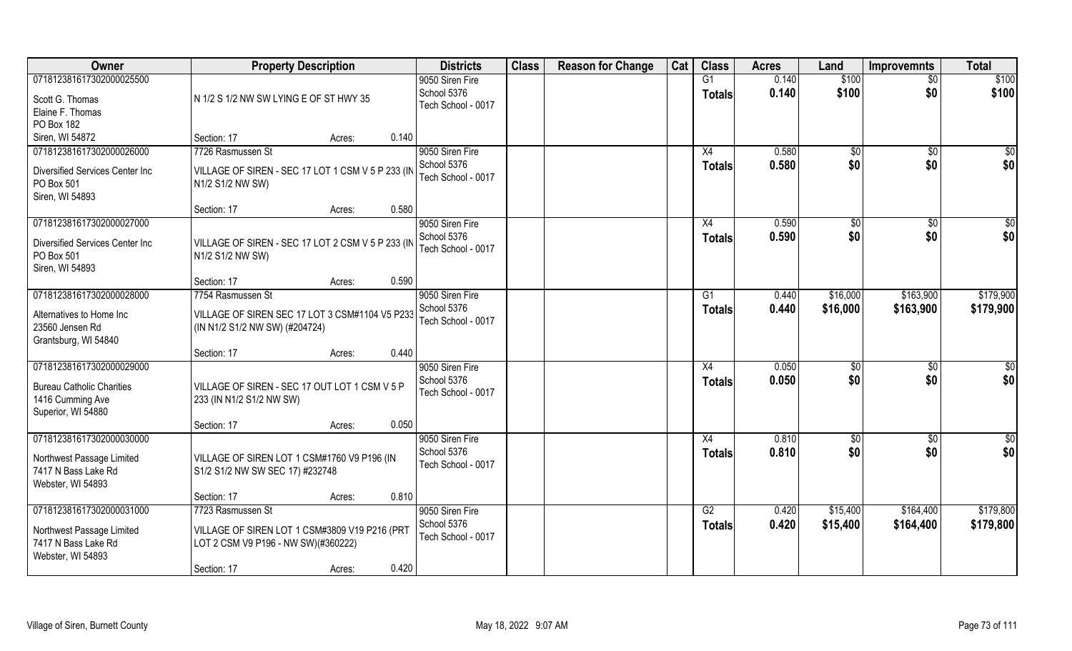| Owner                                                                                                  | <b>Property Description</b>                                                                                                                 | <b>Districts</b>                                     | <b>Class</b> | <b>Reason for Change</b> | Cat | <b>Class</b>        | <b>Acres</b>   | Land                  | <b>Improvemnts</b>     | <b>Total</b>           |
|--------------------------------------------------------------------------------------------------------|---------------------------------------------------------------------------------------------------------------------------------------------|------------------------------------------------------|--------------|--------------------------|-----|---------------------|----------------|-----------------------|------------------------|------------------------|
| 071812381617302000025500<br>Scott G. Thomas<br>Elaine F. Thomas<br>PO Box 182                          | N 1/2 S 1/2 NW SW LYING E OF ST HWY 35                                                                                                      | 9050 Siren Fire<br>School 5376<br>Tech School - 0017 |              |                          |     | G1<br><b>Totals</b> | 0.140<br>0.140 | \$100<br>\$100        | $\overline{30}$<br>\$0 | \$100<br>\$100         |
| Siren, WI 54872                                                                                        | 0.140<br>Section: 17<br>Acres:                                                                                                              |                                                      |              |                          |     |                     |                |                       |                        |                        |
| 071812381617302000026000<br>Diversified Services Center Inc<br>PO Box 501<br>Siren, WI 54893           | 7726 Rasmussen St<br>VILLAGE OF SIREN - SEC 17 LOT 1 CSM V 5 P 233 (IN<br>N1/2 S1/2 NW SW)<br>0.580<br>Section: 17<br>Acres:                | 9050 Siren Fire<br>School 5376<br>Tech School - 0017 |              |                          |     | X4<br><b>Totals</b> | 0.580<br>0.580 | \$0<br>\$0            | \$0<br>\$0             | \$0<br>\$0             |
| 071812381617302000027000                                                                               |                                                                                                                                             | 9050 Siren Fire                                      |              |                          |     | X4                  | 0.590          | \$0                   | \$0                    | \$0                    |
| Diversified Services Center Inc<br>PO Box 501<br>Siren, WI 54893                                       | VILLAGE OF SIREN - SEC 17 LOT 2 CSM V 5 P 233 (IN<br>N1/2 S1/2 NW SW)                                                                       | School 5376<br>Tech School - 0017                    |              |                          |     | <b>Totals</b>       | 0.590          | \$0                   | \$0                    | \$0                    |
|                                                                                                        | 0.590<br>Section: 17<br>Acres:                                                                                                              |                                                      |              |                          |     |                     |                |                       |                        |                        |
| 071812381617302000028000<br>Alternatives to Home Inc<br>23560 Jensen Rd<br>Grantsburg, WI 54840        | 7754 Rasmussen St<br>VILLAGE OF SIREN SEC 17 LOT 3 CSM#1104 V5 P233<br>(IN N1/2 S1/2 NW SW) (#204724)                                       | 9050 Siren Fire<br>School 5376<br>Tech School - 0017 |              |                          |     | G1<br><b>Totals</b> | 0.440<br>0.440 | \$16,000<br>\$16,000  | \$163,900<br>\$163,900 | \$179,900<br>\$179,900 |
|                                                                                                        | 0.440<br>Section: 17<br>Acres:                                                                                                              |                                                      |              |                          |     |                     |                |                       |                        |                        |
| 071812381617302000029000<br><b>Bureau Catholic Charities</b><br>1416 Cumming Ave<br>Superior, WI 54880 | VILLAGE OF SIREN - SEC 17 OUT LOT 1 CSM V 5 P<br>233 (IN N1/2 S1/2 NW SW)<br>0.050                                                          | 9050 Siren Fire<br>School 5376<br>Tech School - 0017 |              |                          |     | X4<br><b>Totals</b> | 0.050<br>0.050 | $\sqrt[6]{30}$<br>\$0 | $\overline{50}$<br>\$0 | $\overline{50}$<br>\$0 |
| 071812381617302000030000                                                                               | Section: 17<br>Acres:                                                                                                                       | 9050 Siren Fire                                      |              |                          |     | X4                  | 0.810          | \$0                   | \$0                    | $\frac{6}{3}$          |
| Northwest Passage Limited<br>7417 N Bass Lake Rd<br>Webster, WI 54893                                  | VILLAGE OF SIREN LOT 1 CSM#1760 V9 P196 (IN<br>S1/2 S1/2 NW SW SEC 17) #232748                                                              | School 5376<br>Tech School - 0017                    |              |                          |     | <b>Totals</b>       | 0.810          | \$0                   | \$0                    | \$0                    |
|                                                                                                        | 0.810<br>Section: 17<br>Acres:                                                                                                              |                                                      |              |                          |     |                     |                |                       |                        |                        |
| 071812381617302000031000<br>Northwest Passage Limited<br>7417 N Bass Lake Rd<br>Webster, WI 54893      | 7723 Rasmussen St<br>VILLAGE OF SIREN LOT 1 CSM#3809 V19 P216 (PRT<br>LOT 2 CSM V9 P196 - NW SW)(#360222)<br>0.420<br>Section: 17<br>Acres: | 9050 Siren Fire<br>School 5376<br>Tech School - 0017 |              |                          |     | G2<br>Totals        | 0.420<br>0.420 | \$15,400<br>\$15,400  | \$164,400<br>\$164,400 | \$179,800<br>\$179,800 |
|                                                                                                        |                                                                                                                                             |                                                      |              |                          |     |                     |                |                       |                        |                        |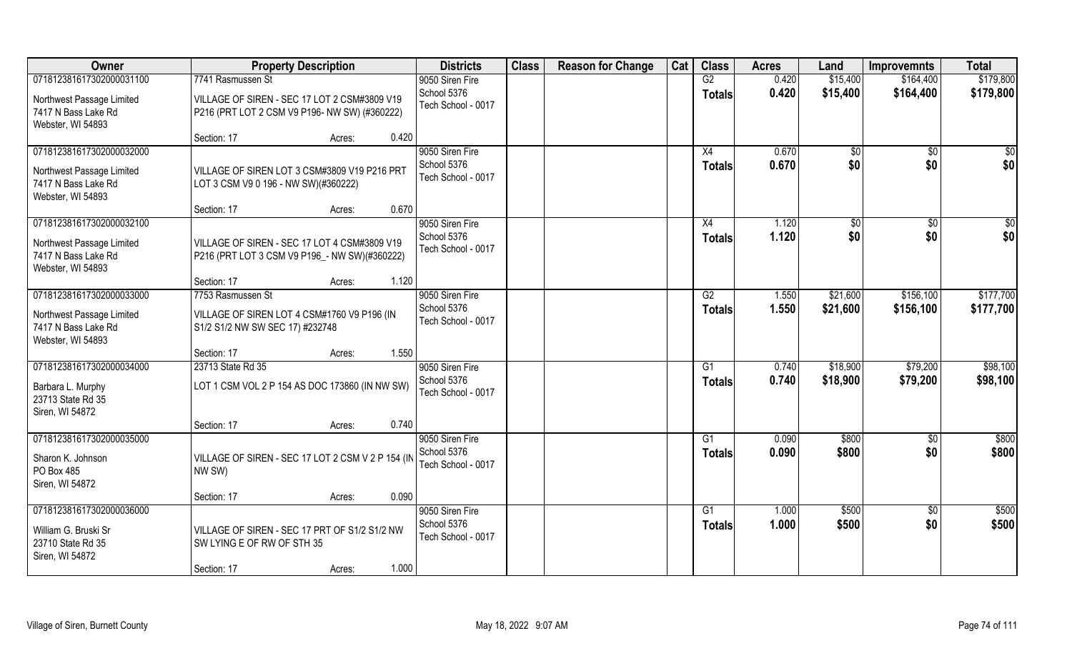| Owner                                                                                             | <b>Property Description</b>                                                                                   | <b>Districts</b>                                     | <b>Class</b> | <b>Reason for Change</b> | Cat | <b>Class</b>                     | <b>Acres</b>   | Land                 | <b>Improvemnts</b>     | <b>Total</b>           |
|---------------------------------------------------------------------------------------------------|---------------------------------------------------------------------------------------------------------------|------------------------------------------------------|--------------|--------------------------|-----|----------------------------------|----------------|----------------------|------------------------|------------------------|
| 071812381617302000031100                                                                          | 7741 Rasmussen St                                                                                             | 9050 Siren Fire                                      |              |                          |     | G2                               | 0.420          | \$15,400             | \$164,400              | \$179,800              |
| Northwest Passage Limited<br>7417 N Bass Lake Rd<br>Webster, WI 54893                             | VILLAGE OF SIREN - SEC 17 LOT 2 CSM#3809 V19<br>P216 (PRT LOT 2 CSM V9 P196- NW SW) (#360222)                 | School 5376<br>Tech School - 0017                    |              |                          |     | <b>Totals</b>                    | 0.420          | \$15,400             | \$164,400              | \$179,800              |
|                                                                                                   | 0.420<br>Section: 17<br>Acres:                                                                                |                                                      |              |                          |     |                                  |                |                      |                        |                        |
| 071812381617302000032000<br>Northwest Passage Limited<br>7417 N Bass Lake Rd<br>Webster, WI 54893 | VILLAGE OF SIREN LOT 3 CSM#3809 V19 P216 PRT<br>LOT 3 CSM V9 0 196 - NW SW)(#360222)                          | 9050 Siren Fire<br>School 5376<br>Tech School - 0017 |              |                          |     | X4<br><b>Totals</b>              | 0.670<br>0.670 | \$0<br>\$0           | $\frac{1}{30}$<br>\$0  | \$0<br>\$0             |
|                                                                                                   | 0.670<br>Section: 17<br>Acres:                                                                                |                                                      |              |                          |     |                                  |                |                      |                        |                        |
| 071812381617302000032100<br>Northwest Passage Limited<br>7417 N Bass Lake Rd<br>Webster, WI 54893 | VILLAGE OF SIREN - SEC 17 LOT 4 CSM#3809 V19<br>P216 (PRT LOT 3 CSM V9 P196 _- NW SW)(#360222)                | 9050 Siren Fire<br>School 5376<br>Tech School - 0017 |              |                          |     | X4<br><b>Totals</b>              | 1.120<br>1.120 | $ $ \$0<br>\$0       | $\sqrt{6}$<br>\$0      | \$0<br>\$0             |
|                                                                                                   | 1.120<br>Section: 17<br>Acres:                                                                                |                                                      |              |                          |     |                                  |                |                      |                        |                        |
| 071812381617302000033000<br>Northwest Passage Limited<br>7417 N Bass Lake Rd<br>Webster, WI 54893 | 7753 Rasmussen St<br>VILLAGE OF SIREN LOT 4 CSM#1760 V9 P196 (IN<br>S1/2 S1/2 NW SW SEC 17) #232748           | 9050 Siren Fire<br>School 5376<br>Tech School - 0017 |              |                          |     | G2<br><b>Totals</b>              | 1.550<br>1.550 | \$21,600<br>\$21,600 | \$156,100<br>\$156,100 | \$177,700<br>\$177,700 |
|                                                                                                   | 1.550<br>Section: 17<br>Acres:                                                                                |                                                      |              |                          |     |                                  |                |                      |                        |                        |
| 071812381617302000034000<br>Barbara L. Murphy<br>23713 State Rd 35<br>Siren, WI 54872             | 23713 State Rd 35<br>LOT 1 CSM VOL 2 P 154 AS DOC 173860 (IN NW SW)                                           | 9050 Siren Fire<br>School 5376<br>Tech School - 0017 |              |                          |     | G1<br><b>Totals</b>              | 0.740<br>0.740 | \$18,900<br>\$18,900 | \$79,200<br>\$79,200   | \$98,100<br>\$98,100   |
|                                                                                                   | 0.740<br>Section: 17<br>Acres:                                                                                |                                                      |              |                          |     |                                  |                |                      |                        |                        |
| 071812381617302000035000<br>Sharon K. Johnson<br>PO Box 485<br>Siren, WI 54872                    | VILLAGE OF SIREN - SEC 17 LOT 2 CSM V 2 P 154 (IN<br>NW SW)                                                   | 9050 Siren Fire<br>School 5376<br>Tech School - 0017 |              |                          |     | $\overline{G1}$<br><b>Totals</b> | 0.090<br>0.090 | \$800<br>\$800       | \$0<br>\$0             | \$800<br>\$800         |
|                                                                                                   | 0.090<br>Section: 17<br>Acres:                                                                                |                                                      |              |                          |     |                                  |                |                      |                        |                        |
| 071812381617302000036000<br>William G. Bruski Sr<br>23710 State Rd 35<br>Siren, WI 54872          | VILLAGE OF SIREN - SEC 17 PRT OF S1/2 S1/2 NW<br>SW LYING E OF RW OF STH 35<br>1.000<br>Section: 17<br>Acres: | 9050 Siren Fire<br>School 5376<br>Tech School - 0017 |              |                          |     | G1<br><b>Totals</b>              | 1.000<br>1.000 | \$500<br>\$500       | $\overline{50}$<br>\$0 | \$500<br>\$500         |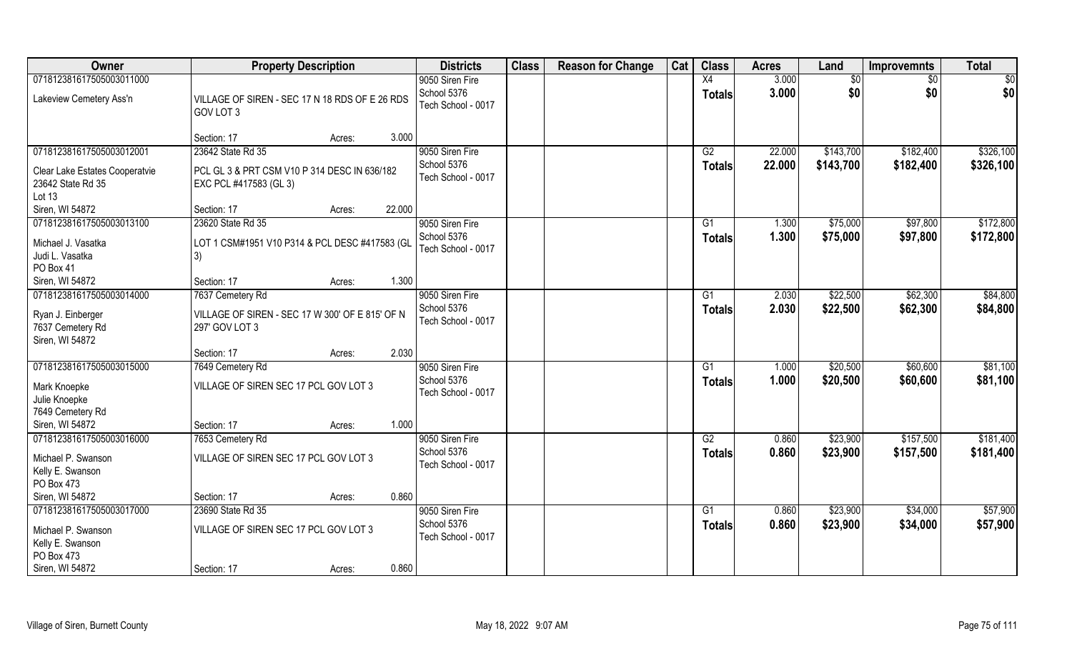| Owner                                                     | <b>Property Description</b>                                            |        | <b>Districts</b>                                     | <b>Class</b> | <b>Reason for Change</b> | Cat | <b>Class</b>        | <b>Acres</b>   | Land                 | <b>Improvemnts</b>   | <b>Total</b>         |
|-----------------------------------------------------------|------------------------------------------------------------------------|--------|------------------------------------------------------|--------------|--------------------------|-----|---------------------|----------------|----------------------|----------------------|----------------------|
| 071812381617505003011000                                  |                                                                        |        | 9050 Siren Fire                                      |              |                          |     | X4                  | 3.000          | \$0                  | \$0                  | \$0                  |
| Lakeview Cemetery Ass'n                                   | VILLAGE OF SIREN - SEC 17 N 18 RDS OF E 26 RDS<br>GOV LOT 3            |        | School 5376<br>Tech School - 0017                    |              |                          |     | <b>Totals</b>       | 3.000          | \$0                  | \$0                  | \$0                  |
|                                                           | Section: 17<br>Acres:                                                  | 3.000  |                                                      |              |                          |     |                     |                |                      |                      |                      |
| 071812381617505003012001                                  | 23642 State Rd 35                                                      |        | 9050 Siren Fire                                      |              |                          |     | G2                  | 22.000         | \$143,700            | \$182,400            | \$326,100            |
| Clear Lake Estates Cooperatvie<br>23642 State Rd 35       | PCL GL 3 & PRT CSM V10 P 314 DESC IN 636/182<br>EXC PCL #417583 (GL 3) |        | School 5376<br>Tech School - 0017                    |              |                          |     | <b>Totals</b>       | 22.000         | \$143,700            | \$182,400            | \$326,100            |
| Lot 13<br>Siren, WI 54872                                 | Section: 17<br>Acres:                                                  | 22.000 |                                                      |              |                          |     |                     |                |                      |                      |                      |
| 071812381617505003013100                                  | 23620 State Rd 35                                                      |        | 9050 Siren Fire                                      |              |                          |     | G1                  | 1.300          | \$75,000             | \$97,800             | \$172,800            |
| Michael J. Vasatka<br>Judi L. Vasatka<br>PO Box 41        | LOT 1 CSM#1951 V10 P314 & PCL DESC #417583 (GL<br>3)                   |        | School 5376<br>Tech School - 0017                    |              |                          |     | <b>Totals</b>       | 1.300          | \$75,000             | \$97,800             | \$172,800            |
| Siren, WI 54872                                           | Section: 17<br>Acres:                                                  | 1.300  |                                                      |              |                          |     |                     |                |                      |                      |                      |
| 071812381617505003014000                                  | 7637 Cemetery Rd                                                       |        | 9050 Siren Fire                                      |              |                          |     | G1                  | 2.030          | \$22,500             | \$62,300             | \$84,800             |
| Ryan J. Einberger<br>7637 Cemetery Rd<br>Siren, WI 54872  | VILLAGE OF SIREN - SEC 17 W 300' OF E 815' OF N<br>297' GOV LOT 3      |        | School 5376<br>Tech School - 0017                    |              |                          |     | <b>Totals</b>       | 2.030          | \$22,500             | \$62,300             | \$84,800             |
|                                                           | Section: 17<br>Acres:                                                  | 2.030  |                                                      |              |                          |     |                     |                |                      |                      |                      |
| 071812381617505003015000<br>Mark Knoepke<br>Julie Knoepke | 7649 Cemetery Rd<br>VILLAGE OF SIREN SEC 17 PCL GOV LOT 3              |        | 9050 Siren Fire<br>School 5376<br>Tech School - 0017 |              |                          |     | G1<br><b>Totals</b> | 1.000<br>1.000 | \$20,500<br>\$20,500 | \$60,600<br>\$60,600 | \$81,100<br>\$81,100 |
| 7649 Cemetery Rd<br>Siren, WI 54872                       | Section: 17                                                            | 1.000  |                                                      |              |                          |     |                     |                |                      |                      |                      |
| 071812381617505003016000                                  | Acres:<br>7653 Cemetery Rd                                             |        | 9050 Siren Fire                                      |              |                          |     | G2                  | 0.860          | \$23,900             | \$157,500            | \$181,400            |
| Michael P. Swanson<br>Kelly E. Swanson<br>PO Box 473      | VILLAGE OF SIREN SEC 17 PCL GOV LOT 3                                  |        | School 5376<br>Tech School - 0017                    |              |                          |     | <b>Totals</b>       | 0.860          | \$23,900             | \$157,500            | \$181,400            |
| Siren, WI 54872                                           | Section: 17<br>Acres:                                                  | 0.860  |                                                      |              |                          |     |                     |                |                      |                      |                      |
| 071812381617505003017000                                  | 23690 State Rd 35                                                      |        | 9050 Siren Fire                                      |              |                          |     | G1                  | 0.860          | \$23,900             | \$34,000             | \$57,900             |
| Michael P. Swanson<br>Kelly E. Swanson<br>PO Box 473      | VILLAGE OF SIREN SEC 17 PCL GOV LOT 3                                  |        | School 5376<br>Tech School - 0017                    |              |                          |     | <b>Totals</b>       | 0.860          | \$23,900             | \$34,000             | \$57,900             |
| Siren, WI 54872                                           | Section: 17<br>Acres:                                                  | 0.860  |                                                      |              |                          |     |                     |                |                      |                      |                      |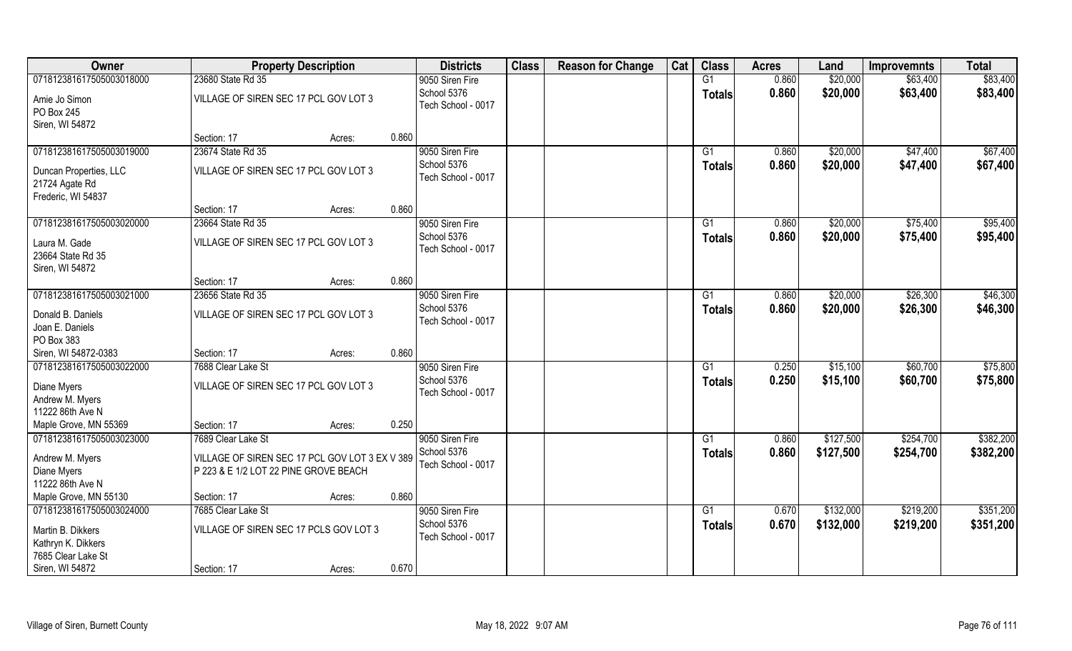| Owner                    | <b>Property Description</b>                    |        |       | <b>Districts</b>                  | <b>Class</b> | <b>Reason for Change</b> | Cat | <b>Class</b>  | <b>Acres</b> | Land      | <b>Improvemnts</b> | <b>Total</b> |
|--------------------------|------------------------------------------------|--------|-------|-----------------------------------|--------------|--------------------------|-----|---------------|--------------|-----------|--------------------|--------------|
| 071812381617505003018000 | 23680 State Rd 35                              |        |       | 9050 Siren Fire                   |              |                          |     | G1            | 0.860        | \$20,000  | \$63,400           | \$83,400     |
| Amie Jo Simon            | VILLAGE OF SIREN SEC 17 PCL GOV LOT 3          |        |       | School 5376                       |              |                          |     | <b>Totals</b> | 0.860        | \$20,000  | \$63,400           | \$83,400     |
| PO Box 245               |                                                |        |       | Tech School - 0017                |              |                          |     |               |              |           |                    |              |
| Siren, WI 54872          |                                                |        |       |                                   |              |                          |     |               |              |           |                    |              |
|                          | Section: 17                                    | Acres: | 0.860 |                                   |              |                          |     |               |              |           |                    |              |
| 071812381617505003019000 | 23674 State Rd 35                              |        |       | 9050 Siren Fire                   |              |                          |     | G1            | 0.860        | \$20,000  | \$47,400           | \$67,400     |
| Duncan Properties, LLC   | VILLAGE OF SIREN SEC 17 PCL GOV LOT 3          |        |       | School 5376                       |              |                          |     | <b>Totals</b> | 0.860        | \$20,000  | \$47,400           | \$67,400     |
| 21724 Agate Rd           |                                                |        |       | Tech School - 0017                |              |                          |     |               |              |           |                    |              |
| Frederic, WI 54837       |                                                |        |       |                                   |              |                          |     |               |              |           |                    |              |
|                          | Section: 17                                    | Acres: | 0.860 |                                   |              |                          |     |               |              |           |                    |              |
| 071812381617505003020000 | 23664 State Rd 35                              |        |       | 9050 Siren Fire                   |              |                          |     | G1            | 0.860        | \$20,000  | \$75,400           | \$95,400     |
| Laura M. Gade            | VILLAGE OF SIREN SEC 17 PCL GOV LOT 3          |        |       | School 5376                       |              |                          |     | <b>Totals</b> | 0.860        | \$20,000  | \$75,400           | \$95,400     |
| 23664 State Rd 35        |                                                |        |       | Tech School - 0017                |              |                          |     |               |              |           |                    |              |
| Siren, WI 54872          |                                                |        |       |                                   |              |                          |     |               |              |           |                    |              |
|                          | Section: 17                                    | Acres: | 0.860 |                                   |              |                          |     |               |              |           |                    |              |
| 071812381617505003021000 | 23656 State Rd 35                              |        |       | 9050 Siren Fire                   |              |                          |     | G1            | 0.860        | \$20,000  | \$26,300           | \$46,300     |
| Donald B. Daniels        | VILLAGE OF SIREN SEC 17 PCL GOV LOT 3          |        |       | School 5376                       |              |                          |     | <b>Totals</b> | 0.860        | \$20,000  | \$26,300           | \$46,300     |
| Joan E. Daniels          |                                                |        |       | Tech School - 0017                |              |                          |     |               |              |           |                    |              |
| PO Box 383               |                                                |        |       |                                   |              |                          |     |               |              |           |                    |              |
| Siren, WI 54872-0383     | Section: 17                                    | Acres: | 0.860 |                                   |              |                          |     |               |              |           |                    |              |
| 071812381617505003022000 | 7688 Clear Lake St                             |        |       | 9050 Siren Fire                   |              |                          |     | G1            | 0.250        | \$15,100  | \$60,700           | \$75,800     |
| Diane Myers              | VILLAGE OF SIREN SEC 17 PCL GOV LOT 3          |        |       | School 5376                       |              |                          |     | <b>Totals</b> | 0.250        | \$15,100  | \$60,700           | \$75,800     |
| Andrew M. Myers          |                                                |        |       | Tech School - 0017                |              |                          |     |               |              |           |                    |              |
| 11222 86th Ave N         |                                                |        |       |                                   |              |                          |     |               |              |           |                    |              |
| Maple Grove, MN 55369    | Section: 17                                    | Acres: | 0.250 |                                   |              |                          |     |               |              |           |                    |              |
| 071812381617505003023000 | 7689 Clear Lake St                             |        |       | 9050 Siren Fire                   |              |                          |     | G1            | 0.860        | \$127,500 | \$254,700          | \$382,200    |
| Andrew M. Myers          | VILLAGE OF SIREN SEC 17 PCL GOV LOT 3 EX V 389 |        |       | School 5376<br>Tech School - 0017 |              |                          |     | <b>Totals</b> | 0.860        | \$127,500 | \$254,700          | \$382,200    |
| Diane Myers              | P 223 & E 1/2 LOT 22 PINE GROVE BEACH          |        |       |                                   |              |                          |     |               |              |           |                    |              |
| 11222 86th Ave N         |                                                |        |       |                                   |              |                          |     |               |              |           |                    |              |
| Maple Grove, MN 55130    | Section: 17                                    | Acres: | 0.860 |                                   |              |                          |     |               |              |           |                    |              |
| 071812381617505003024000 | 7685 Clear Lake St                             |        |       | 9050 Siren Fire                   |              |                          |     | G1            | 0.670        | \$132,000 | \$219,200          | \$351,200    |
| Martin B. Dikkers        | VILLAGE OF SIREN SEC 17 PCLS GOV LOT 3         |        |       | School 5376                       |              |                          |     | <b>Totals</b> | 0.670        | \$132,000 | \$219,200          | \$351,200    |
| Kathryn K. Dikkers       |                                                |        |       | Tech School - 0017                |              |                          |     |               |              |           |                    |              |
| 7685 Clear Lake St       |                                                |        |       |                                   |              |                          |     |               |              |           |                    |              |
| Siren, WI 54872          | Section: 17                                    | Acres: | 0.670 |                                   |              |                          |     |               |              |           |                    |              |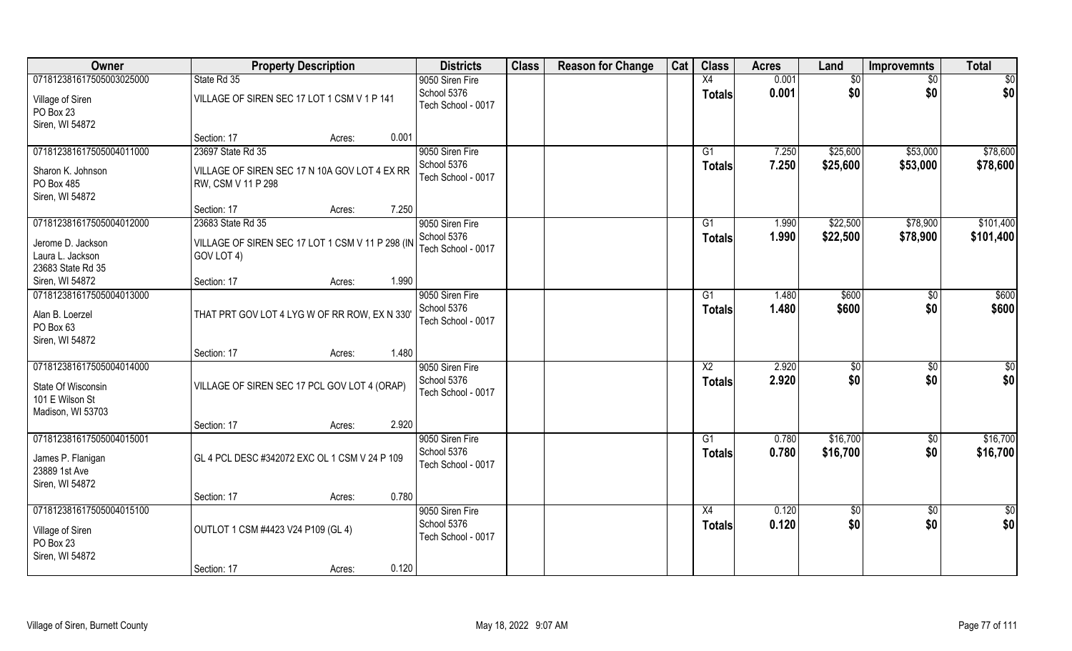| Owner                                                                                  | <b>Property Description</b>                                         |        |       | <b>Districts</b>                                     | <b>Class</b> | <b>Reason for Change</b> | Cat | <b>Class</b>                     | <b>Acres</b>   | Land                 | <b>Improvemnts</b>     | <b>Total</b>         |
|----------------------------------------------------------------------------------------|---------------------------------------------------------------------|--------|-------|------------------------------------------------------|--------------|--------------------------|-----|----------------------------------|----------------|----------------------|------------------------|----------------------|
| 071812381617505003025000                                                               | State Rd 35                                                         |        |       | 9050 Siren Fire<br>School 5376                       |              |                          |     | X4<br><b>Totals</b>              | 0.001<br>0.001 | \$0<br>\$0           | \$0<br>\$0             | \$0<br>\$0           |
| Village of Siren<br>PO Box 23                                                          | VILLAGE OF SIREN SEC 17 LOT 1 CSM V 1 P 141                         |        |       | Tech School - 0017                                   |              |                          |     |                                  |                |                      |                        |                      |
| Siren, WI 54872                                                                        | Section: 17                                                         | Acres: | 0.001 |                                                      |              |                          |     |                                  |                |                      |                        |                      |
| 071812381617505004011000                                                               | 23697 State Rd 35                                                   |        |       | 9050 Siren Fire                                      |              |                          |     | G1                               | 7.250          | \$25,600             | \$53,000               | \$78,600             |
| Sharon K. Johnson<br>PO Box 485                                                        | VILLAGE OF SIREN SEC 17 N 10A GOV LOT 4 EX RR<br>RW, CSM V 11 P 298 |        |       | School 5376<br>Tech School - 0017                    |              |                          |     | <b>Totals</b>                    | 7.250          | \$25,600             | \$53,000               | \$78,600             |
| Siren, WI 54872                                                                        | Section: 17                                                         | Acres: | 7.250 |                                                      |              |                          |     |                                  |                |                      |                        |                      |
| 071812381617505004012000                                                               | 23683 State Rd 35                                                   |        |       | 9050 Siren Fire                                      |              |                          |     | G1                               | 1.990          | \$22,500             | \$78,900               | \$101,400            |
| Jerome D. Jackson<br>Laura L. Jackson<br>23683 State Rd 35                             | VILLAGE OF SIREN SEC 17 LOT 1 CSM V 11 P 298 (IN<br>GOV LOT 4)      |        |       | School 5376<br>Tech School - 0017                    |              |                          |     | <b>Totals</b>                    | 1.990          | \$22,500             | \$78,900               | \$101,400            |
| Siren, WI 54872                                                                        | Section: 17                                                         | Acres: | 1.990 |                                                      |              |                          |     |                                  |                |                      |                        |                      |
| 071812381617505004013000<br>Alan B. Loerzel<br>PO Box 63                               | THAT PRT GOV LOT 4 LYG W OF RR ROW, EX N 330                        |        |       | 9050 Siren Fire<br>School 5376<br>Tech School - 0017 |              |                          |     | G1<br><b>Totals</b>              | 1.480<br>1.480 | \$600<br>\$600       | $\sqrt[6]{}$<br>\$0    | \$600<br>\$600       |
| Siren, WI 54872                                                                        | Section: 17                                                         | Acres: | 1.480 |                                                      |              |                          |     |                                  |                |                      |                        |                      |
| 071812381617505004014000<br>State Of Wisconsin<br>101 E Wilson St<br>Madison, WI 53703 | VILLAGE OF SIREN SEC 17 PCL GOV LOT 4 (ORAP)                        |        |       | 9050 Siren Fire<br>School 5376<br>Tech School - 0017 |              |                          |     | $\overline{X2}$<br><b>Totals</b> | 2.920<br>2.920 | \$<br>\$0            | \$0<br>\$0             | \$0<br>\$0           |
|                                                                                        | Section: 17                                                         | Acres: | 2.920 |                                                      |              |                          |     |                                  |                |                      |                        |                      |
| 071812381617505004015001<br>James P. Flanigan<br>23889 1st Ave                         | GL 4 PCL DESC #342072 EXC OL 1 CSM V 24 P 109                       |        |       | 9050 Siren Fire<br>School 5376<br>Tech School - 0017 |              |                          |     | G1<br><b>Totals</b>              | 0.780<br>0.780 | \$16,700<br>\$16,700 | \$0<br>\$0             | \$16,700<br>\$16,700 |
| Siren, WI 54872                                                                        | Section: 17                                                         | Acres: | 0.780 |                                                      |              |                          |     |                                  |                |                      |                        |                      |
| 071812381617505004015100<br>Village of Siren<br>PO Box 23<br>Siren, WI 54872           | OUTLOT 1 CSM #4423 V24 P109 (GL 4)                                  |        |       | 9050 Siren Fire<br>School 5376<br>Tech School - 0017 |              |                          |     | X4<br><b>Totals</b>              | 0.120<br>0.120 | $\sqrt{6}$<br>\$0    | $\overline{50}$<br>\$0 | $\frac{1}{2}$<br>\$0 |
|                                                                                        | Section: 17                                                         | Acres: | 0.120 |                                                      |              |                          |     |                                  |                |                      |                        |                      |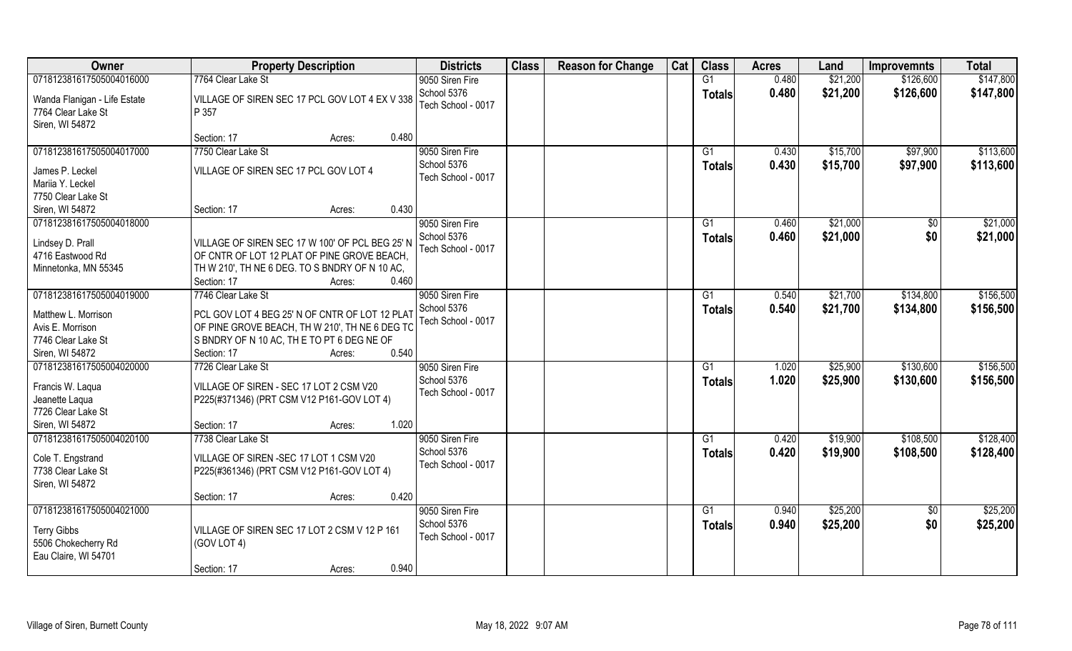| Owner                                                                                                   | <b>Property Description</b>                                                                                                                                                        | <b>Districts</b>                                     | <b>Class</b> | <b>Reason for Change</b> | Cat | <b>Class</b>        | <b>Acres</b>   | Land                 | <b>Improvemnts</b>     | <b>Total</b>           |
|---------------------------------------------------------------------------------------------------------|------------------------------------------------------------------------------------------------------------------------------------------------------------------------------------|------------------------------------------------------|--------------|--------------------------|-----|---------------------|----------------|----------------------|------------------------|------------------------|
| 071812381617505004016000                                                                                | 7764 Clear Lake St                                                                                                                                                                 | 9050 Siren Fire                                      |              |                          |     | G1                  | 0.480          | \$21,200             | \$126,600              | \$147,800              |
| Wanda Flanigan - Life Estate<br>7764 Clear Lake St<br>Siren, WI 54872                                   | VILLAGE OF SIREN SEC 17 PCL GOV LOT 4 EX V 338<br>P 357                                                                                                                            | School 5376<br>Tech School - 0017                    |              |                          |     | <b>Totals</b>       | 0.480          | \$21,200             | \$126,600              | \$147,800              |
|                                                                                                         | 0.480<br>Section: 17<br>Acres:                                                                                                                                                     |                                                      |              |                          |     |                     |                |                      |                        |                        |
| 071812381617505004017000<br>James P. Leckel<br>Mariia Y. Leckel                                         | 7750 Clear Lake St<br>VILLAGE OF SIREN SEC 17 PCL GOV LOT 4                                                                                                                        | 9050 Siren Fire<br>School 5376<br>Tech School - 0017 |              |                          |     | G1<br><b>Totals</b> | 0.430<br>0.430 | \$15,700<br>\$15,700 | \$97,900<br>\$97,900   | \$113,600<br>\$113,600 |
| 7750 Clear Lake St<br>Siren, WI 54872                                                                   | 0.430<br>Section: 17<br>Acres:                                                                                                                                                     |                                                      |              |                          |     |                     |                |                      |                        |                        |
| 071812381617505004018000                                                                                |                                                                                                                                                                                    | 9050 Siren Fire                                      |              |                          |     | G1                  | 0.460          | \$21,000             | $\sqrt[6]{}$           | \$21,000               |
| Lindsey D. Prall<br>4716 Eastwood Rd<br>Minnetonka, MN 55345                                            | VILLAGE OF SIREN SEC 17 W 100' OF PCL BEG 25' N<br>OF CNTR OF LOT 12 PLAT OF PINE GROVE BEACH,<br>TH W 210', TH NE 6 DEG. TO S BNDRY OF N 10 AC,<br>Section: 17<br>0.460<br>Acres: | School 5376<br>Tech School - 0017                    |              |                          |     | <b>Totals</b>       | 0.460          | \$21,000             | \$0                    | \$21,000               |
| 071812381617505004019000                                                                                | 7746 Clear Lake St                                                                                                                                                                 | 9050 Siren Fire                                      |              |                          |     | G1                  | 0.540          | \$21,700             | \$134,800              | \$156,500              |
| Matthew L. Morrison<br>Avis E. Morrison<br>7746 Clear Lake St<br>Siren, WI 54872                        | PCL GOV LOT 4 BEG 25' N OF CNTR OF LOT 12 PLAT<br>OF PINE GROVE BEACH, TH W 210', TH NE 6 DEG TO<br>S BNDRY OF N 10 AC, THE TO PT 6 DEG NE OF<br>0.540<br>Section: 17<br>Acres:    | School 5376<br>Tech School - 0017                    |              |                          |     | <b>Totals</b>       | 0.540          | \$21,700             | \$134,800              | \$156,500              |
| 071812381617505004020000<br>Francis W. Laqua<br>Jeanette Laqua<br>7726 Clear Lake St<br>Siren, WI 54872 | 7726 Clear Lake St<br>VILLAGE OF SIREN - SEC 17 LOT 2 CSM V20<br>P225(#371346) (PRT CSM V12 P161-GOV LOT 4)<br>1.020<br>Section: 17<br>Acres:                                      | 9050 Siren Fire<br>School 5376<br>Tech School - 0017 |              |                          |     | G1<br><b>Totals</b> | 1.020<br>1.020 | \$25,900<br>\$25,900 | \$130,600<br>\$130,600 | \$156,500<br>\$156,500 |
| 071812381617505004020100<br>Cole T. Engstrand<br>7738 Clear Lake St<br>Siren, WI 54872                  | 7738 Clear Lake St<br>VILLAGE OF SIREN - SEC 17 LOT 1 CSM V20<br>P225(#361346) (PRT CSM V12 P161-GOV LOT 4)<br>0.420<br>Section: 17<br>Acres:                                      | 9050 Siren Fire<br>School 5376<br>Tech School - 0017 |              |                          |     | G1<br><b>Totals</b> | 0.420<br>0.420 | \$19,900<br>\$19,900 | \$108,500<br>\$108,500 | \$128,400<br>\$128,400 |
| 071812381617505004021000                                                                                |                                                                                                                                                                                    | 9050 Siren Fire                                      |              |                          |     | G1                  | 0.940          | \$25,200             | $\sqrt{6}$             | \$25,200               |
| <b>Terry Gibbs</b><br>5506 Chokecherry Rd<br>Eau Claire, WI 54701                                       | VILLAGE OF SIREN SEC 17 LOT 2 CSM V 12 P 161<br>(GOV LOT 4)<br>0.940<br>Section: 17<br>Acres:                                                                                      | School 5376<br>Tech School - 0017                    |              |                          |     | <b>Totals</b>       | 0.940          | \$25,200             | \$0                    | \$25,200               |
|                                                                                                         |                                                                                                                                                                                    |                                                      |              |                          |     |                     |                |                      |                        |                        |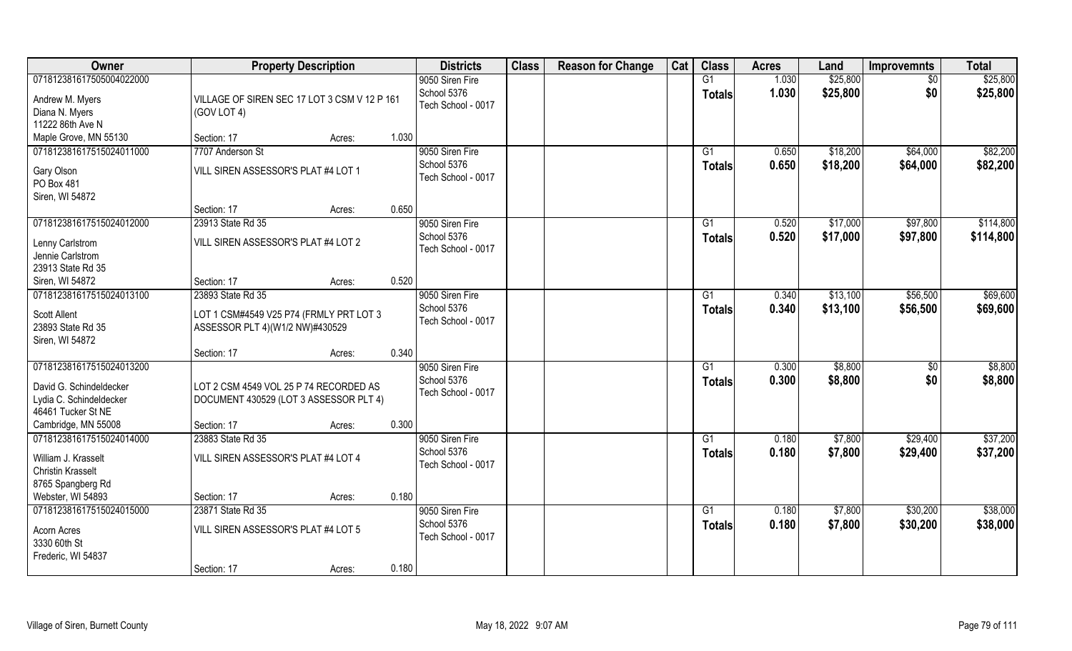| Owner                                                                                                | <b>Property Description</b>                                                                     |        |       | <b>Districts</b>                                     | <b>Class</b> | <b>Reason for Change</b> | Cat | <b>Class</b>                    | <b>Acres</b>   | Land                 | <b>Improvemnts</b>     | <b>Total</b>         |
|------------------------------------------------------------------------------------------------------|-------------------------------------------------------------------------------------------------|--------|-------|------------------------------------------------------|--------------|--------------------------|-----|---------------------------------|----------------|----------------------|------------------------|----------------------|
| 071812381617505004022000<br>Andrew M. Myers<br>Diana N. Myers                                        | VILLAGE OF SIREN SEC 17 LOT 3 CSM V 12 P 161<br>(GOV LOT 4)                                     |        |       | 9050 Siren Fire<br>School 5376<br>Tech School - 0017 |              |                          |     | G1<br><b>Totals</b>             | 1.030<br>1.030 | \$25,800<br>\$25,800 | \$0<br>\$0             | \$25,800<br>\$25,800 |
| 11222 86th Ave N                                                                                     |                                                                                                 |        |       |                                                      |              |                          |     |                                 |                |                      |                        |                      |
| Maple Grove, MN 55130                                                                                | Section: 17                                                                                     | Acres: | 1.030 |                                                      |              |                          |     |                                 |                |                      |                        |                      |
| 071812381617515024011000                                                                             | 7707 Anderson St                                                                                |        |       | 9050 Siren Fire                                      |              |                          |     | G1                              | 0.650          | \$18,200             | \$64,000               | \$82,200             |
| Gary Olson<br>PO Box 481<br>Siren, WI 54872                                                          | VILL SIREN ASSESSOR'S PLAT #4 LOT 1                                                             |        |       | School 5376<br>Tech School - 0017                    |              |                          |     | <b>Totals</b>                   | 0.650          | \$18,200             | \$64,000               | \$82,200             |
|                                                                                                      | Section: 17                                                                                     | Acres: | 0.650 |                                                      |              |                          |     |                                 |                |                      |                        |                      |
| 071812381617515024012000                                                                             | 23913 State Rd 35                                                                               |        |       | 9050 Siren Fire                                      |              |                          |     | G1                              | 0.520          | \$17,000             | \$97,800               | \$114,800            |
| Lenny Carlstrom<br>Jennie Carlstrom                                                                  | VILL SIREN ASSESSOR'S PLAT #4 LOT 2                                                             |        |       | School 5376<br>Tech School - 0017                    |              |                          |     | <b>Totals</b>                   | 0.520          | \$17,000             | \$97,800               | \$114,800            |
| 23913 State Rd 35                                                                                    |                                                                                                 |        | 0.520 |                                                      |              |                          |     |                                 |                |                      |                        |                      |
| Siren, WI 54872                                                                                      | Section: 17                                                                                     | Acres: |       |                                                      |              |                          |     |                                 |                |                      |                        | \$69,600             |
| 071812381617515024013100<br><b>Scott Allent</b><br>23893 State Rd 35<br>Siren, WI 54872              | 23893 State Rd 35<br>LOT 1 CSM#4549 V25 P74 (FRMLY PRT LOT 3<br>ASSESSOR PLT 4)(W1/2 NW)#430529 |        |       | 9050 Siren Fire<br>School 5376<br>Tech School - 0017 |              |                          |     | G1<br><b>Totals</b>             | 0.340<br>0.340 | \$13,100<br>\$13,100 | \$56,500<br>\$56,500   | \$69,600             |
|                                                                                                      | Section: 17                                                                                     | Acres: | 0.340 |                                                      |              |                          |     |                                 |                |                      |                        |                      |
| 071812381617515024013200<br>David G. Schindeldecker<br>Lydia C. Schindeldecker<br>46461 Tucker St NE | LOT 2 CSM 4549 VOL 25 P 74 RECORDED AS<br>DOCUMENT 430529 (LOT 3 ASSESSOR PLT 4)                |        |       | 9050 Siren Fire<br>School 5376<br>Tech School - 0017 |              |                          |     | G <sub>1</sub><br><b>Totals</b> | 0.300<br>0.300 | \$8,800<br>\$8,800   | $\overline{50}$<br>\$0 | \$8,800<br>\$8,800   |
| Cambridge, MN 55008                                                                                  | Section: 17                                                                                     | Acres: | 0.300 |                                                      |              |                          |     |                                 |                |                      |                        |                      |
| 071812381617515024014000<br>William J. Krasselt<br><b>Christin Krasselt</b><br>8765 Spangberg Rd     | 23883 State Rd 35<br>VILL SIREN ASSESSOR'S PLAT #4 LOT 4                                        |        |       | 9050 Siren Fire<br>School 5376<br>Tech School - 0017 |              |                          |     | G1<br><b>Totals</b>             | 0.180<br>0.180 | \$7,800<br>\$7,800   | \$29,400<br>\$29,400   | \$37,200<br>\$37,200 |
| Webster, WI 54893                                                                                    | Section: 17                                                                                     | Acres: | 0.180 |                                                      |              |                          |     |                                 |                |                      |                        |                      |
| 071812381617515024015000                                                                             | 23871 State Rd 35                                                                               |        |       | 9050 Siren Fire                                      |              |                          |     | G1                              | 0.180          | \$7,800              | \$30,200               | \$38,000             |
| Acorn Acres<br>3330 60th St<br>Frederic, WI 54837                                                    | VILL SIREN ASSESSOR'S PLAT #4 LOT 5                                                             |        |       | School 5376<br>Tech School - 0017                    |              |                          |     | Totals                          | 0.180          | \$7,800              | \$30,200               | \$38,000             |
|                                                                                                      | Section: 17                                                                                     | Acres: | 0.180 |                                                      |              |                          |     |                                 |                |                      |                        |                      |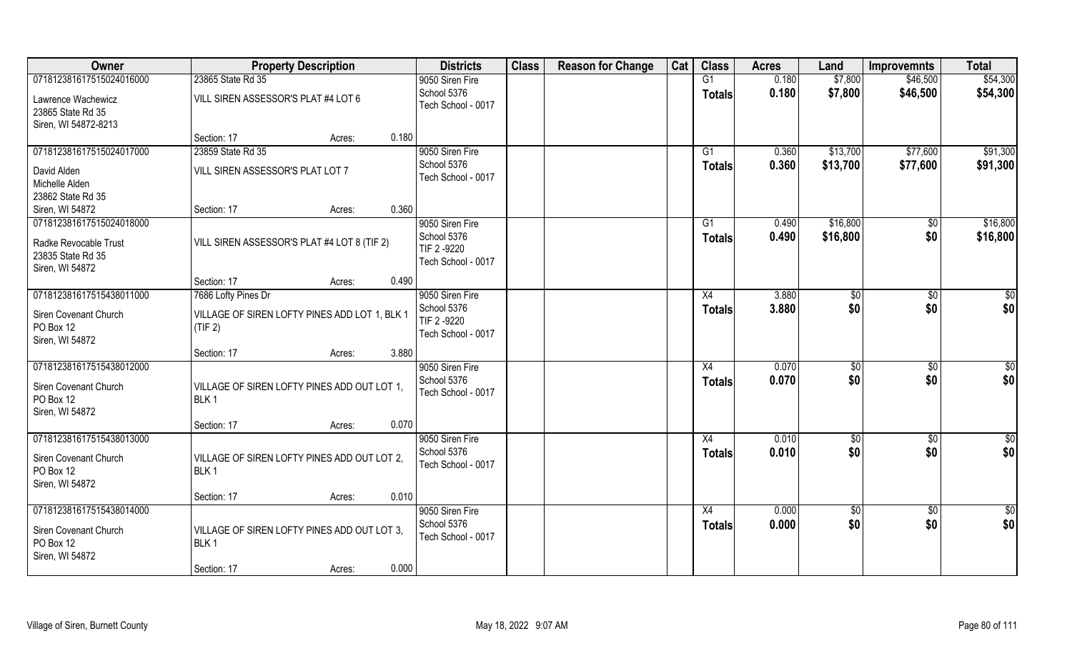| Owner                                                                             | <b>Property Description</b>                                     | <b>Districts</b>                                     | <b>Class</b> | <b>Reason for Change</b> | Cat | <b>Class</b>        | <b>Acres</b>   | Land                   | <b>Improvemnts</b>     | <b>Total</b>         |
|-----------------------------------------------------------------------------------|-----------------------------------------------------------------|------------------------------------------------------|--------------|--------------------------|-----|---------------------|----------------|------------------------|------------------------|----------------------|
| 071812381617515024016000                                                          | 23865 State Rd 35                                               | 9050 Siren Fire                                      |              |                          |     | G1                  | 0.180          | \$7,800                | \$46,500               | \$54,300             |
| Lawrence Wachewicz<br>23865 State Rd 35<br>Siren, WI 54872-8213                   | VILL SIREN ASSESSOR'S PLAT #4 LOT 6                             | School 5376<br>Tech School - 0017                    |              |                          |     | <b>Totals</b>       | 0.180          | \$7,800                | \$46,500               | \$54,300             |
|                                                                                   | 0.180<br>Section: 17<br>Acres:                                  |                                                      |              |                          |     |                     |                |                        |                        |                      |
| 071812381617515024017000<br>David Alden                                           | 23859 State Rd 35<br>VILL SIREN ASSESSOR'S PLAT LOT 7           | 9050 Siren Fire<br>School 5376<br>Tech School - 0017 |              |                          |     | G1<br><b>Totals</b> | 0.360<br>0.360 | \$13,700<br>\$13,700   | \$77,600<br>\$77,600   | \$91,300<br>\$91,300 |
| Michelle Alden<br>23862 State Rd 35<br>Siren, WI 54872                            | 0.360<br>Section: 17<br>Acres:                                  |                                                      |              |                          |     |                     |                |                        |                        |                      |
| 071812381617515024018000                                                          |                                                                 | 9050 Siren Fire                                      |              |                          |     | G1                  | 0.490          | \$16,800               | \$0                    | \$16,800             |
| Radke Revocable Trust<br>23835 State Rd 35<br>Siren, WI 54872                     | VILL SIREN ASSESSOR'S PLAT #4 LOT 8 (TIF 2)                     | School 5376<br>TIF 2 -9220<br>Tech School - 0017     |              |                          |     | <b>Totals</b>       | 0.490          | \$16,800               | \$0                    | \$16,800             |
|                                                                                   | 0.490<br>Section: 17<br>Acres:                                  |                                                      |              |                          |     |                     |                |                        |                        |                      |
| 071812381617515438011000                                                          | 7686 Lofty Pines Dr                                             | 9050 Siren Fire                                      |              |                          |     | X4                  | 3.880          | \$0                    | $\sqrt{50}$            | \$0                  |
| Siren Covenant Church<br>PO Box 12<br>Siren, WI 54872                             | VILLAGE OF SIREN LOFTY PINES ADD LOT 1, BLK 1<br>(TIF 2)        | School 5376<br>TIF 2-9220<br>Tech School - 0017      |              |                          |     | <b>Totals</b>       | 3.880          | \$0                    | \$0                    | \$0                  |
|                                                                                   | 3.880<br>Section: 17<br>Acres:                                  |                                                      |              |                          |     |                     |                |                        |                        |                      |
| 071812381617515438012000<br>Siren Covenant Church<br>PO Box 12<br>Siren, WI 54872 | VILLAGE OF SIREN LOFTY PINES ADD OUT LOT 1,<br>BLK <sub>1</sub> | 9050 Siren Fire<br>School 5376<br>Tech School - 0017 |              |                          |     | X4<br><b>Totals</b> | 0.070<br>0.070 | \$0<br>\$0             | \$0<br>\$0             | $\frac{6}{3}$<br>\$0 |
|                                                                                   | 0.070<br>Section: 17<br>Acres:                                  |                                                      |              |                          |     |                     |                |                        |                        |                      |
| 071812381617515438013000<br>Siren Covenant Church<br>PO Box 12<br>Siren, WI 54872 | VILLAGE OF SIREN LOFTY PINES ADD OUT LOT 2,<br>BLK <sub>1</sub> | 9050 Siren Fire<br>School 5376<br>Tech School - 0017 |              |                          |     | X4<br><b>Totals</b> | 0.010<br>0.010 | \$0<br>\$0             | $\sqrt{6}$<br>\$0      | $\frac{6}{3}$<br>\$0 |
|                                                                                   | 0.010<br>Section: 17<br>Acres:                                  |                                                      |              |                          |     |                     |                |                        |                        |                      |
| 071812381617515438014000<br>Siren Covenant Church<br>PO Box 12<br>Siren, WI 54872 | VILLAGE OF SIREN LOFTY PINES ADD OUT LOT 3.<br>BLK <sub>1</sub> | 9050 Siren Fire<br>School 5376<br>Tech School - 0017 |              |                          |     | X4<br><b>Totals</b> | 0.000<br>0.000 | $\overline{50}$<br>\$0 | $\overline{60}$<br>\$0 | \$0<br>\$0           |
|                                                                                   | 0.000<br>Section: 17<br>Acres:                                  |                                                      |              |                          |     |                     |                |                        |                        |                      |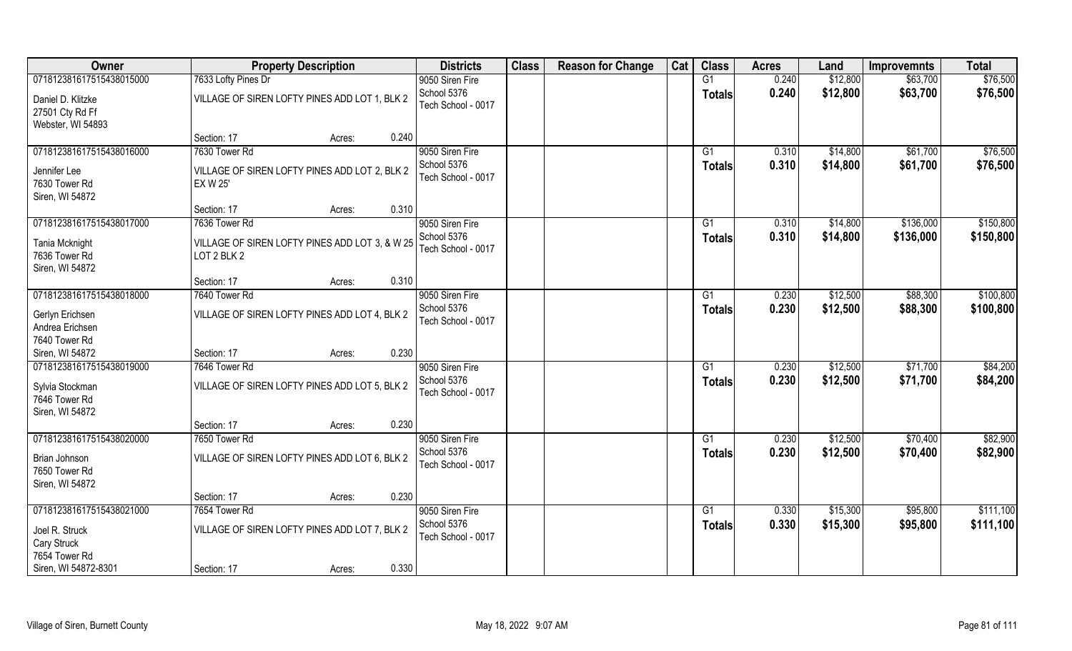| Owner                    | <b>Property Description</b>                    | <b>Districts</b>   | <b>Class</b> | <b>Reason for Change</b> | Cat | <b>Class</b>   | <b>Acres</b> | Land     | <b>Improvemnts</b> | <b>Total</b> |
|--------------------------|------------------------------------------------|--------------------|--------------|--------------------------|-----|----------------|--------------|----------|--------------------|--------------|
| 071812381617515438015000 | 7633 Lofty Pines Dr                            | 9050 Siren Fire    |              |                          |     | G1             | 0.240        | \$12,800 | \$63,700           | \$76,500     |
| Daniel D. Klitzke        | VILLAGE OF SIREN LOFTY PINES ADD LOT 1, BLK 2  | School 5376        |              |                          |     | <b>Totals</b>  | 0.240        | \$12,800 | \$63,700           | \$76,500     |
| 27501 Cty Rd Ff          |                                                | Tech School - 0017 |              |                          |     |                |              |          |                    |              |
| Webster, WI 54893        |                                                |                    |              |                          |     |                |              |          |                    |              |
|                          | 0.240<br>Section: 17<br>Acres:                 |                    |              |                          |     |                |              |          |                    |              |
| 071812381617515438016000 | 7630 Tower Rd                                  | 9050 Siren Fire    |              |                          |     | G1             | 0.310        | \$14,800 | \$61,700           | \$76,500     |
| Jennifer Lee             | VILLAGE OF SIREN LOFTY PINES ADD LOT 2, BLK 2  | School 5376        |              |                          |     | <b>Totals</b>  | 0.310        | \$14,800 | \$61,700           | \$76,500     |
| 7630 Tower Rd            | <b>EX W 25'</b>                                | Tech School - 0017 |              |                          |     |                |              |          |                    |              |
| Siren, WI 54872          |                                                |                    |              |                          |     |                |              |          |                    |              |
|                          | 0.310<br>Section: 17<br>Acres:                 |                    |              |                          |     |                |              |          |                    |              |
| 071812381617515438017000 | 7636 Tower Rd                                  | 9050 Siren Fire    |              |                          |     | G1             | 0.310        | \$14,800 | \$136,000          | \$150,800    |
| Tania Mcknight           | VILLAGE OF SIREN LOFTY PINES ADD LOT 3, & W 25 | School 5376        |              |                          |     | <b>Totals</b>  | 0.310        | \$14,800 | \$136,000          | \$150,800    |
| 7636 Tower Rd            | LOT 2 BLK 2                                    | Tech School - 0017 |              |                          |     |                |              |          |                    |              |
| Siren, WI 54872          |                                                |                    |              |                          |     |                |              |          |                    |              |
|                          | 0.310<br>Section: 17<br>Acres:                 |                    |              |                          |     |                |              |          |                    |              |
| 071812381617515438018000 | 7640 Tower Rd                                  | 9050 Siren Fire    |              |                          |     | G <sub>1</sub> | 0.230        | \$12,500 | \$88,300           | \$100,800    |
| Gerlyn Erichsen          | VILLAGE OF SIREN LOFTY PINES ADD LOT 4, BLK 2  | School 5376        |              |                          |     | <b>Totals</b>  | 0.230        | \$12,500 | \$88,300           | \$100,800    |
| Andrea Erichsen          |                                                | Tech School - 0017 |              |                          |     |                |              |          |                    |              |
| 7640 Tower Rd            |                                                |                    |              |                          |     |                |              |          |                    |              |
| Siren, WI 54872          | 0.230<br>Section: 17<br>Acres:                 |                    |              |                          |     |                |              |          |                    |              |
| 071812381617515438019000 | 7646 Tower Rd                                  | 9050 Siren Fire    |              |                          |     | G1             | 0.230        | \$12,500 | \$71,700           | \$84,200     |
| Sylvia Stockman          | VILLAGE OF SIREN LOFTY PINES ADD LOT 5, BLK 2  | School 5376        |              |                          |     | <b>Totals</b>  | 0.230        | \$12,500 | \$71,700           | \$84,200     |
| 7646 Tower Rd            |                                                | Tech School - 0017 |              |                          |     |                |              |          |                    |              |
| Siren, WI 54872          |                                                |                    |              |                          |     |                |              |          |                    |              |
|                          | 0.230<br>Section: 17<br>Acres:                 |                    |              |                          |     |                |              |          |                    |              |
| 071812381617515438020000 | 7650 Tower Rd                                  | 9050 Siren Fire    |              |                          |     | G1             | 0.230        | \$12,500 | \$70,400           | \$82,900     |
| Brian Johnson            | VILLAGE OF SIREN LOFTY PINES ADD LOT 6, BLK 2  | School 5376        |              |                          |     | <b>Totals</b>  | 0.230        | \$12,500 | \$70,400           | \$82,900     |
| 7650 Tower Rd            |                                                | Tech School - 0017 |              |                          |     |                |              |          |                    |              |
| Siren, WI 54872          |                                                |                    |              |                          |     |                |              |          |                    |              |
|                          | 0.230<br>Section: 17<br>Acres:                 |                    |              |                          |     |                |              |          |                    |              |
| 071812381617515438021000 | 7654 Tower Rd                                  | 9050 Siren Fire    |              |                          |     | G1             | 0.330        | \$15,300 | \$95,800           | \$111,100    |
| Joel R. Struck           | VILLAGE OF SIREN LOFTY PINES ADD LOT 7, BLK 2  | School 5376        |              |                          |     | <b>Totals</b>  | 0.330        | \$15,300 | \$95,800           | \$111,100    |
| Cary Struck              |                                                | Tech School - 0017 |              |                          |     |                |              |          |                    |              |
| 7654 Tower Rd            |                                                |                    |              |                          |     |                |              |          |                    |              |
| Siren, WI 54872-8301     | 0.330<br>Section: 17<br>Acres:                 |                    |              |                          |     |                |              |          |                    |              |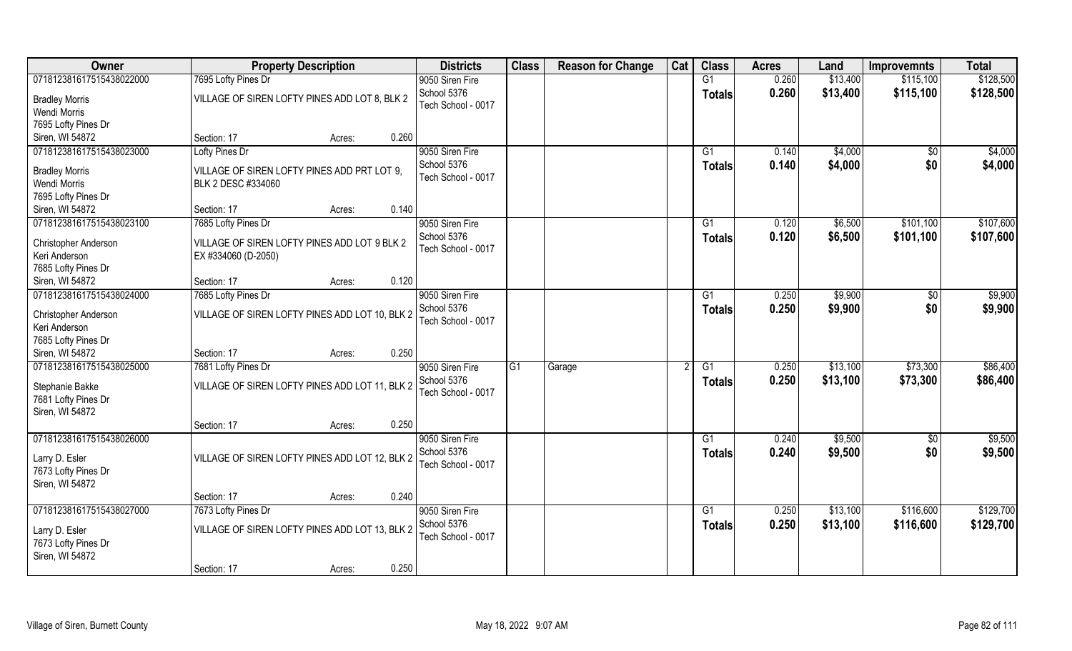| Owner                                                        | <b>Property Description</b>                                         |                 | <b>Districts</b>                  | <b>Class</b> | <b>Reason for Change</b> | Cat | <b>Class</b>  | <b>Acres</b> | Land     | <b>Improvemnts</b> | <b>Total</b> |
|--------------------------------------------------------------|---------------------------------------------------------------------|-----------------|-----------------------------------|--------------|--------------------------|-----|---------------|--------------|----------|--------------------|--------------|
| 071812381617515438022000                                     | 7695 Lofty Pines Dr                                                 |                 | 9050 Siren Fire                   |              |                          |     | G1            | 0.260        | \$13,400 | \$115,100          | \$128,500    |
| <b>Bradley Morris</b><br>Wendi Morris                        | VILLAGE OF SIREN LOFTY PINES ADD LOT 8, BLK 2                       |                 | School 5376<br>Tech School - 0017 |              |                          |     | <b>Totals</b> | 0.260        | \$13,400 | \$115,100          | \$128,500    |
| 7695 Lofty Pines Dr                                          |                                                                     |                 |                                   |              |                          |     |               |              |          |                    |              |
| Siren, WI 54872                                              | Section: 17                                                         | 0.260<br>Acres: |                                   |              |                          |     |               |              |          |                    |              |
| 071812381617515438023000                                     | Lofty Pines Dr                                                      |                 | 9050 Siren Fire                   |              |                          |     | G1            | 0.140        | \$4,000  | $\sqrt{$0}$        | \$4,000      |
| <b>Bradley Morris</b>                                        | VILLAGE OF SIREN LOFTY PINES ADD PRT LOT 9,                         |                 | School 5376                       |              |                          |     | <b>Totals</b> | 0.140        | \$4,000  | \$0                | \$4,000      |
| Wendi Morris                                                 | BLK 2 DESC #334060                                                  |                 | Tech School - 0017                |              |                          |     |               |              |          |                    |              |
| 7695 Lofty Pines Dr                                          |                                                                     |                 |                                   |              |                          |     |               |              |          |                    |              |
| Siren, WI 54872                                              | Section: 17                                                         | 0.140<br>Acres: |                                   |              |                          |     |               |              |          |                    |              |
| 071812381617515438023100                                     | 7685 Lofty Pines Dr                                                 |                 | 9050 Siren Fire                   |              |                          |     | G1            | 0.120        | \$6,500  | \$101,100          | \$107,600    |
| Christopher Anderson<br>Keri Anderson                        | VILLAGE OF SIREN LOFTY PINES ADD LOT 9 BLK 2<br>EX #334060 (D-2050) |                 | School 5376<br>Tech School - 0017 |              |                          |     | <b>Totals</b> | 0.120        | \$6,500  | \$101,100          | \$107,600    |
| 7685 Lofty Pines Dr                                          |                                                                     |                 |                                   |              |                          |     |               |              |          |                    |              |
| Siren, WI 54872                                              | Section: 17                                                         | 0.120<br>Acres: |                                   |              |                          |     |               |              |          |                    |              |
| 071812381617515438024000                                     | 7685 Lofty Pines Dr                                                 |                 | 9050 Siren Fire                   |              |                          |     | G1            | 0.250        | \$9,900  | \$0                | \$9,900      |
| Christopher Anderson<br>Keri Anderson<br>7685 Lofty Pines Dr | VILLAGE OF SIREN LOFTY PINES ADD LOT 10, BLK 2                      |                 | School 5376<br>Tech School - 0017 |              |                          |     | <b>Totals</b> | 0.250        | \$9,900  | \$0                | \$9,900      |
| Siren, WI 54872                                              | Section: 17                                                         | 0.250<br>Acres: |                                   |              |                          |     |               |              |          |                    |              |
| 071812381617515438025000                                     | 7681 Lofty Pines Dr                                                 |                 | 9050 Siren Fire                   | G1           | Garage                   |     | G1            | 0.250        | \$13,100 | \$73,300           | \$86,400     |
|                                                              |                                                                     |                 | School 5376                       |              |                          |     | Totals        | 0.250        | \$13,100 | \$73,300           | \$86,400     |
| Stephanie Bakke<br>7681 Lofty Pines Dr<br>Siren, WI 54872    | VILLAGE OF SIREN LOFTY PINES ADD LOT 11, BLK 2                      |                 | Tech School - 0017                |              |                          |     |               |              |          |                    |              |
|                                                              | Section: 17                                                         | 0.250<br>Acres: |                                   |              |                          |     |               |              |          |                    |              |
| 071812381617515438026000                                     |                                                                     |                 | 9050 Siren Fire                   |              |                          |     | G1            | 0.240        | \$9,500  | \$0                | \$9,500      |
| Larry D. Esler<br>7673 Lofty Pines Dr<br>Siren, WI 54872     | VILLAGE OF SIREN LOFTY PINES ADD LOT 12, BLK 2                      |                 | School 5376<br>Tech School - 0017 |              |                          |     | <b>Totals</b> | 0.240        | \$9,500  | \$0                | \$9,500      |
|                                                              | Section: 17                                                         | 0.240<br>Acres: |                                   |              |                          |     |               |              |          |                    |              |
| 071812381617515438027000                                     | 7673 Lofty Pines Dr                                                 |                 | 9050 Siren Fire                   |              |                          |     | G1            | 0.250        | \$13,100 | \$116,600          | \$129,700    |
| Larry D. Esler<br>7673 Lofty Pines Dr<br>Siren, WI 54872     | VILLAGE OF SIREN LOFTY PINES ADD LOT 13, BLK 2                      |                 | School 5376<br>Tech School - 0017 |              |                          |     | <b>Totals</b> | 0.250        | \$13,100 | \$116,600          | \$129,700    |
|                                                              | Section: 17                                                         | 0.250<br>Acres: |                                   |              |                          |     |               |              |          |                    |              |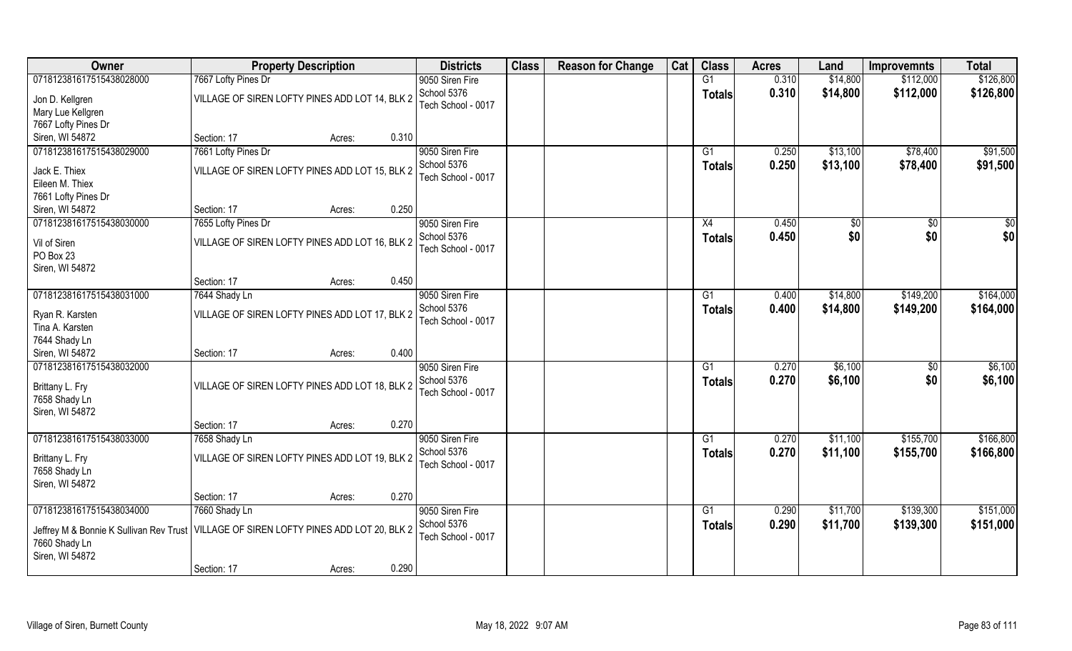| Owner                                   | <b>Property Description</b>                    |                 | <b>Districts</b>   | <b>Class</b> | <b>Reason for Change</b> | Cat | <b>Class</b>  | <b>Acres</b> | Land     | <b>Improvemnts</b> | <b>Total</b> |
|-----------------------------------------|------------------------------------------------|-----------------|--------------------|--------------|--------------------------|-----|---------------|--------------|----------|--------------------|--------------|
| 071812381617515438028000                | 7667 Lofty Pines Dr                            |                 | 9050 Siren Fire    |              |                          |     | G1            | 0.310        | \$14,800 | \$112,000          | \$126,800    |
| Jon D. Kellgren                         | VILLAGE OF SIREN LOFTY PINES ADD LOT 14, BLK 2 |                 | School 5376        |              |                          |     | <b>Totals</b> | 0.310        | \$14,800 | \$112,000          | \$126,800    |
| Mary Lue Kellgren                       |                                                |                 | Tech School - 0017 |              |                          |     |               |              |          |                    |              |
| 7667 Lofty Pines Dr                     |                                                |                 |                    |              |                          |     |               |              |          |                    |              |
| Siren, WI 54872                         | Section: 17                                    | 0.310<br>Acres: |                    |              |                          |     |               |              |          |                    |              |
| 071812381617515438029000                | 7661 Lofty Pines Dr                            |                 | 9050 Siren Fire    |              |                          |     | G1            | 0.250        | \$13,100 | \$78,400           | \$91,500     |
|                                         |                                                |                 | School 5376        |              |                          |     | Totals        | 0.250        | \$13,100 | \$78,400           | \$91,500     |
| Jack E. Thiex<br>Eileen M. Thiex        | VILLAGE OF SIREN LOFTY PINES ADD LOT 15, BLK 2 |                 | Tech School - 0017 |              |                          |     |               |              |          |                    |              |
| 7661 Lofty Pines Dr                     |                                                |                 |                    |              |                          |     |               |              |          |                    |              |
| Siren, WI 54872                         | Section: 17                                    | 0.250<br>Acres: |                    |              |                          |     |               |              |          |                    |              |
| 071812381617515438030000                | 7655 Lofty Pines Dr                            |                 | 9050 Siren Fire    |              |                          |     | X4            | 0.450        | \$0      | $\sqrt{6}$         | \$0          |
|                                         |                                                |                 | School 5376        |              |                          |     | <b>Totals</b> | 0.450        | \$0      | \$0                | \$0          |
| Vil of Siren                            | VILLAGE OF SIREN LOFTY PINES ADD LOT 16, BLK 2 |                 | Tech School - 0017 |              |                          |     |               |              |          |                    |              |
| PO Box 23                               |                                                |                 |                    |              |                          |     |               |              |          |                    |              |
| Siren, WI 54872                         |                                                |                 |                    |              |                          |     |               |              |          |                    |              |
|                                         | Section: 17                                    | 0.450<br>Acres: |                    |              |                          |     |               |              |          |                    |              |
| 071812381617515438031000                | 7644 Shady Ln                                  |                 | 9050 Siren Fire    |              |                          |     | G1            | 0.400        | \$14,800 | \$149,200          | \$164,000    |
| Ryan R. Karsten                         | VILLAGE OF SIREN LOFTY PINES ADD LOT 17, BLK 2 |                 | School 5376        |              |                          |     | <b>Totals</b> | 0.400        | \$14,800 | \$149,200          | \$164,000    |
| Tina A. Karsten                         |                                                |                 | Tech School - 0017 |              |                          |     |               |              |          |                    |              |
| 7644 Shady Ln                           |                                                |                 |                    |              |                          |     |               |              |          |                    |              |
| Siren, WI 54872                         | Section: 17                                    | 0.400<br>Acres: |                    |              |                          |     |               |              |          |                    |              |
| 071812381617515438032000                |                                                |                 | 9050 Siren Fire    |              |                          |     | G1            | 0.270        | \$6,100  | $\sqrt[6]{30}$     | \$6,100      |
| Brittany L. Fry                         | VILLAGE OF SIREN LOFTY PINES ADD LOT 18, BLK 2 |                 | School 5376        |              |                          |     | <b>Totals</b> | 0.270        | \$6,100  | \$0                | \$6,100      |
| 7658 Shady Ln                           |                                                |                 | Tech School - 0017 |              |                          |     |               |              |          |                    |              |
| Siren, WI 54872                         |                                                |                 |                    |              |                          |     |               |              |          |                    |              |
|                                         | Section: 17                                    | 0.270<br>Acres: |                    |              |                          |     |               |              |          |                    |              |
| 071812381617515438033000                | 7658 Shady Ln                                  |                 | 9050 Siren Fire    |              |                          |     | G1            | 0.270        | \$11,100 | \$155,700          | \$166,800    |
|                                         |                                                |                 | School 5376        |              |                          |     | Totals        | 0.270        | \$11,100 | \$155,700          | \$166,800    |
| Brittany L. Fry                         | VILLAGE OF SIREN LOFTY PINES ADD LOT 19, BLK 2 |                 | Tech School - 0017 |              |                          |     |               |              |          |                    |              |
| 7658 Shady Ln                           |                                                |                 |                    |              |                          |     |               |              |          |                    |              |
| Siren, WI 54872                         |                                                | 0.270           |                    |              |                          |     |               |              |          |                    |              |
| 071812381617515438034000                | Section: 17<br>7660 Shady Ln                   | Acres:          | 9050 Siren Fire    |              |                          |     | G1            | 0.290        | \$11,700 | \$139,300          | \$151,000    |
|                                         |                                                |                 | School 5376        |              |                          |     |               |              |          |                    |              |
| Jeffrey M & Bonnie K Sullivan Rev Trust | VILLAGE OF SIREN LOFTY PINES ADD LOT 20, BLK 2 |                 | Tech School - 0017 |              |                          |     | <b>Totals</b> | 0.290        | \$11,700 | \$139,300          | \$151,000    |
| 7660 Shady Ln                           |                                                |                 |                    |              |                          |     |               |              |          |                    |              |
| Siren, WI 54872                         |                                                |                 |                    |              |                          |     |               |              |          |                    |              |
|                                         | Section: 17                                    | 0.290<br>Acres: |                    |              |                          |     |               |              |          |                    |              |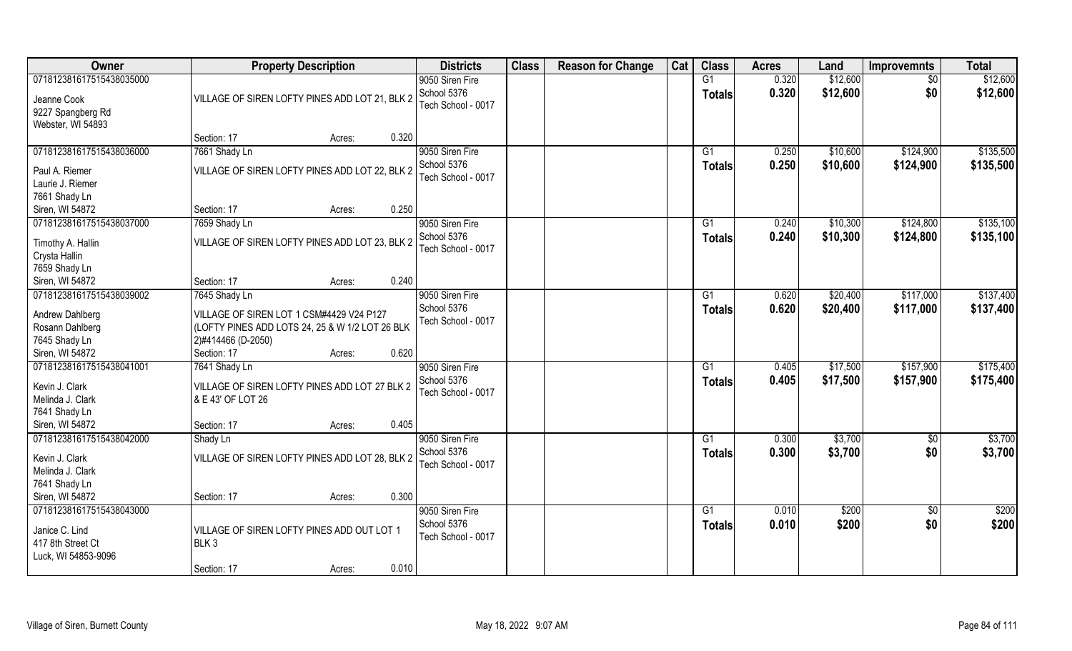| \$12,600<br>\$12,600<br>071812381617515438035000<br>G1<br>0.320<br>9050 Siren Fire<br>$\sqrt{$0}$<br>School 5376<br>0.320<br>\$12,600<br>\$0<br>\$12,600<br><b>Totals</b><br>VILLAGE OF SIREN LOFTY PINES ADD LOT 21, BLK 2<br>Jeanne Cook<br>Tech School - 0017<br>9227 Spangberg Rd<br>Webster, WI 54893<br>0.320<br>Section: 17<br>Acres:<br>071812381617515438036000<br>7661 Shady Ln<br>9050 Siren Fire<br>$\overline{G1}$<br>0.250<br>\$10,600<br>\$124,900<br>School 5376<br>0.250<br>\$10,600<br>\$124,900<br>\$135,500<br><b>Totals</b><br>VILLAGE OF SIREN LOFTY PINES ADD LOT 22, BLK 2<br>Paul A. Riemer<br>Tech School - 0017<br>Laurie J. Riemer<br>7661 Shady Ln<br>0.250<br>Siren, WI 54872<br>Section: 17<br>Acres:<br>071812381617515438037000<br>\$10,300<br>\$124,800<br>7659 Shady Ln<br>9050 Siren Fire<br>G1<br>0.240<br>School 5376<br>0.240<br>\$10,300<br>\$124,800<br><b>Totals</b><br>VILLAGE OF SIREN LOFTY PINES ADD LOT 23, BLK 2<br>Timothy A. Hallin<br>Tech School - 0017<br>Crysta Hallin<br>7659 Shady Ln<br>0.240<br>Siren, WI 54872<br>Section: 17<br>Acres:<br>\$117,000<br>071812381617515438039002<br>9050 Siren Fire<br>0.620<br>\$20,400<br>7645 Shady Ln<br>G1<br>School 5376<br>0.620<br>\$20,400<br>\$117,000<br><b>Totals</b><br>Andrew Dahlberg<br>VILLAGE OF SIREN LOT 1 CSM#4429 V24 P127<br>Tech School - 0017<br>(LOFTY PINES ADD LOTS 24, 25 & W 1/2 LOT 26 BLK<br>Rosann Dahlberg<br>7645 Shady Ln<br>2)#414466 (D-2050)<br>0.620<br>Siren, WI 54872<br>Section: 17<br>Acres:<br>071812381617515438041001<br>\$17,500<br>\$157,900<br>7641 Shady Ln<br>G1<br>0.405<br>9050 Siren Fire<br>School 5376<br>0.405<br>\$17,500<br>\$157,900<br><b>Totals</b><br>Kevin J. Clark<br>VILLAGE OF SIREN LOFTY PINES ADD LOT 27 BLK 2<br>Tech School - 0017<br>& E 43' OF LOT 26<br>Melinda J. Clark<br>7641 Shady Ln<br>0.405<br>Siren, WI 54872<br>Section: 17<br>Acres:<br>\$3,700<br>071812381617515438042000<br>9050 Siren Fire<br>G1<br>0.300<br>\$0<br>Shady Ln<br>School 5376<br>0.300<br>\$3,700<br>\$0<br><b>Totals</b><br>VILLAGE OF SIREN LOFTY PINES ADD LOT 28, BLK 2<br>Kevin J. Clark<br>Tech School - 0017<br>Melinda J. Clark<br>7641 Shady Ln<br>0.300<br>Siren, WI 54872<br>Section: 17<br>Acres:<br>071812381617515438043000<br>9050 Siren Fire<br>G1<br>0.010<br>\$200<br>$\sqrt{6}$<br>School 5376<br>0.010<br>\$200<br>\$0<br><b>Totals</b><br>Janice C. Lind<br>VILLAGE OF SIREN LOFTY PINES ADD OUT LOT 1<br>Tech School - 0017<br>417 8th Street Ct<br>BLK <sub>3</sub><br>Luck, WI 54853-9096<br>0.010<br>Section: 17<br>Acres: | Owner | <b>Property Description</b> | <b>Districts</b> | <b>Class</b> | <b>Reason for Change</b> | Cat | <b>Class</b> | <b>Acres</b> | Land | <b>Improvemnts</b> | <b>Total</b> |
|--------------------------------------------------------------------------------------------------------------------------------------------------------------------------------------------------------------------------------------------------------------------------------------------------------------------------------------------------------------------------------------------------------------------------------------------------------------------------------------------------------------------------------------------------------------------------------------------------------------------------------------------------------------------------------------------------------------------------------------------------------------------------------------------------------------------------------------------------------------------------------------------------------------------------------------------------------------------------------------------------------------------------------------------------------------------------------------------------------------------------------------------------------------------------------------------------------------------------------------------------------------------------------------------------------------------------------------------------------------------------------------------------------------------------------------------------------------------------------------------------------------------------------------------------------------------------------------------------------------------------------------------------------------------------------------------------------------------------------------------------------------------------------------------------------------------------------------------------------------------------------------------------------------------------------------------------------------------------------------------------------------------------------------------------------------------------------------------------------------------------------------------------------------------------------------------------------------------------------------------------------------------------------------------------------------------------------------------------------------------------------------------------------------------------------------------------------------------------------------------------------------------------------------------------------------------------------------------------------|-------|-----------------------------|------------------|--------------|--------------------------|-----|--------------|--------------|------|--------------------|--------------|
|                                                                                                                                                                                                                                                                                                                                                                                                                                                                                                                                                                                                                                                                                                                                                                                                                                                                                                                                                                                                                                                                                                                                                                                                                                                                                                                                                                                                                                                                                                                                                                                                                                                                                                                                                                                                                                                                                                                                                                                                                                                                                                                                                                                                                                                                                                                                                                                                                                                                                                                                                                                                        |       |                             |                  |              |                          |     |              |              |      |                    |              |
|                                                                                                                                                                                                                                                                                                                                                                                                                                                                                                                                                                                                                                                                                                                                                                                                                                                                                                                                                                                                                                                                                                                                                                                                                                                                                                                                                                                                                                                                                                                                                                                                                                                                                                                                                                                                                                                                                                                                                                                                                                                                                                                                                                                                                                                                                                                                                                                                                                                                                                                                                                                                        |       |                             |                  |              |                          |     |              |              |      |                    |              |
| \$135,500<br>\$135,100<br>\$135,100<br>\$137,400<br>\$137,400<br>\$175,400<br>\$175,400<br>\$3,700<br>\$3,700<br>\$200<br>\$200                                                                                                                                                                                                                                                                                                                                                                                                                                                                                                                                                                                                                                                                                                                                                                                                                                                                                                                                                                                                                                                                                                                                                                                                                                                                                                                                                                                                                                                                                                                                                                                                                                                                                                                                                                                                                                                                                                                                                                                                                                                                                                                                                                                                                                                                                                                                                                                                                                                                        |       |                             |                  |              |                          |     |              |              |      |                    |              |
|                                                                                                                                                                                                                                                                                                                                                                                                                                                                                                                                                                                                                                                                                                                                                                                                                                                                                                                                                                                                                                                                                                                                                                                                                                                                                                                                                                                                                                                                                                                                                                                                                                                                                                                                                                                                                                                                                                                                                                                                                                                                                                                                                                                                                                                                                                                                                                                                                                                                                                                                                                                                        |       |                             |                  |              |                          |     |              |              |      |                    |              |
|                                                                                                                                                                                                                                                                                                                                                                                                                                                                                                                                                                                                                                                                                                                                                                                                                                                                                                                                                                                                                                                                                                                                                                                                                                                                                                                                                                                                                                                                                                                                                                                                                                                                                                                                                                                                                                                                                                                                                                                                                                                                                                                                                                                                                                                                                                                                                                                                                                                                                                                                                                                                        |       |                             |                  |              |                          |     |              |              |      |                    |              |
|                                                                                                                                                                                                                                                                                                                                                                                                                                                                                                                                                                                                                                                                                                                                                                                                                                                                                                                                                                                                                                                                                                                                                                                                                                                                                                                                                                                                                                                                                                                                                                                                                                                                                                                                                                                                                                                                                                                                                                                                                                                                                                                                                                                                                                                                                                                                                                                                                                                                                                                                                                                                        |       |                             |                  |              |                          |     |              |              |      |                    |              |
|                                                                                                                                                                                                                                                                                                                                                                                                                                                                                                                                                                                                                                                                                                                                                                                                                                                                                                                                                                                                                                                                                                                                                                                                                                                                                                                                                                                                                                                                                                                                                                                                                                                                                                                                                                                                                                                                                                                                                                                                                                                                                                                                                                                                                                                                                                                                                                                                                                                                                                                                                                                                        |       |                             |                  |              |                          |     |              |              |      |                    |              |
|                                                                                                                                                                                                                                                                                                                                                                                                                                                                                                                                                                                                                                                                                                                                                                                                                                                                                                                                                                                                                                                                                                                                                                                                                                                                                                                                                                                                                                                                                                                                                                                                                                                                                                                                                                                                                                                                                                                                                                                                                                                                                                                                                                                                                                                                                                                                                                                                                                                                                                                                                                                                        |       |                             |                  |              |                          |     |              |              |      |                    |              |
|                                                                                                                                                                                                                                                                                                                                                                                                                                                                                                                                                                                                                                                                                                                                                                                                                                                                                                                                                                                                                                                                                                                                                                                                                                                                                                                                                                                                                                                                                                                                                                                                                                                                                                                                                                                                                                                                                                                                                                                                                                                                                                                                                                                                                                                                                                                                                                                                                                                                                                                                                                                                        |       |                             |                  |              |                          |     |              |              |      |                    |              |
|                                                                                                                                                                                                                                                                                                                                                                                                                                                                                                                                                                                                                                                                                                                                                                                                                                                                                                                                                                                                                                                                                                                                                                                                                                                                                                                                                                                                                                                                                                                                                                                                                                                                                                                                                                                                                                                                                                                                                                                                                                                                                                                                                                                                                                                                                                                                                                                                                                                                                                                                                                                                        |       |                             |                  |              |                          |     |              |              |      |                    |              |
|                                                                                                                                                                                                                                                                                                                                                                                                                                                                                                                                                                                                                                                                                                                                                                                                                                                                                                                                                                                                                                                                                                                                                                                                                                                                                                                                                                                                                                                                                                                                                                                                                                                                                                                                                                                                                                                                                                                                                                                                                                                                                                                                                                                                                                                                                                                                                                                                                                                                                                                                                                                                        |       |                             |                  |              |                          |     |              |              |      |                    |              |
|                                                                                                                                                                                                                                                                                                                                                                                                                                                                                                                                                                                                                                                                                                                                                                                                                                                                                                                                                                                                                                                                                                                                                                                                                                                                                                                                                                                                                                                                                                                                                                                                                                                                                                                                                                                                                                                                                                                                                                                                                                                                                                                                                                                                                                                                                                                                                                                                                                                                                                                                                                                                        |       |                             |                  |              |                          |     |              |              |      |                    |              |
|                                                                                                                                                                                                                                                                                                                                                                                                                                                                                                                                                                                                                                                                                                                                                                                                                                                                                                                                                                                                                                                                                                                                                                                                                                                                                                                                                                                                                                                                                                                                                                                                                                                                                                                                                                                                                                                                                                                                                                                                                                                                                                                                                                                                                                                                                                                                                                                                                                                                                                                                                                                                        |       |                             |                  |              |                          |     |              |              |      |                    |              |
|                                                                                                                                                                                                                                                                                                                                                                                                                                                                                                                                                                                                                                                                                                                                                                                                                                                                                                                                                                                                                                                                                                                                                                                                                                                                                                                                                                                                                                                                                                                                                                                                                                                                                                                                                                                                                                                                                                                                                                                                                                                                                                                                                                                                                                                                                                                                                                                                                                                                                                                                                                                                        |       |                             |                  |              |                          |     |              |              |      |                    |              |
|                                                                                                                                                                                                                                                                                                                                                                                                                                                                                                                                                                                                                                                                                                                                                                                                                                                                                                                                                                                                                                                                                                                                                                                                                                                                                                                                                                                                                                                                                                                                                                                                                                                                                                                                                                                                                                                                                                                                                                                                                                                                                                                                                                                                                                                                                                                                                                                                                                                                                                                                                                                                        |       |                             |                  |              |                          |     |              |              |      |                    |              |
|                                                                                                                                                                                                                                                                                                                                                                                                                                                                                                                                                                                                                                                                                                                                                                                                                                                                                                                                                                                                                                                                                                                                                                                                                                                                                                                                                                                                                                                                                                                                                                                                                                                                                                                                                                                                                                                                                                                                                                                                                                                                                                                                                                                                                                                                                                                                                                                                                                                                                                                                                                                                        |       |                             |                  |              |                          |     |              |              |      |                    |              |
|                                                                                                                                                                                                                                                                                                                                                                                                                                                                                                                                                                                                                                                                                                                                                                                                                                                                                                                                                                                                                                                                                                                                                                                                                                                                                                                                                                                                                                                                                                                                                                                                                                                                                                                                                                                                                                                                                                                                                                                                                                                                                                                                                                                                                                                                                                                                                                                                                                                                                                                                                                                                        |       |                             |                  |              |                          |     |              |              |      |                    |              |
|                                                                                                                                                                                                                                                                                                                                                                                                                                                                                                                                                                                                                                                                                                                                                                                                                                                                                                                                                                                                                                                                                                                                                                                                                                                                                                                                                                                                                                                                                                                                                                                                                                                                                                                                                                                                                                                                                                                                                                                                                                                                                                                                                                                                                                                                                                                                                                                                                                                                                                                                                                                                        |       |                             |                  |              |                          |     |              |              |      |                    |              |
|                                                                                                                                                                                                                                                                                                                                                                                                                                                                                                                                                                                                                                                                                                                                                                                                                                                                                                                                                                                                                                                                                                                                                                                                                                                                                                                                                                                                                                                                                                                                                                                                                                                                                                                                                                                                                                                                                                                                                                                                                                                                                                                                                                                                                                                                                                                                                                                                                                                                                                                                                                                                        |       |                             |                  |              |                          |     |              |              |      |                    |              |
|                                                                                                                                                                                                                                                                                                                                                                                                                                                                                                                                                                                                                                                                                                                                                                                                                                                                                                                                                                                                                                                                                                                                                                                                                                                                                                                                                                                                                                                                                                                                                                                                                                                                                                                                                                                                                                                                                                                                                                                                                                                                                                                                                                                                                                                                                                                                                                                                                                                                                                                                                                                                        |       |                             |                  |              |                          |     |              |              |      |                    |              |
|                                                                                                                                                                                                                                                                                                                                                                                                                                                                                                                                                                                                                                                                                                                                                                                                                                                                                                                                                                                                                                                                                                                                                                                                                                                                                                                                                                                                                                                                                                                                                                                                                                                                                                                                                                                                                                                                                                                                                                                                                                                                                                                                                                                                                                                                                                                                                                                                                                                                                                                                                                                                        |       |                             |                  |              |                          |     |              |              |      |                    |              |
|                                                                                                                                                                                                                                                                                                                                                                                                                                                                                                                                                                                                                                                                                                                                                                                                                                                                                                                                                                                                                                                                                                                                                                                                                                                                                                                                                                                                                                                                                                                                                                                                                                                                                                                                                                                                                                                                                                                                                                                                                                                                                                                                                                                                                                                                                                                                                                                                                                                                                                                                                                                                        |       |                             |                  |              |                          |     |              |              |      |                    |              |
|                                                                                                                                                                                                                                                                                                                                                                                                                                                                                                                                                                                                                                                                                                                                                                                                                                                                                                                                                                                                                                                                                                                                                                                                                                                                                                                                                                                                                                                                                                                                                                                                                                                                                                                                                                                                                                                                                                                                                                                                                                                                                                                                                                                                                                                                                                                                                                                                                                                                                                                                                                                                        |       |                             |                  |              |                          |     |              |              |      |                    |              |
|                                                                                                                                                                                                                                                                                                                                                                                                                                                                                                                                                                                                                                                                                                                                                                                                                                                                                                                                                                                                                                                                                                                                                                                                                                                                                                                                                                                                                                                                                                                                                                                                                                                                                                                                                                                                                                                                                                                                                                                                                                                                                                                                                                                                                                                                                                                                                                                                                                                                                                                                                                                                        |       |                             |                  |              |                          |     |              |              |      |                    |              |
|                                                                                                                                                                                                                                                                                                                                                                                                                                                                                                                                                                                                                                                                                                                                                                                                                                                                                                                                                                                                                                                                                                                                                                                                                                                                                                                                                                                                                                                                                                                                                                                                                                                                                                                                                                                                                                                                                                                                                                                                                                                                                                                                                                                                                                                                                                                                                                                                                                                                                                                                                                                                        |       |                             |                  |              |                          |     |              |              |      |                    |              |
|                                                                                                                                                                                                                                                                                                                                                                                                                                                                                                                                                                                                                                                                                                                                                                                                                                                                                                                                                                                                                                                                                                                                                                                                                                                                                                                                                                                                                                                                                                                                                                                                                                                                                                                                                                                                                                                                                                                                                                                                                                                                                                                                                                                                                                                                                                                                                                                                                                                                                                                                                                                                        |       |                             |                  |              |                          |     |              |              |      |                    |              |
|                                                                                                                                                                                                                                                                                                                                                                                                                                                                                                                                                                                                                                                                                                                                                                                                                                                                                                                                                                                                                                                                                                                                                                                                                                                                                                                                                                                                                                                                                                                                                                                                                                                                                                                                                                                                                                                                                                                                                                                                                                                                                                                                                                                                                                                                                                                                                                                                                                                                                                                                                                                                        |       |                             |                  |              |                          |     |              |              |      |                    |              |
|                                                                                                                                                                                                                                                                                                                                                                                                                                                                                                                                                                                                                                                                                                                                                                                                                                                                                                                                                                                                                                                                                                                                                                                                                                                                                                                                                                                                                                                                                                                                                                                                                                                                                                                                                                                                                                                                                                                                                                                                                                                                                                                                                                                                                                                                                                                                                                                                                                                                                                                                                                                                        |       |                             |                  |              |                          |     |              |              |      |                    |              |
|                                                                                                                                                                                                                                                                                                                                                                                                                                                                                                                                                                                                                                                                                                                                                                                                                                                                                                                                                                                                                                                                                                                                                                                                                                                                                                                                                                                                                                                                                                                                                                                                                                                                                                                                                                                                                                                                                                                                                                                                                                                                                                                                                                                                                                                                                                                                                                                                                                                                                                                                                                                                        |       |                             |                  |              |                          |     |              |              |      |                    |              |
|                                                                                                                                                                                                                                                                                                                                                                                                                                                                                                                                                                                                                                                                                                                                                                                                                                                                                                                                                                                                                                                                                                                                                                                                                                                                                                                                                                                                                                                                                                                                                                                                                                                                                                                                                                                                                                                                                                                                                                                                                                                                                                                                                                                                                                                                                                                                                                                                                                                                                                                                                                                                        |       |                             |                  |              |                          |     |              |              |      |                    |              |
|                                                                                                                                                                                                                                                                                                                                                                                                                                                                                                                                                                                                                                                                                                                                                                                                                                                                                                                                                                                                                                                                                                                                                                                                                                                                                                                                                                                                                                                                                                                                                                                                                                                                                                                                                                                                                                                                                                                                                                                                                                                                                                                                                                                                                                                                                                                                                                                                                                                                                                                                                                                                        |       |                             |                  |              |                          |     |              |              |      |                    |              |
|                                                                                                                                                                                                                                                                                                                                                                                                                                                                                                                                                                                                                                                                                                                                                                                                                                                                                                                                                                                                                                                                                                                                                                                                                                                                                                                                                                                                                                                                                                                                                                                                                                                                                                                                                                                                                                                                                                                                                                                                                                                                                                                                                                                                                                                                                                                                                                                                                                                                                                                                                                                                        |       |                             |                  |              |                          |     |              |              |      |                    |              |
|                                                                                                                                                                                                                                                                                                                                                                                                                                                                                                                                                                                                                                                                                                                                                                                                                                                                                                                                                                                                                                                                                                                                                                                                                                                                                                                                                                                                                                                                                                                                                                                                                                                                                                                                                                                                                                                                                                                                                                                                                                                                                                                                                                                                                                                                                                                                                                                                                                                                                                                                                                                                        |       |                             |                  |              |                          |     |              |              |      |                    |              |
|                                                                                                                                                                                                                                                                                                                                                                                                                                                                                                                                                                                                                                                                                                                                                                                                                                                                                                                                                                                                                                                                                                                                                                                                                                                                                                                                                                                                                                                                                                                                                                                                                                                                                                                                                                                                                                                                                                                                                                                                                                                                                                                                                                                                                                                                                                                                                                                                                                                                                                                                                                                                        |       |                             |                  |              |                          |     |              |              |      |                    |              |
|                                                                                                                                                                                                                                                                                                                                                                                                                                                                                                                                                                                                                                                                                                                                                                                                                                                                                                                                                                                                                                                                                                                                                                                                                                                                                                                                                                                                                                                                                                                                                                                                                                                                                                                                                                                                                                                                                                                                                                                                                                                                                                                                                                                                                                                                                                                                                                                                                                                                                                                                                                                                        |       |                             |                  |              |                          |     |              |              |      |                    |              |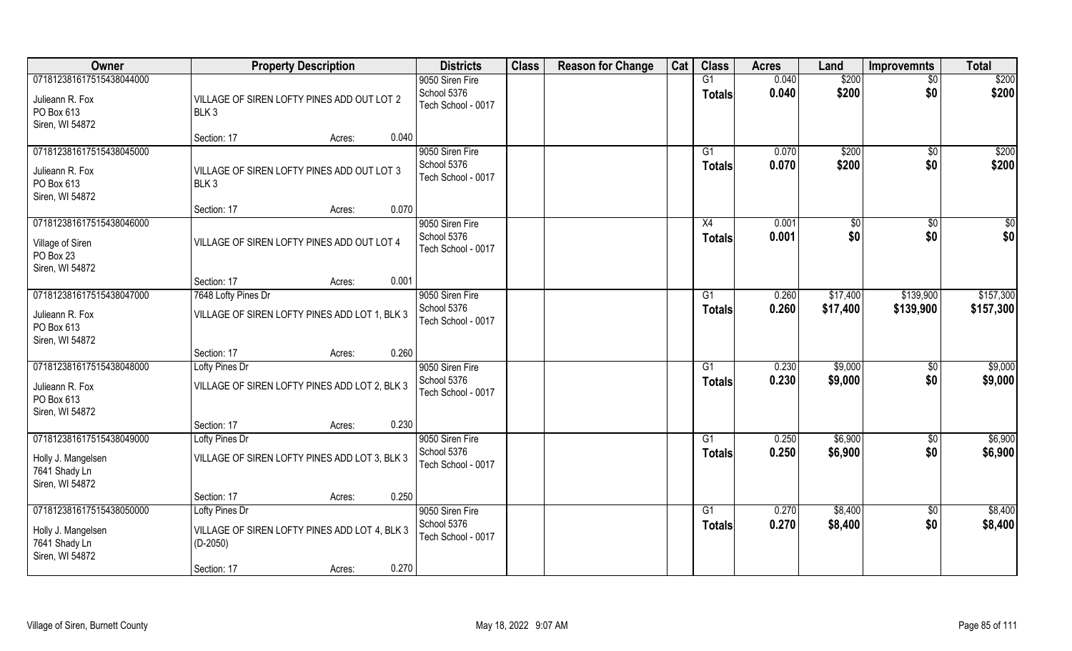| Owner                                                                              | <b>Property Description</b>                                                   | <b>Districts</b>                                     | <b>Class</b> | <b>Reason for Change</b> | Cat | <b>Class</b>        | <b>Acres</b>   | Land               | <b>Improvemnts</b>     | <b>Total</b>       |
|------------------------------------------------------------------------------------|-------------------------------------------------------------------------------|------------------------------------------------------|--------------|--------------------------|-----|---------------------|----------------|--------------------|------------------------|--------------------|
| 071812381617515438044000                                                           |                                                                               | 9050 Siren Fire                                      |              |                          |     | G1                  | 0.040          | \$200              | $\overline{50}$        | \$200              |
| Julieann R. Fox<br>PO Box 613<br>Siren, WI 54872                                   | VILLAGE OF SIREN LOFTY PINES ADD OUT LOT 2<br>BLK <sub>3</sub>                | School 5376<br>Tech School - 0017                    |              |                          |     | <b>Totals</b>       | 0.040          | \$200              | \$0                    | \$200              |
|                                                                                    | 0.040<br>Section: 17<br>Acres:                                                |                                                      |              |                          |     |                     |                |                    |                        |                    |
| 071812381617515438045000<br>Julieann R. Fox<br>PO Box 613<br>Siren, WI 54872       | VILLAGE OF SIREN LOFTY PINES ADD OUT LOT 3<br>BLK3                            | 9050 Siren Fire<br>School 5376<br>Tech School - 0017 |              |                          |     | G1<br><b>Totals</b> | 0.070<br>0.070 | \$200<br>\$200     | \$0<br>\$0             | \$200<br>\$200     |
|                                                                                    | 0.070<br>Section: 17<br>Acres:                                                |                                                      |              |                          |     |                     |                |                    |                        |                    |
| 071812381617515438046000<br>Village of Siren<br>PO Box 23<br>Siren, WI 54872       | VILLAGE OF SIREN LOFTY PINES ADD OUT LOT 4                                    | 9050 Siren Fire<br>School 5376<br>Tech School - 0017 |              |                          |     | X4<br><b>Totals</b> | 0.001<br>0.001 | \$0<br>\$0         | $\sqrt{6}$<br>\$0      | \$0<br>\$0         |
|                                                                                    | 0.001<br>Section: 17<br>Acres:                                                |                                                      |              |                          |     |                     |                |                    |                        |                    |
| 071812381617515438047000                                                           | 7648 Lofty Pines Dr                                                           | 9050 Siren Fire                                      |              |                          |     | G1                  | 0.260          | \$17,400           | \$139,900              | \$157,300          |
| Julieann R. Fox<br>PO Box 613<br>Siren, WI 54872                                   | VILLAGE OF SIREN LOFTY PINES ADD LOT 1, BLK 3                                 | School 5376<br>Tech School - 0017                    |              |                          |     | <b>Totals</b>       | 0.260          | \$17,400           | \$139,900              | \$157,300          |
|                                                                                    | 0.260<br>Section: 17<br>Acres:                                                |                                                      |              |                          |     |                     |                |                    |                        |                    |
| 071812381617515438048000<br>Julieann R. Fox<br>PO Box 613<br>Siren, WI 54872       | Lofty Pines Dr<br>VILLAGE OF SIREN LOFTY PINES ADD LOT 2, BLK 3               | 9050 Siren Fire<br>School 5376<br>Tech School - 0017 |              |                          |     | G1<br><b>Totals</b> | 0.230<br>0.230 | \$9,000<br>\$9,000 | $\sqrt[6]{30}$<br>\$0  | \$9,000<br>\$9,000 |
|                                                                                    | 0.230<br>Section: 17<br>Acres:                                                |                                                      |              |                          |     |                     |                |                    |                        |                    |
| 071812381617515438049000                                                           | Lofty Pines Dr                                                                | 9050 Siren Fire                                      |              |                          |     | G1                  | 0.250          | \$6,900            | \$0                    | \$6,900            |
| Holly J. Mangelsen<br>7641 Shady Ln<br>Siren, WI 54872                             | VILLAGE OF SIREN LOFTY PINES ADD LOT 3, BLK 3                                 | School 5376<br>Tech School - 0017                    |              |                          |     | <b>Totals</b>       | 0.250          | \$6,900            | \$0                    | \$6,900            |
|                                                                                    | 0.250<br>Section: 17<br>Acres:                                                |                                                      |              |                          |     |                     |                |                    |                        |                    |
| 071812381617515438050000<br>Holly J. Mangelsen<br>7641 Shady Ln<br>Siren, WI 54872 | Lofty Pines Dr<br>VILLAGE OF SIREN LOFTY PINES ADD LOT 4, BLK 3<br>$(D-2050)$ | 9050 Siren Fire<br>School 5376<br>Tech School - 0017 |              |                          |     | G1<br><b>Totals</b> | 0.270<br>0.270 | \$8,400<br>\$8,400 | $\overline{50}$<br>\$0 | \$8,400<br>\$8,400 |
|                                                                                    | 0.270<br>Section: 17<br>Acres:                                                |                                                      |              |                          |     |                     |                |                    |                        |                    |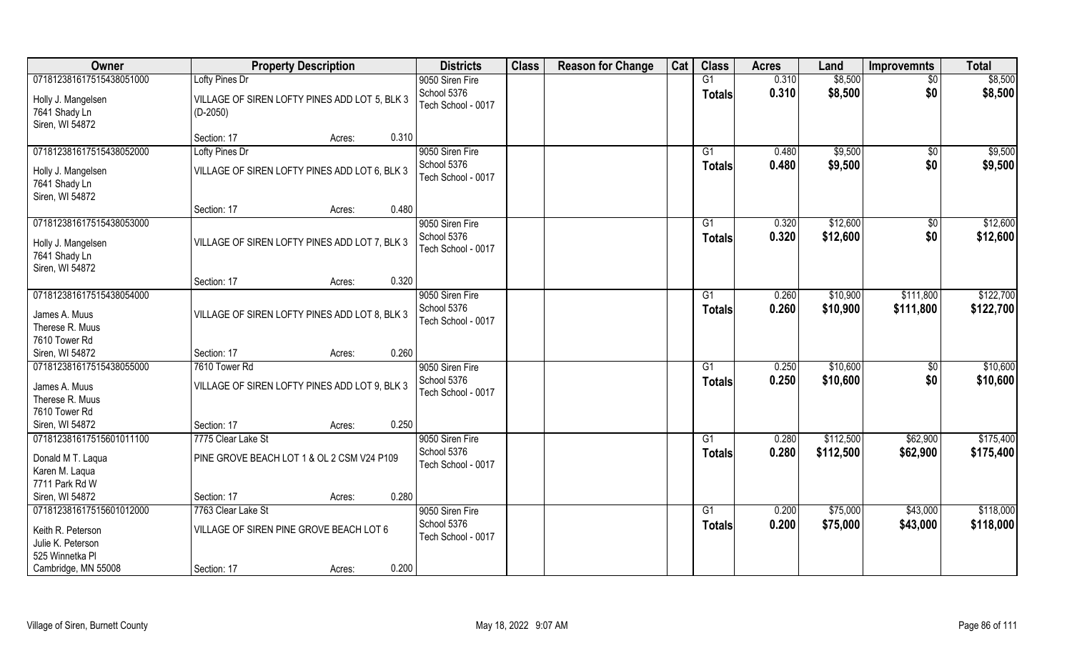| Owner                                                  | <b>Property Description</b>                                 | <b>Districts</b>                  | <b>Class</b> | <b>Reason for Change</b> | Cat | <b>Class</b>   | <b>Acres</b>   | Land               | <b>Improvemnts</b>     | <b>Total</b>       |
|--------------------------------------------------------|-------------------------------------------------------------|-----------------------------------|--------------|--------------------------|-----|----------------|----------------|--------------------|------------------------|--------------------|
| 071812381617515438051000                               | Lofty Pines Dr                                              | 9050 Siren Fire                   |              |                          |     | G1             | 0.310          | \$8,500            | \$0                    | \$8,500            |
| Holly J. Mangelsen<br>7641 Shady Ln<br>Siren, WI 54872 | VILLAGE OF SIREN LOFTY PINES ADD LOT 5, BLK 3<br>$(D-2050)$ | School 5376<br>Tech School - 0017 |              |                          |     | <b>Totals</b>  | 0.310          | \$8,500            | \$0                    | \$8,500            |
|                                                        | 0.310<br>Section: 17<br>Acres:                              |                                   |              |                          |     |                |                |                    |                        |                    |
| 071812381617515438052000                               | Lofty Pines Dr                                              | 9050 Siren Fire<br>School 5376    |              |                          |     | G1<br>Totals   | 0.480<br>0.480 | \$9,500<br>\$9,500 | $\overline{50}$<br>\$0 | \$9,500<br>\$9,500 |
| Holly J. Mangelsen<br>7641 Shady Ln<br>Siren, WI 54872 | VILLAGE OF SIREN LOFTY PINES ADD LOT 6, BLK 3               | Tech School - 0017                |              |                          |     |                |                |                    |                        |                    |
|                                                        | 0.480<br>Section: 17<br>Acres:                              |                                   |              |                          |     |                |                |                    |                        |                    |
| 071812381617515438053000                               |                                                             | 9050 Siren Fire                   |              |                          |     | G1             | 0.320          | \$12,600           | $\sqrt[6]{30}$         | \$12,600           |
| Holly J. Mangelsen<br>7641 Shady Ln<br>Siren, WI 54872 | VILLAGE OF SIREN LOFTY PINES ADD LOT 7, BLK 3               | School 5376<br>Tech School - 0017 |              |                          |     | <b>Totals</b>  | 0.320          | \$12,600           | \$0                    | \$12,600           |
|                                                        | 0.320<br>Section: 17<br>Acres:                              |                                   |              |                          |     |                |                |                    |                        |                    |
| 071812381617515438054000                               |                                                             | 9050 Siren Fire                   |              |                          |     | G1             | 0.260          | \$10,900           | \$111,800              | \$122,700          |
| James A. Muus<br>Therese R. Muus<br>7610 Tower Rd      | VILLAGE OF SIREN LOFTY PINES ADD LOT 8, BLK 3               | School 5376<br>Tech School - 0017 |              |                          |     | <b>Totals</b>  | 0.260          | \$10,900           | \$111,800              | \$122,700          |
| Siren, WI 54872                                        | 0.260<br>Section: 17<br>Acres:                              |                                   |              |                          |     |                |                |                    |                        |                    |
| 071812381617515438055000                               | 7610 Tower Rd                                               | 9050 Siren Fire                   |              |                          |     | G <sub>1</sub> | 0.250          | \$10,600           | \$0                    | \$10,600           |
| James A. Muus<br>Therese R. Muus<br>7610 Tower Rd      | VILLAGE OF SIREN LOFTY PINES ADD LOT 9, BLK 3               | School 5376<br>Tech School - 0017 |              |                          |     | <b>Totals</b>  | 0.250          | \$10,600           | \$0                    | \$10,600           |
| Siren, WI 54872                                        | 0.250<br>Section: 17<br>Acres:                              |                                   |              |                          |     |                |                |                    |                        |                    |
| 071812381617515601011100                               | 7775 Clear Lake St                                          | 9050 Siren Fire                   |              |                          |     | G1             | 0.280          | \$112,500          | \$62,900               | \$175,400          |
| Donald M T. Laqua<br>Karen M. Laqua<br>7711 Park Rd W  | PINE GROVE BEACH LOT 1 & OL 2 CSM V24 P109                  | School 5376<br>Tech School - 0017 |              |                          |     | <b>Totals</b>  | 0.280          | \$112,500          | \$62,900               | \$175,400          |
| Siren, WI 54872                                        | 0.280<br>Section: 17<br>Acres:                              |                                   |              |                          |     |                |                |                    |                        |                    |
| 071812381617515601012000                               | 7763 Clear Lake St                                          | 9050 Siren Fire                   |              |                          |     | G1             | 0.200          | \$75,000           | \$43,000               | \$118,000          |
| Keith R. Peterson<br>Julie K. Peterson                 | VILLAGE OF SIREN PINE GROVE BEACH LOT 6                     | School 5376<br>Tech School - 0017 |              |                          |     | <b>Totals</b>  | 0.200          | \$75,000           | \$43,000               | \$118,000          |
| 525 Winnetka Pl                                        |                                                             |                                   |              |                          |     |                |                |                    |                        |                    |
| Cambridge, MN 55008                                    | 0.200<br>Section: 17<br>Acres:                              |                                   |              |                          |     |                |                |                    |                        |                    |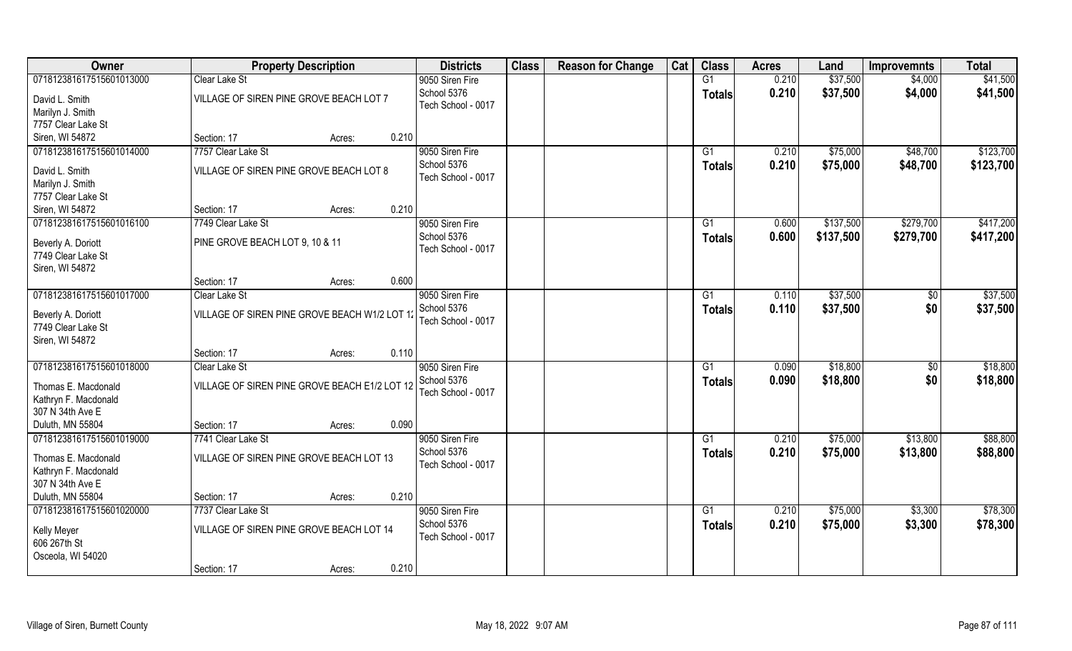| Owner                                    | <b>Property Description</b>                   | <b>Districts</b>   | <b>Class</b> | <b>Reason for Change</b> | Cat | <b>Class</b>  | <b>Acres</b> | Land      | <b>Improvemnts</b> | <b>Total</b> |
|------------------------------------------|-----------------------------------------------|--------------------|--------------|--------------------------|-----|---------------|--------------|-----------|--------------------|--------------|
| 071812381617515601013000                 | <b>Clear Lake St</b>                          | 9050 Siren Fire    |              |                          |     | G1            | 0.210        | \$37,500  | \$4,000            | \$41,500     |
| David L. Smith                           | VILLAGE OF SIREN PINE GROVE BEACH LOT 7       | School 5376        |              |                          |     | <b>Totals</b> | 0.210        | \$37,500  | \$4,000            | \$41,500     |
| Marilyn J. Smith                         |                                               | Tech School - 0017 |              |                          |     |               |              |           |                    |              |
| 7757 Clear Lake St                       |                                               |                    |              |                          |     |               |              |           |                    |              |
| Siren, WI 54872                          | 0.210<br>Section: 17<br>Acres:                |                    |              |                          |     |               |              |           |                    |              |
| 071812381617515601014000                 | 7757 Clear Lake St                            | 9050 Siren Fire    |              |                          |     | G1            | 0.210        | \$75,000  | \$48,700           | \$123,700    |
|                                          | VILLAGE OF SIREN PINE GROVE BEACH LOT 8       | School 5376        |              |                          |     | <b>Totals</b> | 0.210        | \$75,000  | \$48,700           | \$123,700    |
| David L. Smith                           |                                               | Tech School - 0017 |              |                          |     |               |              |           |                    |              |
| Marilyn J. Smith<br>7757 Clear Lake St   |                                               |                    |              |                          |     |               |              |           |                    |              |
| Siren, WI 54872                          | 0.210<br>Section: 17<br>Acres:                |                    |              |                          |     |               |              |           |                    |              |
| 071812381617515601016100                 | 7749 Clear Lake St                            | 9050 Siren Fire    |              |                          |     | G1            | 0.600        | \$137,500 | \$279,700          | \$417,200    |
|                                          |                                               | School 5376        |              |                          |     | <b>Totals</b> | 0.600        | \$137,500 | \$279,700          | \$417,200    |
| Beverly A. Doriott                       | PINE GROVE BEACH LOT 9, 10 & 11               | Tech School - 0017 |              |                          |     |               |              |           |                    |              |
| 7749 Clear Lake St                       |                                               |                    |              |                          |     |               |              |           |                    |              |
| Siren, WI 54872                          |                                               |                    |              |                          |     |               |              |           |                    |              |
|                                          | 0.600<br>Section: 17<br>Acres:                |                    |              |                          |     |               |              |           |                    |              |
| 071812381617515601017000                 | Clear Lake St                                 | 9050 Siren Fire    |              |                          |     | G1            | 0.110        | \$37,500  | \$0                | \$37,500     |
| Beverly A. Doriott                       | VILLAGE OF SIREN PINE GROVE BEACH W1/2 LOT 1: | School 5376        |              |                          |     | <b>Totals</b> | 0.110        | \$37,500  | \$0                | \$37,500     |
| 7749 Clear Lake St                       |                                               | Tech School - 0017 |              |                          |     |               |              |           |                    |              |
| Siren, WI 54872                          |                                               |                    |              |                          |     |               |              |           |                    |              |
|                                          | 0.110<br>Section: 17<br>Acres:                |                    |              |                          |     |               |              |           |                    |              |
| 071812381617515601018000                 | <b>Clear Lake St</b>                          | 9050 Siren Fire    |              |                          |     | G1            | 0.090        | \$18,800  | \$0                | \$18,800     |
| Thomas E. Macdonald                      | VILLAGE OF SIREN PINE GROVE BEACH E1/2 LOT 12 | School 5376        |              |                          |     | <b>Totals</b> | 0.090        | \$18,800  | \$0                | \$18,800     |
| Kathryn F. Macdonald                     |                                               | Tech School - 0017 |              |                          |     |               |              |           |                    |              |
| 307 N 34th Ave E                         |                                               |                    |              |                          |     |               |              |           |                    |              |
| Duluth, MN 55804                         | 0.090<br>Section: 17<br>Acres:                |                    |              |                          |     |               |              |           |                    |              |
| 071812381617515601019000                 | 7741 Clear Lake St                            | 9050 Siren Fire    |              |                          |     | G1            | 0.210        | \$75,000  | \$13,800           | \$88,800     |
|                                          |                                               | School 5376        |              |                          |     | <b>Totals</b> | 0.210        | \$75,000  | \$13,800           | \$88,800     |
| Thomas E. Macdonald                      | VILLAGE OF SIREN PINE GROVE BEACH LOT 13      | Tech School - 0017 |              |                          |     |               |              |           |                    |              |
| Kathryn F. Macdonald<br>307 N 34th Ave E |                                               |                    |              |                          |     |               |              |           |                    |              |
| Duluth, MN 55804                         | 0.210<br>Section: 17                          |                    |              |                          |     |               |              |           |                    |              |
| 071812381617515601020000                 | Acres:<br>7737 Clear Lake St                  | 9050 Siren Fire    |              |                          |     | G1            | 0.210        | \$75,000  | \$3,300            | \$78,300     |
|                                          |                                               | School 5376        |              |                          |     |               | 0.210        | \$75,000  | \$3,300            | \$78,300     |
| Kelly Meyer                              | VILLAGE OF SIREN PINE GROVE BEACH LOT 14      | Tech School - 0017 |              |                          |     | <b>Totals</b> |              |           |                    |              |
| 606 267th St                             |                                               |                    |              |                          |     |               |              |           |                    |              |
| Osceola, WI 54020                        |                                               |                    |              |                          |     |               |              |           |                    |              |
|                                          | 0.210<br>Section: 17<br>Acres:                |                    |              |                          |     |               |              |           |                    |              |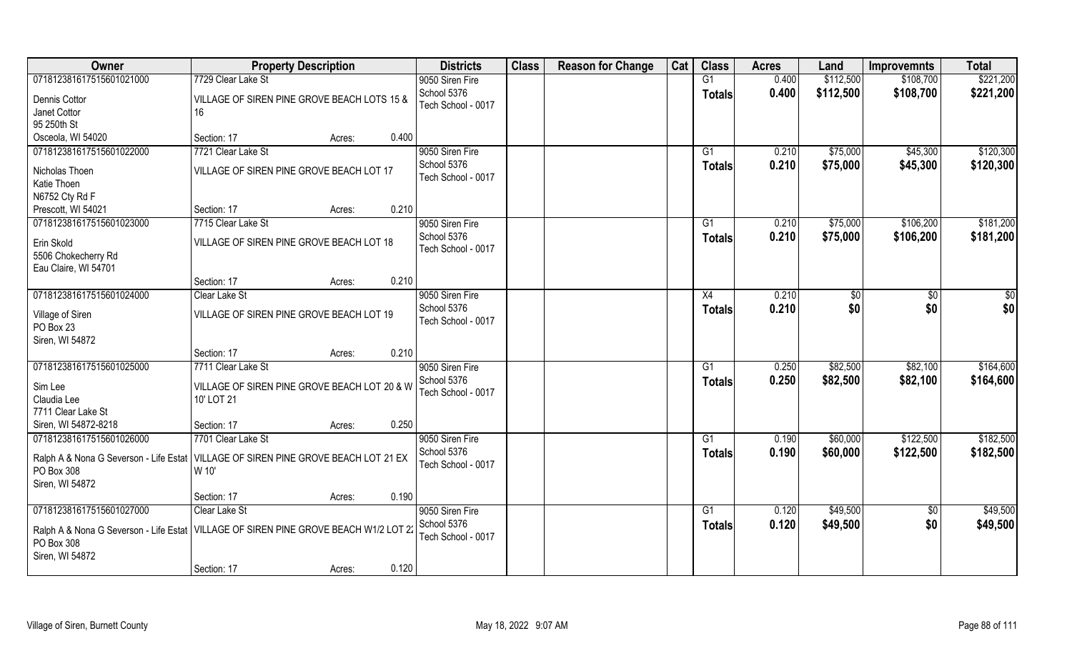| Owner                                                                                                                   | <b>Property Description</b>                       |        |       | <b>Districts</b>                  | <b>Class</b> | <b>Reason for Change</b> | Cat | <b>Class</b>  | <b>Acres</b> | Land      | <b>Improvemnts</b> | <b>Total</b> |
|-------------------------------------------------------------------------------------------------------------------------|---------------------------------------------------|--------|-------|-----------------------------------|--------------|--------------------------|-----|---------------|--------------|-----------|--------------------|--------------|
| 071812381617515601021000                                                                                                | 7729 Clear Lake St                                |        |       | 9050 Siren Fire                   |              |                          |     | G1            | 0.400        | \$112,500 | \$108,700          | \$221,200    |
| Dennis Cottor<br>Janet Cottor                                                                                           | VILLAGE OF SIREN PINE GROVE BEACH LOTS 15 &<br>16 |        |       | School 5376<br>Tech School - 0017 |              |                          |     | <b>Totals</b> | 0.400        | \$112,500 | \$108,700          | \$221,200    |
| 95 250th St                                                                                                             |                                                   |        |       |                                   |              |                          |     |               |              |           |                    |              |
| Osceola, WI 54020                                                                                                       | Section: 17                                       | Acres: | 0.400 |                                   |              |                          |     |               |              |           |                    |              |
| 071812381617515601022000                                                                                                | 7721 Clear Lake St                                |        |       | 9050 Siren Fire                   |              |                          |     | G1            | 0.210        | \$75,000  | \$45,300           | \$120,300    |
| Nicholas Thoen                                                                                                          | VILLAGE OF SIREN PINE GROVE BEACH LOT 17          |        |       | School 5376                       |              |                          |     | <b>Totals</b> | 0.210        | \$75,000  | \$45,300           | \$120,300    |
| Katie Thoen                                                                                                             |                                                   |        |       | Tech School - 0017                |              |                          |     |               |              |           |                    |              |
| N6752 Cty Rd F                                                                                                          |                                                   |        |       |                                   |              |                          |     |               |              |           |                    |              |
| Prescott, WI 54021                                                                                                      | Section: 17                                       | Acres: | 0.210 |                                   |              |                          |     |               |              |           |                    |              |
| 071812381617515601023000                                                                                                | 7715 Clear Lake St                                |        |       | 9050 Siren Fire                   |              |                          |     | G1            | 0.210        | \$75,000  | \$106,200          | \$181,200    |
| Erin Skold                                                                                                              | VILLAGE OF SIREN PINE GROVE BEACH LOT 18          |        |       | School 5376<br>Tech School - 0017 |              |                          |     | <b>Totals</b> | 0.210        | \$75,000  | \$106,200          | \$181,200    |
| 5506 Chokecherry Rd                                                                                                     |                                                   |        |       |                                   |              |                          |     |               |              |           |                    |              |
| Eau Claire, WI 54701                                                                                                    | Section: 17                                       | Acres: | 0.210 |                                   |              |                          |     |               |              |           |                    |              |
| 071812381617515601024000                                                                                                | Clear Lake St                                     |        |       | 9050 Siren Fire                   |              |                          |     |               | 0.210        |           | \$0                | \$0          |
|                                                                                                                         |                                                   |        |       | School 5376                       |              |                          |     | X4            |              | \$0       |                    |              |
| Village of Siren<br>PO Box 23                                                                                           | VILLAGE OF SIREN PINE GROVE BEACH LOT 19          |        |       | Tech School - 0017                |              |                          |     | <b>Totals</b> | 0.210        | \$0       | \$0                | \$0          |
| Siren, WI 54872                                                                                                         |                                                   |        |       |                                   |              |                          |     |               |              |           |                    |              |
|                                                                                                                         | Section: 17                                       | Acres: | 0.210 |                                   |              |                          |     |               |              |           |                    |              |
| 071812381617515601025000                                                                                                | 7711 Clear Lake St                                |        |       | 9050 Siren Fire                   |              |                          |     | G1            | 0.250        | \$82,500  | \$82,100           | \$164,600    |
| Sim Lee                                                                                                                 | VILLAGE OF SIREN PINE GROVE BEACH LOT 20 & W      |        |       | School 5376                       |              |                          |     | <b>Totals</b> | 0.250        | \$82,500  | \$82,100           | \$164,600    |
| Claudia Lee                                                                                                             | 10' LOT 21                                        |        |       | Tech School - 0017                |              |                          |     |               |              |           |                    |              |
| 7711 Clear Lake St                                                                                                      |                                                   |        |       |                                   |              |                          |     |               |              |           |                    |              |
| Siren, WI 54872-8218                                                                                                    | Section: 17                                       | Acres: | 0.250 |                                   |              |                          |     |               |              |           |                    |              |
| 071812381617515601026000                                                                                                | 7701 Clear Lake St                                |        |       | 9050 Siren Fire                   |              |                          |     | G1            | 0.190        | \$60,000  | \$122,500          | \$182,500    |
| Ralph A & Nona G Severson - Life Estat   VILLAGE OF SIREN PINE GROVE BEACH LOT 21 EX<br>PO Box 308                      | W 10'                                             |        |       | School 5376<br>Tech School - 0017 |              |                          |     | <b>Totals</b> | 0.190        | \$60,000  | \$122,500          | \$182,500    |
| Siren, WI 54872                                                                                                         |                                                   |        |       |                                   |              |                          |     |               |              |           |                    |              |
|                                                                                                                         | Section: 17                                       | Acres: | 0.190 |                                   |              |                          |     |               |              |           |                    |              |
| 071812381617515601027000                                                                                                | Clear Lake St                                     |        |       | 9050 Siren Fire                   |              |                          |     | G1            | 0.120        | \$49,500  | $\overline{50}$    | \$49,500     |
| Ralph A & Nona G Severson - Life Estat   VILLAGE OF SIREN PINE GROVE BEACH W1/2 LOT 2:<br>PO Box 308<br>Siren, WI 54872 |                                                   |        |       | School 5376<br>Tech School - 0017 |              |                          |     | <b>Totals</b> | 0.120        | \$49,500  | \$0                | \$49,500     |
|                                                                                                                         | Section: 17                                       | Acres: | 0.120 |                                   |              |                          |     |               |              |           |                    |              |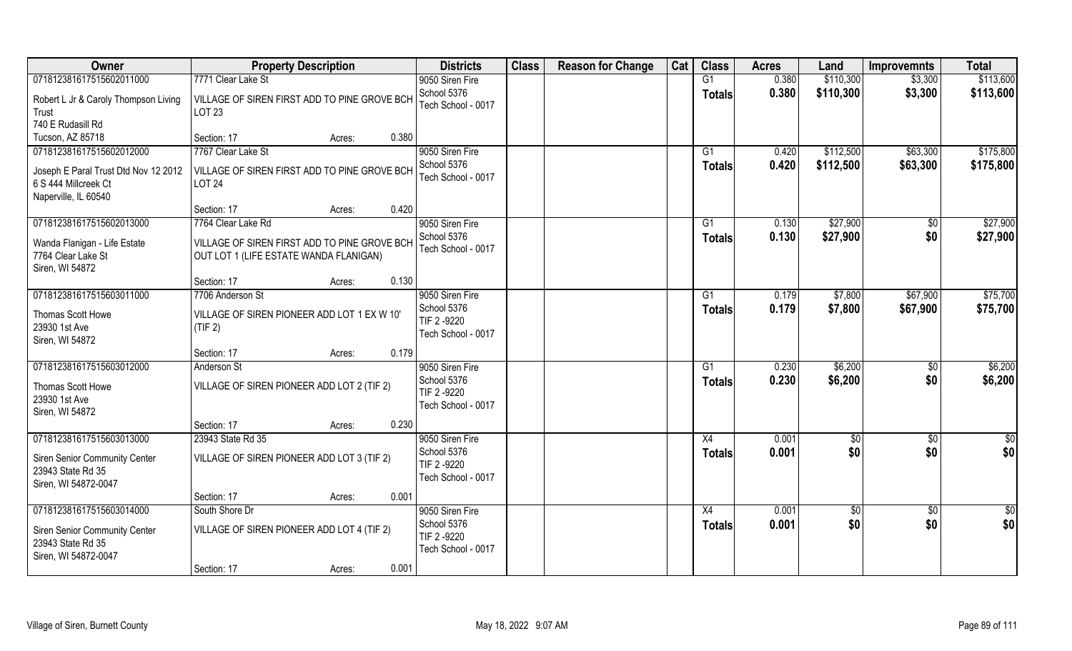| Owner                                                                                                            | <b>Property Description</b>                                                            | <b>Districts</b>                                     | <b>Class</b> | <b>Reason for Change</b> | Cat | <b>Class</b>             | <b>Acres</b>   | Land                   | <b>Improvemnts</b>   | <b>Total</b>           |
|------------------------------------------------------------------------------------------------------------------|----------------------------------------------------------------------------------------|------------------------------------------------------|--------------|--------------------------|-----|--------------------------|----------------|------------------------|----------------------|------------------------|
| 071812381617515602011000                                                                                         | 7771 Clear Lake St                                                                     | 9050 Siren Fire                                      |              |                          |     | G1                       | 0.380          | \$110,300              | \$3,300              | \$113,600              |
| Robert L Jr & Caroly Thompson Living<br>Trust                                                                    | VILLAGE OF SIREN FIRST ADD TO PINE GROVE BCH<br><b>LOT 23</b>                          | School 5376<br>Tech School - 0017                    |              |                          |     | <b>Totals</b>            | 0.380          | \$110,300              | \$3,300              | \$113,600              |
| 740 E Rudasill Rd                                                                                                |                                                                                        |                                                      |              |                          |     |                          |                |                        |                      |                        |
| Tucson, AZ 85718                                                                                                 | 0.380<br>Section: 17<br>Acres:                                                         |                                                      |              |                          |     |                          |                |                        |                      |                        |
| 071812381617515602012000<br>Joseph E Paral Trust Dtd Nov 12 2012<br>6 S 444 Millcreek Ct<br>Naperville, IL 60540 | 7767 Clear Lake St<br>VILLAGE OF SIREN FIRST ADD TO PINE GROVE BCH<br><b>LOT 24</b>    | 9050 Siren Fire<br>School 5376<br>Tech School - 0017 |              |                          |     | G <sub>1</sub><br>Totals | 0.420<br>0.420 | \$112,500<br>\$112,500 | \$63,300<br>\$63,300 | \$175,800<br>\$175,800 |
|                                                                                                                  | 0.420<br>Section: 17<br>Acres:                                                         |                                                      |              |                          |     |                          |                |                        |                      |                        |
| 071812381617515602013000                                                                                         | 7764 Clear Lake Rd                                                                     | 9050 Siren Fire                                      |              |                          |     | G1                       | 0.130          | \$27,900               | \$0                  | \$27,900               |
| Wanda Flanigan - Life Estate<br>7764 Clear Lake St<br>Siren, WI 54872                                            | VILLAGE OF SIREN FIRST ADD TO PINE GROVE BCH<br>OUT LOT 1 (LIFE ESTATE WANDA FLANIGAN) | School 5376<br>Tech School - 0017                    |              |                          |     | <b>Totals</b>            | 0.130          | \$27,900               | \$0                  | \$27,900               |
|                                                                                                                  | 0.130<br>Section: 17<br>Acres:                                                         |                                                      |              |                          |     |                          |                |                        |                      |                        |
| 071812381617515603011000                                                                                         | 7706 Anderson St                                                                       | 9050 Siren Fire                                      |              |                          |     | G1                       | 0.179          | \$7,800                | \$67,900             | \$75,700               |
| Thomas Scott Howe<br>23930 1st Ave<br>Siren, WI 54872                                                            | VILLAGE OF SIREN PIONEER ADD LOT 1 EX W 10'<br>(TIF 2)                                 | School 5376<br>TIF 2-9220<br>Tech School - 0017      |              |                          |     | <b>Totals</b>            | 0.179          | \$7,800                | \$67,900             | \$75,700               |
|                                                                                                                  | 0.179<br>Section: 17<br>Acres:                                                         |                                                      |              |                          |     |                          |                |                        |                      |                        |
| 071812381617515603012000                                                                                         | Anderson St                                                                            | 9050 Siren Fire                                      |              |                          |     | G1                       | 0.230          | \$6,200                | \$0                  | \$6,200                |
| Thomas Scott Howe<br>23930 1st Ave<br>Siren, WI 54872                                                            | VILLAGE OF SIREN PIONEER ADD LOT 2 (TIF 2)                                             | School 5376<br>TIF 2 -9220<br>Tech School - 0017     |              |                          |     | <b>Totals</b>            | 0.230          | \$6,200                | \$0                  | \$6,200                |
|                                                                                                                  | Section: 17<br>0.230<br>Acres:                                                         |                                                      |              |                          |     |                          |                |                        |                      |                        |
| 071812381617515603013000                                                                                         | 23943 State Rd 35                                                                      | 9050 Siren Fire                                      |              |                          |     | X4                       | 0.001          | \$0                    | \$0                  | $\frac{6}{3}$          |
| Siren Senior Community Center<br>23943 State Rd 35<br>Siren, WI 54872-0047                                       | VILLAGE OF SIREN PIONEER ADD LOT 3 (TIF 2)                                             | School 5376<br>TIF 2 -9220<br>Tech School - 0017     |              |                          |     | <b>Totals</b>            | 0.001          | \$0                    | \$0                  | \$0                    |
|                                                                                                                  | 0.001<br>Section: 17<br>Acres:                                                         |                                                      |              |                          |     |                          |                |                        |                      |                        |
| 071812381617515603014000                                                                                         | South Shore Dr                                                                         | 9050 Siren Fire                                      |              |                          |     | X4                       | 0.001          | \$0                    | $\overline{60}$      | \$0                    |
| Siren Senior Community Center<br>23943 State Rd 35<br>Siren, WI 54872-0047                                       | VILLAGE OF SIREN PIONEER ADD LOT 4 (TIF 2)                                             | School 5376<br>TIF 2 -9220<br>Tech School - 0017     |              |                          |     | <b>Totals</b>            | 0.001          | \$0                    | \$0                  | \$0                    |
|                                                                                                                  | 0.001<br>Section: 17<br>Acres:                                                         |                                                      |              |                          |     |                          |                |                        |                      |                        |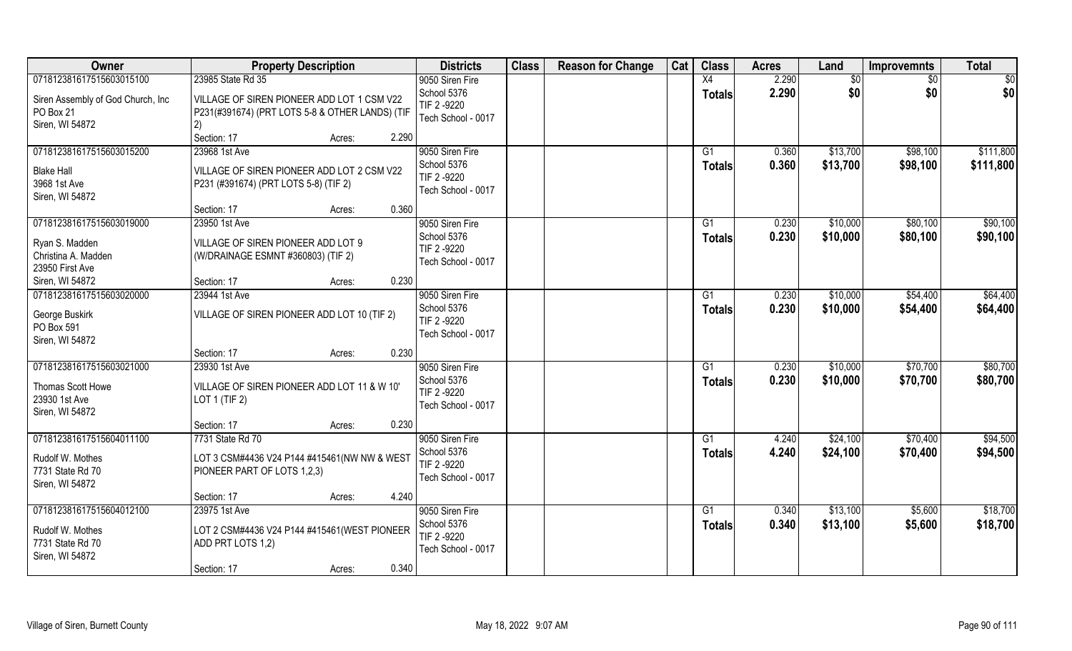| Owner                                                                                | <b>Property Description</b>                                                                                          | <b>Districts</b>                                                    | <b>Class</b> | <b>Reason for Change</b> | Cat | <b>Class</b>        | <b>Acres</b>   | Land                 | <b>Improvemnts</b>   | <b>Total</b>           |
|--------------------------------------------------------------------------------------|----------------------------------------------------------------------------------------------------------------------|---------------------------------------------------------------------|--------------|--------------------------|-----|---------------------|----------------|----------------------|----------------------|------------------------|
| 071812381617515603015100                                                             | 23985 State Rd 35                                                                                                    | 9050 Siren Fire                                                     |              |                          |     | X4                  | 2.290          | \$0                  | \$0                  | \$0                    |
| Siren Assembly of God Church, Inc<br>PO Box 21<br>Siren, WI 54872                    | VILLAGE OF SIREN PIONEER ADD LOT 1 CSM V22<br>P231(#391674) (PRT LOTS 5-8 & OTHER LANDS) (TIF<br>2)                  | School 5376<br>TIF 2-9220<br>Tech School - 0017                     |              |                          |     | <b>Totals</b>       | 2.290          | \$0                  | \$0                  | \$0                    |
|                                                                                      | Section: 17<br>2.290<br>Acres:                                                                                       |                                                                     |              |                          |     |                     |                |                      |                      |                        |
| 071812381617515603015200<br><b>Blake Hall</b><br>3968 1st Ave<br>Siren, WI 54872     | 23968 1st Ave<br>VILLAGE OF SIREN PIONEER ADD LOT 2 CSM V22<br>P231 (#391674) (PRT LOTS 5-8) (TIF 2)                 | 9050 Siren Fire<br>School 5376<br>TIF 2-9220<br>Tech School - 0017  |              |                          |     | G1<br><b>Totals</b> | 0.360<br>0.360 | \$13,700<br>\$13,700 | \$98,100<br>\$98,100 | \$111,800<br>\$111,800 |
|                                                                                      | Section: 17<br>0.360<br>Acres:                                                                                       |                                                                     |              |                          |     |                     |                |                      |                      |                        |
| 071812381617515603019000<br>Ryan S. Madden<br>Christina A. Madden<br>23950 First Ave | 23950 1st Ave<br>VILLAGE OF SIREN PIONEER ADD LOT 9<br>(W/DRAINAGE ESMNT #360803) (TIF 2)                            | 9050 Siren Fire<br>School 5376<br>TIF 2-9220<br>Tech School - 0017  |              |                          |     | G1<br><b>Totals</b> | 0.230<br>0.230 | \$10,000<br>\$10,000 | \$80,100<br>\$80,100 | \$90,100<br>\$90,100   |
| Siren, WI 54872                                                                      | 0.230<br>Section: 17<br>Acres:                                                                                       |                                                                     |              |                          |     |                     |                |                      |                      |                        |
| 071812381617515603020000<br>George Buskirk<br>PO Box 591<br>Siren, WI 54872          | 23944 1st Ave<br>VILLAGE OF SIREN PIONEER ADD LOT 10 (TIF 2)                                                         | 9050 Siren Fire<br>School 5376<br>TIF 2 -9220<br>Tech School - 0017 |              |                          |     | G1<br><b>Totals</b> | 0.230<br>0.230 | \$10,000<br>\$10,000 | \$54,400<br>\$54,400 | \$64,400<br>\$64,400   |
|                                                                                      | 0.230<br>Section: 17<br>Acres:                                                                                       |                                                                     |              |                          |     |                     |                |                      |                      |                        |
| 071812381617515603021000<br>Thomas Scott Howe<br>23930 1st Ave<br>Siren, WI 54872    | 23930 1st Ave<br>VILLAGE OF SIREN PIONEER ADD LOT 11 & W 10'<br>LOT 1 (TIF 2)                                        | 9050 Siren Fire<br>School 5376<br>TIF 2 -9220<br>Tech School - 0017 |              |                          |     | G1<br><b>Totals</b> | 0.230<br>0.230 | \$10,000<br>\$10,000 | \$70,700<br>\$70,700 | \$80,700<br>\$80,700   |
|                                                                                      | 0.230<br>Section: 17<br>Acres:                                                                                       |                                                                     |              |                          |     |                     |                |                      |                      |                        |
| 071812381617515604011100                                                             | 7731 State Rd 70                                                                                                     | 9050 Siren Fire                                                     |              |                          |     | G1                  | 4.240          | \$24,100             | \$70,400             | \$94,500               |
| Rudolf W. Mothes<br>7731 State Rd 70<br>Siren, WI 54872                              | LOT 3 CSM#4436 V24 P144 #415461(NW NW & WEST<br>PIONEER PART OF LOTS 1,2,3)                                          | School 5376<br>TIF 2 -9220<br>Tech School - 0017                    |              |                          |     | <b>Totals</b>       | 4.240          | \$24,100             | \$70,400             | \$94,500               |
|                                                                                      | 4.240<br>Section: 17<br>Acres:                                                                                       |                                                                     |              |                          |     |                     |                |                      |                      |                        |
| 071812381617515604012100<br>Rudolf W. Mothes<br>7731 State Rd 70<br>Siren, WI 54872  | 23975 1st Ave<br>LOT 2 CSM#4436 V24 P144 #415461(WEST PIONEER<br>ADD PRT LOTS 1,2)<br>0.340<br>Section: 17<br>Acres: | 9050 Siren Fire<br>School 5376<br>TIF 2-9220<br>Tech School - 0017  |              |                          |     | G1<br><b>Totals</b> | 0.340<br>0.340 | \$13,100<br>\$13,100 | \$5,600<br>\$5,600   | \$18,700<br>\$18,700   |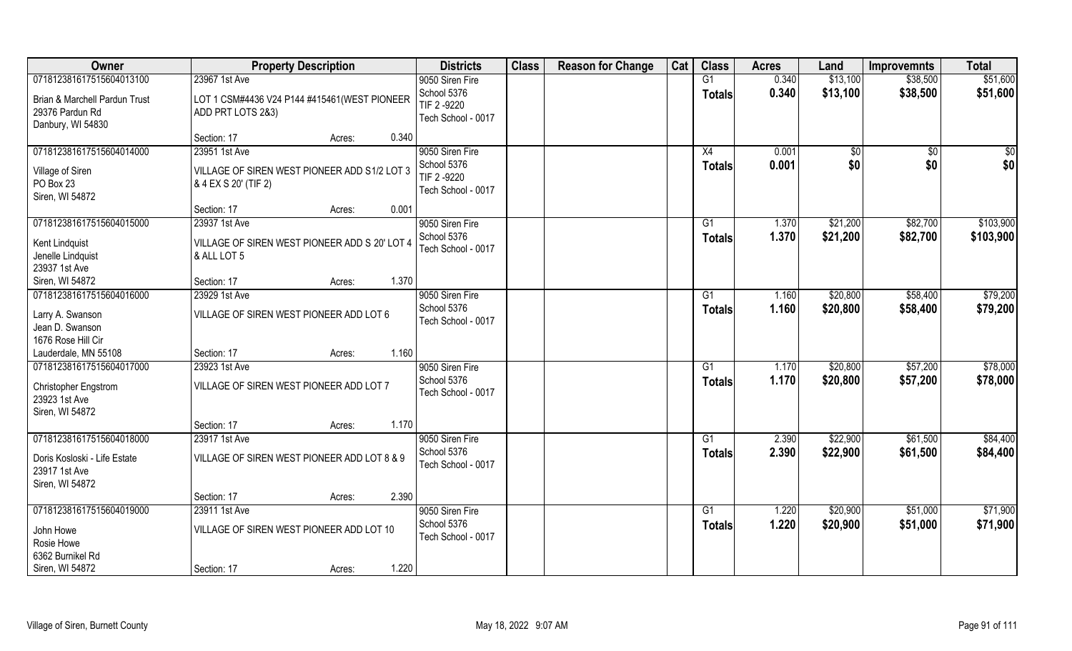| Owner                                                                                             | <b>Property Description</b>                                                                 | <b>Districts</b>                                                    | <b>Class</b> | <b>Reason for Change</b> | Cat | <b>Class</b>                     | <b>Acres</b>   | Land                 | <b>Improvemnts</b>   | <b>Total</b>           |
|---------------------------------------------------------------------------------------------------|---------------------------------------------------------------------------------------------|---------------------------------------------------------------------|--------------|--------------------------|-----|----------------------------------|----------------|----------------------|----------------------|------------------------|
| 071812381617515604013100<br>Brian & Marchell Pardun Trust<br>29376 Pardun Rd<br>Danbury, WI 54830 | 23967 1st Ave<br>LOT 1 CSM#4436 V24 P144 #415461(WEST PIONEER<br>ADD PRT LOTS 2&3)          | 9050 Siren Fire<br>School 5376<br>TIF 2 -9220<br>Tech School - 0017 |              |                          |     | G1<br><b>Totals</b>              | 0.340<br>0.340 | \$13,100<br>\$13,100 | \$38,500<br>\$38,500 | \$51,600<br>\$51,600   |
|                                                                                                   | 0.340<br>Section: 17<br>Acres:                                                              |                                                                     |              |                          |     |                                  |                |                      |                      |                        |
| 071812381617515604014000<br>Village of Siren<br>PO Box 23<br>Siren, WI 54872                      | 23951 1st Ave<br>VILLAGE OF SIREN WEST PIONEER ADD S1/2 LOT 3<br>& 4 EX S 20' (TIF 2)       | 9050 Siren Fire<br>School 5376<br>TIF 2 -9220<br>Tech School - 0017 |              |                          |     | X4<br><b>Totals</b>              | 0.001<br>0.001 | \$0<br>\$0           | $\sqrt{$0}$<br>\$0   | \$0<br>\$0             |
|                                                                                                   | 0.001<br>Section: 17<br>Acres:                                                              |                                                                     |              |                          |     |                                  |                |                      |                      |                        |
| 071812381617515604015000<br>Kent Lindquist<br>Jenelle Lindquist<br>23937 1st Ave                  | 23937 1st Ave<br>VILLAGE OF SIREN WEST PIONEER ADD S 20' LOT 4<br>& ALL LOT 5               | 9050 Siren Fire<br>School 5376<br>Tech School - 0017                |              |                          |     | G1<br><b>Totals</b>              | 1.370<br>1.370 | \$21,200<br>\$21,200 | \$82,700<br>\$82,700 | \$103,900<br>\$103,900 |
| Siren, WI 54872                                                                                   | 1.370<br>Section: 17<br>Acres:                                                              |                                                                     |              |                          |     |                                  |                |                      |                      |                        |
| 071812381617515604016000<br>Larry A. Swanson<br>Jean D. Swanson<br>1676 Rose Hill Cir             | 23929 1st Ave<br>VILLAGE OF SIREN WEST PIONEER ADD LOT 6                                    | 9050 Siren Fire<br>School 5376<br>Tech School - 0017                |              |                          |     | G1<br><b>Totals</b>              | 1.160<br>1.160 | \$20,800<br>\$20,800 | \$58,400<br>\$58,400 | \$79,200<br>\$79,200   |
| Lauderdale, MN 55108                                                                              | 1.160<br>Section: 17<br>Acres:                                                              |                                                                     |              |                          |     |                                  |                |                      |                      |                        |
| 071812381617515604017000<br>Christopher Engstrom<br>23923 1st Ave<br>Siren, WI 54872              | 23923 1st Ave<br>VILLAGE OF SIREN WEST PIONEER ADD LOT 7                                    | 9050 Siren Fire<br>School 5376<br>Tech School - 0017                |              |                          |     | G1<br><b>Totals</b>              | 1.170<br>1.170 | \$20,800<br>\$20,800 | \$57,200<br>\$57,200 | \$78,000<br>\$78,000   |
|                                                                                                   | 1.170<br>Section: 17<br>Acres:                                                              |                                                                     |              |                          |     |                                  |                |                      |                      |                        |
| 071812381617515604018000<br>Doris Kosloski - Life Estate<br>23917 1st Ave<br>Siren, WI 54872      | 23917 1st Ave<br>VILLAGE OF SIREN WEST PIONEER ADD LOT 8 & 9                                | 9050 Siren Fire<br>School 5376<br>Tech School - 0017                |              |                          |     | G1<br><b>Totals</b>              | 2.390<br>2.390 | \$22,900<br>\$22,900 | \$61,500<br>\$61,500 | \$84,400<br>\$84,400   |
|                                                                                                   | 2.390<br>Section: 17<br>Acres:                                                              |                                                                     |              |                          |     |                                  |                |                      |                      |                        |
| 071812381617515604019000<br>John Howe<br>Rosie Howe<br>6362 Burnikel Rd<br>Siren, WI 54872        | 23911 1st Ave<br>VILLAGE OF SIREN WEST PIONEER ADD LOT 10<br>1.220<br>Section: 17<br>Acres: | 9050 Siren Fire<br>School 5376<br>Tech School - 0017                |              |                          |     | $\overline{G1}$<br><b>Totals</b> | 1.220<br>1.220 | \$20,900<br>\$20,900 | \$51,000<br>\$51,000 | \$71,900<br>\$71,900   |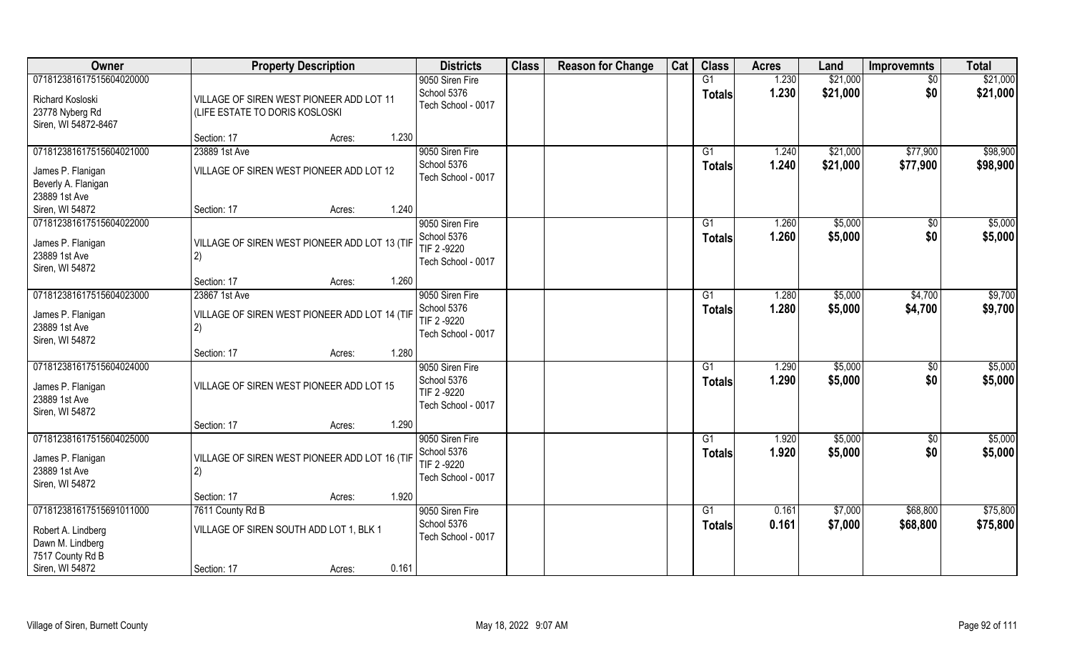| Owner                    | <b>Property Description</b>                   | <b>Districts</b>                  | <b>Class</b> | <b>Reason for Change</b> | Cat | <b>Class</b>    | <b>Acres</b> | Land     | <b>Improvemnts</b> | <b>Total</b> |
|--------------------------|-----------------------------------------------|-----------------------------------|--------------|--------------------------|-----|-----------------|--------------|----------|--------------------|--------------|
| 071812381617515604020000 |                                               | 9050 Siren Fire                   |              |                          |     | G1              | 1.230        | \$21,000 | \$0                | \$21,000     |
| Richard Kosloski         | VILLAGE OF SIREN WEST PIONEER ADD LOT 11      | School 5376                       |              |                          |     | <b>Totals</b>   | 1.230        | \$21,000 | \$0                | \$21,000     |
| 23778 Nyberg Rd          | (LIFE ESTATE TO DORIS KOSLOSKI                | Tech School - 0017                |              |                          |     |                 |              |          |                    |              |
| Siren, WI 54872-8467     |                                               |                                   |              |                          |     |                 |              |          |                    |              |
|                          | 1.230<br>Section: 17<br>Acres:                |                                   |              |                          |     |                 |              |          |                    |              |
| 071812381617515604021000 | 23889 1st Ave                                 | 9050 Siren Fire                   |              |                          |     | G1              | 1.240        | \$21,000 | \$77,900           | \$98,900     |
| James P. Flanigan        | VILLAGE OF SIREN WEST PIONEER ADD LOT 12      | School 5376                       |              |                          |     | <b>Totals</b>   | 1.240        | \$21,000 | \$77,900           | \$98,900     |
| Beverly A. Flanigan      |                                               | Tech School - 0017                |              |                          |     |                 |              |          |                    |              |
| 23889 1st Ave            |                                               |                                   |              |                          |     |                 |              |          |                    |              |
| Siren, WI 54872          | 1.240<br>Section: 17<br>Acres:                |                                   |              |                          |     |                 |              |          |                    |              |
| 071812381617515604022000 |                                               | 9050 Siren Fire                   |              |                          |     | G1              | 1.260        | \$5,000  | \$0                | \$5,000      |
| James P. Flanigan        | VILLAGE OF SIREN WEST PIONEER ADD LOT 13 (TIF | School 5376                       |              |                          |     | <b>Totals</b>   | 1.260        | \$5,000  | \$0                | \$5,000      |
| 23889 1st Ave            | 2)                                            | TIF 2 -9220                       |              |                          |     |                 |              |          |                    |              |
| Siren, WI 54872          |                                               | Tech School - 0017                |              |                          |     |                 |              |          |                    |              |
|                          | 1.260<br>Section: 17<br>Acres:                |                                   |              |                          |     |                 |              |          |                    |              |
| 071812381617515604023000 | 23867 1st Ave                                 | 9050 Siren Fire                   |              |                          |     | G <sub>1</sub>  | 1.280        | \$5,000  | \$4,700            | \$9,700      |
| James P. Flanigan        | VILLAGE OF SIREN WEST PIONEER ADD LOT 14 (TIF | School 5376                       |              |                          |     | <b>Totals</b>   | 1.280        | \$5,000  | \$4,700            | \$9,700      |
| 23889 1st Ave            | 2)                                            | TIF 2 -9220<br>Tech School - 0017 |              |                          |     |                 |              |          |                    |              |
| Siren, WI 54872          |                                               |                                   |              |                          |     |                 |              |          |                    |              |
|                          | 1.280<br>Section: 17<br>Acres:                |                                   |              |                          |     |                 |              |          |                    |              |
| 071812381617515604024000 |                                               | 9050 Siren Fire                   |              |                          |     | G1              | 1.290        | \$5,000  | $\sqrt[6]{30}$     | \$5,000      |
| James P. Flanigan        | VILLAGE OF SIREN WEST PIONEER ADD LOT 15      | School 5376                       |              |                          |     | <b>Totals</b>   | 1.290        | \$5,000  | \$0                | \$5,000      |
| 23889 1st Ave            |                                               | TIF 2 -9220<br>Tech School - 0017 |              |                          |     |                 |              |          |                    |              |
| Siren, WI 54872          |                                               |                                   |              |                          |     |                 |              |          |                    |              |
|                          | 1.290<br>Section: 17<br>Acres:                |                                   |              |                          |     |                 |              |          |                    |              |
| 071812381617515604025000 |                                               | 9050 Siren Fire                   |              |                          |     | G1              | 1.920        | \$5,000  | \$0                | \$5,000      |
| James P. Flanigan        | VILLAGE OF SIREN WEST PIONEER ADD LOT 16 (TIF | School 5376<br>TIF 2 -9220        |              |                          |     | <b>Totals</b>   | 1.920        | \$5,000  | \$0                | \$5,000      |
| 23889 1st Ave            | 2)                                            | Tech School - 0017                |              |                          |     |                 |              |          |                    |              |
| Siren, WI 54872          |                                               |                                   |              |                          |     |                 |              |          |                    |              |
|                          | 1.920<br>Section: 17<br>Acres:                |                                   |              |                          |     |                 |              |          |                    |              |
| 071812381617515691011000 | 7611 County Rd B                              | 9050 Siren Fire                   |              |                          |     | $\overline{G1}$ | 0.161        | \$7,000  | \$68,800           | \$75,800     |
| Robert A. Lindberg       | VILLAGE OF SIREN SOUTH ADD LOT 1, BLK 1       | School 5376<br>Tech School - 0017 |              |                          |     | <b>Totals</b>   | 0.161        | \$7,000  | \$68,800           | \$75,800     |
| Dawn M. Lindberg         |                                               |                                   |              |                          |     |                 |              |          |                    |              |
| 7517 County Rd B         |                                               |                                   |              |                          |     |                 |              |          |                    |              |
| Siren, WI 54872          | 0.161<br>Section: 17<br>Acres:                |                                   |              |                          |     |                 |              |          |                    |              |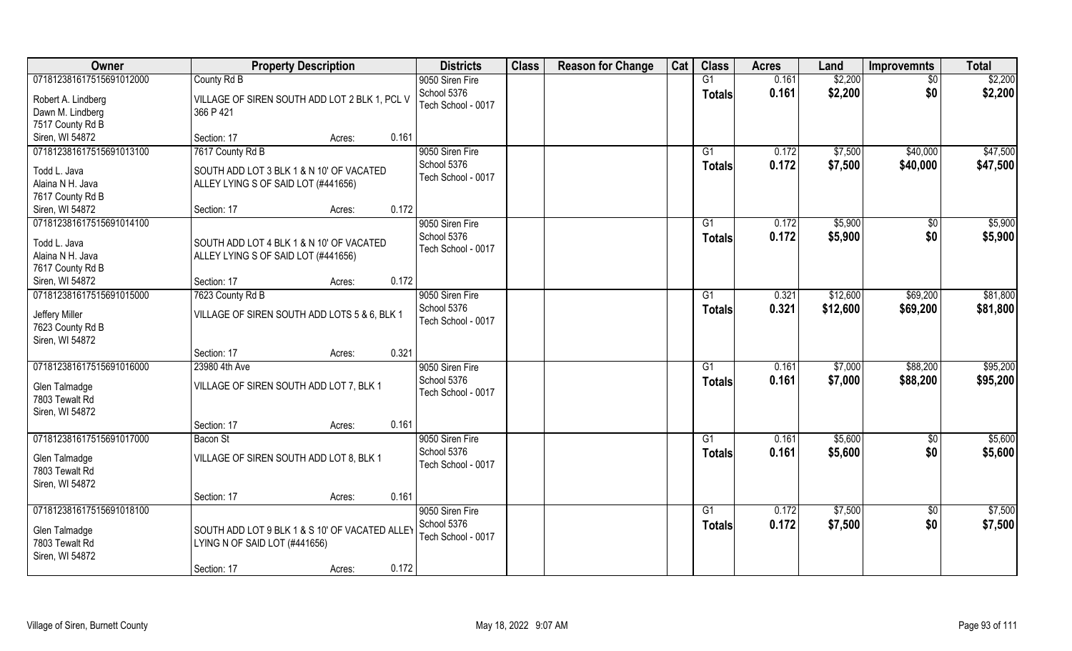| <b>Owner</b>                                          | <b>Property Description</b>                                | <b>Districts</b>                  | <b>Class</b> | <b>Reason for Change</b> | Cat | <b>Class</b>   | <b>Acres</b> | Land     | <b>Improvemnts</b> | <b>Total</b> |
|-------------------------------------------------------|------------------------------------------------------------|-----------------------------------|--------------|--------------------------|-----|----------------|--------------|----------|--------------------|--------------|
| 071812381617515691012000                              | County Rd B                                                | 9050 Siren Fire                   |              |                          |     | G1             | 0.161        | \$2,200  | $\overline{50}$    | \$2,200      |
| Robert A. Lindberg<br>Dawn M. Lindberg                | VILLAGE OF SIREN SOUTH ADD LOT 2 BLK 1, PCL V<br>366 P 421 | School 5376<br>Tech School - 0017 |              |                          |     | <b>Totals</b>  | 0.161        | \$2,200  | \$0                | \$2,200      |
| 7517 County Rd B                                      |                                                            |                                   |              |                          |     |                |              |          |                    |              |
| Siren, WI 54872                                       | 0.161<br>Section: 17<br>Acres:                             |                                   |              |                          |     |                |              |          |                    |              |
| 071812381617515691013100                              | 7617 County Rd B                                           | 9050 Siren Fire                   |              |                          |     | G1             | 0.172        | \$7,500  | \$40,000           | \$47,500     |
| Todd L. Java                                          | SOUTH ADD LOT 3 BLK 1 & N 10' OF VACATED                   | School 5376                       |              |                          |     | <b>Totals</b>  | 0.172        | \$7,500  | \$40,000           | \$47,500     |
| Alaina N H. Java                                      | ALLEY LYING S OF SAID LOT (#441656)                        | Tech School - 0017                |              |                          |     |                |              |          |                    |              |
| 7617 County Rd B                                      |                                                            |                                   |              |                          |     |                |              |          |                    |              |
| Siren, WI 54872                                       | 0.172<br>Section: 17<br>Acres:                             |                                   |              |                          |     |                |              |          |                    |              |
| 071812381617515691014100                              |                                                            | 9050 Siren Fire                   |              |                          |     | G1             | 0.172        | \$5,900  | $\sqrt[6]{3}$      | \$5,900      |
| Todd L. Java                                          | SOUTH ADD LOT 4 BLK 1 & N 10' OF VACATED                   | School 5376                       |              |                          |     | <b>Totals</b>  | 0.172        | \$5,900  | \$0                | \$5,900      |
| Alaina N H. Java                                      | ALLEY LYING S OF SAID LOT (#441656)                        | Tech School - 0017                |              |                          |     |                |              |          |                    |              |
| 7617 County Rd B                                      |                                                            |                                   |              |                          |     |                |              |          |                    |              |
| Siren, WI 54872                                       | 0.172<br>Section: 17<br>Acres:                             |                                   |              |                          |     |                |              |          |                    |              |
| 071812381617515691015000                              | 7623 County Rd B                                           | 9050 Siren Fire                   |              |                          |     | G <sub>1</sub> | 0.321        | \$12,600 | \$69,200           | \$81,800     |
|                                                       |                                                            | School 5376                       |              |                          |     | <b>Totals</b>  | 0.321        | \$12,600 | \$69,200           | \$81,800     |
| Jeffery Miller<br>7623 County Rd B<br>Siren, WI 54872 | VILLAGE OF SIREN SOUTH ADD LOTS 5 & 6, BLK 1               | Tech School - 0017                |              |                          |     |                |              |          |                    |              |
|                                                       | 0.321<br>Section: 17<br>Acres:                             |                                   |              |                          |     |                |              |          |                    |              |
| 071812381617515691016000                              | 23980 4th Ave                                              | 9050 Siren Fire                   |              |                          |     | G1             | 0.161        | \$7,000  | \$88,200           | \$95,200     |
| Glen Talmadge                                         | VILLAGE OF SIREN SOUTH ADD LOT 7, BLK 1                    | School 5376                       |              |                          |     | <b>Totals</b>  | 0.161        | \$7,000  | \$88,200           | \$95,200     |
| 7803 Tewalt Rd                                        |                                                            | Tech School - 0017                |              |                          |     |                |              |          |                    |              |
| Siren, WI 54872                                       |                                                            |                                   |              |                          |     |                |              |          |                    |              |
|                                                       | 0.161<br>Section: 17<br>Acres:                             |                                   |              |                          |     |                |              |          |                    |              |
| 071812381617515691017000                              | Bacon St                                                   | 9050 Siren Fire                   |              |                          |     | G1             | 0.161        | \$5,600  | \$0                | \$5,600      |
|                                                       |                                                            | School 5376                       |              |                          |     | <b>Totals</b>  | 0.161        | \$5,600  | \$0                | \$5,600      |
| Glen Talmadge                                         | VILLAGE OF SIREN SOUTH ADD LOT 8, BLK 1                    | Tech School - 0017                |              |                          |     |                |              |          |                    |              |
| 7803 Tewalt Rd                                        |                                                            |                                   |              |                          |     |                |              |          |                    |              |
| Siren, WI 54872                                       |                                                            |                                   |              |                          |     |                |              |          |                    |              |
|                                                       | 0.161<br>Section: 17<br>Acres:                             |                                   |              |                          |     |                |              |          |                    |              |
| 071812381617515691018100                              |                                                            | 9050 Siren Fire                   |              |                          |     | G <sub>1</sub> | 0.172        | \$7,500  | $\overline{50}$    | \$7,500      |
| Glen Talmadge                                         | SOUTH ADD LOT 9 BLK 1 & S 10' OF VACATED ALLEY             | School 5376                       |              |                          |     | Totals         | 0.172        | \$7,500  | \$0                | \$7,500      |
| 7803 Tewalt Rd                                        | LYING N OF SAID LOT (#441656)                              | Tech School - 0017                |              |                          |     |                |              |          |                    |              |
| Siren, WI 54872                                       |                                                            |                                   |              |                          |     |                |              |          |                    |              |
|                                                       | 0.172<br>Section: 17<br>Acres:                             |                                   |              |                          |     |                |              |          |                    |              |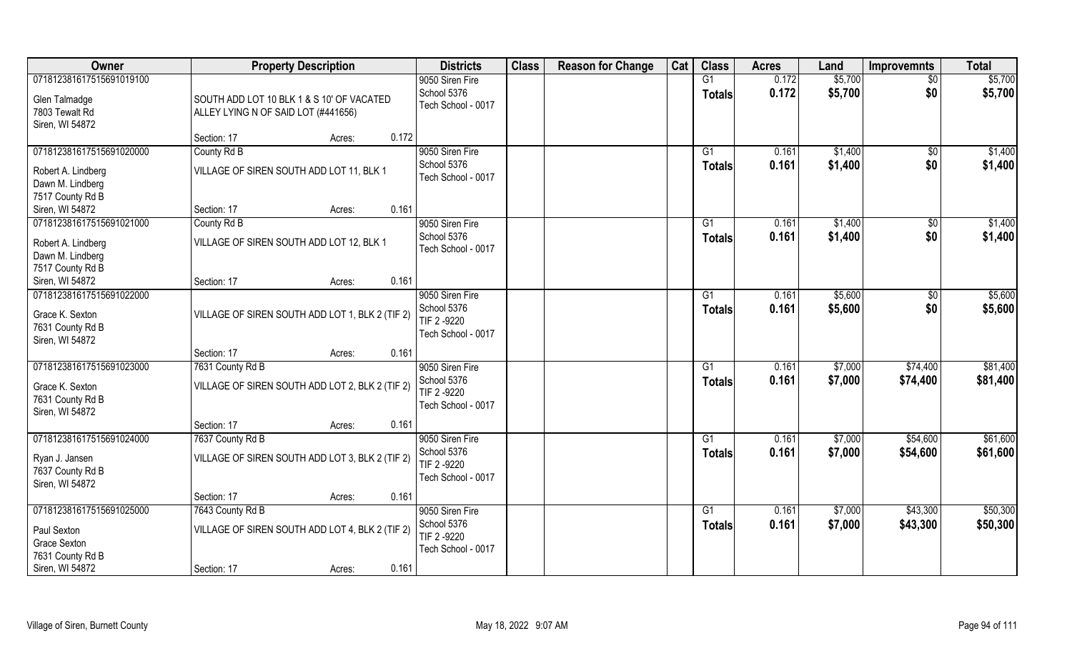| Owner                    | <b>Property Description</b>                     | <b>Districts</b>           | <b>Class</b> | <b>Reason for Change</b> | Cat | <b>Class</b>   | <b>Acres</b> | Land    | <b>Improvemnts</b> | <b>Total</b> |
|--------------------------|-------------------------------------------------|----------------------------|--------------|--------------------------|-----|----------------|--------------|---------|--------------------|--------------|
| 071812381617515691019100 |                                                 | 9050 Siren Fire            |              |                          |     | G1             | 0.172        | \$5,700 | $\overline{50}$    | \$5,700      |
| Glen Talmadge            | SOUTH ADD LOT 10 BLK 1 & S 10' OF VACATED       | School 5376                |              |                          |     | <b>Totals</b>  | 0.172        | \$5,700 | \$0                | \$5,700      |
| 7803 Tewalt Rd           | ALLEY LYING N OF SAID LOT (#441656)             | Tech School - 0017         |              |                          |     |                |              |         |                    |              |
| Siren, WI 54872          |                                                 |                            |              |                          |     |                |              |         |                    |              |
|                          | 0.172<br>Section: 17<br>Acres:                  |                            |              |                          |     |                |              |         |                    |              |
| 071812381617515691020000 | County Rd B                                     | 9050 Siren Fire            |              |                          |     | G <sub>1</sub> | 0.161        | \$1,400 | \$0                | \$1,400      |
| Robert A. Lindberg       | VILLAGE OF SIREN SOUTH ADD LOT 11, BLK 1        | School 5376                |              |                          |     | <b>Totals</b>  | 0.161        | \$1,400 | \$0                | \$1,400      |
| Dawn M. Lindberg         |                                                 | Tech School - 0017         |              |                          |     |                |              |         |                    |              |
| 7517 County Rd B         |                                                 |                            |              |                          |     |                |              |         |                    |              |
| Siren, WI 54872          | 0.161<br>Section: 17<br>Acres:                  |                            |              |                          |     |                |              |         |                    |              |
| 071812381617515691021000 | County Rd B                                     | 9050 Siren Fire            |              |                          |     | G1             | 0.161        | \$1,400 | \$0                | \$1,400      |
| Robert A. Lindberg       | VILLAGE OF SIREN SOUTH ADD LOT 12, BLK 1        | School 5376                |              |                          |     | <b>Totals</b>  | 0.161        | \$1,400 | \$0                | \$1,400      |
| Dawn M. Lindberg         |                                                 | Tech School - 0017         |              |                          |     |                |              |         |                    |              |
| 7517 County Rd B         |                                                 |                            |              |                          |     |                |              |         |                    |              |
| Siren, WI 54872          | 0.161<br>Section: 17<br>Acres:                  |                            |              |                          |     |                |              |         |                    |              |
| 071812381617515691022000 |                                                 | 9050 Siren Fire            |              |                          |     | G <sub>1</sub> | 0.161        | \$5,600 | $\sqrt[6]{3}$      | \$5,600      |
| Grace K. Sexton          | VILLAGE OF SIREN SOUTH ADD LOT 1, BLK 2 (TIF 2) | School 5376<br>TIF 2 -9220 |              |                          |     | <b>Totals</b>  | 0.161        | \$5,600 | \$0                | \$5,600      |
| 7631 County Rd B         |                                                 | Tech School - 0017         |              |                          |     |                |              |         |                    |              |
| Siren, WI 54872          |                                                 |                            |              |                          |     |                |              |         |                    |              |
|                          | 0.161<br>Section: 17<br>Acres:                  |                            |              |                          |     |                |              |         |                    |              |
| 071812381617515691023000 | 7631 County Rd B                                | 9050 Siren Fire            |              |                          |     | G1             | 0.161        | \$7,000 | \$74,400           | \$81,400     |
| Grace K. Sexton          | VILLAGE OF SIREN SOUTH ADD LOT 2, BLK 2 (TIF 2) | School 5376<br>TIF 2-9220  |              |                          |     | <b>Totals</b>  | 0.161        | \$7,000 | \$74,400           | \$81,400     |
| 7631 County Rd B         |                                                 | Tech School - 0017         |              |                          |     |                |              |         |                    |              |
| Siren, WI 54872          |                                                 |                            |              |                          |     |                |              |         |                    |              |
|                          | 0.161<br>Section: 17<br>Acres:                  |                            |              |                          |     |                |              |         |                    |              |
| 071812381617515691024000 | 7637 County Rd B                                | 9050 Siren Fire            |              |                          |     | G <sub>1</sub> | 0.161        | \$7,000 | \$54,600           | \$61,600     |
| Ryan J. Jansen           | VILLAGE OF SIREN SOUTH ADD LOT 3, BLK 2 (TIF 2) | School 5376<br>TIF 2 -9220 |              |                          |     | <b>Totals</b>  | 0.161        | \$7,000 | \$54,600           | \$61,600     |
| 7637 County Rd B         |                                                 | Tech School - 0017         |              |                          |     |                |              |         |                    |              |
| Siren, WI 54872          |                                                 |                            |              |                          |     |                |              |         |                    |              |
|                          | 0.161<br>Section: 17<br>Acres:                  |                            |              |                          |     |                |              |         |                    |              |
| 071812381617515691025000 | 7643 County Rd B                                | 9050 Siren Fire            |              |                          |     | G1             | 0.161        | \$7,000 | \$43,300           | \$50,300     |
| Paul Sexton              | VILLAGE OF SIREN SOUTH ADD LOT 4, BLK 2 (TIF 2) | School 5376<br>TIF 2 -9220 |              |                          |     | <b>Totals</b>  | 0.161        | \$7,000 | \$43,300           | \$50,300     |
| <b>Grace Sexton</b>      |                                                 | Tech School - 0017         |              |                          |     |                |              |         |                    |              |
| 7631 County Rd B         |                                                 |                            |              |                          |     |                |              |         |                    |              |
| Siren, WI 54872          | 0.161<br>Section: 17<br>Acres:                  |                            |              |                          |     |                |              |         |                    |              |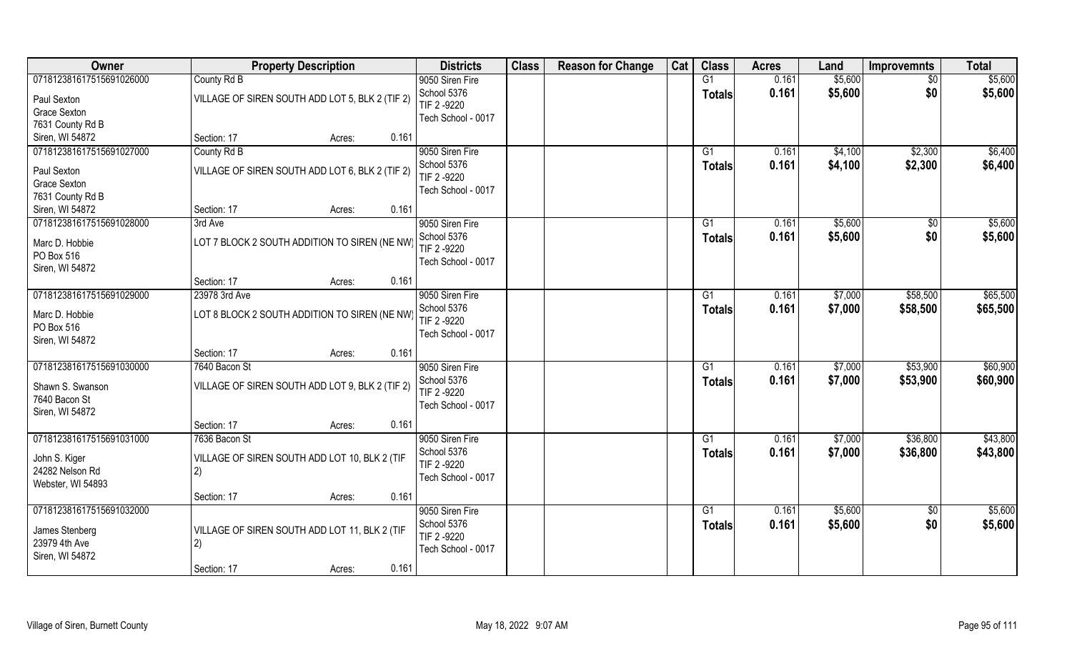| Owner                    | <b>Property Description</b>                     | <b>Districts</b>          | <b>Class</b> | <b>Reason for Change</b> | Cat | <b>Class</b>    | <b>Acres</b> | Land    | <b>Improvemnts</b> | <b>Total</b> |
|--------------------------|-------------------------------------------------|---------------------------|--------------|--------------------------|-----|-----------------|--------------|---------|--------------------|--------------|
| 071812381617515691026000 | County Rd B                                     | 9050 Siren Fire           |              |                          |     | G1              | 0.161        | \$5,600 | $\sqrt{$0}$        | \$5,600      |
| Paul Sexton              | VILLAGE OF SIREN SOUTH ADD LOT 5, BLK 2 (TIF 2) | School 5376               |              |                          |     | <b>Totals</b>   | 0.161        | \$5,600 | \$0                | \$5,600      |
| <b>Grace Sexton</b>      |                                                 | TIF 2 -9220               |              |                          |     |                 |              |         |                    |              |
| 7631 County Rd B         |                                                 | Tech School - 0017        |              |                          |     |                 |              |         |                    |              |
| Siren, WI 54872          | Section: 17<br>0.161<br>Acres:                  |                           |              |                          |     |                 |              |         |                    |              |
| 071812381617515691027000 | County Rd B                                     | 9050 Siren Fire           |              |                          |     | G1              | 0.161        | \$4,100 | \$2,300            | \$6,400      |
|                          |                                                 | School 5376               |              |                          |     | Totals          | 0.161        | \$4,100 | \$2,300            | \$6,400      |
| Paul Sexton              | VILLAGE OF SIREN SOUTH ADD LOT 6, BLK 2 (TIF 2) | TIF 2 -9220               |              |                          |     |                 |              |         |                    |              |
| Grace Sexton             |                                                 | Tech School - 0017        |              |                          |     |                 |              |         |                    |              |
| 7631 County Rd B         | 0.161<br>Section: 17                            |                           |              |                          |     |                 |              |         |                    |              |
| Siren, WI 54872          | Acres:                                          |                           |              |                          |     |                 |              |         |                    | \$5,600      |
| 071812381617515691028000 | 3rd Ave                                         | 9050 Siren Fire           |              |                          |     | G1              | 0.161        | \$5,600 | \$0                |              |
| Marc D. Hobbie           | LOT 7 BLOCK 2 SOUTH ADDITION TO SIREN (NE NW)   | School 5376<br>TIF 2-9220 |              |                          |     | <b>Totals</b>   | 0.161        | \$5,600 | \$0                | \$5,600      |
| PO Box 516               |                                                 | Tech School - 0017        |              |                          |     |                 |              |         |                    |              |
| Siren, WI 54872          |                                                 |                           |              |                          |     |                 |              |         |                    |              |
|                          | 0.161<br>Section: 17<br>Acres:                  |                           |              |                          |     |                 |              |         |                    |              |
| 071812381617515691029000 | 23978 3rd Ave                                   | 9050 Siren Fire           |              |                          |     | G1              | 0.161        | \$7,000 | \$58,500           | \$65,500     |
| Marc D. Hobbie           | LOT 8 BLOCK 2 SOUTH ADDITION TO SIREN (NE NW)   | School 5376               |              |                          |     | Totals          | 0.161        | \$7,000 | \$58,500           | \$65,500     |
| PO Box 516               |                                                 | TIF 2 -9220               |              |                          |     |                 |              |         |                    |              |
| Siren, WI 54872          |                                                 | Tech School - 0017        |              |                          |     |                 |              |         |                    |              |
|                          | 0.161<br>Section: 17<br>Acres:                  |                           |              |                          |     |                 |              |         |                    |              |
| 071812381617515691030000 | 7640 Bacon St                                   | 9050 Siren Fire           |              |                          |     | $\overline{G1}$ | 0.161        | \$7,000 | \$53,900           | \$60,900     |
|                          |                                                 | School 5376               |              |                          |     |                 | 0.161        | \$7,000 | \$53,900           | \$60,900     |
| Shawn S. Swanson         | VILLAGE OF SIREN SOUTH ADD LOT 9, BLK 2 (TIF 2) | TIF 2 -9220               |              |                          |     | <b>Totals</b>   |              |         |                    |              |
| 7640 Bacon St            |                                                 | Tech School - 0017        |              |                          |     |                 |              |         |                    |              |
| Siren, WI 54872          |                                                 |                           |              |                          |     |                 |              |         |                    |              |
|                          | Section: 17<br>0.161<br>Acres:                  |                           |              |                          |     |                 |              |         |                    |              |
| 071812381617515691031000 | 7636 Bacon St                                   | 9050 Siren Fire           |              |                          |     | G1              | 0.161        | \$7,000 | \$36,800           | \$43,800     |
| John S. Kiger            | VILLAGE OF SIREN SOUTH ADD LOT 10, BLK 2 (TIF   | School 5376               |              |                          |     | <b>Totals</b>   | 0.161        | \$7,000 | \$36,800           | \$43,800     |
| 24282 Nelson Rd          | 2)                                              | TIF 2 -9220               |              |                          |     |                 |              |         |                    |              |
| Webster, WI 54893        |                                                 | Tech School - 0017        |              |                          |     |                 |              |         |                    |              |
|                          | 0.161<br>Section: 17<br>Acres:                  |                           |              |                          |     |                 |              |         |                    |              |
| 071812381617515691032000 |                                                 | 9050 Siren Fire           |              |                          |     | G1              | 0.161        | \$5,600 | $\sqrt{$0}$        | \$5,600      |
|                          |                                                 | School 5376               |              |                          |     | <b>Totals</b>   | 0.161        | \$5,600 | \$0                | \$5,600      |
| James Stenberg           | VILLAGE OF SIREN SOUTH ADD LOT 11, BLK 2 (TIF   | TIF 2-9220                |              |                          |     |                 |              |         |                    |              |
| 23979 4th Ave            | 2)                                              | Tech School - 0017        |              |                          |     |                 |              |         |                    |              |
| Siren, WI 54872          | 0.161                                           |                           |              |                          |     |                 |              |         |                    |              |
|                          | Section: 17<br>Acres:                           |                           |              |                          |     |                 |              |         |                    |              |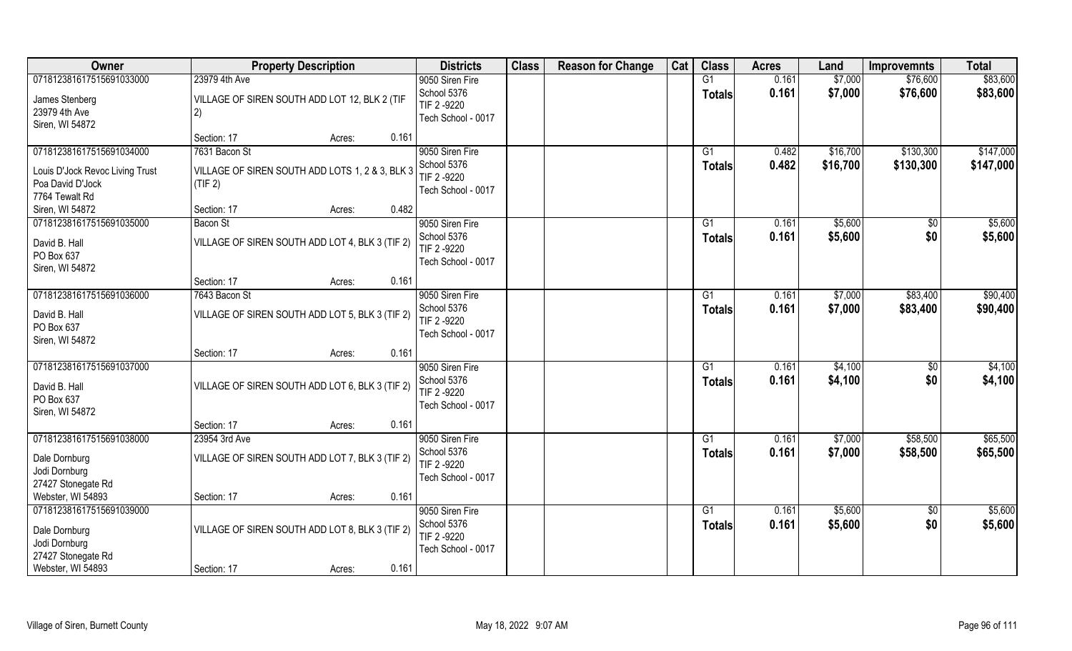| Owner                             | <b>Property Description</b>                     | <b>Districts</b>                 | <b>Class</b> | <b>Reason for Change</b> | Cat | <b>Class</b>  | <b>Acres</b> | Land     | <b>Improvemnts</b> | <b>Total</b> |
|-----------------------------------|-------------------------------------------------|----------------------------------|--------------|--------------------------|-----|---------------|--------------|----------|--------------------|--------------|
| 071812381617515691033000          | 23979 4th Ave                                   | 9050 Siren Fire                  |              |                          |     | G1            | 0.161        | \$7,000  | \$76,600           | \$83,600     |
| James Stenberg                    | VILLAGE OF SIREN SOUTH ADD LOT 12, BLK 2 (TIF   | School 5376<br>TIF 2 -9220       |              |                          |     | <b>Totals</b> | 0.161        | \$7,000  | \$76,600           | \$83,600     |
| 23979 4th Ave                     | 2)                                              | Tech School - 0017               |              |                          |     |               |              |          |                    |              |
| Siren, WI 54872                   | 0.161                                           |                                  |              |                          |     |               |              |          |                    |              |
| 071812381617515691034000          | Section: 17<br>Acres:<br>7631 Bacon St          | 9050 Siren Fire                  |              |                          |     | G1            | 0.482        | \$16,700 | \$130,300          | \$147,000    |
|                                   |                                                 | School 5376                      |              |                          |     | Totals        | 0.482        | \$16,700 | \$130,300          | \$147,000    |
| Louis D'Jock Revoc Living Trust   | VILLAGE OF SIREN SOUTH ADD LOTS 1, 2 & 3, BLK 3 | TIF 2-9220                       |              |                          |     |               |              |          |                    |              |
| Poa David D'Jock                  | (TIF 2)                                         | Tech School - 0017               |              |                          |     |               |              |          |                    |              |
| 7764 Tewalt Rd<br>Siren, WI 54872 | 0.482<br>Section: 17<br>Acres:                  |                                  |              |                          |     |               |              |          |                    |              |
| 071812381617515691035000          | <b>Bacon St</b>                                 | 9050 Siren Fire                  |              |                          |     | G1            | 0.161        | \$5,600  | $\sqrt{6}$         | \$5,600      |
|                                   |                                                 | School 5376                      |              |                          |     | <b>Totals</b> | 0.161        | \$5,600  | \$0                | \$5,600      |
| David B. Hall                     | VILLAGE OF SIREN SOUTH ADD LOT 4, BLK 3 (TIF 2) | TIF 2-9220                       |              |                          |     |               |              |          |                    |              |
| PO Box 637<br>Siren, WI 54872     |                                                 | Tech School - 0017               |              |                          |     |               |              |          |                    |              |
|                                   | 0.161<br>Section: 17<br>Acres:                  |                                  |              |                          |     |               |              |          |                    |              |
| 071812381617515691036000          | 7643 Bacon St                                   | 9050 Siren Fire                  |              |                          |     | G1            | 0.161        | \$7,000  | \$83,400           | \$90,400     |
|                                   |                                                 | School 5376                      |              |                          |     | <b>Totals</b> | 0.161        | \$7,000  | \$83,400           | \$90,400     |
| David B. Hall<br>PO Box 637       | VILLAGE OF SIREN SOUTH ADD LOT 5, BLK 3 (TIF 2) | TIF 2 -9220                      |              |                          |     |               |              |          |                    |              |
| Siren, WI 54872                   |                                                 | Tech School - 0017               |              |                          |     |               |              |          |                    |              |
|                                   | 0.161<br>Section: 17<br>Acres:                  |                                  |              |                          |     |               |              |          |                    |              |
| 071812381617515691037000          |                                                 | 9050 Siren Fire                  |              |                          |     | G1            | 0.161        | \$4,100  | $\sqrt[6]{30}$     | \$4,100      |
| David B. Hall                     | VILLAGE OF SIREN SOUTH ADD LOT 6, BLK 3 (TIF 2) | School 5376                      |              |                          |     | <b>Totals</b> | 0.161        | \$4,100  | \$0                | \$4,100      |
| PO Box 637                        |                                                 | TIF 2-9220                       |              |                          |     |               |              |          |                    |              |
| Siren, WI 54872                   |                                                 | Tech School - 0017               |              |                          |     |               |              |          |                    |              |
|                                   | Section: 17<br>0.161<br>Acres:                  |                                  |              |                          |     |               |              |          |                    |              |
| 071812381617515691038000          | 23954 3rd Ave                                   | 9050 Siren Fire                  |              |                          |     | G1            | 0.161        | \$7,000  | \$58,500           | \$65,500     |
| Dale Dornburg                     | VILLAGE OF SIREN SOUTH ADD LOT 7, BLK 3 (TIF 2) | School 5376                      |              |                          |     | <b>Totals</b> | 0.161        | \$7,000  | \$58,500           | \$65,500     |
| Jodi Dornburg                     |                                                 | TIF 2 -9220                      |              |                          |     |               |              |          |                    |              |
| 27427 Stonegate Rd                |                                                 | Tech School - 0017               |              |                          |     |               |              |          |                    |              |
| Webster, WI 54893                 | 0.161<br>Section: 17<br>Acres:                  |                                  |              |                          |     |               |              |          |                    |              |
| 071812381617515691039000          |                                                 | 9050 Siren Fire                  |              |                          |     | G1            | 0.161        | \$5,600  | $\overline{50}$    | \$5,600      |
| Dale Dornburg                     | VILLAGE OF SIREN SOUTH ADD LOT 8, BLK 3 (TIF 2) | School 5376                      |              |                          |     | Totals        | 0.161        | \$5,600  | \$0                | \$5,600      |
| Jodi Dornburg                     |                                                 | TIF 2-9220<br>Tech School - 0017 |              |                          |     |               |              |          |                    |              |
| 27427 Stonegate Rd                |                                                 |                                  |              |                          |     |               |              |          |                    |              |
| Webster, WI 54893                 | Section: 17<br>0.161<br>Acres:                  |                                  |              |                          |     |               |              |          |                    |              |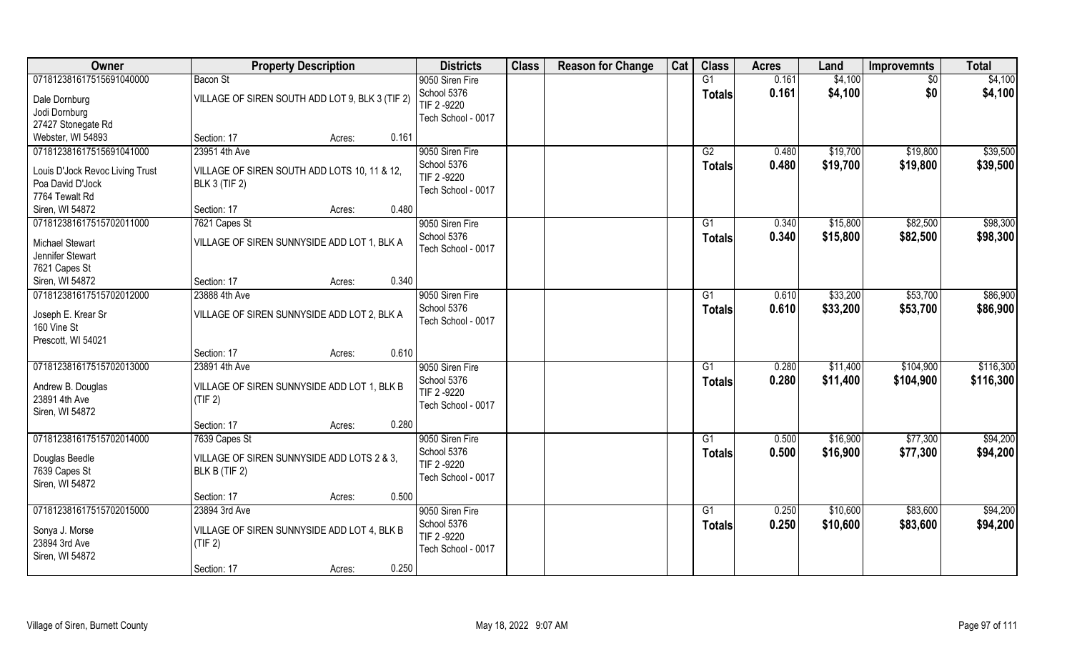| Owner                           | <b>Property Description</b>                     |        |       | <b>Districts</b>           | <b>Class</b> | <b>Reason for Change</b> | Cat | <b>Class</b>  | <b>Acres</b> | Land     | <b>Improvemnts</b> | <b>Total</b> |
|---------------------------------|-------------------------------------------------|--------|-------|----------------------------|--------------|--------------------------|-----|---------------|--------------|----------|--------------------|--------------|
| 071812381617515691040000        | Bacon St                                        |        |       | 9050 Siren Fire            |              |                          |     | G1            | 0.161        | \$4,100  | \$0                | \$4,100      |
| Dale Dornburg                   | VILLAGE OF SIREN SOUTH ADD LOT 9, BLK 3 (TIF 2) |        |       | School 5376<br>TIF 2 -9220 |              |                          |     | <b>Totals</b> | 0.161        | \$4,100  | \$0                | \$4,100      |
| Jodi Dornburg                   |                                                 |        |       | Tech School - 0017         |              |                          |     |               |              |          |                    |              |
| 27427 Stonegate Rd              |                                                 |        |       |                            |              |                          |     |               |              |          |                    |              |
| Webster, WI 54893               | Section: 17                                     | Acres: | 0.161 |                            |              |                          |     |               |              |          |                    |              |
| 071812381617515691041000        | 23951 4th Ave                                   |        |       | 9050 Siren Fire            |              |                          |     | G2            | 0.480        | \$19,700 | \$19,800           | \$39,500     |
| Louis D'Jock Revoc Living Trust | VILLAGE OF SIREN SOUTH ADD LOTS 10, 11 & 12,    |        |       | School 5376                |              |                          |     | <b>Totals</b> | 0.480        | \$19,700 | \$19,800           | \$39,500     |
| Poa David D'Jock                | <b>BLK 3 (TIF 2)</b>                            |        |       | TIF 2 -9220                |              |                          |     |               |              |          |                    |              |
| 7764 Tewalt Rd                  |                                                 |        |       | Tech School - 0017         |              |                          |     |               |              |          |                    |              |
| Siren, WI 54872                 | Section: 17                                     | Acres: | 0.480 |                            |              |                          |     |               |              |          |                    |              |
| 071812381617515702011000        | 7621 Capes St                                   |        |       | 9050 Siren Fire            |              |                          |     | G1            | 0.340        | \$15,800 | \$82,500           | \$98,300     |
| <b>Michael Stewart</b>          | VILLAGE OF SIREN SUNNYSIDE ADD LOT 1, BLK A     |        |       | School 5376                |              |                          |     | <b>Totals</b> | 0.340        | \$15,800 | \$82,500           | \$98,300     |
| Jennifer Stewart                |                                                 |        |       | Tech School - 0017         |              |                          |     |               |              |          |                    |              |
| 7621 Capes St                   |                                                 |        |       |                            |              |                          |     |               |              |          |                    |              |
| Siren, WI 54872                 | Section: 17                                     | Acres: | 0.340 |                            |              |                          |     |               |              |          |                    |              |
| 071812381617515702012000        | 23888 4th Ave                                   |        |       | 9050 Siren Fire            |              |                          |     | G1            | 0.610        | \$33,200 | \$53,700           | \$86,900     |
|                                 |                                                 |        |       | School 5376                |              |                          |     | <b>Totals</b> | 0.610        | \$33,200 | \$53,700           | \$86,900     |
| Joseph E. Krear Sr              | VILLAGE OF SIREN SUNNYSIDE ADD LOT 2, BLK A     |        |       | Tech School - 0017         |              |                          |     |               |              |          |                    |              |
| 160 Vine St                     |                                                 |        |       |                            |              |                          |     |               |              |          |                    |              |
| Prescott, WI 54021              | Section: 17                                     | Acres: | 0.610 |                            |              |                          |     |               |              |          |                    |              |
| 071812381617515702013000        | 23891 4th Ave                                   |        |       | 9050 Siren Fire            |              |                          |     | G1            | 0.280        | \$11,400 | \$104,900          | \$116,300    |
|                                 |                                                 |        |       | School 5376                |              |                          |     |               | 0.280        | \$11,400 | \$104,900          | \$116,300    |
| Andrew B. Douglas               | VILLAGE OF SIREN SUNNYSIDE ADD LOT 1, BLK B     |        |       | TIF 2-9220                 |              |                          |     | Totals        |              |          |                    |              |
| 23891 4th Ave                   | (TIF 2)                                         |        |       | Tech School - 0017         |              |                          |     |               |              |          |                    |              |
| Siren, WI 54872                 |                                                 |        |       |                            |              |                          |     |               |              |          |                    |              |
|                                 | Section: 17                                     | Acres: | 0.280 |                            |              |                          |     |               |              |          |                    |              |
| 071812381617515702014000        | 7639 Capes St                                   |        |       | 9050 Siren Fire            |              |                          |     | G1            | 0.500        | \$16,900 | \$77,300           | \$94,200     |
| Douglas Beedle                  | VILLAGE OF SIREN SUNNYSIDE ADD LOTS 2 & 3.      |        |       | School 5376                |              |                          |     | <b>Totals</b> | 0.500        | \$16,900 | \$77,300           | \$94,200     |
| 7639 Capes St                   | BLK B (TIF 2)                                   |        |       | TIF 2 -9220                |              |                          |     |               |              |          |                    |              |
| Siren, WI 54872                 |                                                 |        |       | Tech School - 0017         |              |                          |     |               |              |          |                    |              |
|                                 | Section: 17                                     | Acres: | 0.500 |                            |              |                          |     |               |              |          |                    |              |
| 071812381617515702015000        | 23894 3rd Ave                                   |        |       | 9050 Siren Fire            |              |                          |     | G1            | 0.250        | \$10,600 | \$83,600           | \$94,200     |
| Sonya J. Morse                  | VILLAGE OF SIREN SUNNYSIDE ADD LOT 4, BLK B     |        |       | School 5376                |              |                          |     | <b>Totals</b> | 0.250        | \$10,600 | \$83,600           | \$94,200     |
| 23894 3rd Ave                   | (TIF 2)                                         |        |       | TIF 2-9220                 |              |                          |     |               |              |          |                    |              |
| Siren, WI 54872                 |                                                 |        |       | Tech School - 0017         |              |                          |     |               |              |          |                    |              |
|                                 | Section: 17                                     | Acres: | 0.250 |                            |              |                          |     |               |              |          |                    |              |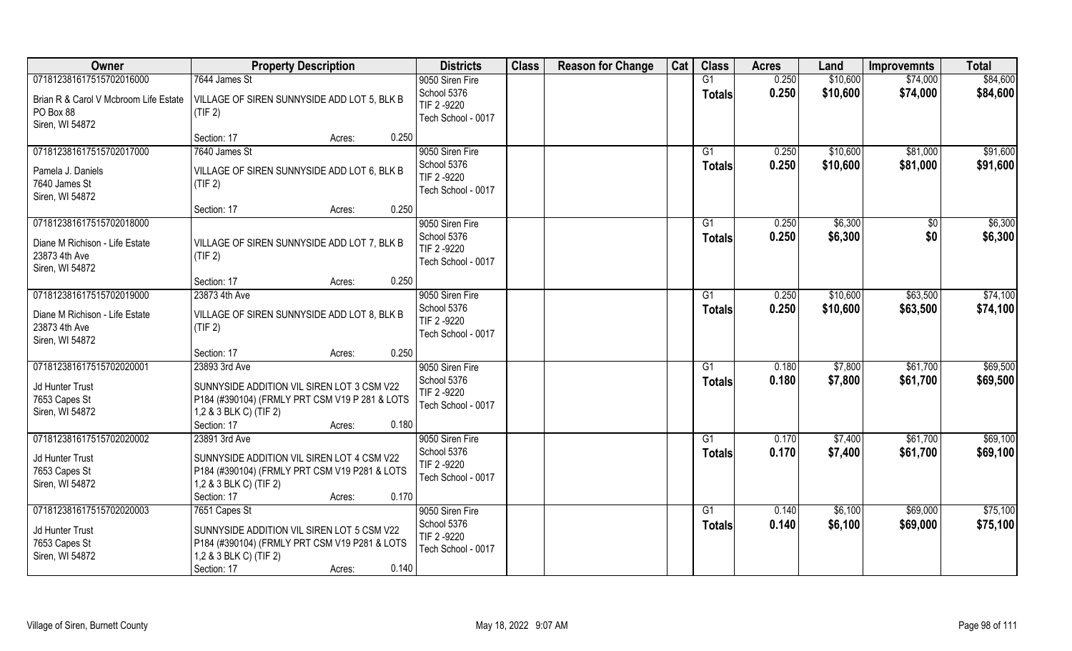| Owner                                                                                          | <b>Property Description</b>                                                                                                                                              | <b>Districts</b>                                                    | <b>Class</b> | <b>Reason for Change</b> | Cat | <b>Class</b>              | <b>Acres</b>   | Land                 | <b>Improvemnts</b>   | <b>Total</b>         |
|------------------------------------------------------------------------------------------------|--------------------------------------------------------------------------------------------------------------------------------------------------------------------------|---------------------------------------------------------------------|--------------|--------------------------|-----|---------------------------|----------------|----------------------|----------------------|----------------------|
| 071812381617515702016000                                                                       | 7644 James St                                                                                                                                                            | 9050 Siren Fire                                                     |              |                          |     | G1                        | 0.250          | \$10,600             | \$74,000             | \$84,600             |
| Brian R & Carol V Mcbroom Life Estate<br>PO Box 88<br>Siren, WI 54872                          | VILLAGE OF SIREN SUNNYSIDE ADD LOT 5, BLK B<br>(TIF 2)                                                                                                                   | School 5376<br>TIF 2-9220<br>Tech School - 0017                     |              |                          |     | <b>Totals</b>             | 0.250          | \$10,600             | \$74,000             | \$84,600             |
|                                                                                                | 0.250<br>Section: 17<br>Acres:                                                                                                                                           |                                                                     |              |                          |     |                           |                |                      |                      |                      |
| 071812381617515702017000<br>Pamela J. Daniels<br>7640 James St<br>Siren, WI 54872              | 7640 James St<br>VILLAGE OF SIREN SUNNYSIDE ADD LOT 6, BLK B<br>(TIF 2)                                                                                                  | 9050 Siren Fire<br>School 5376<br>TIF 2-9220<br>Tech School - 0017  |              |                          |     | $\overline{G1}$<br>Totals | 0.250<br>0.250 | \$10,600<br>\$10,600 | \$81,000<br>\$81,000 | \$91,600<br>\$91,600 |
|                                                                                                | 0.250<br>Section: 17<br>Acres:                                                                                                                                           |                                                                     |              |                          |     |                           |                |                      |                      |                      |
| 071812381617515702018000<br>Diane M Richison - Life Estate<br>23873 4th Ave<br>Siren, WI 54872 | VILLAGE OF SIREN SUNNYSIDE ADD LOT 7, BLK B<br>(TIF 2)                                                                                                                   | 9050 Siren Fire<br>School 5376<br>TIF 2-9220<br>Tech School - 0017  |              |                          |     | G1<br><b>Totals</b>       | 0.250<br>0.250 | \$6,300<br>\$6,300   | \$0<br>\$0           | \$6,300<br>\$6,300   |
|                                                                                                | 0.250<br>Section: 17<br>Acres:                                                                                                                                           |                                                                     |              |                          |     |                           |                |                      |                      |                      |
| 071812381617515702019000                                                                       | 23873 4th Ave                                                                                                                                                            | 9050 Siren Fire                                                     |              |                          |     | G1                        | 0.250          | \$10,600             | \$63,500             | \$74,100             |
| Diane M Richison - Life Estate<br>23873 4th Ave<br>Siren, WI 54872                             | VILLAGE OF SIREN SUNNYSIDE ADD LOT 8, BLK B<br>(TIF 2)                                                                                                                   | School 5376<br>TIF 2 -9220<br>Tech School - 0017                    |              |                          |     | <b>Totals</b>             | 0.250          | \$10,600             | \$63,500             | \$74,100             |
|                                                                                                | 0.250<br>Section: 17<br>Acres:                                                                                                                                           |                                                                     |              |                          |     |                           |                |                      |                      |                      |
| 071812381617515702020001<br>Jd Hunter Trust<br>7653 Capes St<br>Siren, WI 54872                | 23893 3rd Ave<br>SUNNYSIDE ADDITION VIL SIREN LOT 3 CSM V22<br>P184 (#390104) (FRMLY PRT CSM V19 P 281 & LOTS<br>1,2 & 3 BLK C) (TIF 2)                                  | 9050 Siren Fire<br>School 5376<br>TIF 2-9220<br>Tech School - 0017  |              |                          |     | G1<br><b>Totals</b>       | 0.180<br>0.180 | \$7,800<br>\$7,800   | \$61,700<br>\$61,700 | \$69,500<br>\$69,500 |
|                                                                                                | Section: 17<br>0.180<br>Acres:                                                                                                                                           |                                                                     |              |                          |     |                           |                |                      |                      |                      |
| 071812381617515702020002<br>Jd Hunter Trust<br>7653 Capes St<br>Siren, WI 54872                | 23891 3rd Ave<br>SUNNYSIDE ADDITION VIL SIREN LOT 4 CSM V22<br>P184 (#390104) (FRMLY PRT CSM V19 P281 & LOTS<br>1,2 & 3 BLK C) (TIF 2)<br>Section: 17<br>0.170<br>Acres: | 9050 Siren Fire<br>School 5376<br>TIF 2-9220<br>Tech School - 0017  |              |                          |     | G1<br><b>Totals</b>       | 0.170<br>0.170 | \$7,400<br>\$7,400   | \$61,700<br>\$61,700 | \$69,100<br>\$69,100 |
| 071812381617515702020003<br>Jd Hunter Trust<br>7653 Capes St<br>Siren, WI 54872                | 7651 Capes St<br>SUNNYSIDE ADDITION VIL SIREN LOT 5 CSM V22<br>P184 (#390104) (FRMLY PRT CSM V19 P281 & LOTS<br>1,2 & 3 BLK C) (TIF 2)<br>Section: 17<br>0.140<br>Acres: | 9050 Siren Fire<br>School 5376<br>TIF 2 -9220<br>Tech School - 0017 |              |                          |     | G1<br><b>Totals</b>       | 0.140<br>0.140 | \$6,100<br>\$6,100   | \$69,000<br>\$69,000 | \$75,100<br>\$75,100 |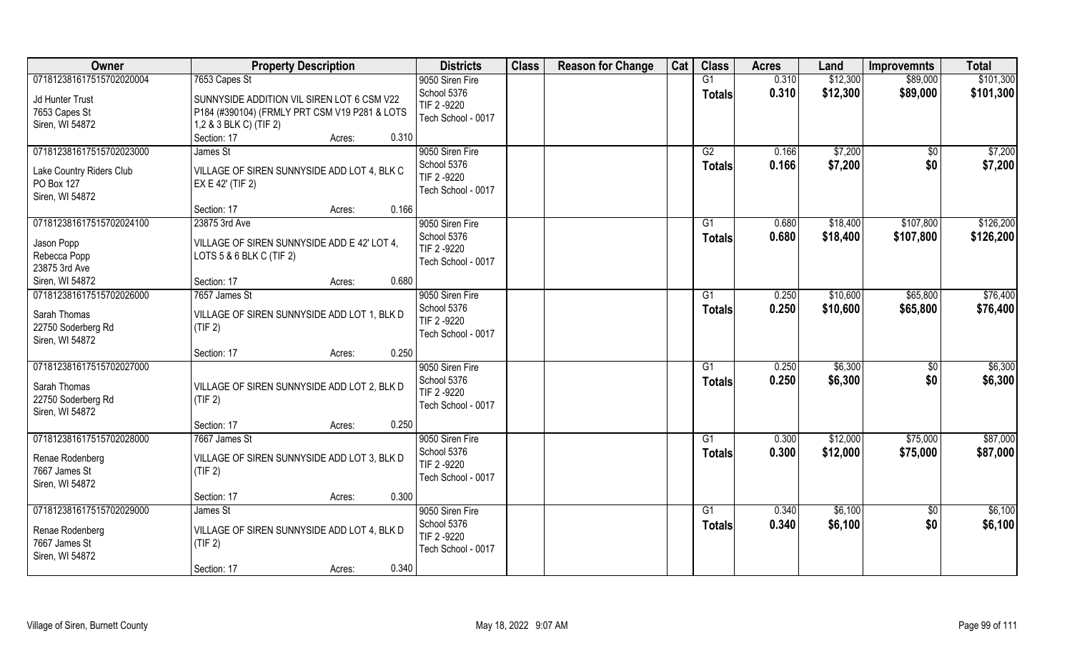| Owner                                                                                      | <b>Property Description</b>                                                                                                                                              | <b>Districts</b>                                                    | <b>Class</b> | <b>Reason for Change</b> | Cat | <b>Class</b>                     | <b>Acres</b>   | Land                 | <b>Improvemnts</b>     | <b>Total</b>           |
|--------------------------------------------------------------------------------------------|--------------------------------------------------------------------------------------------------------------------------------------------------------------------------|---------------------------------------------------------------------|--------------|--------------------------|-----|----------------------------------|----------------|----------------------|------------------------|------------------------|
| 071812381617515702020004<br>Jd Hunter Trust<br>7653 Capes St<br>Siren, WI 54872            | 7653 Capes St<br>SUNNYSIDE ADDITION VIL SIREN LOT 6 CSM V22<br>P184 (#390104) (FRMLY PRT CSM V19 P281 & LOTS<br>1,2 & 3 BLK C) (TIF 2)<br>Section: 17<br>0.310<br>Acres: | 9050 Siren Fire<br>School 5376<br>TIF 2-9220<br>Tech School - 0017  |              |                          |     | G1<br><b>Totals</b>              | 0.310<br>0.310 | \$12,300<br>\$12,300 | \$89,000<br>\$89,000   | \$101,300<br>\$101,300 |
| 071812381617515702023000<br>Lake Country Riders Club<br>PO Box 127<br>Siren, WI 54872      | James St<br>VILLAGE OF SIREN SUNNYSIDE ADD LOT 4, BLK C<br>EX E 42' (TIF 2)<br>0.166<br>Section: 17<br>Acres:                                                            | 9050 Siren Fire<br>School 5376<br>TIF 2-9220<br>Tech School - 0017  |              |                          |     | G2<br><b>Totals</b>              | 0.166<br>0.166 | \$7,200<br>\$7,200   | \$0<br>\$0             | \$7,200<br>\$7,200     |
| 071812381617515702024100<br>Jason Popp<br>Rebecca Popp<br>23875 3rd Ave<br>Siren, WI 54872 | 23875 3rd Ave<br>VILLAGE OF SIREN SUNNYSIDE ADD E 42' LOT 4,<br>LOTS 5 & 6 BLK C (TIF 2)<br>0.680<br>Section: 17<br>Acres:                                               | 9050 Siren Fire<br>School 5376<br>TIF 2-9220<br>Tech School - 0017  |              |                          |     | G1<br><b>Totals</b>              | 0.680<br>0.680 | \$18,400<br>\$18,400 | \$107,800<br>\$107,800 | \$126,200<br>\$126,200 |
| 071812381617515702026000<br>Sarah Thomas<br>22750 Soderberg Rd<br>Siren, WI 54872          | 7657 James St<br>VILLAGE OF SIREN SUNNYSIDE ADD LOT 1, BLK D<br>(TIF 2)<br>0.250<br>Section: 17<br>Acres:                                                                | 9050 Siren Fire<br>School 5376<br>TIF 2-9220<br>Tech School - 0017  |              |                          |     | G1<br><b>Totals</b>              | 0.250<br>0.250 | \$10,600<br>\$10,600 | \$65,800<br>\$65,800   | \$76,400<br>\$76,400   |
| 071812381617515702027000<br>Sarah Thomas<br>22750 Soderberg Rd<br>Siren, WI 54872          | VILLAGE OF SIREN SUNNYSIDE ADD LOT 2, BLK D<br>(TIF 2)<br>0.250<br>Section: 17<br>Acres:                                                                                 | 9050 Siren Fire<br>School 5376<br>TIF 2 -9220<br>Tech School - 0017 |              |                          |     | G1<br><b>Totals</b>              | 0.250<br>0.250 | \$6,300<br>\$6,300   | $\sqrt[6]{}$<br>\$0    | \$6,300<br>\$6,300     |
| 071812381617515702028000<br>Renae Rodenberg<br>7667 James St<br>Siren, WI 54872            | 7667 James St<br>VILLAGE OF SIREN SUNNYSIDE ADD LOT 3, BLK D<br>(TIF 2)<br>0.300<br>Section: 17<br>Acres:                                                                | 9050 Siren Fire<br>School 5376<br>TIF 2-9220<br>Tech School - 0017  |              |                          |     | $\overline{G1}$<br><b>Totals</b> | 0.300<br>0.300 | \$12,000<br>\$12,000 | \$75,000<br>\$75,000   | \$87,000<br>\$87,000   |
| 071812381617515702029000<br>Renae Rodenberg<br>7667 James St<br>Siren, WI 54872            | James St<br>VILLAGE OF SIREN SUNNYSIDE ADD LOT 4, BLK D<br>(TIF 2)<br>0.340<br>Section: 17<br>Acres:                                                                     | 9050 Siren Fire<br>School 5376<br>TIF 2-9220<br>Tech School - 0017  |              |                          |     | G1<br><b>Totals</b>              | 0.340<br>0.340 | \$6,100<br>\$6,100   | \$0<br>\$0             | \$6,100<br>\$6,100     |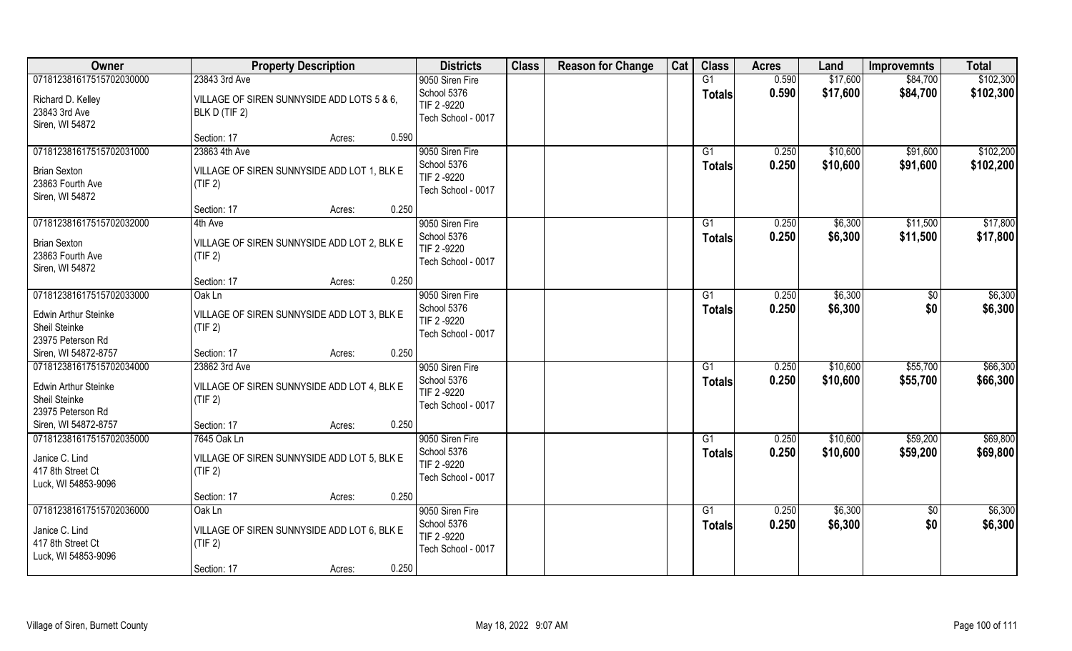| Owner                                                                                                          | <b>Property Description</b>                                                                                                               | <b>Districts</b>                                                    | <b>Class</b> | <b>Reason for Change</b> | Cat | <b>Class</b>                    | <b>Acres</b>   | Land                 | <b>Improvemnts</b>   | <b>Total</b>           |
|----------------------------------------------------------------------------------------------------------------|-------------------------------------------------------------------------------------------------------------------------------------------|---------------------------------------------------------------------|--------------|--------------------------|-----|---------------------------------|----------------|----------------------|----------------------|------------------------|
| 071812381617515702030000<br>Richard D. Kelley<br>23843 3rd Ave<br>Siren, WI 54872                              | 23843 3rd Ave<br>VILLAGE OF SIREN SUNNYSIDE ADD LOTS 5 & 6,<br>BLK D (TIF 2)                                                              | 9050 Siren Fire<br>School 5376<br>TIF 2-9220<br>Tech School - 0017  |              |                          |     | G1<br><b>Totals</b>             | 0.590<br>0.590 | \$17,600<br>\$17,600 | \$84,700<br>\$84,700 | \$102,300<br>\$102,300 |
| 071812381617515702031000<br><b>Brian Sexton</b><br>23863 Fourth Ave<br>Siren, WI 54872                         | Section: 17<br>0.590<br>Acres:<br>23863 4th Ave<br>VILLAGE OF SIREN SUNNYSIDE ADD LOT 1, BLK E<br>(TIF 2)                                 | 9050 Siren Fire<br>School 5376<br>TIF 2 -9220<br>Tech School - 0017 |              |                          |     | G1<br>Totals                    | 0.250<br>0.250 | \$10,600<br>\$10,600 | \$91,600<br>\$91,600 | \$102,200<br>\$102,200 |
| 071812381617515702032000<br><b>Brian Sexton</b><br>23863 Fourth Ave<br>Siren, WI 54872                         | 0.250<br>Section: 17<br>Acres:<br>4th Ave<br>VILLAGE OF SIREN SUNNYSIDE ADD LOT 2, BLK E<br>(TIF 2)<br>0.250<br>Section: 17<br>Acres:     | 9050 Siren Fire<br>School 5376<br>TIF 2-9220<br>Tech School - 0017  |              |                          |     | G1<br><b>Totals</b>             | 0.250<br>0.250 | \$6,300<br>\$6,300   | \$11,500<br>\$11,500 | \$17,800<br>\$17,800   |
| 071812381617515702033000<br><b>Edwin Arthur Steinke</b><br>Sheil Steinke<br>23975 Peterson Rd                  | Oak Ln<br>VILLAGE OF SIREN SUNNYSIDE ADD LOT 3, BLK E<br>(TIF 2)                                                                          | 9050 Siren Fire<br>School 5376<br>TIF 2-9220<br>Tech School - 0017  |              |                          |     | G1<br><b>Totals</b>             | 0.250<br>0.250 | \$6,300<br>\$6,300   | \$0<br>\$0           | \$6,300<br>\$6,300     |
| Siren, WI 54872-8757<br>071812381617515702034000<br>Edwin Arthur Steinke<br>Sheil Steinke<br>23975 Peterson Rd | 0.250<br>Section: 17<br>Acres:<br>23862 3rd Ave<br>VILLAGE OF SIREN SUNNYSIDE ADD LOT 4, BLK E<br>(TIF 2)                                 | 9050 Siren Fire<br>School 5376<br>TIF 2 -9220<br>Tech School - 0017 |              |                          |     | G <sub>1</sub><br><b>Totals</b> | 0.250<br>0.250 | \$10,600<br>\$10,600 | \$55,700<br>\$55,700 | \$66,300<br>\$66,300   |
| Siren, WI 54872-8757<br>071812381617515702035000<br>Janice C. Lind<br>417 8th Street Ct<br>Luck, WI 54853-9096 | 0.250<br>Section: 17<br>Acres:<br>7645 Oak Ln<br>VILLAGE OF SIREN SUNNYSIDE ADD LOT 5, BLK E<br>(TIF 2)<br>0.250<br>Section: 17<br>Acres: | 9050 Siren Fire<br>School 5376<br>TIF 2 -9220<br>Tech School - 0017 |              |                          |     | G1<br><b>Totals</b>             | 0.250<br>0.250 | \$10,600<br>\$10,600 | \$59,200<br>\$59,200 | \$69,800<br>\$69,800   |
| 071812381617515702036000<br>Janice C. Lind<br>417 8th Street Ct<br>Luck, WI 54853-9096                         | Oak Ln<br>VILLAGE OF SIREN SUNNYSIDE ADD LOT 6, BLK E<br>(TIF 2)<br>0.250<br>Section: 17<br>Acres:                                        | 9050 Siren Fire<br>School 5376<br>TIF 2 -9220<br>Tech School - 0017 |              |                          |     | G1<br><b>Totals</b>             | 0.250<br>0.250 | \$6,300<br>\$6,300   | $\sqrt{6}$<br>\$0    | \$6,300<br>\$6,300     |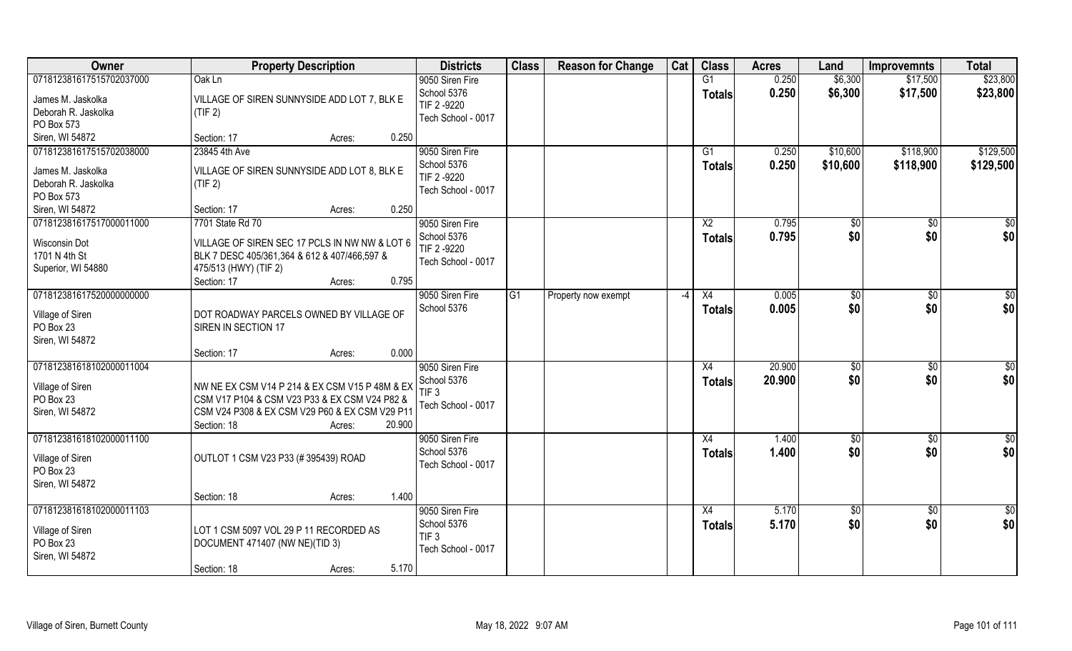| Owner                                                                                                 | <b>Property Description</b>                                                                                                                                                          | <b>Districts</b>                                                         | <b>Class</b>    | <b>Reason for Change</b> | Cat                      | <b>Class</b>                     | <b>Acres</b>     | Land                 | <b>Improvemnts</b>     | <b>Total</b>           |
|-------------------------------------------------------------------------------------------------------|--------------------------------------------------------------------------------------------------------------------------------------------------------------------------------------|--------------------------------------------------------------------------|-----------------|--------------------------|--------------------------|----------------------------------|------------------|----------------------|------------------------|------------------------|
| 071812381617515702037000<br>James M. Jaskolka<br>Deborah R. Jaskolka<br>PO Box 573                    | Oak Ln<br>VILLAGE OF SIREN SUNNYSIDE ADD LOT 7, BLK E<br>(TIF 2)                                                                                                                     | 9050 Siren Fire<br>School 5376<br>TIF 2 -9220<br>Tech School - 0017      |                 |                          |                          | G1<br><b>Totals</b>              | 0.250<br>0.250   | \$6,300<br>\$6,300   | \$17,500<br>\$17,500   | \$23,800<br>\$23,800   |
| Siren, WI 54872                                                                                       | 0.250<br>Section: 17<br>Acres:                                                                                                                                                       |                                                                          |                 |                          |                          |                                  |                  |                      |                        |                        |
| 071812381617515702038000<br>James M. Jaskolka<br>Deborah R. Jaskolka<br>PO Box 573<br>Siren, WI 54872 | 23845 4th Ave<br>VILLAGE OF SIREN SUNNYSIDE ADD LOT 8, BLK E<br>(TIF 2)<br>0.250<br>Section: 17<br>Acres:                                                                            | 9050 Siren Fire<br>School 5376<br>TIF 2 -9220<br>Tech School - 0017      |                 |                          |                          | G1<br>Totals                     | 0.250<br>0.250   | \$10,600<br>\$10,600 | \$118,900<br>\$118,900 | \$129,500<br>\$129,500 |
| 071812381617517000011000                                                                              | 7701 State Rd 70                                                                                                                                                                     | 9050 Siren Fire                                                          |                 |                          |                          | X <sub>2</sub>                   | 0.795            | \$0                  | $\sqrt[6]{30}$         | \$0                    |
| Wisconsin Dot<br>1701 N 4th St<br>Superior, WI 54880                                                  | VILLAGE OF SIREN SEC 17 PCLS IN NW NW & LOT 6<br>BLK 7 DESC 405/361,364 & 612 & 407/466,597 &<br>475/513 (HWY) (TIF 2)<br>0.795<br>Section: 17<br>Acres:                             | School 5376<br>TIF 2 -9220<br>Tech School - 0017                         |                 |                          |                          | <b>Totals</b>                    | 0.795            | \$0                  | \$0                    | \$0                    |
| 071812381617520000000000<br>Village of Siren<br>PO Box 23<br>Siren, WI 54872                          | DOT ROADWAY PARCELS OWNED BY VILLAGE OF<br>SIREN IN SECTION 17<br>0.000<br>Section: 17<br>Acres:                                                                                     | 9050 Siren Fire<br>School 5376                                           | $\overline{G1}$ | Property now exempt      | $\overline{\phantom{a}}$ | X4<br><b>Totals</b>              | 0.005<br>0.005   | $ $ \$0<br>\$0       | $\sqrt[6]{3}$<br>\$0   | \$0<br>\$0             |
| 071812381618102000011004<br>Village of Siren<br>PO Box 23<br>Siren, WI 54872                          | NW NE EX CSM V14 P 214 & EX CSM V15 P 48M & EX<br>CSM V17 P104 & CSM V23 P33 & EX CSM V24 P82 &<br>CSM V24 P308 & EX CSM V29 P60 & EX CSM V29 P11<br>20.900<br>Section: 18<br>Acres: | 9050 Siren Fire<br>School 5376<br>TIF <sub>3</sub><br>Tech School - 0017 |                 |                          |                          | X4<br><b>Totals</b>              | 20.900<br>20.900 | \$0<br>\$0           | \$0<br>\$0             | $\overline{50}$<br>\$0 |
| 071812381618102000011100<br>Village of Siren<br>PO Box 23<br>Siren, WI 54872                          | OUTLOT 1 CSM V23 P33 (#395439) ROAD<br>1.400<br>Section: 18<br>Acres:                                                                                                                | 9050 Siren Fire<br>School 5376<br>Tech School - 0017                     |                 |                          |                          | X4<br><b>Totals</b>              | 1.400<br>1.400   | \$0<br>\$0           | \$0<br>\$0             | \$0<br>\$0             |
| 071812381618102000011103<br>Village of Siren<br>PO Box 23<br>Siren, WI 54872                          | LOT 1 CSM 5097 VOL 29 P 11 RECORDED AS<br>DOCUMENT 471407 (NW NE)(TID 3)<br>5.170<br>Section: 18<br>Acres:                                                                           | 9050 Siren Fire<br>School 5376<br>TIF <sub>3</sub><br>Tech School - 0017 |                 |                          |                          | $\overline{X4}$<br><b>Totals</b> | 5.170<br>5.170   | \$0<br>\$0           | $\sqrt{$0}$<br>\$0     | \$0<br>\$0             |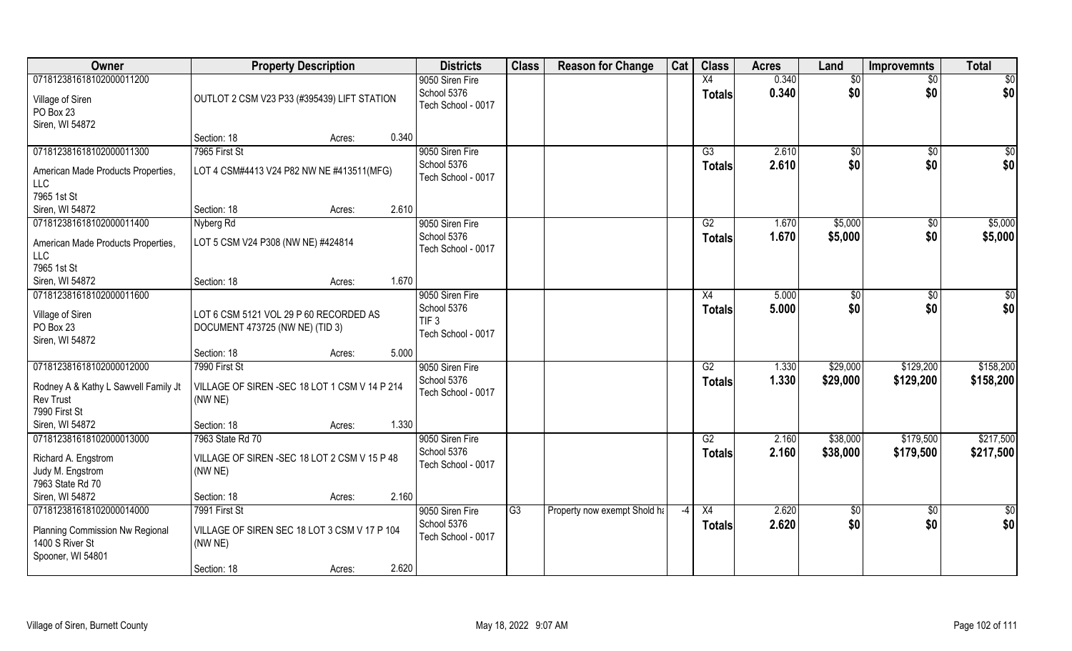| Owner                                                    | <b>Property Description</b>                                           | <b>Districts</b>                  | <b>Class</b>    | <b>Reason for Change</b>     | Cat | <b>Class</b>    | <b>Acres</b> | Land        | <b>Improvemnts</b> | <b>Total</b> |
|----------------------------------------------------------|-----------------------------------------------------------------------|-----------------------------------|-----------------|------------------------------|-----|-----------------|--------------|-------------|--------------------|--------------|
| 071812381618102000011200                                 |                                                                       | 9050 Siren Fire                   |                 |                              |     | $\overline{X4}$ | 0.340        | \$0         | $\sqrt{6}$         | \$0          |
| Village of Siren                                         | OUTLOT 2 CSM V23 P33 (#395439) LIFT STATION                           | School 5376<br>Tech School - 0017 |                 |                              |     | <b>Totals</b>   | 0.340        | \$0         | \$0                | \$0          |
| PO Box 23                                                |                                                                       |                                   |                 |                              |     |                 |              |             |                    |              |
| Siren, WI 54872                                          |                                                                       |                                   |                 |                              |     |                 |              |             |                    |              |
|                                                          | 0.340<br>Section: 18<br>Acres:                                        |                                   |                 |                              |     |                 |              |             |                    |              |
| 071812381618102000011300                                 | 7965 First St                                                         | 9050 Siren Fire                   |                 |                              |     | $\overline{G3}$ | 2.610        | $\sqrt{$0}$ | \$0                | \$0          |
| American Made Products Properties,                       | LOT 4 CSM#4413 V24 P82 NW NE #413511(MFG)                             | School 5376                       |                 |                              |     | <b>Totals</b>   | 2.610        | \$0         | \$0                | \$0          |
| LLC                                                      |                                                                       | Tech School - 0017                |                 |                              |     |                 |              |             |                    |              |
| 7965 1st St                                              |                                                                       |                                   |                 |                              |     |                 |              |             |                    |              |
| Siren, WI 54872                                          | Section: 18<br>2.610<br>Acres:                                        |                                   |                 |                              |     |                 |              |             |                    |              |
| 071812381618102000011400                                 | Nyberg Rd                                                             | 9050 Siren Fire                   |                 |                              |     | G2              | 1.670        | \$5,000     | $\sqrt[6]{}$       | \$5,000      |
| American Made Products Properties,                       | LOT 5 CSM V24 P308 (NW NE) #424814                                    | School 5376                       |                 |                              |     | <b>Totals</b>   | 1.670        | \$5,000     | \$0                | \$5,000      |
| <b>LLC</b>                                               |                                                                       | Tech School - 0017                |                 |                              |     |                 |              |             |                    |              |
| 7965 1st St                                              |                                                                       |                                   |                 |                              |     |                 |              |             |                    |              |
| Siren, WI 54872                                          | 1.670<br>Section: 18<br>Acres:                                        |                                   |                 |                              |     |                 |              |             |                    |              |
| 071812381618102000011600                                 |                                                                       | 9050 Siren Fire                   |                 |                              |     | X4              | 5.000        | \$0         | $\sqrt{50}$        | \$0          |
| Village of Siren                                         | LOT 6 CSM 5121 VOL 29 P 60 RECORDED AS                                | School 5376                       |                 |                              |     | <b>Totals</b>   | 5.000        | \$0         | \$0                | \$0          |
| PO Box 23                                                | DOCUMENT 473725 (NW NE) (TID 3)                                       | TIF <sub>3</sub>                  |                 |                              |     |                 |              |             |                    |              |
| Siren, WI 54872                                          |                                                                       | Tech School - 0017                |                 |                              |     |                 |              |             |                    |              |
|                                                          | 5.000<br>Section: 18<br>Acres:                                        |                                   |                 |                              |     |                 |              |             |                    |              |
| 071812381618102000012000                                 | 7990 First St                                                         | 9050 Siren Fire                   |                 |                              |     | $\overline{G2}$ | 1.330        | \$29,000    | \$129,200          | \$158,200    |
|                                                          |                                                                       | School 5376                       |                 |                              |     | <b>Totals</b>   | 1.330        | \$29,000    | \$129,200          | \$158,200    |
| Rodney A & Kathy L Sawvell Family Jt<br><b>Rev Trust</b> | VILLAGE OF SIREN - SEC 18 LOT 1 CSM V 14 P 214<br>(NW <sub>NE</sub> ) | Tech School - 0017                |                 |                              |     |                 |              |             |                    |              |
| 7990 First St                                            |                                                                       |                                   |                 |                              |     |                 |              |             |                    |              |
| Siren, WI 54872                                          | 1.330<br>Section: 18<br>Acres:                                        |                                   |                 |                              |     |                 |              |             |                    |              |
| 071812381618102000013000                                 | 7963 State Rd 70                                                      | 9050 Siren Fire                   |                 |                              |     | G2              | 2.160        | \$38,000    | \$179,500          | \$217,500    |
|                                                          |                                                                       | School 5376                       |                 |                              |     | <b>Totals</b>   | 2.160        | \$38,000    | \$179,500          | \$217,500    |
| Richard A. Engstrom                                      | VILLAGE OF SIREN - SEC 18 LOT 2 CSM V 15 P 48                         | Tech School - 0017                |                 |                              |     |                 |              |             |                    |              |
| Judy M. Engstrom                                         | (NW NE)                                                               |                                   |                 |                              |     |                 |              |             |                    |              |
| 7963 State Rd 70<br>Siren, WI 54872                      | 2.160<br>Section: 18<br>Acres:                                        |                                   |                 |                              |     |                 |              |             |                    |              |
| 071812381618102000014000                                 | 7991 First St                                                         | 9050 Siren Fire                   | $\overline{G3}$ | Property now exempt Shold ha | -4  | $\overline{X4}$ | 2.620        | \$0         | $\sqrt[6]{30}$     | \$0          |
|                                                          |                                                                       | School 5376                       |                 |                              |     | <b>Totals</b>   | 2.620        | \$0         | \$0                | \$0          |
| Planning Commission Nw Regional                          | VILLAGE OF SIREN SEC 18 LOT 3 CSM V 17 P 104                          | Tech School - 0017                |                 |                              |     |                 |              |             |                    |              |
| 1400 S River St                                          | (NW NE)                                                               |                                   |                 |                              |     |                 |              |             |                    |              |
| Spooner, WI 54801                                        |                                                                       |                                   |                 |                              |     |                 |              |             |                    |              |
|                                                          | 2.620<br>Section: 18<br>Acres:                                        |                                   |                 |                              |     |                 |              |             |                    |              |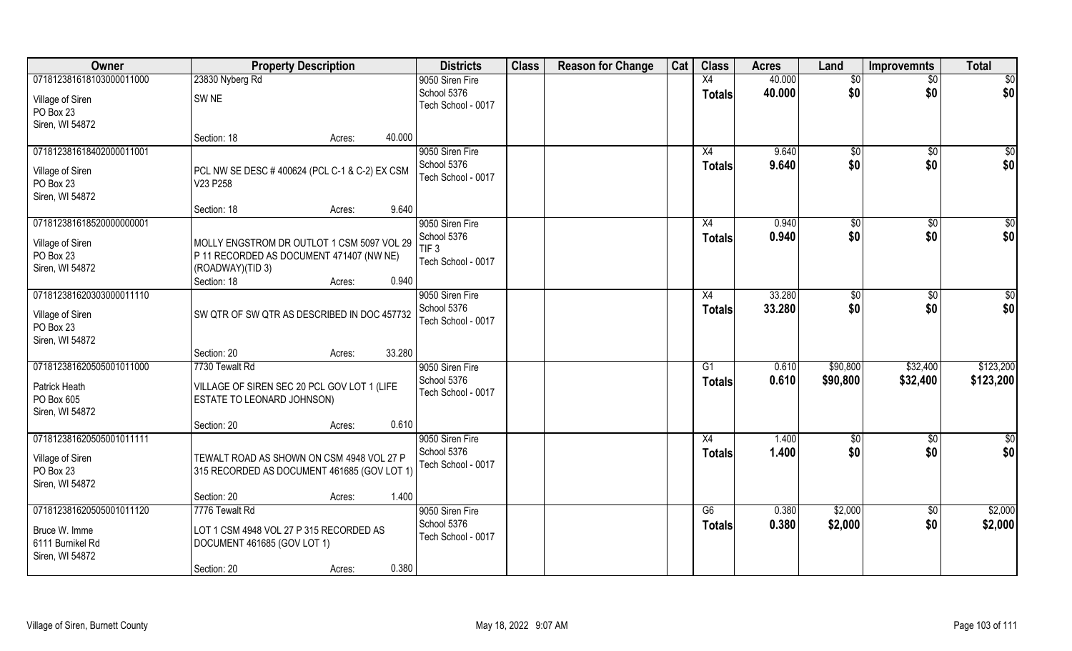| Owner                             | <b>Property Description</b>                                            | <b>Districts</b>                  | <b>Class</b> | <b>Reason for Change</b> | Cat | <b>Class</b>  | <b>Acres</b> | Land          | <b>Improvemnts</b> | <b>Total</b> |
|-----------------------------------|------------------------------------------------------------------------|-----------------------------------|--------------|--------------------------|-----|---------------|--------------|---------------|--------------------|--------------|
| 071812381618103000011000          | 23830 Nyberg Rd                                                        | 9050 Siren Fire                   |              |                          |     | X4            | 40.000       | \$0           | $\sqrt{$0}$        | $\sqrt{50}$  |
| Village of Siren<br>PO Box 23     | SW <sub>NE</sub>                                                       | School 5376<br>Tech School - 0017 |              |                          |     | <b>Totals</b> | 40.000       | \$0           | \$0                | \$0          |
| Siren, WI 54872                   |                                                                        |                                   |              |                          |     |               |              |               |                    |              |
|                                   | 40.000<br>Section: 18<br>Acres:                                        |                                   |              |                          |     |               |              |               |                    |              |
| 071812381618402000011001          |                                                                        | 9050 Siren Fire                   |              |                          |     | X4            | 9.640        | $\sqrt{50}$   | $\sqrt{$0}$        | \$0          |
| Village of Siren<br>PO Box 23     | PCL NW SE DESC #400624 (PCL C-1 & C-2) EX CSM<br>V23 P258              | School 5376<br>Tech School - 0017 |              |                          |     | <b>Totals</b> | 9.640        | \$0           | \$0                | \$0          |
| Siren, WI 54872                   |                                                                        |                                   |              |                          |     |               |              |               |                    |              |
|                                   | 9.640<br>Section: 18<br>Acres:                                         |                                   |              |                          |     |               |              |               |                    |              |
| 071812381618520000000001          |                                                                        | 9050 Siren Fire                   |              |                          |     | X4            | 0.940        | $\sqrt[6]{3}$ | $\overline{30}$    | $\sqrt{50}$  |
| Village of Siren                  | MOLLY ENGSTROM DR OUTLOT 1 CSM 5097 VOL 29                             | School 5376                       |              |                          |     | <b>Totals</b> | 0.940        | \$0           | \$0                | \$0          |
| PO Box 23                         | P 11 RECORDED AS DOCUMENT 471407 (NW NE)                               | TIF <sub>3</sub>                  |              |                          |     |               |              |               |                    |              |
| Siren, WI 54872                   | (ROADWAY)(TID 3)                                                       | Tech School - 0017                |              |                          |     |               |              |               |                    |              |
|                                   | 0.940<br>Section: 18<br>Acres:                                         |                                   |              |                          |     |               |              |               |                    |              |
| 071812381620303000011110          |                                                                        | 9050 Siren Fire                   |              |                          |     | X4            | 33.280       | \$0           | $\sqrt[6]{3}$      | \$0          |
| Village of Siren<br>PO Box 23     | SW QTR OF SW QTR AS DESCRIBED IN DOC 457732                            | School 5376<br>Tech School - 0017 |              |                          |     | <b>Totals</b> | 33.280       | \$0           | \$0                | \$0          |
| Siren, WI 54872                   | 33.280<br>Section: 20<br>Acres:                                        |                                   |              |                          |     |               |              |               |                    |              |
| 071812381620505001011000          | 7730 Tewalt Rd                                                         | 9050 Siren Fire                   |              |                          |     | G1            | 0.610        | \$90,800      | \$32,400           | \$123,200    |
|                                   |                                                                        | School 5376                       |              |                          |     | <b>Totals</b> | 0.610        | \$90,800      | \$32,400           | \$123,200    |
| Patrick Heath                     | VILLAGE OF SIREN SEC 20 PCL GOV LOT 1 (LIFE                            | Tech School - 0017                |              |                          |     |               |              |               |                    |              |
| PO Box 605<br>Siren, WI 54872     | ESTATE TO LEONARD JOHNSON)                                             |                                   |              |                          |     |               |              |               |                    |              |
|                                   | 0.610<br>Section: 20<br>Acres:                                         |                                   |              |                          |     |               |              |               |                    |              |
| 071812381620505001011111          |                                                                        | 9050 Siren Fire                   |              |                          |     | X4            | 1.400        | \$0           | \$0                | \$0          |
| Village of Siren<br>PO Box 23     | TEWALT ROAD AS SHOWN ON CSM 4948 VOL 27 P                              | School 5376<br>Tech School - 0017 |              |                          |     | <b>Totals</b> | 1.400        | \$0           | \$0                | \$0          |
| Siren, WI 54872                   | 315 RECORDED AS DOCUMENT 461685 (GOV LOT 1)                            |                                   |              |                          |     |               |              |               |                    |              |
|                                   | 1.400<br>Section: 20<br>Acres:                                         |                                   |              |                          |     |               |              |               |                    |              |
| 071812381620505001011120          | 7776 Tewalt Rd                                                         | 9050 Siren Fire                   |              |                          |     | G6            | 0.380        | \$2,000       | $\sqrt{$0}$        | \$2,000      |
|                                   |                                                                        | School 5376                       |              |                          |     | <b>Totals</b> | 0.380        | \$2,000       | \$0                | \$2,000      |
| Bruce W. Imme<br>6111 Burnikel Rd | LOT 1 CSM 4948 VOL 27 P 315 RECORDED AS<br>DOCUMENT 461685 (GOV LOT 1) | Tech School - 0017                |              |                          |     |               |              |               |                    |              |
| Siren, WI 54872                   |                                                                        |                                   |              |                          |     |               |              |               |                    |              |
|                                   | 0.380<br>Section: 20<br>Acres:                                         |                                   |              |                          |     |               |              |               |                    |              |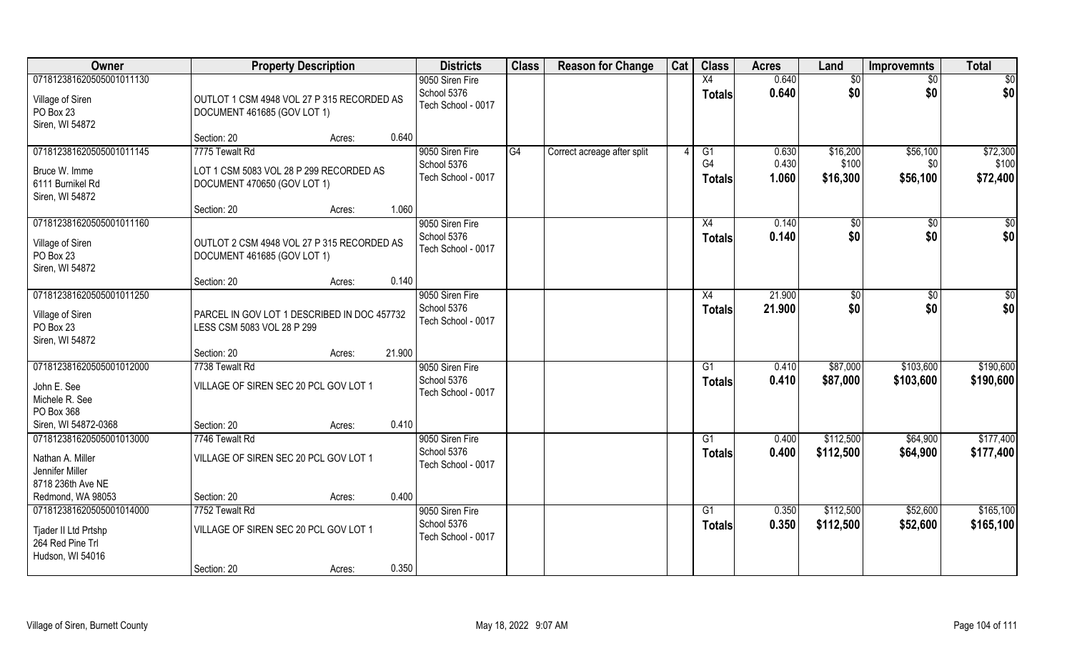| Owner                                                                                    | <b>Property Description</b>                                               |        | <b>Districts</b>                                     | <b>Class</b> | <b>Reason for Change</b>    | Cat | <b>Class</b>                     | <b>Acres</b>     | Land                   | <b>Improvemnts</b>     | <b>Total</b>           |
|------------------------------------------------------------------------------------------|---------------------------------------------------------------------------|--------|------------------------------------------------------|--------------|-----------------------------|-----|----------------------------------|------------------|------------------------|------------------------|------------------------|
| 071812381620505001011130                                                                 |                                                                           |        | 9050 Siren Fire                                      |              |                             |     | X4                               | 0.640            | \$0                    | \$0                    | \$0                    |
| Village of Siren<br>PO Box 23<br>Siren, WI 54872                                         | OUTLOT 1 CSM 4948 VOL 27 P 315 RECORDED AS<br>DOCUMENT 461685 (GOV LOT 1) |        | School 5376<br>Tech School - 0017                    |              |                             |     | <b>Totals</b>                    | 0.640            | \$0                    | \$0                    | \$0                    |
|                                                                                          | Section: 20<br>Acres:                                                     | 0.640  |                                                      |              |                             |     |                                  |                  |                        |                        |                        |
| 071812381620505001011145                                                                 | 7775 Tewalt Rd                                                            |        | 9050 Siren Fire<br>School 5376                       | G4           | Correct acreage after split |     | G1<br>G <sub>4</sub>             | 0.630<br>0.430   | \$16,200<br>\$100      | \$56,100<br>\$0        | \$72,300<br>\$100      |
| Bruce W. Imme<br>6111 Burnikel Rd<br>Siren, WI 54872                                     | LOT 1 CSM 5083 VOL 28 P 299 RECORDED AS<br>DOCUMENT 470650 (GOV LOT 1)    |        | Tech School - 0017                                   |              |                             |     | <b>Totals</b>                    | 1.060            | \$16,300               | \$56,100               | \$72,400               |
|                                                                                          | Section: 20<br>Acres:                                                     | 1.060  |                                                      |              |                             |     |                                  |                  |                        |                        |                        |
| 071812381620505001011160<br>Village of Siren<br>PO Box 23<br>Siren, WI 54872             | OUTLOT 2 CSM 4948 VOL 27 P 315 RECORDED AS<br>DOCUMENT 461685 (GOV LOT 1) |        | 9050 Siren Fire<br>School 5376<br>Tech School - 0017 |              |                             |     | X4<br><b>Totals</b>              | 0.140<br>0.140   | \$0<br>\$0             | \$0<br>\$0             | \$0<br>\$0             |
|                                                                                          | Section: 20<br>Acres:                                                     | 0.140  |                                                      |              |                             |     |                                  |                  |                        |                        |                        |
| 071812381620505001011250<br>Village of Siren<br>PO Box 23                                | PARCEL IN GOV LOT 1 DESCRIBED IN DOC 457732<br>LESS CSM 5083 VOL 28 P 299 |        | 9050 Siren Fire<br>School 5376<br>Tech School - 0017 |              |                             |     | X4<br><b>Totals</b>              | 21.900<br>21.900 | \$0<br>\$0             | \$0<br>\$0             | \$0<br>\$0             |
| Siren, WI 54872                                                                          | Section: 20<br>Acres:                                                     | 21.900 |                                                      |              |                             |     |                                  |                  |                        |                        |                        |
| 071812381620505001012000<br>John E. See<br>Michele R. See<br>PO Box 368                  | 7738 Tewalt Rd<br>VILLAGE OF SIREN SEC 20 PCL GOV LOT 1                   |        | 9050 Siren Fire<br>School 5376<br>Tech School - 0017 |              |                             |     | G1<br><b>Totals</b>              | 0.410<br>0.410   | \$87,000<br>\$87,000   | \$103,600<br>\$103,600 | \$190,600<br>\$190,600 |
| Siren, WI 54872-0368                                                                     | Section: 20<br>Acres:                                                     | 0.410  |                                                      |              |                             |     |                                  |                  |                        |                        |                        |
| 071812381620505001013000                                                                 | 7746 Tewalt Rd                                                            |        | 9050 Siren Fire                                      |              |                             |     | G1                               | 0.400            | \$112,500              | \$64,900               | \$177,400              |
| Nathan A. Miller<br>Jennifer Miller<br>8718 236th Ave NE                                 | VILLAGE OF SIREN SEC 20 PCL GOV LOT 1                                     |        | School 5376<br>Tech School - 0017                    |              |                             |     | <b>Totals</b>                    | 0.400            | \$112,500              | \$64,900               | \$177,400              |
| Redmond, WA 98053                                                                        | Section: 20<br>Acres:                                                     | 0.400  |                                                      |              |                             |     |                                  |                  |                        |                        |                        |
| 071812381620505001014000<br>Tjader II Ltd Prtshp<br>264 Red Pine Trl<br>Hudson, WI 54016 | 7752 Tewalt Rd<br>VILLAGE OF SIREN SEC 20 PCL GOV LOT 1                   |        | 9050 Siren Fire<br>School 5376<br>Tech School - 0017 |              |                             |     | $\overline{G1}$<br><b>Totals</b> | 0.350<br>0.350   | \$112,500<br>\$112,500 | \$52,600<br>\$52,600   | \$165,100<br>\$165,100 |
|                                                                                          | Section: 20<br>Acres:                                                     | 0.350  |                                                      |              |                             |     |                                  |                  |                        |                        |                        |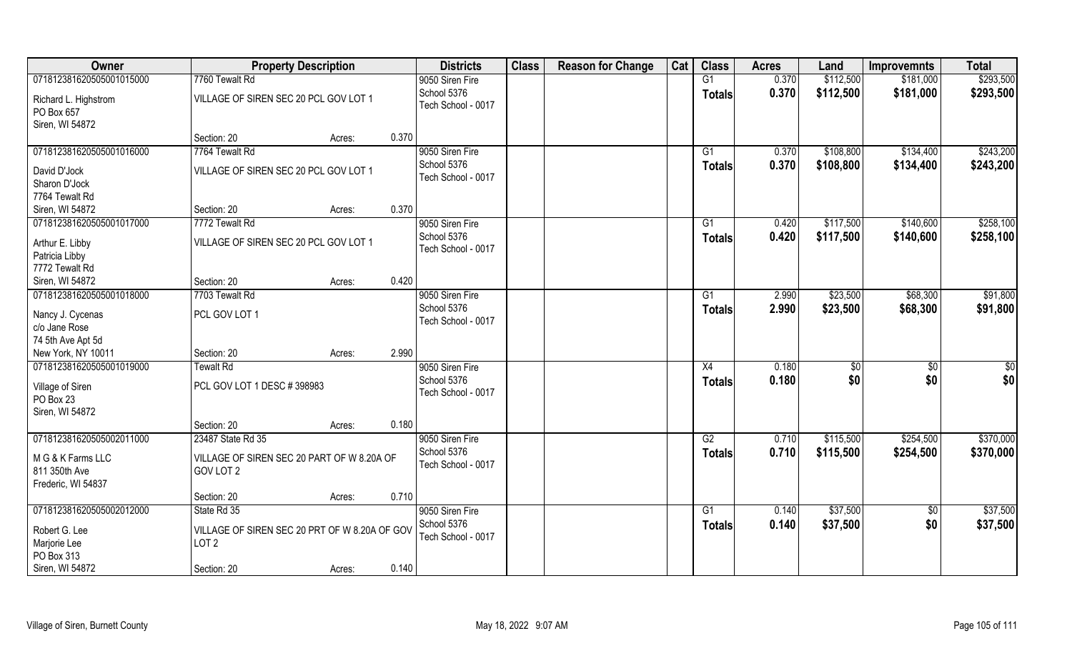| Owner                                                    | <b>Property Description</b>                                       |        |       | <b>Districts</b>                  | <b>Class</b> | <b>Reason for Change</b> | Cat | <b>Class</b>    | <b>Acres</b>   | Land                   | <b>Improvemnts</b>     | <b>Total</b>           |
|----------------------------------------------------------|-------------------------------------------------------------------|--------|-------|-----------------------------------|--------------|--------------------------|-----|-----------------|----------------|------------------------|------------------------|------------------------|
| 071812381620505001015000                                 | 7760 Tewalt Rd                                                    |        |       | 9050 Siren Fire                   |              |                          |     | G1              | 0.370          | \$112,500              | \$181,000              | \$293,500              |
| Richard L. Highstrom<br>PO Box 657<br>Siren, WI 54872    | VILLAGE OF SIREN SEC 20 PCL GOV LOT 1                             |        |       | School 5376<br>Tech School - 0017 |              |                          |     | <b>Totals</b>   | 0.370          | \$112,500              | \$181,000              | \$293,500              |
|                                                          | Section: 20                                                       | Acres: | 0.370 |                                   |              |                          |     |                 |                |                        |                        |                        |
| 071812381620505001016000                                 | 7764 Tewalt Rd                                                    |        |       | 9050 Siren Fire<br>School 5376    |              |                          |     | G1<br>Totals    | 0.370<br>0.370 | \$108,800<br>\$108,800 | \$134,400<br>\$134,400 | \$243,200<br>\$243,200 |
| David D'Jock<br>Sharon D'Jock<br>7764 Tewalt Rd          | VILLAGE OF SIREN SEC 20 PCL GOV LOT 1                             |        |       | Tech School - 0017                |              |                          |     |                 |                |                        |                        |                        |
| Siren, WI 54872                                          | Section: 20                                                       | Acres: | 0.370 |                                   |              |                          |     |                 |                |                        |                        |                        |
| 071812381620505001017000                                 | 7772 Tewalt Rd                                                    |        |       | 9050 Siren Fire                   |              |                          |     | G1              | 0.420          | \$117,500              | \$140,600              | \$258,100              |
| Arthur E. Libby<br>Patricia Libby<br>7772 Tewalt Rd      | VILLAGE OF SIREN SEC 20 PCL GOV LOT 1                             |        |       | School 5376<br>Tech School - 0017 |              |                          |     | <b>Totals</b>   | 0.420          | \$117,500              | \$140,600              | \$258,100              |
| Siren, WI 54872                                          | Section: 20                                                       | Acres: | 0.420 |                                   |              |                          |     |                 |                |                        |                        |                        |
| 071812381620505001018000                                 | 7703 Tewalt Rd                                                    |        |       | 9050 Siren Fire                   |              |                          |     | G1              | 2.990          | \$23,500               | \$68,300               | \$91,800               |
| Nancy J. Cycenas<br>c/o Jane Rose<br>74 5th Ave Apt 5d   | PCL GOV LOT 1                                                     |        |       | School 5376<br>Tech School - 0017 |              |                          |     | <b>Totals</b>   | 2.990          | \$23,500               | \$68,300               | \$91,800               |
| New York, NY 10011                                       | Section: 20                                                       | Acres: | 2.990 |                                   |              |                          |     |                 |                |                        |                        |                        |
| 071812381620505001019000                                 | <b>Tewalt Rd</b>                                                  |        |       | 9050 Siren Fire                   |              |                          |     | X4              | 0.180          | \$0                    | $\sqrt[6]{30}$         | $\overline{50}$        |
| Village of Siren<br>PO Box 23<br>Siren, WI 54872         | PCL GOV LOT 1 DESC #398983                                        |        |       | School 5376<br>Tech School - 0017 |              |                          |     | <b>Totals</b>   | 0.180          | \$0                    | \$0                    | \$0                    |
|                                                          | Section: 20                                                       | Acres: | 0.180 |                                   |              |                          |     |                 |                |                        |                        |                        |
| 071812381620505002011000                                 | 23487 State Rd 35                                                 |        |       | 9050 Siren Fire                   |              |                          |     | $\overline{G2}$ | 0.710          | \$115,500              | \$254,500              | \$370,000              |
| M G & K Farms LLC<br>811 350th Ave<br>Frederic, WI 54837 | VILLAGE OF SIREN SEC 20 PART OF W 8.20A OF<br>GOV LOT 2           |        |       | School 5376<br>Tech School - 0017 |              |                          |     | <b>Totals</b>   | 0.710          | \$115,500              | \$254,500              | \$370,000              |
|                                                          | Section: 20                                                       | Acres: | 0.710 |                                   |              |                          |     |                 |                |                        |                        |                        |
| 071812381620505002012000                                 | State Rd 35                                                       |        |       | 9050 Siren Fire                   |              |                          |     | G1              | 0.140          | \$37,500               | $\overline{50}$        | \$37,500               |
| Robert G. Lee<br>Marjorie Lee<br>PO Box 313              | VILLAGE OF SIREN SEC 20 PRT OF W 8.20A OF GOV<br>LOT <sub>2</sub> |        |       | School 5376<br>Tech School - 0017 |              |                          |     | Totals          | 0.140          | \$37,500               | \$0                    | \$37,500               |
| Siren, WI 54872                                          | Section: 20                                                       | Acres: | 0.140 |                                   |              |                          |     |                 |                |                        |                        |                        |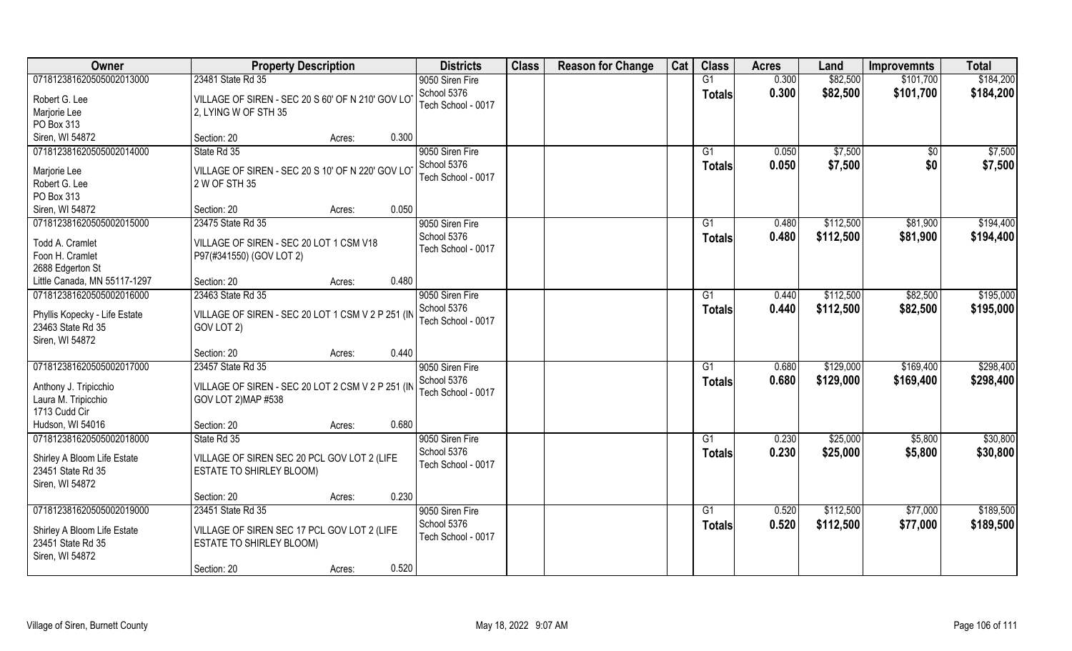| Owner                         | <b>Property Description</b>                       |        |       | <b>Districts</b>   | <b>Class</b> | <b>Reason for Change</b> | Cat | <b>Class</b>    | <b>Acres</b> | Land      | <b>Improvemnts</b> | <b>Total</b> |
|-------------------------------|---------------------------------------------------|--------|-------|--------------------|--------------|--------------------------|-----|-----------------|--------------|-----------|--------------------|--------------|
| 071812381620505002013000      | 23481 State Rd 35                                 |        |       | 9050 Siren Fire    |              |                          |     | G1              | 0.300        | \$82,500  | \$101,700          | \$184,200    |
| Robert G. Lee                 | VILLAGE OF SIREN - SEC 20 S 60' OF N 210' GOV LOT |        |       | School 5376        |              |                          |     | <b>Totals</b>   | 0.300        | \$82,500  | \$101,700          | \$184,200    |
| Marjorie Lee                  | 2, LYING W OF STH 35                              |        |       | Tech School - 0017 |              |                          |     |                 |              |           |                    |              |
| PO Box 313                    |                                                   |        |       |                    |              |                          |     |                 |              |           |                    |              |
| Siren, WI 54872               | Section: 20                                       | Acres: | 0.300 |                    |              |                          |     |                 |              |           |                    |              |
| 071812381620505002014000      | State Rd 35                                       |        |       | 9050 Siren Fire    |              |                          |     | $\overline{G1}$ | 0.050        | \$7,500   | \$0                | \$7,500      |
|                               |                                                   |        |       | School 5376        |              |                          |     | <b>Totals</b>   | 0.050        | \$7,500   | \$0                | \$7,500      |
| Marjorie Lee                  | VILLAGE OF SIREN - SEC 20 S 10' OF N 220' GOV LO  |        |       | Tech School - 0017 |              |                          |     |                 |              |           |                    |              |
| Robert G. Lee                 | 2 W OF STH 35                                     |        |       |                    |              |                          |     |                 |              |           |                    |              |
| PO Box 313                    |                                                   |        |       |                    |              |                          |     |                 |              |           |                    |              |
| Siren, WI 54872               | Section: 20                                       | Acres: | 0.050 |                    |              |                          |     |                 |              |           |                    |              |
| 071812381620505002015000      | 23475 State Rd 35                                 |        |       | 9050 Siren Fire    |              |                          |     | G1              | 0.480        | \$112,500 | \$81,900           | \$194,400    |
| Todd A. Cramlet               | VILLAGE OF SIREN - SEC 20 LOT 1 CSM V18           |        |       | School 5376        |              |                          |     | <b>Totals</b>   | 0.480        | \$112,500 | \$81,900           | \$194,400    |
| Foon H. Cramlet               | P97(#341550) (GOV LOT 2)                          |        |       | Tech School - 0017 |              |                          |     |                 |              |           |                    |              |
| 2688 Edgerton St              |                                                   |        |       |                    |              |                          |     |                 |              |           |                    |              |
| Little Canada, MN 55117-1297  | Section: 20                                       | Acres: | 0.480 |                    |              |                          |     |                 |              |           |                    |              |
| 071812381620505002016000      | 23463 State Rd 35                                 |        |       | 9050 Siren Fire    |              |                          |     | G1              | 0.440        | \$112,500 | \$82,500           | \$195,000    |
|                               |                                                   |        |       | School 5376        |              |                          |     | <b>Totals</b>   | 0.440        | \$112,500 | \$82,500           | \$195,000    |
| Phyllis Kopecky - Life Estate | VILLAGE OF SIREN - SEC 20 LOT 1 CSM V 2 P 251 (IN |        |       | Tech School - 0017 |              |                          |     |                 |              |           |                    |              |
| 23463 State Rd 35             | GOV LOT 2)                                        |        |       |                    |              |                          |     |                 |              |           |                    |              |
| Siren, WI 54872               |                                                   |        |       |                    |              |                          |     |                 |              |           |                    |              |
|                               | Section: 20                                       | Acres: | 0.440 |                    |              |                          |     |                 |              |           |                    |              |
| 071812381620505002017000      | 23457 State Rd 35                                 |        |       | 9050 Siren Fire    |              |                          |     | G1              | 0.680        | \$129,000 | \$169,400          | \$298,400    |
| Anthony J. Tripicchio         | VILLAGE OF SIREN - SEC 20 LOT 2 CSM V 2 P 251 (IN |        |       | School 5376        |              |                          |     | <b>Totals</b>   | 0.680        | \$129,000 | \$169,400          | \$298,400    |
| Laura M. Tripicchio           | GOV LOT 2) MAP #538                               |        |       | Tech School - 0017 |              |                          |     |                 |              |           |                    |              |
| 1713 Cudd Cir                 |                                                   |        |       |                    |              |                          |     |                 |              |           |                    |              |
| Hudson, WI 54016              | Section: 20                                       | Acres: | 0.680 |                    |              |                          |     |                 |              |           |                    |              |
| 071812381620505002018000      | State Rd 35                                       |        |       | 9050 Siren Fire    |              |                          |     | G1              | 0.230        | \$25,000  | \$5,800            | \$30,800     |
|                               |                                                   |        |       | School 5376        |              |                          |     | <b>Totals</b>   | 0.230        | \$25,000  | \$5,800            | \$30,800     |
| Shirley A Bloom Life Estate   | VILLAGE OF SIREN SEC 20 PCL GOV LOT 2 (LIFE       |        |       | Tech School - 0017 |              |                          |     |                 |              |           |                    |              |
| 23451 State Rd 35             | ESTATE TO SHIRLEY BLOOM)                          |        |       |                    |              |                          |     |                 |              |           |                    |              |
| Siren, WI 54872               |                                                   |        |       |                    |              |                          |     |                 |              |           |                    |              |
|                               | Section: 20                                       | Acres: | 0.230 |                    |              |                          |     |                 |              |           |                    |              |
| 071812381620505002019000      | 23451 State Rd 35                                 |        |       | 9050 Siren Fire    |              |                          |     | G1              | 0.520        | \$112,500 | \$77,000           | \$189,500    |
| Shirley A Bloom Life Estate   | VILLAGE OF SIREN SEC 17 PCL GOV LOT 2 (LIFE       |        |       | School 5376        |              |                          |     | <b>Totals</b>   | 0.520        | \$112,500 | \$77,000           | \$189,500    |
| 23451 State Rd 35             | ESTATE TO SHIRLEY BLOOM)                          |        |       | Tech School - 0017 |              |                          |     |                 |              |           |                    |              |
| Siren, WI 54872               |                                                   |        |       |                    |              |                          |     |                 |              |           |                    |              |
|                               | Section: 20                                       | Acres: | 0.520 |                    |              |                          |     |                 |              |           |                    |              |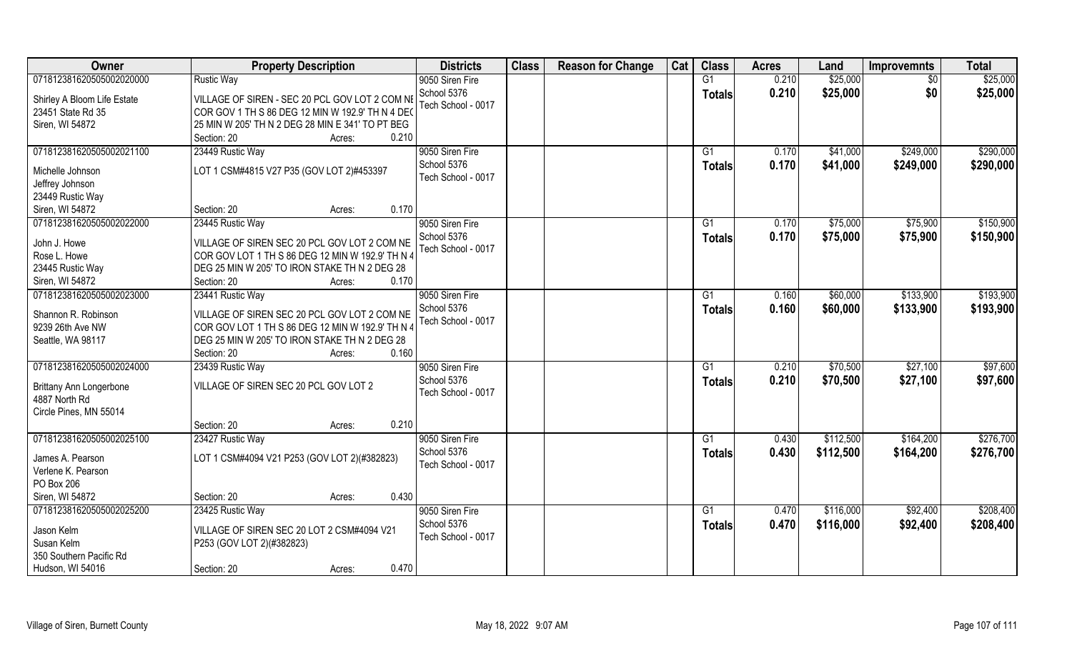| Owner                          | <b>Property Description</b>                                                                       | <b>Districts</b>               | <b>Class</b> | <b>Reason for Change</b> | Cat | <b>Class</b>   | <b>Acres</b> | Land      | <b>Improvemnts</b> | <b>Total</b> |
|--------------------------------|---------------------------------------------------------------------------------------------------|--------------------------------|--------------|--------------------------|-----|----------------|--------------|-----------|--------------------|--------------|
| 071812381620505002020000       | <b>Rustic Way</b>                                                                                 | 9050 Siren Fire                |              |                          |     | G1             | 0.210        | \$25,000  | $\sqrt{6}$         | \$25,000     |
| Shirley A Bloom Life Estate    | VILLAGE OF SIREN - SEC 20 PCL GOV LOT 2 COM NE                                                    | School 5376                    |              |                          |     | <b>Totals</b>  | 0.210        | \$25,000  | \$0                | \$25,000     |
| 23451 State Rd 35              | COR GOV 1 TH S 86 DEG 12 MIN W 192.9' TH N 4 DEC                                                  | Tech School - 0017             |              |                          |     |                |              |           |                    |              |
| Siren, WI 54872                | 25 MIN W 205' TH N 2 DEG 28 MIN E 341' TO PT BEG                                                  |                                |              |                          |     |                |              |           |                    |              |
|                                | 0.210<br>Section: 20<br>Acres:                                                                    |                                |              |                          |     |                |              |           |                    |              |
| 071812381620505002021100       | 23449 Rustic Way                                                                                  | 9050 Siren Fire                |              |                          |     | G <sub>1</sub> | 0.170        | \$41,000  | \$249,000          | \$290,000    |
|                                |                                                                                                   | School 5376                    |              |                          |     | Totals         | 0.170        | \$41,000  | \$249,000          | \$290,000    |
| Michelle Johnson               | LOT 1 CSM#4815 V27 P35 (GOV LOT 2)#453397                                                         | Tech School - 0017             |              |                          |     |                |              |           |                    |              |
| Jeffrey Johnson                |                                                                                                   |                                |              |                          |     |                |              |           |                    |              |
| 23449 Rustic Way               |                                                                                                   |                                |              |                          |     |                |              |           |                    |              |
| Siren, WI 54872                | 0.170<br>Section: 20<br>Acres:                                                                    |                                |              |                          |     |                |              |           |                    |              |
| 071812381620505002022000       | 23445 Rustic Way                                                                                  | 9050 Siren Fire                |              |                          |     | G1             | 0.170        | \$75,000  | \$75,900           | \$150,900    |
| John J. Howe                   | VILLAGE OF SIREN SEC 20 PCL GOV LOT 2 COM NE                                                      | School 5376                    |              |                          |     | <b>Totals</b>  | 0.170        | \$75,000  | \$75,900           | \$150,900    |
| Rose L. Howe                   | COR GOV LOT 1 TH S 86 DEG 12 MIN W 192.9' TH N 4                                                  | Tech School - 0017             |              |                          |     |                |              |           |                    |              |
| 23445 Rustic Way               | DEG 25 MIN W 205' TO IRON STAKE TH N 2 DEG 28                                                     |                                |              |                          |     |                |              |           |                    |              |
| Siren, WI 54872                | 0.170<br>Section: 20<br>Acres:                                                                    |                                |              |                          |     |                |              |           |                    |              |
| 071812381620505002023000       | 23441 Rustic Way                                                                                  | 9050 Siren Fire                |              |                          |     | G1             | 0.160        | \$60,000  | \$133,900          | \$193,900    |
|                                |                                                                                                   | School 5376                    |              |                          |     | <b>Totals</b>  | 0.160        | \$60,000  | \$133,900          | \$193,900    |
| Shannon R. Robinson            | VILLAGE OF SIREN SEC 20 PCL GOV LOT 2 COM NE                                                      | Tech School - 0017             |              |                          |     |                |              |           |                    |              |
| 9239 26th Ave NW               | COR GOV LOT 1 TH S 86 DEG 12 MIN W 192.9' TH N 4<br>DEG 25 MIN W 205' TO IRON STAKE TH N 2 DEG 28 |                                |              |                          |     |                |              |           |                    |              |
| Seattle, WA 98117              | 0.160<br>Section: 20                                                                              |                                |              |                          |     |                |              |           |                    |              |
| 071812381620505002024000       | Acres:<br>23439 Rustic Way                                                                        |                                |              |                          |     | G1             | 0.210        | \$70,500  | \$27,100           | \$97,600     |
|                                |                                                                                                   | 9050 Siren Fire<br>School 5376 |              |                          |     |                |              |           |                    |              |
| <b>Brittany Ann Longerbone</b> | VILLAGE OF SIREN SEC 20 PCL GOV LOT 2                                                             | Tech School - 0017             |              |                          |     | <b>Totals</b>  | 0.210        | \$70,500  | \$27,100           | \$97,600     |
| 4887 North Rd                  |                                                                                                   |                                |              |                          |     |                |              |           |                    |              |
| Circle Pines, MN 55014         |                                                                                                   |                                |              |                          |     |                |              |           |                    |              |
|                                | 0.210<br>Section: 20<br>Acres:                                                                    |                                |              |                          |     |                |              |           |                    |              |
| 071812381620505002025100       | 23427 Rustic Way                                                                                  | 9050 Siren Fire                |              |                          |     | G1             | 0.430        | \$112,500 | \$164,200          | \$276,700    |
| James A. Pearson               | LOT 1 CSM#4094 V21 P253 (GOV LOT 2)(#382823)                                                      | School 5376                    |              |                          |     | <b>Totals</b>  | 0.430        | \$112,500 | \$164,200          | \$276,700    |
| Verlene K. Pearson             |                                                                                                   | Tech School - 0017             |              |                          |     |                |              |           |                    |              |
| PO Box 206                     |                                                                                                   |                                |              |                          |     |                |              |           |                    |              |
| Siren, WI 54872                | 0.430<br>Section: 20<br>Acres:                                                                    |                                |              |                          |     |                |              |           |                    |              |
| 071812381620505002025200       | 23425 Rustic Way                                                                                  | 9050 Siren Fire                |              |                          |     | G1             | 0.470        | \$116,000 | \$92,400           | \$208,400    |
|                                |                                                                                                   | School 5376                    |              |                          |     | <b>Totals</b>  | 0.470        | \$116,000 | \$92,400           | \$208,400    |
| Jason Kelm                     | VILLAGE OF SIREN SEC 20 LOT 2 CSM#4094 V21                                                        | Tech School - 0017             |              |                          |     |                |              |           |                    |              |
| Susan Kelm                     | P253 (GOV LOT 2)(#382823)                                                                         |                                |              |                          |     |                |              |           |                    |              |
| 350 Southern Pacific Rd        |                                                                                                   |                                |              |                          |     |                |              |           |                    |              |
| Hudson, WI 54016               | 0.470<br>Section: 20<br>Acres:                                                                    |                                |              |                          |     |                |              |           |                    |              |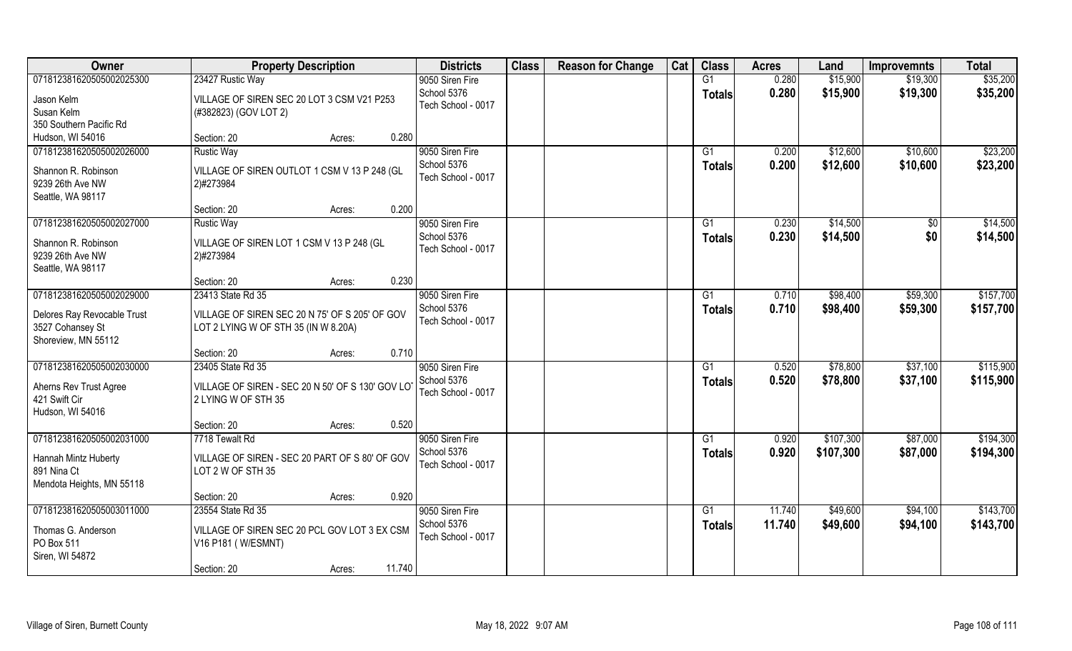| Owner                                                                  | <b>Property Description</b>                                                            | <b>Districts</b>                  | <b>Class</b> | <b>Reason for Change</b> | Cat | <b>Class</b>    | <b>Acres</b> | Land      | <b>Improvemnts</b> | <b>Total</b> |
|------------------------------------------------------------------------|----------------------------------------------------------------------------------------|-----------------------------------|--------------|--------------------------|-----|-----------------|--------------|-----------|--------------------|--------------|
| 071812381620505002025300                                               | 23427 Rustic Way                                                                       | 9050 Siren Fire                   |              |                          |     | G1              | 0.280        | \$15,900  | \$19,300           | \$35,200     |
| Jason Kelm<br>Susan Kelm                                               | VILLAGE OF SIREN SEC 20 LOT 3 CSM V21 P253<br>(#382823) (GOV LOT 2)                    | School 5376<br>Tech School - 0017 |              |                          |     | <b>Totals</b>   | 0.280        | \$15,900  | \$19,300           | \$35,200     |
| 350 Southern Pacific Rd                                                |                                                                                        |                                   |              |                          |     |                 |              |           |                    |              |
| Hudson, WI 54016                                                       | 0.280<br>Section: 20<br>Acres:                                                         |                                   |              |                          |     |                 |              |           |                    |              |
| 071812381620505002026000                                               | <b>Rustic Way</b>                                                                      | 9050 Siren Fire                   |              |                          |     | G1              | 0.200        | \$12,600  | \$10,600           | \$23,200     |
| Shannon R. Robinson                                                    | VILLAGE OF SIREN OUTLOT 1 CSM V 13 P 248 (GL                                           | School 5376                       |              |                          |     | <b>Totals</b>   | 0.200        | \$12,600  | \$10,600           | \$23,200     |
| 9239 26th Ave NW                                                       | 2)#273984                                                                              | Tech School - 0017                |              |                          |     |                 |              |           |                    |              |
| Seattle, WA 98117                                                      |                                                                                        |                                   |              |                          |     |                 |              |           |                    |              |
|                                                                        | Section: 20<br>0.200<br>Acres:                                                         |                                   |              |                          |     |                 |              |           |                    |              |
| 071812381620505002027000                                               | <b>Rustic Way</b>                                                                      | 9050 Siren Fire                   |              |                          |     | G1              | 0.230        | \$14,500  | \$0                | \$14,500     |
| Shannon R. Robinson<br>9239 26th Ave NW                                | VILLAGE OF SIREN LOT 1 CSM V 13 P 248 (GL<br>2)#273984                                 | School 5376<br>Tech School - 0017 |              |                          |     | <b>Totals</b>   | 0.230        | \$14,500  | \$0                | \$14,500     |
| Seattle, WA 98117                                                      |                                                                                        |                                   |              |                          |     |                 |              |           |                    |              |
|                                                                        | 0.230<br>Section: 20<br>Acres:                                                         |                                   |              |                          |     |                 |              |           |                    |              |
| 071812381620505002029000                                               | 23413 State Rd 35                                                                      | 9050 Siren Fire                   |              |                          |     | G1              | 0.710        | \$98,400  | \$59,300           | \$157,700    |
| Delores Ray Revocable Trust<br>3527 Cohansey St<br>Shoreview, MN 55112 | VILLAGE OF SIREN SEC 20 N 75' OF S 205' OF GOV<br>LOT 2 LYING W OF STH 35 (IN W 8.20A) | School 5376<br>Tech School - 0017 |              |                          |     | <b>Totals</b>   | 0.710        | \$98,400  | \$59,300           | \$157,700    |
|                                                                        | 0.710<br>Section: 20<br>Acres:                                                         |                                   |              |                          |     |                 |              |           |                    |              |
| 071812381620505002030000                                               | 23405 State Rd 35                                                                      | 9050 Siren Fire                   |              |                          |     | G1              | 0.520        | \$78,800  | \$37,100           | \$115,900    |
|                                                                        |                                                                                        | School 5376                       |              |                          |     | <b>Totals</b>   | 0.520        | \$78,800  | \$37,100           | \$115,900    |
| Aherns Rev Trust Agree                                                 | VILLAGE OF SIREN - SEC 20 N 50' OF S 130' GOV LO                                       | Tech School - 0017                |              |                          |     |                 |              |           |                    |              |
| 421 Swift Cir<br>Hudson, WI 54016                                      | 2 LYING W OF STH 35                                                                    |                                   |              |                          |     |                 |              |           |                    |              |
|                                                                        | 0.520<br>Section: 20<br>Acres:                                                         |                                   |              |                          |     |                 |              |           |                    |              |
| 071812381620505002031000                                               | 7718 Tewalt Rd                                                                         | 9050 Siren Fire                   |              |                          |     | $\overline{G1}$ | 0.920        | \$107,300 | \$87,000           | \$194,300    |
|                                                                        |                                                                                        | School 5376                       |              |                          |     | <b>Totals</b>   | 0.920        | \$107,300 | \$87,000           | \$194,300    |
| Hannah Mintz Huberty                                                   | VILLAGE OF SIREN - SEC 20 PART OF S 80' OF GOV                                         | Tech School - 0017                |              |                          |     |                 |              |           |                    |              |
| 891 Nina Ct                                                            | LOT 2 W OF STH 35                                                                      |                                   |              |                          |     |                 |              |           |                    |              |
| Mendota Heights, MN 55118                                              |                                                                                        |                                   |              |                          |     |                 |              |           |                    |              |
| 071812381620505003011000                                               | 0.920<br>Section: 20<br>Acres:                                                         |                                   |              |                          |     |                 |              |           |                    |              |
|                                                                        | 23554 State Rd 35                                                                      | 9050 Siren Fire<br>School 5376    |              |                          |     | G1              | 11.740       | \$49,600  | \$94,100           | \$143,700    |
| Thomas G. Anderson                                                     | VILLAGE OF SIREN SEC 20 PCL GOV LOT 3 EX CSM                                           | Tech School - 0017                |              |                          |     | <b>Totals</b>   | 11.740       | \$49,600  | \$94,100           | \$143,700    |
| PO Box 511                                                             | V16 P181 (W/ESMNT)                                                                     |                                   |              |                          |     |                 |              |           |                    |              |
| Siren, WI 54872                                                        |                                                                                        |                                   |              |                          |     |                 |              |           |                    |              |
|                                                                        | 11.740<br>Section: 20<br>Acres:                                                        |                                   |              |                          |     |                 |              |           |                    |              |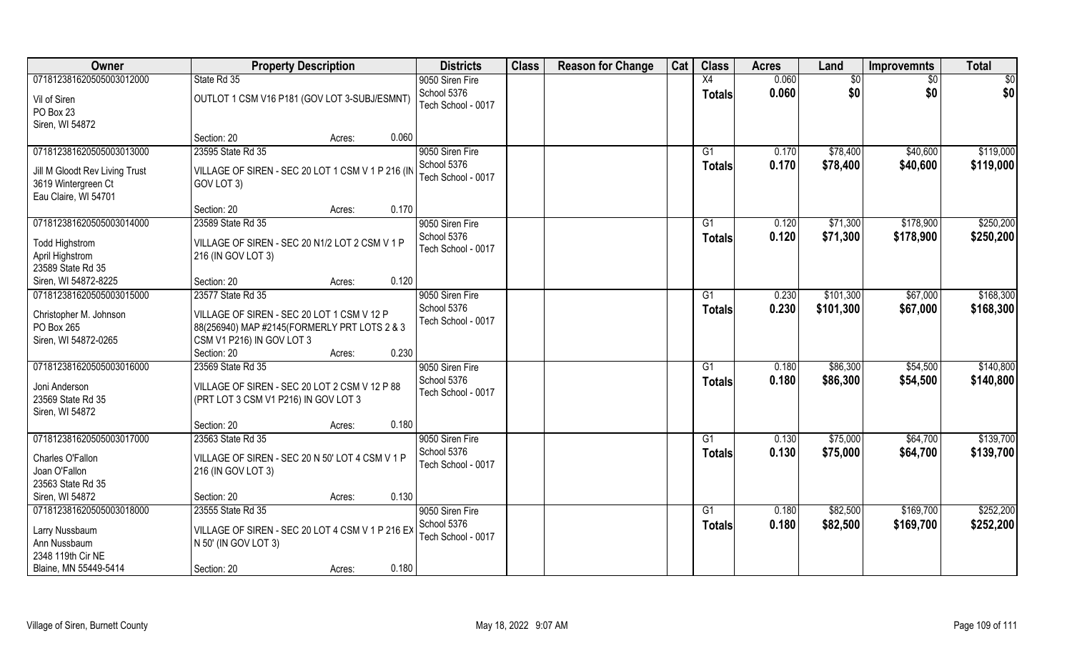| Owner                          | <b>Property Description</b>                       | <b>Districts</b>   | <b>Class</b> | <b>Reason for Change</b> | Cat | <b>Class</b>    | <b>Acres</b> | Land      | <b>Improvemnts</b> | <b>Total</b> |
|--------------------------------|---------------------------------------------------|--------------------|--------------|--------------------------|-----|-----------------|--------------|-----------|--------------------|--------------|
| 071812381620505003012000       | State Rd 35                                       | 9050 Siren Fire    |              |                          |     | $\overline{X4}$ | 0.060        | \$0       | $\sqrt{6}$         | \$0          |
| Vil of Siren                   | OUTLOT 1 CSM V16 P181 (GOV LOT 3-SUBJ/ESMNT)      | School 5376        |              |                          |     | <b>Totals</b>   | 0.060        | \$0       | \$0                | \$0          |
| PO Box 23                      |                                                   | Tech School - 0017 |              |                          |     |                 |              |           |                    |              |
| Siren, WI 54872                |                                                   |                    |              |                          |     |                 |              |           |                    |              |
|                                | 0.060<br>Section: 20<br>Acres:                    |                    |              |                          |     |                 |              |           |                    |              |
| 071812381620505003013000       | 23595 State Rd 35                                 | 9050 Siren Fire    |              |                          |     | G1              | 0.170        | \$78,400  | \$40,600           | \$119,000    |
| Jill M Gloodt Rev Living Trust | VILLAGE OF SIREN - SEC 20 LOT 1 CSM V 1 P 216 (IN | School 5376        |              |                          |     | Totals          | 0.170        | \$78,400  | \$40,600           | \$119,000    |
| 3619 Wintergreen Ct            | GOV LOT 3)                                        | Tech School - 0017 |              |                          |     |                 |              |           |                    |              |
| Eau Claire, WI 54701           |                                                   |                    |              |                          |     |                 |              |           |                    |              |
|                                | 0.170<br>Section: 20<br>Acres:                    |                    |              |                          |     |                 |              |           |                    |              |
| 071812381620505003014000       | 23589 State Rd 35                                 | 9050 Siren Fire    |              |                          |     | G1              | 0.120        | \$71,300  | \$178,900          | \$250,200    |
|                                |                                                   | School 5376        |              |                          |     | <b>Totals</b>   | 0.120        | \$71,300  | \$178,900          | \$250,200    |
| <b>Todd Highstrom</b>          | VILLAGE OF SIREN - SEC 20 N1/2 LOT 2 CSM V 1 P    | Tech School - 0017 |              |                          |     |                 |              |           |                    |              |
| April Highstrom                | 216 (IN GOV LOT 3)                                |                    |              |                          |     |                 |              |           |                    |              |
| 23589 State Rd 35              |                                                   |                    |              |                          |     |                 |              |           |                    |              |
| Siren, WI 54872-8225           | 0.120<br>Section: 20<br>Acres:                    |                    |              |                          |     |                 |              |           |                    |              |
| 071812381620505003015000       | 23577 State Rd 35                                 | 9050 Siren Fire    |              |                          |     | G1              | 0.230        | \$101,300 | \$67,000           | \$168,300    |
| Christopher M. Johnson         | VILLAGE OF SIREN - SEC 20 LOT 1 CSM V 12 P        | School 5376        |              |                          |     | <b>Totals</b>   | 0.230        | \$101,300 | \$67,000           | \$168,300    |
| PO Box 265                     | 88(256940) MAP #2145(FORMERLY PRT LOTS 2 & 3      | Tech School - 0017 |              |                          |     |                 |              |           |                    |              |
| Siren, WI 54872-0265           | CSM V1 P216) IN GOV LOT 3                         |                    |              |                          |     |                 |              |           |                    |              |
|                                | 0.230<br>Section: 20<br>Acres:                    |                    |              |                          |     |                 |              |           |                    |              |
| 071812381620505003016000       | 23569 State Rd 35                                 | 9050 Siren Fire    |              |                          |     | G1              | 0.180        | \$86,300  | \$54,500           | \$140,800    |
| Joni Anderson                  | VILLAGE OF SIREN - SEC 20 LOT 2 CSM V 12 P 88     | School 5376        |              |                          |     | Totals          | 0.180        | \$86,300  | \$54,500           | \$140,800    |
| 23569 State Rd 35              | (PRT LOT 3 CSM V1 P216) IN GOV LOT 3              | Tech School - 0017 |              |                          |     |                 |              |           |                    |              |
| Siren, WI 54872                |                                                   |                    |              |                          |     |                 |              |           |                    |              |
|                                | 0.180<br>Section: 20<br>Acres:                    |                    |              |                          |     |                 |              |           |                    |              |
| 071812381620505003017000       | 23563 State Rd 35                                 | 9050 Siren Fire    |              |                          |     | G1              | 0.130        | \$75,000  | \$64,700           | \$139,700    |
|                                |                                                   | School 5376        |              |                          |     | <b>Totals</b>   | 0.130        | \$75,000  | \$64,700           | \$139,700    |
| Charles O'Fallon               | VILLAGE OF SIREN - SEC 20 N 50' LOT 4 CSM V 1 P   | Tech School - 0017 |              |                          |     |                 |              |           |                    |              |
| Joan O'Fallon                  | 216 (IN GOV LOT 3)                                |                    |              |                          |     |                 |              |           |                    |              |
| 23563 State Rd 35              |                                                   |                    |              |                          |     |                 |              |           |                    |              |
| Siren, WI 54872                | 0.130<br>Section: 20<br>Acres:                    |                    |              |                          |     |                 |              |           |                    |              |
| 071812381620505003018000       | 23555 State Rd 35                                 | 9050 Siren Fire    |              |                          |     | G1              | 0.180        | \$82,500  | \$169,700          | \$252,200    |
| Larry Nussbaum                 | VILLAGE OF SIREN - SEC 20 LOT 4 CSM V 1 P 216 EX  | School 5376        |              |                          |     | <b>Totals</b>   | 0.180        | \$82,500  | \$169,700          | \$252,200    |
| Ann Nussbaum                   | N 50' (IN GOV LOT 3)                              | Tech School - 0017 |              |                          |     |                 |              |           |                    |              |
| 2348 119th Cir NE              |                                                   |                    |              |                          |     |                 |              |           |                    |              |
| Blaine, MN 55449-5414          | 0.180<br>Section: 20<br>Acres:                    |                    |              |                          |     |                 |              |           |                    |              |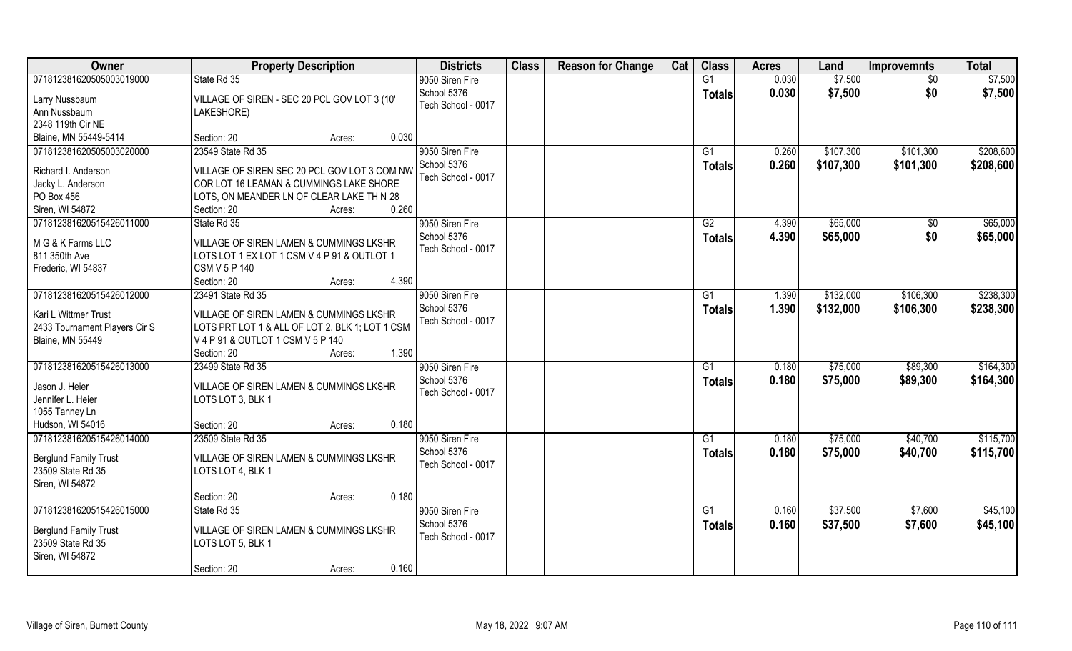| Owner                         | <b>Property Description</b>                        | <b>Districts</b>   | <b>Class</b> | <b>Reason for Change</b> | Cat | <b>Class</b>   | <b>Acres</b> | Land      | <b>Improvemnts</b> | <b>Total</b> |
|-------------------------------|----------------------------------------------------|--------------------|--------------|--------------------------|-----|----------------|--------------|-----------|--------------------|--------------|
| 071812381620505003019000      | State Rd 35                                        | 9050 Siren Fire    |              |                          |     | G1             | 0.030        | \$7,500   | \$0                | \$7,500      |
| Larry Nussbaum                | VILLAGE OF SIREN - SEC 20 PCL GOV LOT 3 (10'       | School 5376        |              |                          |     | <b>Totals</b>  | 0.030        | \$7,500   | \$0                | \$7,500      |
| Ann Nussbaum                  | LAKESHORE)                                         | Tech School - 0017 |              |                          |     |                |              |           |                    |              |
| 2348 119th Cir NE             |                                                    |                    |              |                          |     |                |              |           |                    |              |
| Blaine, MN 55449-5414         | Section: 20<br>0.030<br>Acres:                     |                    |              |                          |     |                |              |           |                    |              |
| 071812381620505003020000      | 23549 State Rd 35                                  | 9050 Siren Fire    |              |                          |     | G <sub>1</sub> | 0.260        | \$107,300 | \$101,300          | \$208,600    |
|                               |                                                    | School 5376        |              |                          |     | <b>Totals</b>  | 0.260        | \$107,300 | \$101,300          | \$208,600    |
| Richard I. Anderson           | VILLAGE OF SIREN SEC 20 PCL GOV LOT 3 COM NW       | Tech School - 0017 |              |                          |     |                |              |           |                    |              |
| Jacky L. Anderson             | COR LOT 16 LEAMAN & CUMMINGS LAKE SHORE            |                    |              |                          |     |                |              |           |                    |              |
| PO Box 456                    | LOTS, ON MEANDER LN OF CLEAR LAKE TH N 28<br>0.260 |                    |              |                          |     |                |              |           |                    |              |
| Siren, WI 54872               | Section: 20<br>Acres:                              |                    |              |                          |     |                |              |           |                    |              |
| 071812381620515426011000      | State Rd 35                                        | 9050 Siren Fire    |              |                          |     | G2             | 4.390        | \$65,000  | \$0                | \$65,000     |
| M G & K Farms LLC             | VILLAGE OF SIREN LAMEN & CUMMINGS LKSHR            | School 5376        |              |                          |     | <b>Totals</b>  | 4.390        | \$65,000  | \$0                | \$65,000     |
| 811 350th Ave                 | LOTS LOT 1 EX LOT 1 CSM V 4 P 91 & OUTLOT 1        | Tech School - 0017 |              |                          |     |                |              |           |                    |              |
| Frederic, WI 54837            | <b>CSM V 5 P 140</b>                               |                    |              |                          |     |                |              |           |                    |              |
|                               | 4.390<br>Section: 20<br>Acres:                     |                    |              |                          |     |                |              |           |                    |              |
| 071812381620515426012000      | 23491 State Rd 35                                  | 9050 Siren Fire    |              |                          |     | G1             | 1.390        | \$132,000 | \$106,300          | \$238,300    |
| Kari L Wittmer Trust          | VILLAGE OF SIREN LAMEN & CUMMINGS LKSHR            | School 5376        |              |                          |     | <b>Totals</b>  | 1.390        | \$132,000 | \$106,300          | \$238,300    |
| 2433 Tournament Players Cir S | LOTS PRT LOT 1 & ALL OF LOT 2, BLK 1; LOT 1 CSM    | Tech School - 0017 |              |                          |     |                |              |           |                    |              |
| <b>Blaine, MN 55449</b>       | V 4 P 91 & OUTLOT 1 CSM V 5 P 140                  |                    |              |                          |     |                |              |           |                    |              |
|                               | 1.390<br>Section: 20<br>Acres:                     |                    |              |                          |     |                |              |           |                    |              |
| 071812381620515426013000      | 23499 State Rd 35                                  | 9050 Siren Fire    |              |                          |     | G1             | 0.180        | \$75,000  | \$89,300           | \$164,300    |
|                               |                                                    | School 5376        |              |                          |     | <b>Totals</b>  | 0.180        | \$75,000  | \$89,300           | \$164,300    |
| Jason J. Heier                | VILLAGE OF SIREN LAMEN & CUMMINGS LKSHR            | Tech School - 0017 |              |                          |     |                |              |           |                    |              |
| Jennifer L. Heier             | LOTS LOT 3, BLK 1                                  |                    |              |                          |     |                |              |           |                    |              |
| 1055 Tanney Ln                |                                                    |                    |              |                          |     |                |              |           |                    |              |
| Hudson, WI 54016              | 0.180<br>Section: 20<br>Acres:                     |                    |              |                          |     |                |              |           |                    |              |
| 071812381620515426014000      | 23509 State Rd 35                                  | 9050 Siren Fire    |              |                          |     | G1             | 0.180        | \$75,000  | \$40,700           | \$115,700    |
| <b>Berglund Family Trust</b>  | VILLAGE OF SIREN LAMEN & CUMMINGS LKSHR            | School 5376        |              |                          |     | <b>Totals</b>  | 0.180        | \$75,000  | \$40,700           | \$115,700    |
| 23509 State Rd 35             | LOTS LOT 4, BLK 1                                  | Tech School - 0017 |              |                          |     |                |              |           |                    |              |
| Siren, WI 54872               |                                                    |                    |              |                          |     |                |              |           |                    |              |
|                               | 0.180<br>Section: 20<br>Acres:                     |                    |              |                          |     |                |              |           |                    |              |
| 071812381620515426015000      | State Rd 35                                        | 9050 Siren Fire    |              |                          |     | G1             | 0.160        | \$37,500  | \$7,600            | \$45,100     |
|                               |                                                    | School 5376        |              |                          |     | <b>Totals</b>  | 0.160        | \$37,500  | \$7,600            | \$45,100     |
| <b>Berglund Family Trust</b>  | VILLAGE OF SIREN LAMEN & CUMMINGS LKSHR            | Tech School - 0017 |              |                          |     |                |              |           |                    |              |
| 23509 State Rd 35             | LOTS LOT 5, BLK 1                                  |                    |              |                          |     |                |              |           |                    |              |
| Siren, WI 54872               |                                                    |                    |              |                          |     |                |              |           |                    |              |
|                               | 0.160<br>Section: 20<br>Acres:                     |                    |              |                          |     |                |              |           |                    |              |